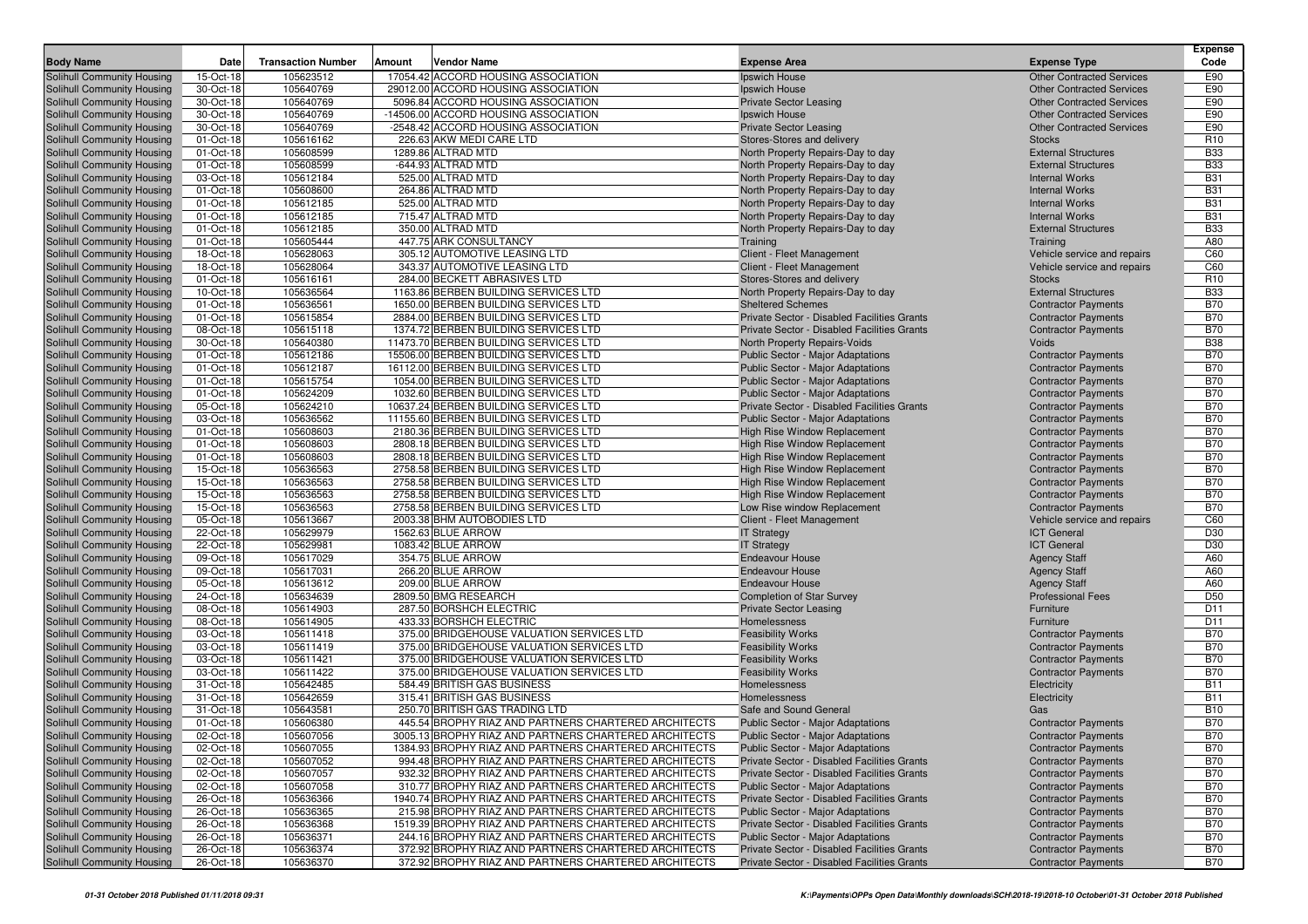| Date<br>Amount<br><b>Vendor Name</b><br><b>Expense Area</b><br><b>Expense Type</b><br>Solihull Community Housing<br>105623512<br>17054.42 ACCORD HOUSING ASSOCIATION<br>E90<br>15-Oct-18<br>Ipswich House<br><b>Other Contracted Services</b><br>Solihull Community Housing<br>30-Oct-18<br>105640769<br>29012.00 ACCORD HOUSING ASSOCIATION<br>E90<br>Ipswich House<br><b>Other Contracted Services</b><br>E90<br>105640769<br>5096.84 ACCORD HOUSING ASSOCIATION<br>Solihull Community Housing<br>30-Oct-18<br><b>Private Sector Leasing</b><br><b>Other Contracted Services</b><br>Solihull Community Housing<br>30-Oct-18<br>105640769<br>-14506.00 ACCORD HOUSING ASSOCIATION<br>E90<br>Ipswich House<br><b>Other Contracted Services</b><br>E90<br>30-Oct-18<br>105640769<br>-2548.42 ACCORD HOUSING ASSOCIATION<br><b>Other Contracted Services</b><br>Solihull Community Housing<br><b>Private Sector Leasing</b><br>Solihull Community Housing<br>105616162<br>226.63 AKW MEDI CARE LTD<br>R <sub>10</sub><br>01-Oct-18<br>Stores-Stores and delivery<br><b>Stocks</b><br><b>B33</b><br>Solihull Community Housing<br>105608599<br>1289.86 ALTRAD MTD<br><b>External Structures</b><br>01-Oct-18<br>North Property Repairs-Day to day<br>105608599<br>-644.93 ALTRAD MTD<br><b>B33</b><br>Solihull Community Housing<br>01-Oct-18<br>North Property Repairs-Day to day<br><b>External Structures</b><br>Solihull Community Housing<br>105612184<br>525.00 ALTRAD MTD<br><b>B31</b><br>03-Oct-18<br>North Property Repairs-Day to day<br><b>Internal Works</b><br>105608600<br>264.86 ALTRAD MTD<br><b>B31</b><br>Solihull Community Housing<br>01-Oct-18<br>North Property Repairs-Day to day<br><b>Internal Works</b><br>Solihull Community Housing<br>01-Oct-18<br>105612185<br>525.00 ALTRAD MTD<br>North Property Repairs-Day to day<br><b>B31</b><br><b>Internal Works</b><br><b>B31</b><br>715.47 ALTRAD MTD<br>Solihull Community Housing<br>01-Oct-18<br>105612185<br><b>Internal Works</b><br>North Property Repairs-Day to day<br>105612185<br>350.00 ALTRAD MTD<br><b>External Structures</b><br><b>B33</b><br>Solihull Community Housing<br>01-Oct-18<br>North Property Repairs-Day to day<br>Solihull Community Housing<br>105605444<br>447.75 ARK CONSULTANCY<br>A80<br>01-Oct-18<br>Training<br>Training<br>Solihull Community Housing<br>105628063<br>305.12 AUTOMOTIVE LEASING LTD<br>C60<br>18-Oct-18<br>Client - Fleet Management<br>Vehicle service and repairs<br>105628064<br>343.37 AUTOMOTIVE LEASING LTD<br>Client - Fleet Management<br>C60<br>Solihull Community Housing<br>18-Oct-18<br>Vehicle service and repairs<br>284.00 BECKETT ABRASIVES LTD<br>R <sub>10</sub><br>Solihull Community Housing<br>01-Oct-18<br>105616161<br>Stores-Stores and delivery<br><b>Stocks</b><br>Solihull Community Housing<br>105636564<br>1163.86 BERBEN BUILDING SERVICES LTD<br><b>External Structures</b><br><b>B33</b><br>10-Oct-18<br>North Property Repairs-Day to day<br><b>B70</b><br>105636561<br>1650.00 BERBEN BUILDING SERVICES LTD<br>Solihull Community Housing<br>01-Oct-18<br><b>Sheltered Schemes</b><br><b>Contractor Payments</b><br>2884.00 BERBEN BUILDING SERVICES LTD<br><b>B70</b><br>Solihull Community Housing<br>01-Oct-18<br>105615854<br>Private Sector - Disabled Facilities Grants<br><b>Contractor Payments</b><br><b>B70</b><br>Solihull Community Housing<br>105615118<br>1374.72 BERBEN BUILDING SERVICES LTD<br>Private Sector - Disabled Facilities Grants<br>08-Oct-18<br><b>Contractor Payments</b><br>Solihull Community Housing<br>30-Oct-18<br>105640380<br>11473.70 BERBEN BUILDING SERVICES LTD<br>North Property Repairs-Voids<br><b>B38</b><br>Voids<br><b>B70</b><br>105612186<br>15506.00 BERBEN BUILDING SERVICES LTD<br>Solihull Community Housing<br>01-Oct-18<br><b>Public Sector - Major Adaptations</b><br><b>Contractor Payments</b><br>Solihull Community Housing<br>105612187<br>16112.00 BERBEN BUILDING SERVICES LTD<br>Public Sector - Major Adaptations<br><b>B70</b><br>01-Oct-18<br><b>Contractor Payments</b><br>Solihull Community Housing<br>105615754<br>1054.00 BERBEN BUILDING SERVICES LTD<br><b>B70</b><br>01-Oct-18<br>Public Sector - Major Adaptations<br><b>Contractor Payments</b><br><b>B70</b><br>105624209<br>Solihull Community Housing<br>01-Oct-18<br>1032.60 BERBEN BUILDING SERVICES LTD<br>Public Sector - Major Adaptations<br><b>Contractor Payments</b><br>Solihull Community Housing<br>05-Oct-18<br>105624210<br>10637.24 BERBEN BUILDING SERVICES LTD<br>Private Sector - Disabled Facilities Grants<br><b>Contractor Payments</b><br><b>B70</b><br><b>B70</b><br>105636562<br>11155.60 BERBEN BUILDING SERVICES LTD<br><b>Public Sector - Major Adaptations</b><br>Solihull Community Housing<br>03-Oct-18<br><b>Contractor Payments</b><br>105608603<br>2180.36 BERBEN BUILDING SERVICES LTD<br><b>B70</b><br>Solihull Community Housing<br>01-Oct-18<br>High Rise Window Replacement<br><b>Contractor Payments</b><br>01-Oct-18<br>105608603<br>2808.18 BERBEN BUILDING SERVICES LTD<br>High Rise Window Replacement<br><b>B70</b><br>Solihull Community Housing<br><b>Contractor Payments</b><br>Solihull Community Housing<br>105608603<br>2808.18 BERBEN BUILDING SERVICES LTD<br><b>B70</b><br>01-Oct-18<br><b>High Rise Window Replacement</b><br><b>Contractor Payments</b><br>Solihull Community Housing<br>105636563<br>2758.58 BERBEN BUILDING SERVICES LTD<br><b>B70</b><br>15-Oct-18<br><b>High Rise Window Replacement</b><br><b>Contractor Payments</b><br>105636563<br><b>B70</b><br>Solihull Community Housing<br>15-Oct-18<br>2758.58 BERBEN BUILDING SERVICES LTD<br>High Rise Window Replacement<br><b>Contractor Payments</b><br>Solihull Community Housing<br>15-Oct-18<br>105636563<br>2758.58 BERBEN BUILDING SERVICES LTD<br><b>B70</b><br>High Rise Window Replacement<br><b>Contractor Payments</b><br>105636563<br>2758.58 BERBEN BUILDING SERVICES LTD<br><b>B70</b><br>Solihull Community Housing<br>15-Oct-18<br>Low Rise window Replacement<br><b>Contractor Payments</b><br>Solihull Community Housing<br>05-Oct-18<br>105613667<br>2003.38 BHM AUTOBODIES LTD<br>Client - Fleet Management<br>C60<br>Vehicle service and repairs<br>105629979<br>1562.63 BLUE ARROW<br><b>ICT</b> General<br>D30<br>Solihull Community Housing<br>22-Oct-18<br><b>IT Strategy</b><br>105629981<br>1083.42 BLUE ARROW<br><b>ICT</b> General<br>D30<br>Solihull Community Housing<br>22-Oct-18<br><b>IT Strategy</b><br>A60<br>Solihull Community Housing<br>105617029<br>354.75 BLUE ARROW<br>09-Oct-18<br><b>Endeavour House</b><br><b>Agency Staff</b><br>Solihull Community Housing<br>105617031<br>266.20 BLUE ARROW<br>A60<br>09-Oct-18<br><b>Endeavour House</b><br><b>Agency Staff</b><br>105613612<br>209.00 BLUE ARROW<br><b>Endeavour House</b><br><b>Agency Staff</b><br>A60<br>Solihull Community Housing<br>05-Oct-18<br>105634639<br>2809.50 BMG RESEARCH<br><b>Professional Fees</b><br>D <sub>50</sub><br>Solihull Community Housing<br>24-Oct-18<br><b>Completion of Star Survey</b><br>Solihull Community Housing<br>105614903<br>287.50 BORSHCH ELECTRIC<br>D11<br>08-Oct-18<br><b>Private Sector Leasing</b><br>Furniture<br>D11<br>08-Oct-18<br>105614905<br>433.33 BORSHCH ELECTRIC<br>Solihull Community Housing<br>Homelessness<br>Furniture<br>Solihull Community Housing<br>105611418<br>375.00 BRIDGEHOUSE VALUATION SERVICES LTD<br><b>B70</b><br>03-Oct-18<br><b>Feasibility Works</b><br><b>Contractor Payments</b><br><b>B70</b><br>105611419<br>Solihull Community Housing<br>03-Oct-18<br>375.00 BRIDGEHOUSE VALUATION SERVICES LTD<br><b>Feasibility Works</b><br><b>Contractor Payments</b><br>03-Oct-18<br>105611421<br>375.00 BRIDGEHOUSE VALUATION SERVICES LTD<br><b>B70</b><br>Solihull Community Housing<br><b>Feasibility Works</b><br><b>Contractor Payments</b><br>105611422<br>375.00 BRIDGEHOUSE VALUATION SERVICES LTD<br><b>B70</b><br>Solihull Community Housing<br>03-Oct-18<br><b>Feasibility Works</b><br><b>Contractor Payments</b><br>105642485<br>584.49 BRITISH GAS BUSINESS<br><b>B11</b><br>Solihull Community Housing<br>31-Oct-18<br>Homelessness<br>Electricity<br>Solihull Community Housing<br>105642659<br>315.41 BRITISH GAS BUSINESS<br><b>B11</b><br>31-Oct-18<br>Homelessness<br>Electricity<br><b>B10</b><br>105643581<br>Solihull Community Housing<br>31-Oct-18<br>250.70 BRITISH GAS TRADING LTD<br>Safe and Sound General<br>Gas<br>Solihull Community Housing<br>105606380<br>445.54 BROPHY RIAZ AND PARTNERS CHARTERED ARCHITECTS<br><b>B70</b><br>01-Oct-18<br><b>Public Sector - Major Adaptations</b><br><b>Contractor Payments</b><br>Solihull Community Housing<br>3005.13 BROPHY RIAZ AND PARTNERS CHARTERED ARCHITECTS<br><b>B70</b><br>02-Oct-18<br>105607056<br>Public Sector - Major Adaptations<br><b>Contractor Payments</b><br>Solihull Community Housing<br>02-Oct-18<br>105607055<br>1384.93 BROPHY RIAZ AND PARTNERS CHARTERED ARCHITECTS<br><b>Public Sector - Major Adaptations</b><br><b>Contractor Payments</b><br><b>B70</b><br>Solihull Community Housing<br><b>B70</b><br>02-Oct-18<br>105607052<br>994.48 BROPHY RIAZ AND PARTNERS CHARTERED ARCHITECTS<br>Private Sector - Disabled Facilities Grants<br><b>Contractor Payments</b><br>Solihull Community Housing<br>105607057<br>932.32 BROPHY RIAZ AND PARTNERS CHARTERED ARCHITECTS<br>Private Sector - Disabled Facilities Grants<br><b>Contractor Payments</b><br><b>B70</b><br>02-Oct-18<br>Solihull Community Housing<br>105607058<br>310.77 BROPHY RIAZ AND PARTNERS CHARTERED ARCHITECTS<br><b>Public Sector - Major Adaptations</b><br><b>Contractor Payments</b><br><b>B70</b><br>02-Oct-18<br>Solihull Community Housing<br>26-Oct-18<br>105636366<br>1940.74 BROPHY RIAZ AND PARTNERS CHARTERED ARCHITECTS<br>Private Sector - Disabled Facilities Grants<br><b>Contractor Payments</b><br><b>B70</b><br>Solihull Community Housing<br>105636365<br><b>Public Sector - Major Adaptations</b><br><b>Contractor Payments</b><br><b>B70</b><br>26-Oct-18<br>215.98 BROPHY RIAZ AND PARTNERS CHARTERED ARCHITECTS<br>Solihull Community Housing<br>105636368<br>1519.39 BROPHY RIAZ AND PARTNERS CHARTERED ARCHITECTS<br>Private Sector - Disabled Facilities Grants<br><b>B70</b><br>26-Oct-18<br><b>Contractor Payments</b><br>Solihull Community Housing<br>26-Oct-18<br>105636371<br>244.16 BROPHY RIAZ AND PARTNERS CHARTERED ARCHITECTS<br>Public Sector - Major Adaptations<br><b>Contractor Payments</b><br><b>B70</b><br>Solihull Community Housing<br>105636374<br>372.92 BROPHY RIAZ AND PARTNERS CHARTERED ARCHITECTS<br>Private Sector - Disabled Facilities Grants<br><b>B70</b><br>26-Oct-18<br><b>Contractor Payments</b><br>Solihull Community Housing<br>105636370<br>372.92 BROPHY RIAZ AND PARTNERS CHARTERED ARCHITECTS<br>Private Sector - Disabled Facilities Grants<br><b>Contractor Payments</b><br><b>B70</b><br>26-Oct-18 |                  |                           |  |  | <b>Expense</b> |
|-------------------------------------------------------------------------------------------------------------------------------------------------------------------------------------------------------------------------------------------------------------------------------------------------------------------------------------------------------------------------------------------------------------------------------------------------------------------------------------------------------------------------------------------------------------------------------------------------------------------------------------------------------------------------------------------------------------------------------------------------------------------------------------------------------------------------------------------------------------------------------------------------------------------------------------------------------------------------------------------------------------------------------------------------------------------------------------------------------------------------------------------------------------------------------------------------------------------------------------------------------------------------------------------------------------------------------------------------------------------------------------------------------------------------------------------------------------------------------------------------------------------------------------------------------------------------------------------------------------------------------------------------------------------------------------------------------------------------------------------------------------------------------------------------------------------------------------------------------------------------------------------------------------------------------------------------------------------------------------------------------------------------------------------------------------------------------------------------------------------------------------------------------------------------------------------------------------------------------------------------------------------------------------------------------------------------------------------------------------------------------------------------------------------------------------------------------------------------------------------------------------------------------------------------------------------------------------------------------------------------------------------------------------------------------------------------------------------------------------------------------------------------------------------------------------------------------------------------------------------------------------------------------------------------------------------------------------------------------------------------------------------------------------------------------------------------------------------------------------------------------------------------------------------------------------------------------------------------------------------------------------------------------------------------------------------------------------------------------------------------------------------------------------------------------------------------------------------------------------------------------------------------------------------------------------------------------------------------------------------------------------------------------------------------------------------------------------------------------------------------------------------------------------------------------------------------------------------------------------------------------------------------------------------------------------------------------------------------------------------------------------------------------------------------------------------------------------------------------------------------------------------------------------------------------------------------------------------------------------------------------------------------------------------------------------------------------------------------------------------------------------------------------------------------------------------------------------------------------------------------------------------------------------------------------------------------------------------------------------------------------------------------------------------------------------------------------------------------------------------------------------------------------------------------------------------------------------------------------------------------------------------------------------------------------------------------------------------------------------------------------------------------------------------------------------------------------------------------------------------------------------------------------------------------------------------------------------------------------------------------------------------------------------------------------------------------------------------------------------------------------------------------------------------------------------------------------------------------------------------------------------------------------------------------------------------------------------------------------------------------------------------------------------------------------------------------------------------------------------------------------------------------------------------------------------------------------------------------------------------------------------------------------------------------------------------------------------------------------------------------------------------------------------------------------------------------------------------------------------------------------------------------------------------------------------------------------------------------------------------------------------------------------------------------------------------------------------------------------------------------------------------------------------------------------------------------------------------------------------------------------------------------------------------------------------------------------------------------------------------------------------------------------------------------------------------------------------------------------------------------------------------------------------------------------------------------------------------------------------------------------------------------------------------------------------------------------------------------------------------------------------------------------------------------------------------------------------------------------------------------------------------------------------------------------------------------------------------------------------------------------------------------------------------------------------------------------------------------------------------------------------------------------------------------------------------------------------------------------------------------------------------------------------------------------------------------------------------------------------------------------------------------------------------------------------------------------------------------------------------------------------------------------------------------------------------------------------------------------------------------------------------------------------------------------------------------------------------------------------------------------------------------------------------------------------------------------------------------------------------------------------------------------------------------------------------------------------------------------------------------------------------------------------------------------------------------------------------------------------------------------------------------------------------------------------------------------------------------------------------------------------------------------------------------------------------------------------------------------------------------------------------------------------------------------------------------------------------------------------------------------------------------------------------------------------------------------------------------------------------------------------------------------------------------------------------------------------------------------------------------------------------------------------------------------------------------------------------------------------------------------------------------------------------------------------------------------------------------------------------------------------------------------------------------------------------------------------------------------------------------------------------------------------------------------------------------------------------------------------------------------------------------------------------------------------------------------------------------------------------------------------------------------------------------------------------------------------------------------------------------------------------------------------------------------------------------------------------------------------------------------------------------------------------------------------------------------------------------------------------------------------------------------------------------------------------------------------------------------------------------------------------------------------------------------------------------------------------------------------------------------------------------------------------------------------------------------------------------------------------------------------------------------------------------------------------------------------------------------------------------------------------------------------------------------------------------------------------------------------------------------------------------------------------------------------------------------------------------------------------------------------------------------------------------------------------------------------------------------------------------------------------------------------------------------------------------------------------------------------------------------------------------------------------------------|------------------|---------------------------|--|--|----------------|
|                                                                                                                                                                                                                                                                                                                                                                                                                                                                                                                                                                                                                                                                                                                                                                                                                                                                                                                                                                                                                                                                                                                                                                                                                                                                                                                                                                                                                                                                                                                                                                                                                                                                                                                                                                                                                                                                                                                                                                                                                                                                                                                                                                                                                                                                                                                                                                                                                                                                                                                                                                                                                                                                                                                                                                                                                                                                                                                                                                                                                                                                                                                                                                                                                                                                                                                                                                                                                                                                                                                                                                                                                                                                                                                                                                                                                                                                                                                                                                                                                                                                                                                                                                                                                                                                                                                                                                                                                                                                                                                                                                                                                                                                                                                                                                                                                                                                                                                                                                                                                                                                                                                                                                                                                                                                                                                                                                                                                                                                                                                                                                                                                                                                                                                                                                                                                                                                                                                                                                                                                                                                                                                                                                                                                                                                                                                                                                                                                                                                                                                                                                                                                                                                                                                                                                                                                                                                                                                                                                                                                                                                                                                                                                                                                                                                                                                                                                                                                                                                                                                                                                                                                                                                                                                                                                                                                                                                                                                                                                                                                                                                                                                                                                                                                                                                                                                                                                                                                                                                                                                                                                                                                                                                                                                                                                                                                                                                                                                                                                                                                                                                                                                                                                                                                                                                                                                                                                                                                                                                                                                                                                                                                                                                                                                                                                                                                                                                                                                                                                                                                                                                                                                                                                                                                                                                                                                                                                                                                                                                                                                                                                                                                                                                                                                                                                                                                                                                                                                                                                                                                                                       | <b>Body Name</b> | <b>Transaction Number</b> |  |  | Code           |
|                                                                                                                                                                                                                                                                                                                                                                                                                                                                                                                                                                                                                                                                                                                                                                                                                                                                                                                                                                                                                                                                                                                                                                                                                                                                                                                                                                                                                                                                                                                                                                                                                                                                                                                                                                                                                                                                                                                                                                                                                                                                                                                                                                                                                                                                                                                                                                                                                                                                                                                                                                                                                                                                                                                                                                                                                                                                                                                                                                                                                                                                                                                                                                                                                                                                                                                                                                                                                                                                                                                                                                                                                                                                                                                                                                                                                                                                                                                                                                                                                                                                                                                                                                                                                                                                                                                                                                                                                                                                                                                                                                                                                                                                                                                                                                                                                                                                                                                                                                                                                                                                                                                                                                                                                                                                                                                                                                                                                                                                                                                                                                                                                                                                                                                                                                                                                                                                                                                                                                                                                                                                                                                                                                                                                                                                                                                                                                                                                                                                                                                                                                                                                                                                                                                                                                                                                                                                                                                                                                                                                                                                                                                                                                                                                                                                                                                                                                                                                                                                                                                                                                                                                                                                                                                                                                                                                                                                                                                                                                                                                                                                                                                                                                                                                                                                                                                                                                                                                                                                                                                                                                                                                                                                                                                                                                                                                                                                                                                                                                                                                                                                                                                                                                                                                                                                                                                                                                                                                                                                                                                                                                                                                                                                                                                                                                                                                                                                                                                                                                                                                                                                                                                                                                                                                                                                                                                                                                                                                                                                                                                                                                                                                                                                                                                                                                                                                                                                                                                                                                                                                                                       |                  |                           |  |  |                |
|                                                                                                                                                                                                                                                                                                                                                                                                                                                                                                                                                                                                                                                                                                                                                                                                                                                                                                                                                                                                                                                                                                                                                                                                                                                                                                                                                                                                                                                                                                                                                                                                                                                                                                                                                                                                                                                                                                                                                                                                                                                                                                                                                                                                                                                                                                                                                                                                                                                                                                                                                                                                                                                                                                                                                                                                                                                                                                                                                                                                                                                                                                                                                                                                                                                                                                                                                                                                                                                                                                                                                                                                                                                                                                                                                                                                                                                                                                                                                                                                                                                                                                                                                                                                                                                                                                                                                                                                                                                                                                                                                                                                                                                                                                                                                                                                                                                                                                                                                                                                                                                                                                                                                                                                                                                                                                                                                                                                                                                                                                                                                                                                                                                                                                                                                                                                                                                                                                                                                                                                                                                                                                                                                                                                                                                                                                                                                                                                                                                                                                                                                                                                                                                                                                                                                                                                                                                                                                                                                                                                                                                                                                                                                                                                                                                                                                                                                                                                                                                                                                                                                                                                                                                                                                                                                                                                                                                                                                                                                                                                                                                                                                                                                                                                                                                                                                                                                                                                                                                                                                                                                                                                                                                                                                                                                                                                                                                                                                                                                                                                                                                                                                                                                                                                                                                                                                                                                                                                                                                                                                                                                                                                                                                                                                                                                                                                                                                                                                                                                                                                                                                                                                                                                                                                                                                                                                                                                                                                                                                                                                                                                                                                                                                                                                                                                                                                                                                                                                                                                                                                                                                       |                  |                           |  |  |                |
|                                                                                                                                                                                                                                                                                                                                                                                                                                                                                                                                                                                                                                                                                                                                                                                                                                                                                                                                                                                                                                                                                                                                                                                                                                                                                                                                                                                                                                                                                                                                                                                                                                                                                                                                                                                                                                                                                                                                                                                                                                                                                                                                                                                                                                                                                                                                                                                                                                                                                                                                                                                                                                                                                                                                                                                                                                                                                                                                                                                                                                                                                                                                                                                                                                                                                                                                                                                                                                                                                                                                                                                                                                                                                                                                                                                                                                                                                                                                                                                                                                                                                                                                                                                                                                                                                                                                                                                                                                                                                                                                                                                                                                                                                                                                                                                                                                                                                                                                                                                                                                                                                                                                                                                                                                                                                                                                                                                                                                                                                                                                                                                                                                                                                                                                                                                                                                                                                                                                                                                                                                                                                                                                                                                                                                                                                                                                                                                                                                                                                                                                                                                                                                                                                                                                                                                                                                                                                                                                                                                                                                                                                                                                                                                                                                                                                                                                                                                                                                                                                                                                                                                                                                                                                                                                                                                                                                                                                                                                                                                                                                                                                                                                                                                                                                                                                                                                                                                                                                                                                                                                                                                                                                                                                                                                                                                                                                                                                                                                                                                                                                                                                                                                                                                                                                                                                                                                                                                                                                                                                                                                                                                                                                                                                                                                                                                                                                                                                                                                                                                                                                                                                                                                                                                                                                                                                                                                                                                                                                                                                                                                                                                                                                                                                                                                                                                                                                                                                                                                                                                                                                                       |                  |                           |  |  |                |
|                                                                                                                                                                                                                                                                                                                                                                                                                                                                                                                                                                                                                                                                                                                                                                                                                                                                                                                                                                                                                                                                                                                                                                                                                                                                                                                                                                                                                                                                                                                                                                                                                                                                                                                                                                                                                                                                                                                                                                                                                                                                                                                                                                                                                                                                                                                                                                                                                                                                                                                                                                                                                                                                                                                                                                                                                                                                                                                                                                                                                                                                                                                                                                                                                                                                                                                                                                                                                                                                                                                                                                                                                                                                                                                                                                                                                                                                                                                                                                                                                                                                                                                                                                                                                                                                                                                                                                                                                                                                                                                                                                                                                                                                                                                                                                                                                                                                                                                                                                                                                                                                                                                                                                                                                                                                                                                                                                                                                                                                                                                                                                                                                                                                                                                                                                                                                                                                                                                                                                                                                                                                                                                                                                                                                                                                                                                                                                                                                                                                                                                                                                                                                                                                                                                                                                                                                                                                                                                                                                                                                                                                                                                                                                                                                                                                                                                                                                                                                                                                                                                                                                                                                                                                                                                                                                                                                                                                                                                                                                                                                                                                                                                                                                                                                                                                                                                                                                                                                                                                                                                                                                                                                                                                                                                                                                                                                                                                                                                                                                                                                                                                                                                                                                                                                                                                                                                                                                                                                                                                                                                                                                                                                                                                                                                                                                                                                                                                                                                                                                                                                                                                                                                                                                                                                                                                                                                                                                                                                                                                                                                                                                                                                                                                                                                                                                                                                                                                                                                                                                                                                                                       |                  |                           |  |  |                |
|                                                                                                                                                                                                                                                                                                                                                                                                                                                                                                                                                                                                                                                                                                                                                                                                                                                                                                                                                                                                                                                                                                                                                                                                                                                                                                                                                                                                                                                                                                                                                                                                                                                                                                                                                                                                                                                                                                                                                                                                                                                                                                                                                                                                                                                                                                                                                                                                                                                                                                                                                                                                                                                                                                                                                                                                                                                                                                                                                                                                                                                                                                                                                                                                                                                                                                                                                                                                                                                                                                                                                                                                                                                                                                                                                                                                                                                                                                                                                                                                                                                                                                                                                                                                                                                                                                                                                                                                                                                                                                                                                                                                                                                                                                                                                                                                                                                                                                                                                                                                                                                                                                                                                                                                                                                                                                                                                                                                                                                                                                                                                                                                                                                                                                                                                                                                                                                                                                                                                                                                                                                                                                                                                                                                                                                                                                                                                                                                                                                                                                                                                                                                                                                                                                                                                                                                                                                                                                                                                                                                                                                                                                                                                                                                                                                                                                                                                                                                                                                                                                                                                                                                                                                                                                                                                                                                                                                                                                                                                                                                                                                                                                                                                                                                                                                                                                                                                                                                                                                                                                                                                                                                                                                                                                                                                                                                                                                                                                                                                                                                                                                                                                                                                                                                                                                                                                                                                                                                                                                                                                                                                                                                                                                                                                                                                                                                                                                                                                                                                                                                                                                                                                                                                                                                                                                                                                                                                                                                                                                                                                                                                                                                                                                                                                                                                                                                                                                                                                                                                                                                                                                       |                  |                           |  |  |                |
|                                                                                                                                                                                                                                                                                                                                                                                                                                                                                                                                                                                                                                                                                                                                                                                                                                                                                                                                                                                                                                                                                                                                                                                                                                                                                                                                                                                                                                                                                                                                                                                                                                                                                                                                                                                                                                                                                                                                                                                                                                                                                                                                                                                                                                                                                                                                                                                                                                                                                                                                                                                                                                                                                                                                                                                                                                                                                                                                                                                                                                                                                                                                                                                                                                                                                                                                                                                                                                                                                                                                                                                                                                                                                                                                                                                                                                                                                                                                                                                                                                                                                                                                                                                                                                                                                                                                                                                                                                                                                                                                                                                                                                                                                                                                                                                                                                                                                                                                                                                                                                                                                                                                                                                                                                                                                                                                                                                                                                                                                                                                                                                                                                                                                                                                                                                                                                                                                                                                                                                                                                                                                                                                                                                                                                                                                                                                                                                                                                                                                                                                                                                                                                                                                                                                                                                                                                                                                                                                                                                                                                                                                                                                                                                                                                                                                                                                                                                                                                                                                                                                                                                                                                                                                                                                                                                                                                                                                                                                                                                                                                                                                                                                                                                                                                                                                                                                                                                                                                                                                                                                                                                                                                                                                                                                                                                                                                                                                                                                                                                                                                                                                                                                                                                                                                                                                                                                                                                                                                                                                                                                                                                                                                                                                                                                                                                                                                                                                                                                                                                                                                                                                                                                                                                                                                                                                                                                                                                                                                                                                                                                                                                                                                                                                                                                                                                                                                                                                                                                                                                                                                                       |                  |                           |  |  |                |
|                                                                                                                                                                                                                                                                                                                                                                                                                                                                                                                                                                                                                                                                                                                                                                                                                                                                                                                                                                                                                                                                                                                                                                                                                                                                                                                                                                                                                                                                                                                                                                                                                                                                                                                                                                                                                                                                                                                                                                                                                                                                                                                                                                                                                                                                                                                                                                                                                                                                                                                                                                                                                                                                                                                                                                                                                                                                                                                                                                                                                                                                                                                                                                                                                                                                                                                                                                                                                                                                                                                                                                                                                                                                                                                                                                                                                                                                                                                                                                                                                                                                                                                                                                                                                                                                                                                                                                                                                                                                                                                                                                                                                                                                                                                                                                                                                                                                                                                                                                                                                                                                                                                                                                                                                                                                                                                                                                                                                                                                                                                                                                                                                                                                                                                                                                                                                                                                                                                                                                                                                                                                                                                                                                                                                                                                                                                                                                                                                                                                                                                                                                                                                                                                                                                                                                                                                                                                                                                                                                                                                                                                                                                                                                                                                                                                                                                                                                                                                                                                                                                                                                                                                                                                                                                                                                                                                                                                                                                                                                                                                                                                                                                                                                                                                                                                                                                                                                                                                                                                                                                                                                                                                                                                                                                                                                                                                                                                                                                                                                                                                                                                                                                                                                                                                                                                                                                                                                                                                                                                                                                                                                                                                                                                                                                                                                                                                                                                                                                                                                                                                                                                                                                                                                                                                                                                                                                                                                                                                                                                                                                                                                                                                                                                                                                                                                                                                                                                                                                                                                                                                                                       |                  |                           |  |  |                |
|                                                                                                                                                                                                                                                                                                                                                                                                                                                                                                                                                                                                                                                                                                                                                                                                                                                                                                                                                                                                                                                                                                                                                                                                                                                                                                                                                                                                                                                                                                                                                                                                                                                                                                                                                                                                                                                                                                                                                                                                                                                                                                                                                                                                                                                                                                                                                                                                                                                                                                                                                                                                                                                                                                                                                                                                                                                                                                                                                                                                                                                                                                                                                                                                                                                                                                                                                                                                                                                                                                                                                                                                                                                                                                                                                                                                                                                                                                                                                                                                                                                                                                                                                                                                                                                                                                                                                                                                                                                                                                                                                                                                                                                                                                                                                                                                                                                                                                                                                                                                                                                                                                                                                                                                                                                                                                                                                                                                                                                                                                                                                                                                                                                                                                                                                                                                                                                                                                                                                                                                                                                                                                                                                                                                                                                                                                                                                                                                                                                                                                                                                                                                                                                                                                                                                                                                                                                                                                                                                                                                                                                                                                                                                                                                                                                                                                                                                                                                                                                                                                                                                                                                                                                                                                                                                                                                                                                                                                                                                                                                                                                                                                                                                                                                                                                                                                                                                                                                                                                                                                                                                                                                                                                                                                                                                                                                                                                                                                                                                                                                                                                                                                                                                                                                                                                                                                                                                                                                                                                                                                                                                                                                                                                                                                                                                                                                                                                                                                                                                                                                                                                                                                                                                                                                                                                                                                                                                                                                                                                                                                                                                                                                                                                                                                                                                                                                                                                                                                                                                                                                                                                       |                  |                           |  |  |                |
|                                                                                                                                                                                                                                                                                                                                                                                                                                                                                                                                                                                                                                                                                                                                                                                                                                                                                                                                                                                                                                                                                                                                                                                                                                                                                                                                                                                                                                                                                                                                                                                                                                                                                                                                                                                                                                                                                                                                                                                                                                                                                                                                                                                                                                                                                                                                                                                                                                                                                                                                                                                                                                                                                                                                                                                                                                                                                                                                                                                                                                                                                                                                                                                                                                                                                                                                                                                                                                                                                                                                                                                                                                                                                                                                                                                                                                                                                                                                                                                                                                                                                                                                                                                                                                                                                                                                                                                                                                                                                                                                                                                                                                                                                                                                                                                                                                                                                                                                                                                                                                                                                                                                                                                                                                                                                                                                                                                                                                                                                                                                                                                                                                                                                                                                                                                                                                                                                                                                                                                                                                                                                                                                                                                                                                                                                                                                                                                                                                                                                                                                                                                                                                                                                                                                                                                                                                                                                                                                                                                                                                                                                                                                                                                                                                                                                                                                                                                                                                                                                                                                                                                                                                                                                                                                                                                                                                                                                                                                                                                                                                                                                                                                                                                                                                                                                                                                                                                                                                                                                                                                                                                                                                                                                                                                                                                                                                                                                                                                                                                                                                                                                                                                                                                                                                                                                                                                                                                                                                                                                                                                                                                                                                                                                                                                                                                                                                                                                                                                                                                                                                                                                                                                                                                                                                                                                                                                                                                                                                                                                                                                                                                                                                                                                                                                                                                                                                                                                                                                                                                                                                                       |                  |                           |  |  |                |
|                                                                                                                                                                                                                                                                                                                                                                                                                                                                                                                                                                                                                                                                                                                                                                                                                                                                                                                                                                                                                                                                                                                                                                                                                                                                                                                                                                                                                                                                                                                                                                                                                                                                                                                                                                                                                                                                                                                                                                                                                                                                                                                                                                                                                                                                                                                                                                                                                                                                                                                                                                                                                                                                                                                                                                                                                                                                                                                                                                                                                                                                                                                                                                                                                                                                                                                                                                                                                                                                                                                                                                                                                                                                                                                                                                                                                                                                                                                                                                                                                                                                                                                                                                                                                                                                                                                                                                                                                                                                                                                                                                                                                                                                                                                                                                                                                                                                                                                                                                                                                                                                                                                                                                                                                                                                                                                                                                                                                                                                                                                                                                                                                                                                                                                                                                                                                                                                                                                                                                                                                                                                                                                                                                                                                                                                                                                                                                                                                                                                                                                                                                                                                                                                                                                                                                                                                                                                                                                                                                                                                                                                                                                                                                                                                                                                                                                                                                                                                                                                                                                                                                                                                                                                                                                                                                                                                                                                                                                                                                                                                                                                                                                                                                                                                                                                                                                                                                                                                                                                                                                                                                                                                                                                                                                                                                                                                                                                                                                                                                                                                                                                                                                                                                                                                                                                                                                                                                                                                                                                                                                                                                                                                                                                                                                                                                                                                                                                                                                                                                                                                                                                                                                                                                                                                                                                                                                                                                                                                                                                                                                                                                                                                                                                                                                                                                                                                                                                                                                                                                                                                                                       |                  |                           |  |  |                |
|                                                                                                                                                                                                                                                                                                                                                                                                                                                                                                                                                                                                                                                                                                                                                                                                                                                                                                                                                                                                                                                                                                                                                                                                                                                                                                                                                                                                                                                                                                                                                                                                                                                                                                                                                                                                                                                                                                                                                                                                                                                                                                                                                                                                                                                                                                                                                                                                                                                                                                                                                                                                                                                                                                                                                                                                                                                                                                                                                                                                                                                                                                                                                                                                                                                                                                                                                                                                                                                                                                                                                                                                                                                                                                                                                                                                                                                                                                                                                                                                                                                                                                                                                                                                                                                                                                                                                                                                                                                                                                                                                                                                                                                                                                                                                                                                                                                                                                                                                                                                                                                                                                                                                                                                                                                                                                                                                                                                                                                                                                                                                                                                                                                                                                                                                                                                                                                                                                                                                                                                                                                                                                                                                                                                                                                                                                                                                                                                                                                                                                                                                                                                                                                                                                                                                                                                                                                                                                                                                                                                                                                                                                                                                                                                                                                                                                                                                                                                                                                                                                                                                                                                                                                                                                                                                                                                                                                                                                                                                                                                                                                                                                                                                                                                                                                                                                                                                                                                                                                                                                                                                                                                                                                                                                                                                                                                                                                                                                                                                                                                                                                                                                                                                                                                                                                                                                                                                                                                                                                                                                                                                                                                                                                                                                                                                                                                                                                                                                                                                                                                                                                                                                                                                                                                                                                                                                                                                                                                                                                                                                                                                                                                                                                                                                                                                                                                                                                                                                                                                                                                                                                       |                  |                           |  |  |                |
|                                                                                                                                                                                                                                                                                                                                                                                                                                                                                                                                                                                                                                                                                                                                                                                                                                                                                                                                                                                                                                                                                                                                                                                                                                                                                                                                                                                                                                                                                                                                                                                                                                                                                                                                                                                                                                                                                                                                                                                                                                                                                                                                                                                                                                                                                                                                                                                                                                                                                                                                                                                                                                                                                                                                                                                                                                                                                                                                                                                                                                                                                                                                                                                                                                                                                                                                                                                                                                                                                                                                                                                                                                                                                                                                                                                                                                                                                                                                                                                                                                                                                                                                                                                                                                                                                                                                                                                                                                                                                                                                                                                                                                                                                                                                                                                                                                                                                                                                                                                                                                                                                                                                                                                                                                                                                                                                                                                                                                                                                                                                                                                                                                                                                                                                                                                                                                                                                                                                                                                                                                                                                                                                                                                                                                                                                                                                                                                                                                                                                                                                                                                                                                                                                                                                                                                                                                                                                                                                                                                                                                                                                                                                                                                                                                                                                                                                                                                                                                                                                                                                                                                                                                                                                                                                                                                                                                                                                                                                                                                                                                                                                                                                                                                                                                                                                                                                                                                                                                                                                                                                                                                                                                                                                                                                                                                                                                                                                                                                                                                                                                                                                                                                                                                                                                                                                                                                                                                                                                                                                                                                                                                                                                                                                                                                                                                                                                                                                                                                                                                                                                                                                                                                                                                                                                                                                                                                                                                                                                                                                                                                                                                                                                                                                                                                                                                                                                                                                                                                                                                                                                                       |                  |                           |  |  |                |
|                                                                                                                                                                                                                                                                                                                                                                                                                                                                                                                                                                                                                                                                                                                                                                                                                                                                                                                                                                                                                                                                                                                                                                                                                                                                                                                                                                                                                                                                                                                                                                                                                                                                                                                                                                                                                                                                                                                                                                                                                                                                                                                                                                                                                                                                                                                                                                                                                                                                                                                                                                                                                                                                                                                                                                                                                                                                                                                                                                                                                                                                                                                                                                                                                                                                                                                                                                                                                                                                                                                                                                                                                                                                                                                                                                                                                                                                                                                                                                                                                                                                                                                                                                                                                                                                                                                                                                                                                                                                                                                                                                                                                                                                                                                                                                                                                                                                                                                                                                                                                                                                                                                                                                                                                                                                                                                                                                                                                                                                                                                                                                                                                                                                                                                                                                                                                                                                                                                                                                                                                                                                                                                                                                                                                                                                                                                                                                                                                                                                                                                                                                                                                                                                                                                                                                                                                                                                                                                                                                                                                                                                                                                                                                                                                                                                                                                                                                                                                                                                                                                                                                                                                                                                                                                                                                                                                                                                                                                                                                                                                                                                                                                                                                                                                                                                                                                                                                                                                                                                                                                                                                                                                                                                                                                                                                                                                                                                                                                                                                                                                                                                                                                                                                                                                                                                                                                                                                                                                                                                                                                                                                                                                                                                                                                                                                                                                                                                                                                                                                                                                                                                                                                                                                                                                                                                                                                                                                                                                                                                                                                                                                                                                                                                                                                                                                                                                                                                                                                                                                                                                                                       |                  |                           |  |  |                |
|                                                                                                                                                                                                                                                                                                                                                                                                                                                                                                                                                                                                                                                                                                                                                                                                                                                                                                                                                                                                                                                                                                                                                                                                                                                                                                                                                                                                                                                                                                                                                                                                                                                                                                                                                                                                                                                                                                                                                                                                                                                                                                                                                                                                                                                                                                                                                                                                                                                                                                                                                                                                                                                                                                                                                                                                                                                                                                                                                                                                                                                                                                                                                                                                                                                                                                                                                                                                                                                                                                                                                                                                                                                                                                                                                                                                                                                                                                                                                                                                                                                                                                                                                                                                                                                                                                                                                                                                                                                                                                                                                                                                                                                                                                                                                                                                                                                                                                                                                                                                                                                                                                                                                                                                                                                                                                                                                                                                                                                                                                                                                                                                                                                                                                                                                                                                                                                                                                                                                                                                                                                                                                                                                                                                                                                                                                                                                                                                                                                                                                                                                                                                                                                                                                                                                                                                                                                                                                                                                                                                                                                                                                                                                                                                                                                                                                                                                                                                                                                                                                                                                                                                                                                                                                                                                                                                                                                                                                                                                                                                                                                                                                                                                                                                                                                                                                                                                                                                                                                                                                                                                                                                                                                                                                                                                                                                                                                                                                                                                                                                                                                                                                                                                                                                                                                                                                                                                                                                                                                                                                                                                                                                                                                                                                                                                                                                                                                                                                                                                                                                                                                                                                                                                                                                                                                                                                                                                                                                                                                                                                                                                                                                                                                                                                                                                                                                                                                                                                                                                                                                                                                       |                  |                           |  |  |                |
|                                                                                                                                                                                                                                                                                                                                                                                                                                                                                                                                                                                                                                                                                                                                                                                                                                                                                                                                                                                                                                                                                                                                                                                                                                                                                                                                                                                                                                                                                                                                                                                                                                                                                                                                                                                                                                                                                                                                                                                                                                                                                                                                                                                                                                                                                                                                                                                                                                                                                                                                                                                                                                                                                                                                                                                                                                                                                                                                                                                                                                                                                                                                                                                                                                                                                                                                                                                                                                                                                                                                                                                                                                                                                                                                                                                                                                                                                                                                                                                                                                                                                                                                                                                                                                                                                                                                                                                                                                                                                                                                                                                                                                                                                                                                                                                                                                                                                                                                                                                                                                                                                                                                                                                                                                                                                                                                                                                                                                                                                                                                                                                                                                                                                                                                                                                                                                                                                                                                                                                                                                                                                                                                                                                                                                                                                                                                                                                                                                                                                                                                                                                                                                                                                                                                                                                                                                                                                                                                                                                                                                                                                                                                                                                                                                                                                                                                                                                                                                                                                                                                                                                                                                                                                                                                                                                                                                                                                                                                                                                                                                                                                                                                                                                                                                                                                                                                                                                                                                                                                                                                                                                                                                                                                                                                                                                                                                                                                                                                                                                                                                                                                                                                                                                                                                                                                                                                                                                                                                                                                                                                                                                                                                                                                                                                                                                                                                                                                                                                                                                                                                                                                                                                                                                                                                                                                                                                                                                                                                                                                                                                                                                                                                                                                                                                                                                                                                                                                                                                                                                                                                                       |                  |                           |  |  |                |
|                                                                                                                                                                                                                                                                                                                                                                                                                                                                                                                                                                                                                                                                                                                                                                                                                                                                                                                                                                                                                                                                                                                                                                                                                                                                                                                                                                                                                                                                                                                                                                                                                                                                                                                                                                                                                                                                                                                                                                                                                                                                                                                                                                                                                                                                                                                                                                                                                                                                                                                                                                                                                                                                                                                                                                                                                                                                                                                                                                                                                                                                                                                                                                                                                                                                                                                                                                                                                                                                                                                                                                                                                                                                                                                                                                                                                                                                                                                                                                                                                                                                                                                                                                                                                                                                                                                                                                                                                                                                                                                                                                                                                                                                                                                                                                                                                                                                                                                                                                                                                                                                                                                                                                                                                                                                                                                                                                                                                                                                                                                                                                                                                                                                                                                                                                                                                                                                                                                                                                                                                                                                                                                                                                                                                                                                                                                                                                                                                                                                                                                                                                                                                                                                                                                                                                                                                                                                                                                                                                                                                                                                                                                                                                                                                                                                                                                                                                                                                                                                                                                                                                                                                                                                                                                                                                                                                                                                                                                                                                                                                                                                                                                                                                                                                                                                                                                                                                                                                                                                                                                                                                                                                                                                                                                                                                                                                                                                                                                                                                                                                                                                                                                                                                                                                                                                                                                                                                                                                                                                                                                                                                                                                                                                                                                                                                                                                                                                                                                                                                                                                                                                                                                                                                                                                                                                                                                                                                                                                                                                                                                                                                                                                                                                                                                                                                                                                                                                                                                                                                                                                                                       |                  |                           |  |  |                |
|                                                                                                                                                                                                                                                                                                                                                                                                                                                                                                                                                                                                                                                                                                                                                                                                                                                                                                                                                                                                                                                                                                                                                                                                                                                                                                                                                                                                                                                                                                                                                                                                                                                                                                                                                                                                                                                                                                                                                                                                                                                                                                                                                                                                                                                                                                                                                                                                                                                                                                                                                                                                                                                                                                                                                                                                                                                                                                                                                                                                                                                                                                                                                                                                                                                                                                                                                                                                                                                                                                                                                                                                                                                                                                                                                                                                                                                                                                                                                                                                                                                                                                                                                                                                                                                                                                                                                                                                                                                                                                                                                                                                                                                                                                                                                                                                                                                                                                                                                                                                                                                                                                                                                                                                                                                                                                                                                                                                                                                                                                                                                                                                                                                                                                                                                                                                                                                                                                                                                                                                                                                                                                                                                                                                                                                                                                                                                                                                                                                                                                                                                                                                                                                                                                                                                                                                                                                                                                                                                                                                                                                                                                                                                                                                                                                                                                                                                                                                                                                                                                                                                                                                                                                                                                                                                                                                                                                                                                                                                                                                                                                                                                                                                                                                                                                                                                                                                                                                                                                                                                                                                                                                                                                                                                                                                                                                                                                                                                                                                                                                                                                                                                                                                                                                                                                                                                                                                                                                                                                                                                                                                                                                                                                                                                                                                                                                                                                                                                                                                                                                                                                                                                                                                                                                                                                                                                                                                                                                                                                                                                                                                                                                                                                                                                                                                                                                                                                                                                                                                                                                                                                       |                  |                           |  |  |                |
|                                                                                                                                                                                                                                                                                                                                                                                                                                                                                                                                                                                                                                                                                                                                                                                                                                                                                                                                                                                                                                                                                                                                                                                                                                                                                                                                                                                                                                                                                                                                                                                                                                                                                                                                                                                                                                                                                                                                                                                                                                                                                                                                                                                                                                                                                                                                                                                                                                                                                                                                                                                                                                                                                                                                                                                                                                                                                                                                                                                                                                                                                                                                                                                                                                                                                                                                                                                                                                                                                                                                                                                                                                                                                                                                                                                                                                                                                                                                                                                                                                                                                                                                                                                                                                                                                                                                                                                                                                                                                                                                                                                                                                                                                                                                                                                                                                                                                                                                                                                                                                                                                                                                                                                                                                                                                                                                                                                                                                                                                                                                                                                                                                                                                                                                                                                                                                                                                                                                                                                                                                                                                                                                                                                                                                                                                                                                                                                                                                                                                                                                                                                                                                                                                                                                                                                                                                                                                                                                                                                                                                                                                                                                                                                                                                                                                                                                                                                                                                                                                                                                                                                                                                                                                                                                                                                                                                                                                                                                                                                                                                                                                                                                                                                                                                                                                                                                                                                                                                                                                                                                                                                                                                                                                                                                                                                                                                                                                                                                                                                                                                                                                                                                                                                                                                                                                                                                                                                                                                                                                                                                                                                                                                                                                                                                                                                                                                                                                                                                                                                                                                                                                                                                                                                                                                                                                                                                                                                                                                                                                                                                                                                                                                                                                                                                                                                                                                                                                                                                                                                                                                                       |                  |                           |  |  |                |
|                                                                                                                                                                                                                                                                                                                                                                                                                                                                                                                                                                                                                                                                                                                                                                                                                                                                                                                                                                                                                                                                                                                                                                                                                                                                                                                                                                                                                                                                                                                                                                                                                                                                                                                                                                                                                                                                                                                                                                                                                                                                                                                                                                                                                                                                                                                                                                                                                                                                                                                                                                                                                                                                                                                                                                                                                                                                                                                                                                                                                                                                                                                                                                                                                                                                                                                                                                                                                                                                                                                                                                                                                                                                                                                                                                                                                                                                                                                                                                                                                                                                                                                                                                                                                                                                                                                                                                                                                                                                                                                                                                                                                                                                                                                                                                                                                                                                                                                                                                                                                                                                                                                                                                                                                                                                                                                                                                                                                                                                                                                                                                                                                                                                                                                                                                                                                                                                                                                                                                                                                                                                                                                                                                                                                                                                                                                                                                                                                                                                                                                                                                                                                                                                                                                                                                                                                                                                                                                                                                                                                                                                                                                                                                                                                                                                                                                                                                                                                                                                                                                                                                                                                                                                                                                                                                                                                                                                                                                                                                                                                                                                                                                                                                                                                                                                                                                                                                                                                                                                                                                                                                                                                                                                                                                                                                                                                                                                                                                                                                                                                                                                                                                                                                                                                                                                                                                                                                                                                                                                                                                                                                                                                                                                                                                                                                                                                                                                                                                                                                                                                                                                                                                                                                                                                                                                                                                                                                                                                                                                                                                                                                                                                                                                                                                                                                                                                                                                                                                                                                                                                                                       |                  |                           |  |  |                |
|                                                                                                                                                                                                                                                                                                                                                                                                                                                                                                                                                                                                                                                                                                                                                                                                                                                                                                                                                                                                                                                                                                                                                                                                                                                                                                                                                                                                                                                                                                                                                                                                                                                                                                                                                                                                                                                                                                                                                                                                                                                                                                                                                                                                                                                                                                                                                                                                                                                                                                                                                                                                                                                                                                                                                                                                                                                                                                                                                                                                                                                                                                                                                                                                                                                                                                                                                                                                                                                                                                                                                                                                                                                                                                                                                                                                                                                                                                                                                                                                                                                                                                                                                                                                                                                                                                                                                                                                                                                                                                                                                                                                                                                                                                                                                                                                                                                                                                                                                                                                                                                                                                                                                                                                                                                                                                                                                                                                                                                                                                                                                                                                                                                                                                                                                                                                                                                                                                                                                                                                                                                                                                                                                                                                                                                                                                                                                                                                                                                                                                                                                                                                                                                                                                                                                                                                                                                                                                                                                                                                                                                                                                                                                                                                                                                                                                                                                                                                                                                                                                                                                                                                                                                                                                                                                                                                                                                                                                                                                                                                                                                                                                                                                                                                                                                                                                                                                                                                                                                                                                                                                                                                                                                                                                                                                                                                                                                                                                                                                                                                                                                                                                                                                                                                                                                                                                                                                                                                                                                                                                                                                                                                                                                                                                                                                                                                                                                                                                                                                                                                                                                                                                                                                                                                                                                                                                                                                                                                                                                                                                                                                                                                                                                                                                                                                                                                                                                                                                                                                                                                                                                       |                  |                           |  |  |                |
|                                                                                                                                                                                                                                                                                                                                                                                                                                                                                                                                                                                                                                                                                                                                                                                                                                                                                                                                                                                                                                                                                                                                                                                                                                                                                                                                                                                                                                                                                                                                                                                                                                                                                                                                                                                                                                                                                                                                                                                                                                                                                                                                                                                                                                                                                                                                                                                                                                                                                                                                                                                                                                                                                                                                                                                                                                                                                                                                                                                                                                                                                                                                                                                                                                                                                                                                                                                                                                                                                                                                                                                                                                                                                                                                                                                                                                                                                                                                                                                                                                                                                                                                                                                                                                                                                                                                                                                                                                                                                                                                                                                                                                                                                                                                                                                                                                                                                                                                                                                                                                                                                                                                                                                                                                                                                                                                                                                                                                                                                                                                                                                                                                                                                                                                                                                                                                                                                                                                                                                                                                                                                                                                                                                                                                                                                                                                                                                                                                                                                                                                                                                                                                                                                                                                                                                                                                                                                                                                                                                                                                                                                                                                                                                                                                                                                                                                                                                                                                                                                                                                                                                                                                                                                                                                                                                                                                                                                                                                                                                                                                                                                                                                                                                                                                                                                                                                                                                                                                                                                                                                                                                                                                                                                                                                                                                                                                                                                                                                                                                                                                                                                                                                                                                                                                                                                                                                                                                                                                                                                                                                                                                                                                                                                                                                                                                                                                                                                                                                                                                                                                                                                                                                                                                                                                                                                                                                                                                                                                                                                                                                                                                                                                                                                                                                                                                                                                                                                                                                                                                                                                                       |                  |                           |  |  |                |
|                                                                                                                                                                                                                                                                                                                                                                                                                                                                                                                                                                                                                                                                                                                                                                                                                                                                                                                                                                                                                                                                                                                                                                                                                                                                                                                                                                                                                                                                                                                                                                                                                                                                                                                                                                                                                                                                                                                                                                                                                                                                                                                                                                                                                                                                                                                                                                                                                                                                                                                                                                                                                                                                                                                                                                                                                                                                                                                                                                                                                                                                                                                                                                                                                                                                                                                                                                                                                                                                                                                                                                                                                                                                                                                                                                                                                                                                                                                                                                                                                                                                                                                                                                                                                                                                                                                                                                                                                                                                                                                                                                                                                                                                                                                                                                                                                                                                                                                                                                                                                                                                                                                                                                                                                                                                                                                                                                                                                                                                                                                                                                                                                                                                                                                                                                                                                                                                                                                                                                                                                                                                                                                                                                                                                                                                                                                                                                                                                                                                                                                                                                                                                                                                                                                                                                                                                                                                                                                                                                                                                                                                                                                                                                                                                                                                                                                                                                                                                                                                                                                                                                                                                                                                                                                                                                                                                                                                                                                                                                                                                                                                                                                                                                                                                                                                                                                                                                                                                                                                                                                                                                                                                                                                                                                                                                                                                                                                                                                                                                                                                                                                                                                                                                                                                                                                                                                                                                                                                                                                                                                                                                                                                                                                                                                                                                                                                                                                                                                                                                                                                                                                                                                                                                                                                                                                                                                                                                                                                                                                                                                                                                                                                                                                                                                                                                                                                                                                                                                                                                                                                                                       |                  |                           |  |  |                |
|                                                                                                                                                                                                                                                                                                                                                                                                                                                                                                                                                                                                                                                                                                                                                                                                                                                                                                                                                                                                                                                                                                                                                                                                                                                                                                                                                                                                                                                                                                                                                                                                                                                                                                                                                                                                                                                                                                                                                                                                                                                                                                                                                                                                                                                                                                                                                                                                                                                                                                                                                                                                                                                                                                                                                                                                                                                                                                                                                                                                                                                                                                                                                                                                                                                                                                                                                                                                                                                                                                                                                                                                                                                                                                                                                                                                                                                                                                                                                                                                                                                                                                                                                                                                                                                                                                                                                                                                                                                                                                                                                                                                                                                                                                                                                                                                                                                                                                                                                                                                                                                                                                                                                                                                                                                                                                                                                                                                                                                                                                                                                                                                                                                                                                                                                                                                                                                                                                                                                                                                                                                                                                                                                                                                                                                                                                                                                                                                                                                                                                                                                                                                                                                                                                                                                                                                                                                                                                                                                                                                                                                                                                                                                                                                                                                                                                                                                                                                                                                                                                                                                                                                                                                                                                                                                                                                                                                                                                                                                                                                                                                                                                                                                                                                                                                                                                                                                                                                                                                                                                                                                                                                                                                                                                                                                                                                                                                                                                                                                                                                                                                                                                                                                                                                                                                                                                                                                                                                                                                                                                                                                                                                                                                                                                                                                                                                                                                                                                                                                                                                                                                                                                                                                                                                                                                                                                                                                                                                                                                                                                                                                                                                                                                                                                                                                                                                                                                                                                                                                                                                                                                       |                  |                           |  |  |                |
|                                                                                                                                                                                                                                                                                                                                                                                                                                                                                                                                                                                                                                                                                                                                                                                                                                                                                                                                                                                                                                                                                                                                                                                                                                                                                                                                                                                                                                                                                                                                                                                                                                                                                                                                                                                                                                                                                                                                                                                                                                                                                                                                                                                                                                                                                                                                                                                                                                                                                                                                                                                                                                                                                                                                                                                                                                                                                                                                                                                                                                                                                                                                                                                                                                                                                                                                                                                                                                                                                                                                                                                                                                                                                                                                                                                                                                                                                                                                                                                                                                                                                                                                                                                                                                                                                                                                                                                                                                                                                                                                                                                                                                                                                                                                                                                                                                                                                                                                                                                                                                                                                                                                                                                                                                                                                                                                                                                                                                                                                                                                                                                                                                                                                                                                                                                                                                                                                                                                                                                                                                                                                                                                                                                                                                                                                                                                                                                                                                                                                                                                                                                                                                                                                                                                                                                                                                                                                                                                                                                                                                                                                                                                                                                                                                                                                                                                                                                                                                                                                                                                                                                                                                                                                                                                                                                                                                                                                                                                                                                                                                                                                                                                                                                                                                                                                                                                                                                                                                                                                                                                                                                                                                                                                                                                                                                                                                                                                                                                                                                                                                                                                                                                                                                                                                                                                                                                                                                                                                                                                                                                                                                                                                                                                                                                                                                                                                                                                                                                                                                                                                                                                                                                                                                                                                                                                                                                                                                                                                                                                                                                                                                                                                                                                                                                                                                                                                                                                                                                                                                                                                                       |                  |                           |  |  |                |
|                                                                                                                                                                                                                                                                                                                                                                                                                                                                                                                                                                                                                                                                                                                                                                                                                                                                                                                                                                                                                                                                                                                                                                                                                                                                                                                                                                                                                                                                                                                                                                                                                                                                                                                                                                                                                                                                                                                                                                                                                                                                                                                                                                                                                                                                                                                                                                                                                                                                                                                                                                                                                                                                                                                                                                                                                                                                                                                                                                                                                                                                                                                                                                                                                                                                                                                                                                                                                                                                                                                                                                                                                                                                                                                                                                                                                                                                                                                                                                                                                                                                                                                                                                                                                                                                                                                                                                                                                                                                                                                                                                                                                                                                                                                                                                                                                                                                                                                                                                                                                                                                                                                                                                                                                                                                                                                                                                                                                                                                                                                                                                                                                                                                                                                                                                                                                                                                                                                                                                                                                                                                                                                                                                                                                                                                                                                                                                                                                                                                                                                                                                                                                                                                                                                                                                                                                                                                                                                                                                                                                                                                                                                                                                                                                                                                                                                                                                                                                                                                                                                                                                                                                                                                                                                                                                                                                                                                                                                                                                                                                                                                                                                                                                                                                                                                                                                                                                                                                                                                                                                                                                                                                                                                                                                                                                                                                                                                                                                                                                                                                                                                                                                                                                                                                                                                                                                                                                                                                                                                                                                                                                                                                                                                                                                                                                                                                                                                                                                                                                                                                                                                                                                                                                                                                                                                                                                                                                                                                                                                                                                                                                                                                                                                                                                                                                                                                                                                                                                                                                                                                                                       |                  |                           |  |  |                |
|                                                                                                                                                                                                                                                                                                                                                                                                                                                                                                                                                                                                                                                                                                                                                                                                                                                                                                                                                                                                                                                                                                                                                                                                                                                                                                                                                                                                                                                                                                                                                                                                                                                                                                                                                                                                                                                                                                                                                                                                                                                                                                                                                                                                                                                                                                                                                                                                                                                                                                                                                                                                                                                                                                                                                                                                                                                                                                                                                                                                                                                                                                                                                                                                                                                                                                                                                                                                                                                                                                                                                                                                                                                                                                                                                                                                                                                                                                                                                                                                                                                                                                                                                                                                                                                                                                                                                                                                                                                                                                                                                                                                                                                                                                                                                                                                                                                                                                                                                                                                                                                                                                                                                                                                                                                                                                                                                                                                                                                                                                                                                                                                                                                                                                                                                                                                                                                                                                                                                                                                                                                                                                                                                                                                                                                                                                                                                                                                                                                                                                                                                                                                                                                                                                                                                                                                                                                                                                                                                                                                                                                                                                                                                                                                                                                                                                                                                                                                                                                                                                                                                                                                                                                                                                                                                                                                                                                                                                                                                                                                                                                                                                                                                                                                                                                                                                                                                                                                                                                                                                                                                                                                                                                                                                                                                                                                                                                                                                                                                                                                                                                                                                                                                                                                                                                                                                                                                                                                                                                                                                                                                                                                                                                                                                                                                                                                                                                                                                                                                                                                                                                                                                                                                                                                                                                                                                                                                                                                                                                                                                                                                                                                                                                                                                                                                                                                                                                                                                                                                                                                                                                       |                  |                           |  |  |                |
|                                                                                                                                                                                                                                                                                                                                                                                                                                                                                                                                                                                                                                                                                                                                                                                                                                                                                                                                                                                                                                                                                                                                                                                                                                                                                                                                                                                                                                                                                                                                                                                                                                                                                                                                                                                                                                                                                                                                                                                                                                                                                                                                                                                                                                                                                                                                                                                                                                                                                                                                                                                                                                                                                                                                                                                                                                                                                                                                                                                                                                                                                                                                                                                                                                                                                                                                                                                                                                                                                                                                                                                                                                                                                                                                                                                                                                                                                                                                                                                                                                                                                                                                                                                                                                                                                                                                                                                                                                                                                                                                                                                                                                                                                                                                                                                                                                                                                                                                                                                                                                                                                                                                                                                                                                                                                                                                                                                                                                                                                                                                                                                                                                                                                                                                                                                                                                                                                                                                                                                                                                                                                                                                                                                                                                                                                                                                                                                                                                                                                                                                                                                                                                                                                                                                                                                                                                                                                                                                                                                                                                                                                                                                                                                                                                                                                                                                                                                                                                                                                                                                                                                                                                                                                                                                                                                                                                                                                                                                                                                                                                                                                                                                                                                                                                                                                                                                                                                                                                                                                                                                                                                                                                                                                                                                                                                                                                                                                                                                                                                                                                                                                                                                                                                                                                                                                                                                                                                                                                                                                                                                                                                                                                                                                                                                                                                                                                                                                                                                                                                                                                                                                                                                                                                                                                                                                                                                                                                                                                                                                                                                                                                                                                                                                                                                                                                                                                                                                                                                                                                                                                                       |                  |                           |  |  |                |
|                                                                                                                                                                                                                                                                                                                                                                                                                                                                                                                                                                                                                                                                                                                                                                                                                                                                                                                                                                                                                                                                                                                                                                                                                                                                                                                                                                                                                                                                                                                                                                                                                                                                                                                                                                                                                                                                                                                                                                                                                                                                                                                                                                                                                                                                                                                                                                                                                                                                                                                                                                                                                                                                                                                                                                                                                                                                                                                                                                                                                                                                                                                                                                                                                                                                                                                                                                                                                                                                                                                                                                                                                                                                                                                                                                                                                                                                                                                                                                                                                                                                                                                                                                                                                                                                                                                                                                                                                                                                                                                                                                                                                                                                                                                                                                                                                                                                                                                                                                                                                                                                                                                                                                                                                                                                                                                                                                                                                                                                                                                                                                                                                                                                                                                                                                                                                                                                                                                                                                                                                                                                                                                                                                                                                                                                                                                                                                                                                                                                                                                                                                                                                                                                                                                                                                                                                                                                                                                                                                                                                                                                                                                                                                                                                                                                                                                                                                                                                                                                                                                                                                                                                                                                                                                                                                                                                                                                                                                                                                                                                                                                                                                                                                                                                                                                                                                                                                                                                                                                                                                                                                                                                                                                                                                                                                                                                                                                                                                                                                                                                                                                                                                                                                                                                                                                                                                                                                                                                                                                                                                                                                                                                                                                                                                                                                                                                                                                                                                                                                                                                                                                                                                                                                                                                                                                                                                                                                                                                                                                                                                                                                                                                                                                                                                                                                                                                                                                                                                                                                                                                                                       |                  |                           |  |  |                |
|                                                                                                                                                                                                                                                                                                                                                                                                                                                                                                                                                                                                                                                                                                                                                                                                                                                                                                                                                                                                                                                                                                                                                                                                                                                                                                                                                                                                                                                                                                                                                                                                                                                                                                                                                                                                                                                                                                                                                                                                                                                                                                                                                                                                                                                                                                                                                                                                                                                                                                                                                                                                                                                                                                                                                                                                                                                                                                                                                                                                                                                                                                                                                                                                                                                                                                                                                                                                                                                                                                                                                                                                                                                                                                                                                                                                                                                                                                                                                                                                                                                                                                                                                                                                                                                                                                                                                                                                                                                                                                                                                                                                                                                                                                                                                                                                                                                                                                                                                                                                                                                                                                                                                                                                                                                                                                                                                                                                                                                                                                                                                                                                                                                                                                                                                                                                                                                                                                                                                                                                                                                                                                                                                                                                                                                                                                                                                                                                                                                                                                                                                                                                                                                                                                                                                                                                                                                                                                                                                                                                                                                                                                                                                                                                                                                                                                                                                                                                                                                                                                                                                                                                                                                                                                                                                                                                                                                                                                                                                                                                                                                                                                                                                                                                                                                                                                                                                                                                                                                                                                                                                                                                                                                                                                                                                                                                                                                                                                                                                                                                                                                                                                                                                                                                                                                                                                                                                                                                                                                                                                                                                                                                                                                                                                                                                                                                                                                                                                                                                                                                                                                                                                                                                                                                                                                                                                                                                                                                                                                                                                                                                                                                                                                                                                                                                                                                                                                                                                                                                                                                                                                       |                  |                           |  |  |                |
|                                                                                                                                                                                                                                                                                                                                                                                                                                                                                                                                                                                                                                                                                                                                                                                                                                                                                                                                                                                                                                                                                                                                                                                                                                                                                                                                                                                                                                                                                                                                                                                                                                                                                                                                                                                                                                                                                                                                                                                                                                                                                                                                                                                                                                                                                                                                                                                                                                                                                                                                                                                                                                                                                                                                                                                                                                                                                                                                                                                                                                                                                                                                                                                                                                                                                                                                                                                                                                                                                                                                                                                                                                                                                                                                                                                                                                                                                                                                                                                                                                                                                                                                                                                                                                                                                                                                                                                                                                                                                                                                                                                                                                                                                                                                                                                                                                                                                                                                                                                                                                                                                                                                                                                                                                                                                                                                                                                                                                                                                                                                                                                                                                                                                                                                                                                                                                                                                                                                                                                                                                                                                                                                                                                                                                                                                                                                                                                                                                                                                                                                                                                                                                                                                                                                                                                                                                                                                                                                                                                                                                                                                                                                                                                                                                                                                                                                                                                                                                                                                                                                                                                                                                                                                                                                                                                                                                                                                                                                                                                                                                                                                                                                                                                                                                                                                                                                                                                                                                                                                                                                                                                                                                                                                                                                                                                                                                                                                                                                                                                                                                                                                                                                                                                                                                                                                                                                                                                                                                                                                                                                                                                                                                                                                                                                                                                                                                                                                                                                                                                                                                                                                                                                                                                                                                                                                                                                                                                                                                                                                                                                                                                                                                                                                                                                                                                                                                                                                                                                                                                                                                                       |                  |                           |  |  |                |
|                                                                                                                                                                                                                                                                                                                                                                                                                                                                                                                                                                                                                                                                                                                                                                                                                                                                                                                                                                                                                                                                                                                                                                                                                                                                                                                                                                                                                                                                                                                                                                                                                                                                                                                                                                                                                                                                                                                                                                                                                                                                                                                                                                                                                                                                                                                                                                                                                                                                                                                                                                                                                                                                                                                                                                                                                                                                                                                                                                                                                                                                                                                                                                                                                                                                                                                                                                                                                                                                                                                                                                                                                                                                                                                                                                                                                                                                                                                                                                                                                                                                                                                                                                                                                                                                                                                                                                                                                                                                                                                                                                                                                                                                                                                                                                                                                                                                                                                                                                                                                                                                                                                                                                                                                                                                                                                                                                                                                                                                                                                                                                                                                                                                                                                                                                                                                                                                                                                                                                                                                                                                                                                                                                                                                                                                                                                                                                                                                                                                                                                                                                                                                                                                                                                                                                                                                                                                                                                                                                                                                                                                                                                                                                                                                                                                                                                                                                                                                                                                                                                                                                                                                                                                                                                                                                                                                                                                                                                                                                                                                                                                                                                                                                                                                                                                                                                                                                                                                                                                                                                                                                                                                                                                                                                                                                                                                                                                                                                                                                                                                                                                                                                                                                                                                                                                                                                                                                                                                                                                                                                                                                                                                                                                                                                                                                                                                                                                                                                                                                                                                                                                                                                                                                                                                                                                                                                                                                                                                                                                                                                                                                                                                                                                                                                                                                                                                                                                                                                                                                                                                                                       |                  |                           |  |  |                |
|                                                                                                                                                                                                                                                                                                                                                                                                                                                                                                                                                                                                                                                                                                                                                                                                                                                                                                                                                                                                                                                                                                                                                                                                                                                                                                                                                                                                                                                                                                                                                                                                                                                                                                                                                                                                                                                                                                                                                                                                                                                                                                                                                                                                                                                                                                                                                                                                                                                                                                                                                                                                                                                                                                                                                                                                                                                                                                                                                                                                                                                                                                                                                                                                                                                                                                                                                                                                                                                                                                                                                                                                                                                                                                                                                                                                                                                                                                                                                                                                                                                                                                                                                                                                                                                                                                                                                                                                                                                                                                                                                                                                                                                                                                                                                                                                                                                                                                                                                                                                                                                                                                                                                                                                                                                                                                                                                                                                                                                                                                                                                                                                                                                                                                                                                                                                                                                                                                                                                                                                                                                                                                                                                                                                                                                                                                                                                                                                                                                                                                                                                                                                                                                                                                                                                                                                                                                                                                                                                                                                                                                                                                                                                                                                                                                                                                                                                                                                                                                                                                                                                                                                                                                                                                                                                                                                                                                                                                                                                                                                                                                                                                                                                                                                                                                                                                                                                                                                                                                                                                                                                                                                                                                                                                                                                                                                                                                                                                                                                                                                                                                                                                                                                                                                                                                                                                                                                                                                                                                                                                                                                                                                                                                                                                                                                                                                                                                                                                                                                                                                                                                                                                                                                                                                                                                                                                                                                                                                                                                                                                                                                                                                                                                                                                                                                                                                                                                                                                                                                                                                                                                       |                  |                           |  |  |                |
|                                                                                                                                                                                                                                                                                                                                                                                                                                                                                                                                                                                                                                                                                                                                                                                                                                                                                                                                                                                                                                                                                                                                                                                                                                                                                                                                                                                                                                                                                                                                                                                                                                                                                                                                                                                                                                                                                                                                                                                                                                                                                                                                                                                                                                                                                                                                                                                                                                                                                                                                                                                                                                                                                                                                                                                                                                                                                                                                                                                                                                                                                                                                                                                                                                                                                                                                                                                                                                                                                                                                                                                                                                                                                                                                                                                                                                                                                                                                                                                                                                                                                                                                                                                                                                                                                                                                                                                                                                                                                                                                                                                                                                                                                                                                                                                                                                                                                                                                                                                                                                                                                                                                                                                                                                                                                                                                                                                                                                                                                                                                                                                                                                                                                                                                                                                                                                                                                                                                                                                                                                                                                                                                                                                                                                                                                                                                                                                                                                                                                                                                                                                                                                                                                                                                                                                                                                                                                                                                                                                                                                                                                                                                                                                                                                                                                                                                                                                                                                                                                                                                                                                                                                                                                                                                                                                                                                                                                                                                                                                                                                                                                                                                                                                                                                                                                                                                                                                                                                                                                                                                                                                                                                                                                                                                                                                                                                                                                                                                                                                                                                                                                                                                                                                                                                                                                                                                                                                                                                                                                                                                                                                                                                                                                                                                                                                                                                                                                                                                                                                                                                                                                                                                                                                                                                                                                                                                                                                                                                                                                                                                                                                                                                                                                                                                                                                                                                                                                                                                                                                                                                                       |                  |                           |  |  |                |
|                                                                                                                                                                                                                                                                                                                                                                                                                                                                                                                                                                                                                                                                                                                                                                                                                                                                                                                                                                                                                                                                                                                                                                                                                                                                                                                                                                                                                                                                                                                                                                                                                                                                                                                                                                                                                                                                                                                                                                                                                                                                                                                                                                                                                                                                                                                                                                                                                                                                                                                                                                                                                                                                                                                                                                                                                                                                                                                                                                                                                                                                                                                                                                                                                                                                                                                                                                                                                                                                                                                                                                                                                                                                                                                                                                                                                                                                                                                                                                                                                                                                                                                                                                                                                                                                                                                                                                                                                                                                                                                                                                                                                                                                                                                                                                                                                                                                                                                                                                                                                                                                                                                                                                                                                                                                                                                                                                                                                                                                                                                                                                                                                                                                                                                                                                                                                                                                                                                                                                                                                                                                                                                                                                                                                                                                                                                                                                                                                                                                                                                                                                                                                                                                                                                                                                                                                                                                                                                                                                                                                                                                                                                                                                                                                                                                                                                                                                                                                                                                                                                                                                                                                                                                                                                                                                                                                                                                                                                                                                                                                                                                                                                                                                                                                                                                                                                                                                                                                                                                                                                                                                                                                                                                                                                                                                                                                                                                                                                                                                                                                                                                                                                                                                                                                                                                                                                                                                                                                                                                                                                                                                                                                                                                                                                                                                                                                                                                                                                                                                                                                                                                                                                                                                                                                                                                                                                                                                                                                                                                                                                                                                                                                                                                                                                                                                                                                                                                                                                                                                                                                                                       |                  |                           |  |  |                |
|                                                                                                                                                                                                                                                                                                                                                                                                                                                                                                                                                                                                                                                                                                                                                                                                                                                                                                                                                                                                                                                                                                                                                                                                                                                                                                                                                                                                                                                                                                                                                                                                                                                                                                                                                                                                                                                                                                                                                                                                                                                                                                                                                                                                                                                                                                                                                                                                                                                                                                                                                                                                                                                                                                                                                                                                                                                                                                                                                                                                                                                                                                                                                                                                                                                                                                                                                                                                                                                                                                                                                                                                                                                                                                                                                                                                                                                                                                                                                                                                                                                                                                                                                                                                                                                                                                                                                                                                                                                                                                                                                                                                                                                                                                                                                                                                                                                                                                                                                                                                                                                                                                                                                                                                                                                                                                                                                                                                                                                                                                                                                                                                                                                                                                                                                                                                                                                                                                                                                                                                                                                                                                                                                                                                                                                                                                                                                                                                                                                                                                                                                                                                                                                                                                                                                                                                                                                                                                                                                                                                                                                                                                                                                                                                                                                                                                                                                                                                                                                                                                                                                                                                                                                                                                                                                                                                                                                                                                                                                                                                                                                                                                                                                                                                                                                                                                                                                                                                                                                                                                                                                                                                                                                                                                                                                                                                                                                                                                                                                                                                                                                                                                                                                                                                                                                                                                                                                                                                                                                                                                                                                                                                                                                                                                                                                                                                                                                                                                                                                                                                                                                                                                                                                                                                                                                                                                                                                                                                                                                                                                                                                                                                                                                                                                                                                                                                                                                                                                                                                                                                                                                       |                  |                           |  |  |                |
|                                                                                                                                                                                                                                                                                                                                                                                                                                                                                                                                                                                                                                                                                                                                                                                                                                                                                                                                                                                                                                                                                                                                                                                                                                                                                                                                                                                                                                                                                                                                                                                                                                                                                                                                                                                                                                                                                                                                                                                                                                                                                                                                                                                                                                                                                                                                                                                                                                                                                                                                                                                                                                                                                                                                                                                                                                                                                                                                                                                                                                                                                                                                                                                                                                                                                                                                                                                                                                                                                                                                                                                                                                                                                                                                                                                                                                                                                                                                                                                                                                                                                                                                                                                                                                                                                                                                                                                                                                                                                                                                                                                                                                                                                                                                                                                                                                                                                                                                                                                                                                                                                                                                                                                                                                                                                                                                                                                                                                                                                                                                                                                                                                                                                                                                                                                                                                                                                                                                                                                                                                                                                                                                                                                                                                                                                                                                                                                                                                                                                                                                                                                                                                                                                                                                                                                                                                                                                                                                                                                                                                                                                                                                                                                                                                                                                                                                                                                                                                                                                                                                                                                                                                                                                                                                                                                                                                                                                                                                                                                                                                                                                                                                                                                                                                                                                                                                                                                                                                                                                                                                                                                                                                                                                                                                                                                                                                                                                                                                                                                                                                                                                                                                                                                                                                                                                                                                                                                                                                                                                                                                                                                                                                                                                                                                                                                                                                                                                                                                                                                                                                                                                                                                                                                                                                                                                                                                                                                                                                                                                                                                                                                                                                                                                                                                                                                                                                                                                                                                                                                                                                                       |                  |                           |  |  |                |
|                                                                                                                                                                                                                                                                                                                                                                                                                                                                                                                                                                                                                                                                                                                                                                                                                                                                                                                                                                                                                                                                                                                                                                                                                                                                                                                                                                                                                                                                                                                                                                                                                                                                                                                                                                                                                                                                                                                                                                                                                                                                                                                                                                                                                                                                                                                                                                                                                                                                                                                                                                                                                                                                                                                                                                                                                                                                                                                                                                                                                                                                                                                                                                                                                                                                                                                                                                                                                                                                                                                                                                                                                                                                                                                                                                                                                                                                                                                                                                                                                                                                                                                                                                                                                                                                                                                                                                                                                                                                                                                                                                                                                                                                                                                                                                                                                                                                                                                                                                                                                                                                                                                                                                                                                                                                                                                                                                                                                                                                                                                                                                                                                                                                                                                                                                                                                                                                                                                                                                                                                                                                                                                                                                                                                                                                                                                                                                                                                                                                                                                                                                                                                                                                                                                                                                                                                                                                                                                                                                                                                                                                                                                                                                                                                                                                                                                                                                                                                                                                                                                                                                                                                                                                                                                                                                                                                                                                                                                                                                                                                                                                                                                                                                                                                                                                                                                                                                                                                                                                                                                                                                                                                                                                                                                                                                                                                                                                                                                                                                                                                                                                                                                                                                                                                                                                                                                                                                                                                                                                                                                                                                                                                                                                                                                                                                                                                                                                                                                                                                                                                                                                                                                                                                                                                                                                                                                                                                                                                                                                                                                                                                                                                                                                                                                                                                                                                                                                                                                                                                                                                                                       |                  |                           |  |  |                |
|                                                                                                                                                                                                                                                                                                                                                                                                                                                                                                                                                                                                                                                                                                                                                                                                                                                                                                                                                                                                                                                                                                                                                                                                                                                                                                                                                                                                                                                                                                                                                                                                                                                                                                                                                                                                                                                                                                                                                                                                                                                                                                                                                                                                                                                                                                                                                                                                                                                                                                                                                                                                                                                                                                                                                                                                                                                                                                                                                                                                                                                                                                                                                                                                                                                                                                                                                                                                                                                                                                                                                                                                                                                                                                                                                                                                                                                                                                                                                                                                                                                                                                                                                                                                                                                                                                                                                                                                                                                                                                                                                                                                                                                                                                                                                                                                                                                                                                                                                                                                                                                                                                                                                                                                                                                                                                                                                                                                                                                                                                                                                                                                                                                                                                                                                                                                                                                                                                                                                                                                                                                                                                                                                                                                                                                                                                                                                                                                                                                                                                                                                                                                                                                                                                                                                                                                                                                                                                                                                                                                                                                                                                                                                                                                                                                                                                                                                                                                                                                                                                                                                                                                                                                                                                                                                                                                                                                                                                                                                                                                                                                                                                                                                                                                                                                                                                                                                                                                                                                                                                                                                                                                                                                                                                                                                                                                                                                                                                                                                                                                                                                                                                                                                                                                                                                                                                                                                                                                                                                                                                                                                                                                                                                                                                                                                                                                                                                                                                                                                                                                                                                                                                                                                                                                                                                                                                                                                                                                                                                                                                                                                                                                                                                                                                                                                                                                                                                                                                                                                                                                                                                       |                  |                           |  |  |                |
|                                                                                                                                                                                                                                                                                                                                                                                                                                                                                                                                                                                                                                                                                                                                                                                                                                                                                                                                                                                                                                                                                                                                                                                                                                                                                                                                                                                                                                                                                                                                                                                                                                                                                                                                                                                                                                                                                                                                                                                                                                                                                                                                                                                                                                                                                                                                                                                                                                                                                                                                                                                                                                                                                                                                                                                                                                                                                                                                                                                                                                                                                                                                                                                                                                                                                                                                                                                                                                                                                                                                                                                                                                                                                                                                                                                                                                                                                                                                                                                                                                                                                                                                                                                                                                                                                                                                                                                                                                                                                                                                                                                                                                                                                                                                                                                                                                                                                                                                                                                                                                                                                                                                                                                                                                                                                                                                                                                                                                                                                                                                                                                                                                                                                                                                                                                                                                                                                                                                                                                                                                                                                                                                                                                                                                                                                                                                                                                                                                                                                                                                                                                                                                                                                                                                                                                                                                                                                                                                                                                                                                                                                                                                                                                                                                                                                                                                                                                                                                                                                                                                                                                                                                                                                                                                                                                                                                                                                                                                                                                                                                                                                                                                                                                                                                                                                                                                                                                                                                                                                                                                                                                                                                                                                                                                                                                                                                                                                                                                                                                                                                                                                                                                                                                                                                                                                                                                                                                                                                                                                                                                                                                                                                                                                                                                                                                                                                                                                                                                                                                                                                                                                                                                                                                                                                                                                                                                                                                                                                                                                                                                                                                                                                                                                                                                                                                                                                                                                                                                                                                                                                                       |                  |                           |  |  |                |
|                                                                                                                                                                                                                                                                                                                                                                                                                                                                                                                                                                                                                                                                                                                                                                                                                                                                                                                                                                                                                                                                                                                                                                                                                                                                                                                                                                                                                                                                                                                                                                                                                                                                                                                                                                                                                                                                                                                                                                                                                                                                                                                                                                                                                                                                                                                                                                                                                                                                                                                                                                                                                                                                                                                                                                                                                                                                                                                                                                                                                                                                                                                                                                                                                                                                                                                                                                                                                                                                                                                                                                                                                                                                                                                                                                                                                                                                                                                                                                                                                                                                                                                                                                                                                                                                                                                                                                                                                                                                                                                                                                                                                                                                                                                                                                                                                                                                                                                                                                                                                                                                                                                                                                                                                                                                                                                                                                                                                                                                                                                                                                                                                                                                                                                                                                                                                                                                                                                                                                                                                                                                                                                                                                                                                                                                                                                                                                                                                                                                                                                                                                                                                                                                                                                                                                                                                                                                                                                                                                                                                                                                                                                                                                                                                                                                                                                                                                                                                                                                                                                                                                                                                                                                                                                                                                                                                                                                                                                                                                                                                                                                                                                                                                                                                                                                                                                                                                                                                                                                                                                                                                                                                                                                                                                                                                                                                                                                                                                                                                                                                                                                                                                                                                                                                                                                                                                                                                                                                                                                                                                                                                                                                                                                                                                                                                                                                                                                                                                                                                                                                                                                                                                                                                                                                                                                                                                                                                                                                                                                                                                                                                                                                                                                                                                                                                                                                                                                                                                                                                                                                                                       |                  |                           |  |  |                |
|                                                                                                                                                                                                                                                                                                                                                                                                                                                                                                                                                                                                                                                                                                                                                                                                                                                                                                                                                                                                                                                                                                                                                                                                                                                                                                                                                                                                                                                                                                                                                                                                                                                                                                                                                                                                                                                                                                                                                                                                                                                                                                                                                                                                                                                                                                                                                                                                                                                                                                                                                                                                                                                                                                                                                                                                                                                                                                                                                                                                                                                                                                                                                                                                                                                                                                                                                                                                                                                                                                                                                                                                                                                                                                                                                                                                                                                                                                                                                                                                                                                                                                                                                                                                                                                                                                                                                                                                                                                                                                                                                                                                                                                                                                                                                                                                                                                                                                                                                                                                                                                                                                                                                                                                                                                                                                                                                                                                                                                                                                                                                                                                                                                                                                                                                                                                                                                                                                                                                                                                                                                                                                                                                                                                                                                                                                                                                                                                                                                                                                                                                                                                                                                                                                                                                                                                                                                                                                                                                                                                                                                                                                                                                                                                                                                                                                                                                                                                                                                                                                                                                                                                                                                                                                                                                                                                                                                                                                                                                                                                                                                                                                                                                                                                                                                                                                                                                                                                                                                                                                                                                                                                                                                                                                                                                                                                                                                                                                                                                                                                                                                                                                                                                                                                                                                                                                                                                                                                                                                                                                                                                                                                                                                                                                                                                                                                                                                                                                                                                                                                                                                                                                                                                                                                                                                                                                                                                                                                                                                                                                                                                                                                                                                                                                                                                                                                                                                                                                                                                                                                                                                       |                  |                           |  |  |                |
|                                                                                                                                                                                                                                                                                                                                                                                                                                                                                                                                                                                                                                                                                                                                                                                                                                                                                                                                                                                                                                                                                                                                                                                                                                                                                                                                                                                                                                                                                                                                                                                                                                                                                                                                                                                                                                                                                                                                                                                                                                                                                                                                                                                                                                                                                                                                                                                                                                                                                                                                                                                                                                                                                                                                                                                                                                                                                                                                                                                                                                                                                                                                                                                                                                                                                                                                                                                                                                                                                                                                                                                                                                                                                                                                                                                                                                                                                                                                                                                                                                                                                                                                                                                                                                                                                                                                                                                                                                                                                                                                                                                                                                                                                                                                                                                                                                                                                                                                                                                                                                                                                                                                                                                                                                                                                                                                                                                                                                                                                                                                                                                                                                                                                                                                                                                                                                                                                                                                                                                                                                                                                                                                                                                                                                                                                                                                                                                                                                                                                                                                                                                                                                                                                                                                                                                                                                                                                                                                                                                                                                                                                                                                                                                                                                                                                                                                                                                                                                                                                                                                                                                                                                                                                                                                                                                                                                                                                                                                                                                                                                                                                                                                                                                                                                                                                                                                                                                                                                                                                                                                                                                                                                                                                                                                                                                                                                                                                                                                                                                                                                                                                                                                                                                                                                                                                                                                                                                                                                                                                                                                                                                                                                                                                                                                                                                                                                                                                                                                                                                                                                                                                                                                                                                                                                                                                                                                                                                                                                                                                                                                                                                                                                                                                                                                                                                                                                                                                                                                                                                                                                                       |                  |                           |  |  |                |
|                                                                                                                                                                                                                                                                                                                                                                                                                                                                                                                                                                                                                                                                                                                                                                                                                                                                                                                                                                                                                                                                                                                                                                                                                                                                                                                                                                                                                                                                                                                                                                                                                                                                                                                                                                                                                                                                                                                                                                                                                                                                                                                                                                                                                                                                                                                                                                                                                                                                                                                                                                                                                                                                                                                                                                                                                                                                                                                                                                                                                                                                                                                                                                                                                                                                                                                                                                                                                                                                                                                                                                                                                                                                                                                                                                                                                                                                                                                                                                                                                                                                                                                                                                                                                                                                                                                                                                                                                                                                                                                                                                                                                                                                                                                                                                                                                                                                                                                                                                                                                                                                                                                                                                                                                                                                                                                                                                                                                                                                                                                                                                                                                                                                                                                                                                                                                                                                                                                                                                                                                                                                                                                                                                                                                                                                                                                                                                                                                                                                                                                                                                                                                                                                                                                                                                                                                                                                                                                                                                                                                                                                                                                                                                                                                                                                                                                                                                                                                                                                                                                                                                                                                                                                                                                                                                                                                                                                                                                                                                                                                                                                                                                                                                                                                                                                                                                                                                                                                                                                                                                                                                                                                                                                                                                                                                                                                                                                                                                                                                                                                                                                                                                                                                                                                                                                                                                                                                                                                                                                                                                                                                                                                                                                                                                                                                                                                                                                                                                                                                                                                                                                                                                                                                                                                                                                                                                                                                                                                                                                                                                                                                                                                                                                                                                                                                                                                                                                                                                                                                                                                                                       |                  |                           |  |  |                |
|                                                                                                                                                                                                                                                                                                                                                                                                                                                                                                                                                                                                                                                                                                                                                                                                                                                                                                                                                                                                                                                                                                                                                                                                                                                                                                                                                                                                                                                                                                                                                                                                                                                                                                                                                                                                                                                                                                                                                                                                                                                                                                                                                                                                                                                                                                                                                                                                                                                                                                                                                                                                                                                                                                                                                                                                                                                                                                                                                                                                                                                                                                                                                                                                                                                                                                                                                                                                                                                                                                                                                                                                                                                                                                                                                                                                                                                                                                                                                                                                                                                                                                                                                                                                                                                                                                                                                                                                                                                                                                                                                                                                                                                                                                                                                                                                                                                                                                                                                                                                                                                                                                                                                                                                                                                                                                                                                                                                                                                                                                                                                                                                                                                                                                                                                                                                                                                                                                                                                                                                                                                                                                                                                                                                                                                                                                                                                                                                                                                                                                                                                                                                                                                                                                                                                                                                                                                                                                                                                                                                                                                                                                                                                                                                                                                                                                                                                                                                                                                                                                                                                                                                                                                                                                                                                                                                                                                                                                                                                                                                                                                                                                                                                                                                                                                                                                                                                                                                                                                                                                                                                                                                                                                                                                                                                                                                                                                                                                                                                                                                                                                                                                                                                                                                                                                                                                                                                                                                                                                                                                                                                                                                                                                                                                                                                                                                                                                                                                                                                                                                                                                                                                                                                                                                                                                                                                                                                                                                                                                                                                                                                                                                                                                                                                                                                                                                                                                                                                                                                                                                                                                       |                  |                           |  |  |                |
|                                                                                                                                                                                                                                                                                                                                                                                                                                                                                                                                                                                                                                                                                                                                                                                                                                                                                                                                                                                                                                                                                                                                                                                                                                                                                                                                                                                                                                                                                                                                                                                                                                                                                                                                                                                                                                                                                                                                                                                                                                                                                                                                                                                                                                                                                                                                                                                                                                                                                                                                                                                                                                                                                                                                                                                                                                                                                                                                                                                                                                                                                                                                                                                                                                                                                                                                                                                                                                                                                                                                                                                                                                                                                                                                                                                                                                                                                                                                                                                                                                                                                                                                                                                                                                                                                                                                                                                                                                                                                                                                                                                                                                                                                                                                                                                                                                                                                                                                                                                                                                                                                                                                                                                                                                                                                                                                                                                                                                                                                                                                                                                                                                                                                                                                                                                                                                                                                                                                                                                                                                                                                                                                                                                                                                                                                                                                                                                                                                                                                                                                                                                                                                                                                                                                                                                                                                                                                                                                                                                                                                                                                                                                                                                                                                                                                                                                                                                                                                                                                                                                                                                                                                                                                                                                                                                                                                                                                                                                                                                                                                                                                                                                                                                                                                                                                                                                                                                                                                                                                                                                                                                                                                                                                                                                                                                                                                                                                                                                                                                                                                                                                                                                                                                                                                                                                                                                                                                                                                                                                                                                                                                                                                                                                                                                                                                                                                                                                                                                                                                                                                                                                                                                                                                                                                                                                                                                                                                                                                                                                                                                                                                                                                                                                                                                                                                                                                                                                                                                                                                                                                                       |                  |                           |  |  |                |
|                                                                                                                                                                                                                                                                                                                                                                                                                                                                                                                                                                                                                                                                                                                                                                                                                                                                                                                                                                                                                                                                                                                                                                                                                                                                                                                                                                                                                                                                                                                                                                                                                                                                                                                                                                                                                                                                                                                                                                                                                                                                                                                                                                                                                                                                                                                                                                                                                                                                                                                                                                                                                                                                                                                                                                                                                                                                                                                                                                                                                                                                                                                                                                                                                                                                                                                                                                                                                                                                                                                                                                                                                                                                                                                                                                                                                                                                                                                                                                                                                                                                                                                                                                                                                                                                                                                                                                                                                                                                                                                                                                                                                                                                                                                                                                                                                                                                                                                                                                                                                                                                                                                                                                                                                                                                                                                                                                                                                                                                                                                                                                                                                                                                                                                                                                                                                                                                                                                                                                                                                                                                                                                                                                                                                                                                                                                                                                                                                                                                                                                                                                                                                                                                                                                                                                                                                                                                                                                                                                                                                                                                                                                                                                                                                                                                                                                                                                                                                                                                                                                                                                                                                                                                                                                                                                                                                                                                                                                                                                                                                                                                                                                                                                                                                                                                                                                                                                                                                                                                                                                                                                                                                                                                                                                                                                                                                                                                                                                                                                                                                                                                                                                                                                                                                                                                                                                                                                                                                                                                                                                                                                                                                                                                                                                                                                                                                                                                                                                                                                                                                                                                                                                                                                                                                                                                                                                                                                                                                                                                                                                                                                                                                                                                                                                                                                                                                                                                                                                                                                                                                                                       |                  |                           |  |  |                |
|                                                                                                                                                                                                                                                                                                                                                                                                                                                                                                                                                                                                                                                                                                                                                                                                                                                                                                                                                                                                                                                                                                                                                                                                                                                                                                                                                                                                                                                                                                                                                                                                                                                                                                                                                                                                                                                                                                                                                                                                                                                                                                                                                                                                                                                                                                                                                                                                                                                                                                                                                                                                                                                                                                                                                                                                                                                                                                                                                                                                                                                                                                                                                                                                                                                                                                                                                                                                                                                                                                                                                                                                                                                                                                                                                                                                                                                                                                                                                                                                                                                                                                                                                                                                                                                                                                                                                                                                                                                                                                                                                                                                                                                                                                                                                                                                                                                                                                                                                                                                                                                                                                                                                                                                                                                                                                                                                                                                                                                                                                                                                                                                                                                                                                                                                                                                                                                                                                                                                                                                                                                                                                                                                                                                                                                                                                                                                                                                                                                                                                                                                                                                                                                                                                                                                                                                                                                                                                                                                                                                                                                                                                                                                                                                                                                                                                                                                                                                                                                                                                                                                                                                                                                                                                                                                                                                                                                                                                                                                                                                                                                                                                                                                                                                                                                                                                                                                                                                                                                                                                                                                                                                                                                                                                                                                                                                                                                                                                                                                                                                                                                                                                                                                                                                                                                                                                                                                                                                                                                                                                                                                                                                                                                                                                                                                                                                                                                                                                                                                                                                                                                                                                                                                                                                                                                                                                                                                                                                                                                                                                                                                                                                                                                                                                                                                                                                                                                                                                                                                                                                                                                       |                  |                           |  |  |                |
|                                                                                                                                                                                                                                                                                                                                                                                                                                                                                                                                                                                                                                                                                                                                                                                                                                                                                                                                                                                                                                                                                                                                                                                                                                                                                                                                                                                                                                                                                                                                                                                                                                                                                                                                                                                                                                                                                                                                                                                                                                                                                                                                                                                                                                                                                                                                                                                                                                                                                                                                                                                                                                                                                                                                                                                                                                                                                                                                                                                                                                                                                                                                                                                                                                                                                                                                                                                                                                                                                                                                                                                                                                                                                                                                                                                                                                                                                                                                                                                                                                                                                                                                                                                                                                                                                                                                                                                                                                                                                                                                                                                                                                                                                                                                                                                                                                                                                                                                                                                                                                                                                                                                                                                                                                                                                                                                                                                                                                                                                                                                                                                                                                                                                                                                                                                                                                                                                                                                                                                                                                                                                                                                                                                                                                                                                                                                                                                                                                                                                                                                                                                                                                                                                                                                                                                                                                                                                                                                                                                                                                                                                                                                                                                                                                                                                                                                                                                                                                                                                                                                                                                                                                                                                                                                                                                                                                                                                                                                                                                                                                                                                                                                                                                                                                                                                                                                                                                                                                                                                                                                                                                                                                                                                                                                                                                                                                                                                                                                                                                                                                                                                                                                                                                                                                                                                                                                                                                                                                                                                                                                                                                                                                                                                                                                                                                                                                                                                                                                                                                                                                                                                                                                                                                                                                                                                                                                                                                                                                                                                                                                                                                                                                                                                                                                                                                                                                                                                                                                                                                                                                                       |                  |                           |  |  |                |
|                                                                                                                                                                                                                                                                                                                                                                                                                                                                                                                                                                                                                                                                                                                                                                                                                                                                                                                                                                                                                                                                                                                                                                                                                                                                                                                                                                                                                                                                                                                                                                                                                                                                                                                                                                                                                                                                                                                                                                                                                                                                                                                                                                                                                                                                                                                                                                                                                                                                                                                                                                                                                                                                                                                                                                                                                                                                                                                                                                                                                                                                                                                                                                                                                                                                                                                                                                                                                                                                                                                                                                                                                                                                                                                                                                                                                                                                                                                                                                                                                                                                                                                                                                                                                                                                                                                                                                                                                                                                                                                                                                                                                                                                                                                                                                                                                                                                                                                                                                                                                                                                                                                                                                                                                                                                                                                                                                                                                                                                                                                                                                                                                                                                                                                                                                                                                                                                                                                                                                                                                                                                                                                                                                                                                                                                                                                                                                                                                                                                                                                                                                                                                                                                                                                                                                                                                                                                                                                                                                                                                                                                                                                                                                                                                                                                                                                                                                                                                                                                                                                                                                                                                                                                                                                                                                                                                                                                                                                                                                                                                                                                                                                                                                                                                                                                                                                                                                                                                                                                                                                                                                                                                                                                                                                                                                                                                                                                                                                                                                                                                                                                                                                                                                                                                                                                                                                                                                                                                                                                                                                                                                                                                                                                                                                                                                                                                                                                                                                                                                                                                                                                                                                                                                                                                                                                                                                                                                                                                                                                                                                                                                                                                                                                                                                                                                                                                                                                                                                                                                                                                                                       |                  |                           |  |  |                |
|                                                                                                                                                                                                                                                                                                                                                                                                                                                                                                                                                                                                                                                                                                                                                                                                                                                                                                                                                                                                                                                                                                                                                                                                                                                                                                                                                                                                                                                                                                                                                                                                                                                                                                                                                                                                                                                                                                                                                                                                                                                                                                                                                                                                                                                                                                                                                                                                                                                                                                                                                                                                                                                                                                                                                                                                                                                                                                                                                                                                                                                                                                                                                                                                                                                                                                                                                                                                                                                                                                                                                                                                                                                                                                                                                                                                                                                                                                                                                                                                                                                                                                                                                                                                                                                                                                                                                                                                                                                                                                                                                                                                                                                                                                                                                                                                                                                                                                                                                                                                                                                                                                                                                                                                                                                                                                                                                                                                                                                                                                                                                                                                                                                                                                                                                                                                                                                                                                                                                                                                                                                                                                                                                                                                                                                                                                                                                                                                                                                                                                                                                                                                                                                                                                                                                                                                                                                                                                                                                                                                                                                                                                                                                                                                                                                                                                                                                                                                                                                                                                                                                                                                                                                                                                                                                                                                                                                                                                                                                                                                                                                                                                                                                                                                                                                                                                                                                                                                                                                                                                                                                                                                                                                                                                                                                                                                                                                                                                                                                                                                                                                                                                                                                                                                                                                                                                                                                                                                                                                                                                                                                                                                                                                                                                                                                                                                                                                                                                                                                                                                                                                                                                                                                                                                                                                                                                                                                                                                                                                                                                                                                                                                                                                                                                                                                                                                                                                                                                                                                                                                                                                       |                  |                           |  |  |                |
|                                                                                                                                                                                                                                                                                                                                                                                                                                                                                                                                                                                                                                                                                                                                                                                                                                                                                                                                                                                                                                                                                                                                                                                                                                                                                                                                                                                                                                                                                                                                                                                                                                                                                                                                                                                                                                                                                                                                                                                                                                                                                                                                                                                                                                                                                                                                                                                                                                                                                                                                                                                                                                                                                                                                                                                                                                                                                                                                                                                                                                                                                                                                                                                                                                                                                                                                                                                                                                                                                                                                                                                                                                                                                                                                                                                                                                                                                                                                                                                                                                                                                                                                                                                                                                                                                                                                                                                                                                                                                                                                                                                                                                                                                                                                                                                                                                                                                                                                                                                                                                                                                                                                                                                                                                                                                                                                                                                                                                                                                                                                                                                                                                                                                                                                                                                                                                                                                                                                                                                                                                                                                                                                                                                                                                                                                                                                                                                                                                                                                                                                                                                                                                                                                                                                                                                                                                                                                                                                                                                                                                                                                                                                                                                                                                                                                                                                                                                                                                                                                                                                                                                                                                                                                                                                                                                                                                                                                                                                                                                                                                                                                                                                                                                                                                                                                                                                                                                                                                                                                                                                                                                                                                                                                                                                                                                                                                                                                                                                                                                                                                                                                                                                                                                                                                                                                                                                                                                                                                                                                                                                                                                                                                                                                                                                                                                                                                                                                                                                                                                                                                                                                                                                                                                                                                                                                                                                                                                                                                                                                                                                                                                                                                                                                                                                                                                                                                                                                                                                                                                                                                                       |                  |                           |  |  |                |
|                                                                                                                                                                                                                                                                                                                                                                                                                                                                                                                                                                                                                                                                                                                                                                                                                                                                                                                                                                                                                                                                                                                                                                                                                                                                                                                                                                                                                                                                                                                                                                                                                                                                                                                                                                                                                                                                                                                                                                                                                                                                                                                                                                                                                                                                                                                                                                                                                                                                                                                                                                                                                                                                                                                                                                                                                                                                                                                                                                                                                                                                                                                                                                                                                                                                                                                                                                                                                                                                                                                                                                                                                                                                                                                                                                                                                                                                                                                                                                                                                                                                                                                                                                                                                                                                                                                                                                                                                                                                                                                                                                                                                                                                                                                                                                                                                                                                                                                                                                                                                                                                                                                                                                                                                                                                                                                                                                                                                                                                                                                                                                                                                                                                                                                                                                                                                                                                                                                                                                                                                                                                                                                                                                                                                                                                                                                                                                                                                                                                                                                                                                                                                                                                                                                                                                                                                                                                                                                                                                                                                                                                                                                                                                                                                                                                                                                                                                                                                                                                                                                                                                                                                                                                                                                                                                                                                                                                                                                                                                                                                                                                                                                                                                                                                                                                                                                                                                                                                                                                                                                                                                                                                                                                                                                                                                                                                                                                                                                                                                                                                                                                                                                                                                                                                                                                                                                                                                                                                                                                                                                                                                                                                                                                                                                                                                                                                                                                                                                                                                                                                                                                                                                                                                                                                                                                                                                                                                                                                                                                                                                                                                                                                                                                                                                                                                                                                                                                                                                                                                                                                                                       |                  |                           |  |  |                |
|                                                                                                                                                                                                                                                                                                                                                                                                                                                                                                                                                                                                                                                                                                                                                                                                                                                                                                                                                                                                                                                                                                                                                                                                                                                                                                                                                                                                                                                                                                                                                                                                                                                                                                                                                                                                                                                                                                                                                                                                                                                                                                                                                                                                                                                                                                                                                                                                                                                                                                                                                                                                                                                                                                                                                                                                                                                                                                                                                                                                                                                                                                                                                                                                                                                                                                                                                                                                                                                                                                                                                                                                                                                                                                                                                                                                                                                                                                                                                                                                                                                                                                                                                                                                                                                                                                                                                                                                                                                                                                                                                                                                                                                                                                                                                                                                                                                                                                                                                                                                                                                                                                                                                                                                                                                                                                                                                                                                                                                                                                                                                                                                                                                                                                                                                                                                                                                                                                                                                                                                                                                                                                                                                                                                                                                                                                                                                                                                                                                                                                                                                                                                                                                                                                                                                                                                                                                                                                                                                                                                                                                                                                                                                                                                                                                                                                                                                                                                                                                                                                                                                                                                                                                                                                                                                                                                                                                                                                                                                                                                                                                                                                                                                                                                                                                                                                                                                                                                                                                                                                                                                                                                                                                                                                                                                                                                                                                                                                                                                                                                                                                                                                                                                                                                                                                                                                                                                                                                                                                                                                                                                                                                                                                                                                                                                                                                                                                                                                                                                                                                                                                                                                                                                                                                                                                                                                                                                                                                                                                                                                                                                                                                                                                                                                                                                                                                                                                                                                                                                                                                                                                       |                  |                           |  |  |                |
|                                                                                                                                                                                                                                                                                                                                                                                                                                                                                                                                                                                                                                                                                                                                                                                                                                                                                                                                                                                                                                                                                                                                                                                                                                                                                                                                                                                                                                                                                                                                                                                                                                                                                                                                                                                                                                                                                                                                                                                                                                                                                                                                                                                                                                                                                                                                                                                                                                                                                                                                                                                                                                                                                                                                                                                                                                                                                                                                                                                                                                                                                                                                                                                                                                                                                                                                                                                                                                                                                                                                                                                                                                                                                                                                                                                                                                                                                                                                                                                                                                                                                                                                                                                                                                                                                                                                                                                                                                                                                                                                                                                                                                                                                                                                                                                                                                                                                                                                                                                                                                                                                                                                                                                                                                                                                                                                                                                                                                                                                                                                                                                                                                                                                                                                                                                                                                                                                                                                                                                                                                                                                                                                                                                                                                                                                                                                                                                                                                                                                                                                                                                                                                                                                                                                                                                                                                                                                                                                                                                                                                                                                                                                                                                                                                                                                                                                                                                                                                                                                                                                                                                                                                                                                                                                                                                                                                                                                                                                                                                                                                                                                                                                                                                                                                                                                                                                                                                                                                                                                                                                                                                                                                                                                                                                                                                                                                                                                                                                                                                                                                                                                                                                                                                                                                                                                                                                                                                                                                                                                                                                                                                                                                                                                                                                                                                                                                                                                                                                                                                                                                                                                                                                                                                                                                                                                                                                                                                                                                                                                                                                                                                                                                                                                                                                                                                                                                                                                                                                                                                                                                                       |                  |                           |  |  |                |
|                                                                                                                                                                                                                                                                                                                                                                                                                                                                                                                                                                                                                                                                                                                                                                                                                                                                                                                                                                                                                                                                                                                                                                                                                                                                                                                                                                                                                                                                                                                                                                                                                                                                                                                                                                                                                                                                                                                                                                                                                                                                                                                                                                                                                                                                                                                                                                                                                                                                                                                                                                                                                                                                                                                                                                                                                                                                                                                                                                                                                                                                                                                                                                                                                                                                                                                                                                                                                                                                                                                                                                                                                                                                                                                                                                                                                                                                                                                                                                                                                                                                                                                                                                                                                                                                                                                                                                                                                                                                                                                                                                                                                                                                                                                                                                                                                                                                                                                                                                                                                                                                                                                                                                                                                                                                                                                                                                                                                                                                                                                                                                                                                                                                                                                                                                                                                                                                                                                                                                                                                                                                                                                                                                                                                                                                                                                                                                                                                                                                                                                                                                                                                                                                                                                                                                                                                                                                                                                                                                                                                                                                                                                                                                                                                                                                                                                                                                                                                                                                                                                                                                                                                                                                                                                                                                                                                                                                                                                                                                                                                                                                                                                                                                                                                                                                                                                                                                                                                                                                                                                                                                                                                                                                                                                                                                                                                                                                                                                                                                                                                                                                                                                                                                                                                                                                                                                                                                                                                                                                                                                                                                                                                                                                                                                                                                                                                                                                                                                                                                                                                                                                                                                                                                                                                                                                                                                                                                                                                                                                                                                                                                                                                                                                                                                                                                                                                                                                                                                                                                                                                                                       |                  |                           |  |  |                |
|                                                                                                                                                                                                                                                                                                                                                                                                                                                                                                                                                                                                                                                                                                                                                                                                                                                                                                                                                                                                                                                                                                                                                                                                                                                                                                                                                                                                                                                                                                                                                                                                                                                                                                                                                                                                                                                                                                                                                                                                                                                                                                                                                                                                                                                                                                                                                                                                                                                                                                                                                                                                                                                                                                                                                                                                                                                                                                                                                                                                                                                                                                                                                                                                                                                                                                                                                                                                                                                                                                                                                                                                                                                                                                                                                                                                                                                                                                                                                                                                                                                                                                                                                                                                                                                                                                                                                                                                                                                                                                                                                                                                                                                                                                                                                                                                                                                                                                                                                                                                                                                                                                                                                                                                                                                                                                                                                                                                                                                                                                                                                                                                                                                                                                                                                                                                                                                                                                                                                                                                                                                                                                                                                                                                                                                                                                                                                                                                                                                                                                                                                                                                                                                                                                                                                                                                                                                                                                                                                                                                                                                                                                                                                                                                                                                                                                                                                                                                                                                                                                                                                                                                                                                                                                                                                                                                                                                                                                                                                                                                                                                                                                                                                                                                                                                                                                                                                                                                                                                                                                                                                                                                                                                                                                                                                                                                                                                                                                                                                                                                                                                                                                                                                                                                                                                                                                                                                                                                                                                                                                                                                                                                                                                                                                                                                                                                                                                                                                                                                                                                                                                                                                                                                                                                                                                                                                                                                                                                                                                                                                                                                                                                                                                                                                                                                                                                                                                                                                                                                                                                                                                       |                  |                           |  |  |                |
|                                                                                                                                                                                                                                                                                                                                                                                                                                                                                                                                                                                                                                                                                                                                                                                                                                                                                                                                                                                                                                                                                                                                                                                                                                                                                                                                                                                                                                                                                                                                                                                                                                                                                                                                                                                                                                                                                                                                                                                                                                                                                                                                                                                                                                                                                                                                                                                                                                                                                                                                                                                                                                                                                                                                                                                                                                                                                                                                                                                                                                                                                                                                                                                                                                                                                                                                                                                                                                                                                                                                                                                                                                                                                                                                                                                                                                                                                                                                                                                                                                                                                                                                                                                                                                                                                                                                                                                                                                                                                                                                                                                                                                                                                                                                                                                                                                                                                                                                                                                                                                                                                                                                                                                                                                                                                                                                                                                                                                                                                                                                                                                                                                                                                                                                                                                                                                                                                                                                                                                                                                                                                                                                                                                                                                                                                                                                                                                                                                                                                                                                                                                                                                                                                                                                                                                                                                                                                                                                                                                                                                                                                                                                                                                                                                                                                                                                                                                                                                                                                                                                                                                                                                                                                                                                                                                                                                                                                                                                                                                                                                                                                                                                                                                                                                                                                                                                                                                                                                                                                                                                                                                                                                                                                                                                                                                                                                                                                                                                                                                                                                                                                                                                                                                                                                                                                                                                                                                                                                                                                                                                                                                                                                                                                                                                                                                                                                                                                                                                                                                                                                                                                                                                                                                                                                                                                                                                                                                                                                                                                                                                                                                                                                                                                                                                                                                                                                                                                                                                                                                                                                                       |                  |                           |  |  |                |
|                                                                                                                                                                                                                                                                                                                                                                                                                                                                                                                                                                                                                                                                                                                                                                                                                                                                                                                                                                                                                                                                                                                                                                                                                                                                                                                                                                                                                                                                                                                                                                                                                                                                                                                                                                                                                                                                                                                                                                                                                                                                                                                                                                                                                                                                                                                                                                                                                                                                                                                                                                                                                                                                                                                                                                                                                                                                                                                                                                                                                                                                                                                                                                                                                                                                                                                                                                                                                                                                                                                                                                                                                                                                                                                                                                                                                                                                                                                                                                                                                                                                                                                                                                                                                                                                                                                                                                                                                                                                                                                                                                                                                                                                                                                                                                                                                                                                                                                                                                                                                                                                                                                                                                                                                                                                                                                                                                                                                                                                                                                                                                                                                                                                                                                                                                                                                                                                                                                                                                                                                                                                                                                                                                                                                                                                                                                                                                                                                                                                                                                                                                                                                                                                                                                                                                                                                                                                                                                                                                                                                                                                                                                                                                                                                                                                                                                                                                                                                                                                                                                                                                                                                                                                                                                                                                                                                                                                                                                                                                                                                                                                                                                                                                                                                                                                                                                                                                                                                                                                                                                                                                                                                                                                                                                                                                                                                                                                                                                                                                                                                                                                                                                                                                                                                                                                                                                                                                                                                                                                                                                                                                                                                                                                                                                                                                                                                                                                                                                                                                                                                                                                                                                                                                                                                                                                                                                                                                                                                                                                                                                                                                                                                                                                                                                                                                                                                                                                                                                                                                                                                                                       |                  |                           |  |  |                |
|                                                                                                                                                                                                                                                                                                                                                                                                                                                                                                                                                                                                                                                                                                                                                                                                                                                                                                                                                                                                                                                                                                                                                                                                                                                                                                                                                                                                                                                                                                                                                                                                                                                                                                                                                                                                                                                                                                                                                                                                                                                                                                                                                                                                                                                                                                                                                                                                                                                                                                                                                                                                                                                                                                                                                                                                                                                                                                                                                                                                                                                                                                                                                                                                                                                                                                                                                                                                                                                                                                                                                                                                                                                                                                                                                                                                                                                                                                                                                                                                                                                                                                                                                                                                                                                                                                                                                                                                                                                                                                                                                                                                                                                                                                                                                                                                                                                                                                                                                                                                                                                                                                                                                                                                                                                                                                                                                                                                                                                                                                                                                                                                                                                                                                                                                                                                                                                                                                                                                                                                                                                                                                                                                                                                                                                                                                                                                                                                                                                                                                                                                                                                                                                                                                                                                                                                                                                                                                                                                                                                                                                                                                                                                                                                                                                                                                                                                                                                                                                                                                                                                                                                                                                                                                                                                                                                                                                                                                                                                                                                                                                                                                                                                                                                                                                                                                                                                                                                                                                                                                                                                                                                                                                                                                                                                                                                                                                                                                                                                                                                                                                                                                                                                                                                                                                                                                                                                                                                                                                                                                                                                                                                                                                                                                                                                                                                                                                                                                                                                                                                                                                                                                                                                                                                                                                                                                                                                                                                                                                                                                                                                                                                                                                                                                                                                                                                                                                                                                                                                                                                                                                       |                  |                           |  |  |                |
|                                                                                                                                                                                                                                                                                                                                                                                                                                                                                                                                                                                                                                                                                                                                                                                                                                                                                                                                                                                                                                                                                                                                                                                                                                                                                                                                                                                                                                                                                                                                                                                                                                                                                                                                                                                                                                                                                                                                                                                                                                                                                                                                                                                                                                                                                                                                                                                                                                                                                                                                                                                                                                                                                                                                                                                                                                                                                                                                                                                                                                                                                                                                                                                                                                                                                                                                                                                                                                                                                                                                                                                                                                                                                                                                                                                                                                                                                                                                                                                                                                                                                                                                                                                                                                                                                                                                                                                                                                                                                                                                                                                                                                                                                                                                                                                                                                                                                                                                                                                                                                                                                                                                                                                                                                                                                                                                                                                                                                                                                                                                                                                                                                                                                                                                                                                                                                                                                                                                                                                                                                                                                                                                                                                                                                                                                                                                                                                                                                                                                                                                                                                                                                                                                                                                                                                                                                                                                                                                                                                                                                                                                                                                                                                                                                                                                                                                                                                                                                                                                                                                                                                                                                                                                                                                                                                                                                                                                                                                                                                                                                                                                                                                                                                                                                                                                                                                                                                                                                                                                                                                                                                                                                                                                                                                                                                                                                                                                                                                                                                                                                                                                                                                                                                                                                                                                                                                                                                                                                                                                                                                                                                                                                                                                                                                                                                                                                                                                                                                                                                                                                                                                                                                                                                                                                                                                                                                                                                                                                                                                                                                                                                                                                                                                                                                                                                                                                                                                                                                                                                                                                                       |                  |                           |  |  |                |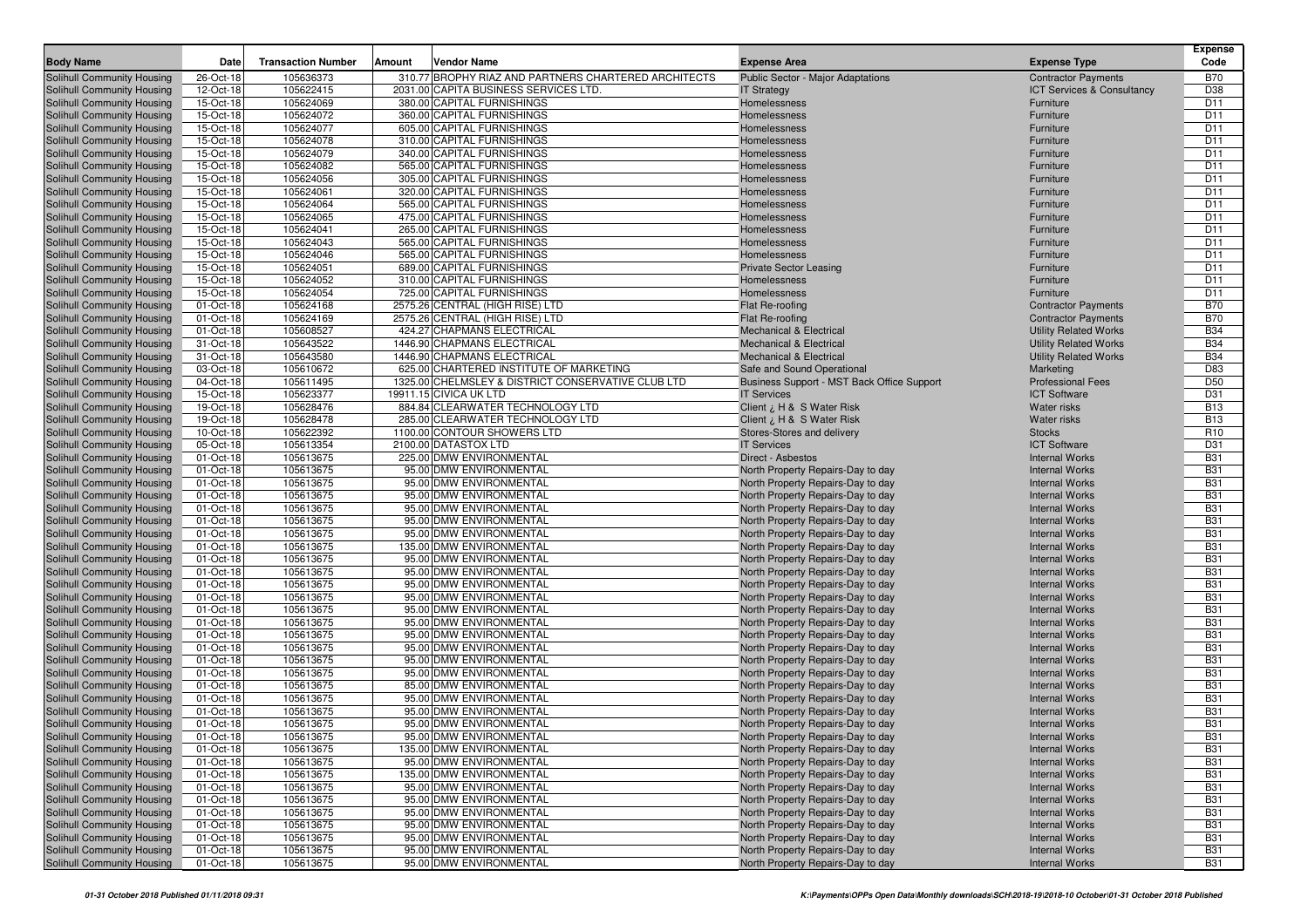| <b>Body Name</b>                                         | Date                   | <b>Transaction Number</b> | Amount | <b>Vendor Name</b>                                   | <b>Expense Area</b>                                                    | <b>Expense Type</b>                            | <b>Expense</b><br>Code   |
|----------------------------------------------------------|------------------------|---------------------------|--------|------------------------------------------------------|------------------------------------------------------------------------|------------------------------------------------|--------------------------|
| Solihull Community Housing                               | 26-Oct-18              | 105636373                 |        | 310.77 BROPHY RIAZ AND PARTNERS CHARTERED ARCHITECTS | Public Sector - Major Adaptations                                      | <b>Contractor Payments</b>                     | <b>B70</b>               |
| Solihull Community Housing                               | 12-Oct-18              | 105622415                 |        | 2031.00 CAPITA BUSINESS SERVICES LTD                 | <b>IT Strategy</b>                                                     | <b>ICT Services &amp; Consultancy</b>          | D38                      |
| Solihull Community Housing                               | 15-Oct-18              | 105624069                 |        | 380.00 CAPITAL FURNISHINGS                           | Homelessness                                                           | Furniture                                      | D <sub>11</sub>          |
| Solihull Community Housing                               | 15-Oct-18              | 105624072                 |        | 360.00 CAPITAL FURNISHINGS                           | Homelessness                                                           | Furniture                                      | D <sub>11</sub>          |
| Solihull Community Housing                               | 15-Oct-18              | 105624077                 |        | 605.00 CAPITAL FURNISHINGS                           | Homelessness                                                           | Furniture                                      | D <sub>11</sub>          |
| Solihull Community Housing                               | 15-Oct-18              | 105624078                 |        | 310.00 CAPITAL FURNISHINGS                           | Homelessness                                                           | Furniture                                      | D <sub>11</sub>          |
| Solihull Community Housing                               | 15-Oct-18              | 105624079                 |        | 340.00 CAPITAL FURNISHINGS                           | Homelessness                                                           | Furniture                                      | D <sub>11</sub>          |
| Solihull Community Housing                               | 15-Oct-18              | 105624082                 |        | 565.00 CAPITAL FURNISHINGS                           | Homelessness                                                           | Furniture                                      | D <sub>11</sub>          |
| Solihull Community Housing                               | 15-Oct-18              | 105624056                 |        | 305.00 CAPITAL FURNISHINGS                           | Homelessness                                                           | Furniture                                      | D <sub>11</sub>          |
| Solihull Community Housing                               | 15-Oct-18              | 105624061                 |        | 320.00 CAPITAL FURNISHINGS                           | Homelessness                                                           | Furniture                                      | D <sub>11</sub>          |
| Solihull Community Housing                               | 15-Oct-18              | 105624064                 |        | 565.00 CAPITAL FURNISHINGS                           | Homelessness                                                           | Furniture                                      | D <sub>11</sub>          |
| Solihull Community Housing                               | 15-Oct-18              | 105624065                 |        | 475.00 CAPITAL FURNISHINGS                           | Homelessness                                                           | Furniture                                      | D <sub>11</sub>          |
| Solihull Community Housing                               | 15-Oct-18              | 105624041                 |        | 265.00 CAPITAL FURNISHINGS                           | Homelessness                                                           | Furniture                                      | D <sub>11</sub>          |
| Solihull Community Housing                               | 15-Oct-18              | 105624043                 |        | 565.00 CAPITAL FURNISHINGS                           | Homelessness                                                           | Furniture                                      | D <sub>11</sub>          |
| Solihull Community Housing                               | 15-Oct-18              | 105624046                 |        | 565.00 CAPITAL FURNISHINGS                           | Homelessness                                                           | Furniture                                      | D <sub>11</sub>          |
| Solihull Community Housing                               | 15-Oct-18              | 105624051                 |        | 689.00 CAPITAL FURNISHINGS                           | <b>Private Sector Leasing</b>                                          | Furniture                                      | D <sub>11</sub>          |
| Solihull Community Housing                               | 15-Oct-18              | 105624052                 |        | 310.00 CAPITAL FURNISHINGS                           | Homelessness                                                           | Furniture                                      | D <sub>11</sub>          |
| Solihull Community Housing                               | 15-Oct-18              | 105624054                 |        | 725.00 CAPITAL FURNISHINGS                           | Homelessness                                                           | Furniture                                      | D <sub>11</sub>          |
| Solihull Community Housing                               | 01-Oct-18              | 105624168                 |        | 2575.26 CENTRAL (HIGH RISE) LTD                      | Flat Re-roofing                                                        | <b>Contractor Payments</b>                     | <b>B70</b>               |
| Solihull Community Housing                               | 01-Oct-18              | 105624169                 |        | 2575.26 CENTRAL (HIGH RISE) LTD                      | Flat Re-roofing                                                        | <b>Contractor Payments</b>                     | <b>B70</b>               |
| Solihull Community Housing                               | 01-Oct-18              | 105608527                 |        | 424.27 CHAPMANS ELECTRICAL                           | <b>Mechanical &amp; Electrical</b>                                     | <b>Utility Related Works</b>                   | <b>B34</b>               |
| Solihull Community Housing                               | 31-Oct-18              | 105643522                 |        | 1446.90 CHAPMANS ELECTRICAL                          | <b>Mechanical &amp; Electrical</b>                                     | <b>Utility Related Works</b>                   | <b>B34</b>               |
| Solihull Community Housing                               | 31-Oct-18              | 105643580                 |        | 1446.90 CHAPMANS ELECTRICAL                          | <b>Mechanical &amp; Electrical</b>                                     | <b>Utility Related Works</b>                   | <b>B34</b>               |
| Solihull Community Housing                               | 03-Oct-18              | 105610672                 |        | 625.00 CHARTERED INSTITUTE OF MARKETING              | Safe and Sound Operational                                             | Marketing                                      | D83                      |
| Solihull Community Housing                               | 04-Oct-18              | 105611495                 |        | 1325.00 CHELMSLEY & DISTRICT CONSERVATIVE CLUB LTD   | Business Support - MST Back Office Support                             | <b>Professional Fees</b>                       | D <sub>50</sub>          |
| Solihull Community Housing                               | 15-Oct-18              | 105623377                 |        | 19911.15 CIVICA UK LTD                               | <b>IT Services</b>                                                     | <b>ICT Software</b>                            | D31                      |
| Solihull Community Housing                               | 19-Oct-18              | 105628476                 |        | 884.84 CLEARWATER TECHNOLOGY LTD                     | Client ¿ H & S Water Risk                                              | <b>Water risks</b>                             | <b>B13</b>               |
| Solihull Community Housing                               | 19-Oct-18              | 105628478                 |        | 285.00 CLEARWATER TECHNOLOGY LTD                     | Client ¿ H & S Water Risk                                              | <b>Water risks</b>                             | <b>B13</b>               |
| Solihull Community Housing                               | 10-Oct-18              | 105622392                 |        | 1100.00 CONTOUR SHOWERS LTD                          | Stores-Stores and delivery                                             | <b>Stocks</b>                                  | R <sub>10</sub>          |
| Solihull Community Housing                               | 05-Oct-18              | 105613354                 |        | 2100.00 DATASTOX LTD                                 | <b>IT Services</b>                                                     | <b>ICT Software</b>                            | D31                      |
| Solihull Community Housing                               | 01-Oct-18              | 105613675                 |        | 225.00 DMW ENVIRONMENTAL                             | Direct - Asbestos                                                      | <b>Internal Works</b>                          | <b>B31</b>               |
| Solihull Community Housing                               | 01-Oct-18              | 105613675                 |        | 95.00 DMW ENVIRONMENTAL                              | North Property Repairs-Day to day                                      | <b>Internal Works</b>                          | <b>B31</b>               |
| Solihull Community Housing                               | 01-Oct-18              | 105613675                 |        | 95.00 DMW ENVIRONMENTAL                              | North Property Repairs-Day to day                                      | <b>Internal Works</b>                          | <b>B31</b>               |
| Solihull Community Housing                               | 01-Oct-18              | 105613675                 |        | 95.00 DMW ENVIRONMENTAL                              | North Property Repairs-Day to day                                      | <b>Internal Works</b>                          | <b>B31</b>               |
| Solihull Community Housing                               | 01-Oct-18              | 105613675                 |        | 95.00 DMW ENVIRONMENTAL                              | North Property Repairs-Day to day                                      | <b>Internal Works</b>                          | <b>B31</b>               |
| Solihull Community Housing                               | 01-Oct-18              | 105613675                 |        | 95.00 DMW ENVIRONMENTAL                              | North Property Repairs-Day to day                                      | <b>Internal Works</b>                          | <b>B31</b>               |
| Solihull Community Housing                               | 01-Oct-18              | 105613675                 |        | 95.00 DMW ENVIRONMENTAL                              | North Property Repairs-Day to day                                      | <b>Internal Works</b>                          | <b>B31</b>               |
| Solihull Community Housing                               | 01-Oct-18              | 105613675                 |        | 135.00 DMW ENVIRONMENTAL                             | North Property Repairs-Day to day                                      | <b>Internal Works</b>                          | <b>B31</b>               |
| Solihull Community Housing                               | 01-Oct-18              | 105613675                 |        | 95.00 DMW ENVIRONMENTAL                              | North Property Repairs-Day to day                                      | <b>Internal Works</b>                          | <b>B31</b>               |
| Solihull Community Housing                               | 01-Oct-18              | 105613675                 |        | 95.00 DMW ENVIRONMENTAL                              | North Property Repairs-Day to day                                      | <b>Internal Works</b>                          | <b>B31</b>               |
| Solihull Community Housing                               | 01-Oct-18              | 105613675                 |        | 95.00 DMW ENVIRONMENTAL                              | North Property Repairs-Day to day                                      | <b>Internal Works</b>                          | <b>B31</b>               |
| Solihull Community Housing                               | 01-Oct-18              | 105613675                 |        | 95.00 DMW ENVIRONMENTAL                              | North Property Repairs-Day to day                                      | <b>Internal Works</b>                          | <b>B31</b>               |
| Solihull Community Housing                               | 01-Oct-18              | 105613675                 |        | 95.00 DMW ENVIRONMENTAL                              | North Property Repairs-Day to day                                      | <b>Internal Works</b>                          | <b>B31</b>               |
| Solihull Community Housing                               | 01-Oct-18              | 105613675                 |        | 95.00 DMW ENVIRONMENTAL                              | North Property Repairs-Day to day                                      | <b>Internal Works</b>                          | <b>B31</b>               |
| Solihull Community Housing                               | 01-Oct-18              | 105613675                 |        | 95.00 DMW ENVIRONMENTAL                              | North Property Repairs-Day to day                                      | <b>Internal Works</b>                          | <b>B31</b>               |
| Solihull Community Housing                               | 01-Oct-18              | 105613675                 |        | 95.00 DMW ENVIRONMENTAL                              | North Property Repairs-Day to day                                      | <b>Internal Works</b>                          | <b>B31</b>               |
| Solihull Community Housing                               | 01-Oct-18              | 105613675                 |        | 95.00 DMW ENVIRONMENTAL                              | North Property Repairs-Day to day                                      | <b>Internal Works</b>                          | <b>B31</b><br><b>B31</b> |
| Solihull Community Housing<br>Solihull Community Housing | 01-Oct-18<br>01-Oct-18 | 105613675<br>105613675    |        | 95.00 DMW ENVIRONMENTAL<br>85.00 DMW ENVIRONMENTAL   | North Property Repairs-Day to day                                      | <b>Internal Works</b><br><b>Internal Works</b> | <b>B31</b>               |
| Solihull Community Housing                               |                        | 105613675                 |        | 95.00 DMW ENVIRONMENTAL                              | North Property Repairs-Day to day                                      | <b>Internal Works</b>                          | <b>B31</b>               |
|                                                          | 01-Oct-18              | 105613675                 |        | 95.00 DMW ENVIRONMENTAL                              | North Property Repairs-Day to day<br>North Property Repairs-Day to day | <b>Internal Works</b>                          | <b>B31</b>               |
| Solihull Community Housing<br>Solihull Community Housing | 01-Oct-18<br>01-Oct-18 | 105613675                 |        | 95.00 DMW ENVIRONMENTAL                              | North Property Repairs-Day to day                                      | <b>Internal Works</b>                          | <b>B31</b>               |
| Solihull Community Housing                               | 01-Oct-18              | 105613675                 |        | 95.00 DMW ENVIRONMENTAL                              | North Property Repairs-Day to day                                      | <b>Internal Works</b>                          | <b>B31</b>               |
| Solihull Community Housing                               | 01-Oct-18              | 105613675                 |        | 135.00 DMW ENVIRONMENTAL                             | North Property Repairs-Day to day                                      | <b>Internal Works</b>                          | <b>B31</b>               |
| Solihull Community Housing                               | 01-Oct-18              | 105613675                 |        | 95.00 DMW ENVIRONMENTAL                              | North Property Repairs-Day to day                                      | <b>Internal Works</b>                          | <b>B31</b>               |
| Solihull Community Housing                               | 01-Oct-18              | 105613675                 |        | 135.00 DMW ENVIRONMENTAL                             | North Property Repairs-Day to day                                      | <b>Internal Works</b>                          | <b>B31</b>               |
| Solihull Community Housing                               | 01-Oct-18              | 105613675                 |        | 95.00 DMW ENVIRONMENTAL                              | North Property Repairs-Day to day                                      | <b>Internal Works</b>                          | <b>B31</b>               |
| Solihull Community Housing                               | 01-Oct-18              | 105613675                 |        | 95.00 DMW ENVIRONMENTAL                              | North Property Repairs-Day to day                                      | <b>Internal Works</b>                          | <b>B31</b>               |
| Solihull Community Housing                               | 01-Oct-18              | 105613675                 |        | 95.00 DMW ENVIRONMENTAL                              | North Property Repairs-Day to day                                      | <b>Internal Works</b>                          | <b>B31</b>               |
| Solihull Community Housing                               | 01-Oct-18              | 105613675                 |        | 95.00 DMW ENVIRONMENTAL                              | North Property Repairs-Day to day                                      | <b>Internal Works</b>                          | <b>B31</b>               |
| Solihull Community Housing                               | 01-Oct-18              | 105613675                 |        | 95.00 DMW ENVIRONMENTAL                              | North Property Repairs-Day to day                                      | <b>Internal Works</b>                          | <b>B31</b>               |
| Solihull Community Housing                               | 01-Oct-18              | 105613675                 |        | 95.00 DMW ENVIRONMENTAL                              | North Property Repairs-Day to day                                      | <b>Internal Works</b>                          | <b>B31</b>               |
| Solihull Community Housing                               | 01-Oct-18              | 105613675                 |        | 95.00 DMW ENVIRONMENTAL                              | North Property Repairs-Day to day                                      | <b>Internal Works</b>                          | <b>B31</b>               |
|                                                          |                        |                           |        |                                                      |                                                                        |                                                |                          |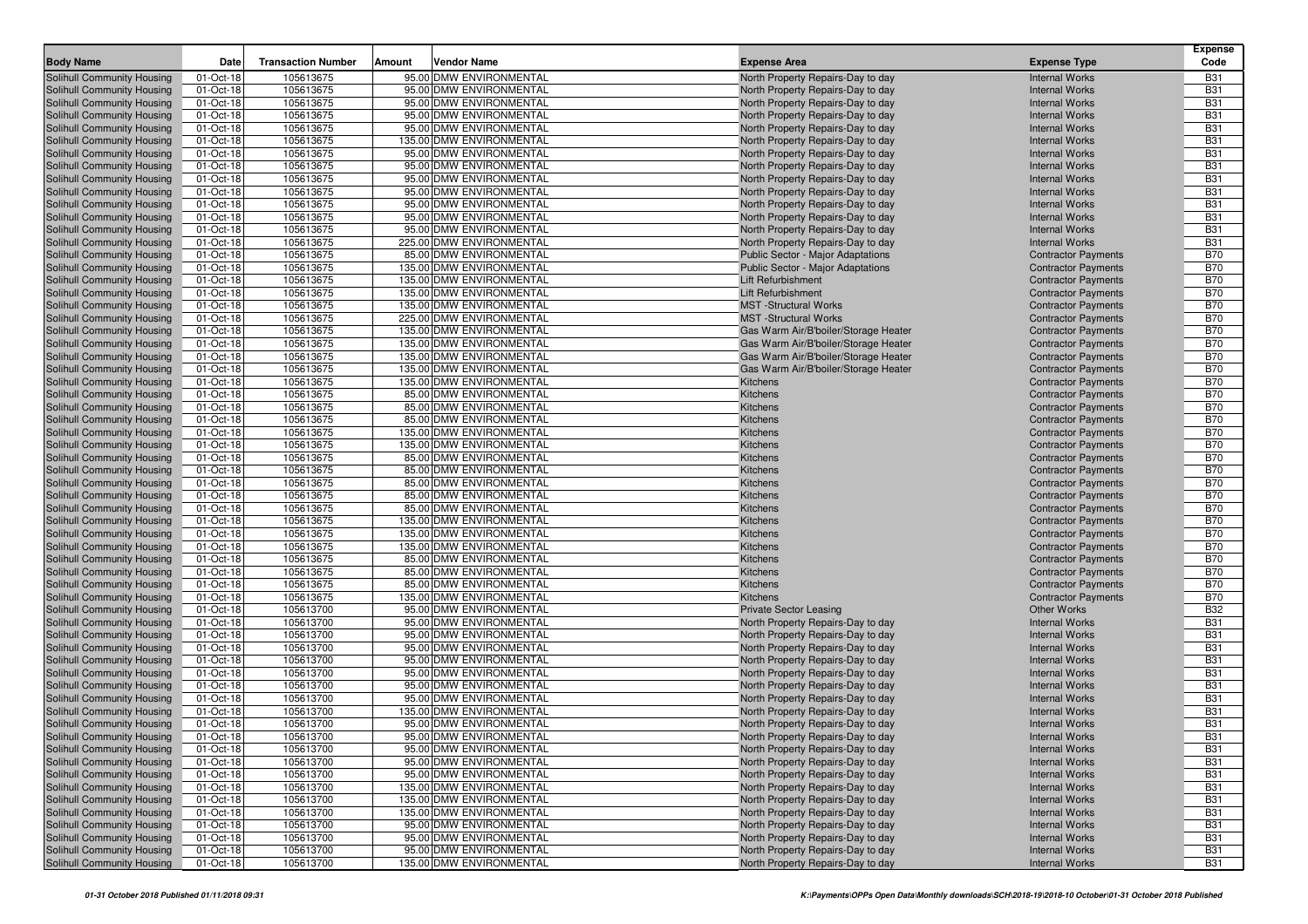|                                                          |                        |                           |                                                     |                                                                        |                                                          | <b>Expense</b>           |
|----------------------------------------------------------|------------------------|---------------------------|-----------------------------------------------------|------------------------------------------------------------------------|----------------------------------------------------------|--------------------------|
| <b>Body Name</b>                                         | Date                   | <b>Transaction Number</b> | Amount<br>Vendor Name                               | <b>Expense Area</b>                                                    | <b>Expense Type</b>                                      | Code                     |
| Solihull Community Housing                               | 01-Oct-18              | 105613675                 | 95.00 DMW ENVIRONMENTAL                             | North Property Repairs-Day to day                                      | <b>Internal Works</b>                                    | <b>B31</b>               |
| Solihull Community Housing                               | 01-Oct-18              | 105613675                 | 95.00 DMW ENVIRONMENTAL                             | North Property Repairs-Day to day                                      | <b>Internal Works</b>                                    | <b>B31</b>               |
| Solihull Community Housing                               | 01-Oct-18              | 105613675                 | 95.00 DMW ENVIRONMENTAL                             | North Property Repairs-Day to day                                      | <b>Internal Works</b>                                    | <b>B31</b>               |
| Solihull Community Housing                               | 01-Oct-18<br>01-Oct-18 | 105613675<br>105613675    | 95.00 DMW ENVIRONMENTAL<br>95.00 DMW ENVIRONMENTAL  | North Property Repairs-Day to day                                      | <b>Internal Works</b><br><b>Internal Works</b>           | <b>B31</b><br><b>B31</b> |
| Solihull Community Housing<br>Solihull Community Housing | 01-Oct-18              | 105613675                 | 135.00 DMW ENVIRONMENTAL                            | North Property Repairs-Day to day<br>North Property Repairs-Day to day | <b>Internal Works</b>                                    | <b>B31</b>               |
| Solihull Community Housing                               | 01-Oct-18              | 105613675                 | 95.00 DMW ENVIRONMENTAL                             | North Property Repairs-Day to day                                      | <b>Internal Works</b>                                    | <b>B31</b>               |
| Solihull Community Housing                               | 01-Oct-18              | 105613675                 | 95.00 DMW ENVIRONMENTAL                             | North Property Repairs-Day to day                                      | <b>Internal Works</b>                                    | <b>B31</b>               |
| Solihull Community Housing                               | 01-Oct-18              | 105613675                 | 95.00 DMW ENVIRONMENTAL                             | North Property Repairs-Day to day                                      | <b>Internal Works</b>                                    | <b>B31</b>               |
| Solihull Community Housing                               | 01-Oct-18              | 105613675                 | 95.00 DMW ENVIRONMENTAL                             | North Property Repairs-Day to day                                      | <b>Internal Works</b>                                    | <b>B31</b>               |
| Solihull Community Housing                               | 01-Oct-18              | 105613675                 | 95.00 DMW ENVIRONMENTAL                             | North Property Repairs-Day to day                                      | <b>Internal Works</b>                                    | <b>B31</b>               |
| Solihull Community Housing                               | 01-Oct-18              | 105613675                 | 95.00 DMW ENVIRONMENTAL                             | North Property Repairs-Day to day                                      | <b>Internal Works</b>                                    | <b>B31</b>               |
| Solihull Community Housing                               | 01-Oct-18              | 105613675                 | 95.00 DMW ENVIRONMENTAL                             | North Property Repairs-Day to day                                      | <b>Internal Works</b>                                    | <b>B31</b>               |
| Solihull Community Housing                               | 01-Oct-18              | 105613675                 | 225.00 DMW ENVIRONMENTAL                            | North Property Repairs-Day to day                                      | <b>Internal Works</b>                                    | <b>B31</b>               |
| Solihull Community Housing                               | 01-Oct-18              | 105613675                 | 85.00 DMW ENVIRONMENTAL                             | <b>Public Sector - Major Adaptations</b>                               | <b>Contractor Payments</b>                               | <b>B70</b>               |
| Solihull Community Housing                               | 01-Oct-18              | 105613675                 | 135.00 DMW ENVIRONMENTAL                            | <b>Public Sector - Major Adaptations</b>                               | <b>Contractor Payments</b>                               | <b>B70</b>               |
| Solihull Community Housing                               | 01-Oct-18              | 105613675                 | 135.00 DMW ENVIRONMENTAL                            | Lift Refurbishment                                                     | <b>Contractor Payments</b>                               | <b>B70</b>               |
| Solihull Community Housing                               | 01-Oct-18              | 105613675                 | 135.00 DMW ENVIRONMENTAL                            | Lift Refurbishment                                                     | <b>Contractor Payments</b>                               | <b>B70</b>               |
| Solihull Community Housing                               | 01-Oct-18              | 105613675                 | 135.00 DMW ENVIRONMENTAL                            | <b>MST</b> -Structural Works                                           | <b>Contractor Payments</b>                               | <b>B70</b>               |
| Solihull Community Housing                               | 01-Oct-18              | 105613675                 | 225.00 DMW ENVIRONMENTAL                            | <b>MST</b> -Structural Works                                           | <b>Contractor Payments</b>                               | <b>B70</b>               |
| Solihull Community Housing                               | 01-Oct-18              | 105613675                 | 135.00 DMW ENVIRONMENTAL                            | Gas Warm Air/B'boiler/Storage Heater                                   | <b>Contractor Payments</b>                               | <b>B70</b>               |
| Solihull Community Housing                               | 01-Oct-18              | 105613675                 | 135.00 DMW ENVIRONMENTAL                            | Gas Warm Air/B'boiler/Storage Heater                                   | <b>Contractor Payments</b>                               | <b>B70</b>               |
| Solihull Community Housing                               | 01-Oct-18              | 105613675                 | 135.00 DMW ENVIRONMENTAL                            | Gas Warm Air/B'boiler/Storage Heater                                   | <b>Contractor Payments</b>                               | <b>B70</b>               |
| Solihull Community Housing                               | 01-Oct-18              | 105613675                 | 135.00 DMW ENVIRONMENTAL                            | Gas Warm Air/B'boiler/Storage Heater                                   | <b>Contractor Payments</b>                               | <b>B70</b>               |
| Solihull Community Housing                               | 01-Oct-18              | 105613675<br>105613675    | 135.00 DMW ENVIRONMENTAL<br>85.00 DMW ENVIRONMENTAL | Kitchens                                                               | <b>Contractor Payments</b>                               | <b>B70</b><br><b>B70</b> |
| Solihull Community Housing<br>Solihull Community Housing | 01-Oct-18<br>01-Oct-18 | 105613675                 | 85.00 DMW ENVIRONMENTAL                             | Kitchens<br>Kitchens                                                   | <b>Contractor Payments</b><br><b>Contractor Payments</b> | <b>B70</b>               |
| Solihull Community Housing                               | 01-Oct-18              | 105613675                 | 85.00 DMW ENVIRONMENTAL                             | Kitchens                                                               | <b>Contractor Payments</b>                               | <b>B70</b>               |
| Solihull Community Housing                               | 01-Oct-18              | 105613675                 | 135.00 DMW ENVIRONMENTAL                            | Kitchens                                                               | <b>Contractor Payments</b>                               | <b>B70</b>               |
| Solihull Community Housing                               | 01-Oct-18              | 105613675                 | 135.00 DMW ENVIRONMENTAL                            | Kitchens                                                               | <b>Contractor Payments</b>                               | <b>B70</b>               |
| Solihull Community Housing                               | 01-Oct-18              | 105613675                 | 85.00 DMW ENVIRONMENTAL                             | Kitchens                                                               | <b>Contractor Payments</b>                               | <b>B70</b>               |
| Solihull Community Housing                               | 01-Oct-18              | 105613675                 | 85.00 DMW ENVIRONMENTAL                             | Kitchens                                                               | <b>Contractor Payments</b>                               | <b>B70</b>               |
| Solihull Community Housing                               | 01-Oct-18              | 105613675                 | 85.00 DMW ENVIRONMENTAL                             | Kitchens                                                               | <b>Contractor Payments</b>                               | <b>B70</b>               |
| Solihull Community Housing                               | 01-Oct-18              | 105613675                 | 85.00 DMW ENVIRONMENTAL                             | Kitchens                                                               | <b>Contractor Payments</b>                               | <b>B70</b>               |
| Solihull Community Housing                               | 01-Oct-18              | 105613675                 | 85.00 DMW ENVIRONMENTAL                             | Kitchens                                                               | <b>Contractor Payments</b>                               | <b>B70</b>               |
| Solihull Community Housing                               | 01-Oct-18              | 105613675                 | 135.00 DMW ENVIRONMENTAL                            | Kitchens                                                               | <b>Contractor Payments</b>                               | <b>B70</b>               |
| Solihull Community Housing                               | 01-Oct-18              | 105613675                 | 135.00 DMW ENVIRONMENTAL                            | Kitchens                                                               | <b>Contractor Payments</b>                               | <b>B70</b>               |
| Solihull Community Housing                               | 01-Oct-18              | 105613675                 | 135.00 DMW ENVIRONMENTAL                            | Kitchens                                                               | <b>Contractor Payments</b>                               | <b>B70</b>               |
| Solihull Community Housing                               | 01-Oct-18              | 105613675                 | 85.00 DMW ENVIRONMENTAL                             | Kitchens                                                               | <b>Contractor Payments</b>                               | <b>B70</b>               |
| Solihull Community Housing                               | 01-Oct-18              | 105613675                 | 85.00 DMW ENVIRONMENTAL                             | Kitchens                                                               | <b>Contractor Payments</b>                               | <b>B70</b>               |
| Solihull Community Housing                               | 01-Oct-18              | 105613675                 | 85.00 DMW ENVIRONMENTAL                             | Kitchens                                                               | <b>Contractor Payments</b>                               | <b>B70</b>               |
| Solihull Community Housing                               | 01-Oct-18              | 105613675                 | 135.00 DMW ENVIRONMENTAL                            | Kitchens                                                               | <b>Contractor Payments</b>                               | <b>B70</b>               |
| Solihull Community Housing<br>Solihull Community Housing | 01-Oct-18              | 105613700<br>105613700    | 95.00 DMW ENVIRONMENTAL<br>95.00 DMW ENVIRONMENTAL  | <b>Private Sector Leasing</b>                                          | <b>Other Works</b><br><b>Internal Works</b>              | <b>B32</b><br><b>B31</b> |
| Solihull Community Housing                               | 01-Oct-18<br>01-Oct-18 | 105613700                 | 95.00 DMW ENVIRONMENTAL                             | North Property Repairs-Day to day<br>North Property Repairs-Day to day | <b>Internal Works</b>                                    | <b>B31</b>               |
| Solihull Community Housing                               | 01-Oct-18              | 105613700                 | 95.00 DMW ENVIRONMENTAL                             | North Property Repairs-Day to day                                      | <b>Internal Works</b>                                    | <b>B31</b>               |
| Solihull Community Housing                               | 01-Oct-18              | 105613700                 | 95.00 DMW ENVIRONMENTAL                             | North Property Repairs-Day to day                                      | <b>Internal Works</b>                                    | <b>B31</b>               |
| Solihull Community Housing                               | 01-Oct-18              | 105613700                 | 95.00 DMW ENVIRONMENTAL                             | North Property Repairs-Day to day                                      | <b>Internal Works</b>                                    | <b>B31</b>               |
| Solihull Community Housing                               | 01-Oct-18              | 105613700                 | 95.00 DMW ENVIRONMENTAL                             | North Property Repairs-Day to day                                      | <b>Internal Works</b>                                    | <b>B31</b>               |
| Solihull Community Housing                               | 01-Oct-18              | 105613700                 | 95.00 DMW ENVIRONMENTAL                             | North Property Repairs-Day to day                                      | <b>Internal Works</b>                                    | <b>B31</b>               |
| Solihull Community Housing                               | 01-Oct-18              | 105613700                 | 135.00 DMW ENVIRONMENTAL                            | North Property Repairs-Day to day                                      | <b>Internal Works</b>                                    | <b>B31</b>               |
| <b>Solihull Community Housing</b>                        | 01-Oct-18              | 105613700                 | 95.00 DMW ENVIRONMENTAL                             | North Property Repairs-Day to day                                      | <b>Internal Works</b>                                    | <b>B31</b>               |
| Solihull Community Housing                               | 01-Oct-18              | 105613700                 | 95.00 DMW ENVIRONMENTAL                             | North Property Repairs-Day to day                                      | <b>Internal Works</b>                                    | <b>B31</b>               |
| Solihull Community Housing                               | 01-Oct-18              | 105613700                 | 95.00 DMW ENVIRONMENTAL                             | North Property Repairs-Day to day                                      | <b>Internal Works</b>                                    | <b>B31</b>               |
| Solihull Community Housing                               | 01-Oct-18              | 105613700                 | 95.00 DMW ENVIRONMENTAL                             | North Property Repairs-Day to day                                      | <b>Internal Works</b>                                    | <b>B31</b>               |
| Solihull Community Housing                               | 01-Oct-18              | 105613700                 | 95.00 DMW ENVIRONMENTAL                             | North Property Repairs-Day to day                                      | <b>Internal Works</b>                                    | <b>B31</b>               |
| Solihull Community Housing                               | 01-Oct-18              | 105613700                 | 135.00 DMW ENVIRONMENTAL                            | North Property Repairs-Day to day                                      | <b>Internal Works</b>                                    | <b>B31</b>               |
| Solihull Community Housing                               | 01-Oct-18              | 105613700                 | 135.00 DMW ENVIRONMENTAL                            | North Property Repairs-Day to day                                      | <b>Internal Works</b>                                    | <b>B31</b>               |
| Solihull Community Housing                               | 01-Oct-18              | 105613700                 | 135.00 DMW ENVIRONMENTAL                            | North Property Repairs-Day to day                                      | <b>Internal Works</b>                                    | <b>B31</b>               |
| Solihull Community Housing                               | 01-Oct-18              | 105613700                 | 95.00 DMW ENVIRONMENTAL                             | North Property Repairs-Day to day                                      | <b>Internal Works</b>                                    | <b>B31</b>               |
| Solihull Community Housing                               | 01-Oct-18              | 105613700                 | 95.00 DMW ENVIRONMENTAL                             | North Property Repairs-Day to day                                      | <b>Internal Works</b>                                    | <b>B31</b>               |
| Solihull Community Housing                               | 01-Oct-18              | 105613700                 | 95.00 DMW ENVIRONMENTAL                             | North Property Repairs-Day to day                                      | <b>Internal Works</b>                                    | <b>B31</b>               |
| Solihull Community Housing                               | 01-Oct-18              | 105613700                 | 135.00 DMW ENVIRONMENTAL                            | North Property Repairs-Day to day                                      | <b>Internal Works</b>                                    | <b>B31</b>               |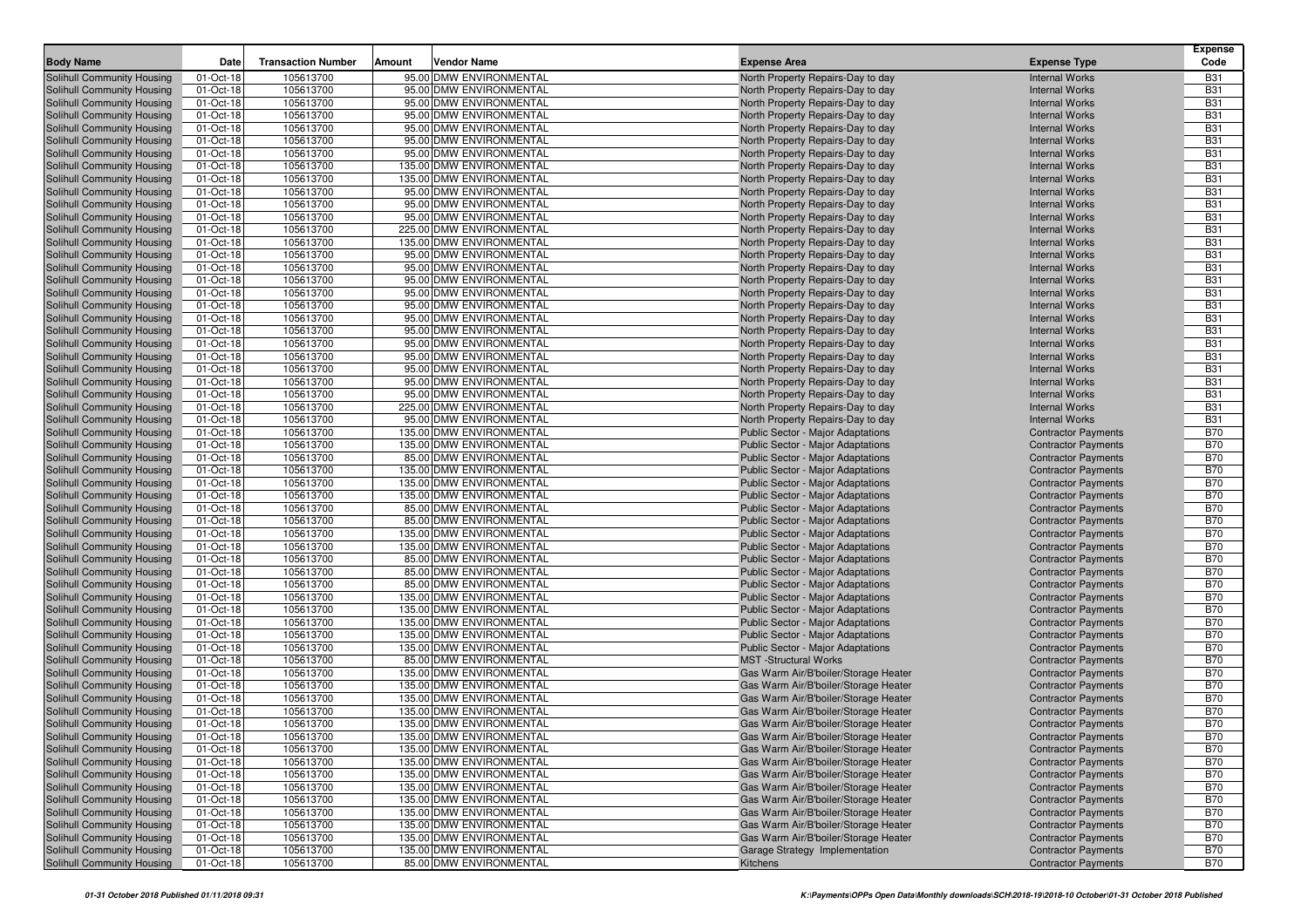|                                                          | Date                   |                           |                                                     |                                                                        |                                                          | <b>Expense</b><br>Code   |
|----------------------------------------------------------|------------------------|---------------------------|-----------------------------------------------------|------------------------------------------------------------------------|----------------------------------------------------------|--------------------------|
| <b>Body Name</b>                                         |                        | <b>Transaction Number</b> | Amount<br><b>Vendor Name</b>                        | <b>Expense Area</b>                                                    | <b>Expense Type</b>                                      |                          |
| Solihull Community Housing                               | 01-Oct-18              | 105613700                 | 95.00 DMW ENVIRONMENTAL                             | North Property Repairs-Day to day                                      | <b>Internal Works</b>                                    | <b>B31</b>               |
| Solihull Community Housing                               | 01-Oct-18              | 105613700                 | 95.00 DMW ENVIRONMENTAL                             | North Property Repairs-Day to day                                      | <b>Internal Works</b>                                    | <b>B31</b>               |
| Solihull Community Housing                               | 01-Oct-18              | 105613700                 | 95.00 DMW ENVIRONMENTAL                             | North Property Repairs-Day to day                                      | <b>Internal Works</b>                                    | <b>B31</b>               |
| Solihull Community Housing                               | 01-Oct-18              | 105613700                 | 95.00 DMW ENVIRONMENTAL<br>95.00 DMW ENVIRONMENTAL  | North Property Repairs-Day to day                                      | <b>Internal Works</b>                                    | <b>B31</b>               |
| Solihull Community Housing                               | 01-Oct-18              | 105613700                 |                                                     | North Property Repairs-Day to day                                      | <b>Internal Works</b>                                    | <b>B31</b><br><b>B31</b> |
| Solihull Community Housing                               | 01-Oct-18<br>01-Oct-18 | 105613700<br>105613700    | 95.00 DMW ENVIRONMENTAL<br>95.00 DMW ENVIRONMENTAL  | North Property Repairs-Day to day                                      | <b>Internal Works</b>                                    | <b>B31</b>               |
| Solihull Community Housing<br>Solihull Community Housing | 01-Oct-18              | 105613700                 | 135.00 DMW ENVIRONMENTAL                            | North Property Repairs-Day to day<br>North Property Repairs-Day to day | <b>Internal Works</b><br><b>Internal Works</b>           | <b>B31</b>               |
| Solihull Community Housing                               | 01-Oct-18              | 105613700                 | 135.00 DMW ENVIRONMENTAL                            | North Property Repairs-Day to day                                      | <b>Internal Works</b>                                    | <b>B31</b>               |
| Solihull Community Housing                               | 01-Oct-18              | 105613700                 | 95.00 DMW ENVIRONMENTAL                             | North Property Repairs-Day to day                                      | <b>Internal Works</b>                                    | <b>B31</b>               |
| Solihull Community Housing                               | 01-Oct-18              | 105613700                 | 95.00 DMW ENVIRONMENTAL                             | North Property Repairs-Day to day                                      | <b>Internal Works</b>                                    | <b>B31</b>               |
| Solihull Community Housing                               | 01-Oct-18              | 105613700                 | 95.00 DMW ENVIRONMENTAL                             | North Property Repairs-Day to day                                      | <b>Internal Works</b>                                    | <b>B31</b>               |
| Solihull Community Housing                               | 01-Oct-18              | 105613700                 | 225.00 DMW ENVIRONMENTAL                            | North Property Repairs-Day to day                                      | <b>Internal Works</b>                                    | <b>B31</b>               |
| Solihull Community Housing                               | 01-Oct-18              | 105613700                 | 135.00 DMW ENVIRONMENTAL                            | North Property Repairs-Day to day                                      | <b>Internal Works</b>                                    | <b>B31</b>               |
| Solihull Community Housing                               | 01-Oct-18              | 105613700                 | 95.00 DMW ENVIRONMENTAL                             | North Property Repairs-Day to day                                      | <b>Internal Works</b>                                    | <b>B31</b>               |
| Solihull Community Housing                               | 01-Oct-18              | 105613700                 | 95.00 DMW ENVIRONMENTAL                             | North Property Repairs-Day to day                                      | <b>Internal Works</b>                                    | <b>B31</b>               |
| Solihull Community Housing                               | 01-Oct-18              | 105613700                 | 95.00 DMW ENVIRONMENTAL                             | North Property Repairs-Day to day                                      | <b>Internal Works</b>                                    | <b>B31</b>               |
| Solihull Community Housing                               | 01-Oct-18              | 105613700                 | 95.00 DMW ENVIRONMENTAL                             | North Property Repairs-Day to day                                      | <b>Internal Works</b>                                    | <b>B31</b>               |
| Solihull Community Housing                               | 01-Oct-18              | 105613700                 | 95.00 DMW ENVIRONMENTAL                             | North Property Repairs-Day to day                                      | <b>Internal Works</b>                                    | <b>B31</b>               |
| Solihull Community Housing                               | 01-Oct-18              | 105613700                 | 95.00 DMW ENVIRONMENTAL                             | North Property Repairs-Day to day                                      | <b>Internal Works</b>                                    | <b>B31</b>               |
| Solihull Community Housing                               | 01-Oct-18              | 105613700                 | 95.00 DMW ENVIRONMENTAL                             | North Property Repairs-Day to day                                      | <b>Internal Works</b>                                    | <b>B31</b>               |
| Solihull Community Housing                               | 01-Oct-18              | 105613700                 | 95.00 DMW ENVIRONMENTAL                             | North Property Repairs-Day to day                                      | <b>Internal Works</b>                                    | <b>B31</b>               |
| Solihull Community Housing                               | 01-Oct-18              | 105613700                 | 95.00 DMW ENVIRONMENTAL                             | North Property Repairs-Day to day                                      | <b>Internal Works</b>                                    | <b>B31</b>               |
| Solihull Community Housing                               | 01-Oct-18              | 105613700                 | 95.00 DMW ENVIRONMENTAL                             | North Property Repairs-Day to day                                      | <b>Internal Works</b>                                    | <b>B31</b>               |
| Solihull Community Housing                               | 01-Oct-18              | 105613700                 | 95.00 DMW ENVIRONMENTAL                             | North Property Repairs-Day to day                                      | <b>Internal Works</b>                                    | <b>B31</b>               |
| Solihull Community Housing                               | 01-Oct-18              | 105613700                 | 95.00 DMW ENVIRONMENTAL                             | North Property Repairs-Day to day                                      | <b>Internal Works</b>                                    | <b>B31</b>               |
| Solihull Community Housing                               | 01-Oct-18              | 105613700                 | 225.00 DMW ENVIRONMENTAL                            | North Property Repairs-Day to day                                      | <b>Internal Works</b>                                    | <b>B31</b>               |
| Solihull Community Housing                               | 01-Oct-18              | 105613700                 | 95.00 DMW ENVIRONMENTAL                             | North Property Repairs-Day to day                                      | <b>Internal Works</b>                                    | <b>B31</b>               |
| Solihull Community Housing                               | 01-Oct-18              | 105613700                 | 135.00 DMW ENVIRONMENTAL                            | <b>Public Sector - Major Adaptations</b>                               | <b>Contractor Payments</b>                               | <b>B70</b>               |
| Solihull Community Housing                               | 01-Oct-18              | 105613700                 | 135.00 DMW ENVIRONMENTAL                            | Public Sector - Major Adaptations                                      | <b>Contractor Payments</b>                               | <b>B70</b>               |
| Solihull Community Housing                               | 01-Oct-18              | 105613700                 | 85.00 DMW ENVIRONMENTAL                             | Public Sector - Major Adaptations                                      | <b>Contractor Payments</b>                               | <b>B70</b>               |
| Solihull Community Housing                               | 01-Oct-18              | 105613700                 | 135.00 DMW ENVIRONMENTAL                            | Public Sector - Major Adaptations                                      | <b>Contractor Payments</b>                               | <b>B70</b>               |
| Solihull Community Housing                               | 01-Oct-18              | 105613700                 | 135.00 DMW ENVIRONMENTAL                            | <b>Public Sector - Major Adaptations</b>                               | <b>Contractor Payments</b>                               | <b>B70</b>               |
| Solihull Community Housing                               | 01-Oct-18              | 105613700                 | 135.00 DMW ENVIRONMENTAL                            | Public Sector - Major Adaptations                                      | <b>Contractor Payments</b>                               | <b>B70</b>               |
| Solihull Community Housing                               | 01-Oct-18              | 105613700                 | 85.00 DMW ENVIRONMENTAL                             | Public Sector - Major Adaptations                                      | <b>Contractor Payments</b>                               | <b>B70</b>               |
| Solihull Community Housing                               | 01-Oct-18              | 105613700                 | 85.00 DMW ENVIRONMENTAL                             | Public Sector - Major Adaptations                                      | <b>Contractor Payments</b>                               | <b>B70</b>               |
| Solihull Community Housing                               | 01-Oct-18              | 105613700                 | 135.00 DMW ENVIRONMENTAL                            | <b>Public Sector - Major Adaptations</b>                               | <b>Contractor Payments</b>                               | <b>B70</b>               |
| Solihull Community Housing                               | 01-Oct-18              | 105613700                 | 135.00 DMW ENVIRONMENTAL<br>85.00 DMW ENVIRONMENTAL | Public Sector - Major Adaptations                                      | <b>Contractor Payments</b>                               | <b>B70</b><br><b>B70</b> |
| Solihull Community Housing<br>Solihull Community Housing | 01-Oct-18<br>01-Oct-18 | 105613700<br>105613700    | 85.00 DMW ENVIRONMENTAL                             | Public Sector - Major Adaptations<br>Public Sector - Major Adaptations | <b>Contractor Payments</b><br><b>Contractor Payments</b> | <b>B70</b>               |
| Solihull Community Housing                               | 01-Oct-18              | 105613700                 | 85.00 DMW ENVIRONMENTAL                             | Public Sector - Major Adaptations                                      | <b>Contractor Payments</b>                               | <b>B70</b>               |
| Solihull Community Housing                               | 01-Oct-18              | 105613700                 | 135.00 DMW ENVIRONMENTAL                            | <b>Public Sector - Major Adaptations</b>                               | <b>Contractor Payments</b>                               | <b>B70</b>               |
| Solihull Community Housing                               | 01-Oct-18              | 105613700                 | 135.00 DMW ENVIRONMENTAL                            | Public Sector - Major Adaptations                                      | <b>Contractor Payments</b>                               | <b>B70</b>               |
| Solihull Community Housing                               | 01-Oct-18              | 105613700                 | 135.00 DMW ENVIRONMENTAL                            | <b>Public Sector - Major Adaptations</b>                               | <b>Contractor Payments</b>                               | <b>B70</b>               |
| Solihull Community Housing                               | 01-Oct-18              | 105613700                 | 135.00 DMW ENVIRONMENTAL                            | Public Sector - Major Adaptations                                      | <b>Contractor Payments</b>                               | <b>B70</b>               |
| Solihull Community Housing                               | 01-Oct-18              | 105613700                 | 135.00 DMW ENVIRONMENTAL                            | Public Sector - Major Adaptations                                      | <b>Contractor Payments</b>                               | <b>B70</b>               |
| Solihull Community Housing                               | 01-Oct-18              | 105613700                 | 85.00 DMW ENVIRONMENTAL                             | <b>MST</b> -Structural Works                                           | <b>Contractor Payments</b>                               | <b>B70</b>               |
| Solihull Community Housing                               | 01-Oct-18              | 105613700                 | 135.00 DMW ENVIRONMENTAL                            | Gas Warm Air/B'boiler/Storage Heater                                   | <b>Contractor Payments</b>                               | <b>B70</b>               |
| Solihull Community Housing                               | 01-Oct-18              | 105613700                 | 135.00 DMW ENVIRONMENTAL                            | Gas Warm Air/B'boiler/Storage Heater                                   | <b>Contractor Payments</b>                               | <b>B70</b>               |
| Solihull Community Housing                               | 01-Oct-18              | 105613700                 | 135.00 DMW ENVIRONMENTAL                            | Gas Warm Air/B'boiler/Storage Heater                                   | <b>Contractor Payments</b>                               | <b>B70</b>               |
| Solihull Community Housing                               | 01-Oct-18              | 105613700                 | 135.00 DMW ENVIRONMENTAL                            | Gas Warm Air/B'boiler/Storage Heater                                   | <b>Contractor Payments</b>                               | <b>B70</b>               |
| Solihull Community Housing                               | 01-Oct-18              | 105613700                 | 135.00 DMW ENVIRONMENTAL                            | Gas Warm Air/B'boiler/Storage Heater                                   | <b>Contractor Payments</b>                               | <b>B70</b>               |
| <b>Solihull Community Housing</b>                        | 01-Oct-18              | 105613700                 | 135.00 DMW ENVIRONMENTAL                            | Gas Warm Air/B'boiler/Storage Heater                                   | <b>Contractor Payments</b>                               | <b>B70</b>               |
| Solihull Community Housing                               | 01-Oct-18              | 105613700                 | 135.00 DMW ENVIRONMENTAL                            | Gas Warm Air/B'boiler/Storage Heater                                   | <b>Contractor Payments</b>                               | <b>B70</b>               |
| Solihull Community Housing                               | 01-Oct-18              | 105613700                 | 135.00 DMW ENVIRONMENTAL                            | Gas Warm Air/B'boiler/Storage Heater                                   | <b>Contractor Payments</b>                               | <b>B70</b>               |
| Solihull Community Housing                               | 01-Oct-18              | 105613700                 | 135.00 DMW ENVIRONMENTAL                            | Gas Warm Air/B'boiler/Storage Heater                                   | <b>Contractor Payments</b>                               | <b>B70</b>               |
| Solihull Community Housing                               | 01-Oct-18              | 105613700                 | 135.00 DMW ENVIRONMENTAL                            | Gas Warm Air/B'boiler/Storage Heater                                   | <b>Contractor Payments</b>                               | <b>B70</b>               |
| Solihull Community Housing                               | 01-Oct-18              | 105613700                 | 135.00 DMW ENVIRONMENTAL                            | Gas Warm Air/B'boiler/Storage Heater                                   | <b>Contractor Payments</b>                               | <b>B70</b>               |
| Solihull Community Housing                               | 01-Oct-18              | 105613700                 | 135.00 DMW ENVIRONMENTAL                            | Gas Warm Air/B'boiler/Storage Heater                                   | <b>Contractor Payments</b>                               | <b>B70</b>               |
| Solihull Community Housing                               | 01-Oct-18              | 105613700                 | 135.00 DMW ENVIRONMENTAL                            | Gas Warm Air/B'boiler/Storage Heater                                   | <b>Contractor Payments</b>                               | <b>B70</b>               |
| Solihull Community Housing                               | 01-Oct-18              | 105613700                 | 135.00 DMW ENVIRONMENTAL                            | Gas Warm Air/B'boiler/Storage Heater                                   | <b>Contractor Payments</b>                               | <b>B70</b>               |
| Solihull Community Housing                               | 01-Oct-18              | 105613700                 | 135.00 DMW ENVIRONMENTAL                            | Garage Strategy Implementation                                         | <b>Contractor Payments</b>                               | <b>B70</b>               |
| Solihull Community Housing                               | 01-Oct-18              | 105613700                 | 85.00 DMW ENVIRONMENTAL                             | Kitchens                                                               | <b>Contractor Payments</b>                               | <b>B70</b>               |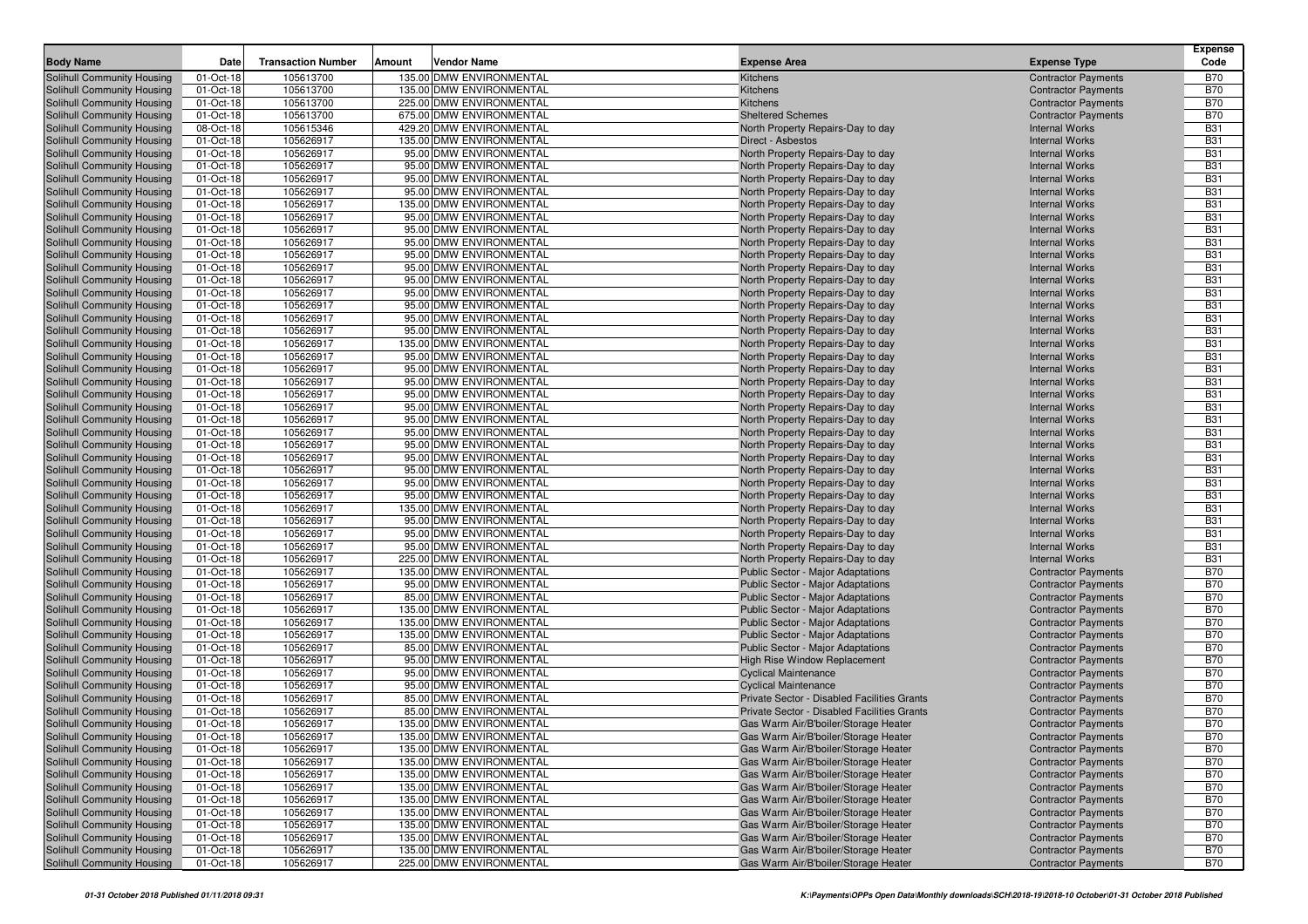| <b>Body Name</b>                                         | Date                   | <b>Transaction Number</b> | Amount | <b>Vendor Name</b>                                   | <b>Expense Area</b>                                                           | <b>Expense Type</b>                                      | <b>Expense</b><br>Code   |
|----------------------------------------------------------|------------------------|---------------------------|--------|------------------------------------------------------|-------------------------------------------------------------------------------|----------------------------------------------------------|--------------------------|
| <b>Solihull Community Housing</b>                        | 01-Oct-18              | 105613700                 |        | 135.00 DMW ENVIRONMENTAL                             | Kitchens                                                                      | <b>Contractor Payments</b>                               | <b>B70</b>               |
| Solihull Community Housing                               | 01-Oct-18              | 105613700                 |        | 135.00 DMW ENVIRONMENTAL                             | Kitchens                                                                      | <b>Contractor Payments</b>                               | <b>B70</b>               |
| Solihull Community Housing                               | 01-Oct-18              | 105613700                 |        | 225.00 DMW ENVIRONMENTAL                             | Kitchens                                                                      | <b>Contractor Payments</b>                               | <b>B70</b>               |
| Solihull Community Housing                               | 01-Oct-18              | 105613700                 |        | 675.00 DMW ENVIRONMENTAL                             | <b>Sheltered Schemes</b>                                                      | <b>Contractor Payments</b>                               | <b>B70</b>               |
| Solihull Community Housing                               | 08-Oct-18              | 105615346                 |        | 429.20 DMW ENVIRONMENTAL                             | North Property Repairs-Day to day                                             | <b>Internal Works</b>                                    | <b>B31</b>               |
| Solihull Community Housing                               | 01-Oct-18              | 105626917                 |        | 135.00 DMW ENVIRONMENTAL                             | Direct - Asbestos                                                             | <b>Internal Works</b>                                    | <b>B31</b>               |
| Solihull Community Housing                               | 01-Oct-18              | 105626917                 |        | 95.00 DMW ENVIRONMENTAL                              | North Property Repairs-Day to day                                             | <b>Internal Works</b>                                    | <b>B31</b>               |
| Solihull Community Housing                               | 01-Oct-18              | 105626917                 |        | 95.00 DMW ENVIRONMENTAL                              | North Property Repairs-Day to day                                             | <b>Internal Works</b>                                    | <b>B31</b>               |
| Solihull Community Housing                               | 01-Oct-18              | 105626917                 |        | 95.00 DMW ENVIRONMENTAL                              | North Property Repairs-Day to day                                             | <b>Internal Works</b>                                    | <b>B31</b>               |
| Solihull Community Housing                               | 01-Oct-18              | 105626917                 |        | 95.00 DMW ENVIRONMENTAL                              | North Property Repairs-Day to day                                             | <b>Internal Works</b>                                    | <b>B31</b>               |
| Solihull Community Housing                               | 01-Oct-18              | 105626917                 |        | 135.00 DMW ENVIRONMENTAL                             | North Property Repairs-Day to day                                             | <b>Internal Works</b>                                    | <b>B31</b>               |
| Solihull Community Housing                               | 01-Oct-18              | 105626917                 |        | 95.00 DMW ENVIRONMENTAL                              | North Property Repairs-Day to day                                             | <b>Internal Works</b>                                    | <b>B31</b>               |
| Solihull Community Housing                               | 01-Oct-18              | 105626917                 |        | 95.00 DMW ENVIRONMENTAL                              | North Property Repairs-Day to day                                             | <b>Internal Works</b>                                    | <b>B31</b>               |
| Solihull Community Housing                               | 01-Oct-18              | 105626917                 |        | 95.00 DMW ENVIRONMENTAL                              | North Property Repairs-Day to day                                             | <b>Internal Works</b>                                    | <b>B31</b>               |
| Solihull Community Housing                               | 01-Oct-18              | 105626917                 |        | 95.00 DMW ENVIRONMENTAL                              | North Property Repairs-Day to day                                             | <b>Internal Works</b>                                    | <b>B31</b>               |
| Solihull Community Housing                               | 01-Oct-18              | 105626917                 |        | 95.00 DMW ENVIRONMENTAL                              | North Property Repairs-Day to day                                             | <b>Internal Works</b>                                    | <b>B31</b>               |
| Solihull Community Housing                               | 01-Oct-18              | 105626917                 |        | 95.00 DMW ENVIRONMENTAL                              | North Property Repairs-Day to day                                             | <b>Internal Works</b>                                    | <b>B31</b>               |
| Solihull Community Housing                               | 01-Oct-18              | 105626917                 |        | 95.00 DMW ENVIRONMENTAL                              | North Property Repairs-Day to day                                             | <b>Internal Works</b>                                    | <b>B31</b>               |
| Solihull Community Housing                               | 01-Oct-18              | 105626917                 |        | 95.00 DMW ENVIRONMENTAL                              | North Property Repairs-Day to day                                             | <b>Internal Works</b>                                    | <b>B31</b>               |
| Solihull Community Housing                               | 01-Oct-18              | 105626917                 |        | 95.00 DMW ENVIRONMENTAL                              | North Property Repairs-Day to day                                             | <b>Internal Works</b>                                    | <b>B31</b>               |
| Solihull Community Housing                               | 01-Oct-18              | 105626917                 |        | 95.00 DMW ENVIRONMENTAL                              | North Property Repairs-Day to day                                             | <b>Internal Works</b>                                    | <b>B31</b>               |
| Solihull Community Housing                               | 01-Oct-18              | 105626917                 |        | 135.00 DMW ENVIRONMENTAL                             | North Property Repairs-Day to day                                             | <b>Internal Works</b>                                    | <b>B31</b>               |
| Solihull Community Housing                               | 01-Oct-18              | 105626917                 |        | 95.00 DMW ENVIRONMENTAL                              | North Property Repairs-Day to day                                             | <b>Internal Works</b>                                    | <b>B31</b>               |
| Solihull Community Housing                               | 01-Oct-18              | 105626917                 |        | 95.00 DMW ENVIRONMENTAL                              | North Property Repairs-Day to day                                             | <b>Internal Works</b>                                    | <b>B31</b>               |
| Solihull Community Housing                               | 01-Oct-18              | 105626917                 |        | 95.00 DMW ENVIRONMENTAL                              | North Property Repairs-Day to day                                             | <b>Internal Works</b>                                    | <b>B31</b>               |
| Solihull Community Housing                               | 01-Oct-18              | 105626917                 |        | 95.00 DMW ENVIRONMENTAL                              | North Property Repairs-Day to day                                             | <b>Internal Works</b>                                    | <b>B31</b>               |
| Solihull Community Housing                               | 01-Oct-18              | 105626917                 |        | 95.00 DMW ENVIRONMENTAL                              | North Property Repairs-Day to day                                             | <b>Internal Works</b>                                    | <b>B31</b>               |
| Solihull Community Housing                               | 01-Oct-18              | 105626917                 |        | 95.00 DMW ENVIRONMENTAL                              | North Property Repairs-Day to day                                             | <b>Internal Works</b>                                    | <b>B31</b>               |
| Solihull Community Housing                               | 01-Oct-18              | 105626917                 |        | 95.00 DMW ENVIRONMENTAL                              | North Property Repairs-Day to day                                             | <b>Internal Works</b>                                    | <b>B31</b>               |
| Solihull Community Housing                               | 01-Oct-18              | 105626917                 |        | 95.00 DMW ENVIRONMENTAL                              | North Property Repairs-Day to day                                             | <b>Internal Works</b>                                    | <b>B31</b>               |
| Solihull Community Housing                               | 01-Oct-18              | 105626917                 |        | 95.00 DMW ENVIRONMENTAL                              | North Property Repairs-Day to day                                             | <b>Internal Works</b>                                    | <b>B31</b>               |
| Solihull Community Housing                               | 01-Oct-18              | 105626917                 |        | 95.00 DMW ENVIRONMENTAL                              | North Property Repairs-Day to day                                             | <b>Internal Works</b>                                    | <b>B31</b>               |
| Solihull Community Housing                               | 01-Oct-18              | 105626917                 |        | 95.00 DMW ENVIRONMENTAL                              | North Property Repairs-Day to day                                             | <b>Internal Works</b>                                    | <b>B31</b>               |
| Solihull Community Housing                               | 01-Oct-18              | 105626917                 |        | 95.00 DMW ENVIRONMENTAL                              | North Property Repairs-Day to day                                             | <b>Internal Works</b>                                    | <b>B31</b>               |
| Solihull Community Housing                               | 01-Oct-18              | 105626917                 |        | 135.00 DMW ENVIRONMENTAL                             | North Property Repairs-Day to day                                             | <b>Internal Works</b>                                    | <b>B31</b>               |
| Solihull Community Housing                               | 01-Oct-18              | 105626917                 |        | 95.00 DMW ENVIRONMENTAL                              | North Property Repairs-Day to day                                             | <b>Internal Works</b>                                    | <b>B31</b>               |
| Solihull Community Housing                               | 01-Oct-18              | 105626917                 |        | 95.00 DMW ENVIRONMENTAL                              | North Property Repairs-Day to day                                             | <b>Internal Works</b>                                    | <b>B31</b>               |
| Solihull Community Housing                               | 01-Oct-18              | 105626917                 |        | 95.00 DMW ENVIRONMENTAL                              | North Property Repairs-Day to day                                             | <b>Internal Works</b>                                    | <b>B31</b>               |
| Solihull Community Housing                               | 01-Oct-18              | 105626917<br>105626917    |        | 225.00 DMW ENVIRONMENTAL<br>135.00 DMW ENVIRONMENTAL | North Property Repairs-Day to day                                             | <b>Internal Works</b>                                    | <b>B31</b><br><b>B70</b> |
| Solihull Community Housing<br>Solihull Community Housing | 01-Oct-18<br>01-Oct-18 | 105626917                 |        | 95.00 DMW ENVIRONMENTAL                              | <b>Public Sector - Major Adaptations</b><br>Public Sector - Major Adaptations | <b>Contractor Payments</b><br><b>Contractor Payments</b> | <b>B70</b>               |
| Solihull Community Housing                               | 01-Oct-18              | 105626917                 |        | 85.00 DMW ENVIRONMENTAL                              | Public Sector - Major Adaptations                                             | <b>Contractor Payments</b>                               | <b>B70</b>               |
| Solihull Community Housing                               | 01-Oct-18              | 105626917                 |        | 135.00 DMW ENVIRONMENTAL                             | Public Sector - Major Adaptations                                             | <b>Contractor Payments</b>                               | <b>B70</b>               |
| Solihull Community Housing                               | 01-Oct-18              | 105626917                 |        | 135.00 DMW ENVIRONMENTAL                             | Public Sector - Major Adaptations                                             | <b>Contractor Payments</b>                               | <b>B70</b>               |
| Solihull Community Housing                               | 01-Oct-18              | 105626917                 |        | 135.00 DMW ENVIRONMENTAL                             | <b>Public Sector - Major Adaptations</b>                                      | <b>Contractor Payments</b>                               | <b>B70</b>               |
| Solihull Community Housing                               | 01-Oct-18              | 105626917                 |        | 85.00 DMW ENVIRONMENTAL                              | Public Sector - Major Adaptations                                             | <b>Contractor Payments</b>                               | <b>B70</b>               |
| Solihull Community Housing                               | 01-Oct-18              | 105626917                 |        | 95.00 DMW ENVIRONMENTAL                              | High Rise Window Replacement                                                  | <b>Contractor Payments</b>                               | <b>B70</b>               |
| Solihull Community Housing                               | 01-Oct-18              | 105626917                 |        | 95.00 DMW ENVIRONMENTAL                              | <b>Cyclical Maintenance</b>                                                   | <b>Contractor Payments</b>                               | <b>B70</b>               |
| Solihull Community Housing                               | 01-Oct-18              | 105626917                 |        | 95.00 DMW ENVIRONMENTAL                              | <b>Cyclical Maintenance</b>                                                   | <b>Contractor Payments</b>                               | <b>B70</b>               |
| Solihull Community Housing                               | 01-Oct-18              | 105626917                 |        | 85.00 DMW ENVIRONMENTAL                              | Private Sector - Disabled Facilities Grants                                   | <b>Contractor Payments</b>                               | <b>B70</b>               |
| Solihull Community Housing                               | 01-Oct-18              | 105626917                 |        | 85.00 DMW ENVIRONMENTAL                              | Private Sector - Disabled Facilities Grants                                   | <b>Contractor Payments</b>                               | <b>B70</b>               |
| Solihull Community Housing                               | 01-Oct-18              | 105626917                 |        | 135.00 DMW ENVIRONMENTAL                             | Gas Warm Air/B'boiler/Storage Heater                                          | <b>Contractor Payments</b>                               | <b>B70</b>               |
| Solihull Community Housing                               | 01-Oct-18              | 105626917                 |        | 135.00 DMW ENVIRONMENTAL                             | Gas Warm Air/B'boiler/Storage Heater                                          | <b>Contractor Payments</b>                               | <b>B70</b>               |
| <b>Solihull Community Housing</b>                        | 01-Oct-18              | 105626917                 |        | 135.00 DMW ENVIRONMENTAL                             | Gas Warm Air/B'boiler/Storage Heater                                          | <b>Contractor Payments</b>                               | <b>B70</b>               |
| Solihull Community Housing                               | 01-Oct-18              | 105626917                 |        | 135.00 DMW ENVIRONMENTAL                             | Gas Warm Air/B'boiler/Storage Heater                                          | <b>Contractor Payments</b>                               | <b>B70</b>               |
| Solihull Community Housing                               | 01-Oct-18              | 105626917                 |        | 135.00 DMW ENVIRONMENTAL                             | Gas Warm Air/B'boiler/Storage Heater                                          | <b>Contractor Payments</b>                               | <b>B70</b>               |
| Solihull Community Housing                               | 01-Oct-18              | 105626917                 |        | 135.00 DMW ENVIRONMENTAL                             | Gas Warm Air/B'boiler/Storage Heater                                          | <b>Contractor Payments</b>                               | <b>B70</b>               |
| Solihull Community Housing                               | 01-Oct-18              | 105626917                 |        | 135.00 DMW ENVIRONMENTAL                             | Gas Warm Air/B'boiler/Storage Heater                                          | <b>Contractor Payments</b>                               | <b>B70</b>               |
| Solihull Community Housing                               | 01-Oct-18              | 105626917                 |        | 135.00 DMW ENVIRONMENTAL                             | Gas Warm Air/B'boiler/Storage Heater                                          | <b>Contractor Payments</b>                               | <b>B70</b>               |
| Solihull Community Housing                               | 01-Oct-18              | 105626917                 |        | 135.00 DMW ENVIRONMENTAL                             | Gas Warm Air/B'boiler/Storage Heater                                          | <b>Contractor Payments</b>                               | <b>B70</b>               |
| Solihull Community Housing                               | 01-Oct-18              | 105626917                 |        | 135.00 DMW ENVIRONMENTAL                             | Gas Warm Air/B'boiler/Storage Heater                                          | <b>Contractor Payments</b>                               | <b>B70</b>               |
| Solihull Community Housing                               | 01-Oct-18              | 105626917                 |        | 135.00 DMW ENVIRONMENTAL                             | Gas Warm Air/B'boiler/Storage Heater                                          | <b>Contractor Payments</b>                               | <b>B70</b>               |
| Solihull Community Housing                               | 01-Oct-18              | 105626917                 |        | 225.00 DMW ENVIRONMENTAL                             | Gas Warm Air/B'boiler/Storage Heater                                          | <b>Contractor Payments</b>                               | <b>B70</b>               |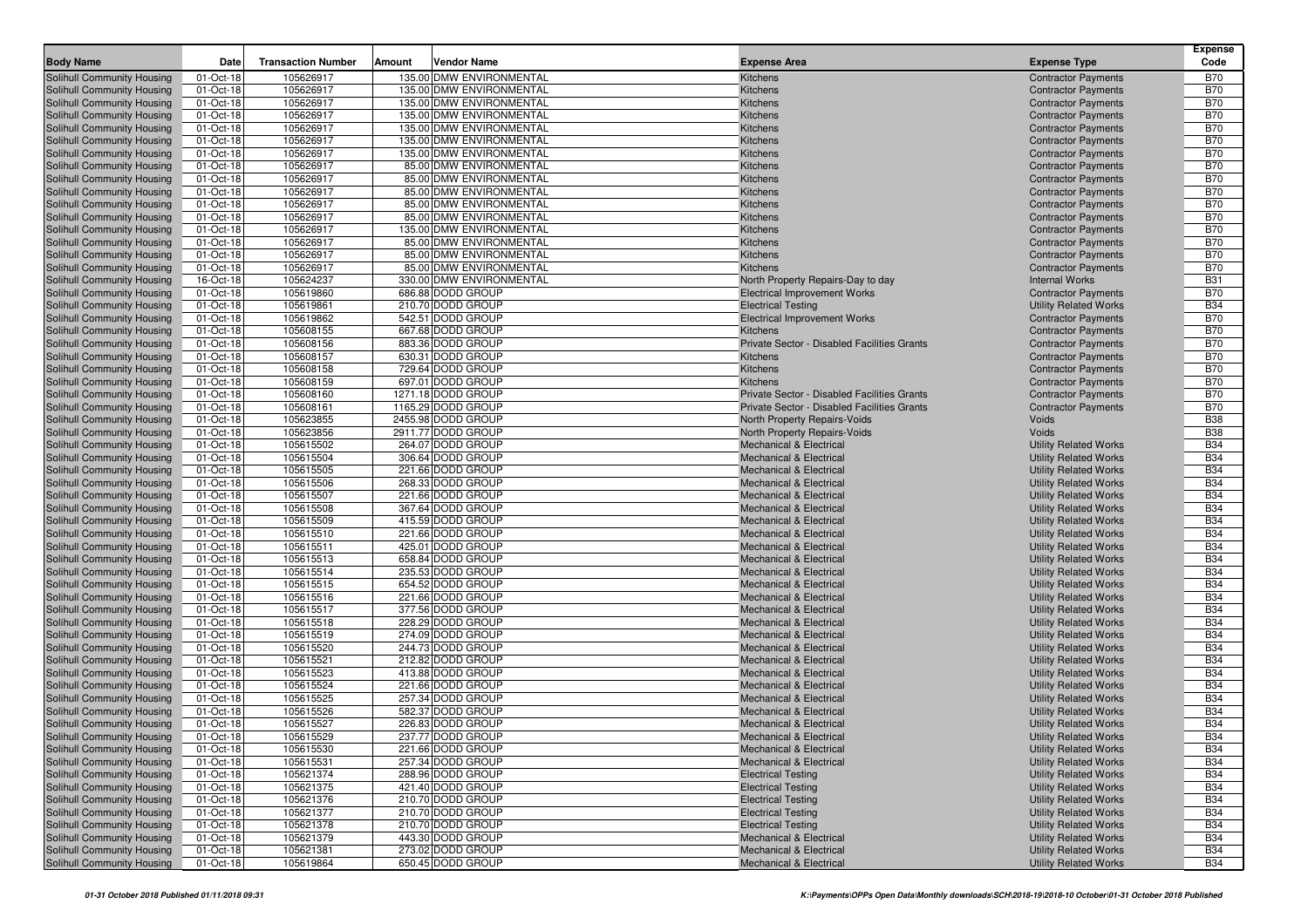|                                                          |                        |                           |                                                      |                                                                          |                                                              | <b>Expense</b>           |
|----------------------------------------------------------|------------------------|---------------------------|------------------------------------------------------|--------------------------------------------------------------------------|--------------------------------------------------------------|--------------------------|
| <b>Body Name</b>                                         | <b>Date</b>            | <b>Transaction Number</b> | Amount<br>Vendor Name                                | <b>Expense Area</b>                                                      | <b>Expense Type</b>                                          | Code                     |
| Solihull Community Housing                               | 01-Oct-18              | 105626917                 | 135.00 DMW ENVIRONMENTAL                             | Kitchens                                                                 | <b>Contractor Payments</b>                                   | <b>B70</b>               |
| Solihull Community Housing                               | 01-Oct-18              | 105626917                 | 135.00 DMW ENVIRONMENTAL                             | Kitchens                                                                 | <b>Contractor Payments</b>                                   | <b>B70</b>               |
| Solihull Community Housing                               | 01-Oct-18              | 105626917                 | 135.00 DMW ENVIRONMENTAL                             | Kitchens                                                                 | <b>Contractor Payments</b>                                   | <b>B70</b>               |
| Solihull Community Housing<br>Solihull Community Housing | 01-Oct-18<br>01-Oct-18 | 105626917<br>105626917    | 135.00 DMW ENVIRONMENTAL<br>135.00 DMW ENVIRONMENTAL | Kitchens                                                                 | <b>Contractor Payments</b>                                   | <b>B70</b><br><b>B70</b> |
| Solihull Community Housing                               | 01-Oct-18              | 105626917                 | 135.00 DMW ENVIRONMENTAL                             | Kitchens<br>Kitchens                                                     | <b>Contractor Payments</b><br><b>Contractor Payments</b>     | <b>B70</b>               |
| Solihull Community Housing                               | 01-Oct-18              | 105626917                 | 135.00 DMW ENVIRONMENTAL                             | Kitchens                                                                 | <b>Contractor Payments</b>                                   | <b>B70</b>               |
| Solihull Community Housing                               | 01-Oct-18              | 105626917                 | 85.00 DMW ENVIRONMENTAL                              | Kitchens                                                                 | <b>Contractor Payments</b>                                   | <b>B70</b>               |
| Solihull Community Housing                               | 01-Oct-18              | 105626917                 | 85.00 DMW ENVIRONMENTAL                              | Kitchens                                                                 | <b>Contractor Payments</b>                                   | <b>B70</b>               |
| Solihull Community Housing                               | 01-Oct-18              | 105626917                 | 85.00 DMW ENVIRONMENTAL                              | Kitchens                                                                 | <b>Contractor Payments</b>                                   | <b>B70</b>               |
| Solihull Community Housing                               | 01-Oct-18              | 105626917                 | 85.00 DMW ENVIRONMENTAL                              | Kitchens                                                                 | <b>Contractor Payments</b>                                   | <b>B70</b>               |
| Solihull Community Housing                               | 01-Oct-18              | 105626917                 | 85.00 DMW ENVIRONMENTAL                              | Kitchens                                                                 | <b>Contractor Payments</b>                                   | <b>B70</b>               |
| Solihull Community Housing                               | 01-Oct-18              | 105626917                 | 135.00 DMW ENVIRONMENTAL                             | Kitchens                                                                 | <b>Contractor Payments</b>                                   | <b>B70</b>               |
| Solihull Community Housing                               | 01-Oct-18              | 105626917                 | 85.00 DMW ENVIRONMENTAL                              | Kitchens                                                                 | <b>Contractor Payments</b>                                   | <b>B70</b>               |
| Solihull Community Housing                               | 01-Oct-18              | 105626917                 | 85.00 DMW ENVIRONMENTAL                              | Kitchens                                                                 | <b>Contractor Payments</b>                                   | <b>B70</b>               |
| Solihull Community Housing                               | 01-Oct-18              | 105626917                 | 85.00 DMW ENVIRONMENTAL                              | Kitchens                                                                 | <b>Contractor Payments</b>                                   | <b>B70</b>               |
| Solihull Community Housing                               | 16-Oct-18              | 105624237                 | 330.00 DMW ENVIRONMENTAL                             | North Property Repairs-Day to day                                        | <b>Internal Works</b>                                        | <b>B31</b>               |
| Solihull Community Housing                               | 01-Oct-18              | 105619860                 | 686.88 DODD GROUP                                    | <b>Electrical Improvement Works</b>                                      | <b>Contractor Payments</b>                                   | <b>B70</b>               |
| Solihull Community Housing                               | 01-Oct-18              | 105619861                 | 210.70 DODD GROUP                                    | <b>Electrical Testing</b>                                                | <b>Utility Related Works</b>                                 | <b>B34</b>               |
| Solihull Community Housing                               | 01-Oct-18              | 105619862                 | 542.51 DODD GROUP                                    | <b>Electrical Improvement Works</b>                                      | <b>Contractor Payments</b>                                   | <b>B70</b>               |
| Solihull Community Housing                               | 01-Oct-18              | 105608155                 | 667.68 DODD GROUP                                    | <b>Kitchens</b>                                                          | <b>Contractor Payments</b>                                   | <b>B70</b>               |
| Solihull Community Housing                               | 01-Oct-18              | 105608156                 | 883.36 DODD GROUP                                    | Private Sector - Disabled Facilities Grants                              | <b>Contractor Payments</b>                                   | <b>B70</b>               |
| Solihull Community Housing                               | 01-Oct-18              | 105608157                 | 630.31 DODD GROUP                                    | Kitchens                                                                 | <b>Contractor Payments</b>                                   | <b>B70</b>               |
| Solihull Community Housing                               | 01-Oct-18              | 105608158                 | 729.64 DODD GROUP                                    | Kitchens                                                                 | <b>Contractor Payments</b>                                   | <b>B70</b>               |
| Solihull Community Housing                               | 01-Oct-18              | 105608159                 | 697.01 DODD GROUP                                    | Kitchens                                                                 | <b>Contractor Payments</b>                                   | <b>B70</b>               |
| Solihull Community Housing                               | 01-Oct-18              | 105608160                 | 1271.18 DODD GROUP                                   | Private Sector - Disabled Facilities Grants                              | <b>Contractor Payments</b>                                   | <b>B70</b>               |
| Solihull Community Housing                               | 01-Oct-18              | 105608161                 | 1165.29 DODD GROUP                                   | Private Sector - Disabled Facilities Grants                              | <b>Contractor Payments</b>                                   | <b>B70</b>               |
| Solihull Community Housing                               | 01-Oct-18              | 105623855                 | 2455.98 DODD GROUP                                   | <b>North Property Repairs-Voids</b>                                      | Voids                                                        | <b>B38</b>               |
| Solihull Community Housing                               | 01-Oct-18              | 105623856                 | 2911.77 DODD GROUP                                   | North Property Repairs-Voids                                             | Voids                                                        | <b>B38</b>               |
| Solihull Community Housing                               | 01-Oct-18              | 105615502                 | 264.07 DODD GROUP                                    | <b>Mechanical &amp; Electrical</b>                                       | <b>Utility Related Works</b>                                 | <b>B34</b>               |
| Solihull Community Housing                               | 01-Oct-18              | 105615504                 | 306.64 DODD GROUP                                    | <b>Mechanical &amp; Electrical</b>                                       | <b>Utility Related Works</b>                                 | <b>B34</b>               |
| Solihull Community Housing                               | 01-Oct-18              | 105615505                 | 221.66 DODD GROUP                                    | <b>Mechanical &amp; Electrical</b>                                       | <b>Utility Related Works</b>                                 | <b>B34</b>               |
| Solihull Community Housing                               | 01-Oct-18              | 105615506                 | 268.33 DODD GROUP                                    | <b>Mechanical &amp; Electrical</b>                                       | <b>Utility Related Works</b>                                 | <b>B34</b>               |
| Solihull Community Housing                               | 01-Oct-18              | 105615507<br>105615508    | 221.66 DODD GROUP<br>367.64 DODD GROUP               | <b>Mechanical &amp; Electrical</b>                                       | <b>Utility Related Works</b>                                 | <b>B34</b><br><b>B34</b> |
| Solihull Community Housing<br>Solihull Community Housing | 01-Oct-18<br>01-Oct-18 | 105615509                 | 415.59 DODD GROUP                                    | <b>Mechanical &amp; Electrical</b><br><b>Mechanical &amp; Electrical</b> | <b>Utility Related Works</b><br><b>Utility Related Works</b> | <b>B34</b>               |
| Solihull Community Housing                               | 01-Oct-18              | 105615510                 | 221.66 DODD GROUP                                    | <b>Mechanical &amp; Electrical</b>                                       | <b>Utility Related Works</b>                                 | <b>B34</b>               |
| Solihull Community Housing                               | 01-Oct-18              | 105615511                 | 425.01 DODD GROUP                                    | <b>Mechanical &amp; Electrical</b>                                       | <b>Utility Related Works</b>                                 | <b>B34</b>               |
| Solihull Community Housing                               | 01-Oct-18              | 105615513                 | 658.84 DODD GROUP                                    | <b>Mechanical &amp; Electrical</b>                                       | <b>Utility Related Works</b>                                 | <b>B34</b>               |
| Solihull Community Housing                               | 01-Oct-18              | 105615514                 | 235.53 DODD GROUP                                    | <b>Mechanical &amp; Electrical</b>                                       | <b>Utility Related Works</b>                                 | <b>B34</b>               |
| Solihull Community Housing                               | 01-Oct-18              | 105615515                 | 654.52 DODD GROUP                                    | <b>Mechanical &amp; Electrical</b>                                       | <b>Utility Related Works</b>                                 | <b>B34</b>               |
| Solihull Community Housing                               | 01-Oct-18              | 105615516                 | 221.66 DODD GROUP                                    | <b>Mechanical &amp; Electrical</b>                                       | <b>Utility Related Works</b>                                 | <b>B34</b>               |
| Solihull Community Housing                               | 01-Oct-18              | 105615517                 | 377.56 DODD GROUP                                    | <b>Mechanical &amp; Electrical</b>                                       | <b>Utility Related Works</b>                                 | <b>B34</b>               |
| Solihull Community Housing                               | 01-Oct-18              | 105615518                 | 228.29 DODD GROUP                                    | <b>Mechanical &amp; Electrical</b>                                       | <b>Utility Related Works</b>                                 | <b>B34</b>               |
| Solihull Community Housing                               | 01-Oct-18              | 105615519                 | 274.09 DODD GROUP                                    | <b>Mechanical &amp; Electrical</b>                                       | <b>Utility Related Works</b>                                 | <b>B34</b>               |
| Solihull Community Housing                               | 01-Oct-18              | 105615520                 | 244.73 DODD GROUP                                    | <b>Mechanical &amp; Electrical</b>                                       | <b>Utility Related Works</b>                                 | <b>B34</b>               |
| Solihull Community Housing                               | 01-Oct-18              | 105615521                 | 212.82 DODD GROUP                                    | <b>Mechanical &amp; Electrical</b>                                       | <b>Utility Related Works</b>                                 | <b>B34</b>               |
| Solihull Community Housing                               | 01-Oct-18              | 105615523                 | 413.88 DODD GROUP                                    | <b>Mechanical &amp; Electrical</b>                                       | <b>Utility Related Works</b>                                 | <b>B34</b>               |
| Solihull Community Housing                               | 01-Oct-18              | 105615524                 | 221.66 DODD GROUP                                    | <b>Mechanical &amp; Electrical</b>                                       | <b>Utility Related Works</b>                                 | <b>B34</b>               |
| Solihull Community Housing                               | 01-Oct-18              | 105615525                 | 257.34 DODD GROUP                                    | <b>Mechanical &amp; Electrical</b>                                       | <b>Utility Related Works</b>                                 | <b>B34</b>               |
| Solihull Community Housing                               | 01-Oct-18              | 105615526                 | 582.37 DODD GROUP                                    | <b>Mechanical &amp; Electrical</b>                                       | <b>Utility Related Works</b>                                 | <b>B34</b>               |
| Solihull Community Housing                               | 01-Oct-18              | 105615527                 | 226.83 DODD GROUP                                    | <b>Mechanical &amp; Electrical</b>                                       | <b>Utility Related Works</b>                                 | <b>B34</b>               |
| Solihull Community Housing                               | 01-Oct-18              | 105615529                 | 237.77 DODD GROUP                                    | Mechanical & Electrical                                                  | <b>Utility Related Works</b>                                 | <b>B34</b>               |
| Solihull Community Housing                               | 01-Oct-18              | 105615530                 | 221.66 DODD GROUP                                    | Mechanical & Electrical                                                  | <b>Utility Related Works</b>                                 | <b>B34</b>               |
| <b>Solihull Community Housing</b>                        | 01-Oct-18              | 105615531                 | 257.34 DODD GROUP                                    | <b>Mechanical &amp; Electrical</b>                                       | <b>Utility Related Works</b>                                 | <b>B34</b>               |
| Solihull Community Housing                               | 01-Oct-18              | 105621374                 | 288.96 DODD GROUP                                    | <b>Electrical Testing</b>                                                | <b>Utility Related Works</b>                                 | <b>B34</b>               |
| <b>Solihull Community Housing</b>                        | 01-Oct-18              | 105621375                 | 421.40 DODD GROUP                                    | <b>Electrical Testing</b>                                                | <b>Utility Related Works</b>                                 | <b>B34</b>               |
| Solihull Community Housing                               | 01-Oct-18              | 105621376                 | 210.70 DODD GROUP                                    | <b>Electrical Testing</b>                                                | <b>Utility Related Works</b>                                 | <b>B34</b>               |
| Solihull Community Housing                               | 01-Oct-18              | 105621377                 | 210.70 DODD GROUP                                    | <b>Electrical Testing</b>                                                | <b>Utility Related Works</b>                                 | <b>B34</b>               |
| Solihull Community Housing                               | 01-Oct-18              | 105621378                 | 210.70 DODD GROUP                                    | <b>Electrical Testing</b>                                                | <b>Utility Related Works</b>                                 | <b>B34</b>               |
| Solihull Community Housing                               | 01-Oct-18              | 105621379                 | 443.30 DODD GROUP                                    | Mechanical & Electrical                                                  | <b>Utility Related Works</b>                                 | <b>B34</b>               |
| <b>Solihull Community Housing</b>                        | 01-Oct-18              | 105621381                 | 273.02 DODD GROUP                                    | <b>Mechanical &amp; Electrical</b>                                       | <b>Utility Related Works</b>                                 | <b>B34</b>               |
| Solihull Community Housing                               | 01-Oct-18              | 105619864                 | 650.45 DODD GROUP                                    | Mechanical & Electrical                                                  | <b>Utility Related Works</b>                                 | <b>B34</b>               |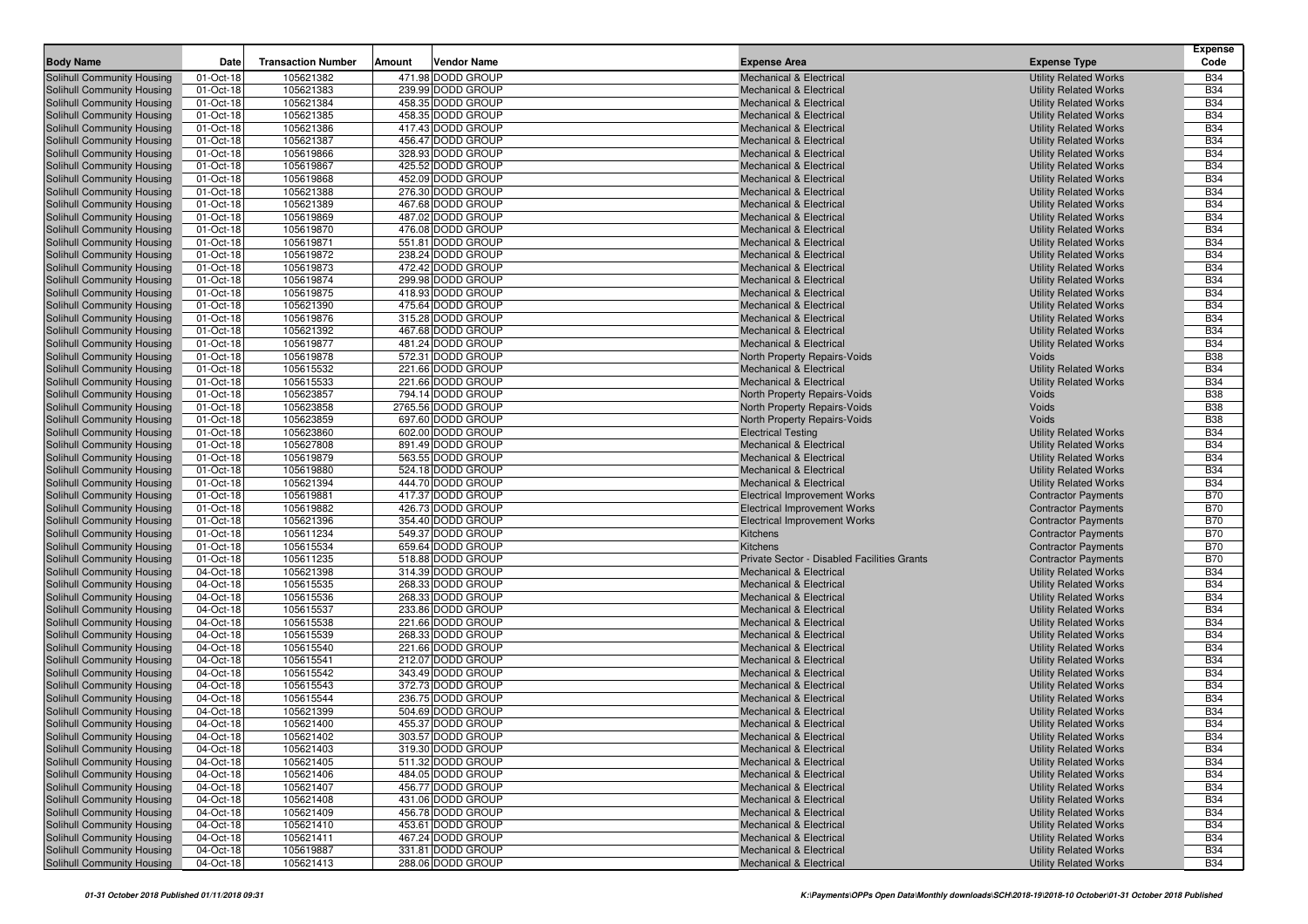|                                                          | <b>Date</b>            | <b>Transaction Number</b> | Amount<br><b>Vendor Name</b>           | <b>Expense Area</b>                                                               |                                                              | <b>Expense</b><br>Code   |
|----------------------------------------------------------|------------------------|---------------------------|----------------------------------------|-----------------------------------------------------------------------------------|--------------------------------------------------------------|--------------------------|
| <b>Body Name</b>                                         |                        |                           |                                        |                                                                                   | <b>Expense Type</b>                                          |                          |
| Solihull Community Housing                               | 01-Oct-18              | 105621382<br>105621383    | 471.98 DODD GROUP<br>239.99 DODD GROUP | <b>Mechanical &amp; Electrical</b>                                                | <b>Utility Related Works</b>                                 | <b>B34</b><br><b>B34</b> |
| Solihull Community Housing<br>Solihull Community Housing | 01-Oct-18<br>01-Oct-18 | 105621384                 | 458.35 DODD GROUP                      | <b>Mechanical &amp; Electrical</b><br><b>Mechanical &amp; Electrical</b>          | <b>Utility Related Works</b><br><b>Utility Related Works</b> | <b>B34</b>               |
| Solihull Community Housing                               | 01-Oct-18              | 105621385                 | 458.35 DODD GROUP                      | <b>Mechanical &amp; Electrical</b>                                                | <b>Utility Related Works</b>                                 | <b>B34</b>               |
| Solihull Community Housing                               | 01-Oct-18              | 105621386                 | 417.43 DODD GROUP                      | <b>Mechanical &amp; Electrical</b>                                                | <b>Utility Related Works</b>                                 | <b>B34</b>               |
| Solihull Community Housing                               | 01-Oct-18              | 105621387                 | 456.47 DODD GROUP                      | <b>Mechanical &amp; Electrical</b>                                                | <b>Utility Related Works</b>                                 | <b>B34</b>               |
| Solihull Community Housing                               | 01-Oct-18              | 105619866                 | 328.93 DODD GROUP                      | <b>Mechanical &amp; Electrical</b>                                                | <b>Utility Related Works</b>                                 | <b>B34</b>               |
| Solihull Community Housing                               | 01-Oct-18              | 105619867                 | 425.52 DODD GROUP                      | <b>Mechanical &amp; Electrical</b>                                                | <b>Utility Related Works</b>                                 | <b>B34</b>               |
| Solihull Community Housing                               | 01-Oct-18              | 105619868                 | 452.09 DODD GROUP                      | <b>Mechanical &amp; Electrical</b>                                                | <b>Utility Related Works</b>                                 | <b>B34</b>               |
| Solihull Community Housing                               | 01-Oct-18              | 105621388                 | 276.30 DODD GROUP                      | <b>Mechanical &amp; Electrical</b>                                                | <b>Utility Related Works</b>                                 | <b>B34</b>               |
| Solihull Community Housing                               | 01-Oct-18              | 105621389                 | 467.68 DODD GROUP                      | <b>Mechanical &amp; Electrical</b>                                                | <b>Utility Related Works</b>                                 | <b>B34</b>               |
| Solihull Community Housing                               | 01-Oct-18              | 105619869                 | 487.02 DODD GROUP                      | <b>Mechanical &amp; Electrical</b>                                                | <b>Utility Related Works</b>                                 | <b>B34</b>               |
| Solihull Community Housing                               | 01-Oct-18              | 105619870                 | 476.08 DODD GROUP                      | <b>Mechanical &amp; Electrical</b>                                                | <b>Utility Related Works</b>                                 | <b>B34</b>               |
| Solihull Community Housing                               | 01-Oct-18              | 105619871                 | 551.81 DODD GROUP                      | <b>Mechanical &amp; Electrical</b>                                                | <b>Utility Related Works</b>                                 | <b>B34</b>               |
| Solihull Community Housing                               | 01-Oct-18              | 105619872                 | 238.24 DODD GROUP                      | <b>Mechanical &amp; Electrical</b>                                                | <b>Utility Related Works</b>                                 | <b>B34</b>               |
| Solihull Community Housing                               | 01-Oct-18              | 105619873                 | 472.42 DODD GROUP                      | <b>Mechanical &amp; Electrical</b>                                                | <b>Utility Related Works</b>                                 | <b>B34</b>               |
| Solihull Community Housing                               | 01-Oct-18              | 105619874                 | 299.98 DODD GROUP                      | <b>Mechanical &amp; Electrical</b>                                                | <b>Utility Related Works</b>                                 | <b>B34</b>               |
| Solihull Community Housing                               | 01-Oct-18              | 105619875                 | 418.93 DODD GROUP                      | <b>Mechanical &amp; Electrical</b>                                                | <b>Utility Related Works</b>                                 | <b>B34</b>               |
| Solihull Community Housing                               | 01-Oct-18              | 105621390                 | 475.64 DODD GROUP                      | <b>Mechanical &amp; Electrical</b>                                                | <b>Utility Related Works</b>                                 | <b>B34</b>               |
| Solihull Community Housing                               | 01-Oct-18              | 105619876                 | 315.28 DODD GROUP                      | <b>Mechanical &amp; Electrical</b>                                                | <b>Utility Related Works</b>                                 | <b>B34</b>               |
| Solihull Community Housing                               | 01-Oct-18              | 105621392                 | 467.68 DODD GROUP                      | Mechanical & Electrical                                                           | <b>Utility Related Works</b>                                 | <b>B34</b><br><b>B34</b> |
| Solihull Community Housing<br>Solihull Community Housing | 01-Oct-18<br>01-Oct-18 | 105619877<br>105619878    | 481.24 DODD GROUP<br>572.31 DODD GROUP | <b>Mechanical &amp; Electrical</b><br><b>North Property Repairs-Voids</b>         | <b>Utility Related Works</b><br>Voids                        | <b>B38</b>               |
| Solihull Community Housing                               | 01-Oct-18              | 105615532                 | 221.66 DODD GROUP                      | <b>Mechanical &amp; Electrical</b>                                                | <b>Utility Related Works</b>                                 | <b>B34</b>               |
| Solihull Community Housing                               | 01-Oct-18              | 105615533                 | 221.66 DODD GROUP                      | <b>Mechanical &amp; Electrical</b>                                                | <b>Utility Related Works</b>                                 | <b>B34</b>               |
| Solihull Community Housing                               | 01-Oct-18              | 105623857                 | 794.14 DODD GROUP                      | <b>North Property Repairs-Voids</b>                                               | Voids                                                        | <b>B38</b>               |
| Solihull Community Housing                               | 01-Oct-18              | 105623858                 | 2765.56 DODD GROUP                     | North Property Repairs-Voids                                                      | Voids                                                        | <b>B38</b>               |
| Solihull Community Housing                               | 01-Oct-18              | 105623859                 | 697.60 DODD GROUP                      | North Property Repairs-Voids                                                      | Voids                                                        | <b>B38</b>               |
| Solihull Community Housing                               | 01-Oct-18              | 105623860                 | 602.00 DODD GROUP                      | <b>Electrical Testing</b>                                                         | <b>Utility Related Works</b>                                 | <b>B34</b>               |
| Solihull Community Housing                               | 01-Oct-18              | 105627808                 | 891.49 DODD GROUP                      | Mechanical & Electrical                                                           | <b>Utility Related Works</b>                                 | <b>B34</b>               |
| Solihull Community Housing                               | 01-Oct-18              | 105619879                 | 563.55 DODD GROUP                      | <b>Mechanical &amp; Electrical</b>                                                | <b>Utility Related Works</b>                                 | <b>B34</b>               |
| Solihull Community Housing                               | 01-Oct-18              | 105619880                 | 524.18 DODD GROUP                      | <b>Mechanical &amp; Electrical</b>                                                | <b>Utility Related Works</b>                                 | <b>B34</b>               |
| Solihull Community Housing                               | 01-Oct-18              | 105621394                 | 444.70 DODD GROUP                      | <b>Mechanical &amp; Electrical</b>                                                | <b>Utility Related Works</b>                                 | <b>B34</b>               |
| Solihull Community Housing                               | 01-Oct-18              | 105619881                 | 417.37 DODD GROUP                      | <b>Electrical Improvement Works</b>                                               | <b>Contractor Payments</b>                                   | <b>B70</b>               |
| Solihull Community Housing                               | 01-Oct-18              | 105619882                 | 426.73 DODD GROUP                      | <b>Electrical Improvement Works</b>                                               | <b>Contractor Payments</b>                                   | <b>B70</b>               |
| Solihull Community Housing                               | 01-Oct-18              | 105621396                 | 354.40 DODD GROUP                      | <b>Electrical Improvement Works</b>                                               | <b>Contractor Payments</b>                                   | <b>B70</b>               |
| Solihull Community Housing                               | 01-Oct-18              | 105611234                 | 549.37 DODD GROUP                      | Kitchens                                                                          | <b>Contractor Payments</b>                                   | <b>B70</b>               |
| Solihull Community Housing                               | 01-Oct-18              | 105615534                 | 659.64 DODD GROUP                      | <b>Kitchens</b>                                                                   | <b>Contractor Payments</b>                                   | <b>B70</b>               |
| Solihull Community Housing                               | 01-Oct-18              | 105611235<br>105621398    | 518.88 DODD GROUP<br>314.39 DODD GROUP | Private Sector - Disabled Facilities Grants<br><b>Mechanical &amp; Electrical</b> | <b>Contractor Payments</b>                                   | <b>B70</b><br><b>B34</b> |
| Solihull Community Housing<br>Solihull Community Housing | 04-Oct-18<br>04-Oct-18 | 105615535                 | 268.33 DODD GROUP                      | <b>Mechanical &amp; Electrical</b>                                                | <b>Utility Related Works</b><br><b>Utility Related Works</b> | <b>B34</b>               |
| Solihull Community Housing                               | 04-Oct-18              | 105615536                 | 268.33 DODD GROUP                      | <b>Mechanical &amp; Electrical</b>                                                | <b>Utility Related Works</b>                                 | <b>B34</b>               |
| Solihull Community Housing                               | 04-Oct-18              | 105615537                 | 233.86 DODD GROUP                      | <b>Mechanical &amp; Electrical</b>                                                | <b>Utility Related Works</b>                                 | <b>B34</b>               |
| Solihull Community Housing                               | 04-Oct-18              | 105615538                 | 221.66 DODD GROUP                      | <b>Mechanical &amp; Electrical</b>                                                | <b>Utility Related Works</b>                                 | <b>B34</b>               |
| Solihull Community Housing                               | 04-Oct-18              | 105615539                 | 268.33 DODD GROUP                      | <b>Mechanical &amp; Electrical</b>                                                | <b>Utility Related Works</b>                                 | <b>B34</b>               |
| Solihull Community Housing                               | 04-Oct-18              | 105615540                 | 221.66 DODD GROUP                      | Mechanical & Electrical                                                           | <b>Utility Related Works</b>                                 | <b>B34</b>               |
| Solihull Community Housing                               | 04-Oct-18              | 105615541                 | 212.07 DODD GROUP                      | <b>Mechanical &amp; Electrical</b>                                                | <b>Utility Related Works</b>                                 | <b>B34</b>               |
| Solihull Community Housing                               | 04-Oct-18              | 105615542                 | 343.49 DODD GROUP                      | <b>Mechanical &amp; Electrical</b>                                                | <b>Utility Related Works</b>                                 | <b>B34</b>               |
| Solihull Community Housing                               | 04-Oct-18              | 105615543                 | 372.73 DODD GROUP                      | <b>Mechanical &amp; Electrical</b>                                                | <b>Utility Related Works</b>                                 | <b>B34</b>               |
| Solihull Community Housing                               | 04-Oct-18              | 105615544                 | 236.75 DODD GROUP                      | Mechanical & Electrical                                                           | <b>Utility Related Works</b>                                 | <b>B34</b>               |
| Solihull Community Housing                               | 04-Oct-18              | 105621399                 | 504.69 DODD GROUP                      | <b>Mechanical &amp; Electrical</b>                                                | <b>Utility Related Works</b>                                 | <b>B34</b>               |
| Solihull Community Housing                               | 04-Oct-18              | 105621400                 | 455.37 DODD GROUP                      | <b>Mechanical &amp; Electrical</b>                                                | <b>Utility Related Works</b>                                 | <b>B34</b>               |
| <b>Solihull Community Housing</b>                        | 04-Oct-18              | 105621402                 | 303.57 DODD GROUP                      | <b>Mechanical &amp; Electrical</b>                                                | <b>Utility Related Works</b>                                 | B34                      |
| Solihull Community Housing                               | 04-Oct-18              | 105621403                 | 319.30 DODD GROUP                      | <b>Mechanical &amp; Electrical</b>                                                | <b>Utility Related Works</b>                                 | <b>B34</b>               |
| Solihull Community Housing                               | 04-Oct-18              | 105621405                 | 511.32 DODD GROUP                      | <b>Mechanical &amp; Electrical</b>                                                | <b>Utility Related Works</b>                                 | <b>B34</b>               |
| Solihull Community Housing                               | 04-Oct-18              | 105621406                 | 484.05 DODD GROUP                      | <b>Mechanical &amp; Electrical</b>                                                | <b>Utility Related Works</b>                                 | <b>B34</b>               |
| Solihull Community Housing                               | 04-Oct-18              | 105621407                 | 456.77 DODD GROUP                      | Mechanical & Electrical                                                           | <b>Utility Related Works</b>                                 | <b>B34</b>               |
| Solihull Community Housing                               | 04-Oct-18              | 105621408                 | 431.06 DODD GROUP                      | <b>Mechanical &amp; Electrical</b>                                                | <b>Utility Related Works</b>                                 | <b>B34</b>               |
| Solihull Community Housing                               | 04-Oct-18              | 105621409                 | 456.78 DODD GROUP<br>453.61 DODD GROUP | <b>Mechanical &amp; Electrical</b>                                                | <b>Utility Related Works</b><br><b>Utility Related Works</b> | <b>B34</b>               |
| Solihull Community Housing<br>Solihull Community Housing | 04-Oct-18<br>04-Oct-18 | 105621410<br>105621411    | 467.24 DODD GROUP                      | <b>Mechanical &amp; Electrical</b><br>Mechanical & Electrical                     | <b>Utility Related Works</b>                                 | <b>B34</b><br><b>B34</b> |
| Solihull Community Housing                               | 04-Oct-18              | 105619887                 | 331.81 DODD GROUP                      | <b>Mechanical &amp; Electrical</b>                                                | <b>Utility Related Works</b>                                 | <b>B34</b>               |
| Solihull Community Housing                               | 04-Oct-18              | 105621413                 | 288.06 DODD GROUP                      | Mechanical & Electrical                                                           | <b>Utility Related Works</b>                                 | <b>B34</b>               |
|                                                          |                        |                           |                                        |                                                                                   |                                                              |                          |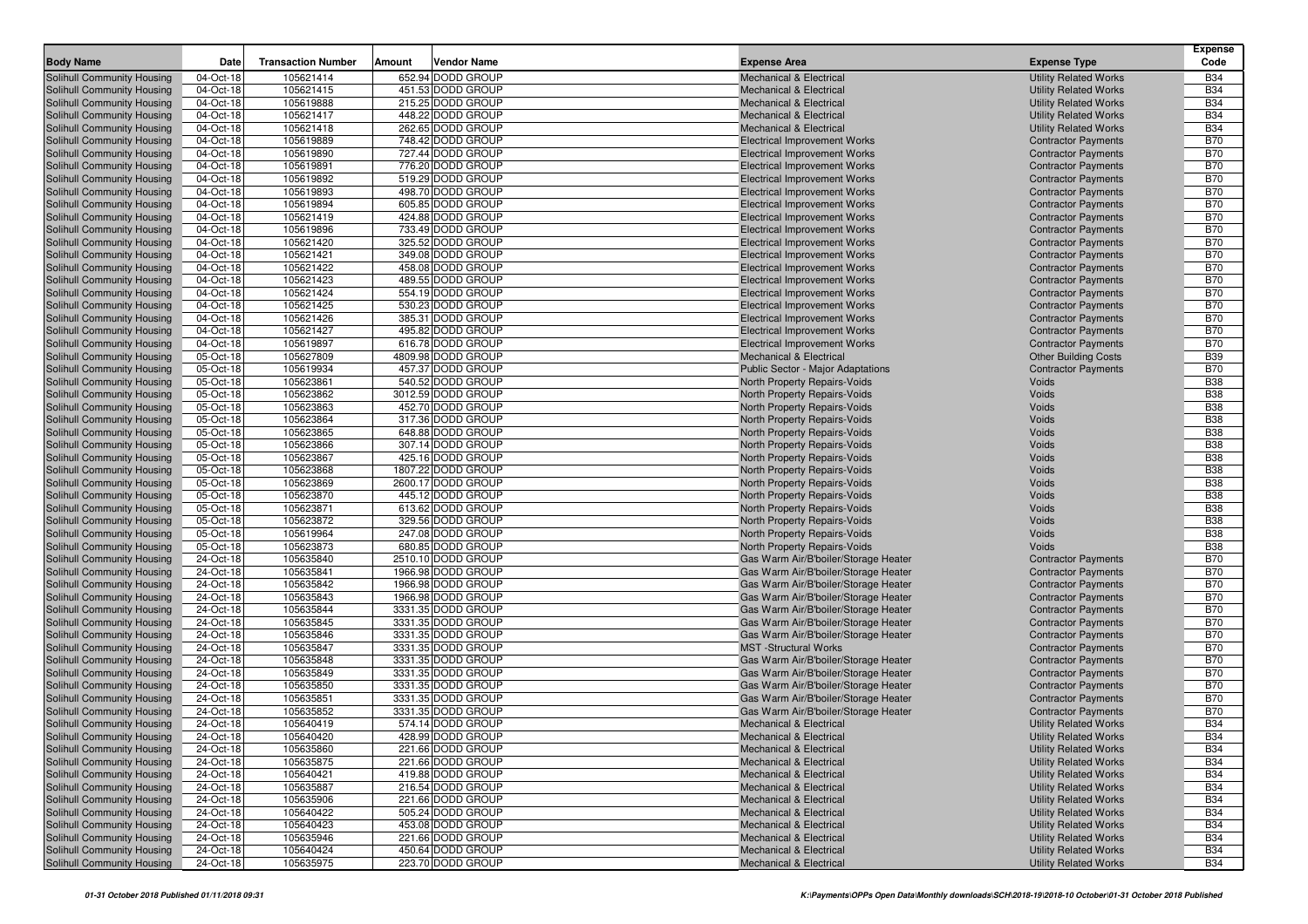|                                                          |                         |                           |        |                                          |                                                                              |                                                              | <b>Expense</b>           |
|----------------------------------------------------------|-------------------------|---------------------------|--------|------------------------------------------|------------------------------------------------------------------------------|--------------------------------------------------------------|--------------------------|
| <b>Body Name</b>                                         | Date                    | <b>Transaction Number</b> | Amount | Vendor Name                              | <b>Expense Area</b>                                                          | <b>Expense Type</b>                                          | Code                     |
| Solihull Community Housing                               | 04-Oct-18               | 105621414                 |        | 652.94 DODD GROUP                        | <b>Mechanical &amp; Electrical</b>                                           | <b>Utility Related Works</b>                                 | <b>B34</b>               |
| Solihull Community Housing                               | 04-Oct-18               | 105621415<br>105619888    |        | 451.53 DODD GROUP<br>215.25 DODD GROUP   | <b>Mechanical &amp; Electrical</b>                                           | <b>Utility Related Works</b>                                 | <b>B34</b><br><b>B34</b> |
| Solihull Community Housing                               | 04-Oct-18               |                           |        | 448.22 DODD GROUP                        | <b>Mechanical &amp; Electrical</b>                                           | <b>Utility Related Works</b>                                 | <b>B34</b>               |
| Solihull Community Housing<br>Solihull Community Housing | 04-Oct-18<br>04-Oct-18  | 105621417<br>105621418    |        | 262.65 DODD GROUP                        | <b>Mechanical &amp; Electrical</b><br><b>Mechanical &amp; Electrical</b>     | <b>Utility Related Works</b><br><b>Utility Related Works</b> | <b>B34</b>               |
| Solihull Community Housing                               | $\overline{0}$ 4-Oct-18 | 105619889                 |        | 748.42 DODD GROUP                        | <b>Electrical Improvement Works</b>                                          | <b>Contractor Payments</b>                                   | <b>B70</b>               |
| Solihull Community Housing                               | 04-Oct-18               | 105619890                 |        | 727.44 DODD GROUP                        | <b>Electrical Improvement Works</b>                                          | <b>Contractor Payments</b>                                   | <b>B70</b>               |
| Solihull Community Housing                               | 04-Oct-18               | 105619891                 |        | 776.20 DODD GROUP                        | <b>Electrical Improvement Works</b>                                          | <b>Contractor Payments</b>                                   | <b>B70</b>               |
| Solihull Community Housing                               | 04-Oct-18               | 105619892                 |        | 519.29 DODD GROUP                        | <b>Electrical Improvement Works</b>                                          | <b>Contractor Payments</b>                                   | <b>B70</b>               |
| Solihull Community Housing                               | 04-Oct-18               | 105619893                 |        | 498.70 DODD GROUP                        | <b>Electrical Improvement Works</b>                                          | <b>Contractor Payments</b>                                   | <b>B70</b>               |
| Solihull Community Housing                               | 04-Oct-18               | 105619894                 |        | 605.85 DODD GROUP                        | <b>Electrical Improvement Works</b>                                          | <b>Contractor Payments</b>                                   | <b>B70</b>               |
| Solihull Community Housing                               | 04-Oct-18               | 105621419                 |        | 424.88 DODD GROUP                        | <b>Electrical Improvement Works</b>                                          | <b>Contractor Payments</b>                                   | <b>B70</b>               |
| Solihull Community Housing                               | 04-Oct-18               | 105619896                 |        | 733.49 DODD GROUP                        | <b>Electrical Improvement Works</b>                                          | <b>Contractor Payments</b>                                   | <b>B70</b>               |
| Solihull Community Housing                               | 04-Oct-18               | 105621420                 |        | 325.52 DODD GROUP                        | <b>Electrical Improvement Works</b>                                          | <b>Contractor Payments</b>                                   | <b>B70</b>               |
| Solihull Community Housing                               | 04-Oct-18               | 105621421                 |        | 349.08 DODD GROUP                        | <b>Electrical Improvement Works</b>                                          | <b>Contractor Payments</b>                                   | <b>B70</b>               |
| Solihull Community Housing                               | 04-Oct-18               | 105621422                 |        | 458.08 DODD GROUP                        | <b>Electrical Improvement Works</b>                                          | <b>Contractor Payments</b>                                   | <b>B70</b>               |
| Solihull Community Housing                               | 04-Oct-18               | 105621423                 |        | 489.55 DODD GROUP                        | <b>Electrical Improvement Works</b>                                          | <b>Contractor Payments</b>                                   | <b>B70</b>               |
| Solihull Community Housing                               | 04-Oct-18               | 105621424                 |        | 554.19 DODD GROUP                        | <b>Electrical Improvement Works</b>                                          | <b>Contractor Payments</b>                                   | <b>B70</b>               |
| Solihull Community Housing                               | 04-Oct-18               | 105621425                 |        | 530.23 DODD GROUP                        | <b>Electrical Improvement Works</b>                                          | <b>Contractor Payments</b>                                   | <b>B70</b>               |
| Solihull Community Housing                               | 04-Oct-18               | 105621426                 |        | 385.31 DODD GROUP                        | <b>Electrical Improvement Works</b>                                          | <b>Contractor Payments</b>                                   | <b>B70</b>               |
| Solihull Community Housing                               | 04-Oct-18               | 105621427                 |        | 495.82 DODD GROUP                        | <b>Electrical Improvement Works</b>                                          | <b>Contractor Payments</b>                                   | <b>B70</b>               |
| Solihull Community Housing                               | 04-Oct-18               | 105619897                 |        | 616.78 DODD GROUP                        | <b>Electrical Improvement Works</b>                                          | <b>Contractor Payments</b>                                   | <b>B70</b>               |
| Solihull Community Housing                               | 05-Oct-18               | 105627809                 |        | 4809.98 DODD GROUP                       | Mechanical & Electrical                                                      | <b>Other Building Costs</b>                                  | <b>B39</b>               |
| Solihull Community Housing<br>Solihull Community Housing | 05-Oct-18<br>05-Oct-18  | 105619934<br>105623861    |        | 457.37 DODD GROUP<br>540.52 DODD GROUP   | <b>Public Sector - Major Adaptations</b><br>North Property Repairs-Voids     | <b>Contractor Payments</b><br>Voids                          | <b>B70</b><br><b>B38</b> |
| Solihull Community Housing                               | 05-Oct-18               | 105623862                 |        | 3012.59 DODD GROUP                       | North Property Repairs-Voids                                                 | Voids                                                        | <b>B38</b>               |
| Solihull Community Housing                               | 05-Oct-18               | 105623863                 |        | 452.70 DODD GROUP                        | North Property Repairs-Voids                                                 | Voids                                                        | <b>B38</b>               |
| Solihull Community Housing                               | 05-Oct-18               | 105623864                 |        | 317.36 DODD GROUP                        | North Property Repairs-Voids                                                 | Voids                                                        | <b>B38</b>               |
| Solihull Community Housing                               | 05-Oct-18               | 105623865                 |        | 648.88 DODD GROUP                        | North Property Repairs-Voids                                                 | Voids                                                        | <b>B38</b>               |
| <b>Solihull Community Housing</b>                        | 05-Oct-18               | 105623866                 |        | 307.14 DODD GROUP                        | North Property Repairs-Voids                                                 | Voids                                                        | <b>B38</b>               |
| Solihull Community Housing                               | 05-Oct-18               | 105623867                 |        | 425.16 DODD GROUP                        | North Property Repairs-Voids                                                 | Voids                                                        | <b>B38</b>               |
| Solihull Community Housing                               | 05-Oct-18               | 105623868                 |        | 1807.22 DODD GROUP                       | North Property Repairs-Voids                                                 | Voids                                                        | <b>B38</b>               |
| Solihull Community Housing                               | $05$ -Oct-18            | 105623869                 |        | 2600.17 DODD GROUP                       | North Property Repairs-Voids                                                 | Voids                                                        | <b>B38</b>               |
| Solihull Community Housing                               | 05-Oct-18               | 105623870                 |        | 445.12 DODD GROUP                        | North Property Repairs-Voids                                                 | Voids                                                        | <b>B38</b>               |
| Solihull Community Housing                               | 05-Oct-18               | 105623871                 |        | 613.62 DODD GROUP                        | North Property Repairs-Voids                                                 | Voids                                                        | <b>B38</b>               |
| Solihull Community Housing                               | 05-Oct-18               | 105623872                 |        | 329.56 DODD GROUP                        | North Property Repairs-Voids                                                 | Voids                                                        | <b>B38</b>               |
| Solihull Community Housing                               | 05-Oct-18               | 105619964                 |        | 247.08 DODD GROUP                        | North Property Repairs-Voids                                                 | Voids                                                        | <b>B38</b>               |
| Solihull Community Housing                               | 05-Oct-18               | 105623873                 |        | 680.85 DODD GROUP                        | North Property Repairs-Voids                                                 | Voids                                                        | <b>B38</b>               |
| Solihull Community Housing                               | 24-Oct-18               | 105635840                 |        | 2510.10 DODD GROUP                       | Gas Warm Air/B'boiler/Storage Heater                                         | <b>Contractor Payments</b>                                   | <b>B70</b>               |
| Solihull Community Housing                               | 24-Oct-18               | 105635841                 |        | 1966.98 DODD GROUP                       | Gas Warm Air/B'boiler/Storage Heater                                         | <b>Contractor Payments</b>                                   | <b>B70</b>               |
| Solihull Community Housing                               | 24-Oct-18<br>24-Oct-18  | 105635842<br>105635843    |        | 1966.98 DODD GROUP<br>1966.98 DODD GROUP | Gas Warm Air/B'boiler/Storage Heater                                         | <b>Contractor Payments</b><br><b>Contractor Payments</b>     | <b>B70</b><br><b>B70</b> |
| Solihull Community Housing<br>Solihull Community Housing | 24-Oct-18               | 105635844                 |        | 3331.35 DODD GROUP                       | Gas Warm Air/B'boiler/Storage Heater<br>Gas Warm Air/B'boiler/Storage Heater | <b>Contractor Payments</b>                                   | <b>B70</b>               |
| Solihull Community Housing                               | 24-Oct-18               | 105635845                 |        | 3331.35 DODD GROUP                       | Gas Warm Air/B'boiler/Storage Heater                                         | <b>Contractor Payments</b>                                   | <b>B70</b>               |
| Solihull Community Housing                               | 24-Oct-18               | 105635846                 |        | 3331.35 DODD GROUP                       | Gas Warm Air/B'boiler/Storage Heater                                         | <b>Contractor Payments</b>                                   | <b>B70</b>               |
| Solihull Community Housing                               | 24-Oct-18               | 105635847                 |        | 3331.35 DODD GROUP                       | <b>MST</b> -Structural Works                                                 | <b>Contractor Payments</b>                                   | <b>B70</b>               |
| Solihull Community Housing                               | 24-Oct-18               | 105635848                 |        | 3331.35 DODD GROUP                       | Gas Warm Air/B'boiler/Storage Heater                                         | <b>Contractor Payments</b>                                   | <b>B70</b>               |
| Solihull Community Housing                               | 24-Oct-18               | 105635849                 |        | 3331.35 DODD GROUP                       | Gas Warm Air/B'boiler/Storage Heater                                         | <b>Contractor Payments</b>                                   | <b>B70</b>               |
| Solihull Community Housing                               | 24-Oct-18               | 105635850                 |        | 3331.35 DODD GROUP                       | Gas Warm Air/B'boiler/Storage Heater                                         | <b>Contractor Payments</b>                                   | <b>B70</b>               |
| Solihull Community Housing                               | 24-Oct-18               | 105635851                 |        | 3331.35 DODD GROUP                       | Gas Warm Air/B'boiler/Storage Heater                                         | <b>Contractor Payments</b>                                   | <b>B70</b>               |
| Solihull Community Housing                               | 24-Oct-18               | 105635852                 |        | 3331.35 DODD GROUP                       | Gas Warm Air/B'boiler/Storage Heater                                         | <b>Contractor Payments</b>                                   | <b>B70</b>               |
| Solihull Community Housing                               | 24-Oct-18               | 105640419                 |        | 574.14 DODD GROUP                        | Mechanical & Electrical                                                      | <b>Utility Related Works</b>                                 | <b>B34</b>               |
| Solihull Community Housing                               | 24-Oct-18               | 105640420                 |        | 428.99 DODD GROUP                        | <b>Mechanical &amp; Electrical</b>                                           | <b>Utility Related Works</b>                                 | <b>B34</b>               |
| Solihull Community Housing                               | 24-Oct-18               | 105635860                 |        | 221.66 DODD GROUP                        | Mechanical & Electrical                                                      | <b>Utility Related Works</b>                                 | <b>B34</b>               |
| Solihull Community Housing                               | 24-Oct-18               | 105635875                 |        | 221.66 DODD GROUP                        | <b>Mechanical &amp; Electrical</b>                                           | <b>Utility Related Works</b>                                 | <b>B34</b>               |
| Solihull Community Housing                               | 24-Oct-18               | 105640421                 |        | 419.88 DODD GROUP                        | Mechanical & Electrical                                                      | <b>Utility Related Works</b>                                 | <b>B34</b>               |
| Solihull Community Housing                               | 24-Oct-18               | 105635887                 |        | 216.54 DODD GROUP                        | Mechanical & Electrical                                                      | <b>Utility Related Works</b>                                 | <b>B34</b>               |
| Solihull Community Housing                               | 24-Oct-18               | 105635906                 |        | 221.66 DODD GROUP                        | <b>Mechanical &amp; Electrical</b>                                           | <b>Utility Related Works</b>                                 | <b>B34</b>               |
| Solihull Community Housing                               | 24-Oct-18               | 105640422                 |        | 505.24 DODD GROUP                        | <b>Mechanical &amp; Electrical</b>                                           | <b>Utility Related Works</b><br><b>Utility Related Works</b> | <b>B34</b>               |
| Solihull Community Housing<br>Solihull Community Housing | 24-Oct-18<br>24-Oct-18  | 105640423<br>105635946    |        | 453.08 DODD GROUP<br>221.66 DODD GROUP   | <b>Mechanical &amp; Electrical</b><br>Mechanical & Electrical                | <b>Utility Related Works</b>                                 | <b>B34</b><br><b>B34</b> |
| Solihull Community Housing                               | $\overline{2}$ 4-Oct-18 | 105640424                 |        | 450.64 DODD GROUP                        | <b>Mechanical &amp; Electrical</b>                                           | <b>Utility Related Works</b>                                 | <b>B34</b>               |
| Solihull Community Housing                               | 24-Oct-18               | 105635975                 |        | 223.70 DODD GROUP                        | Mechanical & Electrical                                                      | <b>Utility Related Works</b>                                 | <b>B34</b>               |
|                                                          |                         |                           |        |                                          |                                                                              |                                                              |                          |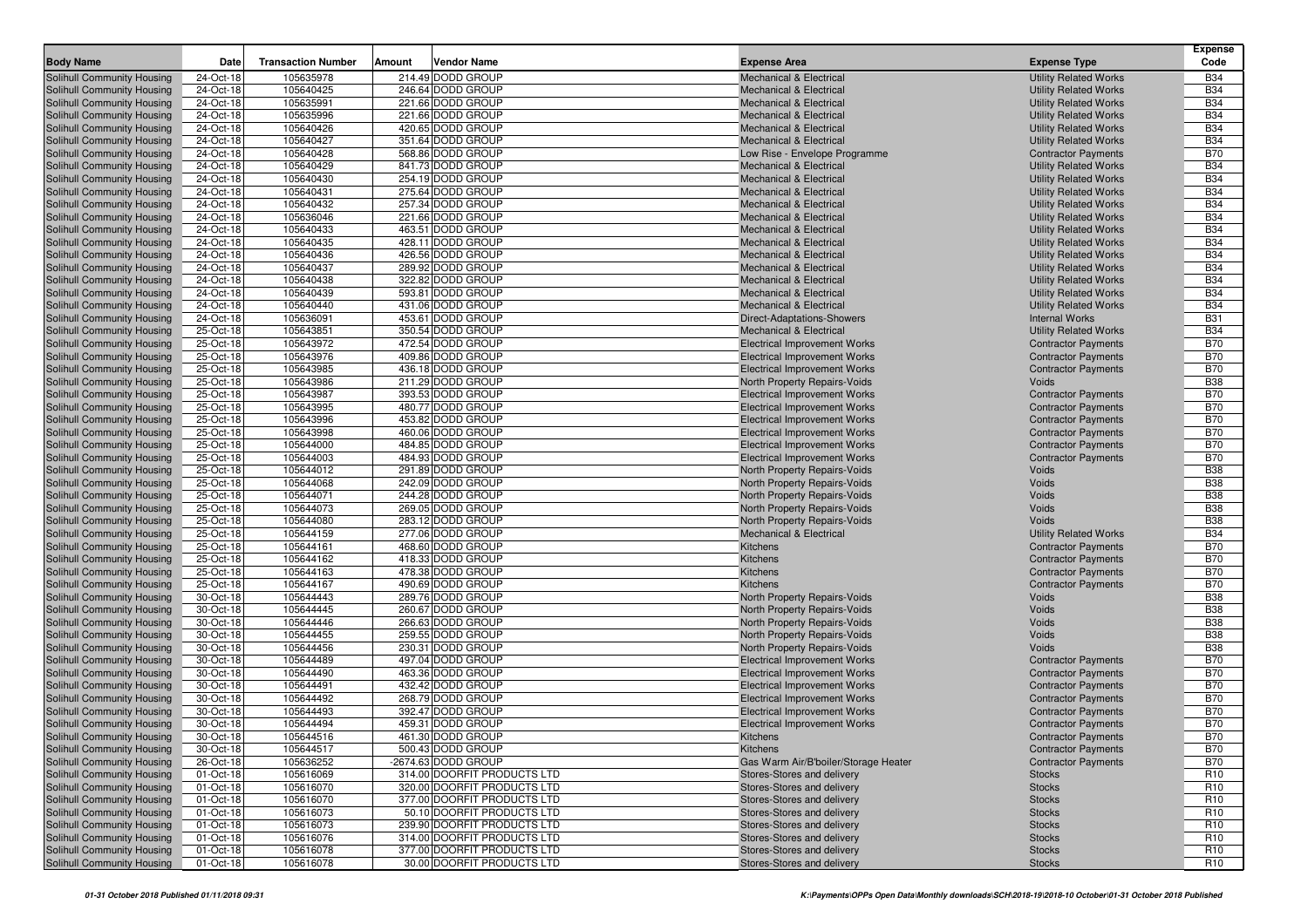| <b>Body Name</b>                                         | Date                   | <b>Transaction Number</b> | Amount | Vendor Name                                               | <b>Expense Area</b>                                                        | <b>Expense Type</b>                                      | <b>Expense</b><br>Code             |
|----------------------------------------------------------|------------------------|---------------------------|--------|-----------------------------------------------------------|----------------------------------------------------------------------------|----------------------------------------------------------|------------------------------------|
|                                                          |                        | 105635978                 |        | 214.49 DODD GROUP                                         |                                                                            | <b>Utility Related Works</b>                             | <b>B34</b>                         |
| Solihull Community Housing<br>Solihull Community Housing | 24-Oct-18<br>24-Oct-18 | 105640425                 |        | 246.64 DODD GROUP                                         | <b>Mechanical &amp; Electrical</b><br><b>Mechanical &amp; Electrical</b>   | <b>Utility Related Works</b>                             | <b>B34</b>                         |
| Solihull Community Housing                               | 24-Oct-18              | 105635991                 |        | 221.66 DODD GROUP                                         | <b>Mechanical &amp; Electrical</b>                                         | <b>Utility Related Works</b>                             | <b>B34</b>                         |
| Solihull Community Housing                               | 24-Oct-18              | 105635996                 |        | 221.66 DODD GROUP                                         | <b>Mechanical &amp; Electrical</b>                                         | <b>Utility Related Works</b>                             | <b>B34</b>                         |
| Solihull Community Housing                               | 24-Oct-18              | 105640426                 |        | 420.65 DODD GROUP                                         | <b>Mechanical &amp; Electrical</b>                                         | <b>Utility Related Works</b>                             | <b>B34</b>                         |
| Solihull Community Housing                               | 24-Oct-18              | 105640427                 |        | 351.64 DODD GROUP                                         | <b>Mechanical &amp; Electrical</b>                                         | <b>Utility Related Works</b>                             | <b>B34</b>                         |
| Solihull Community Housing                               | 24-Oct-18              | 105640428                 |        | 568.86 DODD GROUP                                         | Low Rise - Envelope Programme                                              | <b>Contractor Payments</b>                               | <b>B70</b>                         |
| Solihull Community Housing                               | 24-Oct-18              | 105640429                 |        | 841.73 DODD GROUP                                         | <b>Mechanical &amp; Electrical</b>                                         | <b>Utility Related Works</b>                             | <b>B34</b>                         |
| Solihull Community Housing                               | 24-Oct-18              | 105640430                 |        | 254.19 DODD GROUP                                         | <b>Mechanical &amp; Electrical</b>                                         | <b>Utility Related Works</b>                             | <b>B34</b>                         |
| Solihull Community Housing                               | 24-Oct-18              | 105640431                 |        | 275.64 DODD GROUP                                         | <b>Mechanical &amp; Electrical</b>                                         | <b>Utility Related Works</b>                             | <b>B34</b>                         |
| Solihull Community Housing                               | 24-Oct-18              | 105640432                 |        | 257.34 DODD GROUP                                         | <b>Mechanical &amp; Electrical</b>                                         | <b>Utility Related Works</b>                             | <b>B34</b>                         |
| Solihull Community Housing                               | 24-Oct-18              | 105636046                 |        | 221.66 DODD GROUP                                         | Mechanical & Electrical                                                    | <b>Utility Related Works</b>                             | <b>B34</b>                         |
| Solihull Community Housing                               | 24-Oct-18              | 105640433                 |        | 463.51 DODD GROUP                                         | <b>Mechanical &amp; Electrical</b>                                         | <b>Utility Related Works</b>                             | <b>B34</b>                         |
| Solihull Community Housing                               | 24-Oct-18              | 105640435                 |        | 428.11 DODD GROUP                                         | Mechanical & Electrical                                                    | <b>Utility Related Works</b>                             | <b>B34</b>                         |
| Solihull Community Housing                               | 24-Oct-18              | 105640436                 |        | 426.56 DODD GROUP                                         | <b>Mechanical &amp; Electrical</b>                                         | <b>Utility Related Works</b>                             | <b>B34</b>                         |
| Solihull Community Housing                               | 24-Oct-18              | 105640437                 |        | 289.92 DODD GROUP                                         | <b>Mechanical &amp; Electrical</b>                                         | <b>Utility Related Works</b>                             | <b>B34</b>                         |
| Solihull Community Housing                               | 24-Oct-18              | 105640438                 |        | 322.82 DODD GROUP                                         | <b>Mechanical &amp; Electrical</b>                                         | <b>Utility Related Works</b>                             | <b>B34</b>                         |
| Solihull Community Housing                               | 24-Oct-18              | 105640439                 |        | 593.81 DODD GROUP                                         | <b>Mechanical &amp; Electrical</b>                                         | <b>Utility Related Works</b>                             | <b>B34</b>                         |
| Solihull Community Housing                               | 24-Oct-18              | 105640440                 |        | 431.06 DODD GROUP                                         | <b>Mechanical &amp; Electrical</b>                                         | <b>Utility Related Works</b>                             | <b>B34</b>                         |
| Solihull Community Housing                               | 24-Oct-18              | 105636091                 |        | 453.61 DODD GROUP                                         | <b>Direct-Adaptations-Showers</b>                                          | <b>Internal Works</b>                                    | <b>B31</b>                         |
| Solihull Community Housing                               | 25-Oct-18              | 105643851                 |        | 350.54 DODD GROUP<br>472.54 DODD GROUP                    | <b>Mechanical &amp; Electrical</b>                                         | <b>Utility Related Works</b>                             | <b>B34</b><br><b>B70</b>           |
| Solihull Community Housing<br>Solihull Community Housing | 25-Oct-18<br>25-Oct-18 | 105643972<br>105643976    |        | 409.86 DODD GROUP                                         | <b>Electrical Improvement Works</b><br><b>Electrical Improvement Works</b> | <b>Contractor Payments</b><br><b>Contractor Payments</b> | <b>B70</b>                         |
| Solihull Community Housing                               | 25-Oct-18              | 105643985                 |        | 436.18 DODD GROUP                                         | <b>Electrical Improvement Works</b>                                        | <b>Contractor Payments</b>                               | <b>B70</b>                         |
| Solihull Community Housing                               | 25-Oct-18              | 105643986                 |        | 211.29 DODD GROUP                                         | North Property Repairs-Voids                                               | Voids                                                    | <b>B38</b>                         |
| Solihull Community Housing                               | 25-Oct-18              | 105643987                 |        | 393.53 DODD GROUP                                         | <b>Electrical Improvement Works</b>                                        | <b>Contractor Payments</b>                               | <b>B70</b>                         |
| Solihull Community Housing                               | 25-Oct-18              | 105643995                 |        | 480.77 DODD GROUP                                         | <b>Electrical Improvement Works</b>                                        | <b>Contractor Payments</b>                               | <b>B70</b>                         |
| Solihull Community Housing                               | 25-Oct-18              | 105643996                 |        | 453.82 DODD GROUP                                         | <b>Electrical Improvement Works</b>                                        | <b>Contractor Payments</b>                               | <b>B70</b>                         |
| Solihull Community Housing                               | 25-Oct-18              | 105643998                 |        | 460.06 DODD GROUP                                         | <b>Electrical Improvement Works</b>                                        | <b>Contractor Payments</b>                               | <b>B70</b>                         |
| Solihull Community Housing                               | 25-Oct-18              | 105644000                 |        | 484.85 DODD GROUP                                         | <b>Electrical Improvement Works</b>                                        | <b>Contractor Payments</b>                               | <b>B70</b>                         |
| Solihull Community Housing                               | 25-Oct-18              | 105644003                 |        | 484.93 DODD GROUP                                         | <b>Electrical Improvement Works</b>                                        | <b>Contractor Payments</b>                               | <b>B70</b>                         |
| Solihull Community Housing                               | 25-Oct-18              | 105644012                 |        | 291.89 DODD GROUP                                         | North Property Repairs-Voids                                               | Voids                                                    | <b>B38</b>                         |
| Solihull Community Housing                               | 25-Oct-18              | 105644068                 |        | 242.09 DODD GROUP                                         | North Property Repairs-Voids                                               | Voids                                                    | <b>B38</b>                         |
| Solihull Community Housing                               | 25-Oct-18              | 105644071                 |        | 244.28 DODD GROUP                                         | North Property Repairs-Voids                                               | Voids                                                    | <b>B38</b>                         |
| Solihull Community Housing                               | 25-Oct-18              | 105644073                 |        | 269.05 DODD GROUP                                         | North Property Repairs-Voids                                               | Voids                                                    | <b>B38</b>                         |
| Solihull Community Housing                               | 25-Oct-18              | 105644080                 |        | 283.12 DODD GROUP                                         | North Property Repairs-Voids                                               | Voids                                                    | <b>B38</b>                         |
| Solihull Community Housing                               | 25-Oct-18              | 105644159                 |        | 277.06 DODD GROUP                                         | Mechanical & Electrical                                                    | <b>Utility Related Works</b>                             | <b>B34</b>                         |
| Solihull Community Housing                               | 25-Oct-18              | 105644161                 |        | 468.60 DODD GROUP                                         | Kitchens                                                                   | <b>Contractor Payments</b>                               | <b>B70</b>                         |
| Solihull Community Housing                               | 25-Oct-18              | 105644162<br>105644163    |        | 418.33 DODD GROUP<br>478.38 DODD GROUP                    | Kitchens<br>Kitchens                                                       | <b>Contractor Payments</b>                               | <b>B70</b><br><b>B70</b>           |
| Solihull Community Housing<br>Solihull Community Housing | 25-Oct-18<br>25-Oct-18 | 105644167                 |        | 490.69 DODD GROUP                                         | Kitchens                                                                   | <b>Contractor Payments</b><br><b>Contractor Payments</b> | <b>B70</b>                         |
| Solihull Community Housing                               | 30-Oct-18              | 105644443                 |        | 289.76 DODD GROUP                                         | North Property Repairs-Voids                                               | Voids                                                    | <b>B38</b>                         |
| Solihull Community Housing                               | 30-Oct-18              | 105644445                 |        | 260.67 DODD GROUP                                         | North Property Repairs-Voids                                               | Voids                                                    | <b>B38</b>                         |
| Solihull Community Housing                               | 30-Oct-18              | 105644446                 |        | 266.63 DODD GROUP                                         | North Property Repairs-Voids                                               | Voids                                                    | <b>B38</b>                         |
| Solihull Community Housing                               | 30-Oct-18              | 105644455                 |        | 259.55 DODD GROUP                                         | North Property Repairs-Voids                                               | Voids                                                    | <b>B38</b>                         |
| Solihull Community Housing                               | 30-Oct-18              | 105644456                 |        | 230.31 DODD GROUP                                         | North Property Repairs-Voids                                               | Voids                                                    | <b>B38</b>                         |
| Solihull Community Housing                               | 30-Oct-18              | 105644489                 |        | 497.04 DODD GROUP                                         | <b>Electrical Improvement Works</b>                                        | <b>Contractor Payments</b>                               | <b>B70</b>                         |
| Solihull Community Housing                               | 30-Oct-18              | 105644490                 |        | 463.36 DODD GROUP                                         | <b>Electrical Improvement Works</b>                                        | <b>Contractor Payments</b>                               | <b>B70</b>                         |
| Solihull Community Housing                               | 30-Oct-18              | 105644491                 |        | 432.42 DODD GROUP                                         | <b>Electrical Improvement Works</b>                                        | <b>Contractor Payments</b>                               | <b>B70</b>                         |
| Solihull Community Housing                               | 30-Oct-18              | 105644492                 |        | 268.79 DODD GROUP                                         | <b>Electrical Improvement Works</b>                                        | <b>Contractor Payments</b>                               | <b>B70</b>                         |
| Solihull Community Housing                               | 30-Oct-18              | 105644493                 |        | 392.47 DODD GROUP                                         | <b>Electrical Improvement Works</b>                                        | <b>Contractor Payments</b>                               | <b>B70</b>                         |
| Solihull Community Housing                               | 30-Oct-18              | 105644494                 |        | 459.31 DODD GROUP                                         | <b>Electrical Improvement Works</b>                                        | <b>Contractor Payments</b>                               | <b>B70</b>                         |
| Solihull Community Housing                               | 30-Oct-18              | 105644516                 |        | 461.30 DODD GROUP                                         | Kitchens                                                                   | <b>Contractor Payments</b>                               | <b>B70</b>                         |
| <b>Solihull Community Housing</b>                        | 30-Oct-18              | 105644517                 |        | 500.43 DODD GROUP                                         | Kitchens                                                                   | <b>Contractor Payments</b>                               | <b>B70</b>                         |
| Solihull Community Housing                               | 26-Oct-18              | 105636252                 |        | -2674.63 DODD GROUP                                       | Gas Warm Air/B'boiler/Storage Heater                                       | <b>Contractor Payments</b>                               | <b>B70</b>                         |
| Solihull Community Housing                               | 01-Oct-18              | 105616069                 |        | 314.00 DOORFIT PRODUCTS LTD                               | Stores-Stores and delivery                                                 | <b>Stocks</b>                                            | R <sub>10</sub>                    |
| Solihull Community Housing                               | 01-Oct-18              | 105616070                 |        | 320.00 DOORFIT PRODUCTS LTD                               | Stores-Stores and delivery                                                 | <b>Stocks</b>                                            | R <sub>10</sub>                    |
| Solihull Community Housing<br>Solihull Community Housing | 01-Oct-18              | 105616070                 |        | 377.00 DOORFIT PRODUCTS LTD                               | Stores-Stores and delivery                                                 | <b>Stocks</b>                                            | R <sub>10</sub>                    |
| Solihull Community Housing                               | 01-Oct-18<br>01-Oct-18 | 105616073<br>105616073    |        | 50.10 DOORFIT PRODUCTS LTD<br>239.90 DOORFIT PRODUCTS LTD | Stores-Stores and delivery<br>Stores-Stores and delivery                   | <b>Stocks</b><br><b>Stocks</b>                           | R <sub>10</sub><br>R <sub>10</sub> |
| Solihull Community Housing                               | 01-Oct-18              | 105616076                 |        | 314.00 DOORFIT PRODUCTS LTD                               | Stores-Stores and delivery                                                 | <b>Stocks</b>                                            | R <sub>10</sub>                    |
| Solihull Community Housing                               | 01-Oct-18              | 105616078                 |        | 377.00 DOORFIT PRODUCTS LTD                               | Stores-Stores and delivery                                                 | <b>Stocks</b>                                            | R <sub>10</sub>                    |
| Solihull Community Housing                               | 01-Oct-18              | 105616078                 |        | 30.00 DOORFIT PRODUCTS LTD                                | Stores-Stores and delivery                                                 | <b>Stocks</b>                                            | R <sub>10</sub>                    |
|                                                          |                        |                           |        |                                                           |                                                                            |                                                          |                                    |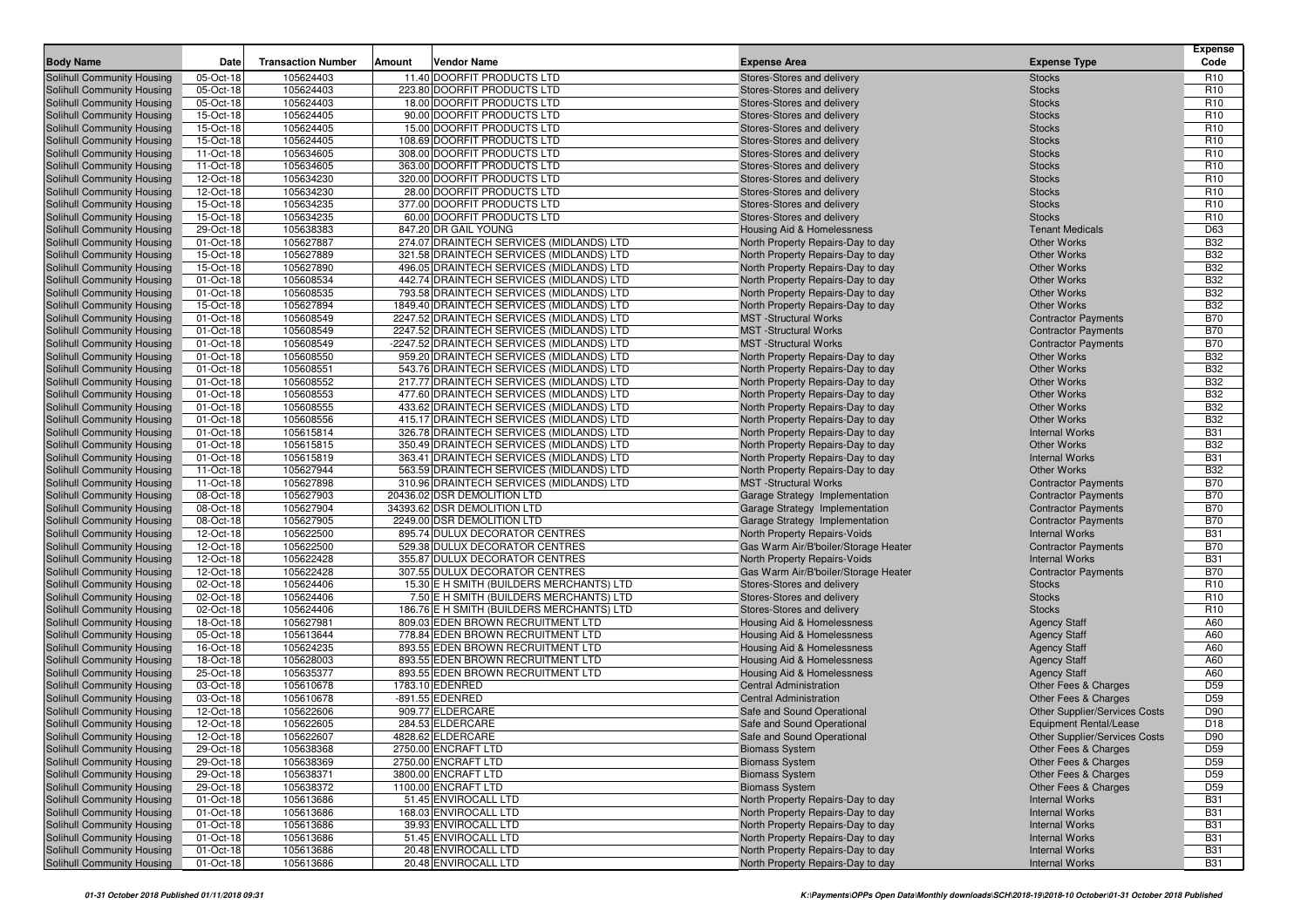| <b>Body Name</b>                                         | Date                   | <b>Transaction Number</b> | Vendor Name<br>Amount                                                                | <b>Expense Area</b>                                                    | <b>Expense Type</b>                          | <b>Expense</b><br>Code   |
|----------------------------------------------------------|------------------------|---------------------------|--------------------------------------------------------------------------------------|------------------------------------------------------------------------|----------------------------------------------|--------------------------|
| Solihull Community Housing                               | 05-Oct-18              | 105624403                 | 11.40 DOORFIT PRODUCTS LTD                                                           | Stores-Stores and delivery                                             | <b>Stocks</b>                                | R <sub>10</sub>          |
| Solihull Community Housing                               | 05-Oct-18              | 105624403                 | 223.80 DOORFIT PRODUCTS LTD                                                          | Stores-Stores and delivery                                             | <b>Stocks</b>                                | R <sub>10</sub>          |
| Solihull Community Housing                               | 05-Oct-18              | 105624403                 | 18.00 DOORFIT PRODUCTS LTD                                                           | Stores-Stores and delivery                                             | <b>Stocks</b>                                | R <sub>10</sub>          |
| Solihull Community Housing                               | 15-Oct-18              | 105624405                 | 90.00 DOORFIT PRODUCTS LTD                                                           | Stores-Stores and delivery                                             | <b>Stocks</b>                                | R <sub>10</sub>          |
| Solihull Community Housing                               | 15-Oct-18              | 105624405                 | 15.00 DOORFIT PRODUCTS LTD                                                           | Stores-Stores and delivery                                             | <b>Stocks</b>                                | R <sub>10</sub>          |
| Solihull Community Housing                               | 15-Oct-18              | 105624405                 | 108.69 DOORFIT PRODUCTS LTD                                                          | Stores-Stores and delivery                                             | <b>Stocks</b>                                | R <sub>10</sub>          |
| Solihull Community Housing                               | 11-Oct-18              | 105634605                 | 308.00 DOORFIT PRODUCTS LTD                                                          | Stores-Stores and delivery                                             | <b>Stocks</b>                                | R <sub>10</sub>          |
| Solihull Community Housing                               | 11-Oct-18              | 105634605                 | 363.00 DOORFIT PRODUCTS LTD                                                          | Stores-Stores and delivery                                             | <b>Stocks</b>                                | R <sub>10</sub>          |
| Solihull Community Housing                               | 12-Oct-18              | 105634230                 | 320.00 DOORFIT PRODUCTS LTD                                                          | Stores-Stores and delivery                                             | <b>Stocks</b>                                | R <sub>10</sub>          |
| Solihull Community Housing                               | 12-Oct-18              | 105634230                 | 28.00 DOORFIT PRODUCTS LTD                                                           | Stores-Stores and delivery                                             | <b>Stocks</b>                                | R <sub>10</sub>          |
| Solihull Community Housing                               | 15-Oct-18              | 105634235                 | 377.00 DOORFIT PRODUCTS LTD                                                          | Stores-Stores and delivery                                             | <b>Stocks</b>                                | R <sub>10</sub>          |
| Solihull Community Housing                               | 15-Oct-18              | 105634235                 | 60.00 DOORFIT PRODUCTS LTD                                                           | Stores-Stores and delivery                                             | <b>Stocks</b>                                | R <sub>10</sub>          |
| Solihull Community Housing                               | 29-Oct-18              | 105638383                 | 847.20 DR GAIL YOUNG                                                                 | Housing Aid & Homelessness                                             | <b>Tenant Medicals</b>                       | D63                      |
| Solihull Community Housing                               | 01-Oct-18              | 105627887                 | 274.07 DRAINTECH SERVICES (MIDLANDS) LTD                                             | North Property Repairs-Day to day                                      | <b>Other Works</b>                           | <b>B32</b>               |
| Solihull Community Housing                               | 15-Oct-18              | 105627889                 | 321.58 DRAINTECH SERVICES (MIDLANDS) LTD                                             | North Property Repairs-Day to day                                      | <b>Other Works</b>                           | <b>B32</b>               |
| Solihull Community Housing                               | 15-Oct-18              | 105627890                 | 496.05 DRAINTECH SERVICES (MIDLANDS) LTD                                             | North Property Repairs-Day to day                                      | <b>Other Works</b>                           | <b>B32</b>               |
| Solihull Community Housing                               | 01-Oct-18              | 105608534                 | 442.74 DRAINTECH SERVICES (MIDLANDS) LTD                                             | North Property Repairs-Day to day                                      | <b>Other Works</b>                           | <b>B32</b>               |
| Solihull Community Housing                               | 01-Oct-18              | 105608535                 | 793.58 DRAINTECH SERVICES (MIDLANDS) LTD                                             | North Property Repairs-Day to day                                      | <b>Other Works</b>                           | <b>B32</b>               |
| Solihull Community Housing                               | 15-Oct-18              | 105627894                 | 1849.40 DRAINTECH SERVICES (MIDLANDS) LTD                                            | North Property Repairs-Day to day                                      | <b>Other Works</b>                           | <b>B32</b>               |
| Solihull Community Housing                               | 01-Oct-18              | 105608549                 | 2247.52 DRAINTECH SERVICES (MIDLANDS) LTD                                            | <b>MST</b> -Structural Works                                           | <b>Contractor Payments</b>                   | <b>B70</b>               |
| Solihull Community Housing                               | 01-Oct-18              | 105608549                 | 2247.52 DRAINTECH SERVICES (MIDLANDS) LTD                                            | <b>MST</b> -Structural Works                                           | <b>Contractor Payments</b>                   | <b>B70</b>               |
| Solihull Community Housing                               | 01-Oct-18              | 105608549                 | -2247.52 DRAINTECH SERVICES (MIDLANDS) LTD                                           | <b>MST</b> -Structural Works                                           | <b>Contractor Payments</b>                   | <b>B70</b>               |
| Solihull Community Housing                               | 01-Oct-18              | 105608550                 | 959.20 DRAINTECH SERVICES (MIDLANDS) LTD                                             | North Property Repairs-Day to day                                      | <b>Other Works</b><br><b>Other Works</b>     | <b>B32</b>               |
| Solihull Community Housing                               | 01-Oct-18              | 105608551                 | 543.76 DRAINTECH SERVICES (MIDLANDS) LTD                                             | North Property Repairs-Day to day                                      | <b>Other Works</b>                           | <b>B32</b>               |
| Solihull Community Housing                               | 01-Oct-18              | 105608552<br>105608553    | 217.77 DRAINTECH SERVICES (MIDLANDS) LTD<br>477.60 DRAINTECH SERVICES (MIDLANDS) LTD | North Property Repairs-Day to day                                      | <b>Other Works</b>                           | <b>B32</b><br><b>B32</b> |
| Solihull Community Housing<br>Solihull Community Housing | 01-Oct-18              | 105608555                 | 433.62 DRAINTECH SERVICES (MIDLANDS) LTD                                             | North Property Repairs-Day to day                                      | <b>Other Works</b>                           | <b>B32</b>               |
| Solihull Community Housing                               | 01-Oct-18<br>01-Oct-18 | 105608556                 | 415.17 DRAINTECH SERVICES (MIDLANDS) LTD                                             | North Property Repairs-Day to day<br>North Property Repairs-Day to day | <b>Other Works</b>                           | <b>B32</b>               |
| Solihull Community Housing                               | 01-Oct-18              | 105615814                 | 326.78 DRAINTECH SERVICES (MIDLANDS) LTD                                             | North Property Repairs-Day to day                                      | <b>Internal Works</b>                        | <b>B31</b>               |
| Solihull Community Housing                               | 01-Oct-18              | 105615815                 | 350.49 DRAINTECH SERVICES (MIDLANDS) LTD                                             | North Property Repairs-Day to day                                      | <b>Other Works</b>                           | <b>B32</b>               |
| Solihull Community Housing                               | 01-Oct-18              | 105615819                 | 363.41 DRAINTECH SERVICES (MIDLANDS) LTD                                             | North Property Repairs-Day to day                                      | <b>Internal Works</b>                        | <b>B31</b>               |
| Solihull Community Housing                               | 11-Oct-18              | 105627944                 | 563.59 DRAINTECH SERVICES (MIDLANDS) LTD                                             | North Property Repairs-Day to day                                      | <b>Other Works</b>                           | <b>B32</b>               |
| Solihull Community Housing                               | 11-Oct-18              | 105627898                 | 310.96 DRAINTECH SERVICES (MIDLANDS) LTD                                             | <b>MST</b> -Structural Works                                           | <b>Contractor Payments</b>                   | <b>B70</b>               |
| Solihull Community Housing                               | 08-Oct-18              | 105627903                 | 20436.02 DSR DEMOLITION LTD                                                          | Garage Strategy Implementation                                         | <b>Contractor Payments</b>                   | <b>B70</b>               |
| Solihull Community Housing                               | 08-Oct-18              | 105627904                 | 34393.62 DSR DEMOLITION LTD                                                          | Garage Strategy Implementation                                         | <b>Contractor Payments</b>                   | <b>B70</b>               |
| Solihull Community Housing                               | 08-Oct-18              | 105627905                 | 2249.00 DSR DEMOLITION LTD                                                           | Garage Strategy Implementation                                         | <b>Contractor Payments</b>                   | <b>B70</b>               |
| Solihull Community Housing                               | 12-Oct-18              | 105622500                 | 895.74 DULUX DECORATOR CENTRES                                                       | North Property Repairs-Voids                                           | <b>Internal Works</b>                        | <b>B31</b>               |
| Solihull Community Housing                               | 12-Oct-18              | 105622500                 | 529.38 DULUX DECORATOR CENTRES                                                       | Gas Warm Air/B'boiler/Storage Heater                                   | <b>Contractor Payments</b>                   | <b>B70</b>               |
| Solihull Community Housing                               | 12-Oct-18              | 105622428                 | 355.87 DULUX DECORATOR CENTRES                                                       | North Property Repairs-Voids                                           | <b>Internal Works</b>                        | <b>B31</b>               |
| Solihull Community Housing                               | 12-Oct-18              | 105622428                 | 307.55 DULUX DECORATOR CENTRES                                                       | Gas Warm Air/B'boiler/Storage Heater                                   | <b>Contractor Payments</b>                   | <b>B70</b>               |
| Solihull Community Housing                               | 02-Oct-18              | 105624406                 | 15.30 E H SMITH (BUILDERS MERCHANTS) LTD                                             | Stores-Stores and delivery                                             | <b>Stocks</b>                                | R <sub>10</sub>          |
| Solihull Community Housing                               | 02-Oct-18              | 105624406                 | 7.50 E H SMITH (BUILDERS MERCHANTS) LTD                                              | Stores-Stores and delivery                                             | <b>Stocks</b>                                | R <sub>10</sub>          |
| Solihull Community Housing                               | 02-Oct-18              | 105624406                 | 186.76 E H SMITH (BUILDERS MERCHANTS) LTD                                            | Stores-Stores and delivery                                             | <b>Stocks</b>                                | R <sub>10</sub>          |
| Solihull Community Housing                               | 18-Oct-18              | 105627981                 | 809.03 EDEN BROWN RECRUITMENT LTD                                                    | Housing Aid & Homelessness                                             | <b>Agency Staff</b>                          | A60                      |
| Solihull Community Housing                               | 05-Oct-18              | 105613644                 | 778.84 EDEN BROWN RECRUITMENT LTD                                                    | Housing Aid & Homelessness                                             | <b>Agency Staff</b>                          | A60                      |
| Solihull Community Housing                               | 16-Oct-18              | 105624235                 | 893.55 EDEN BROWN RECRUITMENT LTD                                                    | Housing Aid & Homelessness                                             | <b>Agency Staff</b>                          | A60                      |
| Solihull Community Housing                               | 18-Oct-18              | 105628003                 | 893.55 EDEN BROWN RECRUITMENT LTD                                                    | Housing Aid & Homelessness                                             | <b>Agency Staff</b>                          | A60                      |
| Solihull Community Housing                               | 25-Oct-18              | 105635377                 | 893.55 EDEN BROWN RECRUITMENT LTD                                                    | Housing Aid & Homelessness                                             | <b>Agency Staff</b>                          | A60                      |
| Solihull Community Housing                               | 03-Oct-18              | 105610678                 | 1783.10 EDENRED                                                                      | <b>Central Administration</b>                                          | Other Fees & Charges                         | D <sub>59</sub>          |
| Solihull Community Housing                               | 03-Oct-18              | 105610678                 | -891.55 EDENRED                                                                      | <b>Central Administration</b>                                          | Other Fees & Charges                         | D <sub>59</sub>          |
| Solihull Community Housing                               | 12-Oct-18              | 105622606                 | 909.77 ELDERCARE                                                                     | Safe and Sound Operational                                             | <b>Other Supplier/Services Costs</b>         | D90                      |
| Solihull Community Housing                               | 12-Oct-18              | 105622605                 | 284.53 ELDERCARE                                                                     | Safe and Sound Operational                                             | <b>Equipment Rental/Lease</b>                | D <sub>18</sub>          |
| Solihull Community Housing                               | 12-Oct-18<br>29-Oct-18 | 105622607                 | 4828.62 ELDERCARE<br>2750.00 ENCRAFT LTD                                             | Safe and Sound Operational                                             | Other Supplier/Services Costs                | D90<br>D <sub>59</sub>   |
| Solihull Community Housing                               |                        | 105638368                 |                                                                                      | <b>Biomass System</b>                                                  | Other Fees & Charges                         |                          |
| Solihull Community Housing<br>Solihull Community Housing | 29-Oct-18              | 105638369<br>105638371    | 2750.00 ENCRAFT LTD<br>3800.00 ENCRAFT LTD                                           | <b>Biomass System</b><br><b>Biomass System</b>                         | Other Fees & Charges                         | D59<br>D <sub>59</sub>   |
| Solihull Community Housing                               | 29-Oct-18<br>29-Oct-18 | 105638372                 | 1100.00 ENCRAFT LTD                                                                  | <b>Biomass System</b>                                                  | Other Fees & Charges<br>Other Fees & Charges | D <sub>59</sub>          |
| Solihull Community Housing                               | 01-Oct-18              | 105613686                 | 51.45 ENVIROCALL LTD                                                                 | North Property Repairs-Day to day                                      | <b>Internal Works</b>                        | <b>B31</b>               |
| Solihull Community Housing                               | 01-Oct-18              | 105613686                 | 168.03 ENVIROCALL LTD                                                                | North Property Repairs-Day to day                                      | <b>Internal Works</b>                        | <b>B31</b>               |
| Solihull Community Housing                               | 01-Oct-18              | 105613686                 | 39.93 ENVIROCALL LTD                                                                 | North Property Repairs-Day to day                                      | <b>Internal Works</b>                        | <b>B31</b>               |
| Solihull Community Housing                               | 01-Oct-18              | 105613686                 | 51.45 ENVIROCALL LTD                                                                 | North Property Repairs-Day to day                                      | <b>Internal Works</b>                        | <b>B31</b>               |
| Solihull Community Housing                               | 01-Oct-18              | 105613686                 | 20.48 ENVIROCALL LTD                                                                 | North Property Repairs-Day to day                                      | <b>Internal Works</b>                        | <b>B31</b>               |
| Solihull Community Housing                               | 01-Oct-18              | 105613686                 | 20.48 ENVIROCALL LTD                                                                 | North Property Repairs-Day to day                                      | <b>Internal Works</b>                        | <b>B31</b>               |
|                                                          |                        |                           |                                                                                      |                                                                        |                                              |                          |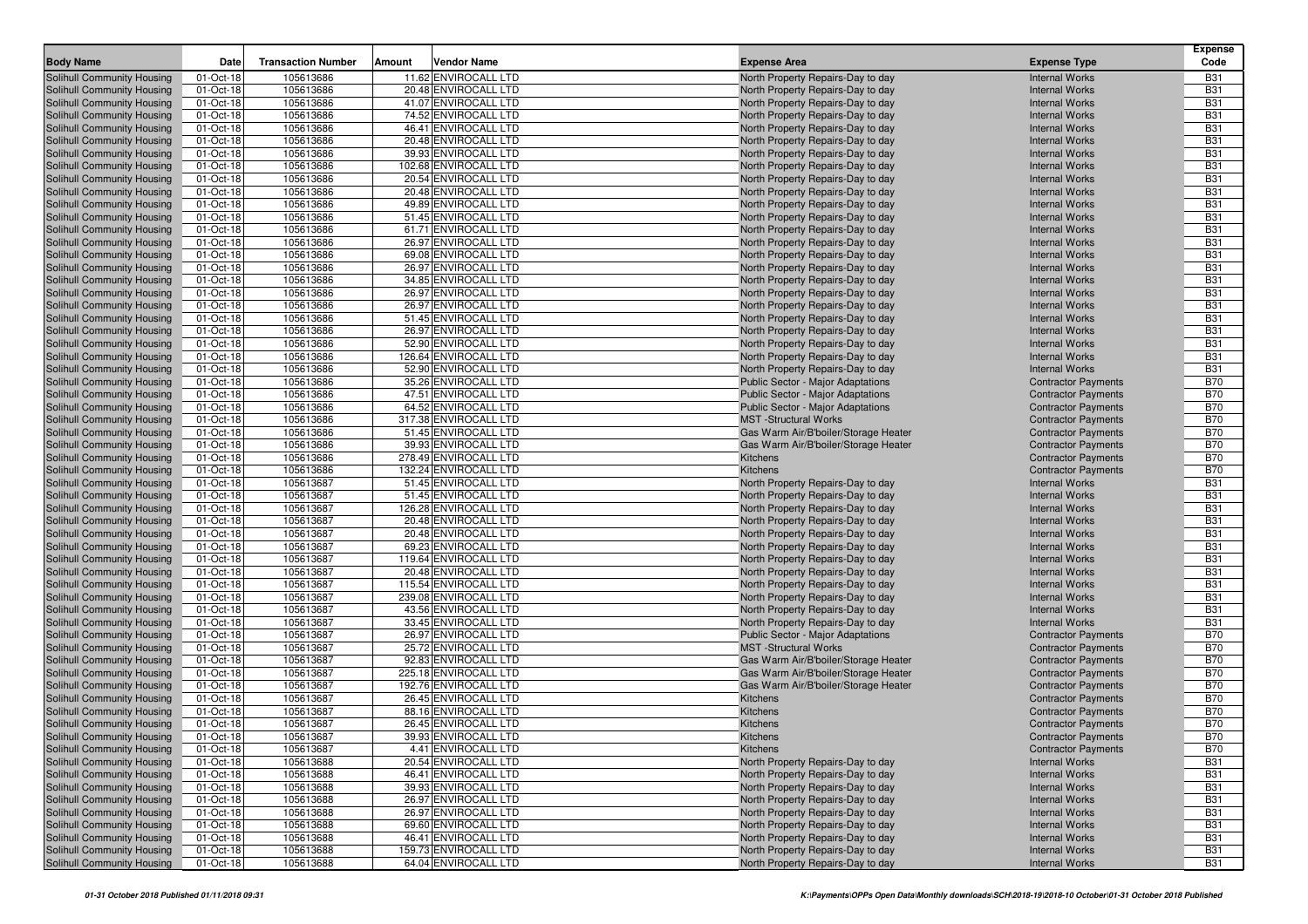| <b>Body Name</b>                                         | Date                   | <b>Transaction Number</b> | Vendor Name<br>Amount                        | <b>Expense Area</b>                                                    | <b>Expense Type</b>                            | <b>Expense</b><br>Code   |
|----------------------------------------------------------|------------------------|---------------------------|----------------------------------------------|------------------------------------------------------------------------|------------------------------------------------|--------------------------|
| Solihull Community Housing                               | 01-Oct-18              | 105613686                 | 11.62 ENVIROCALL LTD                         | North Property Repairs-Day to day                                      | <b>Internal Works</b>                          | <b>B31</b>               |
| Solihull Community Housing                               | 01-Oct-18              | 105613686                 | 20.48 ENVIROCALL LTD                         | North Property Repairs-Day to day                                      | <b>Internal Works</b>                          | <b>B31</b>               |
| Solihull Community Housing                               | 01-Oct-18              | 105613686                 | 41.07 ENVIROCALL LTD                         | North Property Repairs-Day to day                                      | <b>Internal Works</b>                          | <b>B31</b>               |
| Solihull Community Housing                               | 01-Oct-18              | 105613686                 | 74.52 ENVIROCALL LTD                         | North Property Repairs-Day to day                                      | <b>Internal Works</b>                          | <b>B31</b>               |
| Solihull Community Housing                               | 01-Oct-18              | 105613686                 | 46.41 ENVIROCALL LTD                         | North Property Repairs-Day to day                                      | <b>Internal Works</b>                          | <b>B31</b>               |
| Solihull Community Housing                               | 01-Oct-18              | 105613686                 | 20.48 ENVIROCALL LTD                         | North Property Repairs-Day to day                                      | <b>Internal Works</b>                          | <b>B31</b>               |
| Solihull Community Housing                               | 01-Oct-18              | 105613686                 | 39.93 ENVIROCALL LTD                         | North Property Repairs-Day to day                                      | <b>Internal Works</b>                          | <b>B31</b>               |
| Solihull Community Housing                               | 01-Oct-18              | 105613686                 | 102.68 ENVIROCALL LTD                        | North Property Repairs-Day to day                                      | <b>Internal Works</b>                          | <b>B31</b>               |
| Solihull Community Housing                               | 01-Oct-18              | 105613686                 | 20.54 ENVIROCALL LTD                         | North Property Repairs-Day to day                                      | <b>Internal Works</b>                          | <b>B31</b>               |
| Solihull Community Housing                               | 01-Oct-18              | 105613686                 | 20.48 ENVIROCALL LTD                         | North Property Repairs-Day to day                                      | <b>Internal Works</b>                          | <b>B31</b>               |
| Solihull Community Housing                               | 01-Oct-18              | 105613686                 | 49.89 ENVIROCALL LTD                         | North Property Repairs-Day to day                                      | <b>Internal Works</b>                          | <b>B31</b>               |
| Solihull Community Housing                               | 01-Oct-18              | 105613686                 | 51.45 ENVIROCALL LTD                         | North Property Repairs-Day to day                                      | <b>Internal Works</b>                          | <b>B31</b>               |
| <b>Solihull Community Housing</b>                        | 01-Oct-18              | 105613686                 | 61.71 ENVIROCALL LTD                         | North Property Repairs-Day to day                                      | <b>Internal Works</b>                          | <b>B31</b>               |
| Solihull Community Housing                               | 01-Oct-18              | 105613686                 | 26.97 ENVIROCALL LTD                         | North Property Repairs-Day to day                                      | <b>Internal Works</b>                          | <b>B31</b>               |
| Solihull Community Housing                               | 01-Oct-18              | 105613686                 | 69.08 ENVIROCALL LTD                         | North Property Repairs-Day to day                                      | <b>Internal Works</b>                          | <b>B31</b>               |
| Solihull Community Housing                               | 01-Oct-18              | 105613686                 | 26.97 ENVIROCALL LTD                         | North Property Repairs-Day to day                                      | <b>Internal Works</b>                          | <b>B31</b>               |
| Solihull Community Housing                               | 01-Oct-18              | 105613686                 | 34.85 ENVIROCALL LTD<br>26.97 ENVIROCALL LTD | North Property Repairs-Day to day                                      | <b>Internal Works</b>                          | <b>B31</b><br><b>B31</b> |
| Solihull Community Housing<br>Solihull Community Housing | 01-Oct-18<br>01-Oct-18 | 105613686<br>105613686    | 26.97 ENVIROCALL LTD                         | North Property Repairs-Day to day<br>North Property Repairs-Day to day | <b>Internal Works</b><br><b>Internal Works</b> | <b>B31</b>               |
| Solihull Community Housing                               | 01-Oct-18              | 105613686                 | 51.45 ENVIROCALL LTD                         | North Property Repairs-Day to day                                      | <b>Internal Works</b>                          | <b>B31</b>               |
| Solihull Community Housing                               | 01-Oct-18              | 105613686                 | 26.97 ENVIROCALL LTD                         | North Property Repairs-Day to day                                      | <b>Internal Works</b>                          | <b>B31</b>               |
| Solihull Community Housing                               | 01-Oct-18              | 105613686                 | 52.90 ENVIROCALL LTD                         | North Property Repairs-Day to day                                      | <b>Internal Works</b>                          | <b>B31</b>               |
| Solihull Community Housing                               | 01-Oct-18              | 105613686                 | 126.64 ENVIROCALL LTD                        | North Property Repairs-Day to day                                      | <b>Internal Works</b>                          | <b>B31</b>               |
| Solihull Community Housing                               | 01-Oct-18              | 105613686                 | 52.90 ENVIROCALL LTD                         | North Property Repairs-Day to day                                      | <b>Internal Works</b>                          | <b>B31</b>               |
| Solihull Community Housing                               | 01-Oct-18              | 105613686                 | 35.26 ENVIROCALL LTD                         | <b>Public Sector - Major Adaptations</b>                               | <b>Contractor Payments</b>                     | <b>B70</b>               |
| Solihull Community Housing                               | 01-Oct-18              | 105613686                 | 47.51 ENVIROCALL LTD                         | <b>Public Sector - Major Adaptations</b>                               | <b>Contractor Payments</b>                     | <b>B70</b>               |
| Solihull Community Housing                               | 01-Oct-18              | 105613686                 | 64.52 ENVIROCALL LTD                         | Public Sector - Major Adaptations                                      | <b>Contractor Payments</b>                     | <b>B70</b>               |
| Solihull Community Housing                               | 01-Oct-18              | 105613686                 | 317.38 ENVIROCALL LTD                        | <b>MST</b> -Structural Works                                           | <b>Contractor Payments</b>                     | <b>B70</b>               |
| Solihull Community Housing                               | 01-Oct-18              | 105613686                 | 51.45 ENVIROCALL LTD                         | Gas Warm Air/B'boiler/Storage Heater                                   | <b>Contractor Payments</b>                     | <b>B70</b>               |
| Solihull Community Housing                               | 01-Oct-18              | 105613686                 | 39.93 ENVIROCALL LTD                         | Gas Warm Air/B'boiler/Storage Heater                                   | <b>Contractor Payments</b>                     | <b>B70</b>               |
| Solihull Community Housing                               | 01-Oct-18              | 105613686                 | 278.49 ENVIROCALL LTD                        | Kitchens                                                               | <b>Contractor Payments</b>                     | <b>B70</b>               |
| Solihull Community Housing                               | 01-Oct-18              | 105613686                 | 132.24 ENVIROCALL LTD                        | Kitchens                                                               | <b>Contractor Payments</b>                     | <b>B70</b>               |
| Solihull Community Housing                               | 01-Oct-18              | 105613687                 | 51.45 ENVIROCALL LTD                         | North Property Repairs-Day to day                                      | <b>Internal Works</b>                          | <b>B31</b>               |
| Solihull Community Housing                               | 01-Oct-18              | 105613687                 | 51.45 ENVIROCALL LTD                         | North Property Repairs-Day to day                                      | <b>Internal Works</b>                          | <b>B31</b>               |
| Solihull Community Housing                               | 01-Oct-18              | 105613687                 | 126.28 ENVIROCALL LTD                        | North Property Repairs-Day to day                                      | <b>Internal Works</b>                          | <b>B31</b>               |
| Solihull Community Housing                               | 01-Oct-18              | 105613687                 | 20.48 ENVIROCALL LTD                         | North Property Repairs-Day to day                                      | <b>Internal Works</b>                          | <b>B31</b>               |
| Solihull Community Housing<br>Solihull Community Housing | 01-Oct-18<br>01-Oct-18 | 105613687<br>105613687    | 20.48 ENVIROCALL LTD<br>69.23 ENVIROCALL LTD | North Property Repairs-Day to day                                      | <b>Internal Works</b><br><b>Internal Works</b> | <b>B31</b><br><b>B31</b> |
| Solihull Community Housing                               | 01-Oct-18              | 105613687                 | 119.64 ENVIROCALL LTD                        | North Property Repairs-Day to day<br>North Property Repairs-Day to day | <b>Internal Works</b>                          | <b>B31</b>               |
| Solihull Community Housing                               | 01-Oct-18              | 105613687                 | 20.48 ENVIROCALL LTD                         | North Property Repairs-Day to day                                      | <b>Internal Works</b>                          | <b>B31</b>               |
| Solihull Community Housing                               | 01-Oct-18              | 105613687                 | 115.54 ENVIROCALL LTD                        | North Property Repairs-Day to day                                      | <b>Internal Works</b>                          | <b>B31</b>               |
| Solihull Community Housing                               | 01-Oct-18              | 105613687                 | 239.08 ENVIROCALL LTD                        | North Property Repairs-Day to day                                      | <b>Internal Works</b>                          | <b>B31</b>               |
| Solihull Community Housing                               | 01-Oct-18              | 105613687                 | 43.56 ENVIROCALL LTD                         | North Property Repairs-Day to day                                      | <b>Internal Works</b>                          | <b>B31</b>               |
| Solihull Community Housing                               | 01-Oct-18              | 105613687                 | 33.45 ENVIROCALL LTD                         | North Property Repairs-Day to day                                      | <b>Internal Works</b>                          | <b>B31</b>               |
| Solihull Community Housing                               | 01-Oct-18              | 105613687                 | 26.97 ENVIROCALL LTD                         | Public Sector - Major Adaptations                                      | <b>Contractor Payments</b>                     | <b>B70</b>               |
| Solihull Community Housing                               | 01-Oct-18              | 105613687                 | 25.72 ENVIROCALL LTD                         | <b>MST</b> -Structural Works                                           | <b>Contractor Payments</b>                     | <b>B70</b>               |
| Solihull Community Housing                               | 01-Oct-18              | 105613687                 | 92.83 ENVIROCALL LTD                         | Gas Warm Air/B'boiler/Storage Heater                                   | <b>Contractor Payments</b>                     | <b>B70</b>               |
| Solihull Community Housing                               | 01-Oct-18              | 105613687                 | 225.18 ENVIROCALL LTD                        | Gas Warm Air/B'boiler/Storage Heater                                   | <b>Contractor Payments</b>                     | <b>B70</b>               |
| Solihull Community Housing                               | 01-Oct-18              | 105613687                 | 192.76 ENVIROCALL LTD                        | Gas Warm Air/B'boiler/Storage Heater                                   | <b>Contractor Payments</b>                     | <b>B70</b>               |
| Solihull Community Housing                               | 01-Oct-18              | 105613687                 | 26.45 ENVIROCALL LTD                         | Kitchens                                                               | <b>Contractor Payments</b>                     | <b>B70</b>               |
| Solihull Community Housing                               | 01-Oct-18              | 105613687                 | 88.16 ENVIROCALL LTD                         | Kitchens                                                               | <b>Contractor Payments</b>                     | <b>B70</b>               |
| Solihull Community Housing                               | 01-Oct-18              | 105613687                 | 26.45 ENVIROCALL LTD                         | Kitchens                                                               | <b>Contractor Payments</b>                     | <b>B70</b>               |
| Solihull Community Housing                               | 01-Oct-18              | 105613687                 | 39.93 ENVIROCALL LTD                         | Kitchens                                                               | <b>Contractor Payments</b>                     | <b>B70</b>               |
| <b>Solihull Community Housing</b>                        | 01-Oct-18              | 105613687                 | 4.41 ENVIROCALL LTD                          | Kitchens                                                               | <b>Contractor Payments</b>                     | <b>B70</b>               |
| Solihull Community Housing                               | 01-Oct-18              | 105613688                 | 20.54 ENVIROCALL LTD                         | North Property Repairs-Day to day                                      | <b>Internal Works</b>                          | <b>B31</b>               |
| Solihull Community Housing                               | 01-Oct-18              | 105613688                 | 46.41 ENVIROCALL LTD                         | North Property Repairs-Day to day                                      | <b>Internal Works</b>                          | <b>B31</b>               |
| Solihull Community Housing                               | 01-Oct-18              | 105613688                 | 39.93 ENVIROCALL LTD                         | North Property Repairs-Day to day                                      | <b>Internal Works</b>                          | <b>B31</b>               |
| Solihull Community Housing<br>Solihull Community Housing | 01-Oct-18              | 105613688                 | 26.97 ENVIROCALL LTD                         | North Property Repairs-Day to day                                      | <b>Internal Works</b>                          | <b>B31</b><br><b>B31</b> |
| Solihull Community Housing                               | 01-Oct-18<br>01-Oct-18 | 105613688<br>105613688    | 26.97 ENVIROCALL LTD<br>69.60 ENVIROCALL LTD | North Property Repairs-Day to day<br>North Property Repairs-Day to day | <b>Internal Works</b><br><b>Internal Works</b> | <b>B31</b>               |
| Solihull Community Housing                               | 01-Oct-18              | 105613688                 | 46.41 ENVIROCALL LTD                         | North Property Repairs-Day to day                                      | <b>Internal Works</b>                          | <b>B31</b>               |
| Solihull Community Housing                               | 01-Oct-18              | 105613688                 | 159.73 ENVIROCALL LTD                        | North Property Repairs-Day to day                                      | <b>Internal Works</b>                          | <b>B31</b>               |
| Solihull Community Housing                               | 01-Oct-18              | 105613688                 | 64.04 ENVIROCALL LTD                         | North Property Repairs-Day to day                                      | <b>Internal Works</b>                          | <b>B31</b>               |
|                                                          |                        |                           |                                              |                                                                        |                                                |                          |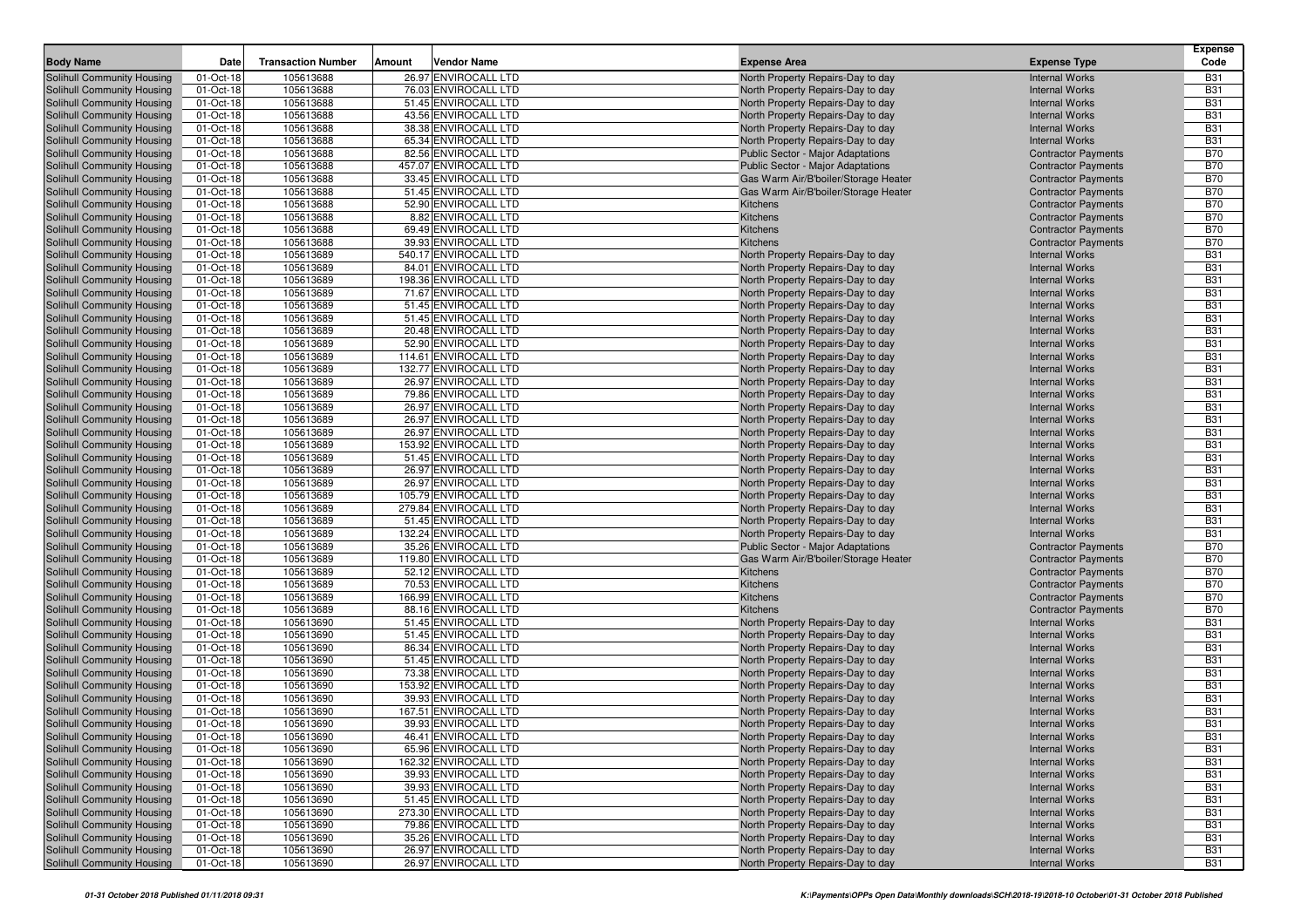|                                   |           | <b>Transaction Number</b> |        | Vendor Name           |                                          |                            | Expense<br>Code |
|-----------------------------------|-----------|---------------------------|--------|-----------------------|------------------------------------------|----------------------------|-----------------|
| <b>Body Name</b>                  | Date      |                           | Amount |                       | <b>Expense Area</b>                      | <b>Expense Type</b>        |                 |
| Solihull Community Housing        | 01-Oct-18 | 105613688                 |        | 26.97 ENVIROCALL LTD  | North Property Repairs-Day to day        | <b>Internal Works</b>      | <b>B31</b>      |
| Solihull Community Housing        | 01-Oct-18 | 105613688                 |        | 76.03 ENVIROCALL LTD  | North Property Repairs-Day to day        | <b>Internal Works</b>      | <b>B31</b>      |
| Solihull Community Housing        | 01-Oct-18 | 105613688                 |        | 51.45 ENVIROCALL LTD  | North Property Repairs-Day to day        | <b>Internal Works</b>      | <b>B31</b>      |
| Solihull Community Housing        | 01-Oct-18 | 105613688                 |        | 43.56 ENVIROCALL LTD  | North Property Repairs-Day to day        | <b>Internal Works</b>      | <b>B31</b>      |
| Solihull Community Housing        | 01-Oct-18 | 105613688                 |        | 38.38 ENVIROCALL LTD  | North Property Repairs-Day to day        | <b>Internal Works</b>      | <b>B31</b>      |
| Solihull Community Housing        | 01-Oct-18 | 105613688                 |        | 65.34 ENVIROCALL LTD  | North Property Repairs-Day to day        | <b>Internal Works</b>      | <b>B31</b>      |
| Solihull Community Housing        | 01-Oct-18 | 105613688                 |        | 82.56 ENVIROCALL LTD  | <b>Public Sector - Major Adaptations</b> | <b>Contractor Payments</b> | <b>B70</b>      |
| Solihull Community Housing        | 01-Oct-18 | 105613688                 |        | 457.07 ENVIROCALL LTD | Public Sector - Major Adaptations        | <b>Contractor Payments</b> | <b>B70</b>      |
| Solihull Community Housing        | 01-Oct-18 | 105613688                 |        | 33.45 ENVIROCALL LTD  | Gas Warm Air/B'boiler/Storage Heater     | <b>Contractor Payments</b> | <b>B70</b>      |
| Solihull Community Housing        | 01-Oct-18 | 105613688                 |        | 51.45 ENVIROCALL LTD  | Gas Warm Air/B'boiler/Storage Heater     | <b>Contractor Payments</b> | <b>B70</b>      |
| Solihull Community Housing        | 01-Oct-18 | 105613688                 |        | 52.90 ENVIROCALL LTD  | Kitchens                                 | <b>Contractor Payments</b> | <b>B70</b>      |
| Solihull Community Housing        | 01-Oct-18 | 105613688                 |        | 8.82 ENVIROCALL LTD   | Kitchens                                 | <b>Contractor Payments</b> | <b>B70</b>      |
| Solihull Community Housing        | 01-Oct-18 | 105613688                 |        | 69.49 ENVIROCALL LTD  | Kitchens                                 | <b>Contractor Payments</b> | <b>B70</b>      |
| Solihull Community Housing        | 01-Oct-18 | 105613688                 |        | 39.93 ENVIROCALL LTD  | Kitchens                                 | <b>Contractor Payments</b> | <b>B70</b>      |
| Solihull Community Housing        | 01-Oct-18 | 105613689                 |        | 540.17 ENVIROCALL LTD | North Property Repairs-Day to day        | <b>Internal Works</b>      | <b>B31</b>      |
| Solihull Community Housing        | 01-Oct-18 | 105613689                 |        | 84.01 ENVIROCALL LTD  | North Property Repairs-Day to day        | <b>Internal Works</b>      | <b>B31</b>      |
| Solihull Community Housing        | 01-Oct-18 | 105613689                 |        | 198.36 ENVIROCALL LTD | North Property Repairs-Day to day        | <b>Internal Works</b>      | <b>B31</b>      |
| Solihull Community Housing        | 01-Oct-18 | 105613689                 |        | 71.67 ENVIROCALL LTD  | North Property Repairs-Day to day        | <b>Internal Works</b>      | <b>B31</b>      |
| Solihull Community Housing        | 01-Oct-18 | 105613689                 |        | 51.45 ENVIROCALL LTD  | North Property Repairs-Day to day        | <b>Internal Works</b>      | <b>B31</b>      |
| Solihull Community Housing        | 01-Oct-18 | 105613689                 |        | 51.45 ENVIROCALL LTD  | North Property Repairs-Day to day        | <b>Internal Works</b>      | <b>B31</b>      |
| Solihull Community Housing        | 01-Oct-18 | 105613689                 |        | 20.48 ENVIROCALL LTD  | North Property Repairs-Day to day        | <b>Internal Works</b>      | <b>B31</b>      |
| Solihull Community Housing        | 01-Oct-18 | 105613689                 |        | 52.90 ENVIROCALL LTD  | North Property Repairs-Day to day        | <b>Internal Works</b>      | <b>B31</b>      |
| Solihull Community Housing        | 01-Oct-18 | 105613689                 |        | 114.61 ENVIROCALL LTD | North Property Repairs-Day to day        | <b>Internal Works</b>      | <b>B31</b>      |
| Solihull Community Housing        | 01-Oct-18 | 105613689                 |        | 132.77 ENVIROCALL LTD | North Property Repairs-Day to day        | <b>Internal Works</b>      | <b>B31</b>      |
| Solihull Community Housing        | 01-Oct-18 | 105613689                 |        | 26.97 ENVIROCALL LTD  | North Property Repairs-Day to day        | <b>Internal Works</b>      | <b>B31</b>      |
| Solihull Community Housing        | 01-Oct-18 | 105613689                 |        | 79.86 ENVIROCALL LTD  | North Property Repairs-Day to day        | <b>Internal Works</b>      | <b>B31</b>      |
| Solihull Community Housing        | 01-Oct-18 | 105613689                 |        | 26.97 ENVIROCALL LTD  | North Property Repairs-Day to day        | <b>Internal Works</b>      | <b>B31</b>      |
| Solihull Community Housing        | 01-Oct-18 | 105613689                 |        | 26.97 ENVIROCALL LTD  | North Property Repairs-Day to day        | <b>Internal Works</b>      | <b>B31</b>      |
| Solihull Community Housing        | 01-Oct-18 | 105613689                 |        | 26.97 ENVIROCALL LTD  | North Property Repairs-Day to day        | <b>Internal Works</b>      | <b>B31</b>      |
| Solihull Community Housing        | 01-Oct-18 | 105613689                 |        | 153.92 ENVIROCALL LTD | North Property Repairs-Day to day        | <b>Internal Works</b>      | <b>B31</b>      |
| Solihull Community Housing        | 01-Oct-18 | 105613689                 |        | 51.45 ENVIROCALL LTD  | North Property Repairs-Day to day        | <b>Internal Works</b>      | <b>B31</b>      |
| Solihull Community Housing        | 01-Oct-18 | 105613689                 |        | 26.97 ENVIROCALL LTD  | North Property Repairs-Day to day        | <b>Internal Works</b>      | <b>B31</b>      |
| Solihull Community Housing        | 01-Oct-18 | 105613689                 |        | 26.97 ENVIROCALL LTD  | North Property Repairs-Day to day        | <b>Internal Works</b>      | <b>B31</b>      |
| Solihull Community Housing        | 01-Oct-18 | 105613689                 |        | 105.79 ENVIROCALL LTD | North Property Repairs-Day to day        | <b>Internal Works</b>      | <b>B31</b>      |
| Solihull Community Housing        | 01-Oct-18 | 105613689                 |        | 279.84 ENVIROCALL LTD | North Property Repairs-Day to day        | <b>Internal Works</b>      | <b>B31</b>      |
| Solihull Community Housing        | 01-Oct-18 | 105613689                 |        | 51.45 ENVIROCALL LTD  | North Property Repairs-Day to day        | <b>Internal Works</b>      | <b>B31</b>      |
| Solihull Community Housing        | 01-Oct-18 | 105613689                 |        | 132.24 ENVIROCALL LTD | North Property Repairs-Day to day        | <b>Internal Works</b>      | <b>B31</b>      |
| Solihull Community Housing        | 01-Oct-18 | 105613689                 |        | 35.26 ENVIROCALL LTD  | Public Sector - Major Adaptations        | <b>Contractor Payments</b> | <b>B70</b>      |
| Solihull Community Housing        | 01-Oct-18 | 105613689                 |        | 119.80 ENVIROCALL LTD | Gas Warm Air/B'boiler/Storage Heater     | <b>Contractor Payments</b> | <b>B70</b>      |
| Solihull Community Housing        | 01-Oct-18 | 105613689                 |        | 52.12 ENVIROCALL LTD  | Kitchens                                 | <b>Contractor Payments</b> | <b>B70</b>      |
| Solihull Community Housing        | 01-Oct-18 | 105613689                 |        | 70.53 ENVIROCALL LTD  | Kitchens                                 | <b>Contractor Payments</b> | <b>B70</b>      |
| Solihull Community Housing        | 01-Oct-18 | 105613689                 |        | 166.99 ENVIROCALL LTD | Kitchens                                 | <b>Contractor Payments</b> | <b>B70</b>      |
| Solihull Community Housing        | 01-Oct-18 | 105613689                 |        | 88.16 ENVIROCALL LTD  | Kitchens                                 | <b>Contractor Payments</b> | <b>B70</b>      |
| Solihull Community Housing        | 01-Oct-18 | 105613690                 |        | 51.45 ENVIROCALL LTD  | North Property Repairs-Day to day        | <b>Internal Works</b>      | <b>B31</b>      |
| Solihull Community Housing        | 01-Oct-18 | 105613690                 |        | 51.45 ENVIROCALL LTD  | North Property Repairs-Day to day        | <b>Internal Works</b>      | <b>B31</b>      |
| Solihull Community Housing        | 01-Oct-18 | 105613690                 |        | 86.34 ENVIROCALL LTD  | North Property Repairs-Day to day        | <b>Internal Works</b>      | <b>B31</b>      |
| Solihull Community Housing        | 01-Oct-18 | 105613690                 |        | 51.45 ENVIROCALL LTD  | North Property Repairs-Day to day        | <b>Internal Works</b>      | <b>B31</b>      |
| Solihull Community Housing        | 01-Oct-18 | 105613690                 |        | 73.38 ENVIROCALL LTD  | North Property Repairs-Day to day        | <b>Internal Works</b>      | <b>B31</b>      |
| Solihull Community Housing        | 01-Oct-18 | 105613690                 |        | 153.92 ENVIROCALL LTD | North Property Repairs-Day to day        | <b>Internal Works</b>      | <b>B31</b>      |
| Solihull Community Housing        | 01-Oct-18 | 105613690                 |        | 39.93 ENVIROCALL LTD  | North Property Repairs-Day to day        | <b>Internal Works</b>      | <b>B31</b>      |
| Solihull Community Housing        | 01-Oct-18 | 105613690                 |        | 167.51 ENVIROCALL LTD | North Property Repairs-Day to day        | <b>Internal Works</b>      | <b>B31</b>      |
| <b>Solihull Community Housing</b> | 01-Oct-18 | 105613690                 |        | 39.93 ENVIROCALL LTD  | North Property Repairs-Day to day        | <b>Internal Works</b>      | <b>B31</b>      |
| Solihull Community Housing        | 01-Oct-18 | 105613690                 |        | 46.41 ENVIROCALL LTD  | North Property Repairs-Day to day        | <b>Internal Works</b>      | <b>B31</b>      |
| Solihull Community Housing        | 01-Oct-18 | 105613690                 |        | 65.96 ENVIROCALL LTD  | North Property Repairs-Day to day        | <b>Internal Works</b>      | <b>B31</b>      |
| Solihull Community Housing        | 01-Oct-18 | 105613690                 |        | 162.32 ENVIROCALL LTD | North Property Repairs-Day to day        | <b>Internal Works</b>      | <b>B31</b>      |
| Solihull Community Housing        | 01-Oct-18 | 105613690                 |        | 39.93 ENVIROCALL LTD  | North Property Repairs-Day to day        | <b>Internal Works</b>      | <b>B31</b>      |
| Solihull Community Housing        | 01-Oct-18 | 105613690                 |        | 39.93 ENVIROCALL LTD  | North Property Repairs-Day to day        | <b>Internal Works</b>      | <b>B31</b>      |
| Solihull Community Housing        | 01-Oct-18 | 105613690                 |        | 51.45 ENVIROCALL LTD  | North Property Repairs-Day to day        | <b>Internal Works</b>      | <b>B31</b>      |
| Solihull Community Housing        | 01-Oct-18 | 105613690                 |        | 273.30 ENVIROCALL LTD | North Property Repairs-Day to day        | <b>Internal Works</b>      | <b>B31</b>      |
| Solihull Community Housing        | 01-Oct-18 | 105613690                 |        | 79.86 ENVIROCALL LTD  | North Property Repairs-Day to day        | <b>Internal Works</b>      | <b>B31</b>      |
| Solihull Community Housing        | 01-Oct-18 | 105613690                 |        | 35.26 ENVIROCALL LTD  | North Property Repairs-Day to day        | <b>Internal Works</b>      | <b>B31</b>      |
| Solihull Community Housing        | 01-Oct-18 | 105613690                 |        | 26.97 ENVIROCALL LTD  | North Property Repairs-Day to day        | <b>Internal Works</b>      | <b>B31</b>      |
| Solihull Community Housing        | 01-Oct-18 | 105613690                 |        | 26.97 ENVIROCALL LTD  | North Property Repairs-Day to day        | <b>Internal Works</b>      | <b>B31</b>      |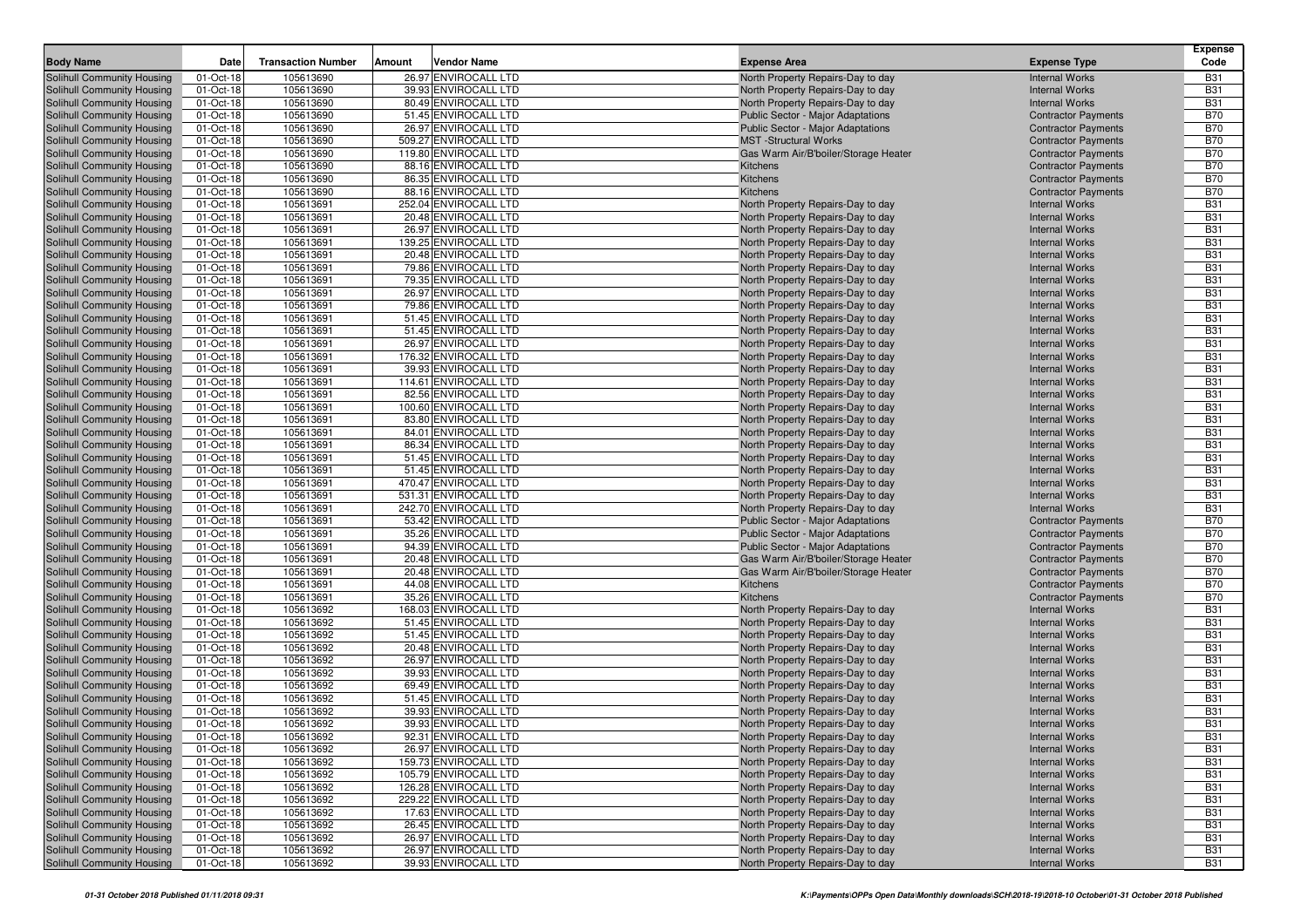| <b>Body Name</b>                                         | Date                   | <b>Transaction Number</b> | Amount<br>Vendor Name                        | <b>Expense Area</b>                                                    | <b>Expense Type</b>                                 | <b>Expense</b><br>Code   |
|----------------------------------------------------------|------------------------|---------------------------|----------------------------------------------|------------------------------------------------------------------------|-----------------------------------------------------|--------------------------|
|                                                          |                        | 105613690                 | 26.97 ENVIROCALL LTD                         |                                                                        |                                                     | <b>B31</b>               |
| Solihull Community Housing<br>Solihull Community Housing | 01-Oct-18<br>01-Oct-18 | 105613690                 | 39.93 ENVIROCALL LTD                         | North Property Repairs-Day to day<br>North Property Repairs-Day to day | <b>Internal Works</b><br><b>Internal Works</b>      | <b>B31</b>               |
| Solihull Community Housing                               | 01-Oct-18              | 105613690                 | 80.49 ENVIROCALL LTD                         | North Property Repairs-Day to day                                      | <b>Internal Works</b>                               | <b>B31</b>               |
| Solihull Community Housing                               | 01-Oct-18              | 105613690                 | 51.45 ENVIROCALL LTD                         | <b>Public Sector - Major Adaptations</b>                               | <b>Contractor Payments</b>                          | <b>B70</b>               |
| Solihull Community Housing                               | 01-Oct-18              | 105613690                 | 26.97 ENVIROCALL LTD                         | <b>Public Sector - Major Adaptations</b>                               | <b>Contractor Payments</b>                          | <b>B70</b>               |
| Solihull Community Housing                               | 01-Oct-18              | 105613690                 | 509.27 ENVIROCALL LTD                        | <b>MST</b> -Structural Works                                           | <b>Contractor Payments</b>                          | <b>B70</b>               |
| Solihull Community Housing                               | 01-Oct-18              | 105613690                 | 119.80 ENVIROCALL LTD                        | Gas Warm Air/B'boiler/Storage Heater                                   | <b>Contractor Payments</b>                          | <b>B70</b>               |
| Solihull Community Housing                               | 01-Oct-18              | 105613690                 | 88.16 ENVIROCALL LTD                         | Kitchens                                                               | <b>Contractor Payments</b>                          | <b>B70</b>               |
| Solihull Community Housing                               | 01-Oct-18              | 105613690                 | 86.35 ENVIROCALL LTD                         | Kitchens                                                               | <b>Contractor Payments</b>                          | <b>B70</b>               |
| Solihull Community Housing                               | 01-Oct-18              | 105613690                 | 88.16 ENVIROCALL LTD                         | Kitchens                                                               | <b>Contractor Payments</b>                          | <b>B70</b>               |
| Solihull Community Housing                               | 01-Oct-18              | 105613691                 | 252.04 ENVIROCALL LTD                        | North Property Repairs-Day to day                                      | <b>Internal Works</b>                               | <b>B31</b>               |
| Solihull Community Housing                               | 01-Oct-18              | 105613691                 | 20.48 ENVIROCALL LTD                         | North Property Repairs-Day to day                                      | <b>Internal Works</b>                               | <b>B31</b>               |
| Solihull Community Housing                               | 01-Oct-18              | 105613691                 | 26.97 ENVIROCALL LTD                         | North Property Repairs-Day to day                                      | <b>Internal Works</b>                               | <b>B31</b>               |
| Solihull Community Housing                               | 01-Oct-18              | 105613691                 | 139.25 ENVIROCALL LTD                        | North Property Repairs-Day to day                                      | <b>Internal Works</b>                               | <b>B31</b>               |
| Solihull Community Housing                               | 01-Oct-18              | 105613691                 | 20.48 ENVIROCALL LTD                         | North Property Repairs-Day to day                                      | <b>Internal Works</b>                               | <b>B31</b>               |
| Solihull Community Housing                               | 01-Oct-18              | 105613691                 | 79.86 ENVIROCALL LTD                         | North Property Repairs-Day to day                                      | <b>Internal Works</b>                               | <b>B31</b>               |
| Solihull Community Housing                               | 01-Oct-18              | 105613691                 | 79.35 ENVIROCALL LTD                         | North Property Repairs-Day to day                                      | <b>Internal Works</b>                               | <b>B31</b>               |
| Solihull Community Housing                               | 01-Oct-18              | 105613691                 | 26.97 ENVIROCALL LTD                         | North Property Repairs-Day to day                                      | <b>Internal Works</b>                               | <b>B31</b>               |
| Solihull Community Housing                               | 01-Oct-18              | 105613691                 | 79.86 ENVIROCALL LTD                         | North Property Repairs-Day to day                                      | <b>Internal Works</b>                               | <b>B31</b>               |
| Solihull Community Housing                               | 01-Oct-18              | 105613691                 | 51.45 ENVIROCALL LTD                         | North Property Repairs-Day to day                                      | <b>Internal Works</b>                               | <b>B31</b>               |
| Solihull Community Housing                               | 01-Oct-18              | 105613691                 | 51.45 ENVIROCALL LTD                         | North Property Repairs-Day to day                                      | <b>Internal Works</b>                               | <b>B31</b>               |
| Solihull Community Housing                               | 01-Oct-18              | 105613691                 | 26.97 ENVIROCALL LTD                         | North Property Repairs-Day to day                                      | <b>Internal Works</b>                               | <b>B31</b>               |
| Solihull Community Housing                               | 01-Oct-18              | 105613691                 | 176.32 ENVIROCALL LTD                        | North Property Repairs-Day to day                                      | <b>Internal Works</b>                               | <b>B31</b>               |
| Solihull Community Housing                               | 01-Oct-18              | 105613691                 | 39.93 ENVIROCALL LTD                         | North Property Repairs-Day to day                                      | <b>Internal Works</b>                               | <b>B31</b>               |
| Solihull Community Housing                               | 01-Oct-18              | 105613691                 | 114.61 ENVIROCALL LTD                        | North Property Repairs-Day to day                                      | <b>Internal Works</b>                               | <b>B31</b>               |
| Solihull Community Housing                               | 01-Oct-18              | 105613691                 | 82.56 ENVIROCALL LTD                         | North Property Repairs-Day to day                                      | <b>Internal Works</b>                               | <b>B31</b>               |
| Solihull Community Housing                               | 01-Oct-18              | 105613691                 | 100.60 ENVIROCALL LTD                        | North Property Repairs-Day to day                                      | <b>Internal Works</b>                               | <b>B31</b>               |
| Solihull Community Housing                               | 01-Oct-18              | 105613691                 | 83.80 ENVIROCALL LTD                         | North Property Repairs-Day to day                                      | <b>Internal Works</b>                               | <b>B31</b>               |
| Solihull Community Housing                               | 01-Oct-18              | 105613691                 | 84.01 ENVIROCALL LTD                         | North Property Repairs-Day to day                                      | <b>Internal Works</b>                               | <b>B31</b>               |
| Solihull Community Housing                               | 01-Oct-18              | 105613691                 | 86.34 ENVIROCALL LTD                         | North Property Repairs-Day to day                                      | <b>Internal Works</b>                               | <b>B31</b>               |
| Solihull Community Housing                               | 01-Oct-18              | 105613691                 | 51.45 ENVIROCALL LTD                         | North Property Repairs-Day to day                                      | <b>Internal Works</b>                               | <b>B31</b>               |
| Solihull Community Housing                               | 01-Oct-18              | 105613691                 | 51.45 ENVIROCALL LTD                         | North Property Repairs-Day to day                                      | <b>Internal Works</b>                               | <b>B31</b>               |
| Solihull Community Housing                               | 01-Oct-18              | 105613691                 | 470.47 ENVIROCALL LTD                        | North Property Repairs-Day to day                                      | <b>Internal Works</b>                               | <b>B31</b>               |
| Solihull Community Housing                               | 01-Oct-18              | 105613691                 | 531.31 ENVIROCALL LTD                        | North Property Repairs-Day to day                                      | <b>Internal Works</b>                               | <b>B31</b>               |
| Solihull Community Housing                               | 01-Oct-18              | 105613691                 | 242.70 ENVIROCALL LTD                        | North Property Repairs-Day to day                                      | <b>Internal Works</b>                               | <b>B31</b>               |
| Solihull Community Housing                               | 01-Oct-18              | 105613691                 | 53.42 ENVIROCALL LTD                         | <b>Public Sector - Major Adaptations</b>                               | <b>Contractor Payments</b>                          | <b>B70</b>               |
| Solihull Community Housing                               | 01-Oct-18              | 105613691                 | 35.26 ENVIROCALL LTD                         | <b>Public Sector - Major Adaptations</b>                               | <b>Contractor Payments</b>                          | <b>B70</b>               |
| Solihull Community Housing                               | 01-Oct-18              | 105613691                 | 94.39 ENVIROCALL LTD                         | <b>Public Sector - Major Adaptations</b>                               | <b>Contractor Payments</b>                          | <b>B70</b>               |
| Solihull Community Housing                               | 01-Oct-18              | 105613691                 | 20.48 ENVIROCALL LTD                         | Gas Warm Air/B'boiler/Storage Heater                                   | <b>Contractor Payments</b>                          | <b>B70</b>               |
| Solihull Community Housing                               | 01-Oct-18              | 105613691                 | 20.48 ENVIROCALL LTD<br>44.08 ENVIROCALL LTD | Gas Warm Air/B'boiler/Storage Heater                                   | <b>Contractor Payments</b>                          | <b>B70</b><br><b>B70</b> |
| Solihull Community Housing                               | 01-Oct-18<br>01-Oct-18 | 105613691<br>105613691    | 35.26 ENVIROCALL LTD                         | Kitchens<br>Kitchens                                                   | <b>Contractor Payments</b>                          | <b>B70</b>               |
| Solihull Community Housing<br>Solihull Community Housing | 01-Oct-18              | 105613692                 | 168.03 ENVIROCALL LTD                        | North Property Repairs-Day to day                                      | <b>Contractor Payments</b><br><b>Internal Works</b> | <b>B31</b>               |
| Solihull Community Housing                               | 01-Oct-18              | 105613692                 | 51.45 ENVIROCALL LTD                         | North Property Repairs-Day to day                                      | <b>Internal Works</b>                               | <b>B31</b>               |
| Solihull Community Housing                               | 01-Oct-18              | 105613692                 | 51.45 ENVIROCALL LTD                         | North Property Repairs-Day to day                                      | <b>Internal Works</b>                               | <b>B31</b>               |
| Solihull Community Housing                               | 01-Oct-18              | 105613692                 | 20.48 ENVIROCALL LTD                         | North Property Repairs-Day to day                                      | <b>Internal Works</b>                               | <b>B31</b>               |
| Solihull Community Housing                               | 01-Oct-18              | 105613692                 | 26.97 ENVIROCALL LTD                         | North Property Repairs-Day to day                                      | <b>Internal Works</b>                               | <b>B31</b>               |
| Solihull Community Housing                               | 01-Oct-18              | 105613692                 | 39.93 ENVIROCALL LTD                         | North Property Repairs-Day to day                                      | <b>Internal Works</b>                               | <b>B31</b>               |
| Solihull Community Housing                               | 01-Oct-18              | 105613692                 | 69.49 ENVIROCALL LTD                         | North Property Repairs-Day to day                                      | <b>Internal Works</b>                               | <b>B31</b>               |
| Solihull Community Housing                               | 01-Oct-18              | 105613692                 | 51.45 ENVIROCALL LTD                         | North Property Repairs-Day to day                                      | <b>Internal Works</b>                               | <b>B31</b>               |
| Solihull Community Housing                               | 01-Oct-18              | 105613692                 | 39.93 ENVIROCALL LTD                         | North Property Repairs-Day to day                                      | <b>Internal Works</b>                               | <b>B31</b>               |
| <b>Solihull Community Housing</b>                        | 01-Oct-18              | 105613692                 | 39.93 ENVIROCALL LTD                         | North Property Repairs-Day to day                                      | <b>Internal Works</b>                               | <b>B31</b>               |
| Solihull Community Housing                               | 01-Oct-18              | 105613692                 | 92.31 ENVIROCALL LTD                         | North Property Repairs-Day to day                                      | <b>Internal Works</b>                               | <b>B31</b>               |
| <b>Solihull Community Housing</b>                        | 01-Oct-18              | 105613692                 | 26.97 ENVIROCALL LTD                         | North Property Repairs-Day to day                                      | <b>Internal Works</b>                               | <b>B31</b>               |
| Solihull Community Housing                               | 01-Oct-18              | 105613692                 | 159.73 ENVIROCALL LTD                        | North Property Repairs-Day to day                                      | <b>Internal Works</b>                               | <b>B31</b>               |
| Solihull Community Housing                               | 01-Oct-18              | 105613692                 | 105.79 ENVIROCALL LTD                        | North Property Repairs-Day to day                                      | <b>Internal Works</b>                               | <b>B31</b>               |
| Solihull Community Housing                               | 01-Oct-18              | 105613692                 | 126.28 ENVIROCALL LTD                        | North Property Repairs-Day to day                                      | <b>Internal Works</b>                               | <b>B31</b>               |
| Solihull Community Housing                               | 01-Oct-18              | 105613692                 | 229.22 ENVIROCALL LTD                        | North Property Repairs-Day to day                                      | <b>Internal Works</b>                               | <b>B31</b>               |
| Solihull Community Housing                               | 01-Oct-18              | 105613692                 | 17.63 ENVIROCALL LTD                         | North Property Repairs-Day to day                                      | <b>Internal Works</b>                               | <b>B31</b>               |
| Solihull Community Housing                               | 01-Oct-18              | 105613692                 | 26.45 ENVIROCALL LTD                         | North Property Repairs-Day to day                                      | <b>Internal Works</b>                               | <b>B31</b>               |
| Solihull Community Housing                               | 01-Oct-18              | 105613692                 | 26.97 ENVIROCALL LTD                         | North Property Repairs-Day to day                                      | <b>Internal Works</b>                               | <b>B31</b>               |
| Solihull Community Housing                               | 01-Oct-18              | 105613692                 | 26.97 ENVIROCALL LTD                         | North Property Repairs-Day to day                                      | <b>Internal Works</b>                               | <b>B31</b>               |
| Solihull Community Housing                               | 01-Oct-18              | 105613692                 | 39.93 ENVIROCALL LTD                         | North Property Repairs-Day to day                                      | <b>Internal Works</b>                               | <b>B31</b>               |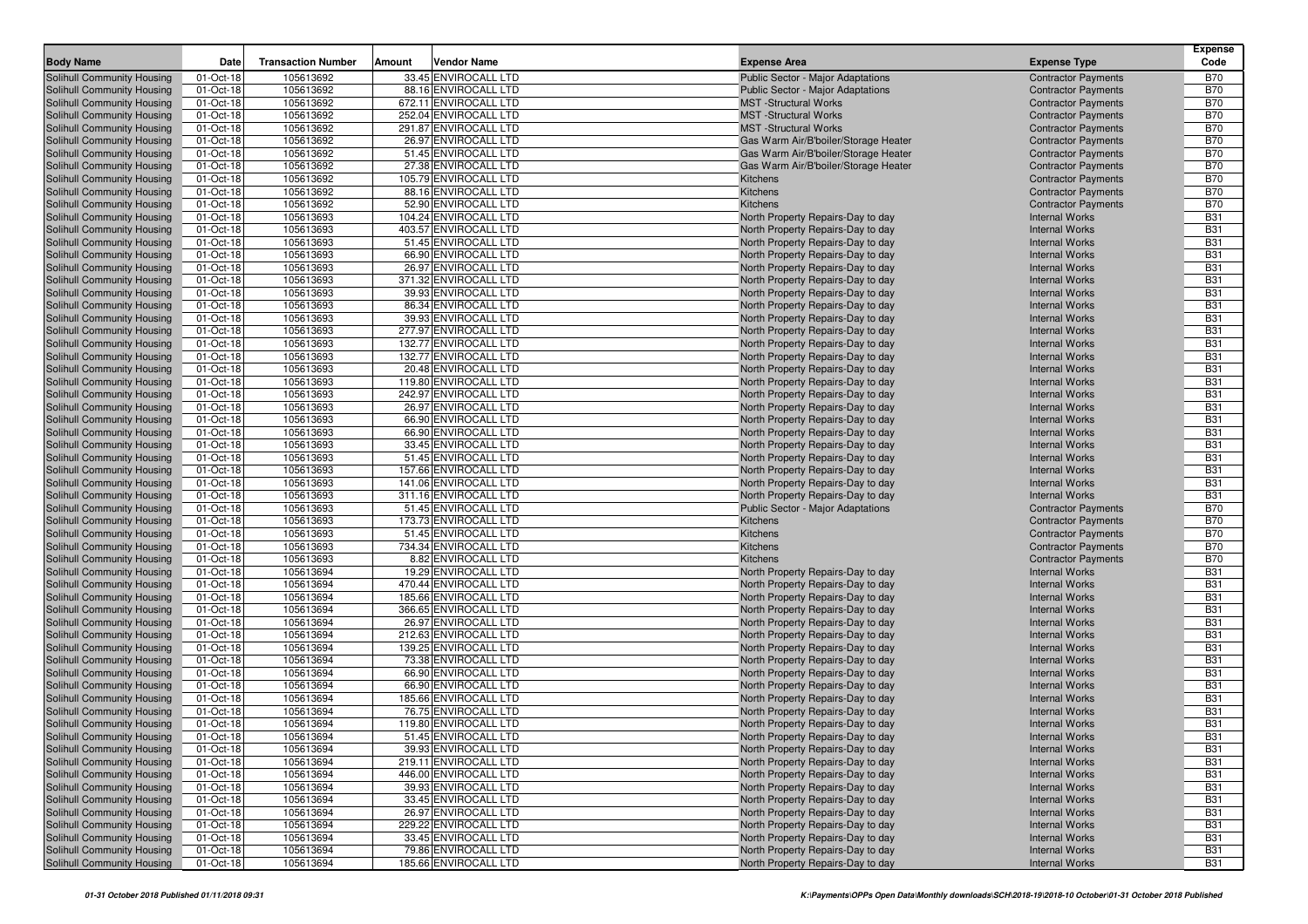| <b>Body Name</b>                                         | Date                   | <b>Transaction Number</b> | Amount<br>Vendor Name                         | <b>Expense Area</b>                                                      | <b>Expense Type</b>                                      | <b>Expense</b><br>Code   |
|----------------------------------------------------------|------------------------|---------------------------|-----------------------------------------------|--------------------------------------------------------------------------|----------------------------------------------------------|--------------------------|
|                                                          |                        |                           |                                               |                                                                          |                                                          |                          |
| Solihull Community Housing                               | 01-Oct-18<br>01-Oct-18 | 105613692<br>105613692    | 33.45 ENVIROCALL LTD<br>88.16 ENVIROCALL LTD  | Public Sector - Major Adaptations                                        | <b>Contractor Payments</b><br><b>Contractor Payments</b> | <b>B70</b><br><b>B70</b> |
| Solihull Community Housing<br>Solihull Community Housing | 01-Oct-18              | 105613692                 | 672.11 ENVIROCALL LTD                         | <b>Public Sector - Major Adaptations</b><br><b>MST</b> -Structural Works | <b>Contractor Payments</b>                               | <b>B70</b>               |
| Solihull Community Housing                               | 01-Oct-18              | 105613692                 | 252.04 ENVIROCALL LTD                         | <b>MST</b> -Structural Works                                             | <b>Contractor Payments</b>                               | <b>B70</b>               |
| Solihull Community Housing                               | 01-Oct-18              | 105613692                 | 291.87 ENVIROCALL LTD                         | <b>MST</b> -Structural Works                                             | <b>Contractor Payments</b>                               | <b>B70</b>               |
| Solihull Community Housing                               | 01-Oct-18              | 105613692                 | 26.97 ENVIROCALL LTD                          | Gas Warm Air/B'boiler/Storage Heater                                     | <b>Contractor Payments</b>                               | <b>B70</b>               |
| Solihull Community Housing                               | 01-Oct-18              | 105613692                 | 51.45 ENVIROCALL LTD                          | Gas Warm Air/B'boiler/Storage Heater                                     | <b>Contractor Payments</b>                               | <b>B70</b>               |
| Solihull Community Housing                               | 01-Oct-18              | 105613692                 | 27.38 ENVIROCALL LTD                          | Gas Warm Air/B'boiler/Storage Heater                                     | <b>Contractor Payments</b>                               | <b>B70</b>               |
| Solihull Community Housing                               | 01-Oct-18              | 105613692                 | 105.79 ENVIROCALL LTD                         | Kitchens                                                                 | <b>Contractor Payments</b>                               | <b>B70</b>               |
| Solihull Community Housing                               | 01-Oct-18              | 105613692                 | 88.16 ENVIROCALL LTD                          | Kitchens                                                                 | <b>Contractor Payments</b>                               | <b>B70</b>               |
| Solihull Community Housing                               | 01-Oct-18              | 105613692                 | 52.90 ENVIROCALL LTD                          | Kitchens                                                                 | <b>Contractor Payments</b>                               | <b>B70</b>               |
| Solihull Community Housing                               | 01-Oct-18              | 105613693                 | 104.24 ENVIROCALL LTD                         | North Property Repairs-Day to day                                        | <b>Internal Works</b>                                    | <b>B31</b>               |
| Solihull Community Housing                               | 01-Oct-18              | 105613693                 | 403.57 ENVIROCALL LTD                         | North Property Repairs-Day to day                                        | <b>Internal Works</b>                                    | <b>B31</b>               |
| Solihull Community Housing                               | 01-Oct-18              | 105613693                 | 51.45 ENVIROCALL LTD                          | North Property Repairs-Day to day                                        | <b>Internal Works</b>                                    | <b>B31</b>               |
| Solihull Community Housing                               | 01-Oct-18              | 105613693                 | 66.90 ENVIROCALL LTD                          | North Property Repairs-Day to day                                        | <b>Internal Works</b>                                    | <b>B31</b>               |
| Solihull Community Housing                               | 01-Oct-18              | 105613693                 | 26.97 ENVIROCALL LTD                          | North Property Repairs-Day to day                                        | <b>Internal Works</b>                                    | <b>B31</b>               |
| Solihull Community Housing                               | 01-Oct-18              | 105613693                 | 371.32 ENVIROCALL LTD                         | North Property Repairs-Day to day                                        | <b>Internal Works</b>                                    | <b>B31</b>               |
| Solihull Community Housing                               | 01-Oct-18              | 105613693                 | 39.93 ENVIROCALL LTD                          | North Property Repairs-Day to day                                        | <b>Internal Works</b>                                    | <b>B31</b>               |
| Solihull Community Housing                               | 01-Oct-18              | 105613693                 | 86.34 ENVIROCALL LTD                          | North Property Repairs-Day to day                                        | <b>Internal Works</b>                                    | <b>B31</b>               |
| Solihull Community Housing                               | 01-Oct-18              | 105613693                 | 39.93 ENVIROCALL LTD                          | North Property Repairs-Day to day                                        | <b>Internal Works</b>                                    | <b>B31</b>               |
| Solihull Community Housing                               | 01-Oct-18              | 105613693                 | 277.97 ENVIROCALL LTD                         | North Property Repairs-Day to day                                        | <b>Internal Works</b>                                    | <b>B31</b>               |
| Solihull Community Housing                               | 01-Oct-18              | 105613693                 | 132.77 ENVIROCALL LTD                         | North Property Repairs-Day to day                                        | <b>Internal Works</b>                                    | <b>B31</b>               |
| Solihull Community Housing                               | 01-Oct-18              | 105613693                 | 132.77 ENVIROCALL LTD                         | North Property Repairs-Day to day                                        | <b>Internal Works</b>                                    | <b>B31</b><br><b>B31</b> |
| Solihull Community Housing<br>Solihull Community Housing | 01-Oct-18<br>01-Oct-18 | 105613693<br>105613693    | 20.48 ENVIROCALL LTD<br>119.80 ENVIROCALL LTD | North Property Repairs-Day to day<br>North Property Repairs-Day to day   | <b>Internal Works</b><br><b>Internal Works</b>           | <b>B31</b>               |
| Solihull Community Housing                               | 01-Oct-18              | 105613693                 | 242.97 ENVIROCALL LTD                         | North Property Repairs-Day to day                                        | <b>Internal Works</b>                                    | <b>B31</b>               |
| Solihull Community Housing                               | 01-Oct-18              | 105613693                 | 26.97 ENVIROCALL LTD                          | North Property Repairs-Day to day                                        | <b>Internal Works</b>                                    | <b>B31</b>               |
| Solihull Community Housing                               | 01-Oct-18              | 105613693                 | 66.90 ENVIROCALL LTD                          | North Property Repairs-Day to day                                        | <b>Internal Works</b>                                    | <b>B31</b>               |
| Solihull Community Housing                               | 01-Oct-18              | 105613693                 | 66.90 ENVIROCALL LTD                          | North Property Repairs-Day to day                                        | <b>Internal Works</b>                                    | <b>B31</b>               |
| Solihull Community Housing                               | 01-Oct-18              | 105613693                 | 33.45 ENVIROCALL LTD                          | North Property Repairs-Day to day                                        | <b>Internal Works</b>                                    | <b>B31</b>               |
| Solihull Community Housing                               | 01-Oct-18              | 105613693                 | 51.45 ENVIROCALL LTD                          | North Property Repairs-Day to day                                        | <b>Internal Works</b>                                    | <b>B31</b>               |
| Solihull Community Housing                               | 01-Oct-18              | 105613693                 | 157.66 ENVIROCALL LTD                         | North Property Repairs-Day to day                                        | <b>Internal Works</b>                                    | <b>B31</b>               |
| Solihull Community Housing                               | 01-Oct-18              | 105613693                 | 141.06 ENVIROCALL LTD                         | North Property Repairs-Day to day                                        | <b>Internal Works</b>                                    | <b>B31</b>               |
| Solihull Community Housing                               | 01-Oct-18              | 105613693                 | 311.16 ENVIROCALL LTD                         | North Property Repairs-Day to day                                        | <b>Internal Works</b>                                    | <b>B31</b>               |
| Solihull Community Housing                               | 01-Oct-18              | 105613693                 | 51.45 ENVIROCALL LTD                          | Public Sector - Major Adaptations                                        | <b>Contractor Payments</b>                               | <b>B70</b>               |
| Solihull Community Housing                               | 01-Oct-18              | 105613693                 | 173.73 ENVIROCALL LTD                         | Kitchens                                                                 | <b>Contractor Payments</b>                               | <b>B70</b>               |
| Solihull Community Housing                               | 01-Oct-18              | 105613693                 | 51.45 ENVIROCALL LTD                          | Kitchens                                                                 | <b>Contractor Payments</b>                               | <b>B70</b>               |
| Solihull Community Housing                               | 01-Oct-18              | 105613693                 | 734.34 ENVIROCALL LTD                         | Kitchens                                                                 | <b>Contractor Payments</b>                               | <b>B70</b>               |
| Solihull Community Housing                               | 01-Oct-18              | 105613693                 | 8.82 ENVIROCALL LTD                           | Kitchens                                                                 | <b>Contractor Payments</b>                               | <b>B70</b>               |
| Solihull Community Housing                               | 01-Oct-18              | 105613694                 | 19.29 ENVIROCALL LTD                          | North Property Repairs-Day to day                                        | <b>Internal Works</b>                                    | <b>B31</b>               |
| Solihull Community Housing                               | 01-Oct-18              | 105613694                 | 470.44 ENVIROCALL LTD                         | North Property Repairs-Day to day                                        | <b>Internal Works</b>                                    | <b>B31</b>               |
| Solihull Community Housing                               | 01-Oct-18              | 105613694                 | 185.66 ENVIROCALL LTD                         | North Property Repairs-Day to day                                        | <b>Internal Works</b>                                    | <b>B31</b>               |
| Solihull Community Housing<br>Solihull Community Housing | 01-Oct-18<br>01-Oct-18 | 105613694<br>105613694    | 366.65 ENVIROCALL LTD<br>26.97 ENVIROCALL LTD | North Property Repairs-Day to day<br>North Property Repairs-Day to day   | <b>Internal Works</b><br><b>Internal Works</b>           | <b>B31</b><br><b>B31</b> |
| Solihull Community Housing                               | 01-Oct-18              | 105613694                 | 212.63 ENVIROCALL LTD                         | North Property Repairs-Day to day                                        | <b>Internal Works</b>                                    | <b>B31</b>               |
| Solihull Community Housing                               | 01-Oct-18              | 105613694                 | 139.25 ENVIROCALL LTD                         | North Property Repairs-Day to day                                        | <b>Internal Works</b>                                    | <b>B31</b>               |
| Solihull Community Housing                               | 01-Oct-18              | 105613694                 | 73.38 ENVIROCALL LTD                          | North Property Repairs-Day to day                                        | <b>Internal Works</b>                                    | <b>B31</b>               |
| Solihull Community Housing                               | 01-Oct-18              | 105613694                 | 66.90 ENVIROCALL LTD                          | North Property Repairs-Day to day                                        | <b>Internal Works</b>                                    | <b>B31</b>               |
| Solihull Community Housing                               | 01-Oct-18              | 105613694                 | 66.90 ENVIROCALL LTD                          | North Property Repairs-Day to day                                        | <b>Internal Works</b>                                    | <b>B31</b>               |
| Solihull Community Housing                               | 01-Oct-18              | 105613694                 | 185.66 ENVIROCALL LTD                         | North Property Repairs-Day to day                                        | <b>Internal Works</b>                                    | <b>B31</b>               |
| Solihull Community Housing                               | 01-Oct-18              | 105613694                 | 76.75 ENVIROCALL LTD                          | North Property Repairs-Day to day                                        | <b>Internal Works</b>                                    | <b>B31</b>               |
| <b>Solihull Community Housing</b>                        | 01-Oct-18              | 105613694                 | 119.80 ENVIROCALL LTD                         | North Property Repairs-Day to day                                        | <b>Internal Works</b>                                    | <b>B31</b>               |
| Solihull Community Housing                               | 01-Oct-18              | 105613694                 | 51.45 ENVIROCALL LTD                          | North Property Repairs-Day to day                                        | <b>Internal Works</b>                                    | <b>B31</b>               |
| Solihull Community Housing                               | 01-Oct-18              | 105613694                 | 39.93 ENVIROCALL LTD                          | North Property Repairs-Day to day                                        | <b>Internal Works</b>                                    | <b>B31</b>               |
| Solihull Community Housing                               | 01-Oct-18              | 105613694                 | 219.11 ENVIROCALL LTD                         | North Property Repairs-Day to day                                        | <b>Internal Works</b>                                    | <b>B31</b>               |
| Solihull Community Housing                               | 01-Oct-18              | 105613694                 | 446.00 ENVIROCALL LTD                         | North Property Repairs-Day to day                                        | <b>Internal Works</b>                                    | <b>B31</b>               |
| Solihull Community Housing                               | 01-Oct-18              | 105613694                 | 39.93 ENVIROCALL LTD                          | North Property Repairs-Day to day                                        | <b>Internal Works</b>                                    | <b>B31</b>               |
| Solihull Community Housing                               | 01-Oct-18              | 105613694                 | 33.45 ENVIROCALL LTD                          | North Property Repairs-Day to day                                        | <b>Internal Works</b>                                    | <b>B31</b>               |
| Solihull Community Housing                               | 01-Oct-18              | 105613694                 | 26.97 ENVIROCALL LTD                          | North Property Repairs-Day to day                                        | <b>Internal Works</b>                                    | <b>B31</b>               |
| Solihull Community Housing                               | 01-Oct-18              | 105613694                 | 229.22 ENVIROCALL LTD                         | North Property Repairs-Day to day                                        | <b>Internal Works</b>                                    | <b>B31</b>               |
| Solihull Community Housing                               | 01-Oct-18              | 105613694                 | 33.45 ENVIROCALL LTD                          | North Property Repairs-Day to day                                        | <b>Internal Works</b>                                    | <b>B31</b>               |
| Solihull Community Housing                               | 01-Oct-18              | 105613694                 | 79.86 ENVIROCALL LTD                          | North Property Repairs-Day to day                                        | <b>Internal Works</b>                                    | <b>B31</b>               |
| Solihull Community Housing                               | 01-Oct-18              | 105613694                 | 185.66 ENVIROCALL LTD                         | North Property Repairs-Day to day                                        | <b>Internal Works</b>                                    | <b>B31</b>               |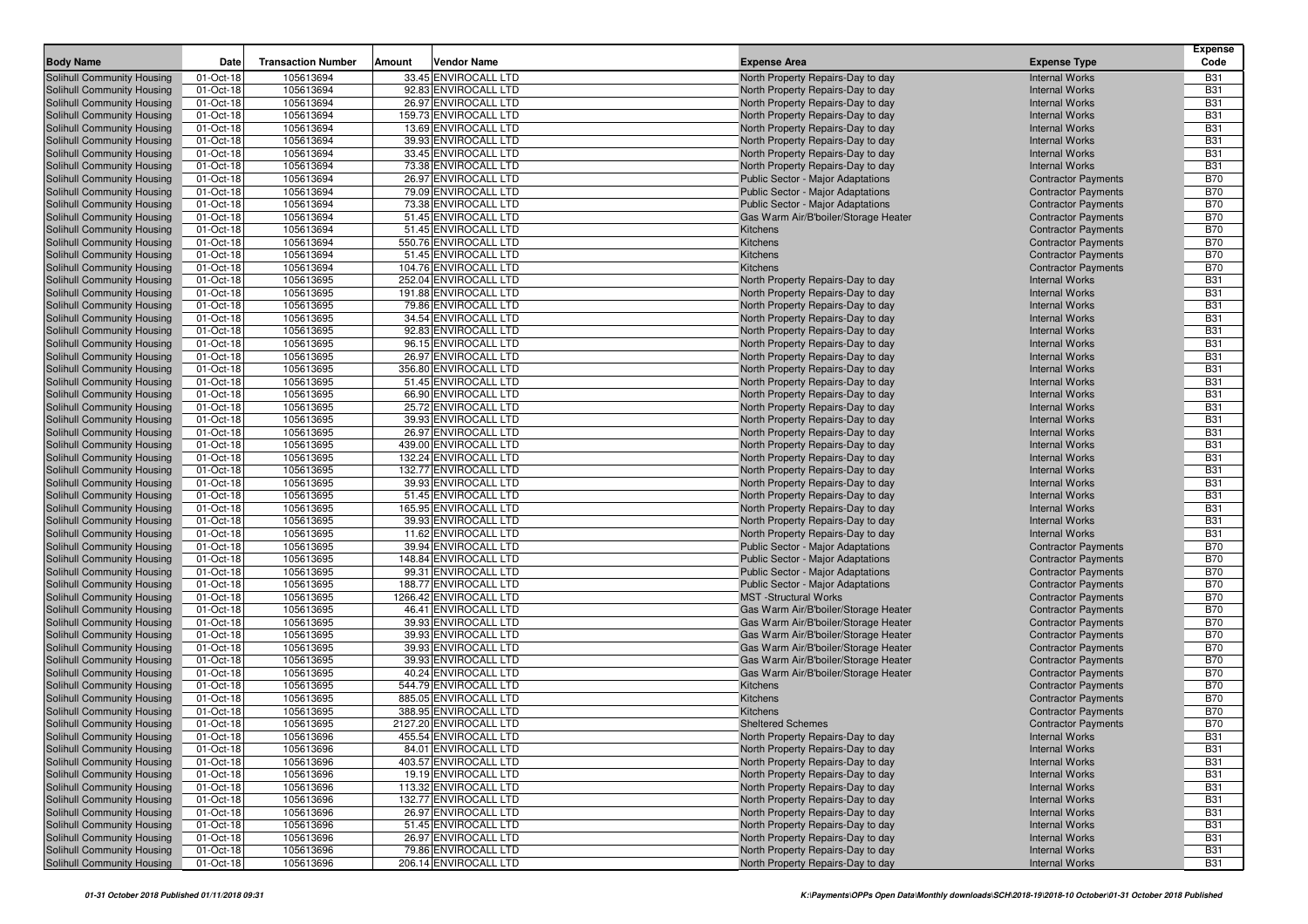| <b>Body Name</b>                                         | Date                   | <b>Transaction Number</b> | Amount | Vendor Name                                   | <b>Expense Area</b>                                                          | <b>Expense Type</b>                                      | <b>Expense</b><br>Code   |
|----------------------------------------------------------|------------------------|---------------------------|--------|-----------------------------------------------|------------------------------------------------------------------------------|----------------------------------------------------------|--------------------------|
| Solihull Community Housing                               |                        | 105613694                 |        | 33.45 ENVIROCALL LTD                          |                                                                              |                                                          |                          |
| Solihull Community Housing                               | 01-Oct-18<br>01-Oct-18 | 105613694                 |        | 92.83 ENVIROCALL LTD                          | North Property Repairs-Day to day<br>North Property Repairs-Day to day       | <b>Internal Works</b><br><b>Internal Works</b>           | <b>B31</b><br><b>B31</b> |
| Solihull Community Housing                               | 01-Oct-18              | 105613694                 |        | 26.97 ENVIROCALL LTD                          | North Property Repairs-Day to day                                            | <b>Internal Works</b>                                    | <b>B31</b>               |
| Solihull Community Housing                               | 01-Oct-18              | 105613694                 |        | 159.73 ENVIROCALL LTD                         | North Property Repairs-Day to day                                            | <b>Internal Works</b>                                    | <b>B31</b>               |
| Solihull Community Housing                               | 01-Oct-18              | 105613694                 |        | 13.69 ENVIROCALL LTD                          | North Property Repairs-Day to day                                            | <b>Internal Works</b>                                    | <b>B31</b>               |
| Solihull Community Housing                               | 01-Oct-18              | 105613694                 |        | 39.93 ENVIROCALL LTD                          | North Property Repairs-Day to day                                            | <b>Internal Works</b>                                    | <b>B31</b>               |
| Solihull Community Housing                               | 01-Oct-18              | 105613694                 |        | 33.45 ENVIROCALL LTD                          | North Property Repairs-Day to day                                            | <b>Internal Works</b>                                    | <b>B31</b>               |
| Solihull Community Housing                               | 01-Oct-18              | 105613694                 |        | 73.38 ENVIROCALL LTD                          | North Property Repairs-Day to day                                            | <b>Internal Works</b>                                    | <b>B31</b>               |
| Solihull Community Housing                               | 01-Oct-18              | 105613694                 |        | 26.97 ENVIROCALL LTD                          | Public Sector - Major Adaptations                                            | <b>Contractor Payments</b>                               | <b>B70</b>               |
| Solihull Community Housing                               | 01-Oct-18              | 105613694                 |        | 79.09 ENVIROCALL LTD                          | Public Sector - Major Adaptations                                            | <b>Contractor Payments</b>                               | <b>B70</b>               |
| Solihull Community Housing                               | 01-Oct-18              | 105613694                 |        | 73.38 ENVIROCALL LTD                          | Public Sector - Major Adaptations                                            | <b>Contractor Payments</b>                               | <b>B70</b>               |
| Solihull Community Housing                               | 01-Oct-18              | 105613694                 |        | 51.45 ENVIROCALL LTD                          | Gas Warm Air/B'boiler/Storage Heater                                         | <b>Contractor Payments</b>                               | <b>B70</b>               |
| <b>Solihull Community Housing</b>                        | 01-Oct-18              | 105613694                 |        | 51.45 ENVIROCALL LTD                          | Kitchens                                                                     | <b>Contractor Payments</b>                               | <b>B70</b>               |
| Solihull Community Housing                               | 01-Oct-18              | 105613694                 |        | 550.76 ENVIROCALL LTD                         | Kitchens                                                                     | <b>Contractor Payments</b>                               | <b>B70</b>               |
| Solihull Community Housing                               | 01-Oct-18              | 105613694                 |        | 51.45 ENVIROCALL LTD                          | Kitchens                                                                     | <b>Contractor Payments</b>                               | <b>B70</b>               |
| Solihull Community Housing                               | 01-Oct-18              | 105613694                 |        | 104.76 ENVIROCALL LTD                         | Kitchens                                                                     | <b>Contractor Payments</b>                               | <b>B70</b>               |
| Solihull Community Housing                               | 01-Oct-18              | 105613695                 |        | 252.04 ENVIROCALL LTD                         | North Property Repairs-Day to day                                            | <b>Internal Works</b>                                    | <b>B31</b>               |
| Solihull Community Housing                               | 01-Oct-18              | 105613695                 |        | 191.88 ENVIROCALL LTD                         | North Property Repairs-Day to day                                            | <b>Internal Works</b>                                    | <b>B31</b>               |
| Solihull Community Housing                               | 01-Oct-18              | 105613695                 |        | 79.86 ENVIROCALL LTD                          | North Property Repairs-Day to day                                            | <b>Internal Works</b>                                    | <b>B31</b>               |
| Solihull Community Housing                               | 01-Oct-18              | 105613695                 |        | 34.54 ENVIROCALL LTD                          | North Property Repairs-Day to day                                            | <b>Internal Works</b>                                    | <b>B31</b>               |
| Solihull Community Housing                               | 01-Oct-18              | 105613695                 |        | 92.83 ENVIROCALL LTD                          | North Property Repairs-Day to day                                            | <b>Internal Works</b>                                    | <b>B31</b>               |
| Solihull Community Housing                               | 01-Oct-18              | 105613695                 |        | 96.15 ENVIROCALL LTD                          | North Property Repairs-Day to day                                            | <b>Internal Works</b>                                    | <b>B31</b><br><b>B31</b> |
| Solihull Community Housing<br>Solihull Community Housing | 01-Oct-18<br>01-Oct-18 | 105613695<br>105613695    |        | 26.97 ENVIROCALL LTD<br>356.80 ENVIROCALL LTD | North Property Repairs-Day to day                                            | <b>Internal Works</b><br><b>Internal Works</b>           | <b>B31</b>               |
| Solihull Community Housing                               | 01-Oct-18              | 105613695                 |        | 51.45 ENVIROCALL LTD                          | North Property Repairs-Day to day<br>North Property Repairs-Day to day       | <b>Internal Works</b>                                    | <b>B31</b>               |
| Solihull Community Housing                               | 01-Oct-18              | 105613695                 |        | 66.90 ENVIROCALL LTD                          | North Property Repairs-Day to day                                            | <b>Internal Works</b>                                    | <b>B31</b>               |
| Solihull Community Housing                               | 01-Oct-18              | 105613695                 |        | 25.72 ENVIROCALL LTD                          | North Property Repairs-Day to day                                            | <b>Internal Works</b>                                    | <b>B31</b>               |
| Solihull Community Housing                               | 01-Oct-18              | 105613695                 |        | 39.93 ENVIROCALL LTD                          | North Property Repairs-Day to day                                            | <b>Internal Works</b>                                    | <b>B31</b>               |
| Solihull Community Housing                               | 01-Oct-18              | 105613695                 |        | 26.97 ENVIROCALL LTD                          | North Property Repairs-Day to day                                            | <b>Internal Works</b>                                    | <b>B31</b>               |
| Solihull Community Housing                               | 01-Oct-18              | 105613695                 |        | 439.00 ENVIROCALL LTD                         | North Property Repairs-Day to day                                            | <b>Internal Works</b>                                    | <b>B31</b>               |
| Solihull Community Housing                               | 01-Oct-18              | 105613695                 |        | 132.24 ENVIROCALL LTD                         | North Property Repairs-Day to day                                            | <b>Internal Works</b>                                    | <b>B31</b>               |
| Solihull Community Housing                               | 01-Oct-18              | 105613695                 |        | 132.77 ENVIROCALL LTD                         | North Property Repairs-Day to day                                            | <b>Internal Works</b>                                    | <b>B31</b>               |
| Solihull Community Housing                               | 01-Oct-18              | 105613695                 |        | 39.93 ENVIROCALL LTD                          | North Property Repairs-Day to day                                            | <b>Internal Works</b>                                    | <b>B31</b>               |
| Solihull Community Housing                               | 01-Oct-18              | 105613695                 |        | 51.45 ENVIROCALL LTD                          | North Property Repairs-Day to day                                            | <b>Internal Works</b>                                    | <b>B31</b>               |
| Solihull Community Housing                               | 01-Oct-18              | 105613695                 |        | 165.95 ENVIROCALL LTD                         | North Property Repairs-Day to day                                            | <b>Internal Works</b>                                    | <b>B31</b>               |
| Solihull Community Housing                               | 01-Oct-18              | 105613695                 |        | 39.93 ENVIROCALL LTD                          | North Property Repairs-Day to day                                            | <b>Internal Works</b>                                    | <b>B31</b>               |
| Solihull Community Housing                               | 01-Oct-18              | 105613695                 |        | 11.62 ENVIROCALL LTD                          | North Property Repairs-Day to day                                            | <b>Internal Works</b>                                    | <b>B31</b>               |
| Solihull Community Housing                               | 01-Oct-18              | 105613695                 |        | 39.94 ENVIROCALL LTD                          | Public Sector - Major Adaptations                                            | <b>Contractor Payments</b>                               | <b>B70</b>               |
| Solihull Community Housing                               | 01-Oct-18              | 105613695                 |        | 148.84 ENVIROCALL LTD                         | Public Sector - Major Adaptations                                            | <b>Contractor Payments</b>                               | <b>B70</b>               |
| Solihull Community Housing                               | 01-Oct-18              | 105613695                 |        | 99.31 ENVIROCALL LTD                          | Public Sector - Major Adaptations                                            | <b>Contractor Payments</b>                               | <b>B70</b>               |
| Solihull Community Housing                               | 01-Oct-18              | 105613695                 |        | 188.77 ENVIROCALL LTD                         | Public Sector - Major Adaptations                                            | <b>Contractor Payments</b>                               | <b>B70</b>               |
| Solihull Community Housing                               | 01-Oct-18              | 105613695                 |        | 1266.42 ENVIROCALL LTD                        | <b>MST</b> -Structural Works                                                 | <b>Contractor Payments</b>                               | <b>B70</b>               |
| Solihull Community Housing                               | 01-Oct-18              | 105613695                 |        | 46.41 ENVIROCALL LTD                          | Gas Warm Air/B'boiler/Storage Heater                                         | <b>Contractor Payments</b>                               | <b>B70</b>               |
| Solihull Community Housing                               | 01-Oct-18              | 105613695                 |        | 39.93 ENVIROCALL LTD                          | Gas Warm Air/B'boiler/Storage Heater                                         | <b>Contractor Payments</b>                               | <b>B70</b>               |
| Solihull Community Housing                               | 01-Oct-18              | 105613695                 |        | 39.93 ENVIROCALL LTD                          | Gas Warm Air/B'boiler/Storage Heater                                         | <b>Contractor Payments</b>                               | <b>B70</b>               |
| Solihull Community Housing                               | 01-Oct-18              | 105613695                 |        | 39.93 ENVIROCALL LTD                          | Gas Warm Air/B'boiler/Storage Heater                                         | <b>Contractor Payments</b>                               | <b>B70</b>               |
| Solihull Community Housing<br>Solihull Community Housing | 01-Oct-18<br>01-Oct-18 | 105613695<br>105613695    |        | 39.93 ENVIROCALL LTD<br>40.24 ENVIROCALL LTD  | Gas Warm Air/B'boiler/Storage Heater<br>Gas Warm Air/B'boiler/Storage Heater | <b>Contractor Payments</b><br><b>Contractor Payments</b> | <b>B70</b><br><b>B70</b> |
| Solihull Community Housing                               | 01-Oct-18              | 105613695                 |        | 544.79 ENVIROCALL LTD                         | Kitchens                                                                     | <b>Contractor Payments</b>                               | <b>B70</b>               |
| Solihull Community Housing                               | 01-Oct-18              | 105613695                 |        | 885.05 ENVIROCALL LTD                         | Kitchens                                                                     | <b>Contractor Payments</b>                               | <b>B70</b>               |
| Solihull Community Housing                               | 01-Oct-18              | 105613695                 |        | 388.95 ENVIROCALL LTD                         | Kitchens                                                                     | <b>Contractor Payments</b>                               | <b>B70</b>               |
| <b>Solihull Community Housing</b>                        | 01-Oct-18              | 105613695                 |        | 2127.20 ENVIROCALL LTD                        | <b>Sheltered Schemes</b>                                                     | <b>Contractor Payments</b>                               | <b>B70</b>               |
| Solihull Community Housing                               | 01-Oct-18              | 105613696                 |        | 455.54 ENVIROCALL LTD                         | North Property Repairs-Day to day                                            | <b>Internal Works</b>                                    | <b>B31</b>               |
| Solihull Community Housing                               | 01-Oct-18              | 105613696                 |        | 84.01 ENVIROCALL LTD                          | North Property Repairs-Day to day                                            | <b>Internal Works</b>                                    | <b>B31</b>               |
| Solihull Community Housing                               | 01-Oct-18              | 105613696                 |        | 403.57 ENVIROCALL LTD                         | North Property Repairs-Day to day                                            | <b>Internal Works</b>                                    | <b>B31</b>               |
| Solihull Community Housing                               | 01-Oct-18              | 105613696                 |        | 19.19 ENVIROCALL LTD                          | North Property Repairs-Day to day                                            | <b>Internal Works</b>                                    | <b>B31</b>               |
| Solihull Community Housing                               | 01-Oct-18              | 105613696                 |        | 113.32 ENVIROCALL LTD                         | North Property Repairs-Day to day                                            | <b>Internal Works</b>                                    | <b>B31</b>               |
| Solihull Community Housing                               | 01-Oct-18              | 105613696                 |        | 132.77 ENVIROCALL LTD                         | North Property Repairs-Day to day                                            | <b>Internal Works</b>                                    | <b>B31</b>               |
| Solihull Community Housing                               | 01-Oct-18              | 105613696                 |        | 26.97 ENVIROCALL LTD                          | North Property Repairs-Day to day                                            | <b>Internal Works</b>                                    | <b>B31</b>               |
| Solihull Community Housing                               | 01-Oct-18              | 105613696                 |        | 51.45 ENVIROCALL LTD                          | North Property Repairs-Day to day                                            | <b>Internal Works</b>                                    | <b>B31</b>               |
| Solihull Community Housing                               | 01-Oct-18              | 105613696                 |        | 26.97 ENVIROCALL LTD                          | North Property Repairs-Day to day                                            | <b>Internal Works</b>                                    | <b>B31</b>               |
| Solihull Community Housing                               | 01-Oct-18              | 105613696                 |        | 79.86 ENVIROCALL LTD                          | North Property Repairs-Day to day                                            | <b>Internal Works</b>                                    | <b>B31</b>               |
| Solihull Community Housing                               | 01-Oct-18              | 105613696                 |        | 206.14 ENVIROCALL LTD                         | North Property Repairs-Day to day                                            | <b>Internal Works</b>                                    | <b>B31</b>               |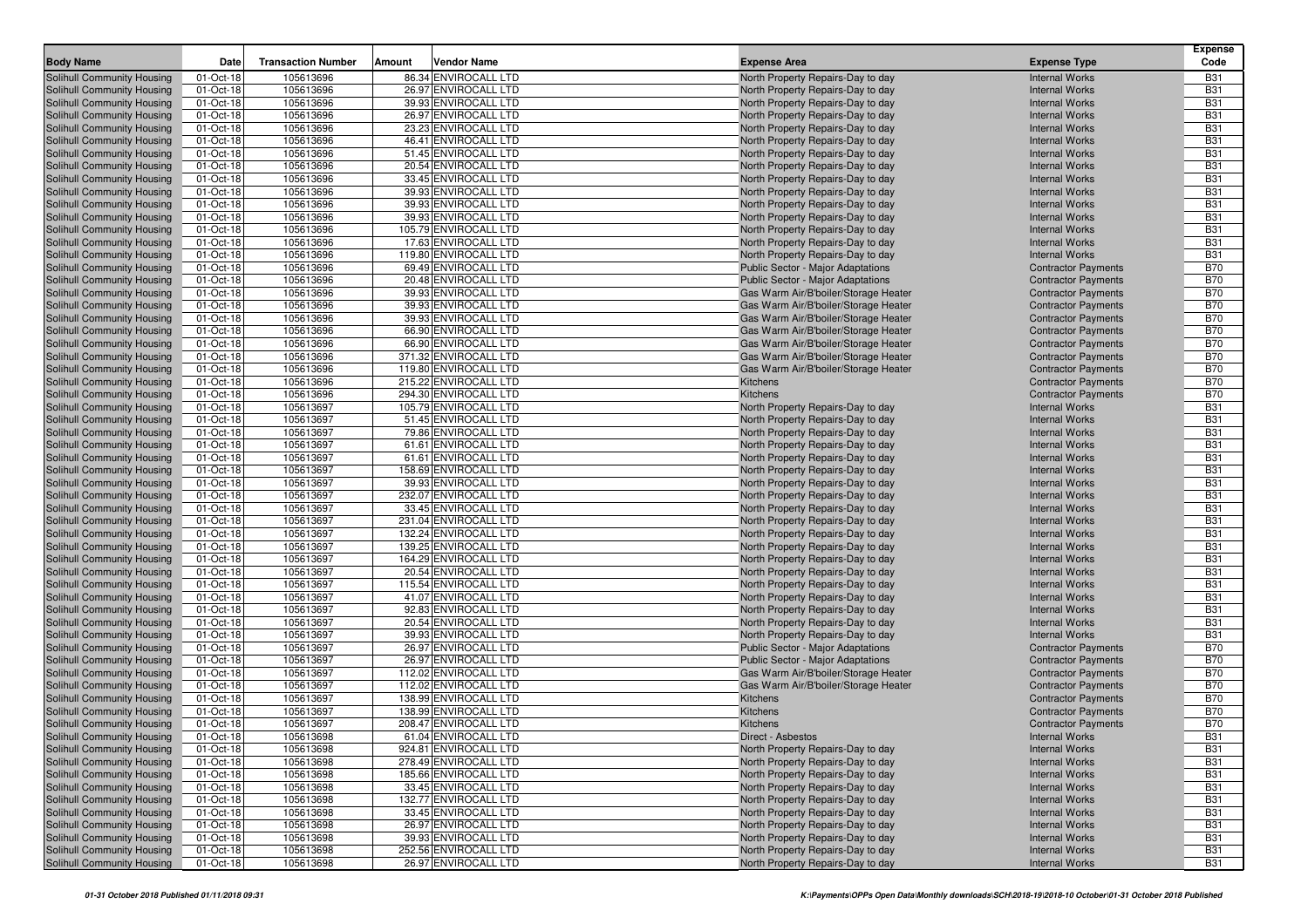|                                                          |                        |                           |                                               |                                                                        |                                                | <b>Expense</b>           |
|----------------------------------------------------------|------------------------|---------------------------|-----------------------------------------------|------------------------------------------------------------------------|------------------------------------------------|--------------------------|
| <b>Body Name</b>                                         | Date                   | <b>Transaction Number</b> | Vendor Name<br>Amount                         | <b>Expense Area</b>                                                    | <b>Expense Type</b>                            | Code                     |
| Solihull Community Housing                               | 01-Oct-18              | 105613696                 | 86.34 ENVIROCALL LTD                          | North Property Repairs-Day to day                                      | <b>Internal Works</b>                          | <b>B31</b>               |
| Solihull Community Housing                               | 01-Oct-18              | 105613696                 | 26.97 ENVIROCALL LTD                          | North Property Repairs-Day to day                                      | <b>Internal Works</b>                          | <b>B31</b>               |
| Solihull Community Housing                               | 01-Oct-18              | 105613696                 | 39.93 ENVIROCALL LTD                          | North Property Repairs-Day to day                                      | <b>Internal Works</b>                          | <b>B31</b>               |
| Solihull Community Housing                               | 01-Oct-18              | 105613696                 | 26.97 ENVIROCALL LTD                          | North Property Repairs-Day to day                                      | <b>Internal Works</b>                          | <b>B31</b>               |
| Solihull Community Housing                               | 01-Oct-18              | 105613696                 | 23.23 ENVIROCALL LTD                          | North Property Repairs-Day to day                                      | <b>Internal Works</b>                          | <b>B31</b>               |
| Solihull Community Housing                               | 01-Oct-18              | 105613696                 | 46.41 ENVIROCALL LTD                          | North Property Repairs-Day to day                                      | <b>Internal Works</b>                          | <b>B31</b>               |
| Solihull Community Housing                               | 01-Oct-18              | 105613696                 | 51.45 ENVIROCALL LTD                          | North Property Repairs-Day to day                                      | <b>Internal Works</b>                          | <b>B31</b>               |
| Solihull Community Housing                               | 01-Oct-18              | 105613696                 | 20.54 ENVIROCALL LTD                          | North Property Repairs-Day to day                                      | <b>Internal Works</b>                          | <b>B31</b>               |
| Solihull Community Housing                               | 01-Oct-18              | 105613696                 | 33.45 ENVIROCALL LTD                          | North Property Repairs-Day to day                                      | <b>Internal Works</b>                          | <b>B31</b>               |
| Solihull Community Housing                               | 01-Oct-18              | 105613696                 | 39.93 ENVIROCALL LTD                          | North Property Repairs-Day to day                                      | <b>Internal Works</b>                          | <b>B31</b>               |
| Solihull Community Housing                               | 01-Oct-18              | 105613696                 | 39.93 ENVIROCALL LTD                          | North Property Repairs-Day to day                                      | <b>Internal Works</b>                          | <b>B31</b>               |
| Solihull Community Housing                               | 01-Oct-18              | 105613696<br>105613696    | 39.93 ENVIROCALL LTD<br>105.79 ENVIROCALL LTD | North Property Repairs-Day to day                                      | <b>Internal Works</b>                          | <b>B31</b>               |
| Solihull Community Housing<br>Solihull Community Housing | 01-Oct-18<br>01-Oct-18 | 105613696                 | 17.63 ENVIROCALL LTD                          | North Property Repairs-Day to day                                      | <b>Internal Works</b><br><b>Internal Works</b> | <b>B31</b><br><b>B31</b> |
| Solihull Community Housing                               | 01-Oct-18              | 105613696                 | 119.80 ENVIROCALL LTD                         | North Property Repairs-Day to day<br>North Property Repairs-Day to day | <b>Internal Works</b>                          | <b>B31</b>               |
| Solihull Community Housing                               | 01-Oct-18              | 105613696                 | 69.49 ENVIROCALL LTD                          | <b>Public Sector - Major Adaptations</b>                               | <b>Contractor Payments</b>                     | <b>B70</b>               |
| Solihull Community Housing                               | 01-Oct-18              | 105613696                 | 20.48 ENVIROCALL LTD                          | <b>Public Sector - Major Adaptations</b>                               | <b>Contractor Payments</b>                     | <b>B70</b>               |
| Solihull Community Housing                               | 01-Oct-18              | 105613696                 | 39.93 ENVIROCALL LTD                          | Gas Warm Air/B'boiler/Storage Heater                                   | <b>Contractor Payments</b>                     | <b>B70</b>               |
| Solihull Community Housing                               | 01-Oct-18              | 105613696                 | 39.93 ENVIROCALL LTD                          | Gas Warm Air/B'boiler/Storage Heater                                   | <b>Contractor Payments</b>                     | <b>B70</b>               |
| Solihull Community Housing                               | 01-Oct-18              | 105613696                 | 39.93 ENVIROCALL LTD                          | Gas Warm Air/B'boiler/Storage Heater                                   | <b>Contractor Payments</b>                     | <b>B70</b>               |
| Solihull Community Housing                               | 01-Oct-18              | 105613696                 | 66.90 ENVIROCALL LTD                          | Gas Warm Air/B'boiler/Storage Heater                                   | <b>Contractor Payments</b>                     | <b>B70</b>               |
| Solihull Community Housing                               | 01-Oct-18              | 105613696                 | 66.90 ENVIROCALL LTD                          | Gas Warm Air/B'boiler/Storage Heater                                   | <b>Contractor Payments</b>                     | <b>B70</b>               |
| Solihull Community Housing                               | 01-Oct-18              | 105613696                 | 371.32 ENVIROCALL LTD                         | Gas Warm Air/B'boiler/Storage Heater                                   | <b>Contractor Payments</b>                     | <b>B70</b>               |
| Solihull Community Housing                               | 01-Oct-18              | 105613696                 | 119.80 ENVIROCALL LTD                         | Gas Warm Air/B'boiler/Storage Heater                                   | <b>Contractor Payments</b>                     | <b>B70</b>               |
| Solihull Community Housing                               | 01-Oct-18              | 105613696                 | 215.22 ENVIROCALL LTD                         | Kitchens                                                               | <b>Contractor Payments</b>                     | <b>B70</b>               |
| Solihull Community Housing                               | 01-Oct-18              | 105613696                 | 294.30 ENVIROCALL LTD                         | Kitchens                                                               | <b>Contractor Payments</b>                     | <b>B70</b>               |
| Solihull Community Housing                               | 01-Oct-18              | 105613697                 | 105.79 ENVIROCALL LTD                         | North Property Repairs-Day to day                                      | <b>Internal Works</b>                          | <b>B31</b>               |
| Solihull Community Housing                               | 01-Oct-18              | 105613697                 | 51.45 ENVIROCALL LTD                          | North Property Repairs-Day to day                                      | <b>Internal Works</b>                          | <b>B31</b>               |
| Solihull Community Housing                               | 01-Oct-18              | 105613697                 | 79.86 ENVIROCALL LTD                          | North Property Repairs-Day to day                                      | <b>Internal Works</b>                          | <b>B31</b>               |
| Solihull Community Housing                               | 01-Oct-18              | 105613697                 | 61.61 ENVIROCALL LTD                          | North Property Repairs-Day to day                                      | <b>Internal Works</b>                          | <b>B31</b>               |
| Solihull Community Housing                               | 01-Oct-18              | 105613697                 | 61.61 ENVIROCALL LTD                          | North Property Repairs-Day to day                                      | <b>Internal Works</b>                          | <b>B31</b>               |
| Solihull Community Housing                               | 01-Oct-18              | 105613697                 | 158.69 ENVIROCALL LTD                         | North Property Repairs-Day to day                                      | <b>Internal Works</b>                          | <b>B31</b>               |
| Solihull Community Housing                               | 01-Oct-18              | 105613697                 | 39.93 ENVIROCALL LTD                          | North Property Repairs-Day to day                                      | <b>Internal Works</b>                          | <b>B31</b>               |
| Solihull Community Housing                               | 01-Oct-18              | 105613697                 | 232.07 ENVIROCALL LTD                         | North Property Repairs-Day to day                                      | <b>Internal Works</b>                          | <b>B31</b>               |
| Solihull Community Housing                               | 01-Oct-18              | 105613697                 | 33.45 ENVIROCALL LTD                          | North Property Repairs-Day to day                                      | <b>Internal Works</b>                          | <b>B31</b>               |
| Solihull Community Housing                               | 01-Oct-18              | 105613697                 | 231.04 ENVIROCALL LTD                         | North Property Repairs-Day to day                                      | <b>Internal Works</b>                          | <b>B31</b>               |
| Solihull Community Housing                               | 01-Oct-18              | 105613697                 | 132.24 ENVIROCALL LTD                         | North Property Repairs-Day to day                                      | <b>Internal Works</b>                          | <b>B31</b>               |
| Solihull Community Housing                               | 01-Oct-18              | 105613697                 | 139.25 ENVIROCALL LTD                         | North Property Repairs-Day to day                                      | <b>Internal Works</b>                          | <b>B31</b>               |
| Solihull Community Housing                               | 01-Oct-18              | 105613697                 | 164.29 ENVIROCALL LTD                         | North Property Repairs-Day to day                                      | <b>Internal Works</b>                          | <b>B31</b>               |
| Solihull Community Housing                               | 01-Oct-18              | 105613697                 | 20.54 ENVIROCALL LTD                          | North Property Repairs-Day to day                                      | <b>Internal Works</b>                          | <b>B31</b><br><b>B31</b> |
| Solihull Community Housing                               | 01-Oct-18              | 105613697<br>105613697    | 115.54 ENVIROCALL LTD                         | North Property Repairs-Day to day                                      | <b>Internal Works</b>                          | <b>B31</b>               |
| Solihull Community Housing<br>Solihull Community Housing | 01-Oct-18<br>01-Oct-18 | 105613697                 | 41.07 ENVIROCALL LTD<br>92.83 ENVIROCALL LTD  | North Property Repairs-Day to day<br>North Property Repairs-Day to day | <b>Internal Works</b><br><b>Internal Works</b> | <b>B31</b>               |
| Solihull Community Housing                               | 01-Oct-18              | 105613697                 | 20.54 ENVIROCALL LTD                          | North Property Repairs-Day to day                                      | <b>Internal Works</b>                          | <b>B31</b>               |
| Solihull Community Housing                               | 01-Oct-18              | 105613697                 | 39.93 ENVIROCALL LTD                          | North Property Repairs-Day to day                                      | <b>Internal Works</b>                          | <b>B31</b>               |
| Solihull Community Housing                               | 01-Oct-18              | 105613697                 | 26.97 ENVIROCALL LTD                          | <b>Public Sector - Major Adaptations</b>                               | <b>Contractor Payments</b>                     | <b>B70</b>               |
| Solihull Community Housing                               | 01-Oct-18              | 105613697                 | 26.97 ENVIROCALL LTD                          | <b>Public Sector - Major Adaptations</b>                               | <b>Contractor Payments</b>                     | <b>B70</b>               |
| Solihull Community Housing                               | 01-Oct-18              | 105613697                 | 112.02 ENVIROCALL LTD                         | Gas Warm Air/B'boiler/Storage Heater                                   | <b>Contractor Payments</b>                     | <b>B70</b>               |
| Solihull Community Housing                               | 01-Oct-18              | 105613697                 | 112.02 ENVIROCALL LTD                         | Gas Warm Air/B'boiler/Storage Heater                                   | <b>Contractor Payments</b>                     | <b>B70</b>               |
| Solihull Community Housing                               | 01-Oct-18              | 105613697                 | 138.99 ENVIROCALL LTD                         | Kitchens                                                               | <b>Contractor Payments</b>                     | <b>B70</b>               |
| Solihull Community Housing                               | 01-Oct-18              | 105613697                 | 138.99 ENVIROCALL LTD                         | Kitchens                                                               | <b>Contractor Payments</b>                     | <b>B70</b>               |
| Solihull Community Housing                               | 01-Oct-18              | 105613697                 | 208.47 ENVIROCALL LTD                         | Kitchens                                                               | <b>Contractor Payments</b>                     | <b>B70</b>               |
| Solihull Community Housing                               | 01-Oct-18              | 105613698                 | 61.04 ENVIROCALL LTD                          | Direct - Asbestos                                                      | <b>Internal Works</b>                          | <b>B31</b>               |
| Solihull Community Housing                               | 01-Oct-18              | 105613698                 | 924.81 ENVIROCALL LTD                         | North Property Repairs-Day to day                                      | <b>Internal Works</b>                          | <b>B31</b>               |
| Solihull Community Housing                               | 01-Oct-18              | 105613698                 | 278.49 ENVIROCALL LTD                         | North Property Repairs-Day to day                                      | <b>Internal Works</b>                          | <b>B31</b>               |
| Solihull Community Housing                               | 01-Oct-18              | 105613698                 | 185.66 ENVIROCALL LTD                         | North Property Repairs-Day to day                                      | <b>Internal Works</b>                          | <b>B31</b>               |
| Solihull Community Housing                               | 01-Oct-18              | 105613698                 | 33.45 ENVIROCALL LTD                          | North Property Repairs-Day to day                                      | <b>Internal Works</b>                          | <b>B31</b>               |
| Solihull Community Housing                               | 01-Oct-18              | 105613698                 | 132.77 ENVIROCALL LTD                         | North Property Repairs-Day to day                                      | <b>Internal Works</b>                          | <b>B31</b>               |
| Solihull Community Housing                               | 01-Oct-18              | 105613698                 | 33.45 ENVIROCALL LTD                          | North Property Repairs-Day to day                                      | <b>Internal Works</b>                          | <b>B31</b>               |
| Solihull Community Housing                               | 01-Oct-18              | 105613698                 | 26.97 ENVIROCALL LTD                          | North Property Repairs-Day to day                                      | <b>Internal Works</b>                          | <b>B31</b>               |
| Solihull Community Housing                               | 01-Oct-18              | 105613698                 | 39.93 ENVIROCALL LTD                          | North Property Repairs-Day to day                                      | <b>Internal Works</b>                          | <b>B31</b>               |
| Solihull Community Housing                               | 01-Oct-18              | 105613698                 | 252.56 ENVIROCALL LTD                         | North Property Repairs-Day to day                                      | <b>Internal Works</b>                          | <b>B31</b>               |
| Solihull Community Housing                               | 01-Oct-18              | 105613698                 | 26.97 ENVIROCALL LTD                          | North Property Repairs-Day to day                                      | <b>Internal Works</b>                          | <b>B31</b>               |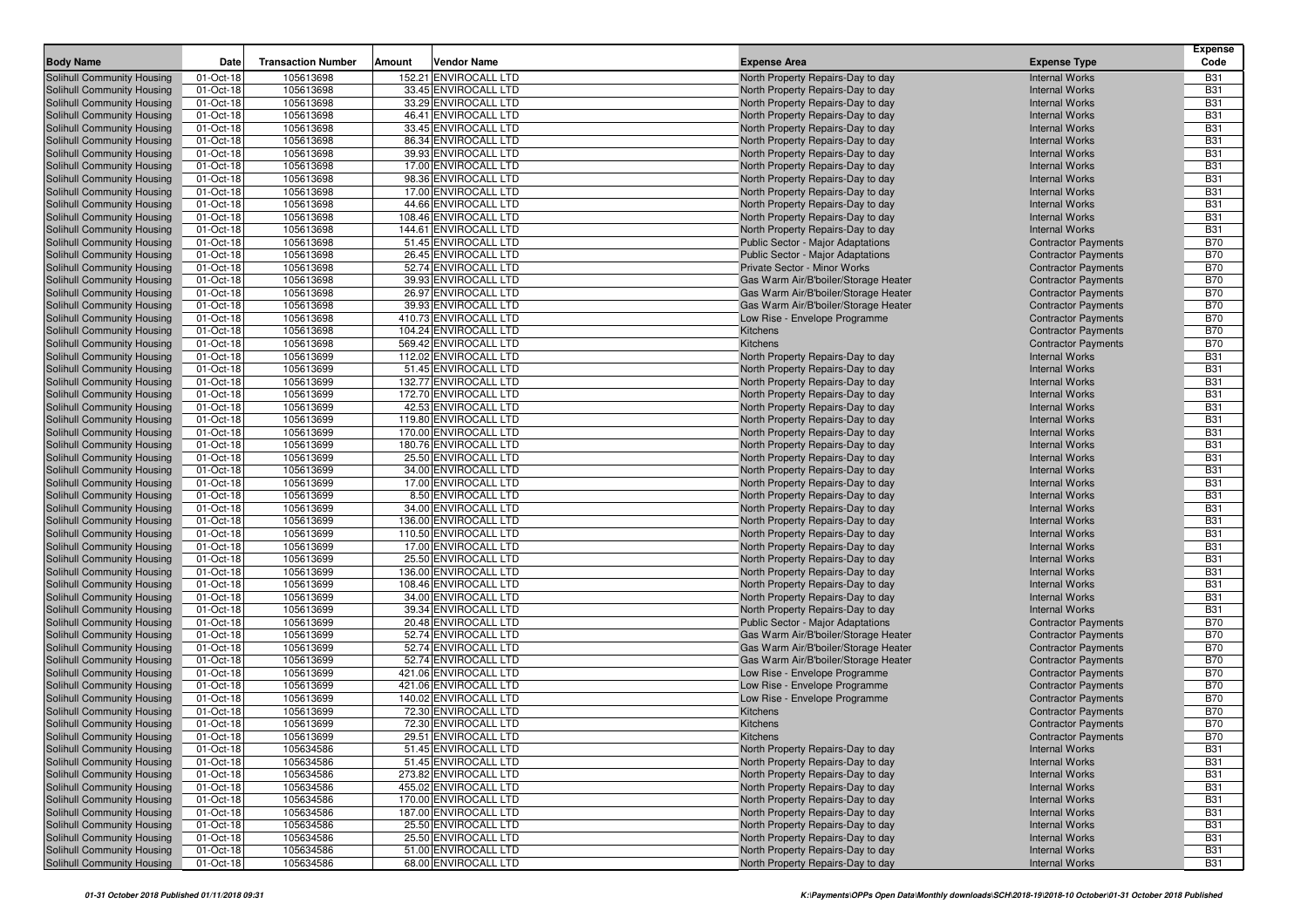| <b>Body Name</b><br><b>Transaction Number</b><br>Amount<br>Vendor Name<br><b>Expense Type</b><br>Code<br>Date<br><b>Expense Area</b><br>105613698<br>152.21 ENVIROCALL LTD<br>Solihull Community Housing<br>01-Oct-18<br>North Property Repairs-Day to day<br><b>Internal Works</b><br><b>B31</b><br><b>B31</b><br>Solihull Community Housing<br>01-Oct-18<br>105613698<br>33.45 ENVIROCALL LTD<br>North Property Repairs-Day to day<br><b>Internal Works</b><br>01-Oct-18<br>105613698<br>33.29 ENVIROCALL LTD<br><b>B31</b><br>Solihull Community Housing<br>North Property Repairs-Day to day<br><b>Internal Works</b><br>46.41 ENVIROCALL LTD<br>01-Oct-18<br>105613698<br><b>B31</b><br>Solihull Community Housing<br>North Property Repairs-Day to day<br><b>Internal Works</b><br><b>Solihull Community Housing</b><br>01-Oct-18<br>105613698<br>33.45 ENVIROCALL LTD<br>North Property Repairs-Day to day<br><b>B31</b><br><b>Internal Works</b><br>01-Oct-18<br>105613698<br><b>B31</b><br>Solihull Community Housing<br>86.34 ENVIROCALL LTD<br>North Property Repairs-Day to day<br><b>Internal Works</b><br>01-Oct-18<br>105613698<br>39.93 ENVIROCALL LTD<br><b>B31</b><br>Solihull Community Housing<br>North Property Repairs-Day to day<br><b>Internal Works</b><br><b>B31</b><br>Solihull Community Housing<br>01-Oct-18<br>105613698<br>17.00 ENVIROCALL LTD<br>North Property Repairs-Day to day<br><b>Internal Works</b><br>Solihull Community Housing<br>01-Oct-18<br>105613698<br>98.36 ENVIROCALL LTD<br><b>B31</b><br>North Property Repairs-Day to day<br><b>Internal Works</b><br>01-Oct-18<br>105613698<br>17.00 ENVIROCALL LTD<br><b>B31</b><br>Solihull Community Housing<br>North Property Repairs-Day to day<br><b>Internal Works</b><br>01-Oct-18<br>44.66 ENVIROCALL LTD<br><b>B31</b><br>Solihull Community Housing<br>105613698<br>North Property Repairs-Day to day<br><b>Internal Works</b><br>01-Oct-18<br>105613698<br>108.46 ENVIROCALL LTD<br><b>Internal Works</b><br><b>B31</b><br>Solihull Community Housing<br>North Property Repairs-Day to day<br>Solihull Community Housing<br>01-Oct-18<br>105613698<br>144.61 ENVIROCALL LTD<br><b>B31</b><br>North Property Repairs-Day to day<br><b>Internal Works</b><br>01-Oct-18<br>51.45 ENVIROCALL LTD<br><b>B70</b><br>Solihull Community Housing<br>105613698<br><b>Public Sector - Major Adaptations</b><br><b>Contractor Payments</b><br><b>B70</b><br>105613698<br>26.45 ENVIROCALL LTD<br>Solihull Community Housing<br>01-Oct-18<br>Public Sector - Major Adaptations<br><b>Contractor Payments</b><br>Solihull Community Housing<br>01-Oct-18<br>105613698<br>52.74 ENVIROCALL LTD<br><b>B70</b><br><b>Private Sector - Minor Works</b><br><b>Contractor Payments</b><br>01-Oct-18<br>105613698<br>39.93 ENVIROCALL LTD<br><b>B70</b><br>Solihull Community Housing<br>Gas Warm Air/B'boiler/Storage Heater<br><b>Contractor Payments</b><br>01-Oct-18<br>105613698<br>26.97 ENVIROCALL LTD<br><b>B70</b><br>Solihull Community Housing<br>Gas Warm Air/B'boiler/Storage Heater<br><b>Contractor Payments</b><br>01-Oct-18<br>105613698<br>39.93 ENVIROCALL LTD<br><b>B70</b><br>Solihull Community Housing<br>Gas Warm Air/B'boiler/Storage Heater<br><b>Contractor Payments</b><br><b>B70</b><br>01-Oct-18<br>105613698<br>410.73 ENVIROCALL LTD<br>Solihull Community Housing<br>Low Rise - Envelope Programme<br><b>Contractor Payments</b><br>01-Oct-18<br>105613698<br>104.24 ENVIROCALL LTD<br><b>B70</b><br>Solihull Community Housing<br>Kitchens<br><b>Contractor Payments</b><br><b>B70</b><br>01-Oct-18<br>105613698<br>569.42 ENVIROCALL LTD<br>Solihull Community Housing<br>Kitchens<br><b>Contractor Payments</b><br>112.02 ENVIROCALL LTD<br><b>B31</b><br>Solihull Community Housing<br>01-Oct-18<br>105613699<br>North Property Repairs-Day to day<br><b>Internal Works</b><br>01-Oct-18<br>105613699<br>51.45 ENVIROCALL LTD<br><b>B31</b><br>Solihull Community Housing<br>North Property Repairs-Day to day<br><b>Internal Works</b><br>01-Oct-18<br>105613699<br>132.77 ENVIROCALL LTD<br><b>B31</b><br>Solihull Community Housing<br>North Property Repairs-Day to day<br><b>Internal Works</b><br>105613699<br>172.70 ENVIROCALL LTD<br>North Property Repairs-Day to day<br><b>B31</b><br>Solihull Community Housing<br>01-Oct-18<br><b>Internal Works</b><br>01-Oct-18<br>42.53 ENVIROCALL LTD<br><b>B31</b><br>Solihull Community Housing<br>105613699<br>North Property Repairs-Day to day<br><b>Internal Works</b><br>01-Oct-18<br>105613699<br>119.80 ENVIROCALL LTD<br><b>B31</b><br>Solihull Community Housing<br>North Property Repairs-Day to day<br><b>Internal Works</b><br>01-Oct-18<br>105613699<br>170.00 ENVIROCALL LTD<br><b>B31</b><br>Solihull Community Housing<br>North Property Repairs-Day to day<br><b>Internal Works</b><br>Solihull Community Housing<br>01-Oct-18<br>105613699<br>180.76 ENVIROCALL LTD<br>North Property Repairs-Day to day<br><b>Internal Works</b><br><b>B31</b><br>01-Oct-18<br>105613699<br>25.50 ENVIROCALL LTD<br><b>B31</b><br>Solihull Community Housing<br><b>Internal Works</b><br>North Property Repairs-Day to day<br>01-Oct-18<br>105613699<br>34.00 ENVIROCALL LTD<br><b>B31</b><br>Solihull Community Housing<br>North Property Repairs-Day to day<br><b>Internal Works</b><br>Solihull Community Housing<br>01-Oct-18<br>105613699<br>17.00 ENVIROCALL LTD<br>North Property Repairs-Day to day<br><b>B31</b><br><b>Internal Works</b><br>01-Oct-18<br>105613699<br>8.50 ENVIROCALL LTD<br><b>B31</b><br>Solihull Community Housing<br>North Property Repairs-Day to day<br><b>Internal Works</b><br>Solihull Community Housing<br>01-Oct-18<br>105613699<br>34.00 ENVIROCALL LTD<br><b>B31</b><br>North Property Repairs-Day to day<br><b>Internal Works</b><br>01-Oct-18<br>136.00 ENVIROCALL LTD<br><b>B31</b><br>Solihull Community Housing<br>105613699<br>North Property Repairs-Day to day<br><b>Internal Works</b><br>105613699<br>110.50 ENVIROCALL LTD<br><b>B31</b><br>Solihull Community Housing<br>01-Oct-18<br>North Property Repairs-Day to day<br><b>Internal Works</b><br>01-Oct-18<br>105613699<br>17.00 ENVIROCALL LTD<br><b>B31</b><br>Solihull Community Housing<br>North Property Repairs-Day to day<br><b>Internal Works</b><br>01-Oct-18<br>105613699<br>25.50 ENVIROCALL LTD<br><b>B31</b><br>Solihull Community Housing<br>North Property Repairs-Day to day<br><b>Internal Works</b><br>105613699<br>136.00 ENVIROCALL LTD<br><b>B31</b><br>Solihull Community Housing<br>01-Oct-18<br>North Property Repairs-Day to day<br><b>Internal Works</b><br>Solihull Community Housing<br>01-Oct-18<br>105613699<br>108.46 ENVIROCALL LTD<br><b>B31</b><br>North Property Repairs-Day to day<br><b>Internal Works</b><br>01-Oct-18<br>105613699<br>34.00 ENVIROCALL LTD<br><b>B31</b><br>Solihull Community Housing<br>North Property Repairs-Day to day<br><b>Internal Works</b><br>01-Oct-18<br>105613699<br>39.34 ENVIROCALL LTD<br><b>B31</b><br>Solihull Community Housing<br>North Property Repairs-Day to day<br><b>Internal Works</b><br>01-Oct-18<br>105613699<br>20.48 ENVIROCALL LTD<br><b>B70</b><br>Solihull Community Housing<br><b>Public Sector - Major Adaptations</b><br><b>Contractor Payments</b><br><b>B70</b><br>01-Oct-18<br>105613699<br>52.74 ENVIROCALL LTD<br>Solihull Community Housing<br>Gas Warm Air/B'boiler/Storage Heater<br><b>Contractor Payments</b><br>01-Oct-18<br>105613699<br>52.74 ENVIROCALL LTD<br>Gas Warm Air/B'boiler/Storage Heater<br><b>B70</b><br>Solihull Community Housing<br><b>Contractor Payments</b><br>01-Oct-18<br>105613699<br>52.74 ENVIROCALL LTD<br><b>B70</b><br>Solihull Community Housing<br>Gas Warm Air/B'boiler/Storage Heater<br><b>Contractor Payments</b><br><b>B70</b><br>Solihull Community Housing<br>01-Oct-18<br>105613699<br>421.06 ENVIROCALL LTD<br>Low Rise - Envelope Programme<br><b>Contractor Payments</b><br>01-Oct-18<br>105613699<br>421.06 ENVIROCALL LTD<br><b>B70</b><br>Solihull Community Housing<br>Low Rise - Envelope Programme<br><b>Contractor Payments</b><br>Solihull Community Housing<br>01-Oct-18<br>105613699<br>140.02 ENVIROCALL LTD<br><b>B70</b><br>Low Rise - Envelope Programme<br><b>Contractor Payments</b><br>01-Oct-18<br>105613699<br>72.30 ENVIROCALL LTD<br><b>B70</b><br>Solihull Community Housing<br>Kitchens<br><b>Contractor Payments</b><br>Solihull Community Housing<br>01-Oct-18<br>105613699<br>72.30 ENVIROCALL LTD<br><b>B70</b><br>Kitchens<br><b>Contractor Payments</b><br>Solihull Community Housing<br>29.51 ENVIROCALL LTD<br><b>B70</b><br>$01$ -Oct-18<br>105613699<br>Kitchens<br><b>Contractor Payments</b><br><b>B31</b><br>Solihull Community Housing<br>01-Oct-18<br>105634586<br>51.45 ENVIROCALL LTD<br>North Property Repairs-Day to day<br><b>Internal Works</b><br>01-Oct-18<br>105634586<br>51.45 ENVIROCALL LTD<br>North Property Repairs-Day to day<br><b>B31</b><br><b>Internal Works</b><br>01-Oct-18<br>105634586<br>273.82 ENVIROCALL LTD<br><b>B31</b><br>North Property Repairs-Day to day<br><b>Internal Works</b><br>Solihull Community Housing<br>105634586<br>455.02 ENVIROCALL LTD<br>North Property Repairs-Day to day<br><b>B31</b><br>01-Oct-18<br><b>Internal Works</b><br>Solihull Community Housing<br>01-Oct-18<br>105634586<br>170.00 ENVIROCALL LTD<br>North Property Repairs-Day to day<br><b>B31</b><br><b>Internal Works</b><br>Solihull Community Housing<br>01-Oct-18<br>105634586<br>187.00 ENVIROCALL LTD<br><b>B31</b><br>North Property Repairs-Day to day<br><b>Internal Works</b><br>Solihull Community Housing<br>01-Oct-18<br>105634586<br>25.50 ENVIROCALL LTD<br>North Property Repairs-Day to day<br><b>B31</b><br><b>Internal Works</b><br>Solihull Community Housing<br>01-Oct-18<br>105634586<br>25.50 ENVIROCALL LTD<br><b>B31</b><br>North Property Repairs-Day to day<br><b>Internal Works</b><br>01-Oct-18<br>105634586<br>51.00 ENVIROCALL LTD<br><b>Internal Works</b><br><b>B31</b><br>North Property Repairs-Day to day<br>Solihull Community Housing<br>01-Oct-18<br>105634586<br>68.00 ENVIROCALL LTD<br>North Property Repairs-Day to day<br><b>Internal Works</b><br><b>B31</b> |                            |  |  | <b>Expense</b> |
|----------------------------------------------------------------------------------------------------------------------------------------------------------------------------------------------------------------------------------------------------------------------------------------------------------------------------------------------------------------------------------------------------------------------------------------------------------------------------------------------------------------------------------------------------------------------------------------------------------------------------------------------------------------------------------------------------------------------------------------------------------------------------------------------------------------------------------------------------------------------------------------------------------------------------------------------------------------------------------------------------------------------------------------------------------------------------------------------------------------------------------------------------------------------------------------------------------------------------------------------------------------------------------------------------------------------------------------------------------------------------------------------------------------------------------------------------------------------------------------------------------------------------------------------------------------------------------------------------------------------------------------------------------------------------------------------------------------------------------------------------------------------------------------------------------------------------------------------------------------------------------------------------------------------------------------------------------------------------------------------------------------------------------------------------------------------------------------------------------------------------------------------------------------------------------------------------------------------------------------------------------------------------------------------------------------------------------------------------------------------------------------------------------------------------------------------------------------------------------------------------------------------------------------------------------------------------------------------------------------------------------------------------------------------------------------------------------------------------------------------------------------------------------------------------------------------------------------------------------------------------------------------------------------------------------------------------------------------------------------------------------------------------------------------------------------------------------------------------------------------------------------------------------------------------------------------------------------------------------------------------------------------------------------------------------------------------------------------------------------------------------------------------------------------------------------------------------------------------------------------------------------------------------------------------------------------------------------------------------------------------------------------------------------------------------------------------------------------------------------------------------------------------------------------------------------------------------------------------------------------------------------------------------------------------------------------------------------------------------------------------------------------------------------------------------------------------------------------------------------------------------------------------------------------------------------------------------------------------------------------------------------------------------------------------------------------------------------------------------------------------------------------------------------------------------------------------------------------------------------------------------------------------------------------------------------------------------------------------------------------------------------------------------------------------------------------------------------------------------------------------------------------------------------------------------------------------------------------------------------------------------------------------------------------------------------------------------------------------------------------------------------------------------------------------------------------------------------------------------------------------------------------------------------------------------------------------------------------------------------------------------------------------------------------------------------------------------------------------------------------------------------------------------------------------------------------------------------------------------------------------------------------------------------------------------------------------------------------------------------------------------------------------------------------------------------------------------------------------------------------------------------------------------------------------------------------------------------------------------------------------------------------------------------------------------------------------------------------------------------------------------------------------------------------------------------------------------------------------------------------------------------------------------------------------------------------------------------------------------------------------------------------------------------------------------------------------------------------------------------------------------------------------------------------------------------------------------------------------------------------------------------------------------------------------------------------------------------------------------------------------------------------------------------------------------------------------------------------------------------------------------------------------------------------------------------------------------------------------------------------------------------------------------------------------------------------------------------------------------------------------------------------------------------------------------------------------------------------------------------------------------------------------------------------------------------------------------------------------------------------------------------------------------------------------------------------------------------------------------------------------------------------------------------------------------------------------------------------------------------------------------------------------------------------------------------------------------------------------------------------------------------------------------------------------------------------------------------------------------------------------------------------------------------------------------------------------------------------------------------------------------------------------------------------------------------------------------------------------------------------------------------------------------------------------------------------------------------------------------------------------------------------------------------------------------------------------------------------------------------------------------------------------------------------------------------------------------------------------------------------------------------------------------------------------------------------------------------------------------------------------------------------------------------------------------------------------------------------------------------------------------------------------------------------------------------------------------------------------------------------------------------------------------------------------------------------------------------------------------------------------------------------------------------------------------------------------------------------------------------------------------------------------------------------------------------------------------------------------------------------------------------------------------------------------------------------------------------------------------------------------------------------------------------------------------------------------------------------------------------------------------------------------------------------------------------------------------------------------------------------------------------------------------------------------------------------------------------------------------------------------------------------------------------------------------------------------------------------------------------------------------------------------------------------------------------------------------------------------------------------------------------------------------------------------------------------------------------------------------------------------------------------------------------------------------------------------------------------------------------------------------------------------------------------------------------------------------------------------------------------------------------------------------------------------|----------------------------|--|--|----------------|
|                                                                                                                                                                                                                                                                                                                                                                                                                                                                                                                                                                                                                                                                                                                                                                                                                                                                                                                                                                                                                                                                                                                                                                                                                                                                                                                                                                                                                                                                                                                                                                                                                                                                                                                                                                                                                                                                                                                                                                                                                                                                                                                                                                                                                                                                                                                                                                                                                                                                                                                                                                                                                                                                                                                                                                                                                                                                                                                                                                                                                                                                                                                                                                                                                                                                                                                                                                                                                                                                                                                                                                                                                                                                                                                                                                                                                                                                                                                                                                                                                                                                                                                                                                                                                                                                                                                                                                                                                                                                                                                                                                                                                                                                                                                                                                                                                                                                                                                                                                                                                                                                                                                                                                                                                                                                                                                                                                                                                                                                                                                                                                                                                                                                                                                                                                                                                                                                                                                                                                                                                                                                                                                                                                                                                                                                                                                                                                                                                                                                                                                                                                                                                                                                                                                                                                                                                                                                                                                                                                                                                                                                                                                                                                                                                                                                                                                                                                                                                                                                                                                                                                                                                                                                                                                                                                                                                                                                                                                                                                                                                                                                                                                                                                                                                                                                                                                                                                                                                                                                                                                                                                                                                                                                                                                                                                                                                                                                                                                                                                                                                                                                                                                                                                                                                                                                                                                                                                                                                                                                                                                                                                                                                                                                                                                                                                                                                                                                                                                                                                                                                                                                                                                                                                                                                                                                                                    |                            |  |  |                |
|                                                                                                                                                                                                                                                                                                                                                                                                                                                                                                                                                                                                                                                                                                                                                                                                                                                                                                                                                                                                                                                                                                                                                                                                                                                                                                                                                                                                                                                                                                                                                                                                                                                                                                                                                                                                                                                                                                                                                                                                                                                                                                                                                                                                                                                                                                                                                                                                                                                                                                                                                                                                                                                                                                                                                                                                                                                                                                                                                                                                                                                                                                                                                                                                                                                                                                                                                                                                                                                                                                                                                                                                                                                                                                                                                                                                                                                                                                                                                                                                                                                                                                                                                                                                                                                                                                                                                                                                                                                                                                                                                                                                                                                                                                                                                                                                                                                                                                                                                                                                                                                                                                                                                                                                                                                                                                                                                                                                                                                                                                                                                                                                                                                                                                                                                                                                                                                                                                                                                                                                                                                                                                                                                                                                                                                                                                                                                                                                                                                                                                                                                                                                                                                                                                                                                                                                                                                                                                                                                                                                                                                                                                                                                                                                                                                                                                                                                                                                                                                                                                                                                                                                                                                                                                                                                                                                                                                                                                                                                                                                                                                                                                                                                                                                                                                                                                                                                                                                                                                                                                                                                                                                                                                                                                                                                                                                                                                                                                                                                                                                                                                                                                                                                                                                                                                                                                                                                                                                                                                                                                                                                                                                                                                                                                                                                                                                                                                                                                                                                                                                                                                                                                                                                                                                                                                                                                    |                            |  |  |                |
|                                                                                                                                                                                                                                                                                                                                                                                                                                                                                                                                                                                                                                                                                                                                                                                                                                                                                                                                                                                                                                                                                                                                                                                                                                                                                                                                                                                                                                                                                                                                                                                                                                                                                                                                                                                                                                                                                                                                                                                                                                                                                                                                                                                                                                                                                                                                                                                                                                                                                                                                                                                                                                                                                                                                                                                                                                                                                                                                                                                                                                                                                                                                                                                                                                                                                                                                                                                                                                                                                                                                                                                                                                                                                                                                                                                                                                                                                                                                                                                                                                                                                                                                                                                                                                                                                                                                                                                                                                                                                                                                                                                                                                                                                                                                                                                                                                                                                                                                                                                                                                                                                                                                                                                                                                                                                                                                                                                                                                                                                                                                                                                                                                                                                                                                                                                                                                                                                                                                                                                                                                                                                                                                                                                                                                                                                                                                                                                                                                                                                                                                                                                                                                                                                                                                                                                                                                                                                                                                                                                                                                                                                                                                                                                                                                                                                                                                                                                                                                                                                                                                                                                                                                                                                                                                                                                                                                                                                                                                                                                                                                                                                                                                                                                                                                                                                                                                                                                                                                                                                                                                                                                                                                                                                                                                                                                                                                                                                                                                                                                                                                                                                                                                                                                                                                                                                                                                                                                                                                                                                                                                                                                                                                                                                                                                                                                                                                                                                                                                                                                                                                                                                                                                                                                                                                                                                                    |                            |  |  |                |
|                                                                                                                                                                                                                                                                                                                                                                                                                                                                                                                                                                                                                                                                                                                                                                                                                                                                                                                                                                                                                                                                                                                                                                                                                                                                                                                                                                                                                                                                                                                                                                                                                                                                                                                                                                                                                                                                                                                                                                                                                                                                                                                                                                                                                                                                                                                                                                                                                                                                                                                                                                                                                                                                                                                                                                                                                                                                                                                                                                                                                                                                                                                                                                                                                                                                                                                                                                                                                                                                                                                                                                                                                                                                                                                                                                                                                                                                                                                                                                                                                                                                                                                                                                                                                                                                                                                                                                                                                                                                                                                                                                                                                                                                                                                                                                                                                                                                                                                                                                                                                                                                                                                                                                                                                                                                                                                                                                                                                                                                                                                                                                                                                                                                                                                                                                                                                                                                                                                                                                                                                                                                                                                                                                                                                                                                                                                                                                                                                                                                                                                                                                                                                                                                                                                                                                                                                                                                                                                                                                                                                                                                                                                                                                                                                                                                                                                                                                                                                                                                                                                                                                                                                                                                                                                                                                                                                                                                                                                                                                                                                                                                                                                                                                                                                                                                                                                                                                                                                                                                                                                                                                                                                                                                                                                                                                                                                                                                                                                                                                                                                                                                                                                                                                                                                                                                                                                                                                                                                                                                                                                                                                                                                                                                                                                                                                                                                                                                                                                                                                                                                                                                                                                                                                                                                                                                                                    |                            |  |  |                |
|                                                                                                                                                                                                                                                                                                                                                                                                                                                                                                                                                                                                                                                                                                                                                                                                                                                                                                                                                                                                                                                                                                                                                                                                                                                                                                                                                                                                                                                                                                                                                                                                                                                                                                                                                                                                                                                                                                                                                                                                                                                                                                                                                                                                                                                                                                                                                                                                                                                                                                                                                                                                                                                                                                                                                                                                                                                                                                                                                                                                                                                                                                                                                                                                                                                                                                                                                                                                                                                                                                                                                                                                                                                                                                                                                                                                                                                                                                                                                                                                                                                                                                                                                                                                                                                                                                                                                                                                                                                                                                                                                                                                                                                                                                                                                                                                                                                                                                                                                                                                                                                                                                                                                                                                                                                                                                                                                                                                                                                                                                                                                                                                                                                                                                                                                                                                                                                                                                                                                                                                                                                                                                                                                                                                                                                                                                                                                                                                                                                                                                                                                                                                                                                                                                                                                                                                                                                                                                                                                                                                                                                                                                                                                                                                                                                                                                                                                                                                                                                                                                                                                                                                                                                                                                                                                                                                                                                                                                                                                                                                                                                                                                                                                                                                                                                                                                                                                                                                                                                                                                                                                                                                                                                                                                                                                                                                                                                                                                                                                                                                                                                                                                                                                                                                                                                                                                                                                                                                                                                                                                                                                                                                                                                                                                                                                                                                                                                                                                                                                                                                                                                                                                                                                                                                                                                                                                    |                            |  |  |                |
|                                                                                                                                                                                                                                                                                                                                                                                                                                                                                                                                                                                                                                                                                                                                                                                                                                                                                                                                                                                                                                                                                                                                                                                                                                                                                                                                                                                                                                                                                                                                                                                                                                                                                                                                                                                                                                                                                                                                                                                                                                                                                                                                                                                                                                                                                                                                                                                                                                                                                                                                                                                                                                                                                                                                                                                                                                                                                                                                                                                                                                                                                                                                                                                                                                                                                                                                                                                                                                                                                                                                                                                                                                                                                                                                                                                                                                                                                                                                                                                                                                                                                                                                                                                                                                                                                                                                                                                                                                                                                                                                                                                                                                                                                                                                                                                                                                                                                                                                                                                                                                                                                                                                                                                                                                                                                                                                                                                                                                                                                                                                                                                                                                                                                                                                                                                                                                                                                                                                                                                                                                                                                                                                                                                                                                                                                                                                                                                                                                                                                                                                                                                                                                                                                                                                                                                                                                                                                                                                                                                                                                                                                                                                                                                                                                                                                                                                                                                                                                                                                                                                                                                                                                                                                                                                                                                                                                                                                                                                                                                                                                                                                                                                                                                                                                                                                                                                                                                                                                                                                                                                                                                                                                                                                                                                                                                                                                                                                                                                                                                                                                                                                                                                                                                                                                                                                                                                                                                                                                                                                                                                                                                                                                                                                                                                                                                                                                                                                                                                                                                                                                                                                                                                                                                                                                                                                                    |                            |  |  |                |
|                                                                                                                                                                                                                                                                                                                                                                                                                                                                                                                                                                                                                                                                                                                                                                                                                                                                                                                                                                                                                                                                                                                                                                                                                                                                                                                                                                                                                                                                                                                                                                                                                                                                                                                                                                                                                                                                                                                                                                                                                                                                                                                                                                                                                                                                                                                                                                                                                                                                                                                                                                                                                                                                                                                                                                                                                                                                                                                                                                                                                                                                                                                                                                                                                                                                                                                                                                                                                                                                                                                                                                                                                                                                                                                                                                                                                                                                                                                                                                                                                                                                                                                                                                                                                                                                                                                                                                                                                                                                                                                                                                                                                                                                                                                                                                                                                                                                                                                                                                                                                                                                                                                                                                                                                                                                                                                                                                                                                                                                                                                                                                                                                                                                                                                                                                                                                                                                                                                                                                                                                                                                                                                                                                                                                                                                                                                                                                                                                                                                                                                                                                                                                                                                                                                                                                                                                                                                                                                                                                                                                                                                                                                                                                                                                                                                                                                                                                                                                                                                                                                                                                                                                                                                                                                                                                                                                                                                                                                                                                                                                                                                                                                                                                                                                                                                                                                                                                                                                                                                                                                                                                                                                                                                                                                                                                                                                                                                                                                                                                                                                                                                                                                                                                                                                                                                                                                                                                                                                                                                                                                                                                                                                                                                                                                                                                                                                                                                                                                                                                                                                                                                                                                                                                                                                                                                                                    |                            |  |  |                |
|                                                                                                                                                                                                                                                                                                                                                                                                                                                                                                                                                                                                                                                                                                                                                                                                                                                                                                                                                                                                                                                                                                                                                                                                                                                                                                                                                                                                                                                                                                                                                                                                                                                                                                                                                                                                                                                                                                                                                                                                                                                                                                                                                                                                                                                                                                                                                                                                                                                                                                                                                                                                                                                                                                                                                                                                                                                                                                                                                                                                                                                                                                                                                                                                                                                                                                                                                                                                                                                                                                                                                                                                                                                                                                                                                                                                                                                                                                                                                                                                                                                                                                                                                                                                                                                                                                                                                                                                                                                                                                                                                                                                                                                                                                                                                                                                                                                                                                                                                                                                                                                                                                                                                                                                                                                                                                                                                                                                                                                                                                                                                                                                                                                                                                                                                                                                                                                                                                                                                                                                                                                                                                                                                                                                                                                                                                                                                                                                                                                                                                                                                                                                                                                                                                                                                                                                                                                                                                                                                                                                                                                                                                                                                                                                                                                                                                                                                                                                                                                                                                                                                                                                                                                                                                                                                                                                                                                                                                                                                                                                                                                                                                                                                                                                                                                                                                                                                                                                                                                                                                                                                                                                                                                                                                                                                                                                                                                                                                                                                                                                                                                                                                                                                                                                                                                                                                                                                                                                                                                                                                                                                                                                                                                                                                                                                                                                                                                                                                                                                                                                                                                                                                                                                                                                                                                                                                    |                            |  |  |                |
|                                                                                                                                                                                                                                                                                                                                                                                                                                                                                                                                                                                                                                                                                                                                                                                                                                                                                                                                                                                                                                                                                                                                                                                                                                                                                                                                                                                                                                                                                                                                                                                                                                                                                                                                                                                                                                                                                                                                                                                                                                                                                                                                                                                                                                                                                                                                                                                                                                                                                                                                                                                                                                                                                                                                                                                                                                                                                                                                                                                                                                                                                                                                                                                                                                                                                                                                                                                                                                                                                                                                                                                                                                                                                                                                                                                                                                                                                                                                                                                                                                                                                                                                                                                                                                                                                                                                                                                                                                                                                                                                                                                                                                                                                                                                                                                                                                                                                                                                                                                                                                                                                                                                                                                                                                                                                                                                                                                                                                                                                                                                                                                                                                                                                                                                                                                                                                                                                                                                                                                                                                                                                                                                                                                                                                                                                                                                                                                                                                                                                                                                                                                                                                                                                                                                                                                                                                                                                                                                                                                                                                                                                                                                                                                                                                                                                                                                                                                                                                                                                                                                                                                                                                                                                                                                                                                                                                                                                                                                                                                                                                                                                                                                                                                                                                                                                                                                                                                                                                                                                                                                                                                                                                                                                                                                                                                                                                                                                                                                                                                                                                                                                                                                                                                                                                                                                                                                                                                                                                                                                                                                                                                                                                                                                                                                                                                                                                                                                                                                                                                                                                                                                                                                                                                                                                                                                                    |                            |  |  |                |
|                                                                                                                                                                                                                                                                                                                                                                                                                                                                                                                                                                                                                                                                                                                                                                                                                                                                                                                                                                                                                                                                                                                                                                                                                                                                                                                                                                                                                                                                                                                                                                                                                                                                                                                                                                                                                                                                                                                                                                                                                                                                                                                                                                                                                                                                                                                                                                                                                                                                                                                                                                                                                                                                                                                                                                                                                                                                                                                                                                                                                                                                                                                                                                                                                                                                                                                                                                                                                                                                                                                                                                                                                                                                                                                                                                                                                                                                                                                                                                                                                                                                                                                                                                                                                                                                                                                                                                                                                                                                                                                                                                                                                                                                                                                                                                                                                                                                                                                                                                                                                                                                                                                                                                                                                                                                                                                                                                                                                                                                                                                                                                                                                                                                                                                                                                                                                                                                                                                                                                                                                                                                                                                                                                                                                                                                                                                                                                                                                                                                                                                                                                                                                                                                                                                                                                                                                                                                                                                                                                                                                                                                                                                                                                                                                                                                                                                                                                                                                                                                                                                                                                                                                                                                                                                                                                                                                                                                                                                                                                                                                                                                                                                                                                                                                                                                                                                                                                                                                                                                                                                                                                                                                                                                                                                                                                                                                                                                                                                                                                                                                                                                                                                                                                                                                                                                                                                                                                                                                                                                                                                                                                                                                                                                                                                                                                                                                                                                                                                                                                                                                                                                                                                                                                                                                                                                                                    |                            |  |  |                |
|                                                                                                                                                                                                                                                                                                                                                                                                                                                                                                                                                                                                                                                                                                                                                                                                                                                                                                                                                                                                                                                                                                                                                                                                                                                                                                                                                                                                                                                                                                                                                                                                                                                                                                                                                                                                                                                                                                                                                                                                                                                                                                                                                                                                                                                                                                                                                                                                                                                                                                                                                                                                                                                                                                                                                                                                                                                                                                                                                                                                                                                                                                                                                                                                                                                                                                                                                                                                                                                                                                                                                                                                                                                                                                                                                                                                                                                                                                                                                                                                                                                                                                                                                                                                                                                                                                                                                                                                                                                                                                                                                                                                                                                                                                                                                                                                                                                                                                                                                                                                                                                                                                                                                                                                                                                                                                                                                                                                                                                                                                                                                                                                                                                                                                                                                                                                                                                                                                                                                                                                                                                                                                                                                                                                                                                                                                                                                                                                                                                                                                                                                                                                                                                                                                                                                                                                                                                                                                                                                                                                                                                                                                                                                                                                                                                                                                                                                                                                                                                                                                                                                                                                                                                                                                                                                                                                                                                                                                                                                                                                                                                                                                                                                                                                                                                                                                                                                                                                                                                                                                                                                                                                                                                                                                                                                                                                                                                                                                                                                                                                                                                                                                                                                                                                                                                                                                                                                                                                                                                                                                                                                                                                                                                                                                                                                                                                                                                                                                                                                                                                                                                                                                                                                                                                                                                                                                    |                            |  |  |                |
|                                                                                                                                                                                                                                                                                                                                                                                                                                                                                                                                                                                                                                                                                                                                                                                                                                                                                                                                                                                                                                                                                                                                                                                                                                                                                                                                                                                                                                                                                                                                                                                                                                                                                                                                                                                                                                                                                                                                                                                                                                                                                                                                                                                                                                                                                                                                                                                                                                                                                                                                                                                                                                                                                                                                                                                                                                                                                                                                                                                                                                                                                                                                                                                                                                                                                                                                                                                                                                                                                                                                                                                                                                                                                                                                                                                                                                                                                                                                                                                                                                                                                                                                                                                                                                                                                                                                                                                                                                                                                                                                                                                                                                                                                                                                                                                                                                                                                                                                                                                                                                                                                                                                                                                                                                                                                                                                                                                                                                                                                                                                                                                                                                                                                                                                                                                                                                                                                                                                                                                                                                                                                                                                                                                                                                                                                                                                                                                                                                                                                                                                                                                                                                                                                                                                                                                                                                                                                                                                                                                                                                                                                                                                                                                                                                                                                                                                                                                                                                                                                                                                                                                                                                                                                                                                                                                                                                                                                                                                                                                                                                                                                                                                                                                                                                                                                                                                                                                                                                                                                                                                                                                                                                                                                                                                                                                                                                                                                                                                                                                                                                                                                                                                                                                                                                                                                                                                                                                                                                                                                                                                                                                                                                                                                                                                                                                                                                                                                                                                                                                                                                                                                                                                                                                                                                                                                                    |                            |  |  |                |
|                                                                                                                                                                                                                                                                                                                                                                                                                                                                                                                                                                                                                                                                                                                                                                                                                                                                                                                                                                                                                                                                                                                                                                                                                                                                                                                                                                                                                                                                                                                                                                                                                                                                                                                                                                                                                                                                                                                                                                                                                                                                                                                                                                                                                                                                                                                                                                                                                                                                                                                                                                                                                                                                                                                                                                                                                                                                                                                                                                                                                                                                                                                                                                                                                                                                                                                                                                                                                                                                                                                                                                                                                                                                                                                                                                                                                                                                                                                                                                                                                                                                                                                                                                                                                                                                                                                                                                                                                                                                                                                                                                                                                                                                                                                                                                                                                                                                                                                                                                                                                                                                                                                                                                                                                                                                                                                                                                                                                                                                                                                                                                                                                                                                                                                                                                                                                                                                                                                                                                                                                                                                                                                                                                                                                                                                                                                                                                                                                                                                                                                                                                                                                                                                                                                                                                                                                                                                                                                                                                                                                                                                                                                                                                                                                                                                                                                                                                                                                                                                                                                                                                                                                                                                                                                                                                                                                                                                                                                                                                                                                                                                                                                                                                                                                                                                                                                                                                                                                                                                                                                                                                                                                                                                                                                                                                                                                                                                                                                                                                                                                                                                                                                                                                                                                                                                                                                                                                                                                                                                                                                                                                                                                                                                                                                                                                                                                                                                                                                                                                                                                                                                                                                                                                                                                                                                                                    |                            |  |  |                |
|                                                                                                                                                                                                                                                                                                                                                                                                                                                                                                                                                                                                                                                                                                                                                                                                                                                                                                                                                                                                                                                                                                                                                                                                                                                                                                                                                                                                                                                                                                                                                                                                                                                                                                                                                                                                                                                                                                                                                                                                                                                                                                                                                                                                                                                                                                                                                                                                                                                                                                                                                                                                                                                                                                                                                                                                                                                                                                                                                                                                                                                                                                                                                                                                                                                                                                                                                                                                                                                                                                                                                                                                                                                                                                                                                                                                                                                                                                                                                                                                                                                                                                                                                                                                                                                                                                                                                                                                                                                                                                                                                                                                                                                                                                                                                                                                                                                                                                                                                                                                                                                                                                                                                                                                                                                                                                                                                                                                                                                                                                                                                                                                                                                                                                                                                                                                                                                                                                                                                                                                                                                                                                                                                                                                                                                                                                                                                                                                                                                                                                                                                                                                                                                                                                                                                                                                                                                                                                                                                                                                                                                                                                                                                                                                                                                                                                                                                                                                                                                                                                                                                                                                                                                                                                                                                                                                                                                                                                                                                                                                                                                                                                                                                                                                                                                                                                                                                                                                                                                                                                                                                                                                                                                                                                                                                                                                                                                                                                                                                                                                                                                                                                                                                                                                                                                                                                                                                                                                                                                                                                                                                                                                                                                                                                                                                                                                                                                                                                                                                                                                                                                                                                                                                                                                                                                                                                    |                            |  |  |                |
|                                                                                                                                                                                                                                                                                                                                                                                                                                                                                                                                                                                                                                                                                                                                                                                                                                                                                                                                                                                                                                                                                                                                                                                                                                                                                                                                                                                                                                                                                                                                                                                                                                                                                                                                                                                                                                                                                                                                                                                                                                                                                                                                                                                                                                                                                                                                                                                                                                                                                                                                                                                                                                                                                                                                                                                                                                                                                                                                                                                                                                                                                                                                                                                                                                                                                                                                                                                                                                                                                                                                                                                                                                                                                                                                                                                                                                                                                                                                                                                                                                                                                                                                                                                                                                                                                                                                                                                                                                                                                                                                                                                                                                                                                                                                                                                                                                                                                                                                                                                                                                                                                                                                                                                                                                                                                                                                                                                                                                                                                                                                                                                                                                                                                                                                                                                                                                                                                                                                                                                                                                                                                                                                                                                                                                                                                                                                                                                                                                                                                                                                                                                                                                                                                                                                                                                                                                                                                                                                                                                                                                                                                                                                                                                                                                                                                                                                                                                                                                                                                                                                                                                                                                                                                                                                                                                                                                                                                                                                                                                                                                                                                                                                                                                                                                                                                                                                                                                                                                                                                                                                                                                                                                                                                                                                                                                                                                                                                                                                                                                                                                                                                                                                                                                                                                                                                                                                                                                                                                                                                                                                                                                                                                                                                                                                                                                                                                                                                                                                                                                                                                                                                                                                                                                                                                                                                                    |                            |  |  |                |
|                                                                                                                                                                                                                                                                                                                                                                                                                                                                                                                                                                                                                                                                                                                                                                                                                                                                                                                                                                                                                                                                                                                                                                                                                                                                                                                                                                                                                                                                                                                                                                                                                                                                                                                                                                                                                                                                                                                                                                                                                                                                                                                                                                                                                                                                                                                                                                                                                                                                                                                                                                                                                                                                                                                                                                                                                                                                                                                                                                                                                                                                                                                                                                                                                                                                                                                                                                                                                                                                                                                                                                                                                                                                                                                                                                                                                                                                                                                                                                                                                                                                                                                                                                                                                                                                                                                                                                                                                                                                                                                                                                                                                                                                                                                                                                                                                                                                                                                                                                                                                                                                                                                                                                                                                                                                                                                                                                                                                                                                                                                                                                                                                                                                                                                                                                                                                                                                                                                                                                                                                                                                                                                                                                                                                                                                                                                                                                                                                                                                                                                                                                                                                                                                                                                                                                                                                                                                                                                                                                                                                                                                                                                                                                                                                                                                                                                                                                                                                                                                                                                                                                                                                                                                                                                                                                                                                                                                                                                                                                                                                                                                                                                                                                                                                                                                                                                                                                                                                                                                                                                                                                                                                                                                                                                                                                                                                                                                                                                                                                                                                                                                                                                                                                                                                                                                                                                                                                                                                                                                                                                                                                                                                                                                                                                                                                                                                                                                                                                                                                                                                                                                                                                                                                                                                                                                                                    |                            |  |  |                |
|                                                                                                                                                                                                                                                                                                                                                                                                                                                                                                                                                                                                                                                                                                                                                                                                                                                                                                                                                                                                                                                                                                                                                                                                                                                                                                                                                                                                                                                                                                                                                                                                                                                                                                                                                                                                                                                                                                                                                                                                                                                                                                                                                                                                                                                                                                                                                                                                                                                                                                                                                                                                                                                                                                                                                                                                                                                                                                                                                                                                                                                                                                                                                                                                                                                                                                                                                                                                                                                                                                                                                                                                                                                                                                                                                                                                                                                                                                                                                                                                                                                                                                                                                                                                                                                                                                                                                                                                                                                                                                                                                                                                                                                                                                                                                                                                                                                                                                                                                                                                                                                                                                                                                                                                                                                                                                                                                                                                                                                                                                                                                                                                                                                                                                                                                                                                                                                                                                                                                                                                                                                                                                                                                                                                                                                                                                                                                                                                                                                                                                                                                                                                                                                                                                                                                                                                                                                                                                                                                                                                                                                                                                                                                                                                                                                                                                                                                                                                                                                                                                                                                                                                                                                                                                                                                                                                                                                                                                                                                                                                                                                                                                                                                                                                                                                                                                                                                                                                                                                                                                                                                                                                                                                                                                                                                                                                                                                                                                                                                                                                                                                                                                                                                                                                                                                                                                                                                                                                                                                                                                                                                                                                                                                                                                                                                                                                                                                                                                                                                                                                                                                                                                                                                                                                                                                                                                    |                            |  |  |                |
|                                                                                                                                                                                                                                                                                                                                                                                                                                                                                                                                                                                                                                                                                                                                                                                                                                                                                                                                                                                                                                                                                                                                                                                                                                                                                                                                                                                                                                                                                                                                                                                                                                                                                                                                                                                                                                                                                                                                                                                                                                                                                                                                                                                                                                                                                                                                                                                                                                                                                                                                                                                                                                                                                                                                                                                                                                                                                                                                                                                                                                                                                                                                                                                                                                                                                                                                                                                                                                                                                                                                                                                                                                                                                                                                                                                                                                                                                                                                                                                                                                                                                                                                                                                                                                                                                                                                                                                                                                                                                                                                                                                                                                                                                                                                                                                                                                                                                                                                                                                                                                                                                                                                                                                                                                                                                                                                                                                                                                                                                                                                                                                                                                                                                                                                                                                                                                                                                                                                                                                                                                                                                                                                                                                                                                                                                                                                                                                                                                                                                                                                                                                                                                                                                                                                                                                                                                                                                                                                                                                                                                                                                                                                                                                                                                                                                                                                                                                                                                                                                                                                                                                                                                                                                                                                                                                                                                                                                                                                                                                                                                                                                                                                                                                                                                                                                                                                                                                                                                                                                                                                                                                                                                                                                                                                                                                                                                                                                                                                                                                                                                                                                                                                                                                                                                                                                                                                                                                                                                                                                                                                                                                                                                                                                                                                                                                                                                                                                                                                                                                                                                                                                                                                                                                                                                                                                                    |                            |  |  |                |
|                                                                                                                                                                                                                                                                                                                                                                                                                                                                                                                                                                                                                                                                                                                                                                                                                                                                                                                                                                                                                                                                                                                                                                                                                                                                                                                                                                                                                                                                                                                                                                                                                                                                                                                                                                                                                                                                                                                                                                                                                                                                                                                                                                                                                                                                                                                                                                                                                                                                                                                                                                                                                                                                                                                                                                                                                                                                                                                                                                                                                                                                                                                                                                                                                                                                                                                                                                                                                                                                                                                                                                                                                                                                                                                                                                                                                                                                                                                                                                                                                                                                                                                                                                                                                                                                                                                                                                                                                                                                                                                                                                                                                                                                                                                                                                                                                                                                                                                                                                                                                                                                                                                                                                                                                                                                                                                                                                                                                                                                                                                                                                                                                                                                                                                                                                                                                                                                                                                                                                                                                                                                                                                                                                                                                                                                                                                                                                                                                                                                                                                                                                                                                                                                                                                                                                                                                                                                                                                                                                                                                                                                                                                                                                                                                                                                                                                                                                                                                                                                                                                                                                                                                                                                                                                                                                                                                                                                                                                                                                                                                                                                                                                                                                                                                                                                                                                                                                                                                                                                                                                                                                                                                                                                                                                                                                                                                                                                                                                                                                                                                                                                                                                                                                                                                                                                                                                                                                                                                                                                                                                                                                                                                                                                                                                                                                                                                                                                                                                                                                                                                                                                                                                                                                                                                                                                                                    |                            |  |  |                |
|                                                                                                                                                                                                                                                                                                                                                                                                                                                                                                                                                                                                                                                                                                                                                                                                                                                                                                                                                                                                                                                                                                                                                                                                                                                                                                                                                                                                                                                                                                                                                                                                                                                                                                                                                                                                                                                                                                                                                                                                                                                                                                                                                                                                                                                                                                                                                                                                                                                                                                                                                                                                                                                                                                                                                                                                                                                                                                                                                                                                                                                                                                                                                                                                                                                                                                                                                                                                                                                                                                                                                                                                                                                                                                                                                                                                                                                                                                                                                                                                                                                                                                                                                                                                                                                                                                                                                                                                                                                                                                                                                                                                                                                                                                                                                                                                                                                                                                                                                                                                                                                                                                                                                                                                                                                                                                                                                                                                                                                                                                                                                                                                                                                                                                                                                                                                                                                                                                                                                                                                                                                                                                                                                                                                                                                                                                                                                                                                                                                                                                                                                                                                                                                                                                                                                                                                                                                                                                                                                                                                                                                                                                                                                                                                                                                                                                                                                                                                                                                                                                                                                                                                                                                                                                                                                                                                                                                                                                                                                                                                                                                                                                                                                                                                                                                                                                                                                                                                                                                                                                                                                                                                                                                                                                                                                                                                                                                                                                                                                                                                                                                                                                                                                                                                                                                                                                                                                                                                                                                                                                                                                                                                                                                                                                                                                                                                                                                                                                                                                                                                                                                                                                                                                                                                                                                                                                    |                            |  |  |                |
|                                                                                                                                                                                                                                                                                                                                                                                                                                                                                                                                                                                                                                                                                                                                                                                                                                                                                                                                                                                                                                                                                                                                                                                                                                                                                                                                                                                                                                                                                                                                                                                                                                                                                                                                                                                                                                                                                                                                                                                                                                                                                                                                                                                                                                                                                                                                                                                                                                                                                                                                                                                                                                                                                                                                                                                                                                                                                                                                                                                                                                                                                                                                                                                                                                                                                                                                                                                                                                                                                                                                                                                                                                                                                                                                                                                                                                                                                                                                                                                                                                                                                                                                                                                                                                                                                                                                                                                                                                                                                                                                                                                                                                                                                                                                                                                                                                                                                                                                                                                                                                                                                                                                                                                                                                                                                                                                                                                                                                                                                                                                                                                                                                                                                                                                                                                                                                                                                                                                                                                                                                                                                                                                                                                                                                                                                                                                                                                                                                                                                                                                                                                                                                                                                                                                                                                                                                                                                                                                                                                                                                                                                                                                                                                                                                                                                                                                                                                                                                                                                                                                                                                                                                                                                                                                                                                                                                                                                                                                                                                                                                                                                                                                                                                                                                                                                                                                                                                                                                                                                                                                                                                                                                                                                                                                                                                                                                                                                                                                                                                                                                                                                                                                                                                                                                                                                                                                                                                                                                                                                                                                                                                                                                                                                                                                                                                                                                                                                                                                                                                                                                                                                                                                                                                                                                                                                                    |                            |  |  |                |
|                                                                                                                                                                                                                                                                                                                                                                                                                                                                                                                                                                                                                                                                                                                                                                                                                                                                                                                                                                                                                                                                                                                                                                                                                                                                                                                                                                                                                                                                                                                                                                                                                                                                                                                                                                                                                                                                                                                                                                                                                                                                                                                                                                                                                                                                                                                                                                                                                                                                                                                                                                                                                                                                                                                                                                                                                                                                                                                                                                                                                                                                                                                                                                                                                                                                                                                                                                                                                                                                                                                                                                                                                                                                                                                                                                                                                                                                                                                                                                                                                                                                                                                                                                                                                                                                                                                                                                                                                                                                                                                                                                                                                                                                                                                                                                                                                                                                                                                                                                                                                                                                                                                                                                                                                                                                                                                                                                                                                                                                                                                                                                                                                                                                                                                                                                                                                                                                                                                                                                                                                                                                                                                                                                                                                                                                                                                                                                                                                                                                                                                                                                                                                                                                                                                                                                                                                                                                                                                                                                                                                                                                                                                                                                                                                                                                                                                                                                                                                                                                                                                                                                                                                                                                                                                                                                                                                                                                                                                                                                                                                                                                                                                                                                                                                                                                                                                                                                                                                                                                                                                                                                                                                                                                                                                                                                                                                                                                                                                                                                                                                                                                                                                                                                                                                                                                                                                                                                                                                                                                                                                                                                                                                                                                                                                                                                                                                                                                                                                                                                                                                                                                                                                                                                                                                                                                                                    |                            |  |  |                |
|                                                                                                                                                                                                                                                                                                                                                                                                                                                                                                                                                                                                                                                                                                                                                                                                                                                                                                                                                                                                                                                                                                                                                                                                                                                                                                                                                                                                                                                                                                                                                                                                                                                                                                                                                                                                                                                                                                                                                                                                                                                                                                                                                                                                                                                                                                                                                                                                                                                                                                                                                                                                                                                                                                                                                                                                                                                                                                                                                                                                                                                                                                                                                                                                                                                                                                                                                                                                                                                                                                                                                                                                                                                                                                                                                                                                                                                                                                                                                                                                                                                                                                                                                                                                                                                                                                                                                                                                                                                                                                                                                                                                                                                                                                                                                                                                                                                                                                                                                                                                                                                                                                                                                                                                                                                                                                                                                                                                                                                                                                                                                                                                                                                                                                                                                                                                                                                                                                                                                                                                                                                                                                                                                                                                                                                                                                                                                                                                                                                                                                                                                                                                                                                                                                                                                                                                                                                                                                                                                                                                                                                                                                                                                                                                                                                                                                                                                                                                                                                                                                                                                                                                                                                                                                                                                                                                                                                                                                                                                                                                                                                                                                                                                                                                                                                                                                                                                                                                                                                                                                                                                                                                                                                                                                                                                                                                                                                                                                                                                                                                                                                                                                                                                                                                                                                                                                                                                                                                                                                                                                                                                                                                                                                                                                                                                                                                                                                                                                                                                                                                                                                                                                                                                                                                                                                                                                    |                            |  |  |                |
|                                                                                                                                                                                                                                                                                                                                                                                                                                                                                                                                                                                                                                                                                                                                                                                                                                                                                                                                                                                                                                                                                                                                                                                                                                                                                                                                                                                                                                                                                                                                                                                                                                                                                                                                                                                                                                                                                                                                                                                                                                                                                                                                                                                                                                                                                                                                                                                                                                                                                                                                                                                                                                                                                                                                                                                                                                                                                                                                                                                                                                                                                                                                                                                                                                                                                                                                                                                                                                                                                                                                                                                                                                                                                                                                                                                                                                                                                                                                                                                                                                                                                                                                                                                                                                                                                                                                                                                                                                                                                                                                                                                                                                                                                                                                                                                                                                                                                                                                                                                                                                                                                                                                                                                                                                                                                                                                                                                                                                                                                                                                                                                                                                                                                                                                                                                                                                                                                                                                                                                                                                                                                                                                                                                                                                                                                                                                                                                                                                                                                                                                                                                                                                                                                                                                                                                                                                                                                                                                                                                                                                                                                                                                                                                                                                                                                                                                                                                                                                                                                                                                                                                                                                                                                                                                                                                                                                                                                                                                                                                                                                                                                                                                                                                                                                                                                                                                                                                                                                                                                                                                                                                                                                                                                                                                                                                                                                                                                                                                                                                                                                                                                                                                                                                                                                                                                                                                                                                                                                                                                                                                                                                                                                                                                                                                                                                                                                                                                                                                                                                                                                                                                                                                                                                                                                                                                                    |                            |  |  |                |
|                                                                                                                                                                                                                                                                                                                                                                                                                                                                                                                                                                                                                                                                                                                                                                                                                                                                                                                                                                                                                                                                                                                                                                                                                                                                                                                                                                                                                                                                                                                                                                                                                                                                                                                                                                                                                                                                                                                                                                                                                                                                                                                                                                                                                                                                                                                                                                                                                                                                                                                                                                                                                                                                                                                                                                                                                                                                                                                                                                                                                                                                                                                                                                                                                                                                                                                                                                                                                                                                                                                                                                                                                                                                                                                                                                                                                                                                                                                                                                                                                                                                                                                                                                                                                                                                                                                                                                                                                                                                                                                                                                                                                                                                                                                                                                                                                                                                                                                                                                                                                                                                                                                                                                                                                                                                                                                                                                                                                                                                                                                                                                                                                                                                                                                                                                                                                                                                                                                                                                                                                                                                                                                                                                                                                                                                                                                                                                                                                                                                                                                                                                                                                                                                                                                                                                                                                                                                                                                                                                                                                                                                                                                                                                                                                                                                                                                                                                                                                                                                                                                                                                                                                                                                                                                                                                                                                                                                                                                                                                                                                                                                                                                                                                                                                                                                                                                                                                                                                                                                                                                                                                                                                                                                                                                                                                                                                                                                                                                                                                                                                                                                                                                                                                                                                                                                                                                                                                                                                                                                                                                                                                                                                                                                                                                                                                                                                                                                                                                                                                                                                                                                                                                                                                                                                                                                                                    |                            |  |  |                |
|                                                                                                                                                                                                                                                                                                                                                                                                                                                                                                                                                                                                                                                                                                                                                                                                                                                                                                                                                                                                                                                                                                                                                                                                                                                                                                                                                                                                                                                                                                                                                                                                                                                                                                                                                                                                                                                                                                                                                                                                                                                                                                                                                                                                                                                                                                                                                                                                                                                                                                                                                                                                                                                                                                                                                                                                                                                                                                                                                                                                                                                                                                                                                                                                                                                                                                                                                                                                                                                                                                                                                                                                                                                                                                                                                                                                                                                                                                                                                                                                                                                                                                                                                                                                                                                                                                                                                                                                                                                                                                                                                                                                                                                                                                                                                                                                                                                                                                                                                                                                                                                                                                                                                                                                                                                                                                                                                                                                                                                                                                                                                                                                                                                                                                                                                                                                                                                                                                                                                                                                                                                                                                                                                                                                                                                                                                                                                                                                                                                                                                                                                                                                                                                                                                                                                                                                                                                                                                                                                                                                                                                                                                                                                                                                                                                                                                                                                                                                                                                                                                                                                                                                                                                                                                                                                                                                                                                                                                                                                                                                                                                                                                                                                                                                                                                                                                                                                                                                                                                                                                                                                                                                                                                                                                                                                                                                                                                                                                                                                                                                                                                                                                                                                                                                                                                                                                                                                                                                                                                                                                                                                                                                                                                                                                                                                                                                                                                                                                                                                                                                                                                                                                                                                                                                                                                                                                    |                            |  |  |                |
|                                                                                                                                                                                                                                                                                                                                                                                                                                                                                                                                                                                                                                                                                                                                                                                                                                                                                                                                                                                                                                                                                                                                                                                                                                                                                                                                                                                                                                                                                                                                                                                                                                                                                                                                                                                                                                                                                                                                                                                                                                                                                                                                                                                                                                                                                                                                                                                                                                                                                                                                                                                                                                                                                                                                                                                                                                                                                                                                                                                                                                                                                                                                                                                                                                                                                                                                                                                                                                                                                                                                                                                                                                                                                                                                                                                                                                                                                                                                                                                                                                                                                                                                                                                                                                                                                                                                                                                                                                                                                                                                                                                                                                                                                                                                                                                                                                                                                                                                                                                                                                                                                                                                                                                                                                                                                                                                                                                                                                                                                                                                                                                                                                                                                                                                                                                                                                                                                                                                                                                                                                                                                                                                                                                                                                                                                                                                                                                                                                                                                                                                                                                                                                                                                                                                                                                                                                                                                                                                                                                                                                                                                                                                                                                                                                                                                                                                                                                                                                                                                                                                                                                                                                                                                                                                                                                                                                                                                                                                                                                                                                                                                                                                                                                                                                                                                                                                                                                                                                                                                                                                                                                                                                                                                                                                                                                                                                                                                                                                                                                                                                                                                                                                                                                                                                                                                                                                                                                                                                                                                                                                                                                                                                                                                                                                                                                                                                                                                                                                                                                                                                                                                                                                                                                                                                                                                                    |                            |  |  |                |
|                                                                                                                                                                                                                                                                                                                                                                                                                                                                                                                                                                                                                                                                                                                                                                                                                                                                                                                                                                                                                                                                                                                                                                                                                                                                                                                                                                                                                                                                                                                                                                                                                                                                                                                                                                                                                                                                                                                                                                                                                                                                                                                                                                                                                                                                                                                                                                                                                                                                                                                                                                                                                                                                                                                                                                                                                                                                                                                                                                                                                                                                                                                                                                                                                                                                                                                                                                                                                                                                                                                                                                                                                                                                                                                                                                                                                                                                                                                                                                                                                                                                                                                                                                                                                                                                                                                                                                                                                                                                                                                                                                                                                                                                                                                                                                                                                                                                                                                                                                                                                                                                                                                                                                                                                                                                                                                                                                                                                                                                                                                                                                                                                                                                                                                                                                                                                                                                                                                                                                                                                                                                                                                                                                                                                                                                                                                                                                                                                                                                                                                                                                                                                                                                                                                                                                                                                                                                                                                                                                                                                                                                                                                                                                                                                                                                                                                                                                                                                                                                                                                                                                                                                                                                                                                                                                                                                                                                                                                                                                                                                                                                                                                                                                                                                                                                                                                                                                                                                                                                                                                                                                                                                                                                                                                                                                                                                                                                                                                                                                                                                                                                                                                                                                                                                                                                                                                                                                                                                                                                                                                                                                                                                                                                                                                                                                                                                                                                                                                                                                                                                                                                                                                                                                                                                                                                                                    |                            |  |  |                |
|                                                                                                                                                                                                                                                                                                                                                                                                                                                                                                                                                                                                                                                                                                                                                                                                                                                                                                                                                                                                                                                                                                                                                                                                                                                                                                                                                                                                                                                                                                                                                                                                                                                                                                                                                                                                                                                                                                                                                                                                                                                                                                                                                                                                                                                                                                                                                                                                                                                                                                                                                                                                                                                                                                                                                                                                                                                                                                                                                                                                                                                                                                                                                                                                                                                                                                                                                                                                                                                                                                                                                                                                                                                                                                                                                                                                                                                                                                                                                                                                                                                                                                                                                                                                                                                                                                                                                                                                                                                                                                                                                                                                                                                                                                                                                                                                                                                                                                                                                                                                                                                                                                                                                                                                                                                                                                                                                                                                                                                                                                                                                                                                                                                                                                                                                                                                                                                                                                                                                                                                                                                                                                                                                                                                                                                                                                                                                                                                                                                                                                                                                                                                                                                                                                                                                                                                                                                                                                                                                                                                                                                                                                                                                                                                                                                                                                                                                                                                                                                                                                                                                                                                                                                                                                                                                                                                                                                                                                                                                                                                                                                                                                                                                                                                                                                                                                                                                                                                                                                                                                                                                                                                                                                                                                                                                                                                                                                                                                                                                                                                                                                                                                                                                                                                                                                                                                                                                                                                                                                                                                                                                                                                                                                                                                                                                                                                                                                                                                                                                                                                                                                                                                                                                                                                                                                                                                    |                            |  |  |                |
|                                                                                                                                                                                                                                                                                                                                                                                                                                                                                                                                                                                                                                                                                                                                                                                                                                                                                                                                                                                                                                                                                                                                                                                                                                                                                                                                                                                                                                                                                                                                                                                                                                                                                                                                                                                                                                                                                                                                                                                                                                                                                                                                                                                                                                                                                                                                                                                                                                                                                                                                                                                                                                                                                                                                                                                                                                                                                                                                                                                                                                                                                                                                                                                                                                                                                                                                                                                                                                                                                                                                                                                                                                                                                                                                                                                                                                                                                                                                                                                                                                                                                                                                                                                                                                                                                                                                                                                                                                                                                                                                                                                                                                                                                                                                                                                                                                                                                                                                                                                                                                                                                                                                                                                                                                                                                                                                                                                                                                                                                                                                                                                                                                                                                                                                                                                                                                                                                                                                                                                                                                                                                                                                                                                                                                                                                                                                                                                                                                                                                                                                                                                                                                                                                                                                                                                                                                                                                                                                                                                                                                                                                                                                                                                                                                                                                                                                                                                                                                                                                                                                                                                                                                                                                                                                                                                                                                                                                                                                                                                                                                                                                                                                                                                                                                                                                                                                                                                                                                                                                                                                                                                                                                                                                                                                                                                                                                                                                                                                                                                                                                                                                                                                                                                                                                                                                                                                                                                                                                                                                                                                                                                                                                                                                                                                                                                                                                                                                                                                                                                                                                                                                                                                                                                                                                                                                                    |                            |  |  |                |
|                                                                                                                                                                                                                                                                                                                                                                                                                                                                                                                                                                                                                                                                                                                                                                                                                                                                                                                                                                                                                                                                                                                                                                                                                                                                                                                                                                                                                                                                                                                                                                                                                                                                                                                                                                                                                                                                                                                                                                                                                                                                                                                                                                                                                                                                                                                                                                                                                                                                                                                                                                                                                                                                                                                                                                                                                                                                                                                                                                                                                                                                                                                                                                                                                                                                                                                                                                                                                                                                                                                                                                                                                                                                                                                                                                                                                                                                                                                                                                                                                                                                                                                                                                                                                                                                                                                                                                                                                                                                                                                                                                                                                                                                                                                                                                                                                                                                                                                                                                                                                                                                                                                                                                                                                                                                                                                                                                                                                                                                                                                                                                                                                                                                                                                                                                                                                                                                                                                                                                                                                                                                                                                                                                                                                                                                                                                                                                                                                                                                                                                                                                                                                                                                                                                                                                                                                                                                                                                                                                                                                                                                                                                                                                                                                                                                                                                                                                                                                                                                                                                                                                                                                                                                                                                                                                                                                                                                                                                                                                                                                                                                                                                                                                                                                                                                                                                                                                                                                                                                                                                                                                                                                                                                                                                                                                                                                                                                                                                                                                                                                                                                                                                                                                                                                                                                                                                                                                                                                                                                                                                                                                                                                                                                                                                                                                                                                                                                                                                                                                                                                                                                                                                                                                                                                                                                                                    |                            |  |  |                |
|                                                                                                                                                                                                                                                                                                                                                                                                                                                                                                                                                                                                                                                                                                                                                                                                                                                                                                                                                                                                                                                                                                                                                                                                                                                                                                                                                                                                                                                                                                                                                                                                                                                                                                                                                                                                                                                                                                                                                                                                                                                                                                                                                                                                                                                                                                                                                                                                                                                                                                                                                                                                                                                                                                                                                                                                                                                                                                                                                                                                                                                                                                                                                                                                                                                                                                                                                                                                                                                                                                                                                                                                                                                                                                                                                                                                                                                                                                                                                                                                                                                                                                                                                                                                                                                                                                                                                                                                                                                                                                                                                                                                                                                                                                                                                                                                                                                                                                                                                                                                                                                                                                                                                                                                                                                                                                                                                                                                                                                                                                                                                                                                                                                                                                                                                                                                                                                                                                                                                                                                                                                                                                                                                                                                                                                                                                                                                                                                                                                                                                                                                                                                                                                                                                                                                                                                                                                                                                                                                                                                                                                                                                                                                                                                                                                                                                                                                                                                                                                                                                                                                                                                                                                                                                                                                                                                                                                                                                                                                                                                                                                                                                                                                                                                                                                                                                                                                                                                                                                                                                                                                                                                                                                                                                                                                                                                                                                                                                                                                                                                                                                                                                                                                                                                                                                                                                                                                                                                                                                                                                                                                                                                                                                                                                                                                                                                                                                                                                                                                                                                                                                                                                                                                                                                                                                                                                    |                            |  |  |                |
|                                                                                                                                                                                                                                                                                                                                                                                                                                                                                                                                                                                                                                                                                                                                                                                                                                                                                                                                                                                                                                                                                                                                                                                                                                                                                                                                                                                                                                                                                                                                                                                                                                                                                                                                                                                                                                                                                                                                                                                                                                                                                                                                                                                                                                                                                                                                                                                                                                                                                                                                                                                                                                                                                                                                                                                                                                                                                                                                                                                                                                                                                                                                                                                                                                                                                                                                                                                                                                                                                                                                                                                                                                                                                                                                                                                                                                                                                                                                                                                                                                                                                                                                                                                                                                                                                                                                                                                                                                                                                                                                                                                                                                                                                                                                                                                                                                                                                                                                                                                                                                                                                                                                                                                                                                                                                                                                                                                                                                                                                                                                                                                                                                                                                                                                                                                                                                                                                                                                                                                                                                                                                                                                                                                                                                                                                                                                                                                                                                                                                                                                                                                                                                                                                                                                                                                                                                                                                                                                                                                                                                                                                                                                                                                                                                                                                                                                                                                                                                                                                                                                                                                                                                                                                                                                                                                                                                                                                                                                                                                                                                                                                                                                                                                                                                                                                                                                                                                                                                                                                                                                                                                                                                                                                                                                                                                                                                                                                                                                                                                                                                                                                                                                                                                                                                                                                                                                                                                                                                                                                                                                                                                                                                                                                                                                                                                                                                                                                                                                                                                                                                                                                                                                                                                                                                                                                                    |                            |  |  |                |
|                                                                                                                                                                                                                                                                                                                                                                                                                                                                                                                                                                                                                                                                                                                                                                                                                                                                                                                                                                                                                                                                                                                                                                                                                                                                                                                                                                                                                                                                                                                                                                                                                                                                                                                                                                                                                                                                                                                                                                                                                                                                                                                                                                                                                                                                                                                                                                                                                                                                                                                                                                                                                                                                                                                                                                                                                                                                                                                                                                                                                                                                                                                                                                                                                                                                                                                                                                                                                                                                                                                                                                                                                                                                                                                                                                                                                                                                                                                                                                                                                                                                                                                                                                                                                                                                                                                                                                                                                                                                                                                                                                                                                                                                                                                                                                                                                                                                                                                                                                                                                                                                                                                                                                                                                                                                                                                                                                                                                                                                                                                                                                                                                                                                                                                                                                                                                                                                                                                                                                                                                                                                                                                                                                                                                                                                                                                                                                                                                                                                                                                                                                                                                                                                                                                                                                                                                                                                                                                                                                                                                                                                                                                                                                                                                                                                                                                                                                                                                                                                                                                                                                                                                                                                                                                                                                                                                                                                                                                                                                                                                                                                                                                                                                                                                                                                                                                                                                                                                                                                                                                                                                                                                                                                                                                                                                                                                                                                                                                                                                                                                                                                                                                                                                                                                                                                                                                                                                                                                                                                                                                                                                                                                                                                                                                                                                                                                                                                                                                                                                                                                                                                                                                                                                                                                                                                                                    |                            |  |  |                |
|                                                                                                                                                                                                                                                                                                                                                                                                                                                                                                                                                                                                                                                                                                                                                                                                                                                                                                                                                                                                                                                                                                                                                                                                                                                                                                                                                                                                                                                                                                                                                                                                                                                                                                                                                                                                                                                                                                                                                                                                                                                                                                                                                                                                                                                                                                                                                                                                                                                                                                                                                                                                                                                                                                                                                                                                                                                                                                                                                                                                                                                                                                                                                                                                                                                                                                                                                                                                                                                                                                                                                                                                                                                                                                                                                                                                                                                                                                                                                                                                                                                                                                                                                                                                                                                                                                                                                                                                                                                                                                                                                                                                                                                                                                                                                                                                                                                                                                                                                                                                                                                                                                                                                                                                                                                                                                                                                                                                                                                                                                                                                                                                                                                                                                                                                                                                                                                                                                                                                                                                                                                                                                                                                                                                                                                                                                                                                                                                                                                                                                                                                                                                                                                                                                                                                                                                                                                                                                                                                                                                                                                                                                                                                                                                                                                                                                                                                                                                                                                                                                                                                                                                                                                                                                                                                                                                                                                                                                                                                                                                                                                                                                                                                                                                                                                                                                                                                                                                                                                                                                                                                                                                                                                                                                                                                                                                                                                                                                                                                                                                                                                                                                                                                                                                                                                                                                                                                                                                                                                                                                                                                                                                                                                                                                                                                                                                                                                                                                                                                                                                                                                                                                                                                                                                                                                                                                    |                            |  |  |                |
|                                                                                                                                                                                                                                                                                                                                                                                                                                                                                                                                                                                                                                                                                                                                                                                                                                                                                                                                                                                                                                                                                                                                                                                                                                                                                                                                                                                                                                                                                                                                                                                                                                                                                                                                                                                                                                                                                                                                                                                                                                                                                                                                                                                                                                                                                                                                                                                                                                                                                                                                                                                                                                                                                                                                                                                                                                                                                                                                                                                                                                                                                                                                                                                                                                                                                                                                                                                                                                                                                                                                                                                                                                                                                                                                                                                                                                                                                                                                                                                                                                                                                                                                                                                                                                                                                                                                                                                                                                                                                                                                                                                                                                                                                                                                                                                                                                                                                                                                                                                                                                                                                                                                                                                                                                                                                                                                                                                                                                                                                                                                                                                                                                                                                                                                                                                                                                                                                                                                                                                                                                                                                                                                                                                                                                                                                                                                                                                                                                                                                                                                                                                                                                                                                                                                                                                                                                                                                                                                                                                                                                                                                                                                                                                                                                                                                                                                                                                                                                                                                                                                                                                                                                                                                                                                                                                                                                                                                                                                                                                                                                                                                                                                                                                                                                                                                                                                                                                                                                                                                                                                                                                                                                                                                                                                                                                                                                                                                                                                                                                                                                                                                                                                                                                                                                                                                                                                                                                                                                                                                                                                                                                                                                                                                                                                                                                                                                                                                                                                                                                                                                                                                                                                                                                                                                                                                                    |                            |  |  |                |
|                                                                                                                                                                                                                                                                                                                                                                                                                                                                                                                                                                                                                                                                                                                                                                                                                                                                                                                                                                                                                                                                                                                                                                                                                                                                                                                                                                                                                                                                                                                                                                                                                                                                                                                                                                                                                                                                                                                                                                                                                                                                                                                                                                                                                                                                                                                                                                                                                                                                                                                                                                                                                                                                                                                                                                                                                                                                                                                                                                                                                                                                                                                                                                                                                                                                                                                                                                                                                                                                                                                                                                                                                                                                                                                                                                                                                                                                                                                                                                                                                                                                                                                                                                                                                                                                                                                                                                                                                                                                                                                                                                                                                                                                                                                                                                                                                                                                                                                                                                                                                                                                                                                                                                                                                                                                                                                                                                                                                                                                                                                                                                                                                                                                                                                                                                                                                                                                                                                                                                                                                                                                                                                                                                                                                                                                                                                                                                                                                                                                                                                                                                                                                                                                                                                                                                                                                                                                                                                                                                                                                                                                                                                                                                                                                                                                                                                                                                                                                                                                                                                                                                                                                                                                                                                                                                                                                                                                                                                                                                                                                                                                                                                                                                                                                                                                                                                                                                                                                                                                                                                                                                                                                                                                                                                                                                                                                                                                                                                                                                                                                                                                                                                                                                                                                                                                                                                                                                                                                                                                                                                                                                                                                                                                                                                                                                                                                                                                                                                                                                                                                                                                                                                                                                                                                                                                                                    |                            |  |  |                |
|                                                                                                                                                                                                                                                                                                                                                                                                                                                                                                                                                                                                                                                                                                                                                                                                                                                                                                                                                                                                                                                                                                                                                                                                                                                                                                                                                                                                                                                                                                                                                                                                                                                                                                                                                                                                                                                                                                                                                                                                                                                                                                                                                                                                                                                                                                                                                                                                                                                                                                                                                                                                                                                                                                                                                                                                                                                                                                                                                                                                                                                                                                                                                                                                                                                                                                                                                                                                                                                                                                                                                                                                                                                                                                                                                                                                                                                                                                                                                                                                                                                                                                                                                                                                                                                                                                                                                                                                                                                                                                                                                                                                                                                                                                                                                                                                                                                                                                                                                                                                                                                                                                                                                                                                                                                                                                                                                                                                                                                                                                                                                                                                                                                                                                                                                                                                                                                                                                                                                                                                                                                                                                                                                                                                                                                                                                                                                                                                                                                                                                                                                                                                                                                                                                                                                                                                                                                                                                                                                                                                                                                                                                                                                                                                                                                                                                                                                                                                                                                                                                                                                                                                                                                                                                                                                                                                                                                                                                                                                                                                                                                                                                                                                                                                                                                                                                                                                                                                                                                                                                                                                                                                                                                                                                                                                                                                                                                                                                                                                                                                                                                                                                                                                                                                                                                                                                                                                                                                                                                                                                                                                                                                                                                                                                                                                                                                                                                                                                                                                                                                                                                                                                                                                                                                                                                                                                    |                            |  |  |                |
|                                                                                                                                                                                                                                                                                                                                                                                                                                                                                                                                                                                                                                                                                                                                                                                                                                                                                                                                                                                                                                                                                                                                                                                                                                                                                                                                                                                                                                                                                                                                                                                                                                                                                                                                                                                                                                                                                                                                                                                                                                                                                                                                                                                                                                                                                                                                                                                                                                                                                                                                                                                                                                                                                                                                                                                                                                                                                                                                                                                                                                                                                                                                                                                                                                                                                                                                                                                                                                                                                                                                                                                                                                                                                                                                                                                                                                                                                                                                                                                                                                                                                                                                                                                                                                                                                                                                                                                                                                                                                                                                                                                                                                                                                                                                                                                                                                                                                                                                                                                                                                                                                                                                                                                                                                                                                                                                                                                                                                                                                                                                                                                                                                                                                                                                                                                                                                                                                                                                                                                                                                                                                                                                                                                                                                                                                                                                                                                                                                                                                                                                                                                                                                                                                                                                                                                                                                                                                                                                                                                                                                                                                                                                                                                                                                                                                                                                                                                                                                                                                                                                                                                                                                                                                                                                                                                                                                                                                                                                                                                                                                                                                                                                                                                                                                                                                                                                                                                                                                                                                                                                                                                                                                                                                                                                                                                                                                                                                                                                                                                                                                                                                                                                                                                                                                                                                                                                                                                                                                                                                                                                                                                                                                                                                                                                                                                                                                                                                                                                                                                                                                                                                                                                                                                                                                                                                                    |                            |  |  |                |
|                                                                                                                                                                                                                                                                                                                                                                                                                                                                                                                                                                                                                                                                                                                                                                                                                                                                                                                                                                                                                                                                                                                                                                                                                                                                                                                                                                                                                                                                                                                                                                                                                                                                                                                                                                                                                                                                                                                                                                                                                                                                                                                                                                                                                                                                                                                                                                                                                                                                                                                                                                                                                                                                                                                                                                                                                                                                                                                                                                                                                                                                                                                                                                                                                                                                                                                                                                                                                                                                                                                                                                                                                                                                                                                                                                                                                                                                                                                                                                                                                                                                                                                                                                                                                                                                                                                                                                                                                                                                                                                                                                                                                                                                                                                                                                                                                                                                                                                                                                                                                                                                                                                                                                                                                                                                                                                                                                                                                                                                                                                                                                                                                                                                                                                                                                                                                                                                                                                                                                                                                                                                                                                                                                                                                                                                                                                                                                                                                                                                                                                                                                                                                                                                                                                                                                                                                                                                                                                                                                                                                                                                                                                                                                                                                                                                                                                                                                                                                                                                                                                                                                                                                                                                                                                                                                                                                                                                                                                                                                                                                                                                                                                                                                                                                                                                                                                                                                                                                                                                                                                                                                                                                                                                                                                                                                                                                                                                                                                                                                                                                                                                                                                                                                                                                                                                                                                                                                                                                                                                                                                                                                                                                                                                                                                                                                                                                                                                                                                                                                                                                                                                                                                                                                                                                                                                                                    |                            |  |  |                |
|                                                                                                                                                                                                                                                                                                                                                                                                                                                                                                                                                                                                                                                                                                                                                                                                                                                                                                                                                                                                                                                                                                                                                                                                                                                                                                                                                                                                                                                                                                                                                                                                                                                                                                                                                                                                                                                                                                                                                                                                                                                                                                                                                                                                                                                                                                                                                                                                                                                                                                                                                                                                                                                                                                                                                                                                                                                                                                                                                                                                                                                                                                                                                                                                                                                                                                                                                                                                                                                                                                                                                                                                                                                                                                                                                                                                                                                                                                                                                                                                                                                                                                                                                                                                                                                                                                                                                                                                                                                                                                                                                                                                                                                                                                                                                                                                                                                                                                                                                                                                                                                                                                                                                                                                                                                                                                                                                                                                                                                                                                                                                                                                                                                                                                                                                                                                                                                                                                                                                                                                                                                                                                                                                                                                                                                                                                                                                                                                                                                                                                                                                                                                                                                                                                                                                                                                                                                                                                                                                                                                                                                                                                                                                                                                                                                                                                                                                                                                                                                                                                                                                                                                                                                                                                                                                                                                                                                                                                                                                                                                                                                                                                                                                                                                                                                                                                                                                                                                                                                                                                                                                                                                                                                                                                                                                                                                                                                                                                                                                                                                                                                                                                                                                                                                                                                                                                                                                                                                                                                                                                                                                                                                                                                                                                                                                                                                                                                                                                                                                                                                                                                                                                                                                                                                                                                                                                    |                            |  |  |                |
|                                                                                                                                                                                                                                                                                                                                                                                                                                                                                                                                                                                                                                                                                                                                                                                                                                                                                                                                                                                                                                                                                                                                                                                                                                                                                                                                                                                                                                                                                                                                                                                                                                                                                                                                                                                                                                                                                                                                                                                                                                                                                                                                                                                                                                                                                                                                                                                                                                                                                                                                                                                                                                                                                                                                                                                                                                                                                                                                                                                                                                                                                                                                                                                                                                                                                                                                                                                                                                                                                                                                                                                                                                                                                                                                                                                                                                                                                                                                                                                                                                                                                                                                                                                                                                                                                                                                                                                                                                                                                                                                                                                                                                                                                                                                                                                                                                                                                                                                                                                                                                                                                                                                                                                                                                                                                                                                                                                                                                                                                                                                                                                                                                                                                                                                                                                                                                                                                                                                                                                                                                                                                                                                                                                                                                                                                                                                                                                                                                                                                                                                                                                                                                                                                                                                                                                                                                                                                                                                                                                                                                                                                                                                                                                                                                                                                                                                                                                                                                                                                                                                                                                                                                                                                                                                                                                                                                                                                                                                                                                                                                                                                                                                                                                                                                                                                                                                                                                                                                                                                                                                                                                                                                                                                                                                                                                                                                                                                                                                                                                                                                                                                                                                                                                                                                                                                                                                                                                                                                                                                                                                                                                                                                                                                                                                                                                                                                                                                                                                                                                                                                                                                                                                                                                                                                                                                                    |                            |  |  |                |
|                                                                                                                                                                                                                                                                                                                                                                                                                                                                                                                                                                                                                                                                                                                                                                                                                                                                                                                                                                                                                                                                                                                                                                                                                                                                                                                                                                                                                                                                                                                                                                                                                                                                                                                                                                                                                                                                                                                                                                                                                                                                                                                                                                                                                                                                                                                                                                                                                                                                                                                                                                                                                                                                                                                                                                                                                                                                                                                                                                                                                                                                                                                                                                                                                                                                                                                                                                                                                                                                                                                                                                                                                                                                                                                                                                                                                                                                                                                                                                                                                                                                                                                                                                                                                                                                                                                                                                                                                                                                                                                                                                                                                                                                                                                                                                                                                                                                                                                                                                                                                                                                                                                                                                                                                                                                                                                                                                                                                                                                                                                                                                                                                                                                                                                                                                                                                                                                                                                                                                                                                                                                                                                                                                                                                                                                                                                                                                                                                                                                                                                                                                                                                                                                                                                                                                                                                                                                                                                                                                                                                                                                                                                                                                                                                                                                                                                                                                                                                                                                                                                                                                                                                                                                                                                                                                                                                                                                                                                                                                                                                                                                                                                                                                                                                                                                                                                                                                                                                                                                                                                                                                                                                                                                                                                                                                                                                                                                                                                                                                                                                                                                                                                                                                                                                                                                                                                                                                                                                                                                                                                                                                                                                                                                                                                                                                                                                                                                                                                                                                                                                                                                                                                                                                                                                                                                                                    |                            |  |  |                |
|                                                                                                                                                                                                                                                                                                                                                                                                                                                                                                                                                                                                                                                                                                                                                                                                                                                                                                                                                                                                                                                                                                                                                                                                                                                                                                                                                                                                                                                                                                                                                                                                                                                                                                                                                                                                                                                                                                                                                                                                                                                                                                                                                                                                                                                                                                                                                                                                                                                                                                                                                                                                                                                                                                                                                                                                                                                                                                                                                                                                                                                                                                                                                                                                                                                                                                                                                                                                                                                                                                                                                                                                                                                                                                                                                                                                                                                                                                                                                                                                                                                                                                                                                                                                                                                                                                                                                                                                                                                                                                                                                                                                                                                                                                                                                                                                                                                                                                                                                                                                                                                                                                                                                                                                                                                                                                                                                                                                                                                                                                                                                                                                                                                                                                                                                                                                                                                                                                                                                                                                                                                                                                                                                                                                                                                                                                                                                                                                                                                                                                                                                                                                                                                                                                                                                                                                                                                                                                                                                                                                                                                                                                                                                                                                                                                                                                                                                                                                                                                                                                                                                                                                                                                                                                                                                                                                                                                                                                                                                                                                                                                                                                                                                                                                                                                                                                                                                                                                                                                                                                                                                                                                                                                                                                                                                                                                                                                                                                                                                                                                                                                                                                                                                                                                                                                                                                                                                                                                                                                                                                                                                                                                                                                                                                                                                                                                                                                                                                                                                                                                                                                                                                                                                                                                                                                                                                    |                            |  |  |                |
|                                                                                                                                                                                                                                                                                                                                                                                                                                                                                                                                                                                                                                                                                                                                                                                                                                                                                                                                                                                                                                                                                                                                                                                                                                                                                                                                                                                                                                                                                                                                                                                                                                                                                                                                                                                                                                                                                                                                                                                                                                                                                                                                                                                                                                                                                                                                                                                                                                                                                                                                                                                                                                                                                                                                                                                                                                                                                                                                                                                                                                                                                                                                                                                                                                                                                                                                                                                                                                                                                                                                                                                                                                                                                                                                                                                                                                                                                                                                                                                                                                                                                                                                                                                                                                                                                                                                                                                                                                                                                                                                                                                                                                                                                                                                                                                                                                                                                                                                                                                                                                                                                                                                                                                                                                                                                                                                                                                                                                                                                                                                                                                                                                                                                                                                                                                                                                                                                                                                                                                                                                                                                                                                                                                                                                                                                                                                                                                                                                                                                                                                                                                                                                                                                                                                                                                                                                                                                                                                                                                                                                                                                                                                                                                                                                                                                                                                                                                                                                                                                                                                                                                                                                                                                                                                                                                                                                                                                                                                                                                                                                                                                                                                                                                                                                                                                                                                                                                                                                                                                                                                                                                                                                                                                                                                                                                                                                                                                                                                                                                                                                                                                                                                                                                                                                                                                                                                                                                                                                                                                                                                                                                                                                                                                                                                                                                                                                                                                                                                                                                                                                                                                                                                                                                                                                                                                                    |                            |  |  |                |
|                                                                                                                                                                                                                                                                                                                                                                                                                                                                                                                                                                                                                                                                                                                                                                                                                                                                                                                                                                                                                                                                                                                                                                                                                                                                                                                                                                                                                                                                                                                                                                                                                                                                                                                                                                                                                                                                                                                                                                                                                                                                                                                                                                                                                                                                                                                                                                                                                                                                                                                                                                                                                                                                                                                                                                                                                                                                                                                                                                                                                                                                                                                                                                                                                                                                                                                                                                                                                                                                                                                                                                                                                                                                                                                                                                                                                                                                                                                                                                                                                                                                                                                                                                                                                                                                                                                                                                                                                                                                                                                                                                                                                                                                                                                                                                                                                                                                                                                                                                                                                                                                                                                                                                                                                                                                                                                                                                                                                                                                                                                                                                                                                                                                                                                                                                                                                                                                                                                                                                                                                                                                                                                                                                                                                                                                                                                                                                                                                                                                                                                                                                                                                                                                                                                                                                                                                                                                                                                                                                                                                                                                                                                                                                                                                                                                                                                                                                                                                                                                                                                                                                                                                                                                                                                                                                                                                                                                                                                                                                                                                                                                                                                                                                                                                                                                                                                                                                                                                                                                                                                                                                                                                                                                                                                                                                                                                                                                                                                                                                                                                                                                                                                                                                                                                                                                                                                                                                                                                                                                                                                                                                                                                                                                                                                                                                                                                                                                                                                                                                                                                                                                                                                                                                                                                                                                                                    |                            |  |  |                |
|                                                                                                                                                                                                                                                                                                                                                                                                                                                                                                                                                                                                                                                                                                                                                                                                                                                                                                                                                                                                                                                                                                                                                                                                                                                                                                                                                                                                                                                                                                                                                                                                                                                                                                                                                                                                                                                                                                                                                                                                                                                                                                                                                                                                                                                                                                                                                                                                                                                                                                                                                                                                                                                                                                                                                                                                                                                                                                                                                                                                                                                                                                                                                                                                                                                                                                                                                                                                                                                                                                                                                                                                                                                                                                                                                                                                                                                                                                                                                                                                                                                                                                                                                                                                                                                                                                                                                                                                                                                                                                                                                                                                                                                                                                                                                                                                                                                                                                                                                                                                                                                                                                                                                                                                                                                                                                                                                                                                                                                                                                                                                                                                                                                                                                                                                                                                                                                                                                                                                                                                                                                                                                                                                                                                                                                                                                                                                                                                                                                                                                                                                                                                                                                                                                                                                                                                                                                                                                                                                                                                                                                                                                                                                                                                                                                                                                                                                                                                                                                                                                                                                                                                                                                                                                                                                                                                                                                                                                                                                                                                                                                                                                                                                                                                                                                                                                                                                                                                                                                                                                                                                                                                                                                                                                                                                                                                                                                                                                                                                                                                                                                                                                                                                                                                                                                                                                                                                                                                                                                                                                                                                                                                                                                                                                                                                                                                                                                                                                                                                                                                                                                                                                                                                                                                                                                                                                    |                            |  |  |                |
|                                                                                                                                                                                                                                                                                                                                                                                                                                                                                                                                                                                                                                                                                                                                                                                                                                                                                                                                                                                                                                                                                                                                                                                                                                                                                                                                                                                                                                                                                                                                                                                                                                                                                                                                                                                                                                                                                                                                                                                                                                                                                                                                                                                                                                                                                                                                                                                                                                                                                                                                                                                                                                                                                                                                                                                                                                                                                                                                                                                                                                                                                                                                                                                                                                                                                                                                                                                                                                                                                                                                                                                                                                                                                                                                                                                                                                                                                                                                                                                                                                                                                                                                                                                                                                                                                                                                                                                                                                                                                                                                                                                                                                                                                                                                                                                                                                                                                                                                                                                                                                                                                                                                                                                                                                                                                                                                                                                                                                                                                                                                                                                                                                                                                                                                                                                                                                                                                                                                                                                                                                                                                                                                                                                                                                                                                                                                                                                                                                                                                                                                                                                                                                                                                                                                                                                                                                                                                                                                                                                                                                                                                                                                                                                                                                                                                                                                                                                                                                                                                                                                                                                                                                                                                                                                                                                                                                                                                                                                                                                                                                                                                                                                                                                                                                                                                                                                                                                                                                                                                                                                                                                                                                                                                                                                                                                                                                                                                                                                                                                                                                                                                                                                                                                                                                                                                                                                                                                                                                                                                                                                                                                                                                                                                                                                                                                                                                                                                                                                                                                                                                                                                                                                                                                                                                                                                                    |                            |  |  |                |
|                                                                                                                                                                                                                                                                                                                                                                                                                                                                                                                                                                                                                                                                                                                                                                                                                                                                                                                                                                                                                                                                                                                                                                                                                                                                                                                                                                                                                                                                                                                                                                                                                                                                                                                                                                                                                                                                                                                                                                                                                                                                                                                                                                                                                                                                                                                                                                                                                                                                                                                                                                                                                                                                                                                                                                                                                                                                                                                                                                                                                                                                                                                                                                                                                                                                                                                                                                                                                                                                                                                                                                                                                                                                                                                                                                                                                                                                                                                                                                                                                                                                                                                                                                                                                                                                                                                                                                                                                                                                                                                                                                                                                                                                                                                                                                                                                                                                                                                                                                                                                                                                                                                                                                                                                                                                                                                                                                                                                                                                                                                                                                                                                                                                                                                                                                                                                                                                                                                                                                                                                                                                                                                                                                                                                                                                                                                                                                                                                                                                                                                                                                                                                                                                                                                                                                                                                                                                                                                                                                                                                                                                                                                                                                                                                                                                                                                                                                                                                                                                                                                                                                                                                                                                                                                                                                                                                                                                                                                                                                                                                                                                                                                                                                                                                                                                                                                                                                                                                                                                                                                                                                                                                                                                                                                                                                                                                                                                                                                                                                                                                                                                                                                                                                                                                                                                                                                                                                                                                                                                                                                                                                                                                                                                                                                                                                                                                                                                                                                                                                                                                                                                                                                                                                                                                                                                                                    |                            |  |  |                |
|                                                                                                                                                                                                                                                                                                                                                                                                                                                                                                                                                                                                                                                                                                                                                                                                                                                                                                                                                                                                                                                                                                                                                                                                                                                                                                                                                                                                                                                                                                                                                                                                                                                                                                                                                                                                                                                                                                                                                                                                                                                                                                                                                                                                                                                                                                                                                                                                                                                                                                                                                                                                                                                                                                                                                                                                                                                                                                                                                                                                                                                                                                                                                                                                                                                                                                                                                                                                                                                                                                                                                                                                                                                                                                                                                                                                                                                                                                                                                                                                                                                                                                                                                                                                                                                                                                                                                                                                                                                                                                                                                                                                                                                                                                                                                                                                                                                                                                                                                                                                                                                                                                                                                                                                                                                                                                                                                                                                                                                                                                                                                                                                                                                                                                                                                                                                                                                                                                                                                                                                                                                                                                                                                                                                                                                                                                                                                                                                                                                                                                                                                                                                                                                                                                                                                                                                                                                                                                                                                                                                                                                                                                                                                                                                                                                                                                                                                                                                                                                                                                                                                                                                                                                                                                                                                                                                                                                                                                                                                                                                                                                                                                                                                                                                                                                                                                                                                                                                                                                                                                                                                                                                                                                                                                                                                                                                                                                                                                                                                                                                                                                                                                                                                                                                                                                                                                                                                                                                                                                                                                                                                                                                                                                                                                                                                                                                                                                                                                                                                                                                                                                                                                                                                                                                                                                                                                    |                            |  |  |                |
|                                                                                                                                                                                                                                                                                                                                                                                                                                                                                                                                                                                                                                                                                                                                                                                                                                                                                                                                                                                                                                                                                                                                                                                                                                                                                                                                                                                                                                                                                                                                                                                                                                                                                                                                                                                                                                                                                                                                                                                                                                                                                                                                                                                                                                                                                                                                                                                                                                                                                                                                                                                                                                                                                                                                                                                                                                                                                                                                                                                                                                                                                                                                                                                                                                                                                                                                                                                                                                                                                                                                                                                                                                                                                                                                                                                                                                                                                                                                                                                                                                                                                                                                                                                                                                                                                                                                                                                                                                                                                                                                                                                                                                                                                                                                                                                                                                                                                                                                                                                                                                                                                                                                                                                                                                                                                                                                                                                                                                                                                                                                                                                                                                                                                                                                                                                                                                                                                                                                                                                                                                                                                                                                                                                                                                                                                                                                                                                                                                                                                                                                                                                                                                                                                                                                                                                                                                                                                                                                                                                                                                                                                                                                                                                                                                                                                                                                                                                                                                                                                                                                                                                                                                                                                                                                                                                                                                                                                                                                                                                                                                                                                                                                                                                                                                                                                                                                                                                                                                                                                                                                                                                                                                                                                                                                                                                                                                                                                                                                                                                                                                                                                                                                                                                                                                                                                                                                                                                                                                                                                                                                                                                                                                                                                                                                                                                                                                                                                                                                                                                                                                                                                                                                                                                                                                                                                                    |                            |  |  |                |
|                                                                                                                                                                                                                                                                                                                                                                                                                                                                                                                                                                                                                                                                                                                                                                                                                                                                                                                                                                                                                                                                                                                                                                                                                                                                                                                                                                                                                                                                                                                                                                                                                                                                                                                                                                                                                                                                                                                                                                                                                                                                                                                                                                                                                                                                                                                                                                                                                                                                                                                                                                                                                                                                                                                                                                                                                                                                                                                                                                                                                                                                                                                                                                                                                                                                                                                                                                                                                                                                                                                                                                                                                                                                                                                                                                                                                                                                                                                                                                                                                                                                                                                                                                                                                                                                                                                                                                                                                                                                                                                                                                                                                                                                                                                                                                                                                                                                                                                                                                                                                                                                                                                                                                                                                                                                                                                                                                                                                                                                                                                                                                                                                                                                                                                                                                                                                                                                                                                                                                                                                                                                                                                                                                                                                                                                                                                                                                                                                                                                                                                                                                                                                                                                                                                                                                                                                                                                                                                                                                                                                                                                                                                                                                                                                                                                                                                                                                                                                                                                                                                                                                                                                                                                                                                                                                                                                                                                                                                                                                                                                                                                                                                                                                                                                                                                                                                                                                                                                                                                                                                                                                                                                                                                                                                                                                                                                                                                                                                                                                                                                                                                                                                                                                                                                                                                                                                                                                                                                                                                                                                                                                                                                                                                                                                                                                                                                                                                                                                                                                                                                                                                                                                                                                                                                                                                                                    |                            |  |  |                |
|                                                                                                                                                                                                                                                                                                                                                                                                                                                                                                                                                                                                                                                                                                                                                                                                                                                                                                                                                                                                                                                                                                                                                                                                                                                                                                                                                                                                                                                                                                                                                                                                                                                                                                                                                                                                                                                                                                                                                                                                                                                                                                                                                                                                                                                                                                                                                                                                                                                                                                                                                                                                                                                                                                                                                                                                                                                                                                                                                                                                                                                                                                                                                                                                                                                                                                                                                                                                                                                                                                                                                                                                                                                                                                                                                                                                                                                                                                                                                                                                                                                                                                                                                                                                                                                                                                                                                                                                                                                                                                                                                                                                                                                                                                                                                                                                                                                                                                                                                                                                                                                                                                                                                                                                                                                                                                                                                                                                                                                                                                                                                                                                                                                                                                                                                                                                                                                                                                                                                                                                                                                                                                                                                                                                                                                                                                                                                                                                                                                                                                                                                                                                                                                                                                                                                                                                                                                                                                                                                                                                                                                                                                                                                                                                                                                                                                                                                                                                                                                                                                                                                                                                                                                                                                                                                                                                                                                                                                                                                                                                                                                                                                                                                                                                                                                                                                                                                                                                                                                                                                                                                                                                                                                                                                                                                                                                                                                                                                                                                                                                                                                                                                                                                                                                                                                                                                                                                                                                                                                                                                                                                                                                                                                                                                                                                                                                                                                                                                                                                                                                                                                                                                                                                                                                                                                                                                    |                            |  |  |                |
|                                                                                                                                                                                                                                                                                                                                                                                                                                                                                                                                                                                                                                                                                                                                                                                                                                                                                                                                                                                                                                                                                                                                                                                                                                                                                                                                                                                                                                                                                                                                                                                                                                                                                                                                                                                                                                                                                                                                                                                                                                                                                                                                                                                                                                                                                                                                                                                                                                                                                                                                                                                                                                                                                                                                                                                                                                                                                                                                                                                                                                                                                                                                                                                                                                                                                                                                                                                                                                                                                                                                                                                                                                                                                                                                                                                                                                                                                                                                                                                                                                                                                                                                                                                                                                                                                                                                                                                                                                                                                                                                                                                                                                                                                                                                                                                                                                                                                                                                                                                                                                                                                                                                                                                                                                                                                                                                                                                                                                                                                                                                                                                                                                                                                                                                                                                                                                                                                                                                                                                                                                                                                                                                                                                                                                                                                                                                                                                                                                                                                                                                                                                                                                                                                                                                                                                                                                                                                                                                                                                                                                                                                                                                                                                                                                                                                                                                                                                                                                                                                                                                                                                                                                                                                                                                                                                                                                                                                                                                                                                                                                                                                                                                                                                                                                                                                                                                                                                                                                                                                                                                                                                                                                                                                                                                                                                                                                                                                                                                                                                                                                                                                                                                                                                                                                                                                                                                                                                                                                                                                                                                                                                                                                                                                                                                                                                                                                                                                                                                                                                                                                                                                                                                                                                                                                                                                                    |                            |  |  |                |
|                                                                                                                                                                                                                                                                                                                                                                                                                                                                                                                                                                                                                                                                                                                                                                                                                                                                                                                                                                                                                                                                                                                                                                                                                                                                                                                                                                                                                                                                                                                                                                                                                                                                                                                                                                                                                                                                                                                                                                                                                                                                                                                                                                                                                                                                                                                                                                                                                                                                                                                                                                                                                                                                                                                                                                                                                                                                                                                                                                                                                                                                                                                                                                                                                                                                                                                                                                                                                                                                                                                                                                                                                                                                                                                                                                                                                                                                                                                                                                                                                                                                                                                                                                                                                                                                                                                                                                                                                                                                                                                                                                                                                                                                                                                                                                                                                                                                                                                                                                                                                                                                                                                                                                                                                                                                                                                                                                                                                                                                                                                                                                                                                                                                                                                                                                                                                                                                                                                                                                                                                                                                                                                                                                                                                                                                                                                                                                                                                                                                                                                                                                                                                                                                                                                                                                                                                                                                                                                                                                                                                                                                                                                                                                                                                                                                                                                                                                                                                                                                                                                                                                                                                                                                                                                                                                                                                                                                                                                                                                                                                                                                                                                                                                                                                                                                                                                                                                                                                                                                                                                                                                                                                                                                                                                                                                                                                                                                                                                                                                                                                                                                                                                                                                                                                                                                                                                                                                                                                                                                                                                                                                                                                                                                                                                                                                                                                                                                                                                                                                                                                                                                                                                                                                                                                                                                                                    |                            |  |  |                |
|                                                                                                                                                                                                                                                                                                                                                                                                                                                                                                                                                                                                                                                                                                                                                                                                                                                                                                                                                                                                                                                                                                                                                                                                                                                                                                                                                                                                                                                                                                                                                                                                                                                                                                                                                                                                                                                                                                                                                                                                                                                                                                                                                                                                                                                                                                                                                                                                                                                                                                                                                                                                                                                                                                                                                                                                                                                                                                                                                                                                                                                                                                                                                                                                                                                                                                                                                                                                                                                                                                                                                                                                                                                                                                                                                                                                                                                                                                                                                                                                                                                                                                                                                                                                                                                                                                                                                                                                                                                                                                                                                                                                                                                                                                                                                                                                                                                                                                                                                                                                                                                                                                                                                                                                                                                                                                                                                                                                                                                                                                                                                                                                                                                                                                                                                                                                                                                                                                                                                                                                                                                                                                                                                                                                                                                                                                                                                                                                                                                                                                                                                                                                                                                                                                                                                                                                                                                                                                                                                                                                                                                                                                                                                                                                                                                                                                                                                                                                                                                                                                                                                                                                                                                                                                                                                                                                                                                                                                                                                                                                                                                                                                                                                                                                                                                                                                                                                                                                                                                                                                                                                                                                                                                                                                                                                                                                                                                                                                                                                                                                                                                                                                                                                                                                                                                                                                                                                                                                                                                                                                                                                                                                                                                                                                                                                                                                                                                                                                                                                                                                                                                                                                                                                                                                                                                                                                    | Solihull Community Housing |  |  |                |
|                                                                                                                                                                                                                                                                                                                                                                                                                                                                                                                                                                                                                                                                                                                                                                                                                                                                                                                                                                                                                                                                                                                                                                                                                                                                                                                                                                                                                                                                                                                                                                                                                                                                                                                                                                                                                                                                                                                                                                                                                                                                                                                                                                                                                                                                                                                                                                                                                                                                                                                                                                                                                                                                                                                                                                                                                                                                                                                                                                                                                                                                                                                                                                                                                                                                                                                                                                                                                                                                                                                                                                                                                                                                                                                                                                                                                                                                                                                                                                                                                                                                                                                                                                                                                                                                                                                                                                                                                                                                                                                                                                                                                                                                                                                                                                                                                                                                                                                                                                                                                                                                                                                                                                                                                                                                                                                                                                                                                                                                                                                                                                                                                                                                                                                                                                                                                                                                                                                                                                                                                                                                                                                                                                                                                                                                                                                                                                                                                                                                                                                                                                                                                                                                                                                                                                                                                                                                                                                                                                                                                                                                                                                                                                                                                                                                                                                                                                                                                                                                                                                                                                                                                                                                                                                                                                                                                                                                                                                                                                                                                                                                                                                                                                                                                                                                                                                                                                                                                                                                                                                                                                                                                                                                                                                                                                                                                                                                                                                                                                                                                                                                                                                                                                                                                                                                                                                                                                                                                                                                                                                                                                                                                                                                                                                                                                                                                                                                                                                                                                                                                                                                                                                                                                                                                                                                                                    | Solihull Community Housing |  |  |                |
|                                                                                                                                                                                                                                                                                                                                                                                                                                                                                                                                                                                                                                                                                                                                                                                                                                                                                                                                                                                                                                                                                                                                                                                                                                                                                                                                                                                                                                                                                                                                                                                                                                                                                                                                                                                                                                                                                                                                                                                                                                                                                                                                                                                                                                                                                                                                                                                                                                                                                                                                                                                                                                                                                                                                                                                                                                                                                                                                                                                                                                                                                                                                                                                                                                                                                                                                                                                                                                                                                                                                                                                                                                                                                                                                                                                                                                                                                                                                                                                                                                                                                                                                                                                                                                                                                                                                                                                                                                                                                                                                                                                                                                                                                                                                                                                                                                                                                                                                                                                                                                                                                                                                                                                                                                                                                                                                                                                                                                                                                                                                                                                                                                                                                                                                                                                                                                                                                                                                                                                                                                                                                                                                                                                                                                                                                                                                                                                                                                                                                                                                                                                                                                                                                                                                                                                                                                                                                                                                                                                                                                                                                                                                                                                                                                                                                                                                                                                                                                                                                                                                                                                                                                                                                                                                                                                                                                                                                                                                                                                                                                                                                                                                                                                                                                                                                                                                                                                                                                                                                                                                                                                                                                                                                                                                                                                                                                                                                                                                                                                                                                                                                                                                                                                                                                                                                                                                                                                                                                                                                                                                                                                                                                                                                                                                                                                                                                                                                                                                                                                                                                                                                                                                                                                                                                                                                                    |                            |  |  |                |
|                                                                                                                                                                                                                                                                                                                                                                                                                                                                                                                                                                                                                                                                                                                                                                                                                                                                                                                                                                                                                                                                                                                                                                                                                                                                                                                                                                                                                                                                                                                                                                                                                                                                                                                                                                                                                                                                                                                                                                                                                                                                                                                                                                                                                                                                                                                                                                                                                                                                                                                                                                                                                                                                                                                                                                                                                                                                                                                                                                                                                                                                                                                                                                                                                                                                                                                                                                                                                                                                                                                                                                                                                                                                                                                                                                                                                                                                                                                                                                                                                                                                                                                                                                                                                                                                                                                                                                                                                                                                                                                                                                                                                                                                                                                                                                                                                                                                                                                                                                                                                                                                                                                                                                                                                                                                                                                                                                                                                                                                                                                                                                                                                                                                                                                                                                                                                                                                                                                                                                                                                                                                                                                                                                                                                                                                                                                                                                                                                                                                                                                                                                                                                                                                                                                                                                                                                                                                                                                                                                                                                                                                                                                                                                                                                                                                                                                                                                                                                                                                                                                                                                                                                                                                                                                                                                                                                                                                                                                                                                                                                                                                                                                                                                                                                                                                                                                                                                                                                                                                                                                                                                                                                                                                                                                                                                                                                                                                                                                                                                                                                                                                                                                                                                                                                                                                                                                                                                                                                                                                                                                                                                                                                                                                                                                                                                                                                                                                                                                                                                                                                                                                                                                                                                                                                                                                                                    |                            |  |  |                |
|                                                                                                                                                                                                                                                                                                                                                                                                                                                                                                                                                                                                                                                                                                                                                                                                                                                                                                                                                                                                                                                                                                                                                                                                                                                                                                                                                                                                                                                                                                                                                                                                                                                                                                                                                                                                                                                                                                                                                                                                                                                                                                                                                                                                                                                                                                                                                                                                                                                                                                                                                                                                                                                                                                                                                                                                                                                                                                                                                                                                                                                                                                                                                                                                                                                                                                                                                                                                                                                                                                                                                                                                                                                                                                                                                                                                                                                                                                                                                                                                                                                                                                                                                                                                                                                                                                                                                                                                                                                                                                                                                                                                                                                                                                                                                                                                                                                                                                                                                                                                                                                                                                                                                                                                                                                                                                                                                                                                                                                                                                                                                                                                                                                                                                                                                                                                                                                                                                                                                                                                                                                                                                                                                                                                                                                                                                                                                                                                                                                                                                                                                                                                                                                                                                                                                                                                                                                                                                                                                                                                                                                                                                                                                                                                                                                                                                                                                                                                                                                                                                                                                                                                                                                                                                                                                                                                                                                                                                                                                                                                                                                                                                                                                                                                                                                                                                                                                                                                                                                                                                                                                                                                                                                                                                                                                                                                                                                                                                                                                                                                                                                                                                                                                                                                                                                                                                                                                                                                                                                                                                                                                                                                                                                                                                                                                                                                                                                                                                                                                                                                                                                                                                                                                                                                                                                                                                    |                            |  |  |                |
|                                                                                                                                                                                                                                                                                                                                                                                                                                                                                                                                                                                                                                                                                                                                                                                                                                                                                                                                                                                                                                                                                                                                                                                                                                                                                                                                                                                                                                                                                                                                                                                                                                                                                                                                                                                                                                                                                                                                                                                                                                                                                                                                                                                                                                                                                                                                                                                                                                                                                                                                                                                                                                                                                                                                                                                                                                                                                                                                                                                                                                                                                                                                                                                                                                                                                                                                                                                                                                                                                                                                                                                                                                                                                                                                                                                                                                                                                                                                                                                                                                                                                                                                                                                                                                                                                                                                                                                                                                                                                                                                                                                                                                                                                                                                                                                                                                                                                                                                                                                                                                                                                                                                                                                                                                                                                                                                                                                                                                                                                                                                                                                                                                                                                                                                                                                                                                                                                                                                                                                                                                                                                                                                                                                                                                                                                                                                                                                                                                                                                                                                                                                                                                                                                                                                                                                                                                                                                                                                                                                                                                                                                                                                                                                                                                                                                                                                                                                                                                                                                                                                                                                                                                                                                                                                                                                                                                                                                                                                                                                                                                                                                                                                                                                                                                                                                                                                                                                                                                                                                                                                                                                                                                                                                                                                                                                                                                                                                                                                                                                                                                                                                                                                                                                                                                                                                                                                                                                                                                                                                                                                                                                                                                                                                                                                                                                                                                                                                                                                                                                                                                                                                                                                                                                                                                                                                                    |                            |  |  |                |
|                                                                                                                                                                                                                                                                                                                                                                                                                                                                                                                                                                                                                                                                                                                                                                                                                                                                                                                                                                                                                                                                                                                                                                                                                                                                                                                                                                                                                                                                                                                                                                                                                                                                                                                                                                                                                                                                                                                                                                                                                                                                                                                                                                                                                                                                                                                                                                                                                                                                                                                                                                                                                                                                                                                                                                                                                                                                                                                                                                                                                                                                                                                                                                                                                                                                                                                                                                                                                                                                                                                                                                                                                                                                                                                                                                                                                                                                                                                                                                                                                                                                                                                                                                                                                                                                                                                                                                                                                                                                                                                                                                                                                                                                                                                                                                                                                                                                                                                                                                                                                                                                                                                                                                                                                                                                                                                                                                                                                                                                                                                                                                                                                                                                                                                                                                                                                                                                                                                                                                                                                                                                                                                                                                                                                                                                                                                                                                                                                                                                                                                                                                                                                                                                                                                                                                                                                                                                                                                                                                                                                                                                                                                                                                                                                                                                                                                                                                                                                                                                                                                                                                                                                                                                                                                                                                                                                                                                                                                                                                                                                                                                                                                                                                                                                                                                                                                                                                                                                                                                                                                                                                                                                                                                                                                                                                                                                                                                                                                                                                                                                                                                                                                                                                                                                                                                                                                                                                                                                                                                                                                                                                                                                                                                                                                                                                                                                                                                                                                                                                                                                                                                                                                                                                                                                                                                                                    |                            |  |  |                |
|                                                                                                                                                                                                                                                                                                                                                                                                                                                                                                                                                                                                                                                                                                                                                                                                                                                                                                                                                                                                                                                                                                                                                                                                                                                                                                                                                                                                                                                                                                                                                                                                                                                                                                                                                                                                                                                                                                                                                                                                                                                                                                                                                                                                                                                                                                                                                                                                                                                                                                                                                                                                                                                                                                                                                                                                                                                                                                                                                                                                                                                                                                                                                                                                                                                                                                                                                                                                                                                                                                                                                                                                                                                                                                                                                                                                                                                                                                                                                                                                                                                                                                                                                                                                                                                                                                                                                                                                                                                                                                                                                                                                                                                                                                                                                                                                                                                                                                                                                                                                                                                                                                                                                                                                                                                                                                                                                                                                                                                                                                                                                                                                                                                                                                                                                                                                                                                                                                                                                                                                                                                                                                                                                                                                                                                                                                                                                                                                                                                                                                                                                                                                                                                                                                                                                                                                                                                                                                                                                                                                                                                                                                                                                                                                                                                                                                                                                                                                                                                                                                                                                                                                                                                                                                                                                                                                                                                                                                                                                                                                                                                                                                                                                                                                                                                                                                                                                                                                                                                                                                                                                                                                                                                                                                                                                                                                                                                                                                                                                                                                                                                                                                                                                                                                                                                                                                                                                                                                                                                                                                                                                                                                                                                                                                                                                                                                                                                                                                                                                                                                                                                                                                                                                                                                                                                                                                    | Solihull Community Housing |  |  |                |
|                                                                                                                                                                                                                                                                                                                                                                                                                                                                                                                                                                                                                                                                                                                                                                                                                                                                                                                                                                                                                                                                                                                                                                                                                                                                                                                                                                                                                                                                                                                                                                                                                                                                                                                                                                                                                                                                                                                                                                                                                                                                                                                                                                                                                                                                                                                                                                                                                                                                                                                                                                                                                                                                                                                                                                                                                                                                                                                                                                                                                                                                                                                                                                                                                                                                                                                                                                                                                                                                                                                                                                                                                                                                                                                                                                                                                                                                                                                                                                                                                                                                                                                                                                                                                                                                                                                                                                                                                                                                                                                                                                                                                                                                                                                                                                                                                                                                                                                                                                                                                                                                                                                                                                                                                                                                                                                                                                                                                                                                                                                                                                                                                                                                                                                                                                                                                                                                                                                                                                                                                                                                                                                                                                                                                                                                                                                                                                                                                                                                                                                                                                                                                                                                                                                                                                                                                                                                                                                                                                                                                                                                                                                                                                                                                                                                                                                                                                                                                                                                                                                                                                                                                                                                                                                                                                                                                                                                                                                                                                                                                                                                                                                                                                                                                                                                                                                                                                                                                                                                                                                                                                                                                                                                                                                                                                                                                                                                                                                                                                                                                                                                                                                                                                                                                                                                                                                                                                                                                                                                                                                                                                                                                                                                                                                                                                                                                                                                                                                                                                                                                                                                                                                                                                                                                                                                                                    |                            |  |  |                |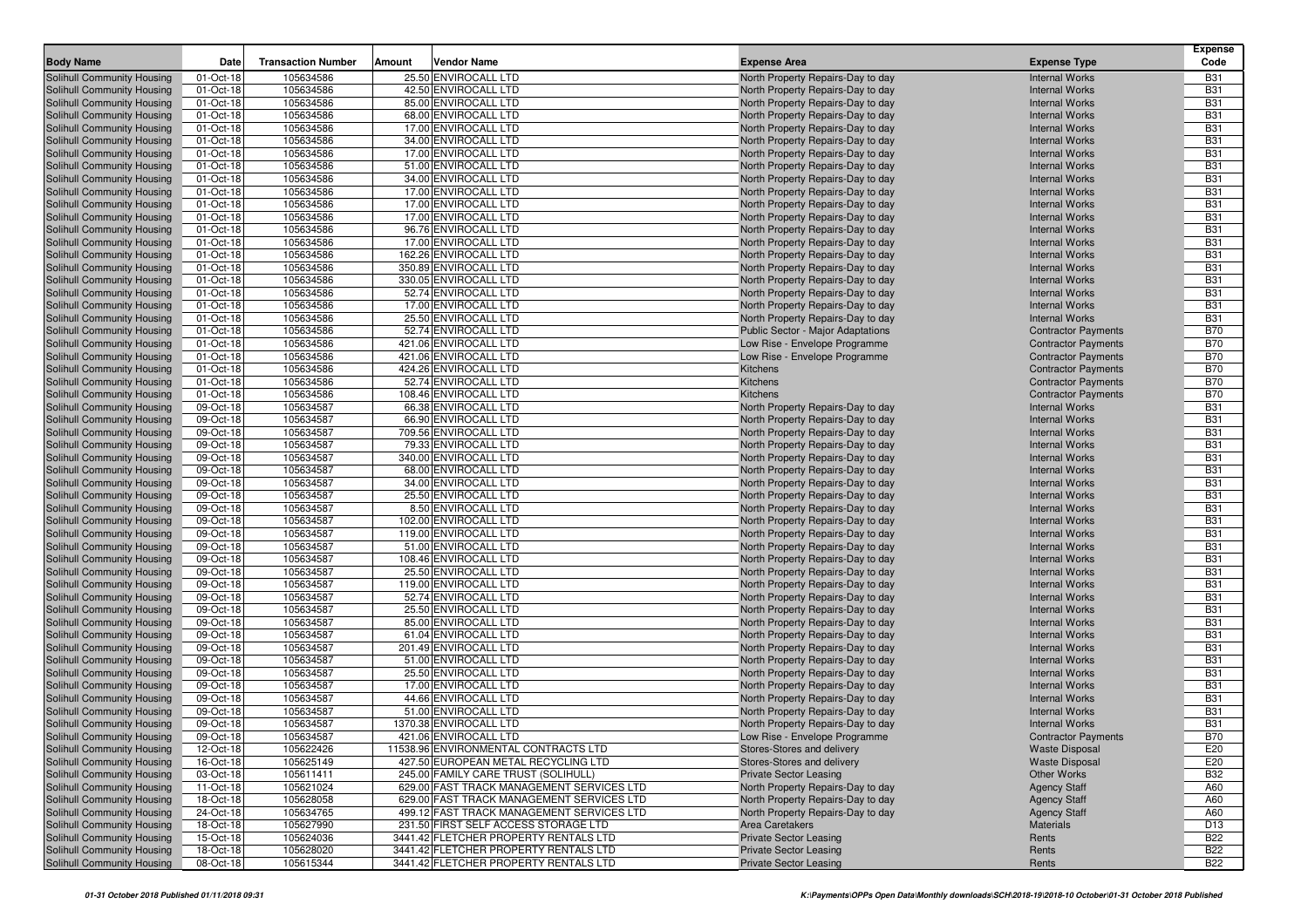|                                                          |                        |                           |        |                                              |                                                                        |                                                | <b>Expense</b>           |
|----------------------------------------------------------|------------------------|---------------------------|--------|----------------------------------------------|------------------------------------------------------------------------|------------------------------------------------|--------------------------|
| <b>Body Name</b>                                         | Date                   | <b>Transaction Number</b> | Amount | Vendor Name                                  | <b>Expense Area</b>                                                    | <b>Expense Type</b>                            | Code                     |
| Solihull Community Housing                               | 01-Oct-18              | 105634586                 |        | 25.50 ENVIROCALL LTD                         | North Property Repairs-Day to day                                      | <b>Internal Works</b>                          | <b>B31</b>               |
| Solihull Community Housing                               | 01-Oct-18              | 105634586                 |        | 42.50 ENVIROCALL LTD                         | North Property Repairs-Day to day                                      | <b>Internal Works</b>                          | <b>B31</b>               |
| Solihull Community Housing                               | 01-Oct-18              | 105634586                 |        | 85.00 ENVIROCALL LTD                         | North Property Repairs-Day to day                                      | <b>Internal Works</b>                          | <b>B31</b>               |
| Solihull Community Housing                               | 01-Oct-18              | 105634586                 |        | 68.00 ENVIROCALL LTD                         | North Property Repairs-Day to day                                      | <b>Internal Works</b>                          | <b>B31</b>               |
| <b>Solihull Community Housing</b>                        | 01-Oct-18              | 105634586                 |        | 17.00 ENVIROCALL LTD                         | North Property Repairs-Day to day                                      | <b>Internal Works</b>                          | <b>B31</b>               |
| Solihull Community Housing                               | 01-Oct-18              | 105634586                 |        | 34.00 ENVIROCALL LTD                         | North Property Repairs-Day to day                                      | <b>Internal Works</b>                          | <b>B31</b>               |
| Solihull Community Housing                               | 01-Oct-18              | 105634586                 |        | 17.00 ENVIROCALL LTD                         | North Property Repairs-Day to day                                      | <b>Internal Works</b>                          | <b>B31</b>               |
| Solihull Community Housing                               | 01-Oct-18              | 105634586                 |        | 51.00 ENVIROCALL LTD                         | North Property Repairs-Day to day                                      | <b>Internal Works</b>                          | <b>B31</b>               |
| Solihull Community Housing                               | 01-Oct-18              | 105634586                 |        | 34.00 ENVIROCALL LTD                         | North Property Repairs-Day to day                                      | <b>Internal Works</b>                          | <b>B31</b>               |
| Solihull Community Housing                               | 01-Oct-18              | 105634586                 |        | 17.00 ENVIROCALL LTD<br>17.00 ENVIROCALL LTD | North Property Repairs-Day to day                                      | <b>Internal Works</b>                          | <b>B31</b><br><b>B31</b> |
| Solihull Community Housing                               | 01-Oct-18<br>01-Oct-18 | 105634586<br>105634586    |        | 17.00 ENVIROCALL LTD                         | North Property Repairs-Day to day<br>North Property Repairs-Day to day | <b>Internal Works</b><br><b>Internal Works</b> | <b>B31</b>               |
| Solihull Community Housing<br>Solihull Community Housing | 01-Oct-18              | 105634586                 |        | 96.76 ENVIROCALL LTD                         |                                                                        | <b>Internal Works</b>                          | <b>B31</b>               |
| Solihull Community Housing                               | 01-Oct-18              | 105634586                 |        | 17.00 ENVIROCALL LTD                         | North Property Repairs-Day to day<br>North Property Repairs-Day to day | <b>Internal Works</b>                          | <b>B31</b>               |
| Solihull Community Housing                               | 01-Oct-18              | 105634586                 |        | 162.26 ENVIROCALL LTD                        | North Property Repairs-Day to day                                      | <b>Internal Works</b>                          | <b>B31</b>               |
| Solihull Community Housing                               | 01-Oct-18              | 105634586                 |        | 350.89 ENVIROCALL LTD                        | North Property Repairs-Day to day                                      | <b>Internal Works</b>                          | <b>B31</b>               |
| Solihull Community Housing                               | 01-Oct-18              | 105634586                 |        | 330.05 ENVIROCALL LTD                        | North Property Repairs-Day to day                                      | <b>Internal Works</b>                          | <b>B31</b>               |
| Solihull Community Housing                               | 01-Oct-18              | 105634586                 |        | 52.74 ENVIROCALL LTD                         | North Property Repairs-Day to day                                      | <b>Internal Works</b>                          | <b>B31</b>               |
| Solihull Community Housing                               | 01-Oct-18              | 105634586                 |        | 17.00 ENVIROCALL LTD                         | North Property Repairs-Day to day                                      | <b>Internal Works</b>                          | <b>B31</b>               |
| Solihull Community Housing                               | 01-Oct-18              | 105634586                 |        | 25.50 ENVIROCALL LTD                         | North Property Repairs-Day to day                                      | <b>Internal Works</b>                          | <b>B31</b>               |
| Solihull Community Housing                               | 01-Oct-18              | 105634586                 |        | 52.74 ENVIROCALL LTD                         | <b>Public Sector - Major Adaptations</b>                               | <b>Contractor Payments</b>                     | <b>B70</b>               |
| Solihull Community Housing                               | 01-Oct-18              | 105634586                 |        | 421.06 ENVIROCALL LTD                        | Low Rise - Envelope Programme                                          | <b>Contractor Payments</b>                     | <b>B70</b>               |
| Solihull Community Housing                               | 01-Oct-18              | 105634586                 |        | 421.06 ENVIROCALL LTD                        | Low Rise - Envelope Programme                                          | <b>Contractor Payments</b>                     | <b>B70</b>               |
| Solihull Community Housing                               | 01-Oct-18              | 105634586                 |        | 424.26 ENVIROCALL LTD                        | Kitchens                                                               | <b>Contractor Payments</b>                     | <b>B70</b>               |
| Solihull Community Housing                               | 01-Oct-18              | 105634586                 |        | 52.74 ENVIROCALL LTD                         | Kitchens                                                               | <b>Contractor Payments</b>                     | <b>B70</b>               |
| Solihull Community Housing                               | 01-Oct-18              | 105634586                 |        | 108.46 ENVIROCALL LTD                        | Kitchens                                                               | <b>Contractor Payments</b>                     | <b>B70</b>               |
| Solihull Community Housing                               | 09-Oct-18              | 105634587                 |        | 66.38 ENVIROCALL LTD                         | North Property Repairs-Day to day                                      | <b>Internal Works</b>                          | <b>B31</b>               |
| Solihull Community Housing                               | 09-Oct-18              | 105634587                 |        | 66.90 ENVIROCALL LTD                         | North Property Repairs-Day to day                                      | <b>Internal Works</b>                          | <b>B31</b>               |
| Solihull Community Housing                               | 09-Oct-18              | 105634587                 |        | 709.56 ENVIROCALL LTD                        | North Property Repairs-Day to day                                      | <b>Internal Works</b>                          | <b>B31</b>               |
| <b>Solihull Community Housing</b>                        | 09-Oct-18              | 105634587                 |        | 79.33 ENVIROCALL LTD                         | North Property Repairs-Day to day                                      | <b>Internal Works</b>                          | <b>B31</b>               |
| Solihull Community Housing                               | 09-Oct-18              | 105634587                 |        | 340.00 ENVIROCALL LTD                        | North Property Repairs-Day to day                                      | <b>Internal Works</b>                          | <b>B31</b>               |
| Solihull Community Housing                               | 09-Oct-18              | 105634587                 |        | 68.00 ENVIROCALL LTD                         | North Property Repairs-Day to day                                      | <b>Internal Works</b>                          | <b>B31</b>               |
| Solihull Community Housing                               | 09-Oct-18              | 105634587                 |        | 34.00 ENVIROCALL LTD                         | North Property Repairs-Day to day                                      | <b>Internal Works</b>                          | <b>B31</b>               |
| Solihull Community Housing                               | 09-Oct-18              | 105634587                 |        | 25.50 ENVIROCALL LTD                         | North Property Repairs-Day to day                                      | <b>Internal Works</b>                          | <b>B31</b>               |
| Solihull Community Housing                               | 09-Oct-18              | 105634587                 |        | 8.50 ENVIROCALL LTD                          | North Property Repairs-Day to day                                      | <b>Internal Works</b>                          | <b>B31</b>               |
| Solihull Community Housing                               | 09-Oct-18              | 105634587                 |        | 102.00 ENVIROCALL LTD                        | North Property Repairs-Day to day                                      | <b>Internal Works</b>                          | <b>B31</b>               |
| Solihull Community Housing                               | 09-Oct-18              | 105634587                 |        | 119.00 ENVIROCALL LTD                        | North Property Repairs-Day to day                                      | <b>Internal Works</b>                          | <b>B31</b>               |
| Solihull Community Housing                               | 09-Oct-18              | 105634587                 |        | 51.00 ENVIROCALL LTD                         | North Property Repairs-Day to day                                      | <b>Internal Works</b>                          | <b>B31</b>               |
| Solihull Community Housing                               | 09-Oct-18              | 105634587                 |        | 108.46 ENVIROCALL LTD                        | North Property Repairs-Day to day                                      | <b>Internal Works</b>                          | <b>B31</b>               |
| Solihull Community Housing                               | 09-Oct-18              | 105634587                 |        | 25.50 ENVIROCALL LTD                         | North Property Repairs-Day to day                                      | <b>Internal Works</b>                          | <b>B31</b>               |
| Solihull Community Housing                               | 09-Oct-18              | 105634587                 |        | 119.00 ENVIROCALL LTD                        | North Property Repairs-Day to day                                      | <b>Internal Works</b>                          | <b>B31</b>               |
| Solihull Community Housing                               | 09-Oct-18<br>09-Oct-18 | 105634587<br>105634587    |        | 52.74 ENVIROCALL LTD<br>25.50 ENVIROCALL LTD | North Property Repairs-Day to day                                      | <b>Internal Works</b><br><b>Internal Works</b> | <b>B31</b><br><b>B31</b> |
| Solihull Community Housing<br>Solihull Community Housing | 09-Oct-18              | 105634587                 |        | 85.00 ENVIROCALL LTD                         | North Property Repairs-Day to day<br>North Property Repairs-Day to day | <b>Internal Works</b>                          | <b>B31</b>               |
| Solihull Community Housing                               | 09-Oct-18              | 105634587                 |        | 61.04 ENVIROCALL LTD                         | North Property Repairs-Day to day                                      | <b>Internal Works</b>                          | <b>B31</b>               |
| Solihull Community Housing                               | 09-Oct-18              | 105634587                 |        | 201.49 ENVIROCALL LTD                        | North Property Repairs-Day to day                                      | <b>Internal Works</b>                          | <b>B31</b>               |
| Solihull Community Housing                               | 09-Oct-18              | 105634587                 |        | 51.00 ENVIROCALL LTD                         | North Property Repairs-Day to day                                      | <b>Internal Works</b>                          | <b>B31</b>               |
| Solihull Community Housing                               | 09-Oct-18              | 105634587                 |        | 25.50 ENVIROCALL LTD                         | North Property Repairs-Day to day                                      | <b>Internal Works</b>                          | <b>B31</b>               |
| Solihull Community Housing                               | 09-Oct-18              | 105634587                 |        | 17.00 ENVIROCALL LTD                         | North Property Repairs-Day to day                                      | <b>Internal Works</b>                          | <b>B31</b>               |
| Solihull Community Housing                               | 09-Oct-18              | 105634587                 |        | 44.66 ENVIROCALL LTD                         | North Property Repairs-Day to day                                      | <b>Internal Works</b>                          | <b>B31</b>               |
| Solihull Community Housing                               | 09-Oct-18              | 105634587                 |        | 51.00 ENVIROCALL LTD                         | North Property Repairs-Day to day                                      | <b>Internal Works</b>                          | <b>B31</b>               |
| Solihull Community Housing                               | 09-Oct-18              | 105634587                 |        | 1370.38 ENVIROCALL LTD                       | North Property Repairs-Day to day                                      | <b>Internal Works</b>                          | <b>B31</b>               |
| Solihull Community Housing                               | 09-Oct-18              | 105634587                 |        | 421.06 ENVIROCALL LTD                        | Low Rise - Envelope Programme                                          | <b>Contractor Payments</b>                     | <b>B70</b>               |
| Solihull Community Housing                               | 12-Oct-18              | 105622426                 |        | 11538.96 ENVIRONMENTAL CONTRACTS LTD         | Stores-Stores and delivery                                             | <b>Waste Disposal</b>                          | E20                      |
| Solihull Community Housing                               | 16-Oct-18              | 105625149                 |        | 427.50 EUROPEAN METAL RECYCLING LTD          | Stores-Stores and delivery                                             | <b>Waste Disposal</b>                          | E20                      |
| Solihull Community Housing                               | 03-Oct-18              | 105611411                 |        | 245.00 FAMILY CARE TRUST (SOLIHULL)          | <b>Private Sector Leasing</b>                                          | Other Works                                    | <b>B32</b>               |
| Solihull Community Housing                               | 11-Oct-18              | 105621024                 |        | 629.00 FAST TRACK MANAGEMENT SERVICES LTD    | North Property Repairs-Day to day                                      | <b>Agency Staff</b>                            | A60                      |
| Solihull Community Housing                               | 18-Oct-18              | 105628058                 |        | 629.00 FAST TRACK MANAGEMENT SERVICES LTD    | North Property Repairs-Day to day                                      | <b>Agency Staff</b>                            | A60                      |
| Solihull Community Housing                               | 24-Oct-18              | 105634765                 |        | 499.12 FAST TRACK MANAGEMENT SERVICES LTD    | North Property Repairs-Day to day                                      | <b>Agency Staff</b>                            | A60                      |
| Solihull Community Housing                               | 18-Oct-18              | 105627990                 |        | 231.50 FIRST SELF ACCESS STORAGE LTD         | Area Caretakers                                                        | <b>Materials</b>                               | D <sub>13</sub>          |
| Solihull Community Housing                               | 15-Oct-18              | 105624036                 |        | 3441.42 FLETCHER PROPERTY RENTALS LTD        | <b>Private Sector Leasing</b>                                          | Rents                                          | <b>B22</b>               |
| Solihull Community Housing                               | 18-Oct-18              | 105628020                 |        | 3441.42 FLETCHER PROPERTY RENTALS LTD        | <b>Private Sector Leasing</b>                                          | Rents                                          | <b>B22</b>               |
| Solihull Community Housing                               | 08-Oct-18              | 105615344                 |        | 3441.42 FLETCHER PROPERTY RENTALS LTD        | <b>Private Sector Leasing</b>                                          | Rents                                          | <b>B22</b>               |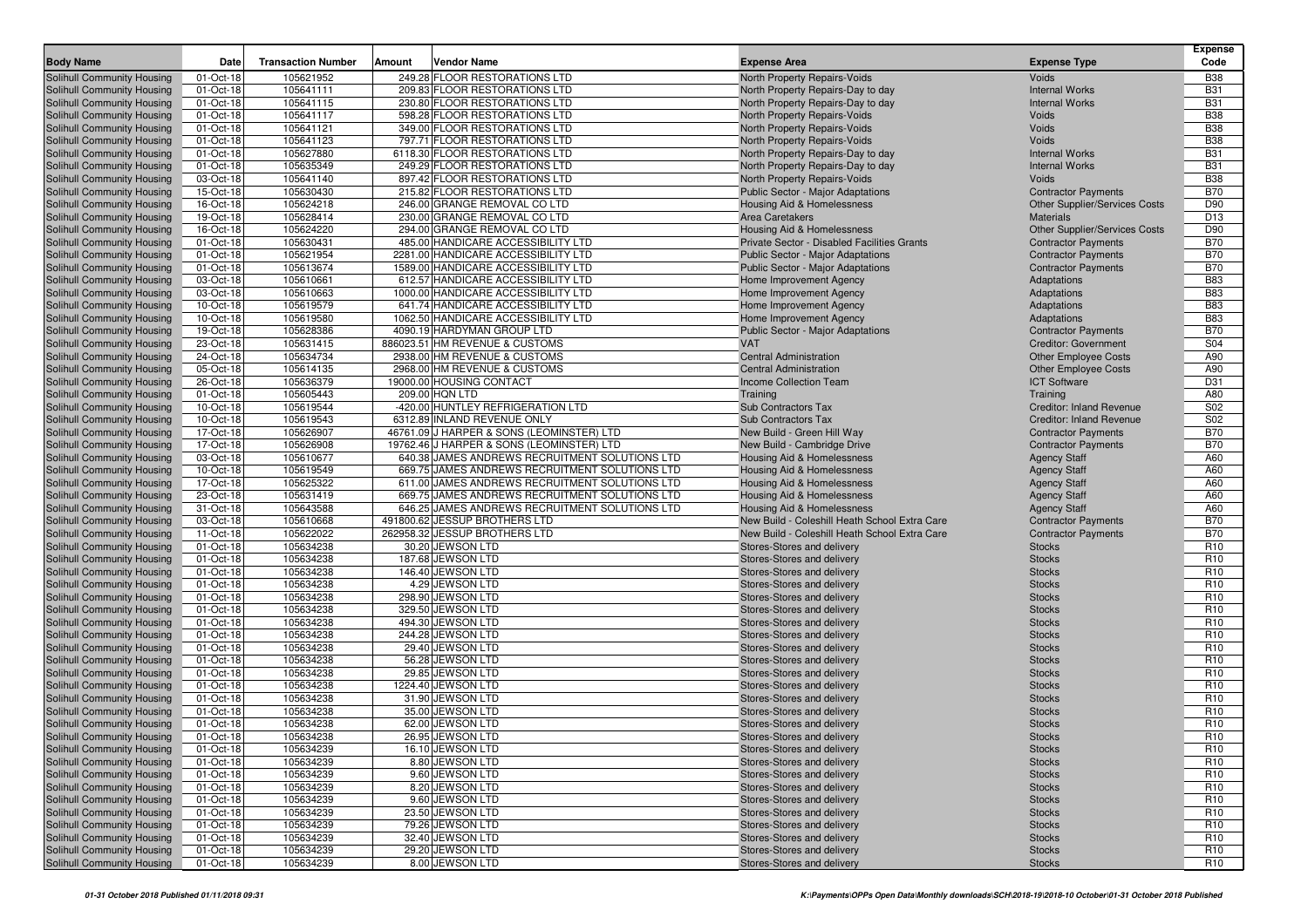| <b>Body Name</b>           | Date      | <b>Transaction Number</b> | Amount | Vendor Name                                    | <b>Expense Area</b>                           | <b>Expense Type</b>                  | <b>Expense</b><br>Code |
|----------------------------|-----------|---------------------------|--------|------------------------------------------------|-----------------------------------------------|--------------------------------------|------------------------|
| Solihull Community Housing | 01-Oct-18 | 105621952                 |        | 249.28 FLOOR RESTORATIONS LTD                  | North Property Repairs-Voids                  | Voids                                | <b>B38</b>             |
| Solihull Community Housing | 01-Oct-18 | 105641111                 |        | 209.83 FLOOR RESTORATIONS LTD                  | North Property Repairs-Day to day             | <b>Internal Works</b>                | <b>B31</b>             |
| Solihull Community Housing | 01-Oct-18 | 105641115                 |        | 230.80 FLOOR RESTORATIONS LTD                  | North Property Repairs-Day to day             | <b>Internal Works</b>                | <b>B31</b>             |
| Solihull Community Housing | 01-Oct-18 | 105641117                 |        | 598.28 FLOOR RESTORATIONS LTD                  | North Property Repairs-Voids                  | Voids                                | <b>B38</b>             |
| Solihull Community Housing | 01-Oct-18 | 105641121                 |        | 349.00 FLOOR RESTORATIONS LTD                  | North Property Repairs-Voids                  | Voids                                | <b>B38</b>             |
| Solihull Community Housing | 01-Oct-18 | 105641123                 |        | 797.71 FLOOR RESTORATIONS LTD                  | <b>North Property Repairs-Voids</b>           | Voids                                | <b>B38</b>             |
| Solihull Community Housing | 01-Oct-18 | 105627880                 |        | 6118.30 FLOOR RESTORATIONS LTD                 | North Property Repairs-Day to day             | <b>Internal Works</b>                | <b>B31</b>             |
| Solihull Community Housing | 01-Oct-18 | 105635349                 |        | 249.29 FLOOR RESTORATIONS LTD                  | North Property Repairs-Day to day             | <b>Internal Works</b>                | <b>B31</b>             |
| Solihull Community Housing | 03-Oct-18 | 105641140                 |        | 897.42 FLOOR RESTORATIONS LTD                  | North Property Repairs-Voids                  | Voids                                | <b>B38</b>             |
| Solihull Community Housing | 15-Oct-18 | 105630430                 |        | 215.82 FLOOR RESTORATIONS LTD                  | Public Sector - Major Adaptations             | <b>Contractor Payments</b>           | <b>B70</b>             |
| Solihull Community Housing | 16-Oct-18 | 105624218                 |        | 246.00 GRANGE REMOVAL CO LTD                   | Housing Aid & Homelessness                    | <b>Other Supplier/Services Costs</b> | D90                    |
| Solihull Community Housing | 19-Oct-18 | 105628414                 |        | 230.00 GRANGE REMOVAL CO LTD                   | <b>Area Caretakers</b>                        | <b>Materials</b>                     | D <sub>13</sub>        |
| Solihull Community Housing | 16-Oct-18 | 105624220                 |        | 294.00 GRANGE REMOVAL CO LTD                   | Housing Aid & Homelessness                    | <b>Other Supplier/Services Costs</b> | D90                    |
| Solihull Community Housing | 01-Oct-18 | 105630431                 |        | 485.00 HANDICARE ACCESSIBILITY LTD             | Private Sector - Disabled Facilities Grants   | <b>Contractor Payments</b>           | <b>B70</b>             |
| Solihull Community Housing | 01-Oct-18 | 105621954                 |        | 2281.00 HANDICARE ACCESSIBILITY LTD            | <b>Public Sector - Major Adaptations</b>      | <b>Contractor Payments</b>           | <b>B70</b>             |
| Solihull Community Housing | 01-Oct-18 | 105613674                 |        | 1589.00 HANDICARE ACCESSIBILITY LTD            | Public Sector - Major Adaptations             | <b>Contractor Payments</b>           | <b>B70</b>             |
| Solihull Community Housing | 03-Oct-18 | 105610661                 |        | 612.57 HANDICARE ACCESSIBILITY LTD             | Home Improvement Agency                       | Adaptations                          | <b>B83</b>             |
| Solihull Community Housing | 03-Oct-18 | 105610663                 |        | 1000.00 HANDICARE ACCESSIBILITY LTD            | Home Improvement Agency                       | Adaptations                          | <b>B83</b>             |
| Solihull Community Housing | 10-Oct-18 | 105619579                 |        | 641.74 HANDICARE ACCESSIBILITY LTD             | Home Improvement Agency                       | Adaptations                          | <b>B83</b>             |
| Solihull Community Housing | 10-Oct-18 | 105619580                 |        | 1062.50 HANDICARE ACCESSIBILITY LTD            | Home Improvement Agency                       | Adaptations                          | <b>B83</b>             |
| Solihull Community Housing | 19-Oct-18 | 105628386                 |        | 4090.19 HARDYMAN GROUP LTD                     | Public Sector - Major Adaptations             | <b>Contractor Payments</b>           | <b>B70</b>             |
| Solihull Community Housing | 23-Oct-18 | 105631415                 |        | 886023.51 HM REVENUE & CUSTOMS                 | <b>VAT</b>                                    | <b>Creditor: Government</b>          | S04                    |
| Solihull Community Housing | 24-Oct-18 | 105634734                 |        | 2938.00 HM REVENUE & CUSTOMS                   | <b>Central Administration</b>                 | <b>Other Employee Costs</b>          | A90                    |
| Solihull Community Housing | 05-Oct-18 | 105614135                 |        | 2968.00 HM REVENUE & CUSTOMS                   | <b>Central Administration</b>                 | <b>Other Employee Costs</b>          | A90                    |
| Solihull Community Housing | 26-Oct-18 | 105636379                 |        | 19000.00 HOUSING CONTACT                       | <b>Income Collection Team</b>                 | <b>ICT Software</b>                  | D31                    |
| Solihull Community Housing | 01-Oct-18 | 105605443                 |        | 209.00 HQN LTD                                 | Training                                      | Training                             | A80                    |
| Solihull Community Housing | 10-Oct-18 | 105619544                 |        | -420.00 HUNTLEY REFRIGERATION LTD              | <b>Sub Contractors Tax</b>                    | <b>Creditor: Inland Revenue</b>      | S02                    |
| Solihull Community Housing | 10-Oct-18 | 105619543                 |        | 6312.89 INLAND REVENUE ONLY                    | Sub Contractors Tax                           | <b>Creditor: Inland Revenue</b>      | S02                    |
| Solihull Community Housing | 17-Oct-18 | 105626907                 |        | 46761.09 J HARPER & SONS (LEOMINSTER) LTD      | New Build - Green Hill Way                    | <b>Contractor Payments</b>           | <b>B70</b>             |
| Solihull Community Housing | 17-Oct-18 | 105626908                 |        | 19762.46 J HARPER & SONS (LEOMINSTER) LTD      | New Build - Cambridge Drive                   | <b>Contractor Payments</b>           | <b>B70</b>             |
| Solihull Community Housing | 03-Oct-18 | 105610677                 |        | 640.38 JAMES ANDREWS RECRUITMENT SOLUTIONS LTD | <b>Housing Aid &amp; Homelessness</b>         | <b>Agency Staff</b>                  | A60                    |
| Solihull Community Housing | 10-Oct-18 | 105619549                 |        | 669.75 JAMES ANDREWS RECRUITMENT SOLUTIONS LTD | Housing Aid & Homelessness                    | <b>Agency Staff</b>                  | A60                    |
| Solihull Community Housing | 17-Oct-18 | 105625322                 |        | 611.00 JAMES ANDREWS RECRUITMENT SOLUTIONS LTD | Housing Aid & Homelessness                    | <b>Agency Staff</b>                  | A60                    |
| Solihull Community Housing | 23-Oct-18 | 105631419                 |        | 669.75 JAMES ANDREWS RECRUITMENT SOLUTIONS LTD | Housing Aid & Homelessness                    | <b>Agency Staff</b>                  | A60                    |
| Solihull Community Housing | 31-Oct-18 | 105643588                 |        | 646.25 JAMES ANDREWS RECRUITMENT SOLUTIONS LTD | Housing Aid & Homelessness                    | <b>Agency Staff</b>                  | A60                    |
| Solihull Community Housing | 03-Oct-18 | 105610668                 |        | 491800.62 JESSUP BROTHERS LTD                  | New Build - Coleshill Heath School Extra Care | <b>Contractor Payments</b>           | <b>B70</b>             |
| Solihull Community Housing | 11-Oct-18 | 105622022                 |        | 262958.32 JESSUP BROTHERS LTD                  | New Build - Coleshill Heath School Extra Care | <b>Contractor Payments</b>           | <b>B70</b>             |
| Solihull Community Housing | 01-Oct-18 | 105634238                 |        | 30.20 JEWSON LTD                               | Stores-Stores and delivery                    | <b>Stocks</b>                        | R <sub>10</sub>        |
| Solihull Community Housing | 01-Oct-18 | 105634238                 |        | 187.68 JEWSON LTD                              | Stores-Stores and delivery                    | <b>Stocks</b>                        | R <sub>10</sub>        |
| Solihull Community Housing | 01-Oct-18 | 105634238                 |        | 146.40 JEWSON LTD                              | Stores-Stores and delivery                    | <b>Stocks</b>                        | R <sub>10</sub>        |
| Solihull Community Housing | 01-Oct-18 | 105634238                 |        | 4.29 JEWSON LTD                                | Stores-Stores and delivery                    | <b>Stocks</b>                        | R <sub>10</sub>        |
| Solihull Community Housing | 01-Oct-18 | 105634238                 |        | 298.90 JEWSON LTD                              | Stores-Stores and delivery                    | <b>Stocks</b>                        | R <sub>10</sub>        |
| Solihull Community Housing | 01-Oct-18 | 105634238                 |        | 329.50 JEWSON LTD                              | Stores-Stores and delivery                    | <b>Stocks</b>                        | R <sub>10</sub>        |
| Solihull Community Housing | 01-Oct-18 | 105634238                 |        | 494.30 JEWSON LTD                              | Stores-Stores and delivery                    | <b>Stocks</b>                        | R <sub>10</sub>        |
| Solihull Community Housing | 01-Oct-18 | 105634238                 |        | 244.28 JEWSON LTD                              | Stores-Stores and delivery                    | <b>Stocks</b>                        | R <sub>10</sub>        |
| Solihull Community Housing | 01-Oct-18 | 105634238                 |        | 29.40 JEWSON LTD                               | Stores-Stores and delivery                    | <b>Stocks</b>                        | R <sub>10</sub>        |
| Solihull Community Housing | 01-Oct-18 | 105634238                 |        | 56.28 JEWSON LTD                               | Stores-Stores and delivery                    | <b>Stocks</b>                        | R <sub>10</sub>        |
| Solihull Community Housing | 01-Oct-18 | 105634238                 |        | 29.85 JEWSON LTD                               | Stores-Stores and delivery                    | <b>Stocks</b>                        | R <sub>10</sub>        |
| Solihull Community Housing | 01-Oct-18 | 105634238                 |        | 1224.40 JEWSON LTD                             | Stores-Stores and delivery                    | <b>Stocks</b>                        | R <sub>10</sub>        |
| Solihull Community Housing | 01-Oct-18 | 105634238                 |        | 31.90 JEWSON LTD                               | Stores-Stores and delivery                    | <b>Stocks</b>                        | R <sub>10</sub>        |
| Solihull Community Housing | 01-Oct-18 | 105634238                 |        | 35.00 JEWSON LTD                               | Stores-Stores and delivery                    | <b>Stocks</b>                        | R <sub>10</sub>        |
| Solihull Community Housing | 01-Oct-18 | 105634238                 |        | 62.00 JEWSON LTD                               | Stores-Stores and delivery                    | <b>Stocks</b>                        | R <sub>10</sub>        |
| Solihull Community Housing | 01-Oct-18 | 105634238                 |        | 26.95 JEWSON LTD                               | Stores-Stores and delivery                    | <b>Stocks</b>                        | R <sub>10</sub>        |
| Solihull Community Housing | 01-Oct-18 | 105634239                 |        | 16.10 JEWSON LTD                               | Stores-Stores and delivery                    | <b>Stocks</b>                        | R <sub>10</sub>        |
| Solihull Community Housing | 01-Oct-18 | 105634239                 |        | 8.80 JEWSON LTD                                | Stores-Stores and delivery                    | <b>Stocks</b>                        | R <sub>10</sub>        |
| Solihull Community Housing | 01-Oct-18 | 105634239                 |        | 9.60 JEWSON LTD                                | Stores-Stores and delivery                    | <b>Stocks</b>                        | R <sub>10</sub>        |
| Solihull Community Housing | 01-Oct-18 | 105634239                 |        | 8.20 JEWSON LTD                                | Stores-Stores and delivery                    | <b>Stocks</b>                        | R <sub>10</sub>        |
| Solihull Community Housing | 01-Oct-18 | 105634239                 |        | 9.60 JEWSON LTD                                | Stores-Stores and delivery                    | <b>Stocks</b>                        | R <sub>10</sub>        |
| Solihull Community Housing | 01-Oct-18 | 105634239                 |        | 23.50 JEWSON LTD                               | Stores-Stores and delivery                    | <b>Stocks</b>                        | R <sub>10</sub>        |
| Solihull Community Housing | 01-Oct-18 | 105634239                 |        | 79.26 JEWSON LTD                               | Stores-Stores and delivery                    | <b>Stocks</b>                        | R <sub>10</sub>        |
| Solihull Community Housing | 01-Oct-18 | 105634239                 |        | 32.40 JEWSON LTD                               | Stores-Stores and delivery                    | <b>Stocks</b>                        | R <sub>10</sub>        |
| Solihull Community Housing | 01-Oct-18 | 105634239                 |        | 29.20 JEWSON LTD                               | Stores-Stores and delivery                    | <b>Stocks</b>                        | R <sub>10</sub>        |
| Solihull Community Housing | 01-Oct-18 | 105634239                 |        | 8.00 JEWSON LTD                                | Stores-Stores and delivery                    | <b>Stocks</b>                        | R <sub>10</sub>        |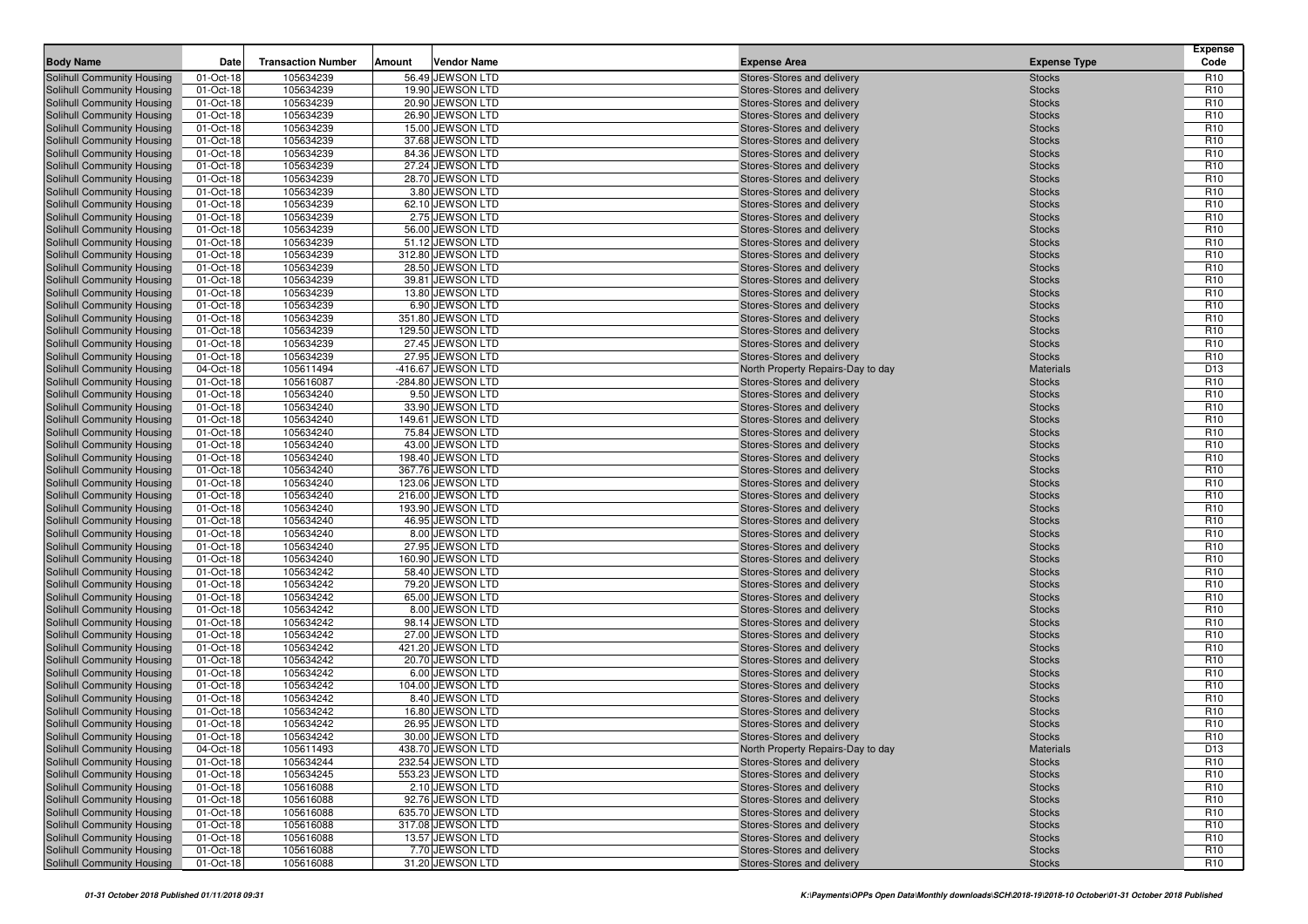| <b>Body Name</b>                                                | Date                   | <b>Transaction Number</b> | <b>Vendor Name</b><br>Amount         | <b>Expense Area</b>                                      | <b>Expense Type</b>            | <b>Expense</b><br>Code             |
|-----------------------------------------------------------------|------------------------|---------------------------|--------------------------------------|----------------------------------------------------------|--------------------------------|------------------------------------|
| Solihull Community Housing                                      | 01-Oct-18              | 105634239                 | 56.49 JEWSON LTD                     | Stores-Stores and delivery                               | <b>Stocks</b>                  | R <sub>10</sub>                    |
| Solihull Community Housing                                      | 01-Oct-18              | 105634239                 | 19.90 JEWSON LTD                     | Stores-Stores and delivery                               | <b>Stocks</b>                  | R <sub>10</sub>                    |
| Solihull Community Housing                                      | 01-Oct-18              | 105634239                 | 20.90 JEWSON LTD                     | Stores-Stores and delivery                               | <b>Stocks</b>                  | R <sub>10</sub>                    |
| Solihull Community Housing                                      | 01-Oct-18              | 105634239                 | 26.90 JEWSON LTD                     | Stores-Stores and delivery                               | <b>Stocks</b>                  | R <sub>10</sub>                    |
| Solihull Community Housing                                      | 01-Oct-18              | 105634239                 | 15.00 JEWSON LTD                     | Stores-Stores and delivery                               | <b>Stocks</b>                  | R <sub>10</sub>                    |
| Solihull Community Housing                                      | 01-Oct-18              | 105634239                 | 37.68 JEWSON LTD                     | Stores-Stores and delivery                               | <b>Stocks</b>                  | R <sub>10</sub>                    |
| Solihull Community Housing                                      | 01-Oct-18              | 105634239                 | 84.36 JEWSON LTD                     | Stores-Stores and delivery                               | <b>Stocks</b>                  | R <sub>10</sub>                    |
| Solihull Community Housing                                      | 01-Oct-18              | 105634239                 | 27.24 JEWSON LTD                     | Stores-Stores and delivery                               | <b>Stocks</b>                  | R <sub>10</sub>                    |
| Solihull Community Housing                                      | 01-Oct-18              | 105634239                 | 28.70 JEWSON LTD                     | Stores-Stores and delivery                               | <b>Stocks</b>                  | R <sub>10</sub>                    |
| <b>Solihull Community Housing</b>                               | 01-Oct-18              | 105634239                 | 3.80 JEWSON LTD                      | Stores-Stores and delivery                               | <b>Stocks</b>                  | R <sub>10</sub>                    |
| Solihull Community Housing                                      | 01-Oct-18              | 105634239                 | 62.10 JEWSON LTD                     | Stores-Stores and delivery                               | <b>Stocks</b>                  | R <sub>10</sub>                    |
| Solihull Community Housing                                      | 01-Oct-18              | 105634239                 | 2.75 JEWSON LTD                      | Stores-Stores and delivery                               | <b>Stocks</b>                  | R <sub>10</sub>                    |
| Solihull Community Housing                                      | 01-Oct-18              | 105634239                 | 56.00 JEWSON LTD                     | Stores-Stores and delivery                               | <b>Stocks</b>                  | R <sub>10</sub>                    |
| <b>Solihull Community Housing</b>                               | 01-Oct-18              | 105634239                 | 51.12 JEWSON LTD                     | Stores-Stores and delivery                               | <b>Stocks</b>                  | R <sub>10</sub>                    |
| Solihull Community Housing                                      | 01-Oct-18              | 105634239                 | 312.80 JEWSON LTD                    | Stores-Stores and delivery                               | <b>Stocks</b>                  | R <sub>10</sub>                    |
| Solihull Community Housing                                      | 01-Oct-18              | 105634239                 | 28.50 JEWSON LTD                     | Stores-Stores and delivery                               | <b>Stocks</b>                  | R <sub>10</sub><br>R <sub>10</sub> |
| Solihull Community Housing<br><b>Solihull Community Housing</b> | 01-Oct-18<br>01-Oct-18 | 105634239<br>105634239    | 39.81 JEWSON LTD<br>13.80 JEWSON LTD | Stores-Stores and delivery                               | <b>Stocks</b>                  | R <sub>10</sub>                    |
| Solihull Community Housing                                      | 01-Oct-18              | 105634239                 | 6.90 JEWSON LTD                      | Stores-Stores and delivery<br>Stores-Stores and delivery | <b>Stocks</b><br><b>Stocks</b> | R <sub>10</sub>                    |
| Solihull Community Housing                                      | 01-Oct-18              | 105634239                 | 351.80 JEWSON LTD                    | Stores-Stores and delivery                               | <b>Stocks</b>                  | R <sub>10</sub>                    |
| Solihull Community Housing                                      | 01-Oct-18              | 105634239                 | 129.50 JEWSON LTD                    | Stores-Stores and delivery                               | <b>Stocks</b>                  | R <sub>10</sub>                    |
| Solihull Community Housing                                      | 01-Oct-18              | 105634239                 | 27.45 JEWSON LTD                     | Stores-Stores and delivery                               | <b>Stocks</b>                  | R <sub>10</sub>                    |
| Solihull Community Housing                                      | 01-Oct-18              | 105634239                 | 27.95 JEWSON LTD                     | Stores-Stores and delivery                               | <b>Stocks</b>                  | R <sub>10</sub>                    |
| Solihull Community Housing                                      | 04-Oct-18              | 105611494                 | -416.67 JEWSON LTD                   | North Property Repairs-Day to day                        | Materials                      | D <sub>13</sub>                    |
| Solihull Community Housing                                      | 01-Oct-18              | 105616087                 | -284.80 JEWSON LTD                   | Stores-Stores and delivery                               | <b>Stocks</b>                  | R <sub>10</sub>                    |
| Solihull Community Housing                                      | 01-Oct-18              | 105634240                 | 9.50 JEWSON LTD                      | Stores-Stores and delivery                               | <b>Stocks</b>                  | R <sub>10</sub>                    |
| Solihull Community Housing                                      | 01-Oct-18              | 105634240                 | 33.90 JEWSON LTD                     | Stores-Stores and delivery                               | <b>Stocks</b>                  | R <sub>10</sub>                    |
| Solihull Community Housing                                      | 01-Oct-18              | 105634240                 | 149.61 JEWSON LTD                    | Stores-Stores and delivery                               | <b>Stocks</b>                  | R <sub>10</sub>                    |
| Solihull Community Housing                                      | 01-Oct-18              | 105634240                 | 75.84 JEWSON LTD                     | Stores-Stores and delivery                               | <b>Stocks</b>                  | R <sub>10</sub>                    |
| Solihull Community Housing                                      | 01-Oct-18              | 105634240                 | 43.00 JEWSON LTD                     | Stores-Stores and delivery                               | <b>Stocks</b>                  | R <sub>10</sub>                    |
| Solihull Community Housing                                      | 01-Oct-18              | 105634240                 | 198.40 JEWSON LTD                    | Stores-Stores and delivery                               | <b>Stocks</b>                  | R <sub>10</sub>                    |
| <b>Solihull Community Housing</b>                               | 01-Oct-18              | 105634240                 | 367.76 JEWSON LTD                    | Stores-Stores and delivery                               | <b>Stocks</b>                  | R <sub>10</sub>                    |
| Solihull Community Housing                                      | 01-Oct-18              | 105634240                 | 123.06 JEWSON LTD                    | Stores-Stores and delivery                               | <b>Stocks</b>                  | R <sub>10</sub>                    |
| Solihull Community Housing                                      | 01-Oct-18              | 105634240                 | 216.00 JEWSON LTD                    | Stores-Stores and delivery                               | <b>Stocks</b>                  | R <sub>10</sub>                    |
| Solihull Community Housing                                      | 01-Oct-18              | 105634240                 | 193.90 JEWSON LTD                    | Stores-Stores and delivery                               | <b>Stocks</b>                  | R <sub>10</sub>                    |
| Solihull Community Housing                                      | 01-Oct-18              | 105634240                 | 46.95 JEWSON LTD                     | Stores-Stores and delivery                               | <b>Stocks</b>                  | R <sub>10</sub>                    |
| Solihull Community Housing                                      | 01-Oct-18              | 105634240                 | 8.00 JEWSON LTD                      | Stores-Stores and delivery                               | <b>Stocks</b>                  | R <sub>10</sub>                    |
| Solihull Community Housing                                      | 01-Oct-18              | 105634240                 | 27.95 JEWSON LTD                     | Stores-Stores and delivery                               | <b>Stocks</b>                  | R <sub>10</sub>                    |
| Solihull Community Housing                                      | 01-Oct-18              | 105634240                 | 160.90 JEWSON LTD                    | Stores-Stores and delivery                               | <b>Stocks</b>                  | R <sub>10</sub>                    |
| Solihull Community Housing                                      | 01-Oct-18              | 105634242                 | 58.40 JEWSON LTD                     | Stores-Stores and delivery                               | <b>Stocks</b>                  | R <sub>10</sub>                    |
| Solihull Community Housing                                      | 01-Oct-18              | 105634242                 | 79.20 JEWSON LTD                     | Stores-Stores and delivery                               | <b>Stocks</b>                  | R <sub>10</sub>                    |
| Solihull Community Housing                                      | 01-Oct-18              | 105634242                 | 65.00 JEWSON LTD                     | Stores-Stores and delivery                               | <b>Stocks</b>                  | R <sub>10</sub>                    |
| Solihull Community Housing                                      | 01-Oct-18              | 105634242                 | 8.00 JEWSON LTD                      | Stores-Stores and delivery                               | <b>Stocks</b>                  | R <sub>10</sub>                    |
| Solihull Community Housing                                      | 01-Oct-18<br>01-Oct-18 | 105634242<br>105634242    | 98.14 JEWSON LTD<br>27.00 JEWSON LTD | Stores-Stores and delivery                               | <b>Stocks</b>                  | R <sub>10</sub><br>R <sub>10</sub> |
| Solihull Community Housing<br>Solihull Community Housing        | 01-Oct-18              | 105634242                 | 421.20 JEWSON LTD                    | Stores-Stores and delivery<br>Stores-Stores and delivery | <b>Stocks</b><br><b>Stocks</b> | R <sub>10</sub>                    |
| Solihull Community Housing                                      | 01-Oct-18              | 105634242                 | 20.70 JEWSON LTD                     | Stores-Stores and delivery                               | <b>Stocks</b>                  | R <sub>10</sub>                    |
| Solihull Community Housing                                      | 01-Oct-18              | 105634242                 | 6.00 JEWSON LTD                      | Stores-Stores and delivery                               | <b>Stocks</b>                  | R <sub>10</sub>                    |
| Solihull Community Housing                                      | 01-Oct-18              | 105634242                 | 104.00 JEWSON LTD                    | Stores-Stores and delivery                               | <b>Stocks</b>                  | R <sub>10</sub>                    |
| Solihull Community Housing                                      | 01-Oct-18              | 105634242                 | 8.40 JEWSON LTD                      | Stores-Stores and delivery                               | <b>Stocks</b>                  | R <sub>10</sub>                    |
| Solihull Community Housing                                      | 01-Oct-18              | 105634242                 | 16.80 JEWSON LTD                     | Stores-Stores and delivery                               | <b>Stocks</b>                  | R <sub>10</sub>                    |
| Solihull Community Housing                                      | 01-Oct-18              | 105634242                 | 26.95 JEWSON LTD                     | Stores-Stores and delivery                               | <b>Stocks</b>                  | R <sub>10</sub>                    |
| Solihull Community Housing                                      | 01-Oct-18              | 105634242                 | 30.00 JEWSON LTD                     | Stores-Stores and delivery                               | <b>Stocks</b>                  | R <sub>10</sub>                    |
| Solihull Community Housing                                      | 04-Oct-18              | 105611493                 | 438.70 JEWSON LTD                    | North Property Repairs-Day to day                        | <b>Materials</b>               | D <sub>13</sub>                    |
| Solihull Community Housing                                      | 01-Oct-18              | 105634244                 | 232.54 JEWSON LTD                    | Stores-Stores and delivery                               | <b>Stocks</b>                  | R <sub>10</sub>                    |
| Solihull Community Housing                                      | 01-Oct-18              | 105634245                 | 553.23 JEWSON LTD                    | Stores-Stores and delivery                               | <b>Stocks</b>                  | R <sub>10</sub>                    |
| <b>Solihull Community Housing</b>                               | 01-Oct-18              | 105616088                 | 2.10 JEWSON LTD                      | Stores-Stores and delivery                               | Stocks                         | R <sub>10</sub>                    |
| Solihull Community Housing                                      | 01-Oct-18              | 105616088                 | 92.76 JEWSON LTD                     | Stores-Stores and delivery                               | <b>Stocks</b>                  | R <sub>10</sub>                    |
| Solihull Community Housing                                      | 01-Oct-18              | 105616088                 | 635.70 JEWSON LTD                    | Stores-Stores and delivery                               | Stocks                         | R <sub>10</sub>                    |
| Solihull Community Housing                                      | 01-Oct-18              | 105616088                 | 317.08 JEWSON LTD                    | Stores-Stores and delivery                               | <b>Stocks</b>                  | R <sub>10</sub>                    |
| Solihull Community Housing                                      | 01-Oct-18              | 105616088                 | 13.57 JEWSON LTD                     | Stores-Stores and delivery                               | <b>Stocks</b>                  | R <sub>10</sub>                    |
| Solihull Community Housing                                      | 01-Oct-18              | 105616088                 | 7.70 JEWSON LTD                      | Stores-Stores and delivery                               | Stocks                         | R <sub>10</sub>                    |
| Solihull Community Housing                                      | 01-Oct-18              | 105616088                 | 31.20 JEWSON LTD                     | Stores-Stores and delivery                               | Stocks                         | R <sub>10</sub>                    |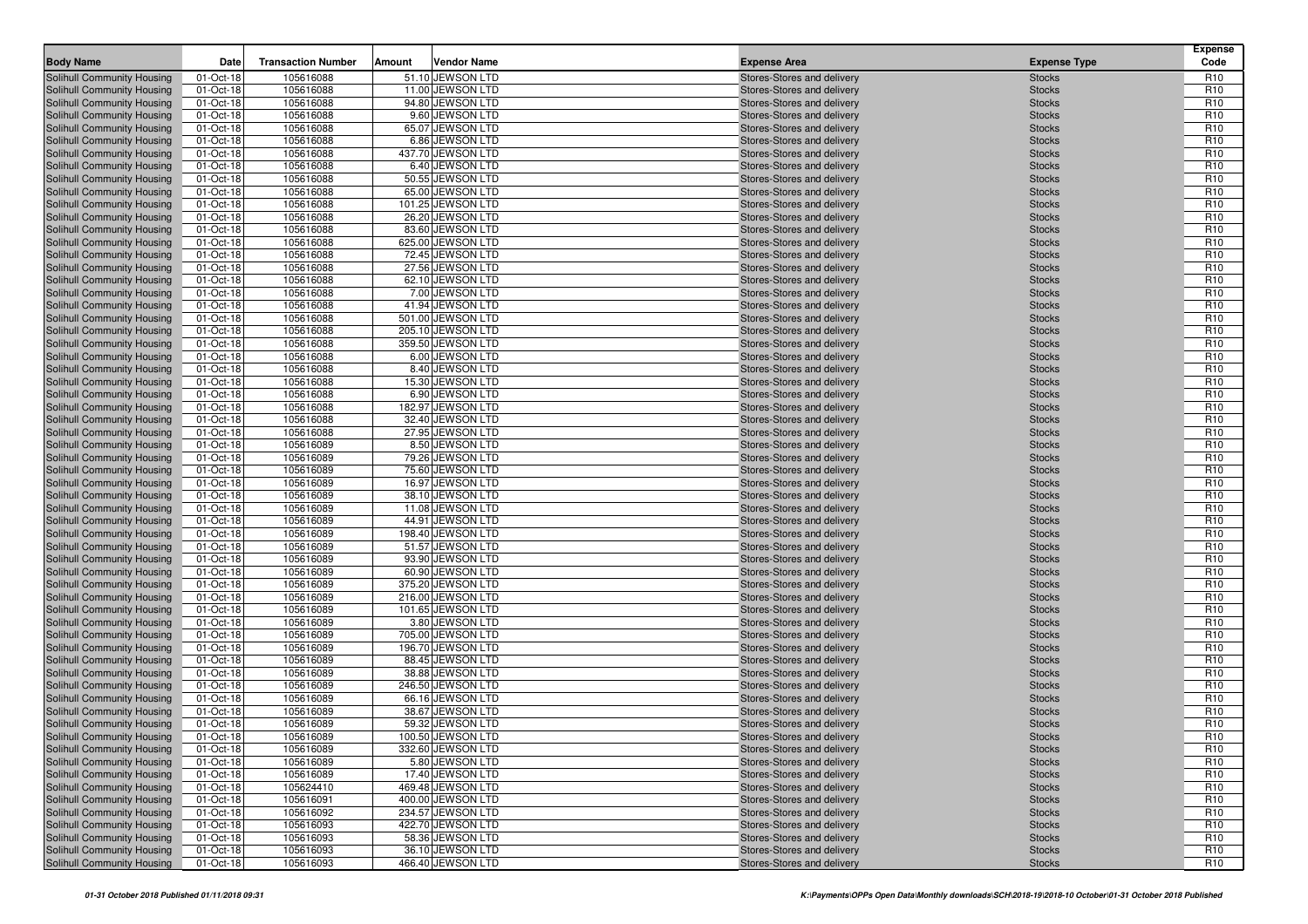| <b>Body Name</b>                                         | Date                   | <b>Transaction Number</b> | Amount | <b>Vendor Name</b>                     | <b>Expense Area</b>                                      | <b>Expense Type</b>            | <b>Expense</b><br>Code             |
|----------------------------------------------------------|------------------------|---------------------------|--------|----------------------------------------|----------------------------------------------------------|--------------------------------|------------------------------------|
| Solihull Community Housing                               | 01-Oct-18              | 105616088                 |        | 51.10 JEWSON LTD                       | Stores-Stores and delivery                               | <b>Stocks</b>                  | R <sub>10</sub>                    |
| Solihull Community Housing                               | 01-Oct-18              | 105616088                 |        | 11.00 JEWSON LTD                       | Stores-Stores and delivery                               | <b>Stocks</b>                  | R <sub>10</sub>                    |
| Solihull Community Housing                               | 01-Oct-18              | 105616088                 |        | 94.80 JEWSON LTD                       | Stores-Stores and delivery                               | <b>Stocks</b>                  | R <sub>10</sub>                    |
| Solihull Community Housing                               | 01-Oct-18              | 105616088                 |        | 9.60 JEWSON LTD                        | Stores-Stores and delivery                               | <b>Stocks</b>                  | R <sub>10</sub>                    |
| Solihull Community Housing                               | 01-Oct-18              | 105616088                 |        | 65.07 JEWSON LTD                       | Stores-Stores and delivery                               | <b>Stocks</b>                  | R <sub>10</sub>                    |
| Solihull Community Housing                               | 01-Oct-18              | 105616088                 |        | 6.86 JEWSON LTD                        | Stores-Stores and delivery                               | <b>Stocks</b>                  | R <sub>10</sub>                    |
| Solihull Community Housing                               | 01-Oct-18              | 105616088                 |        | 437.70 JEWSON LTD                      | Stores-Stores and delivery                               | <b>Stocks</b>                  | R <sub>10</sub>                    |
| Solihull Community Housing                               | 01-Oct-18              | 105616088                 |        | 6.40 JEWSON LTD                        | Stores-Stores and delivery                               | <b>Stocks</b>                  | R <sub>10</sub>                    |
| Solihull Community Housing                               | 01-Oct-18              | 105616088                 |        | 50.55 JEWSON LTD                       | Stores-Stores and delivery                               | <b>Stocks</b>                  | R <sub>10</sub>                    |
| <b>Solihull Community Housing</b>                        | 01-Oct-18              | 105616088                 |        | 65.00 JEWSON LTD                       | Stores-Stores and delivery                               | <b>Stocks</b>                  | R <sub>10</sub>                    |
| Solihull Community Housing                               | 01-Oct-18              | 105616088                 |        | 101.25 JEWSON LTD                      | Stores-Stores and delivery                               | <b>Stocks</b>                  | R <sub>10</sub>                    |
| Solihull Community Housing                               | 01-Oct-18              | 105616088                 |        | 26.20 JEWSON LTD                       | Stores-Stores and delivery                               | <b>Stocks</b>                  | R <sub>10</sub>                    |
| Solihull Community Housing                               | 01-Oct-18              | 105616088                 |        | 83.60 JEWSON LTD                       | Stores-Stores and delivery                               | <b>Stocks</b>                  | R <sub>10</sub>                    |
| <b>Solihull Community Housing</b>                        | 01-Oct-18              | 105616088                 |        | 625.00 JEWSON LTD                      | Stores-Stores and delivery                               | <b>Stocks</b>                  | R <sub>10</sub>                    |
| Solihull Community Housing                               | 01-Oct-18              | 105616088                 |        | 72.45 JEWSON LTD                       | Stores-Stores and delivery                               | <b>Stocks</b>                  | R <sub>10</sub>                    |
| Solihull Community Housing                               | 01-Oct-18              | 105616088                 |        | 27.56 JEWSON LTD                       | Stores-Stores and delivery                               | <b>Stocks</b>                  | R <sub>10</sub>                    |
| Solihull Community Housing                               | 01-Oct-18              | 105616088                 |        | 62.10 JEWSON LTD                       | Stores-Stores and delivery                               | <b>Stocks</b>                  | R <sub>10</sub>                    |
| Solihull Community Housing                               | 01-Oct-18              | 105616088                 |        | 7.00 JEWSON LTD                        | Stores-Stores and delivery                               | <b>Stocks</b>                  | R <sub>10</sub>                    |
| Solihull Community Housing                               | 01-Oct-18              | 105616088                 |        | 41.94 JEWSON LTD                       | Stores-Stores and delivery                               | <b>Stocks</b>                  | R <sub>10</sub>                    |
| Solihull Community Housing                               | 01-Oct-18              | 105616088                 |        | 501.00 JEWSON LTD                      | Stores-Stores and delivery                               | <b>Stocks</b>                  | R <sub>10</sub>                    |
| Solihull Community Housing                               | 01-Oct-18              | 105616088                 |        | 205.10 JEWSON LTD                      | Stores-Stores and delivery                               | <b>Stocks</b>                  | R <sub>10</sub>                    |
| Solihull Community Housing                               | 01-Oct-18              | 105616088                 |        | 359.50 JEWSON LTD                      | Stores-Stores and delivery                               | <b>Stocks</b>                  | R <sub>10</sub>                    |
| Solihull Community Housing                               | 01-Oct-18              | 105616088                 |        | 6.00 JEWSON LTD                        | Stores-Stores and delivery                               | <b>Stocks</b>                  | R <sub>10</sub>                    |
| Solihull Community Housing                               | 01-Oct-18              | 105616088                 |        | 8.40 JEWSON LTD                        | Stores-Stores and delivery                               | <b>Stocks</b>                  | R <sub>10</sub>                    |
| Solihull Community Housing<br>Solihull Community Housing | 01-Oct-18              | 105616088                 |        | 15.30 JEWSON LTD                       | Stores-Stores and delivery                               | <b>Stocks</b>                  | R <sub>10</sub>                    |
| Solihull Community Housing                               | 01-Oct-18              | 105616088<br>105616088    |        | 6.90 JEWSON LTD<br>182.97 JEWSON LTD   | Stores-Stores and delivery                               | <b>Stocks</b><br><b>Stocks</b> | R <sub>10</sub><br>R <sub>10</sub> |
| Solihull Community Housing                               | 01-Oct-18<br>01-Oct-18 | 105616088                 |        | 32.40 JEWSON LTD                       | Stores-Stores and delivery<br>Stores-Stores and delivery | <b>Stocks</b>                  | R <sub>10</sub>                    |
| Solihull Community Housing                               | 01-Oct-18              | 105616088                 |        | 27.95 JEWSON LTD                       | Stores-Stores and delivery                               | <b>Stocks</b>                  | R <sub>10</sub>                    |
| Solihull Community Housing                               | 01-Oct-18              | 105616089                 |        | 8.50 JEWSON LTD                        | Stores-Stores and delivery                               | <b>Stocks</b>                  | R <sub>10</sub>                    |
| Solihull Community Housing                               | 01-Oct-18              | 105616089                 |        | 79.26 JEWSON LTD                       | Stores-Stores and delivery                               | <b>Stocks</b>                  | R <sub>10</sub>                    |
| Solihull Community Housing                               | 01-Oct-18              | 105616089                 |        | 75.60 JEWSON LTD                       | Stores-Stores and delivery                               | <b>Stocks</b>                  | R <sub>10</sub>                    |
| Solihull Community Housing                               | 01-Oct-18              | 105616089                 |        | 16.97 JEWSON LTD                       | Stores-Stores and delivery                               | <b>Stocks</b>                  | R <sub>10</sub>                    |
| Solihull Community Housing                               | 01-Oct-18              | 105616089                 |        | 38.10 JEWSON LTD                       | Stores-Stores and delivery                               | <b>Stocks</b>                  | R <sub>10</sub>                    |
| Solihull Community Housing                               | 01-Oct-18              | 105616089                 |        | 11.08 JEWSON LTD                       | Stores-Stores and delivery                               | <b>Stocks</b>                  | R <sub>10</sub>                    |
| Solihull Community Housing                               | 01-Oct-18              | 105616089                 |        | 44.91 JEWSON LTD                       | Stores-Stores and delivery                               | <b>Stocks</b>                  | R <sub>10</sub>                    |
| Solihull Community Housing                               | 01-Oct-18              | 105616089                 |        | 198.40 JEWSON LTD                      | Stores-Stores and delivery                               | <b>Stocks</b>                  | R <sub>10</sub>                    |
| Solihull Community Housing                               | 01-Oct-18              | 105616089                 |        | 51.57 JEWSON LTD                       | Stores-Stores and delivery                               | <b>Stocks</b>                  | R <sub>10</sub>                    |
| Solihull Community Housing                               | 01-Oct-18              | 105616089                 |        | 93.90 JEWSON LTD                       | Stores-Stores and delivery                               | <b>Stocks</b>                  | R <sub>10</sub>                    |
| Solihull Community Housing                               | 01-Oct-18              | 105616089                 |        | 60.90 JEWSON LTD                       | Stores-Stores and delivery                               | <b>Stocks</b>                  | R <sub>10</sub>                    |
| Solihull Community Housing                               | 01-Oct-18              | 105616089                 |        | 375.20 JEWSON LTD                      | Stores-Stores and delivery                               | <b>Stocks</b>                  | R <sub>10</sub>                    |
| Solihull Community Housing                               | 01-Oct-18              | 105616089                 |        | 216.00 JEWSON LTD                      | Stores-Stores and delivery                               | <b>Stocks</b>                  | R <sub>10</sub>                    |
| Solihull Community Housing                               | 01-Oct-18              | 105616089                 |        | 101.65 JEWSON LTD                      | Stores-Stores and delivery                               | <b>Stocks</b>                  | R <sub>10</sub>                    |
| Solihull Community Housing                               | 01-Oct-18              | 105616089                 |        | 3.80 JEWSON LTD                        | Stores-Stores and delivery                               | <b>Stocks</b>                  | R <sub>10</sub>                    |
| Solihull Community Housing                               | 01-Oct-18              | 105616089                 |        | 705.00 JEWSON LTD                      | Stores-Stores and delivery                               | <b>Stocks</b>                  | R <sub>10</sub>                    |
| Solihull Community Housing                               | 01-Oct-18              | 105616089                 |        | 196.70 JEWSON LTD                      | Stores-Stores and delivery                               | <b>Stocks</b>                  | R <sub>10</sub>                    |
| Solihull Community Housing                               | 01-Oct-18              | 105616089                 |        | 88.45 JEWSON LTD                       | Stores-Stores and delivery                               | <b>Stocks</b>                  | R <sub>10</sub>                    |
| Solihull Community Housing                               | 01-Oct-18              | 105616089                 |        | 38.88 JEWSON LTD                       | Stores-Stores and delivery                               | <b>Stocks</b>                  | R <sub>10</sub>                    |
| Solihull Community Housing                               | 01-Oct-18              | 105616089                 |        | 246.50 JEWSON LTD                      | Stores-Stores and delivery                               | <b>Stocks</b>                  | R <sub>10</sub>                    |
| Solihull Community Housing                               | 01-Oct-18              | 105616089                 |        | 66.16 JEWSON LTD                       | Stores-Stores and delivery                               | <b>Stocks</b>                  | R <sub>10</sub>                    |
| Solihull Community Housing                               | 01-Oct-18              | 105616089                 |        | 38.67 JEWSON LTD                       | Stores-Stores and delivery                               | <b>Stocks</b>                  | R <sub>10</sub>                    |
| Solihull Community Housing                               | 01-Oct-18              | 105616089                 |        | 59.32 JEWSON LTD                       | Stores-Stores and delivery                               | <b>Stocks</b>                  | R <sub>10</sub>                    |
| Solihull Community Housing                               | 01-Oct-18              | 105616089                 |        | 100.50 JEWSON LTD                      | Stores-Stores and delivery                               | <b>Stocks</b>                  | R <sub>10</sub>                    |
| Solihull Community Housing                               | 01-Oct-18              | 105616089                 |        | 332.60 JEWSON LTD                      | Stores-Stores and delivery                               | <b>Stocks</b>                  | R <sub>10</sub>                    |
| Solihull Community Housing                               | 01-Oct-18              | 105616089                 |        | 5.80 JEWSON LTD                        | Stores-Stores and delivery                               | <b>Stocks</b>                  | R <sub>10</sub>                    |
| Solihull Community Housing                               | 01-Oct-18              | 105616089                 |        | 17.40 JEWSON LTD                       | Stores-Stores and delivery                               | <b>Stocks</b>                  | R <sub>10</sub>                    |
| Solihull Community Housing<br>Solihull Community Housing | 01-Oct-18              | 105624410<br>105616091    |        | 469.48 JEWSON LTD<br>400.00 JEWSON LTD | Stores-Stores and delivery                               | <b>Stocks</b>                  | R <sub>10</sub><br>R <sub>10</sub> |
| Solihull Community Housing                               | 01-Oct-18<br>01-Oct-18 | 105616092                 |        | 234.57 JEWSON LTD                      | Stores-Stores and delivery<br>Stores-Stores and delivery | <b>Stocks</b>                  | R <sub>10</sub>                    |
| Solihull Community Housing                               | 01-Oct-18              | 105616093                 |        | 422.70 JEWSON LTD                      | Stores-Stores and delivery                               | <b>Stocks</b><br><b>Stocks</b> | R <sub>10</sub>                    |
| Solihull Community Housing                               | 01-Oct-18              | 105616093                 |        | 58.36 JEWSON LTD                       | Stores-Stores and delivery                               | <b>Stocks</b>                  | R <sub>10</sub>                    |
| Solihull Community Housing                               | 01-Oct-18              | 105616093                 |        | 36.10 JEWSON LTD                       | Stores-Stores and delivery                               | <b>Stocks</b>                  | R <sub>10</sub>                    |
| Solihull Community Housing                               | 01-Oct-18              | 105616093                 |        | 466.40 JEWSON LTD                      | Stores-Stores and delivery                               | <b>Stocks</b>                  | R <sub>10</sub>                    |
|                                                          |                        |                           |        |                                        |                                                          |                                |                                    |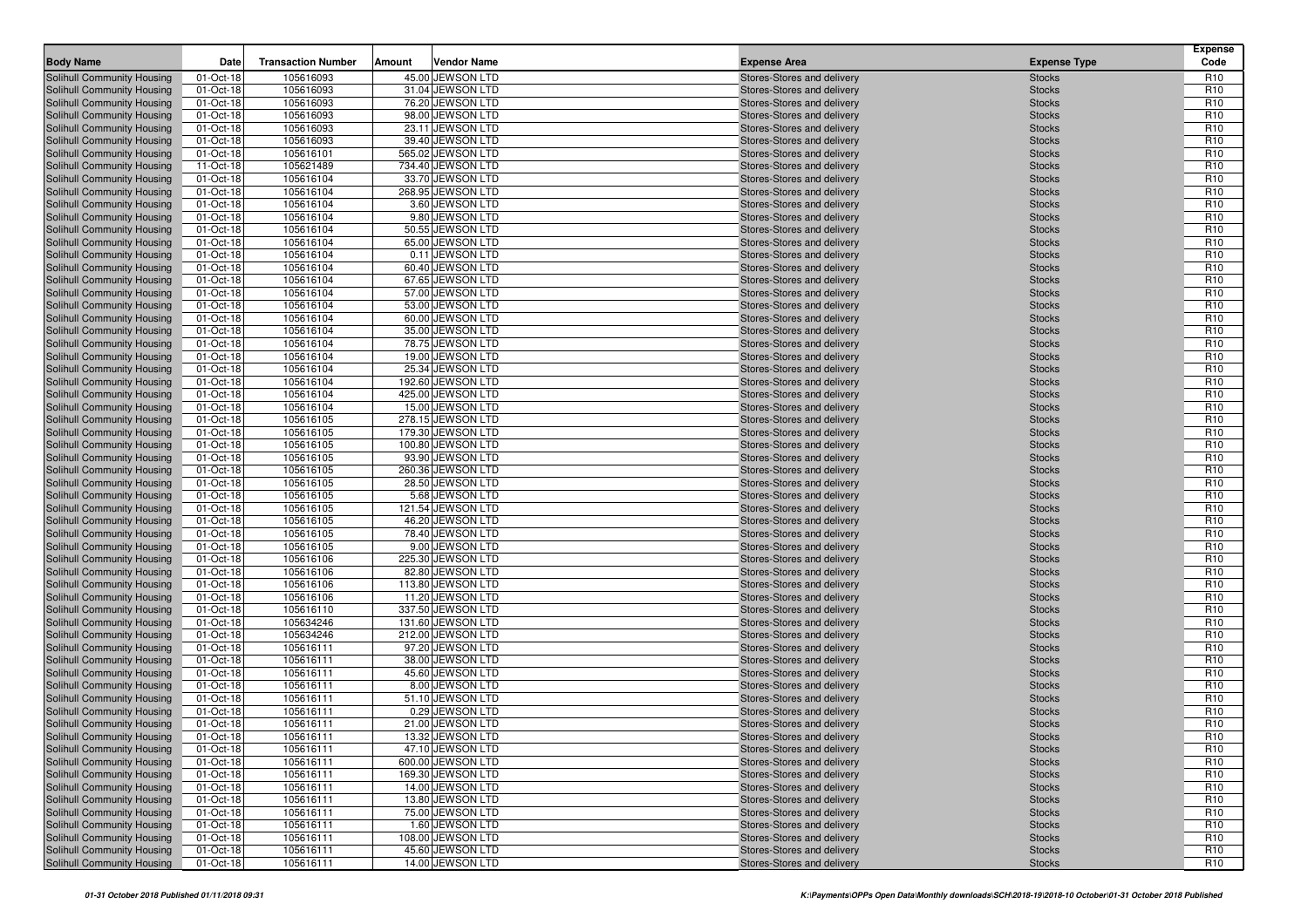|                                                          |                        | <b>Transaction Number</b> |        | <b>Vendor Name</b>                    |                                                          |                                | <b>Expense</b><br>Code             |
|----------------------------------------------------------|------------------------|---------------------------|--------|---------------------------------------|----------------------------------------------------------|--------------------------------|------------------------------------|
| <b>Body Name</b>                                         | Date                   |                           | Amount |                                       | <b>Expense Area</b>                                      | <b>Expense Type</b>            |                                    |
| Solihull Community Housing                               | 01-Oct-18              | 105616093                 |        | 45.00 JEWSON LTD                      | Stores-Stores and delivery                               | <b>Stocks</b>                  | R <sub>10</sub>                    |
| Solihull Community Housing                               | 01-Oct-18              | 105616093                 |        | 31.04 JEWSON LTD<br>76.20 JEWSON LTD  | Stores-Stores and delivery                               | <b>Stocks</b>                  | R <sub>10</sub><br>R <sub>10</sub> |
| Solihull Community Housing<br>Solihull Community Housing | 01-Oct-18<br>01-Oct-18 | 105616093<br>105616093    |        | 98.00 JEWSON LTD                      | Stores-Stores and delivery<br>Stores-Stores and delivery | <b>Stocks</b><br><b>Stocks</b> | R <sub>10</sub>                    |
| Solihull Community Housing                               | 01-Oct-18              | 105616093                 |        | 23.11 JEWSON LTD                      | Stores-Stores and delivery                               | <b>Stocks</b>                  | R <sub>10</sub>                    |
| Solihull Community Housing                               | 01-Oct-18              | 105616093                 |        | 39.40 JEWSON LTD                      | Stores-Stores and delivery                               | <b>Stocks</b>                  | R <sub>10</sub>                    |
| Solihull Community Housing                               | 01-Oct-18              | 105616101                 |        | 565.02 JEWSON LTD                     | Stores-Stores and delivery                               | <b>Stocks</b>                  | R <sub>10</sub>                    |
| Solihull Community Housing                               | 11-Oct-18              | 105621489                 |        | 734.40 JEWSON LTD                     | Stores-Stores and delivery                               | <b>Stocks</b>                  | R <sub>10</sub>                    |
| Solihull Community Housing                               | 01-Oct-18              | 105616104                 |        | 33.70 JEWSON LTD                      | Stores-Stores and delivery                               | <b>Stocks</b>                  | R <sub>10</sub>                    |
| Solihull Community Housing                               | 01-Oct-18              | 105616104                 |        | 268.95 JEWSON LTD                     | Stores-Stores and delivery                               | <b>Stocks</b>                  | R <sub>10</sub>                    |
| Solihull Community Housing                               | 01-Oct-18              | 105616104                 |        | 3.60 JEWSON LTD                       | Stores-Stores and delivery                               | <b>Stocks</b>                  | R <sub>10</sub>                    |
| Solihull Community Housing                               | 01-Oct-18              | 105616104                 |        | 9.80 JEWSON LTD                       | Stores-Stores and delivery                               | <b>Stocks</b>                  | R <sub>10</sub>                    |
| Solihull Community Housing                               | 01-Oct-18              | 105616104                 |        | 50.55 JEWSON LTD                      | Stores-Stores and delivery                               | <b>Stocks</b>                  | R <sub>10</sub>                    |
| Solihull Community Housing                               | 01-Oct-18              | 105616104                 |        | 65.00 JEWSON LTD                      | Stores-Stores and delivery                               | <b>Stocks</b>                  | R <sub>10</sub>                    |
| Solihull Community Housing                               | 01-Oct-18              | 105616104                 |        | 0.11 JEWSON LTD                       | Stores-Stores and delivery                               | <b>Stocks</b>                  | R <sub>10</sub>                    |
| Solihull Community Housing                               | 01-Oct-18              | 105616104                 |        | 60.40 JEWSON LTD                      | Stores-Stores and delivery                               | <b>Stocks</b>                  | R <sub>10</sub>                    |
| Solihull Community Housing                               | 01-Oct-18              | 105616104                 |        | 67.65 JEWSON LTD                      | Stores-Stores and delivery                               | <b>Stocks</b>                  | R <sub>10</sub>                    |
| Solihull Community Housing                               | 01-Oct-18              | 105616104                 |        | 57.00 JEWSON LTD                      | Stores-Stores and delivery                               | <b>Stocks</b>                  | R <sub>10</sub>                    |
| Solihull Community Housing                               | 01-Oct-18              | 105616104                 |        | 53.00 JEWSON LTD                      | Stores-Stores and delivery                               | <b>Stocks</b>                  | R <sub>10</sub>                    |
| Solihull Community Housing                               | 01-Oct-18              | 105616104                 |        | 60.00 JEWSON LTD                      | Stores-Stores and delivery                               | <b>Stocks</b>                  | R <sub>10</sub>                    |
| Solihull Community Housing                               | 01-Oct-18              | 105616104                 |        | 35.00 JEWSON LTD                      | Stores-Stores and delivery                               | <b>Stocks</b>                  | R <sub>10</sub>                    |
| Solihull Community Housing                               | 01-Oct-18              | 105616104                 |        | 78.75 JEWSON LTD                      | Stores-Stores and delivery                               | <b>Stocks</b>                  | R <sub>10</sub>                    |
| Solihull Community Housing                               | 01-Oct-18              | 105616104<br>105616104    |        | 19.00 JEWSON LTD<br>25.34 JEWSON LTD  | Stores-Stores and delivery<br>Stores-Stores and delivery | <b>Stocks</b>                  | R <sub>10</sub><br>R <sub>10</sub> |
| Solihull Community Housing<br>Solihull Community Housing | 01-Oct-18<br>01-Oct-18 | 105616104                 |        | 192.60 JEWSON LTD                     | Stores-Stores and delivery                               | <b>Stocks</b><br><b>Stocks</b> | R <sub>10</sub>                    |
| Solihull Community Housing                               | 01-Oct-18              | 105616104                 |        | 425.00 JEWSON LTD                     | Stores-Stores and delivery                               | <b>Stocks</b>                  | R <sub>10</sub>                    |
| Solihull Community Housing                               | 01-Oct-18              | 105616104                 |        | 15.00 JEWSON LTD                      | Stores-Stores and delivery                               | <b>Stocks</b>                  | R <sub>10</sub>                    |
| Solihull Community Housing                               | 01-Oct-18              | 105616105                 |        | 278.15 JEWSON LTD                     | Stores-Stores and delivery                               | <b>Stocks</b>                  | R <sub>10</sub>                    |
| Solihull Community Housing                               | 01-Oct-18              | 105616105                 |        | 179.30 JEWSON LTD                     | Stores-Stores and delivery                               | <b>Stocks</b>                  | R <sub>10</sub>                    |
| Solihull Community Housing                               | 01-Oct-18              | 105616105                 |        | 100.80 JEWSON LTD                     | Stores-Stores and delivery                               | <b>Stocks</b>                  | R <sub>10</sub>                    |
| Solihull Community Housing                               | 01-Oct-18              | 105616105                 |        | 93.90 JEWSON LTD                      | Stores-Stores and delivery                               | <b>Stocks</b>                  | R <sub>10</sub>                    |
| Solihull Community Housing                               | 01-Oct-18              | 105616105                 |        | 260.36 JEWSON LTD                     | Stores-Stores and delivery                               | <b>Stocks</b>                  | R <sub>10</sub>                    |
| Solihull Community Housing                               | 01-Oct-18              | 105616105                 |        | 28.50 JEWSON LTD                      | Stores-Stores and delivery                               | <b>Stocks</b>                  | R <sub>10</sub>                    |
| Solihull Community Housing                               | 01-Oct-18              | 105616105                 |        | 5.68 JEWSON LTD                       | Stores-Stores and delivery                               | <b>Stocks</b>                  | R <sub>10</sub>                    |
| Solihull Community Housing                               | 01-Oct-18              | 105616105                 |        | 121.54 JEWSON LTD                     | Stores-Stores and delivery                               | <b>Stocks</b>                  | R <sub>10</sub>                    |
| Solihull Community Housing                               | 01-Oct-18              | 105616105                 |        | 46.20 JEWSON LTD                      | Stores-Stores and delivery                               | <b>Stocks</b>                  | R <sub>10</sub>                    |
| Solihull Community Housing                               | 01-Oct-18              | 105616105                 |        | 78.40 JEWSON LTD                      | Stores-Stores and delivery                               | <b>Stocks</b>                  | R <sub>10</sub>                    |
| Solihull Community Housing                               | 01-Oct-18              | 105616105                 |        | 9.00 JEWSON LTD                       | Stores-Stores and delivery                               | <b>Stocks</b>                  | R <sub>10</sub>                    |
| Solihull Community Housing                               | 01-Oct-18              | 105616106                 |        | 225.30 JEWSON LTD                     | Stores-Stores and delivery                               | <b>Stocks</b>                  | R <sub>10</sub>                    |
| Solihull Community Housing                               | 01-Oct-18<br>01-Oct-18 | 105616106<br>105616106    |        | 82.80 JEWSON LTD<br>113.80 JEWSON LTD | Stores-Stores and delivery                               | <b>Stocks</b>                  | R <sub>10</sub><br>R <sub>10</sub> |
| Solihull Community Housing<br>Solihull Community Housing | 01-Oct-18              | 105616106                 |        | 11.20 JEWSON LTD                      | Stores-Stores and delivery<br>Stores-Stores and delivery | <b>Stocks</b><br><b>Stocks</b> | R <sub>10</sub>                    |
| Solihull Community Housing                               | 01-Oct-18              | 105616110                 |        | 337.50 JEWSON LTD                     | Stores-Stores and delivery                               | <b>Stocks</b>                  | R <sub>10</sub>                    |
| Solihull Community Housing                               | 01-Oct-18              | 105634246                 |        | 131.60 JEWSON LTD                     | Stores-Stores and delivery                               | <b>Stocks</b>                  | R <sub>10</sub>                    |
| Solihull Community Housing                               | 01-Oct-18              | 105634246                 |        | 212.00 JEWSON LTD                     | Stores-Stores and delivery                               | <b>Stocks</b>                  | R <sub>10</sub>                    |
| Solihull Community Housing                               | 01-Oct-18              | 105616111                 |        | 97.20 JEWSON LTD                      | Stores-Stores and delivery                               | <b>Stocks</b>                  | R <sub>10</sub>                    |
| Solihull Community Housing                               | 01-Oct-18              | 105616111                 |        | 38.00 JEWSON LTD                      | Stores-Stores and delivery                               | <b>Stocks</b>                  | R <sub>10</sub>                    |
| Solihull Community Housing                               | 01-Oct-18              | 105616111                 |        | 45.60 JEWSON LTD                      | Stores-Stores and delivery                               | <b>Stocks</b>                  | R <sub>10</sub>                    |
| Solihull Community Housing                               | 01-Oct-18              | 105616111                 |        | 8.00 JEWSON LTD                       | Stores-Stores and delivery                               | <b>Stocks</b>                  | R <sub>10</sub>                    |
| Solihull Community Housing                               | 01-Oct-18              | 105616111                 |        | 51.10 JEWSON LTD                      | Stores-Stores and delivery                               | <b>Stocks</b>                  | R <sub>10</sub>                    |
| Solihull Community Housing                               | 01-Oct-18              | 105616111                 |        | 0.29 JEWSON LTD                       | Stores-Stores and delivery                               | <b>Stocks</b>                  | R <sub>10</sub>                    |
| <b>Solihull Community Housing</b>                        | 01-Oct-18              | 105616111                 |        | 21.00 JEWSON LTD                      | Stores-Stores and delivery                               | <b>Stocks</b>                  | R <sub>10</sub>                    |
| Solihull Community Housing                               | 01-Oct-18              | 105616111                 |        | 13.32 JEWSON LTD                      | Stores-Stores and delivery                               | <b>Stocks</b>                  | R <sub>10</sub>                    |
| <b>Solihull Community Housing</b>                        | 01-Oct-18              | 105616111                 |        | 47.10 JEWSON LTD                      | Stores-Stores and delivery                               | <b>Stocks</b>                  | R <sub>10</sub>                    |
| Solihull Community Housing                               | 01-Oct-18              | 105616111                 |        | 600.00 JEWSON LTD                     | Stores-Stores and delivery                               | <b>Stocks</b>                  | R <sub>10</sub>                    |
| Solihull Community Housing                               | 01-Oct-18              | 105616111                 |        | 169.30 JEWSON LTD                     | Stores-Stores and delivery                               | <b>Stocks</b>                  | R <sub>10</sub>                    |
| Solihull Community Housing                               | 01-Oct-18              | 105616111                 |        | 14.00 JEWSON LTD                      | Stores-Stores and delivery                               | <b>Stocks</b>                  | R <sub>10</sub>                    |
| Solihull Community Housing                               | 01-Oct-18              | 105616111                 |        | 13.80 JEWSON LTD                      | Stores-Stores and delivery                               | <b>Stocks</b>                  | R <sub>10</sub>                    |
| Solihull Community Housing                               | 01-Oct-18              | 105616111                 |        | 75.00 JEWSON LTD                      | Stores-Stores and delivery                               | <b>Stocks</b>                  | R <sub>10</sub>                    |
| Solihull Community Housing<br>Solihull Community Housing | 01-Oct-18              | 105616111<br>105616111    |        | 1.60 JEWSON LTD<br>108.00 JEWSON LTD  | Stores-Stores and delivery<br>Stores-Stores and delivery | <b>Stocks</b><br><b>Stocks</b> | R <sub>10</sub><br>R <sub>10</sub> |
| Solihull Community Housing                               | 01-Oct-18<br>01-Oct-18 | 105616111                 |        | 45.60 JEWSON LTD                      | Stores-Stores and delivery                               | <b>Stocks</b>                  | R <sub>10</sub>                    |
| Solihull Community Housing                               | 01-Oct-18              | 105616111                 |        | 14.00 JEWSON LTD                      | Stores-Stores and delivery                               | <b>Stocks</b>                  | R <sub>10</sub>                    |
|                                                          |                        |                           |        |                                       |                                                          |                                |                                    |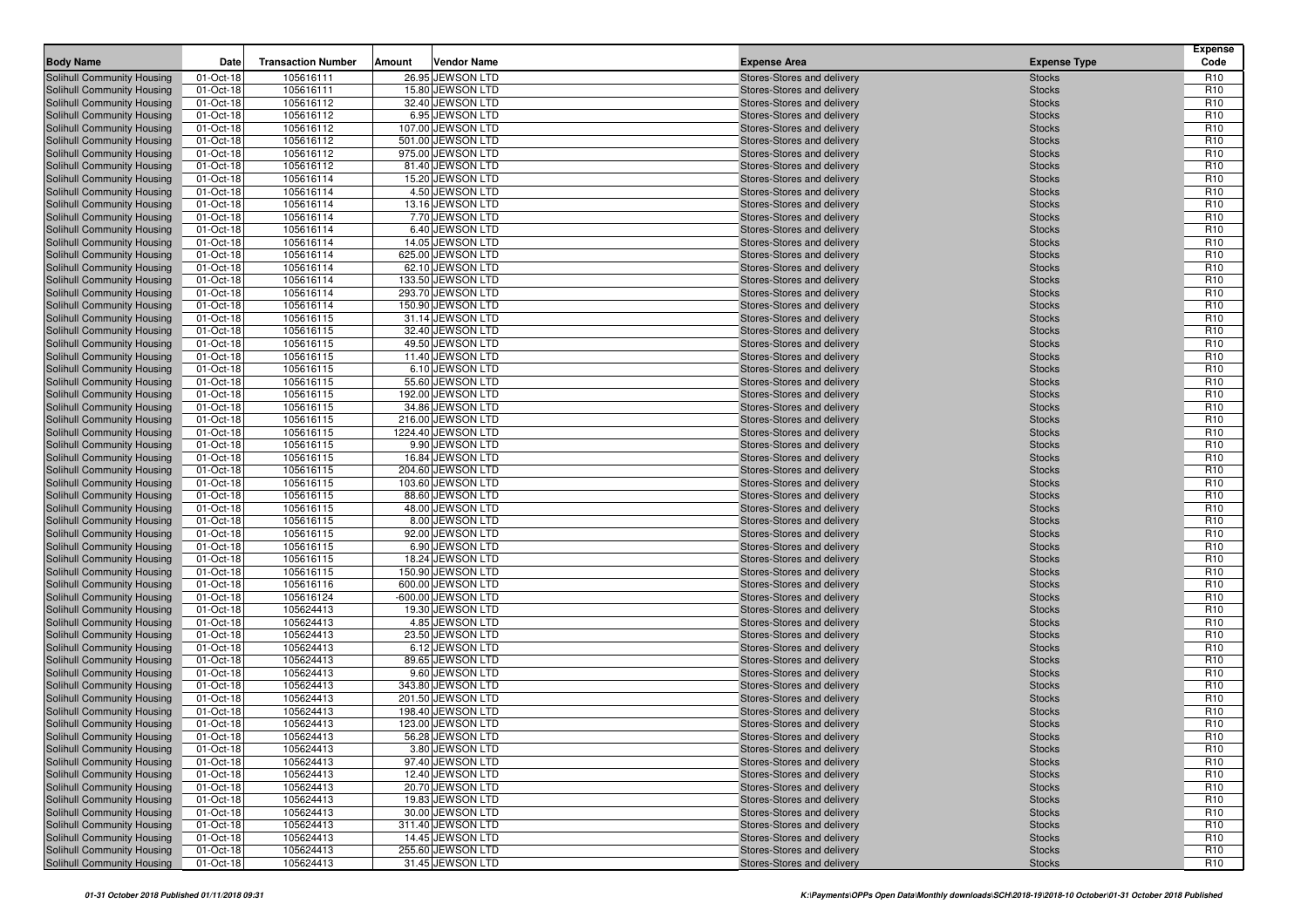| Solihull Community Housing<br>01-Oct-18<br>105616111<br>26.95 JEWSON LTD<br>Stores-Stores and delivery<br>R <sub>10</sub><br><b>Stocks</b><br>01-Oct-18<br>105616111<br>15.80 JEWSON LTD<br>R <sub>10</sub><br>Solihull Community Housing<br>Stores-Stores and delivery<br><b>Stocks</b><br>01-Oct-18<br>105616112<br>32.40 JEWSON LTD<br>R <sub>10</sub><br>Solihull Community Housing<br>Stores-Stores and delivery<br><b>Stocks</b><br>01-Oct-18<br>105616112<br>6.95 JEWSON LTD<br>R <sub>10</sub><br>Solihull Community Housing<br>Stores-Stores and delivery<br><b>Stocks</b><br>01-Oct-18<br>107.00 JEWSON LTD<br>R <sub>10</sub><br>Solihull Community Housing<br>105616112<br>Stores-Stores and delivery<br><b>Stocks</b><br>501.00 JEWSON LTD<br>R <sub>10</sub><br>Solihull Community Housing<br>01-Oct-18<br>105616112<br>Stores-Stores and delivery<br><b>Stocks</b><br>01-Oct-18<br>105616112<br>975.00 JEWSON LTD<br>R <sub>10</sub><br>Solihull Community Housing<br>Stores-Stores and delivery<br><b>Stocks</b><br>01-Oct-18<br>105616112<br>81.40 JEWSON LTD<br>R <sub>10</sub><br>Solihull Community Housing<br>Stores-Stores and delivery<br><b>Stocks</b><br>105616114<br>15.20 JEWSON LTD<br>R <sub>10</sub><br>Solihull Community Housing<br>01-Oct-18<br>Stores-Stores and delivery<br><b>Stocks</b><br>01-Oct-18<br>105616114<br>4.50 JEWSON LTD<br>R <sub>10</sub><br>Solihull Community Housing<br>Stores-Stores and delivery<br><b>Stocks</b><br>01-Oct-18<br>105616114<br>13.16 JEWSON LTD<br>R <sub>10</sub><br>Solihull Community Housing<br>Stores-Stores and delivery<br><b>Stocks</b><br>01-Oct-18<br>7.70 JEWSON LTD<br>R <sub>10</sub><br>Solihull Community Housing<br>105616114<br>Stores-Stores and delivery<br><b>Stocks</b><br>01-Oct-18<br>105616114<br>6.40 JEWSON LTD<br>R <sub>10</sub><br>Solihull Community Housing<br>Stores-Stores and delivery<br><b>Stocks</b><br>R <sub>10</sub><br><b>Solihull Community Housing</b><br>01-Oct-18<br>105616114<br>14.05 JEWSON LTD<br><b>Stocks</b><br>Stores-Stores and delivery<br>01-Oct-18<br>105616114<br>625.00 JEWSON LTD<br>R <sub>10</sub><br>Solihull Community Housing<br>Stores-Stores and delivery<br><b>Stocks</b><br>01-Oct-18<br>105616114<br>62.10 JEWSON LTD<br>R <sub>10</sub><br>Solihull Community Housing<br>Stores-Stores and delivery<br><b>Stocks</b><br>01-Oct-18<br>105616114<br>133.50 JEWSON LTD<br>R <sub>10</sub><br>Solihull Community Housing<br>Stores-Stores and delivery<br><b>Stocks</b><br>01-Oct-18<br>293.70 JEWSON LTD<br>R <sub>10</sub><br>Solihull Community Housing<br>105616114<br>Stores-Stores and delivery<br><b>Stocks</b><br>R <sub>10</sub><br>Solihull Community Housing<br>01-Oct-18<br>105616114<br>150.90 JEWSON LTD<br>Stores-Stores and delivery<br><b>Stocks</b><br>01-Oct-18<br>105616115<br>31.14 JEWSON LTD<br>R <sub>10</sub><br>Solihull Community Housing<br>Stores-Stores and delivery<br><b>Stocks</b><br>01-Oct-18<br>105616115<br>32.40 JEWSON LTD<br>R <sub>10</sub><br>Solihull Community Housing<br>Stores-Stores and delivery<br><b>Stocks</b><br>01-Oct-18<br>105616115<br>49.50 JEWSON LTD<br>R <sub>10</sub><br>Solihull Community Housing<br>Stores-Stores and delivery<br><b>Stocks</b><br>R <sub>10</sub><br>Solihull Community Housing<br>01-Oct-18<br>105616115<br>11.40 JEWSON LTD<br><b>Stocks</b><br>Stores-Stores and delivery<br>01-Oct-18<br>105616115<br>6.10 JEWSON LTD<br>R <sub>10</sub><br>Solihull Community Housing<br>Stores-Stores and delivery<br><b>Stocks</b><br>R <sub>10</sub><br>01-Oct-18<br>Solihull Community Housing<br>105616115<br>55.60 JEWSON LTD<br>Stores-Stores and delivery<br><b>Stocks</b><br>01-Oct-18<br>105616115<br>192.00 JEWSON LTD<br>R <sub>10</sub><br>Solihull Community Housing<br>Stores-Stores and delivery<br><b>Stocks</b><br>105616115<br>34.86 JEWSON LTD<br>R <sub>10</sub><br>Solihull Community Housing<br>01-Oct-18<br><b>Stocks</b><br>Stores-Stores and delivery<br>R <sub>10</sub><br>Solihull Community Housing<br>01-Oct-18<br>105616115<br>216.00 JEWSON LTD<br>Stores-Stores and delivery<br><b>Stocks</b><br>01-Oct-18<br>105616115<br>1224.40 JEWSON LTD<br>R <sub>10</sub><br>Solihull Community Housing<br>Stores-Stores and delivery<br><b>Stocks</b><br>01-Oct-18<br>9.90 JEWSON LTD<br>R <sub>10</sub><br>Solihull Community Housing<br>105616115<br>Stores-Stores and delivery<br><b>Stocks</b><br>16.84 JEWSON LTD<br>R <sub>10</sub><br>Solihull Community Housing<br>01-Oct-18<br>105616115<br>Stores-Stores and delivery<br><b>Stocks</b><br>01-Oct-18<br>105616115<br>204.60 JEWSON LTD<br>R <sub>10</sub><br>Solihull Community Housing<br>Stores-Stores and delivery<br><b>Stocks</b><br>01-Oct-18<br>105616115<br>103.60 JEWSON LTD<br>R <sub>10</sub><br>Solihull Community Housing<br>Stores-Stores and delivery<br><b>Stocks</b><br>88.60 JEWSON LTD<br>R <sub>10</sub><br>Solihull Community Housing<br>01-Oct-18<br>105616115<br>Stores-Stores and delivery<br><b>Stocks</b><br>Solihull Community Housing<br>01-Oct-18<br>105616115<br>48.00 JEWSON LTD<br>R <sub>10</sub><br>Stores-Stores and delivery<br><b>Stocks</b><br>8.00 JEWSON LTD<br>R <sub>10</sub><br>Solihull Community Housing<br>01-Oct-18<br>105616115<br><b>Stocks</b><br>Stores-Stores and delivery<br>01-Oct-18<br>105616115<br>92.00 JEWSON LTD<br>R <sub>10</sub><br>Solihull Community Housing<br>Stores-Stores and delivery<br><b>Stocks</b><br>01-Oct-18<br>105616115<br>6.90 JEWSON LTD<br>R <sub>10</sub><br>Solihull Community Housing<br>Stores-Stores and delivery<br><b>Stocks</b><br>01-Oct-18<br>18.24 JEWSON LTD<br>R <sub>10</sub><br>Solihull Community Housing<br>105616115<br>Stores-Stores and delivery<br><b>Stocks</b><br>150.90 JEWSON LTD<br>R <sub>10</sub><br>Solihull Community Housing<br>01-Oct-18<br>105616115<br>Stores-Stores and delivery<br><b>Stocks</b><br>R <sub>10</sub><br>105616116<br>600.00 JEWSON LTD<br>Solihull Community Housing<br>01-Oct-18<br>Stores-Stores and delivery<br><b>Stocks</b><br>01-Oct-18<br>105616124<br>-600.00 JEWSON LTD<br>R <sub>10</sub><br>Solihull Community Housing<br>Stores-Stores and delivery<br><b>Stocks</b><br>01-Oct-18<br>105624413<br>19.30 JEWSON LTD<br>R <sub>10</sub><br>Solihull Community Housing<br>Stores-Stores and delivery<br><b>Stocks</b><br>105624413<br>4.85 JEWSON LTD<br>R <sub>10</sub><br>Solihull Community Housing<br>01-Oct-18<br>Stores-Stores and delivery<br><b>Stocks</b><br>01-Oct-18<br>105624413<br>23.50 JEWSON LTD<br>R <sub>10</sub><br>Solihull Community Housing<br>Stores-Stores and delivery<br><b>Stocks</b><br>01-Oct-18<br>105624413<br>6.12 JEWSON LTD<br>R <sub>10</sub><br>Solihull Community Housing<br>Stores-Stores and delivery<br><b>Stocks</b><br>01-Oct-18<br>105624413<br>89.65 JEWSON LTD<br>R <sub>10</sub><br>Solihull Community Housing<br>Stores-Stores and delivery<br><b>Stocks</b><br>105624413<br>R <sub>10</sub><br><b>Solihull Community Housing</b><br>01-Oct-18<br>9.60 JEWSON LTD<br><b>Stocks</b><br>Stores-Stores and delivery<br>01-Oct-18<br>105624413<br>343.80 JEWSON LTD<br>R <sub>10</sub><br>Solihull Community Housing<br>Stores-Stores and delivery<br><b>Stocks</b><br>105624413<br>201.50 JEWSON LTD<br>R <sub>10</sub><br>Solihull Community Housing<br>01-Oct-18<br>Stores-Stores and delivery<br><b>Stocks</b><br>01-Oct-18<br>105624413<br>198.40 JEWSON LTD<br>R <sub>10</sub><br>Solihull Community Housing<br>Stores-Stores and delivery<br><b>Stocks</b><br>Solihull Community Housing<br>01-Oct-18<br>105624413<br>123.00 JEWSON LTD<br>R <sub>10</sub><br>Stores-Stores and delivery<br><b>Stocks</b><br>R <sub>10</sub><br>Solihull Community Housing<br>01-Oct-18<br>105624413<br>56.28 JEWSON LTD<br>Stores-Stores and delivery<br><b>Stocks</b><br>105624413<br>3.80 JEWSON LTD<br>R <sub>10</sub><br>Solihull Community Housing<br>01-Oct-18<br>Stores-Stores and delivery<br><b>Stocks</b><br>Solihull Community Housing<br>105624413<br>97.40 JEWSON LTD<br>R <sub>10</sub><br>01-Oct-18<br>Stores-Stores and delivery<br><b>Stocks</b><br>12.40 JEWSON LTD<br>Solihull Community Housing<br>01-Oct-18<br>105624413<br>Stores-Stores and delivery<br>R <sub>10</sub><br><b>Stocks</b><br>Solihull Community Housing<br>20.70 JEWSON LTD<br>Stores-Stores and delivery<br>R <sub>10</sub><br>01-Oct-18<br>105624413<br><b>Stocks</b><br>Solihull Community Housing<br>01-Oct-18<br>105624413<br>19.83 JEWSON LTD<br>R <sub>10</sub><br>Stores-Stores and delivery<br><b>Stocks</b><br>Solihull Community Housing<br>01-Oct-18<br>105624413<br>30.00 JEWSON LTD<br>Stores-Stores and delivery<br>R <sub>10</sub><br><b>Stocks</b><br>Solihull Community Housing<br>01-Oct-18<br>105624413<br>311.40 JEWSON LTD<br>Stores-Stores and delivery<br>R <sub>10</sub><br><b>Stocks</b><br>Solihull Community Housing<br>01-Oct-18<br>105624413<br>14.45 JEWSON LTD<br>R <sub>10</sub><br>Stores-Stores and delivery<br><b>Stocks</b><br>Solihull Community Housing<br>01-Oct-18<br>105624413<br>255.60 JEWSON LTD<br>Stores-Stores and delivery<br>R <sub>10</sub><br><b>Stocks</b> | <b>Body Name</b>           | Date      | <b>Transaction Number</b> | Amount | <b>Vendor Name</b> | <b>Expense Area</b>        | <b>Expense Type</b> | <b>Expense</b><br>Code |
|-------------------------------------------------------------------------------------------------------------------------------------------------------------------------------------------------------------------------------------------------------------------------------------------------------------------------------------------------------------------------------------------------------------------------------------------------------------------------------------------------------------------------------------------------------------------------------------------------------------------------------------------------------------------------------------------------------------------------------------------------------------------------------------------------------------------------------------------------------------------------------------------------------------------------------------------------------------------------------------------------------------------------------------------------------------------------------------------------------------------------------------------------------------------------------------------------------------------------------------------------------------------------------------------------------------------------------------------------------------------------------------------------------------------------------------------------------------------------------------------------------------------------------------------------------------------------------------------------------------------------------------------------------------------------------------------------------------------------------------------------------------------------------------------------------------------------------------------------------------------------------------------------------------------------------------------------------------------------------------------------------------------------------------------------------------------------------------------------------------------------------------------------------------------------------------------------------------------------------------------------------------------------------------------------------------------------------------------------------------------------------------------------------------------------------------------------------------------------------------------------------------------------------------------------------------------------------------------------------------------------------------------------------------------------------------------------------------------------------------------------------------------------------------------------------------------------------------------------------------------------------------------------------------------------------------------------------------------------------------------------------------------------------------------------------------------------------------------------------------------------------------------------------------------------------------------------------------------------------------------------------------------------------------------------------------------------------------------------------------------------------------------------------------------------------------------------------------------------------------------------------------------------------------------------------------------------------------------------------------------------------------------------------------------------------------------------------------------------------------------------------------------------------------------------------------------------------------------------------------------------------------------------------------------------------------------------------------------------------------------------------------------------------------------------------------------------------------------------------------------------------------------------------------------------------------------------------------------------------------------------------------------------------------------------------------------------------------------------------------------------------------------------------------------------------------------------------------------------------------------------------------------------------------------------------------------------------------------------------------------------------------------------------------------------------------------------------------------------------------------------------------------------------------------------------------------------------------------------------------------------------------------------------------------------------------------------------------------------------------------------------------------------------------------------------------------------------------------------------------------------------------------------------------------------------------------------------------------------------------------------------------------------------------------------------------------------------------------------------------------------------------------------------------------------------------------------------------------------------------------------------------------------------------------------------------------------------------------------------------------------------------------------------------------------------------------------------------------------------------------------------------------------------------------------------------------------------------------------------------------------------------------------------------------------------------------------------------------------------------------------------------------------------------------------------------------------------------------------------------------------------------------------------------------------------------------------------------------------------------------------------------------------------------------------------------------------------------------------------------------------------------------------------------------------------------------------------------------------------------------------------------------------------------------------------------------------------------------------------------------------------------------------------------------------------------------------------------------------------------------------------------------------------------------------------------------------------------------------------------------------------------------------------------------------------------------------------------------------------------------------------------------------------------------------------------------------------------------------------------------------------------------------------------------------------------------------------------------------------------------------------------------------------------------------------------------------------------------------------------------------------------------------------------------------------------------------------------------------------------------------------------------------------------------------------------------------------------------------------------------------------------------------------------------------------------------------------------------------------------------------------------------------------------------------------------------------------------------------------------------------------------------------------------------------------------------------------------------------------------------------------------------------------------------------------------------------------------------------------------------------------------------------------------------------------------------------------------------------------------------------------------------------------------------------------------------------------------------------------------------------------------------------------------------------------------------------------------------------------------------------------------------------------------------------------------------------------------------------------------------------------------------------------------------------------------------------------------------------------------------------------------------------------------------------------------------------------------------------------------------------------------------------------------------------------------------------------------------------------------------------------------------------------------------------------------------------------------------------------------------------------------------------------------------------------------------|----------------------------|-----------|---------------------------|--------|--------------------|----------------------------|---------------------|------------------------|
|                                                                                                                                                                                                                                                                                                                                                                                                                                                                                                                                                                                                                                                                                                                                                                                                                                                                                                                                                                                                                                                                                                                                                                                                                                                                                                                                                                                                                                                                                                                                                                                                                                                                                                                                                                                                                                                                                                                                                                                                                                                                                                                                                                                                                                                                                                                                                                                                                                                                                                                                                                                                                                                                                                                                                                                                                                                                                                                                                                                                                                                                                                                                                                                                                                                                                                                                                                                                                                                                                                                                                                                                                                                                                                                                                                                                                                                                                                                                                                                                                                                                                                                                                                                                                                                                                                                                                                                                                                                                                                                                                                                                                                                                                                                                                                                                                                                                                                                                                                                                                                                                                                                                                                                                                                                                                                                                                                                                                                                                                                                                                                                                                                                                                                                                                                                                                                                                                                                                                                                                                                                                                                                                                                                                                                                                                                                                                                                                                                                                                                                                                                                                                                                                                                                                                                                                                                                                                                                                                                                                                                                                                                                                                                                                                                                                                                                                                                                                                                                                                                                                                                                                                                                                                                                                                                                                                                                                                                                                                                                                                                                                                                                                                                                                                                                                                                                                                                                                                                                                                                                                                                                                                                                                                                                                                                                                                                                                                                                                                                                                                                                                                                                                                                                           |                            |           |                           |        |                    |                            |                     |                        |
|                                                                                                                                                                                                                                                                                                                                                                                                                                                                                                                                                                                                                                                                                                                                                                                                                                                                                                                                                                                                                                                                                                                                                                                                                                                                                                                                                                                                                                                                                                                                                                                                                                                                                                                                                                                                                                                                                                                                                                                                                                                                                                                                                                                                                                                                                                                                                                                                                                                                                                                                                                                                                                                                                                                                                                                                                                                                                                                                                                                                                                                                                                                                                                                                                                                                                                                                                                                                                                                                                                                                                                                                                                                                                                                                                                                                                                                                                                                                                                                                                                                                                                                                                                                                                                                                                                                                                                                                                                                                                                                                                                                                                                                                                                                                                                                                                                                                                                                                                                                                                                                                                                                                                                                                                                                                                                                                                                                                                                                                                                                                                                                                                                                                                                                                                                                                                                                                                                                                                                                                                                                                                                                                                                                                                                                                                                                                                                                                                                                                                                                                                                                                                                                                                                                                                                                                                                                                                                                                                                                                                                                                                                                                                                                                                                                                                                                                                                                                                                                                                                                                                                                                                                                                                                                                                                                                                                                                                                                                                                                                                                                                                                                                                                                                                                                                                                                                                                                                                                                                                                                                                                                                                                                                                                                                                                                                                                                                                                                                                                                                                                                                                                                                                                                           |                            |           |                           |        |                    |                            |                     |                        |
|                                                                                                                                                                                                                                                                                                                                                                                                                                                                                                                                                                                                                                                                                                                                                                                                                                                                                                                                                                                                                                                                                                                                                                                                                                                                                                                                                                                                                                                                                                                                                                                                                                                                                                                                                                                                                                                                                                                                                                                                                                                                                                                                                                                                                                                                                                                                                                                                                                                                                                                                                                                                                                                                                                                                                                                                                                                                                                                                                                                                                                                                                                                                                                                                                                                                                                                                                                                                                                                                                                                                                                                                                                                                                                                                                                                                                                                                                                                                                                                                                                                                                                                                                                                                                                                                                                                                                                                                                                                                                                                                                                                                                                                                                                                                                                                                                                                                                                                                                                                                                                                                                                                                                                                                                                                                                                                                                                                                                                                                                                                                                                                                                                                                                                                                                                                                                                                                                                                                                                                                                                                                                                                                                                                                                                                                                                                                                                                                                                                                                                                                                                                                                                                                                                                                                                                                                                                                                                                                                                                                                                                                                                                                                                                                                                                                                                                                                                                                                                                                                                                                                                                                                                                                                                                                                                                                                                                                                                                                                                                                                                                                                                                                                                                                                                                                                                                                                                                                                                                                                                                                                                                                                                                                                                                                                                                                                                                                                                                                                                                                                                                                                                                                                                                           |                            |           |                           |        |                    |                            |                     |                        |
|                                                                                                                                                                                                                                                                                                                                                                                                                                                                                                                                                                                                                                                                                                                                                                                                                                                                                                                                                                                                                                                                                                                                                                                                                                                                                                                                                                                                                                                                                                                                                                                                                                                                                                                                                                                                                                                                                                                                                                                                                                                                                                                                                                                                                                                                                                                                                                                                                                                                                                                                                                                                                                                                                                                                                                                                                                                                                                                                                                                                                                                                                                                                                                                                                                                                                                                                                                                                                                                                                                                                                                                                                                                                                                                                                                                                                                                                                                                                                                                                                                                                                                                                                                                                                                                                                                                                                                                                                                                                                                                                                                                                                                                                                                                                                                                                                                                                                                                                                                                                                                                                                                                                                                                                                                                                                                                                                                                                                                                                                                                                                                                                                                                                                                                                                                                                                                                                                                                                                                                                                                                                                                                                                                                                                                                                                                                                                                                                                                                                                                                                                                                                                                                                                                                                                                                                                                                                                                                                                                                                                                                                                                                                                                                                                                                                                                                                                                                                                                                                                                                                                                                                                                                                                                                                                                                                                                                                                                                                                                                                                                                                                                                                                                                                                                                                                                                                                                                                                                                                                                                                                                                                                                                                                                                                                                                                                                                                                                                                                                                                                                                                                                                                                                                           |                            |           |                           |        |                    |                            |                     |                        |
|                                                                                                                                                                                                                                                                                                                                                                                                                                                                                                                                                                                                                                                                                                                                                                                                                                                                                                                                                                                                                                                                                                                                                                                                                                                                                                                                                                                                                                                                                                                                                                                                                                                                                                                                                                                                                                                                                                                                                                                                                                                                                                                                                                                                                                                                                                                                                                                                                                                                                                                                                                                                                                                                                                                                                                                                                                                                                                                                                                                                                                                                                                                                                                                                                                                                                                                                                                                                                                                                                                                                                                                                                                                                                                                                                                                                                                                                                                                                                                                                                                                                                                                                                                                                                                                                                                                                                                                                                                                                                                                                                                                                                                                                                                                                                                                                                                                                                                                                                                                                                                                                                                                                                                                                                                                                                                                                                                                                                                                                                                                                                                                                                                                                                                                                                                                                                                                                                                                                                                                                                                                                                                                                                                                                                                                                                                                                                                                                                                                                                                                                                                                                                                                                                                                                                                                                                                                                                                                                                                                                                                                                                                                                                                                                                                                                                                                                                                                                                                                                                                                                                                                                                                                                                                                                                                                                                                                                                                                                                                                                                                                                                                                                                                                                                                                                                                                                                                                                                                                                                                                                                                                                                                                                                                                                                                                                                                                                                                                                                                                                                                                                                                                                                                                           |                            |           |                           |        |                    |                            |                     |                        |
|                                                                                                                                                                                                                                                                                                                                                                                                                                                                                                                                                                                                                                                                                                                                                                                                                                                                                                                                                                                                                                                                                                                                                                                                                                                                                                                                                                                                                                                                                                                                                                                                                                                                                                                                                                                                                                                                                                                                                                                                                                                                                                                                                                                                                                                                                                                                                                                                                                                                                                                                                                                                                                                                                                                                                                                                                                                                                                                                                                                                                                                                                                                                                                                                                                                                                                                                                                                                                                                                                                                                                                                                                                                                                                                                                                                                                                                                                                                                                                                                                                                                                                                                                                                                                                                                                                                                                                                                                                                                                                                                                                                                                                                                                                                                                                                                                                                                                                                                                                                                                                                                                                                                                                                                                                                                                                                                                                                                                                                                                                                                                                                                                                                                                                                                                                                                                                                                                                                                                                                                                                                                                                                                                                                                                                                                                                                                                                                                                                                                                                                                                                                                                                                                                                                                                                                                                                                                                                                                                                                                                                                                                                                                                                                                                                                                                                                                                                                                                                                                                                                                                                                                                                                                                                                                                                                                                                                                                                                                                                                                                                                                                                                                                                                                                                                                                                                                                                                                                                                                                                                                                                                                                                                                                                                                                                                                                                                                                                                                                                                                                                                                                                                                                                                           |                            |           |                           |        |                    |                            |                     |                        |
|                                                                                                                                                                                                                                                                                                                                                                                                                                                                                                                                                                                                                                                                                                                                                                                                                                                                                                                                                                                                                                                                                                                                                                                                                                                                                                                                                                                                                                                                                                                                                                                                                                                                                                                                                                                                                                                                                                                                                                                                                                                                                                                                                                                                                                                                                                                                                                                                                                                                                                                                                                                                                                                                                                                                                                                                                                                                                                                                                                                                                                                                                                                                                                                                                                                                                                                                                                                                                                                                                                                                                                                                                                                                                                                                                                                                                                                                                                                                                                                                                                                                                                                                                                                                                                                                                                                                                                                                                                                                                                                                                                                                                                                                                                                                                                                                                                                                                                                                                                                                                                                                                                                                                                                                                                                                                                                                                                                                                                                                                                                                                                                                                                                                                                                                                                                                                                                                                                                                                                                                                                                                                                                                                                                                                                                                                                                                                                                                                                                                                                                                                                                                                                                                                                                                                                                                                                                                                                                                                                                                                                                                                                                                                                                                                                                                                                                                                                                                                                                                                                                                                                                                                                                                                                                                                                                                                                                                                                                                                                                                                                                                                                                                                                                                                                                                                                                                                                                                                                                                                                                                                                                                                                                                                                                                                                                                                                                                                                                                                                                                                                                                                                                                                                                           |                            |           |                           |        |                    |                            |                     |                        |
|                                                                                                                                                                                                                                                                                                                                                                                                                                                                                                                                                                                                                                                                                                                                                                                                                                                                                                                                                                                                                                                                                                                                                                                                                                                                                                                                                                                                                                                                                                                                                                                                                                                                                                                                                                                                                                                                                                                                                                                                                                                                                                                                                                                                                                                                                                                                                                                                                                                                                                                                                                                                                                                                                                                                                                                                                                                                                                                                                                                                                                                                                                                                                                                                                                                                                                                                                                                                                                                                                                                                                                                                                                                                                                                                                                                                                                                                                                                                                                                                                                                                                                                                                                                                                                                                                                                                                                                                                                                                                                                                                                                                                                                                                                                                                                                                                                                                                                                                                                                                                                                                                                                                                                                                                                                                                                                                                                                                                                                                                                                                                                                                                                                                                                                                                                                                                                                                                                                                                                                                                                                                                                                                                                                                                                                                                                                                                                                                                                                                                                                                                                                                                                                                                                                                                                                                                                                                                                                                                                                                                                                                                                                                                                                                                                                                                                                                                                                                                                                                                                                                                                                                                                                                                                                                                                                                                                                                                                                                                                                                                                                                                                                                                                                                                                                                                                                                                                                                                                                                                                                                                                                                                                                                                                                                                                                                                                                                                                                                                                                                                                                                                                                                                                                           |                            |           |                           |        |                    |                            |                     |                        |
|                                                                                                                                                                                                                                                                                                                                                                                                                                                                                                                                                                                                                                                                                                                                                                                                                                                                                                                                                                                                                                                                                                                                                                                                                                                                                                                                                                                                                                                                                                                                                                                                                                                                                                                                                                                                                                                                                                                                                                                                                                                                                                                                                                                                                                                                                                                                                                                                                                                                                                                                                                                                                                                                                                                                                                                                                                                                                                                                                                                                                                                                                                                                                                                                                                                                                                                                                                                                                                                                                                                                                                                                                                                                                                                                                                                                                                                                                                                                                                                                                                                                                                                                                                                                                                                                                                                                                                                                                                                                                                                                                                                                                                                                                                                                                                                                                                                                                                                                                                                                                                                                                                                                                                                                                                                                                                                                                                                                                                                                                                                                                                                                                                                                                                                                                                                                                                                                                                                                                                                                                                                                                                                                                                                                                                                                                                                                                                                                                                                                                                                                                                                                                                                                                                                                                                                                                                                                                                                                                                                                                                                                                                                                                                                                                                                                                                                                                                                                                                                                                                                                                                                                                                                                                                                                                                                                                                                                                                                                                                                                                                                                                                                                                                                                                                                                                                                                                                                                                                                                                                                                                                                                                                                                                                                                                                                                                                                                                                                                                                                                                                                                                                                                                                                           |                            |           |                           |        |                    |                            |                     |                        |
|                                                                                                                                                                                                                                                                                                                                                                                                                                                                                                                                                                                                                                                                                                                                                                                                                                                                                                                                                                                                                                                                                                                                                                                                                                                                                                                                                                                                                                                                                                                                                                                                                                                                                                                                                                                                                                                                                                                                                                                                                                                                                                                                                                                                                                                                                                                                                                                                                                                                                                                                                                                                                                                                                                                                                                                                                                                                                                                                                                                                                                                                                                                                                                                                                                                                                                                                                                                                                                                                                                                                                                                                                                                                                                                                                                                                                                                                                                                                                                                                                                                                                                                                                                                                                                                                                                                                                                                                                                                                                                                                                                                                                                                                                                                                                                                                                                                                                                                                                                                                                                                                                                                                                                                                                                                                                                                                                                                                                                                                                                                                                                                                                                                                                                                                                                                                                                                                                                                                                                                                                                                                                                                                                                                                                                                                                                                                                                                                                                                                                                                                                                                                                                                                                                                                                                                                                                                                                                                                                                                                                                                                                                                                                                                                                                                                                                                                                                                                                                                                                                                                                                                                                                                                                                                                                                                                                                                                                                                                                                                                                                                                                                                                                                                                                                                                                                                                                                                                                                                                                                                                                                                                                                                                                                                                                                                                                                                                                                                                                                                                                                                                                                                                                                                           |                            |           |                           |        |                    |                            |                     |                        |
|                                                                                                                                                                                                                                                                                                                                                                                                                                                                                                                                                                                                                                                                                                                                                                                                                                                                                                                                                                                                                                                                                                                                                                                                                                                                                                                                                                                                                                                                                                                                                                                                                                                                                                                                                                                                                                                                                                                                                                                                                                                                                                                                                                                                                                                                                                                                                                                                                                                                                                                                                                                                                                                                                                                                                                                                                                                                                                                                                                                                                                                                                                                                                                                                                                                                                                                                                                                                                                                                                                                                                                                                                                                                                                                                                                                                                                                                                                                                                                                                                                                                                                                                                                                                                                                                                                                                                                                                                                                                                                                                                                                                                                                                                                                                                                                                                                                                                                                                                                                                                                                                                                                                                                                                                                                                                                                                                                                                                                                                                                                                                                                                                                                                                                                                                                                                                                                                                                                                                                                                                                                                                                                                                                                                                                                                                                                                                                                                                                                                                                                                                                                                                                                                                                                                                                                                                                                                                                                                                                                                                                                                                                                                                                                                                                                                                                                                                                                                                                                                                                                                                                                                                                                                                                                                                                                                                                                                                                                                                                                                                                                                                                                                                                                                                                                                                                                                                                                                                                                                                                                                                                                                                                                                                                                                                                                                                                                                                                                                                                                                                                                                                                                                                                                           |                            |           |                           |        |                    |                            |                     |                        |
|                                                                                                                                                                                                                                                                                                                                                                                                                                                                                                                                                                                                                                                                                                                                                                                                                                                                                                                                                                                                                                                                                                                                                                                                                                                                                                                                                                                                                                                                                                                                                                                                                                                                                                                                                                                                                                                                                                                                                                                                                                                                                                                                                                                                                                                                                                                                                                                                                                                                                                                                                                                                                                                                                                                                                                                                                                                                                                                                                                                                                                                                                                                                                                                                                                                                                                                                                                                                                                                                                                                                                                                                                                                                                                                                                                                                                                                                                                                                                                                                                                                                                                                                                                                                                                                                                                                                                                                                                                                                                                                                                                                                                                                                                                                                                                                                                                                                                                                                                                                                                                                                                                                                                                                                                                                                                                                                                                                                                                                                                                                                                                                                                                                                                                                                                                                                                                                                                                                                                                                                                                                                                                                                                                                                                                                                                                                                                                                                                                                                                                                                                                                                                                                                                                                                                                                                                                                                                                                                                                                                                                                                                                                                                                                                                                                                                                                                                                                                                                                                                                                                                                                                                                                                                                                                                                                                                                                                                                                                                                                                                                                                                                                                                                                                                                                                                                                                                                                                                                                                                                                                                                                                                                                                                                                                                                                                                                                                                                                                                                                                                                                                                                                                                                                           |                            |           |                           |        |                    |                            |                     |                        |
|                                                                                                                                                                                                                                                                                                                                                                                                                                                                                                                                                                                                                                                                                                                                                                                                                                                                                                                                                                                                                                                                                                                                                                                                                                                                                                                                                                                                                                                                                                                                                                                                                                                                                                                                                                                                                                                                                                                                                                                                                                                                                                                                                                                                                                                                                                                                                                                                                                                                                                                                                                                                                                                                                                                                                                                                                                                                                                                                                                                                                                                                                                                                                                                                                                                                                                                                                                                                                                                                                                                                                                                                                                                                                                                                                                                                                                                                                                                                                                                                                                                                                                                                                                                                                                                                                                                                                                                                                                                                                                                                                                                                                                                                                                                                                                                                                                                                                                                                                                                                                                                                                                                                                                                                                                                                                                                                                                                                                                                                                                                                                                                                                                                                                                                                                                                                                                                                                                                                                                                                                                                                                                                                                                                                                                                                                                                                                                                                                                                                                                                                                                                                                                                                                                                                                                                                                                                                                                                                                                                                                                                                                                                                                                                                                                                                                                                                                                                                                                                                                                                                                                                                                                                                                                                                                                                                                                                                                                                                                                                                                                                                                                                                                                                                                                                                                                                                                                                                                                                                                                                                                                                                                                                                                                                                                                                                                                                                                                                                                                                                                                                                                                                                                                                           |                            |           |                           |        |                    |                            |                     |                        |
|                                                                                                                                                                                                                                                                                                                                                                                                                                                                                                                                                                                                                                                                                                                                                                                                                                                                                                                                                                                                                                                                                                                                                                                                                                                                                                                                                                                                                                                                                                                                                                                                                                                                                                                                                                                                                                                                                                                                                                                                                                                                                                                                                                                                                                                                                                                                                                                                                                                                                                                                                                                                                                                                                                                                                                                                                                                                                                                                                                                                                                                                                                                                                                                                                                                                                                                                                                                                                                                                                                                                                                                                                                                                                                                                                                                                                                                                                                                                                                                                                                                                                                                                                                                                                                                                                                                                                                                                                                                                                                                                                                                                                                                                                                                                                                                                                                                                                                                                                                                                                                                                                                                                                                                                                                                                                                                                                                                                                                                                                                                                                                                                                                                                                                                                                                                                                                                                                                                                                                                                                                                                                                                                                                                                                                                                                                                                                                                                                                                                                                                                                                                                                                                                                                                                                                                                                                                                                                                                                                                                                                                                                                                                                                                                                                                                                                                                                                                                                                                                                                                                                                                                                                                                                                                                                                                                                                                                                                                                                                                                                                                                                                                                                                                                                                                                                                                                                                                                                                                                                                                                                                                                                                                                                                                                                                                                                                                                                                                                                                                                                                                                                                                                                                                           |                            |           |                           |        |                    |                            |                     |                        |
|                                                                                                                                                                                                                                                                                                                                                                                                                                                                                                                                                                                                                                                                                                                                                                                                                                                                                                                                                                                                                                                                                                                                                                                                                                                                                                                                                                                                                                                                                                                                                                                                                                                                                                                                                                                                                                                                                                                                                                                                                                                                                                                                                                                                                                                                                                                                                                                                                                                                                                                                                                                                                                                                                                                                                                                                                                                                                                                                                                                                                                                                                                                                                                                                                                                                                                                                                                                                                                                                                                                                                                                                                                                                                                                                                                                                                                                                                                                                                                                                                                                                                                                                                                                                                                                                                                                                                                                                                                                                                                                                                                                                                                                                                                                                                                                                                                                                                                                                                                                                                                                                                                                                                                                                                                                                                                                                                                                                                                                                                                                                                                                                                                                                                                                                                                                                                                                                                                                                                                                                                                                                                                                                                                                                                                                                                                                                                                                                                                                                                                                                                                                                                                                                                                                                                                                                                                                                                                                                                                                                                                                                                                                                                                                                                                                                                                                                                                                                                                                                                                                                                                                                                                                                                                                                                                                                                                                                                                                                                                                                                                                                                                                                                                                                                                                                                                                                                                                                                                                                                                                                                                                                                                                                                                                                                                                                                                                                                                                                                                                                                                                                                                                                                                                           |                            |           |                           |        |                    |                            |                     |                        |
|                                                                                                                                                                                                                                                                                                                                                                                                                                                                                                                                                                                                                                                                                                                                                                                                                                                                                                                                                                                                                                                                                                                                                                                                                                                                                                                                                                                                                                                                                                                                                                                                                                                                                                                                                                                                                                                                                                                                                                                                                                                                                                                                                                                                                                                                                                                                                                                                                                                                                                                                                                                                                                                                                                                                                                                                                                                                                                                                                                                                                                                                                                                                                                                                                                                                                                                                                                                                                                                                                                                                                                                                                                                                                                                                                                                                                                                                                                                                                                                                                                                                                                                                                                                                                                                                                                                                                                                                                                                                                                                                                                                                                                                                                                                                                                                                                                                                                                                                                                                                                                                                                                                                                                                                                                                                                                                                                                                                                                                                                                                                                                                                                                                                                                                                                                                                                                                                                                                                                                                                                                                                                                                                                                                                                                                                                                                                                                                                                                                                                                                                                                                                                                                                                                                                                                                                                                                                                                                                                                                                                                                                                                                                                                                                                                                                                                                                                                                                                                                                                                                                                                                                                                                                                                                                                                                                                                                                                                                                                                                                                                                                                                                                                                                                                                                                                                                                                                                                                                                                                                                                                                                                                                                                                                                                                                                                                                                                                                                                                                                                                                                                                                                                                                                           |                            |           |                           |        |                    |                            |                     |                        |
|                                                                                                                                                                                                                                                                                                                                                                                                                                                                                                                                                                                                                                                                                                                                                                                                                                                                                                                                                                                                                                                                                                                                                                                                                                                                                                                                                                                                                                                                                                                                                                                                                                                                                                                                                                                                                                                                                                                                                                                                                                                                                                                                                                                                                                                                                                                                                                                                                                                                                                                                                                                                                                                                                                                                                                                                                                                                                                                                                                                                                                                                                                                                                                                                                                                                                                                                                                                                                                                                                                                                                                                                                                                                                                                                                                                                                                                                                                                                                                                                                                                                                                                                                                                                                                                                                                                                                                                                                                                                                                                                                                                                                                                                                                                                                                                                                                                                                                                                                                                                                                                                                                                                                                                                                                                                                                                                                                                                                                                                                                                                                                                                                                                                                                                                                                                                                                                                                                                                                                                                                                                                                                                                                                                                                                                                                                                                                                                                                                                                                                                                                                                                                                                                                                                                                                                                                                                                                                                                                                                                                                                                                                                                                                                                                                                                                                                                                                                                                                                                                                                                                                                                                                                                                                                                                                                                                                                                                                                                                                                                                                                                                                                                                                                                                                                                                                                                                                                                                                                                                                                                                                                                                                                                                                                                                                                                                                                                                                                                                                                                                                                                                                                                                                                           |                            |           |                           |        |                    |                            |                     |                        |
|                                                                                                                                                                                                                                                                                                                                                                                                                                                                                                                                                                                                                                                                                                                                                                                                                                                                                                                                                                                                                                                                                                                                                                                                                                                                                                                                                                                                                                                                                                                                                                                                                                                                                                                                                                                                                                                                                                                                                                                                                                                                                                                                                                                                                                                                                                                                                                                                                                                                                                                                                                                                                                                                                                                                                                                                                                                                                                                                                                                                                                                                                                                                                                                                                                                                                                                                                                                                                                                                                                                                                                                                                                                                                                                                                                                                                                                                                                                                                                                                                                                                                                                                                                                                                                                                                                                                                                                                                                                                                                                                                                                                                                                                                                                                                                                                                                                                                                                                                                                                                                                                                                                                                                                                                                                                                                                                                                                                                                                                                                                                                                                                                                                                                                                                                                                                                                                                                                                                                                                                                                                                                                                                                                                                                                                                                                                                                                                                                                                                                                                                                                                                                                                                                                                                                                                                                                                                                                                                                                                                                                                                                                                                                                                                                                                                                                                                                                                                                                                                                                                                                                                                                                                                                                                                                                                                                                                                                                                                                                                                                                                                                                                                                                                                                                                                                                                                                                                                                                                                                                                                                                                                                                                                                                                                                                                                                                                                                                                                                                                                                                                                                                                                                                                           |                            |           |                           |        |                    |                            |                     |                        |
|                                                                                                                                                                                                                                                                                                                                                                                                                                                                                                                                                                                                                                                                                                                                                                                                                                                                                                                                                                                                                                                                                                                                                                                                                                                                                                                                                                                                                                                                                                                                                                                                                                                                                                                                                                                                                                                                                                                                                                                                                                                                                                                                                                                                                                                                                                                                                                                                                                                                                                                                                                                                                                                                                                                                                                                                                                                                                                                                                                                                                                                                                                                                                                                                                                                                                                                                                                                                                                                                                                                                                                                                                                                                                                                                                                                                                                                                                                                                                                                                                                                                                                                                                                                                                                                                                                                                                                                                                                                                                                                                                                                                                                                                                                                                                                                                                                                                                                                                                                                                                                                                                                                                                                                                                                                                                                                                                                                                                                                                                                                                                                                                                                                                                                                                                                                                                                                                                                                                                                                                                                                                                                                                                                                                                                                                                                                                                                                                                                                                                                                                                                                                                                                                                                                                                                                                                                                                                                                                                                                                                                                                                                                                                                                                                                                                                                                                                                                                                                                                                                                                                                                                                                                                                                                                                                                                                                                                                                                                                                                                                                                                                                                                                                                                                                                                                                                                                                                                                                                                                                                                                                                                                                                                                                                                                                                                                                                                                                                                                                                                                                                                                                                                                                                           |                            |           |                           |        |                    |                            |                     |                        |
|                                                                                                                                                                                                                                                                                                                                                                                                                                                                                                                                                                                                                                                                                                                                                                                                                                                                                                                                                                                                                                                                                                                                                                                                                                                                                                                                                                                                                                                                                                                                                                                                                                                                                                                                                                                                                                                                                                                                                                                                                                                                                                                                                                                                                                                                                                                                                                                                                                                                                                                                                                                                                                                                                                                                                                                                                                                                                                                                                                                                                                                                                                                                                                                                                                                                                                                                                                                                                                                                                                                                                                                                                                                                                                                                                                                                                                                                                                                                                                                                                                                                                                                                                                                                                                                                                                                                                                                                                                                                                                                                                                                                                                                                                                                                                                                                                                                                                                                                                                                                                                                                                                                                                                                                                                                                                                                                                                                                                                                                                                                                                                                                                                                                                                                                                                                                                                                                                                                                                                                                                                                                                                                                                                                                                                                                                                                                                                                                                                                                                                                                                                                                                                                                                                                                                                                                                                                                                                                                                                                                                                                                                                                                                                                                                                                                                                                                                                                                                                                                                                                                                                                                                                                                                                                                                                                                                                                                                                                                                                                                                                                                                                                                                                                                                                                                                                                                                                                                                                                                                                                                                                                                                                                                                                                                                                                                                                                                                                                                                                                                                                                                                                                                                                                           |                            |           |                           |        |                    |                            |                     |                        |
|                                                                                                                                                                                                                                                                                                                                                                                                                                                                                                                                                                                                                                                                                                                                                                                                                                                                                                                                                                                                                                                                                                                                                                                                                                                                                                                                                                                                                                                                                                                                                                                                                                                                                                                                                                                                                                                                                                                                                                                                                                                                                                                                                                                                                                                                                                                                                                                                                                                                                                                                                                                                                                                                                                                                                                                                                                                                                                                                                                                                                                                                                                                                                                                                                                                                                                                                                                                                                                                                                                                                                                                                                                                                                                                                                                                                                                                                                                                                                                                                                                                                                                                                                                                                                                                                                                                                                                                                                                                                                                                                                                                                                                                                                                                                                                                                                                                                                                                                                                                                                                                                                                                                                                                                                                                                                                                                                                                                                                                                                                                                                                                                                                                                                                                                                                                                                                                                                                                                                                                                                                                                                                                                                                                                                                                                                                                                                                                                                                                                                                                                                                                                                                                                                                                                                                                                                                                                                                                                                                                                                                                                                                                                                                                                                                                                                                                                                                                                                                                                                                                                                                                                                                                                                                                                                                                                                                                                                                                                                                                                                                                                                                                                                                                                                                                                                                                                                                                                                                                                                                                                                                                                                                                                                                                                                                                                                                                                                                                                                                                                                                                                                                                                                                                           |                            |           |                           |        |                    |                            |                     |                        |
|                                                                                                                                                                                                                                                                                                                                                                                                                                                                                                                                                                                                                                                                                                                                                                                                                                                                                                                                                                                                                                                                                                                                                                                                                                                                                                                                                                                                                                                                                                                                                                                                                                                                                                                                                                                                                                                                                                                                                                                                                                                                                                                                                                                                                                                                                                                                                                                                                                                                                                                                                                                                                                                                                                                                                                                                                                                                                                                                                                                                                                                                                                                                                                                                                                                                                                                                                                                                                                                                                                                                                                                                                                                                                                                                                                                                                                                                                                                                                                                                                                                                                                                                                                                                                                                                                                                                                                                                                                                                                                                                                                                                                                                                                                                                                                                                                                                                                                                                                                                                                                                                                                                                                                                                                                                                                                                                                                                                                                                                                                                                                                                                                                                                                                                                                                                                                                                                                                                                                                                                                                                                                                                                                                                                                                                                                                                                                                                                                                                                                                                                                                                                                                                                                                                                                                                                                                                                                                                                                                                                                                                                                                                                                                                                                                                                                                                                                                                                                                                                                                                                                                                                                                                                                                                                                                                                                                                                                                                                                                                                                                                                                                                                                                                                                                                                                                                                                                                                                                                                                                                                                                                                                                                                                                                                                                                                                                                                                                                                                                                                                                                                                                                                                                                           |                            |           |                           |        |                    |                            |                     |                        |
|                                                                                                                                                                                                                                                                                                                                                                                                                                                                                                                                                                                                                                                                                                                                                                                                                                                                                                                                                                                                                                                                                                                                                                                                                                                                                                                                                                                                                                                                                                                                                                                                                                                                                                                                                                                                                                                                                                                                                                                                                                                                                                                                                                                                                                                                                                                                                                                                                                                                                                                                                                                                                                                                                                                                                                                                                                                                                                                                                                                                                                                                                                                                                                                                                                                                                                                                                                                                                                                                                                                                                                                                                                                                                                                                                                                                                                                                                                                                                                                                                                                                                                                                                                                                                                                                                                                                                                                                                                                                                                                                                                                                                                                                                                                                                                                                                                                                                                                                                                                                                                                                                                                                                                                                                                                                                                                                                                                                                                                                                                                                                                                                                                                                                                                                                                                                                                                                                                                                                                                                                                                                                                                                                                                                                                                                                                                                                                                                                                                                                                                                                                                                                                                                                                                                                                                                                                                                                                                                                                                                                                                                                                                                                                                                                                                                                                                                                                                                                                                                                                                                                                                                                                                                                                                                                                                                                                                                                                                                                                                                                                                                                                                                                                                                                                                                                                                                                                                                                                                                                                                                                                                                                                                                                                                                                                                                                                                                                                                                                                                                                                                                                                                                                                                           |                            |           |                           |        |                    |                            |                     |                        |
|                                                                                                                                                                                                                                                                                                                                                                                                                                                                                                                                                                                                                                                                                                                                                                                                                                                                                                                                                                                                                                                                                                                                                                                                                                                                                                                                                                                                                                                                                                                                                                                                                                                                                                                                                                                                                                                                                                                                                                                                                                                                                                                                                                                                                                                                                                                                                                                                                                                                                                                                                                                                                                                                                                                                                                                                                                                                                                                                                                                                                                                                                                                                                                                                                                                                                                                                                                                                                                                                                                                                                                                                                                                                                                                                                                                                                                                                                                                                                                                                                                                                                                                                                                                                                                                                                                                                                                                                                                                                                                                                                                                                                                                                                                                                                                                                                                                                                                                                                                                                                                                                                                                                                                                                                                                                                                                                                                                                                                                                                                                                                                                                                                                                                                                                                                                                                                                                                                                                                                                                                                                                                                                                                                                                                                                                                                                                                                                                                                                                                                                                                                                                                                                                                                                                                                                                                                                                                                                                                                                                                                                                                                                                                                                                                                                                                                                                                                                                                                                                                                                                                                                                                                                                                                                                                                                                                                                                                                                                                                                                                                                                                                                                                                                                                                                                                                                                                                                                                                                                                                                                                                                                                                                                                                                                                                                                                                                                                                                                                                                                                                                                                                                                                                                           |                            |           |                           |        |                    |                            |                     |                        |
|                                                                                                                                                                                                                                                                                                                                                                                                                                                                                                                                                                                                                                                                                                                                                                                                                                                                                                                                                                                                                                                                                                                                                                                                                                                                                                                                                                                                                                                                                                                                                                                                                                                                                                                                                                                                                                                                                                                                                                                                                                                                                                                                                                                                                                                                                                                                                                                                                                                                                                                                                                                                                                                                                                                                                                                                                                                                                                                                                                                                                                                                                                                                                                                                                                                                                                                                                                                                                                                                                                                                                                                                                                                                                                                                                                                                                                                                                                                                                                                                                                                                                                                                                                                                                                                                                                                                                                                                                                                                                                                                                                                                                                                                                                                                                                                                                                                                                                                                                                                                                                                                                                                                                                                                                                                                                                                                                                                                                                                                                                                                                                                                                                                                                                                                                                                                                                                                                                                                                                                                                                                                                                                                                                                                                                                                                                                                                                                                                                                                                                                                                                                                                                                                                                                                                                                                                                                                                                                                                                                                                                                                                                                                                                                                                                                                                                                                                                                                                                                                                                                                                                                                                                                                                                                                                                                                                                                                                                                                                                                                                                                                                                                                                                                                                                                                                                                                                                                                                                                                                                                                                                                                                                                                                                                                                                                                                                                                                                                                                                                                                                                                                                                                                                                           |                            |           |                           |        |                    |                            |                     |                        |
|                                                                                                                                                                                                                                                                                                                                                                                                                                                                                                                                                                                                                                                                                                                                                                                                                                                                                                                                                                                                                                                                                                                                                                                                                                                                                                                                                                                                                                                                                                                                                                                                                                                                                                                                                                                                                                                                                                                                                                                                                                                                                                                                                                                                                                                                                                                                                                                                                                                                                                                                                                                                                                                                                                                                                                                                                                                                                                                                                                                                                                                                                                                                                                                                                                                                                                                                                                                                                                                                                                                                                                                                                                                                                                                                                                                                                                                                                                                                                                                                                                                                                                                                                                                                                                                                                                                                                                                                                                                                                                                                                                                                                                                                                                                                                                                                                                                                                                                                                                                                                                                                                                                                                                                                                                                                                                                                                                                                                                                                                                                                                                                                                                                                                                                                                                                                                                                                                                                                                                                                                                                                                                                                                                                                                                                                                                                                                                                                                                                                                                                                                                                                                                                                                                                                                                                                                                                                                                                                                                                                                                                                                                                                                                                                                                                                                                                                                                                                                                                                                                                                                                                                                                                                                                                                                                                                                                                                                                                                                                                                                                                                                                                                                                                                                                                                                                                                                                                                                                                                                                                                                                                                                                                                                                                                                                                                                                                                                                                                                                                                                                                                                                                                                                                           |                            |           |                           |        |                    |                            |                     |                        |
|                                                                                                                                                                                                                                                                                                                                                                                                                                                                                                                                                                                                                                                                                                                                                                                                                                                                                                                                                                                                                                                                                                                                                                                                                                                                                                                                                                                                                                                                                                                                                                                                                                                                                                                                                                                                                                                                                                                                                                                                                                                                                                                                                                                                                                                                                                                                                                                                                                                                                                                                                                                                                                                                                                                                                                                                                                                                                                                                                                                                                                                                                                                                                                                                                                                                                                                                                                                                                                                                                                                                                                                                                                                                                                                                                                                                                                                                                                                                                                                                                                                                                                                                                                                                                                                                                                                                                                                                                                                                                                                                                                                                                                                                                                                                                                                                                                                                                                                                                                                                                                                                                                                                                                                                                                                                                                                                                                                                                                                                                                                                                                                                                                                                                                                                                                                                                                                                                                                                                                                                                                                                                                                                                                                                                                                                                                                                                                                                                                                                                                                                                                                                                                                                                                                                                                                                                                                                                                                                                                                                                                                                                                                                                                                                                                                                                                                                                                                                                                                                                                                                                                                                                                                                                                                                                                                                                                                                                                                                                                                                                                                                                                                                                                                                                                                                                                                                                                                                                                                                                                                                                                                                                                                                                                                                                                                                                                                                                                                                                                                                                                                                                                                                                                                           |                            |           |                           |        |                    |                            |                     |                        |
|                                                                                                                                                                                                                                                                                                                                                                                                                                                                                                                                                                                                                                                                                                                                                                                                                                                                                                                                                                                                                                                                                                                                                                                                                                                                                                                                                                                                                                                                                                                                                                                                                                                                                                                                                                                                                                                                                                                                                                                                                                                                                                                                                                                                                                                                                                                                                                                                                                                                                                                                                                                                                                                                                                                                                                                                                                                                                                                                                                                                                                                                                                                                                                                                                                                                                                                                                                                                                                                                                                                                                                                                                                                                                                                                                                                                                                                                                                                                                                                                                                                                                                                                                                                                                                                                                                                                                                                                                                                                                                                                                                                                                                                                                                                                                                                                                                                                                                                                                                                                                                                                                                                                                                                                                                                                                                                                                                                                                                                                                                                                                                                                                                                                                                                                                                                                                                                                                                                                                                                                                                                                                                                                                                                                                                                                                                                                                                                                                                                                                                                                                                                                                                                                                                                                                                                                                                                                                                                                                                                                                                                                                                                                                                                                                                                                                                                                                                                                                                                                                                                                                                                                                                                                                                                                                                                                                                                                                                                                                                                                                                                                                                                                                                                                                                                                                                                                                                                                                                                                                                                                                                                                                                                                                                                                                                                                                                                                                                                                                                                                                                                                                                                                                                                           |                            |           |                           |        |                    |                            |                     |                        |
|                                                                                                                                                                                                                                                                                                                                                                                                                                                                                                                                                                                                                                                                                                                                                                                                                                                                                                                                                                                                                                                                                                                                                                                                                                                                                                                                                                                                                                                                                                                                                                                                                                                                                                                                                                                                                                                                                                                                                                                                                                                                                                                                                                                                                                                                                                                                                                                                                                                                                                                                                                                                                                                                                                                                                                                                                                                                                                                                                                                                                                                                                                                                                                                                                                                                                                                                                                                                                                                                                                                                                                                                                                                                                                                                                                                                                                                                                                                                                                                                                                                                                                                                                                                                                                                                                                                                                                                                                                                                                                                                                                                                                                                                                                                                                                                                                                                                                                                                                                                                                                                                                                                                                                                                                                                                                                                                                                                                                                                                                                                                                                                                                                                                                                                                                                                                                                                                                                                                                                                                                                                                                                                                                                                                                                                                                                                                                                                                                                                                                                                                                                                                                                                                                                                                                                                                                                                                                                                                                                                                                                                                                                                                                                                                                                                                                                                                                                                                                                                                                                                                                                                                                                                                                                                                                                                                                                                                                                                                                                                                                                                                                                                                                                                                                                                                                                                                                                                                                                                                                                                                                                                                                                                                                                                                                                                                                                                                                                                                                                                                                                                                                                                                                                                           |                            |           |                           |        |                    |                            |                     |                        |
|                                                                                                                                                                                                                                                                                                                                                                                                                                                                                                                                                                                                                                                                                                                                                                                                                                                                                                                                                                                                                                                                                                                                                                                                                                                                                                                                                                                                                                                                                                                                                                                                                                                                                                                                                                                                                                                                                                                                                                                                                                                                                                                                                                                                                                                                                                                                                                                                                                                                                                                                                                                                                                                                                                                                                                                                                                                                                                                                                                                                                                                                                                                                                                                                                                                                                                                                                                                                                                                                                                                                                                                                                                                                                                                                                                                                                                                                                                                                                                                                                                                                                                                                                                                                                                                                                                                                                                                                                                                                                                                                                                                                                                                                                                                                                                                                                                                                                                                                                                                                                                                                                                                                                                                                                                                                                                                                                                                                                                                                                                                                                                                                                                                                                                                                                                                                                                                                                                                                                                                                                                                                                                                                                                                                                                                                                                                                                                                                                                                                                                                                                                                                                                                                                                                                                                                                                                                                                                                                                                                                                                                                                                                                                                                                                                                                                                                                                                                                                                                                                                                                                                                                                                                                                                                                                                                                                                                                                                                                                                                                                                                                                                                                                                                                                                                                                                                                                                                                                                                                                                                                                                                                                                                                                                                                                                                                                                                                                                                                                                                                                                                                                                                                                                                           |                            |           |                           |        |                    |                            |                     |                        |
|                                                                                                                                                                                                                                                                                                                                                                                                                                                                                                                                                                                                                                                                                                                                                                                                                                                                                                                                                                                                                                                                                                                                                                                                                                                                                                                                                                                                                                                                                                                                                                                                                                                                                                                                                                                                                                                                                                                                                                                                                                                                                                                                                                                                                                                                                                                                                                                                                                                                                                                                                                                                                                                                                                                                                                                                                                                                                                                                                                                                                                                                                                                                                                                                                                                                                                                                                                                                                                                                                                                                                                                                                                                                                                                                                                                                                                                                                                                                                                                                                                                                                                                                                                                                                                                                                                                                                                                                                                                                                                                                                                                                                                                                                                                                                                                                                                                                                                                                                                                                                                                                                                                                                                                                                                                                                                                                                                                                                                                                                                                                                                                                                                                                                                                                                                                                                                                                                                                                                                                                                                                                                                                                                                                                                                                                                                                                                                                                                                                                                                                                                                                                                                                                                                                                                                                                                                                                                                                                                                                                                                                                                                                                                                                                                                                                                                                                                                                                                                                                                                                                                                                                                                                                                                                                                                                                                                                                                                                                                                                                                                                                                                                                                                                                                                                                                                                                                                                                                                                                                                                                                                                                                                                                                                                                                                                                                                                                                                                                                                                                                                                                                                                                                                                           |                            |           |                           |        |                    |                            |                     |                        |
|                                                                                                                                                                                                                                                                                                                                                                                                                                                                                                                                                                                                                                                                                                                                                                                                                                                                                                                                                                                                                                                                                                                                                                                                                                                                                                                                                                                                                                                                                                                                                                                                                                                                                                                                                                                                                                                                                                                                                                                                                                                                                                                                                                                                                                                                                                                                                                                                                                                                                                                                                                                                                                                                                                                                                                                                                                                                                                                                                                                                                                                                                                                                                                                                                                                                                                                                                                                                                                                                                                                                                                                                                                                                                                                                                                                                                                                                                                                                                                                                                                                                                                                                                                                                                                                                                                                                                                                                                                                                                                                                                                                                                                                                                                                                                                                                                                                                                                                                                                                                                                                                                                                                                                                                                                                                                                                                                                                                                                                                                                                                                                                                                                                                                                                                                                                                                                                                                                                                                                                                                                                                                                                                                                                                                                                                                                                                                                                                                                                                                                                                                                                                                                                                                                                                                                                                                                                                                                                                                                                                                                                                                                                                                                                                                                                                                                                                                                                                                                                                                                                                                                                                                                                                                                                                                                                                                                                                                                                                                                                                                                                                                                                                                                                                                                                                                                                                                                                                                                                                                                                                                                                                                                                                                                                                                                                                                                                                                                                                                                                                                                                                                                                                                                                           |                            |           |                           |        |                    |                            |                     |                        |
|                                                                                                                                                                                                                                                                                                                                                                                                                                                                                                                                                                                                                                                                                                                                                                                                                                                                                                                                                                                                                                                                                                                                                                                                                                                                                                                                                                                                                                                                                                                                                                                                                                                                                                                                                                                                                                                                                                                                                                                                                                                                                                                                                                                                                                                                                                                                                                                                                                                                                                                                                                                                                                                                                                                                                                                                                                                                                                                                                                                                                                                                                                                                                                                                                                                                                                                                                                                                                                                                                                                                                                                                                                                                                                                                                                                                                                                                                                                                                                                                                                                                                                                                                                                                                                                                                                                                                                                                                                                                                                                                                                                                                                                                                                                                                                                                                                                                                                                                                                                                                                                                                                                                                                                                                                                                                                                                                                                                                                                                                                                                                                                                                                                                                                                                                                                                                                                                                                                                                                                                                                                                                                                                                                                                                                                                                                                                                                                                                                                                                                                                                                                                                                                                                                                                                                                                                                                                                                                                                                                                                                                                                                                                                                                                                                                                                                                                                                                                                                                                                                                                                                                                                                                                                                                                                                                                                                                                                                                                                                                                                                                                                                                                                                                                                                                                                                                                                                                                                                                                                                                                                                                                                                                                                                                                                                                                                                                                                                                                                                                                                                                                                                                                                                                           |                            |           |                           |        |                    |                            |                     |                        |
|                                                                                                                                                                                                                                                                                                                                                                                                                                                                                                                                                                                                                                                                                                                                                                                                                                                                                                                                                                                                                                                                                                                                                                                                                                                                                                                                                                                                                                                                                                                                                                                                                                                                                                                                                                                                                                                                                                                                                                                                                                                                                                                                                                                                                                                                                                                                                                                                                                                                                                                                                                                                                                                                                                                                                                                                                                                                                                                                                                                                                                                                                                                                                                                                                                                                                                                                                                                                                                                                                                                                                                                                                                                                                                                                                                                                                                                                                                                                                                                                                                                                                                                                                                                                                                                                                                                                                                                                                                                                                                                                                                                                                                                                                                                                                                                                                                                                                                                                                                                                                                                                                                                                                                                                                                                                                                                                                                                                                                                                                                                                                                                                                                                                                                                                                                                                                                                                                                                                                                                                                                                                                                                                                                                                                                                                                                                                                                                                                                                                                                                                                                                                                                                                                                                                                                                                                                                                                                                                                                                                                                                                                                                                                                                                                                                                                                                                                                                                                                                                                                                                                                                                                                                                                                                                                                                                                                                                                                                                                                                                                                                                                                                                                                                                                                                                                                                                                                                                                                                                                                                                                                                                                                                                                                                                                                                                                                                                                                                                                                                                                                                                                                                                                                                           |                            |           |                           |        |                    |                            |                     |                        |
|                                                                                                                                                                                                                                                                                                                                                                                                                                                                                                                                                                                                                                                                                                                                                                                                                                                                                                                                                                                                                                                                                                                                                                                                                                                                                                                                                                                                                                                                                                                                                                                                                                                                                                                                                                                                                                                                                                                                                                                                                                                                                                                                                                                                                                                                                                                                                                                                                                                                                                                                                                                                                                                                                                                                                                                                                                                                                                                                                                                                                                                                                                                                                                                                                                                                                                                                                                                                                                                                                                                                                                                                                                                                                                                                                                                                                                                                                                                                                                                                                                                                                                                                                                                                                                                                                                                                                                                                                                                                                                                                                                                                                                                                                                                                                                                                                                                                                                                                                                                                                                                                                                                                                                                                                                                                                                                                                                                                                                                                                                                                                                                                                                                                                                                                                                                                                                                                                                                                                                                                                                                                                                                                                                                                                                                                                                                                                                                                                                                                                                                                                                                                                                                                                                                                                                                                                                                                                                                                                                                                                                                                                                                                                                                                                                                                                                                                                                                                                                                                                                                                                                                                                                                                                                                                                                                                                                                                                                                                                                                                                                                                                                                                                                                                                                                                                                                                                                                                                                                                                                                                                                                                                                                                                                                                                                                                                                                                                                                                                                                                                                                                                                                                                                                           |                            |           |                           |        |                    |                            |                     |                        |
|                                                                                                                                                                                                                                                                                                                                                                                                                                                                                                                                                                                                                                                                                                                                                                                                                                                                                                                                                                                                                                                                                                                                                                                                                                                                                                                                                                                                                                                                                                                                                                                                                                                                                                                                                                                                                                                                                                                                                                                                                                                                                                                                                                                                                                                                                                                                                                                                                                                                                                                                                                                                                                                                                                                                                                                                                                                                                                                                                                                                                                                                                                                                                                                                                                                                                                                                                                                                                                                                                                                                                                                                                                                                                                                                                                                                                                                                                                                                                                                                                                                                                                                                                                                                                                                                                                                                                                                                                                                                                                                                                                                                                                                                                                                                                                                                                                                                                                                                                                                                                                                                                                                                                                                                                                                                                                                                                                                                                                                                                                                                                                                                                                                                                                                                                                                                                                                                                                                                                                                                                                                                                                                                                                                                                                                                                                                                                                                                                                                                                                                                                                                                                                                                                                                                                                                                                                                                                                                                                                                                                                                                                                                                                                                                                                                                                                                                                                                                                                                                                                                                                                                                                                                                                                                                                                                                                                                                                                                                                                                                                                                                                                                                                                                                                                                                                                                                                                                                                                                                                                                                                                                                                                                                                                                                                                                                                                                                                                                                                                                                                                                                                                                                                                                           |                            |           |                           |        |                    |                            |                     |                        |
|                                                                                                                                                                                                                                                                                                                                                                                                                                                                                                                                                                                                                                                                                                                                                                                                                                                                                                                                                                                                                                                                                                                                                                                                                                                                                                                                                                                                                                                                                                                                                                                                                                                                                                                                                                                                                                                                                                                                                                                                                                                                                                                                                                                                                                                                                                                                                                                                                                                                                                                                                                                                                                                                                                                                                                                                                                                                                                                                                                                                                                                                                                                                                                                                                                                                                                                                                                                                                                                                                                                                                                                                                                                                                                                                                                                                                                                                                                                                                                                                                                                                                                                                                                                                                                                                                                                                                                                                                                                                                                                                                                                                                                                                                                                                                                                                                                                                                                                                                                                                                                                                                                                                                                                                                                                                                                                                                                                                                                                                                                                                                                                                                                                                                                                                                                                                                                                                                                                                                                                                                                                                                                                                                                                                                                                                                                                                                                                                                                                                                                                                                                                                                                                                                                                                                                                                                                                                                                                                                                                                                                                                                                                                                                                                                                                                                                                                                                                                                                                                                                                                                                                                                                                                                                                                                                                                                                                                                                                                                                                                                                                                                                                                                                                                                                                                                                                                                                                                                                                                                                                                                                                                                                                                                                                                                                                                                                                                                                                                                                                                                                                                                                                                                                                           |                            |           |                           |        |                    |                            |                     |                        |
|                                                                                                                                                                                                                                                                                                                                                                                                                                                                                                                                                                                                                                                                                                                                                                                                                                                                                                                                                                                                                                                                                                                                                                                                                                                                                                                                                                                                                                                                                                                                                                                                                                                                                                                                                                                                                                                                                                                                                                                                                                                                                                                                                                                                                                                                                                                                                                                                                                                                                                                                                                                                                                                                                                                                                                                                                                                                                                                                                                                                                                                                                                                                                                                                                                                                                                                                                                                                                                                                                                                                                                                                                                                                                                                                                                                                                                                                                                                                                                                                                                                                                                                                                                                                                                                                                                                                                                                                                                                                                                                                                                                                                                                                                                                                                                                                                                                                                                                                                                                                                                                                                                                                                                                                                                                                                                                                                                                                                                                                                                                                                                                                                                                                                                                                                                                                                                                                                                                                                                                                                                                                                                                                                                                                                                                                                                                                                                                                                                                                                                                                                                                                                                                                                                                                                                                                                                                                                                                                                                                                                                                                                                                                                                                                                                                                                                                                                                                                                                                                                                                                                                                                                                                                                                                                                                                                                                                                                                                                                                                                                                                                                                                                                                                                                                                                                                                                                                                                                                                                                                                                                                                                                                                                                                                                                                                                                                                                                                                                                                                                                                                                                                                                                                                           |                            |           |                           |        |                    |                            |                     |                        |
|                                                                                                                                                                                                                                                                                                                                                                                                                                                                                                                                                                                                                                                                                                                                                                                                                                                                                                                                                                                                                                                                                                                                                                                                                                                                                                                                                                                                                                                                                                                                                                                                                                                                                                                                                                                                                                                                                                                                                                                                                                                                                                                                                                                                                                                                                                                                                                                                                                                                                                                                                                                                                                                                                                                                                                                                                                                                                                                                                                                                                                                                                                                                                                                                                                                                                                                                                                                                                                                                                                                                                                                                                                                                                                                                                                                                                                                                                                                                                                                                                                                                                                                                                                                                                                                                                                                                                                                                                                                                                                                                                                                                                                                                                                                                                                                                                                                                                                                                                                                                                                                                                                                                                                                                                                                                                                                                                                                                                                                                                                                                                                                                                                                                                                                                                                                                                                                                                                                                                                                                                                                                                                                                                                                                                                                                                                                                                                                                                                                                                                                                                                                                                                                                                                                                                                                                                                                                                                                                                                                                                                                                                                                                                                                                                                                                                                                                                                                                                                                                                                                                                                                                                                                                                                                                                                                                                                                                                                                                                                                                                                                                                                                                                                                                                                                                                                                                                                                                                                                                                                                                                                                                                                                                                                                                                                                                                                                                                                                                                                                                                                                                                                                                                                                           |                            |           |                           |        |                    |                            |                     |                        |
|                                                                                                                                                                                                                                                                                                                                                                                                                                                                                                                                                                                                                                                                                                                                                                                                                                                                                                                                                                                                                                                                                                                                                                                                                                                                                                                                                                                                                                                                                                                                                                                                                                                                                                                                                                                                                                                                                                                                                                                                                                                                                                                                                                                                                                                                                                                                                                                                                                                                                                                                                                                                                                                                                                                                                                                                                                                                                                                                                                                                                                                                                                                                                                                                                                                                                                                                                                                                                                                                                                                                                                                                                                                                                                                                                                                                                                                                                                                                                                                                                                                                                                                                                                                                                                                                                                                                                                                                                                                                                                                                                                                                                                                                                                                                                                                                                                                                                                                                                                                                                                                                                                                                                                                                                                                                                                                                                                                                                                                                                                                                                                                                                                                                                                                                                                                                                                                                                                                                                                                                                                                                                                                                                                                                                                                                                                                                                                                                                                                                                                                                                                                                                                                                                                                                                                                                                                                                                                                                                                                                                                                                                                                                                                                                                                                                                                                                                                                                                                                                                                                                                                                                                                                                                                                                                                                                                                                                                                                                                                                                                                                                                                                                                                                                                                                                                                                                                                                                                                                                                                                                                                                                                                                                                                                                                                                                                                                                                                                                                                                                                                                                                                                                                                                           |                            |           |                           |        |                    |                            |                     |                        |
|                                                                                                                                                                                                                                                                                                                                                                                                                                                                                                                                                                                                                                                                                                                                                                                                                                                                                                                                                                                                                                                                                                                                                                                                                                                                                                                                                                                                                                                                                                                                                                                                                                                                                                                                                                                                                                                                                                                                                                                                                                                                                                                                                                                                                                                                                                                                                                                                                                                                                                                                                                                                                                                                                                                                                                                                                                                                                                                                                                                                                                                                                                                                                                                                                                                                                                                                                                                                                                                                                                                                                                                                                                                                                                                                                                                                                                                                                                                                                                                                                                                                                                                                                                                                                                                                                                                                                                                                                                                                                                                                                                                                                                                                                                                                                                                                                                                                                                                                                                                                                                                                                                                                                                                                                                                                                                                                                                                                                                                                                                                                                                                                                                                                                                                                                                                                                                                                                                                                                                                                                                                                                                                                                                                                                                                                                                                                                                                                                                                                                                                                                                                                                                                                                                                                                                                                                                                                                                                                                                                                                                                                                                                                                                                                                                                                                                                                                                                                                                                                                                                                                                                                                                                                                                                                                                                                                                                                                                                                                                                                                                                                                                                                                                                                                                                                                                                                                                                                                                                                                                                                                                                                                                                                                                                                                                                                                                                                                                                                                                                                                                                                                                                                                                                           |                            |           |                           |        |                    |                            |                     |                        |
|                                                                                                                                                                                                                                                                                                                                                                                                                                                                                                                                                                                                                                                                                                                                                                                                                                                                                                                                                                                                                                                                                                                                                                                                                                                                                                                                                                                                                                                                                                                                                                                                                                                                                                                                                                                                                                                                                                                                                                                                                                                                                                                                                                                                                                                                                                                                                                                                                                                                                                                                                                                                                                                                                                                                                                                                                                                                                                                                                                                                                                                                                                                                                                                                                                                                                                                                                                                                                                                                                                                                                                                                                                                                                                                                                                                                                                                                                                                                                                                                                                                                                                                                                                                                                                                                                                                                                                                                                                                                                                                                                                                                                                                                                                                                                                                                                                                                                                                                                                                                                                                                                                                                                                                                                                                                                                                                                                                                                                                                                                                                                                                                                                                                                                                                                                                                                                                                                                                                                                                                                                                                                                                                                                                                                                                                                                                                                                                                                                                                                                                                                                                                                                                                                                                                                                                                                                                                                                                                                                                                                                                                                                                                                                                                                                                                                                                                                                                                                                                                                                                                                                                                                                                                                                                                                                                                                                                                                                                                                                                                                                                                                                                                                                                                                                                                                                                                                                                                                                                                                                                                                                                                                                                                                                                                                                                                                                                                                                                                                                                                                                                                                                                                                                                           |                            |           |                           |        |                    |                            |                     |                        |
|                                                                                                                                                                                                                                                                                                                                                                                                                                                                                                                                                                                                                                                                                                                                                                                                                                                                                                                                                                                                                                                                                                                                                                                                                                                                                                                                                                                                                                                                                                                                                                                                                                                                                                                                                                                                                                                                                                                                                                                                                                                                                                                                                                                                                                                                                                                                                                                                                                                                                                                                                                                                                                                                                                                                                                                                                                                                                                                                                                                                                                                                                                                                                                                                                                                                                                                                                                                                                                                                                                                                                                                                                                                                                                                                                                                                                                                                                                                                                                                                                                                                                                                                                                                                                                                                                                                                                                                                                                                                                                                                                                                                                                                                                                                                                                                                                                                                                                                                                                                                                                                                                                                                                                                                                                                                                                                                                                                                                                                                                                                                                                                                                                                                                                                                                                                                                                                                                                                                                                                                                                                                                                                                                                                                                                                                                                                                                                                                                                                                                                                                                                                                                                                                                                                                                                                                                                                                                                                                                                                                                                                                                                                                                                                                                                                                                                                                                                                                                                                                                                                                                                                                                                                                                                                                                                                                                                                                                                                                                                                                                                                                                                                                                                                                                                                                                                                                                                                                                                                                                                                                                                                                                                                                                                                                                                                                                                                                                                                                                                                                                                                                                                                                                                                           |                            |           |                           |        |                    |                            |                     |                        |
|                                                                                                                                                                                                                                                                                                                                                                                                                                                                                                                                                                                                                                                                                                                                                                                                                                                                                                                                                                                                                                                                                                                                                                                                                                                                                                                                                                                                                                                                                                                                                                                                                                                                                                                                                                                                                                                                                                                                                                                                                                                                                                                                                                                                                                                                                                                                                                                                                                                                                                                                                                                                                                                                                                                                                                                                                                                                                                                                                                                                                                                                                                                                                                                                                                                                                                                                                                                                                                                                                                                                                                                                                                                                                                                                                                                                                                                                                                                                                                                                                                                                                                                                                                                                                                                                                                                                                                                                                                                                                                                                                                                                                                                                                                                                                                                                                                                                                                                                                                                                                                                                                                                                                                                                                                                                                                                                                                                                                                                                                                                                                                                                                                                                                                                                                                                                                                                                                                                                                                                                                                                                                                                                                                                                                                                                                                                                                                                                                                                                                                                                                                                                                                                                                                                                                                                                                                                                                                                                                                                                                                                                                                                                                                                                                                                                                                                                                                                                                                                                                                                                                                                                                                                                                                                                                                                                                                                                                                                                                                                                                                                                                                                                                                                                                                                                                                                                                                                                                                                                                                                                                                                                                                                                                                                                                                                                                                                                                                                                                                                                                                                                                                                                                                                           |                            |           |                           |        |                    |                            |                     |                        |
|                                                                                                                                                                                                                                                                                                                                                                                                                                                                                                                                                                                                                                                                                                                                                                                                                                                                                                                                                                                                                                                                                                                                                                                                                                                                                                                                                                                                                                                                                                                                                                                                                                                                                                                                                                                                                                                                                                                                                                                                                                                                                                                                                                                                                                                                                                                                                                                                                                                                                                                                                                                                                                                                                                                                                                                                                                                                                                                                                                                                                                                                                                                                                                                                                                                                                                                                                                                                                                                                                                                                                                                                                                                                                                                                                                                                                                                                                                                                                                                                                                                                                                                                                                                                                                                                                                                                                                                                                                                                                                                                                                                                                                                                                                                                                                                                                                                                                                                                                                                                                                                                                                                                                                                                                                                                                                                                                                                                                                                                                                                                                                                                                                                                                                                                                                                                                                                                                                                                                                                                                                                                                                                                                                                                                                                                                                                                                                                                                                                                                                                                                                                                                                                                                                                                                                                                                                                                                                                                                                                                                                                                                                                                                                                                                                                                                                                                                                                                                                                                                                                                                                                                                                                                                                                                                                                                                                                                                                                                                                                                                                                                                                                                                                                                                                                                                                                                                                                                                                                                                                                                                                                                                                                                                                                                                                                                                                                                                                                                                                                                                                                                                                                                                                                           |                            |           |                           |        |                    |                            |                     |                        |
|                                                                                                                                                                                                                                                                                                                                                                                                                                                                                                                                                                                                                                                                                                                                                                                                                                                                                                                                                                                                                                                                                                                                                                                                                                                                                                                                                                                                                                                                                                                                                                                                                                                                                                                                                                                                                                                                                                                                                                                                                                                                                                                                                                                                                                                                                                                                                                                                                                                                                                                                                                                                                                                                                                                                                                                                                                                                                                                                                                                                                                                                                                                                                                                                                                                                                                                                                                                                                                                                                                                                                                                                                                                                                                                                                                                                                                                                                                                                                                                                                                                                                                                                                                                                                                                                                                                                                                                                                                                                                                                                                                                                                                                                                                                                                                                                                                                                                                                                                                                                                                                                                                                                                                                                                                                                                                                                                                                                                                                                                                                                                                                                                                                                                                                                                                                                                                                                                                                                                                                                                                                                                                                                                                                                                                                                                                                                                                                                                                                                                                                                                                                                                                                                                                                                                                                                                                                                                                                                                                                                                                                                                                                                                                                                                                                                                                                                                                                                                                                                                                                                                                                                                                                                                                                                                                                                                                                                                                                                                                                                                                                                                                                                                                                                                                                                                                                                                                                                                                                                                                                                                                                                                                                                                                                                                                                                                                                                                                                                                                                                                                                                                                                                                                                           |                            |           |                           |        |                    |                            |                     |                        |
|                                                                                                                                                                                                                                                                                                                                                                                                                                                                                                                                                                                                                                                                                                                                                                                                                                                                                                                                                                                                                                                                                                                                                                                                                                                                                                                                                                                                                                                                                                                                                                                                                                                                                                                                                                                                                                                                                                                                                                                                                                                                                                                                                                                                                                                                                                                                                                                                                                                                                                                                                                                                                                                                                                                                                                                                                                                                                                                                                                                                                                                                                                                                                                                                                                                                                                                                                                                                                                                                                                                                                                                                                                                                                                                                                                                                                                                                                                                                                                                                                                                                                                                                                                                                                                                                                                                                                                                                                                                                                                                                                                                                                                                                                                                                                                                                                                                                                                                                                                                                                                                                                                                                                                                                                                                                                                                                                                                                                                                                                                                                                                                                                                                                                                                                                                                                                                                                                                                                                                                                                                                                                                                                                                                                                                                                                                                                                                                                                                                                                                                                                                                                                                                                                                                                                                                                                                                                                                                                                                                                                                                                                                                                                                                                                                                                                                                                                                                                                                                                                                                                                                                                                                                                                                                                                                                                                                                                                                                                                                                                                                                                                                                                                                                                                                                                                                                                                                                                                                                                                                                                                                                                                                                                                                                                                                                                                                                                                                                                                                                                                                                                                                                                                                                           |                            |           |                           |        |                    |                            |                     |                        |
|                                                                                                                                                                                                                                                                                                                                                                                                                                                                                                                                                                                                                                                                                                                                                                                                                                                                                                                                                                                                                                                                                                                                                                                                                                                                                                                                                                                                                                                                                                                                                                                                                                                                                                                                                                                                                                                                                                                                                                                                                                                                                                                                                                                                                                                                                                                                                                                                                                                                                                                                                                                                                                                                                                                                                                                                                                                                                                                                                                                                                                                                                                                                                                                                                                                                                                                                                                                                                                                                                                                                                                                                                                                                                                                                                                                                                                                                                                                                                                                                                                                                                                                                                                                                                                                                                                                                                                                                                                                                                                                                                                                                                                                                                                                                                                                                                                                                                                                                                                                                                                                                                                                                                                                                                                                                                                                                                                                                                                                                                                                                                                                                                                                                                                                                                                                                                                                                                                                                                                                                                                                                                                                                                                                                                                                                                                                                                                                                                                                                                                                                                                                                                                                                                                                                                                                                                                                                                                                                                                                                                                                                                                                                                                                                                                                                                                                                                                                                                                                                                                                                                                                                                                                                                                                                                                                                                                                                                                                                                                                                                                                                                                                                                                                                                                                                                                                                                                                                                                                                                                                                                                                                                                                                                                                                                                                                                                                                                                                                                                                                                                                                                                                                                                                           |                            |           |                           |        |                    |                            |                     |                        |
|                                                                                                                                                                                                                                                                                                                                                                                                                                                                                                                                                                                                                                                                                                                                                                                                                                                                                                                                                                                                                                                                                                                                                                                                                                                                                                                                                                                                                                                                                                                                                                                                                                                                                                                                                                                                                                                                                                                                                                                                                                                                                                                                                                                                                                                                                                                                                                                                                                                                                                                                                                                                                                                                                                                                                                                                                                                                                                                                                                                                                                                                                                                                                                                                                                                                                                                                                                                                                                                                                                                                                                                                                                                                                                                                                                                                                                                                                                                                                                                                                                                                                                                                                                                                                                                                                                                                                                                                                                                                                                                                                                                                                                                                                                                                                                                                                                                                                                                                                                                                                                                                                                                                                                                                                                                                                                                                                                                                                                                                                                                                                                                                                                                                                                                                                                                                                                                                                                                                                                                                                                                                                                                                                                                                                                                                                                                                                                                                                                                                                                                                                                                                                                                                                                                                                                                                                                                                                                                                                                                                                                                                                                                                                                                                                                                                                                                                                                                                                                                                                                                                                                                                                                                                                                                                                                                                                                                                                                                                                                                                                                                                                                                                                                                                                                                                                                                                                                                                                                                                                                                                                                                                                                                                                                                                                                                                                                                                                                                                                                                                                                                                                                                                                                                           |                            |           |                           |        |                    |                            |                     |                        |
|                                                                                                                                                                                                                                                                                                                                                                                                                                                                                                                                                                                                                                                                                                                                                                                                                                                                                                                                                                                                                                                                                                                                                                                                                                                                                                                                                                                                                                                                                                                                                                                                                                                                                                                                                                                                                                                                                                                                                                                                                                                                                                                                                                                                                                                                                                                                                                                                                                                                                                                                                                                                                                                                                                                                                                                                                                                                                                                                                                                                                                                                                                                                                                                                                                                                                                                                                                                                                                                                                                                                                                                                                                                                                                                                                                                                                                                                                                                                                                                                                                                                                                                                                                                                                                                                                                                                                                                                                                                                                                                                                                                                                                                                                                                                                                                                                                                                                                                                                                                                                                                                                                                                                                                                                                                                                                                                                                                                                                                                                                                                                                                                                                                                                                                                                                                                                                                                                                                                                                                                                                                                                                                                                                                                                                                                                                                                                                                                                                                                                                                                                                                                                                                                                                                                                                                                                                                                                                                                                                                                                                                                                                                                                                                                                                                                                                                                                                                                                                                                                                                                                                                                                                                                                                                                                                                                                                                                                                                                                                                                                                                                                                                                                                                                                                                                                                                                                                                                                                                                                                                                                                                                                                                                                                                                                                                                                                                                                                                                                                                                                                                                                                                                                                                           |                            |           |                           |        |                    |                            |                     |                        |
|                                                                                                                                                                                                                                                                                                                                                                                                                                                                                                                                                                                                                                                                                                                                                                                                                                                                                                                                                                                                                                                                                                                                                                                                                                                                                                                                                                                                                                                                                                                                                                                                                                                                                                                                                                                                                                                                                                                                                                                                                                                                                                                                                                                                                                                                                                                                                                                                                                                                                                                                                                                                                                                                                                                                                                                                                                                                                                                                                                                                                                                                                                                                                                                                                                                                                                                                                                                                                                                                                                                                                                                                                                                                                                                                                                                                                                                                                                                                                                                                                                                                                                                                                                                                                                                                                                                                                                                                                                                                                                                                                                                                                                                                                                                                                                                                                                                                                                                                                                                                                                                                                                                                                                                                                                                                                                                                                                                                                                                                                                                                                                                                                                                                                                                                                                                                                                                                                                                                                                                                                                                                                                                                                                                                                                                                                                                                                                                                                                                                                                                                                                                                                                                                                                                                                                                                                                                                                                                                                                                                                                                                                                                                                                                                                                                                                                                                                                                                                                                                                                                                                                                                                                                                                                                                                                                                                                                                                                                                                                                                                                                                                                                                                                                                                                                                                                                                                                                                                                                                                                                                                                                                                                                                                                                                                                                                                                                                                                                                                                                                                                                                                                                                                                                           |                            |           |                           |        |                    |                            |                     |                        |
|                                                                                                                                                                                                                                                                                                                                                                                                                                                                                                                                                                                                                                                                                                                                                                                                                                                                                                                                                                                                                                                                                                                                                                                                                                                                                                                                                                                                                                                                                                                                                                                                                                                                                                                                                                                                                                                                                                                                                                                                                                                                                                                                                                                                                                                                                                                                                                                                                                                                                                                                                                                                                                                                                                                                                                                                                                                                                                                                                                                                                                                                                                                                                                                                                                                                                                                                                                                                                                                                                                                                                                                                                                                                                                                                                                                                                                                                                                                                                                                                                                                                                                                                                                                                                                                                                                                                                                                                                                                                                                                                                                                                                                                                                                                                                                                                                                                                                                                                                                                                                                                                                                                                                                                                                                                                                                                                                                                                                                                                                                                                                                                                                                                                                                                                                                                                                                                                                                                                                                                                                                                                                                                                                                                                                                                                                                                                                                                                                                                                                                                                                                                                                                                                                                                                                                                                                                                                                                                                                                                                                                                                                                                                                                                                                                                                                                                                                                                                                                                                                                                                                                                                                                                                                                                                                                                                                                                                                                                                                                                                                                                                                                                                                                                                                                                                                                                                                                                                                                                                                                                                                                                                                                                                                                                                                                                                                                                                                                                                                                                                                                                                                                                                                                                           |                            |           |                           |        |                    |                            |                     |                        |
|                                                                                                                                                                                                                                                                                                                                                                                                                                                                                                                                                                                                                                                                                                                                                                                                                                                                                                                                                                                                                                                                                                                                                                                                                                                                                                                                                                                                                                                                                                                                                                                                                                                                                                                                                                                                                                                                                                                                                                                                                                                                                                                                                                                                                                                                                                                                                                                                                                                                                                                                                                                                                                                                                                                                                                                                                                                                                                                                                                                                                                                                                                                                                                                                                                                                                                                                                                                                                                                                                                                                                                                                                                                                                                                                                                                                                                                                                                                                                                                                                                                                                                                                                                                                                                                                                                                                                                                                                                                                                                                                                                                                                                                                                                                                                                                                                                                                                                                                                                                                                                                                                                                                                                                                                                                                                                                                                                                                                                                                                                                                                                                                                                                                                                                                                                                                                                                                                                                                                                                                                                                                                                                                                                                                                                                                                                                                                                                                                                                                                                                                                                                                                                                                                                                                                                                                                                                                                                                                                                                                                                                                                                                                                                                                                                                                                                                                                                                                                                                                                                                                                                                                                                                                                                                                                                                                                                                                                                                                                                                                                                                                                                                                                                                                                                                                                                                                                                                                                                                                                                                                                                                                                                                                                                                                                                                                                                                                                                                                                                                                                                                                                                                                                                                           |                            |           |                           |        |                    |                            |                     |                        |
|                                                                                                                                                                                                                                                                                                                                                                                                                                                                                                                                                                                                                                                                                                                                                                                                                                                                                                                                                                                                                                                                                                                                                                                                                                                                                                                                                                                                                                                                                                                                                                                                                                                                                                                                                                                                                                                                                                                                                                                                                                                                                                                                                                                                                                                                                                                                                                                                                                                                                                                                                                                                                                                                                                                                                                                                                                                                                                                                                                                                                                                                                                                                                                                                                                                                                                                                                                                                                                                                                                                                                                                                                                                                                                                                                                                                                                                                                                                                                                                                                                                                                                                                                                                                                                                                                                                                                                                                                                                                                                                                                                                                                                                                                                                                                                                                                                                                                                                                                                                                                                                                                                                                                                                                                                                                                                                                                                                                                                                                                                                                                                                                                                                                                                                                                                                                                                                                                                                                                                                                                                                                                                                                                                                                                                                                                                                                                                                                                                                                                                                                                                                                                                                                                                                                                                                                                                                                                                                                                                                                                                                                                                                                                                                                                                                                                                                                                                                                                                                                                                                                                                                                                                                                                                                                                                                                                                                                                                                                                                                                                                                                                                                                                                                                                                                                                                                                                                                                                                                                                                                                                                                                                                                                                                                                                                                                                                                                                                                                                                                                                                                                                                                                                                                           |                            |           |                           |        |                    |                            |                     |                        |
|                                                                                                                                                                                                                                                                                                                                                                                                                                                                                                                                                                                                                                                                                                                                                                                                                                                                                                                                                                                                                                                                                                                                                                                                                                                                                                                                                                                                                                                                                                                                                                                                                                                                                                                                                                                                                                                                                                                                                                                                                                                                                                                                                                                                                                                                                                                                                                                                                                                                                                                                                                                                                                                                                                                                                                                                                                                                                                                                                                                                                                                                                                                                                                                                                                                                                                                                                                                                                                                                                                                                                                                                                                                                                                                                                                                                                                                                                                                                                                                                                                                                                                                                                                                                                                                                                                                                                                                                                                                                                                                                                                                                                                                                                                                                                                                                                                                                                                                                                                                                                                                                                                                                                                                                                                                                                                                                                                                                                                                                                                                                                                                                                                                                                                                                                                                                                                                                                                                                                                                                                                                                                                                                                                                                                                                                                                                                                                                                                                                                                                                                                                                                                                                                                                                                                                                                                                                                                                                                                                                                                                                                                                                                                                                                                                                                                                                                                                                                                                                                                                                                                                                                                                                                                                                                                                                                                                                                                                                                                                                                                                                                                                                                                                                                                                                                                                                                                                                                                                                                                                                                                                                                                                                                                                                                                                                                                                                                                                                                                                                                                                                                                                                                                                                           |                            |           |                           |        |                    |                            |                     |                        |
|                                                                                                                                                                                                                                                                                                                                                                                                                                                                                                                                                                                                                                                                                                                                                                                                                                                                                                                                                                                                                                                                                                                                                                                                                                                                                                                                                                                                                                                                                                                                                                                                                                                                                                                                                                                                                                                                                                                                                                                                                                                                                                                                                                                                                                                                                                                                                                                                                                                                                                                                                                                                                                                                                                                                                                                                                                                                                                                                                                                                                                                                                                                                                                                                                                                                                                                                                                                                                                                                                                                                                                                                                                                                                                                                                                                                                                                                                                                                                                                                                                                                                                                                                                                                                                                                                                                                                                                                                                                                                                                                                                                                                                                                                                                                                                                                                                                                                                                                                                                                                                                                                                                                                                                                                                                                                                                                                                                                                                                                                                                                                                                                                                                                                                                                                                                                                                                                                                                                                                                                                                                                                                                                                                                                                                                                                                                                                                                                                                                                                                                                                                                                                                                                                                                                                                                                                                                                                                                                                                                                                                                                                                                                                                                                                                                                                                                                                                                                                                                                                                                                                                                                                                                                                                                                                                                                                                                                                                                                                                                                                                                                                                                                                                                                                                                                                                                                                                                                                                                                                                                                                                                                                                                                                                                                                                                                                                                                                                                                                                                                                                                                                                                                                                                           |                            |           |                           |        |                    |                            |                     |                        |
|                                                                                                                                                                                                                                                                                                                                                                                                                                                                                                                                                                                                                                                                                                                                                                                                                                                                                                                                                                                                                                                                                                                                                                                                                                                                                                                                                                                                                                                                                                                                                                                                                                                                                                                                                                                                                                                                                                                                                                                                                                                                                                                                                                                                                                                                                                                                                                                                                                                                                                                                                                                                                                                                                                                                                                                                                                                                                                                                                                                                                                                                                                                                                                                                                                                                                                                                                                                                                                                                                                                                                                                                                                                                                                                                                                                                                                                                                                                                                                                                                                                                                                                                                                                                                                                                                                                                                                                                                                                                                                                                                                                                                                                                                                                                                                                                                                                                                                                                                                                                                                                                                                                                                                                                                                                                                                                                                                                                                                                                                                                                                                                                                                                                                                                                                                                                                                                                                                                                                                                                                                                                                                                                                                                                                                                                                                                                                                                                                                                                                                                                                                                                                                                                                                                                                                                                                                                                                                                                                                                                                                                                                                                                                                                                                                                                                                                                                                                                                                                                                                                                                                                                                                                                                                                                                                                                                                                                                                                                                                                                                                                                                                                                                                                                                                                                                                                                                                                                                                                                                                                                                                                                                                                                                                                                                                                                                                                                                                                                                                                                                                                                                                                                                                                           |                            |           |                           |        |                    |                            |                     |                        |
|                                                                                                                                                                                                                                                                                                                                                                                                                                                                                                                                                                                                                                                                                                                                                                                                                                                                                                                                                                                                                                                                                                                                                                                                                                                                                                                                                                                                                                                                                                                                                                                                                                                                                                                                                                                                                                                                                                                                                                                                                                                                                                                                                                                                                                                                                                                                                                                                                                                                                                                                                                                                                                                                                                                                                                                                                                                                                                                                                                                                                                                                                                                                                                                                                                                                                                                                                                                                                                                                                                                                                                                                                                                                                                                                                                                                                                                                                                                                                                                                                                                                                                                                                                                                                                                                                                                                                                                                                                                                                                                                                                                                                                                                                                                                                                                                                                                                                                                                                                                                                                                                                                                                                                                                                                                                                                                                                                                                                                                                                                                                                                                                                                                                                                                                                                                                                                                                                                                                                                                                                                                                                                                                                                                                                                                                                                                                                                                                                                                                                                                                                                                                                                                                                                                                                                                                                                                                                                                                                                                                                                                                                                                                                                                                                                                                                                                                                                                                                                                                                                                                                                                                                                                                                                                                                                                                                                                                                                                                                                                                                                                                                                                                                                                                                                                                                                                                                                                                                                                                                                                                                                                                                                                                                                                                                                                                                                                                                                                                                                                                                                                                                                                                                                                           |                            |           |                           |        |                    |                            |                     |                        |
|                                                                                                                                                                                                                                                                                                                                                                                                                                                                                                                                                                                                                                                                                                                                                                                                                                                                                                                                                                                                                                                                                                                                                                                                                                                                                                                                                                                                                                                                                                                                                                                                                                                                                                                                                                                                                                                                                                                                                                                                                                                                                                                                                                                                                                                                                                                                                                                                                                                                                                                                                                                                                                                                                                                                                                                                                                                                                                                                                                                                                                                                                                                                                                                                                                                                                                                                                                                                                                                                                                                                                                                                                                                                                                                                                                                                                                                                                                                                                                                                                                                                                                                                                                                                                                                                                                                                                                                                                                                                                                                                                                                                                                                                                                                                                                                                                                                                                                                                                                                                                                                                                                                                                                                                                                                                                                                                                                                                                                                                                                                                                                                                                                                                                                                                                                                                                                                                                                                                                                                                                                                                                                                                                                                                                                                                                                                                                                                                                                                                                                                                                                                                                                                                                                                                                                                                                                                                                                                                                                                                                                                                                                                                                                                                                                                                                                                                                                                                                                                                                                                                                                                                                                                                                                                                                                                                                                                                                                                                                                                                                                                                                                                                                                                                                                                                                                                                                                                                                                                                                                                                                                                                                                                                                                                                                                                                                                                                                                                                                                                                                                                                                                                                                                                           |                            |           |                           |        |                    |                            |                     |                        |
|                                                                                                                                                                                                                                                                                                                                                                                                                                                                                                                                                                                                                                                                                                                                                                                                                                                                                                                                                                                                                                                                                                                                                                                                                                                                                                                                                                                                                                                                                                                                                                                                                                                                                                                                                                                                                                                                                                                                                                                                                                                                                                                                                                                                                                                                                                                                                                                                                                                                                                                                                                                                                                                                                                                                                                                                                                                                                                                                                                                                                                                                                                                                                                                                                                                                                                                                                                                                                                                                                                                                                                                                                                                                                                                                                                                                                                                                                                                                                                                                                                                                                                                                                                                                                                                                                                                                                                                                                                                                                                                                                                                                                                                                                                                                                                                                                                                                                                                                                                                                                                                                                                                                                                                                                                                                                                                                                                                                                                                                                                                                                                                                                                                                                                                                                                                                                                                                                                                                                                                                                                                                                                                                                                                                                                                                                                                                                                                                                                                                                                                                                                                                                                                                                                                                                                                                                                                                                                                                                                                                                                                                                                                                                                                                                                                                                                                                                                                                                                                                                                                                                                                                                                                                                                                                                                                                                                                                                                                                                                                                                                                                                                                                                                                                                                                                                                                                                                                                                                                                                                                                                                                                                                                                                                                                                                                                                                                                                                                                                                                                                                                                                                                                                                                           |                            |           |                           |        |                    |                            |                     |                        |
|                                                                                                                                                                                                                                                                                                                                                                                                                                                                                                                                                                                                                                                                                                                                                                                                                                                                                                                                                                                                                                                                                                                                                                                                                                                                                                                                                                                                                                                                                                                                                                                                                                                                                                                                                                                                                                                                                                                                                                                                                                                                                                                                                                                                                                                                                                                                                                                                                                                                                                                                                                                                                                                                                                                                                                                                                                                                                                                                                                                                                                                                                                                                                                                                                                                                                                                                                                                                                                                                                                                                                                                                                                                                                                                                                                                                                                                                                                                                                                                                                                                                                                                                                                                                                                                                                                                                                                                                                                                                                                                                                                                                                                                                                                                                                                                                                                                                                                                                                                                                                                                                                                                                                                                                                                                                                                                                                                                                                                                                                                                                                                                                                                                                                                                                                                                                                                                                                                                                                                                                                                                                                                                                                                                                                                                                                                                                                                                                                                                                                                                                                                                                                                                                                                                                                                                                                                                                                                                                                                                                                                                                                                                                                                                                                                                                                                                                                                                                                                                                                                                                                                                                                                                                                                                                                                                                                                                                                                                                                                                                                                                                                                                                                                                                                                                                                                                                                                                                                                                                                                                                                                                                                                                                                                                                                                                                                                                                                                                                                                                                                                                                                                                                                                                           | Solihull Community Housing | 01-Oct-18 | 105624413                 |        | 31.45 JEWSON LTD   | Stores-Stores and delivery | <b>Stocks</b>       | R <sub>10</sub>        |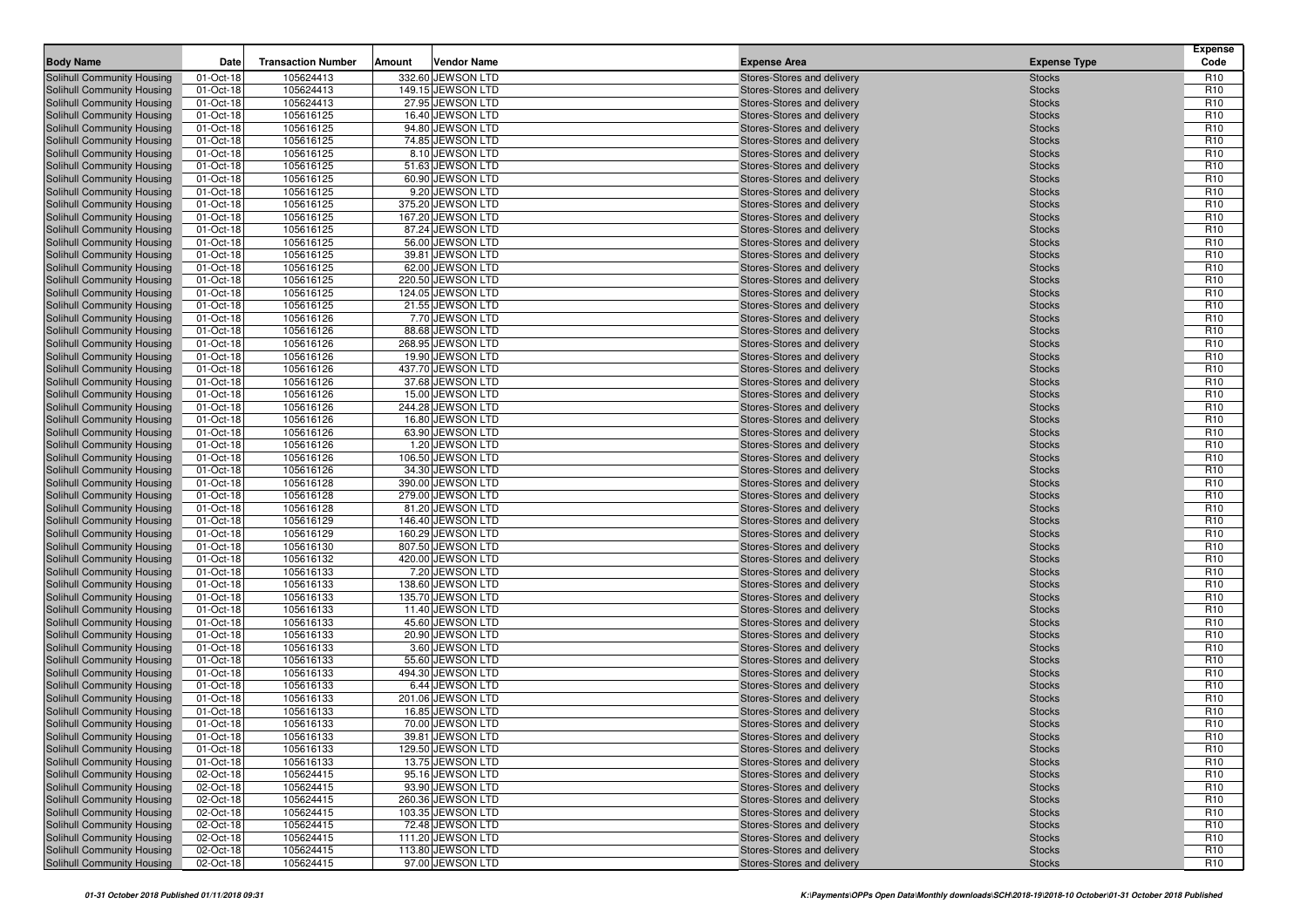| <b>Body Name</b>                                         | Date                   | <b>Transaction Number</b> | Amount | <b>Vendor Name</b>                     | <b>Expense Area</b>                                      | <b>Expense Type</b>            | <b>Expense</b><br>Code             |
|----------------------------------------------------------|------------------------|---------------------------|--------|----------------------------------------|----------------------------------------------------------|--------------------------------|------------------------------------|
|                                                          |                        |                           |        |                                        |                                                          |                                |                                    |
| Solihull Community Housing<br>Solihull Community Housing | 01-Oct-18<br>01-Oct-18 | 105624413<br>105624413    |        | 332.60 JEWSON LTD<br>149.15 JEWSON LTD | Stores-Stores and delivery<br>Stores-Stores and delivery | <b>Stocks</b><br><b>Stocks</b> | R <sub>10</sub><br>R <sub>10</sub> |
| Solihull Community Housing                               | 01-Oct-18              | 105624413                 |        | 27.95 JEWSON LTD                       | Stores-Stores and delivery                               | <b>Stocks</b>                  | R <sub>10</sub>                    |
| Solihull Community Housing                               | 01-Oct-18              | 105616125                 |        | 16.40 JEWSON LTD                       | Stores-Stores and delivery                               | <b>Stocks</b>                  | R <sub>10</sub>                    |
| Solihull Community Housing                               | 01-Oct-18              | 105616125                 |        | 94.80 JEWSON LTD                       | Stores-Stores and delivery                               | <b>Stocks</b>                  | R <sub>10</sub>                    |
| Solihull Community Housing                               | 01-Oct-18              | 105616125                 |        | 74.85 JEWSON LTD                       | Stores-Stores and delivery                               | <b>Stocks</b>                  | R <sub>10</sub>                    |
| Solihull Community Housing                               | 01-Oct-18              | 105616125                 |        | 8.10 JEWSON LTD                        | Stores-Stores and delivery                               | <b>Stocks</b>                  | R <sub>10</sub>                    |
| Solihull Community Housing                               | 01-Oct-18              | 105616125                 |        | 51.63 JEWSON LTD                       | Stores-Stores and delivery                               | <b>Stocks</b>                  | R <sub>10</sub>                    |
| Solihull Community Housing                               | 01-Oct-18              | 105616125                 |        | 60.90 JEWSON LTD                       | Stores-Stores and delivery                               | <b>Stocks</b>                  | R <sub>10</sub>                    |
| Solihull Community Housing                               | 01-Oct-18              | 105616125                 |        | 9.20 JEWSON LTD                        | Stores-Stores and delivery                               | <b>Stocks</b>                  | R <sub>10</sub>                    |
| Solihull Community Housing                               | 01-Oct-18              | 105616125                 |        | 375.20 JEWSON LTD                      | Stores-Stores and delivery                               | <b>Stocks</b>                  | R <sub>10</sub>                    |
| Solihull Community Housing                               | 01-Oct-18              | 105616125                 |        | 167.20 JEWSON LTD                      | Stores-Stores and delivery                               | <b>Stocks</b>                  | R <sub>10</sub>                    |
| Solihull Community Housing                               | 01-Oct-18              | 105616125                 |        | 87.24 JEWSON LTD                       | Stores-Stores and delivery                               | <b>Stocks</b>                  | R <sub>10</sub>                    |
| Solihull Community Housing                               | 01-Oct-18              | 105616125                 |        | 56.00 JEWSON LTD                       | Stores-Stores and delivery                               | <b>Stocks</b>                  | R <sub>10</sub>                    |
| Solihull Community Housing                               | 01-Oct-18              | 105616125                 |        | 39.81 JEWSON LTD                       | Stores-Stores and delivery                               | <b>Stocks</b>                  | R <sub>10</sub>                    |
| Solihull Community Housing                               | 01-Oct-18              | 105616125                 |        | 62.00 JEWSON LTD                       | Stores-Stores and delivery                               | <b>Stocks</b>                  | R <sub>10</sub>                    |
| Solihull Community Housing                               | 01-Oct-18              | 105616125                 |        | 220.50 JEWSON LTD                      | Stores-Stores and delivery                               | <b>Stocks</b>                  | R <sub>10</sub>                    |
| Solihull Community Housing                               | 01-Oct-18              | 105616125                 |        | 124.05 JEWSON LTD                      | Stores-Stores and delivery                               | <b>Stocks</b>                  | R <sub>10</sub>                    |
| Solihull Community Housing                               | 01-Oct-18              | 105616125                 |        | 21.55 JEWSON LTD                       | Stores-Stores and delivery                               | <b>Stocks</b>                  | R <sub>10</sub>                    |
| Solihull Community Housing                               | 01-Oct-18              | 105616126                 |        | 7.70 JEWSON LTD                        | Stores-Stores and delivery                               | <b>Stocks</b>                  | R <sub>10</sub>                    |
| Solihull Community Housing                               | 01-Oct-18              | 105616126                 |        | 88.68 JEWSON LTD                       | Stores-Stores and delivery                               | <b>Stocks</b>                  | R <sub>10</sub>                    |
| Solihull Community Housing                               | 01-Oct-18              | 105616126                 |        | 268.95 JEWSON LTD                      | Stores-Stores and delivery                               | <b>Stocks</b>                  | R <sub>10</sub>                    |
| Solihull Community Housing                               | 01-Oct-18              | 105616126                 |        | 19.90 JEWSON LTD                       | Stores-Stores and delivery                               | <b>Stocks</b>                  | R <sub>10</sub>                    |
| Solihull Community Housing                               | 01-Oct-18              | 105616126                 |        | 437.70 JEWSON LTD                      | Stores-Stores and delivery                               | <b>Stocks</b>                  | R <sub>10</sub>                    |
| Solihull Community Housing<br>Solihull Community Housing | 01-Oct-18<br>01-Oct-18 | 105616126<br>105616126    |        | 37.68 JEWSON LTD<br>15.00 JEWSON LTD   | Stores-Stores and delivery<br>Stores-Stores and delivery | <b>Stocks</b><br><b>Stocks</b> | R <sub>10</sub><br>R <sub>10</sub> |
| Solihull Community Housing                               | 01-Oct-18              | 105616126                 |        | 244.28 JEWSON LTD                      | Stores-Stores and delivery                               | <b>Stocks</b>                  | R <sub>10</sub>                    |
| Solihull Community Housing                               | 01-Oct-18              | 105616126                 |        | 16.80 JEWSON LTD                       | Stores-Stores and delivery                               | <b>Stocks</b>                  | R <sub>10</sub>                    |
| Solihull Community Housing                               | 01-Oct-18              | 105616126                 |        | 63.90 JEWSON LTD                       | Stores-Stores and delivery                               | <b>Stocks</b>                  | R <sub>10</sub>                    |
| Solihull Community Housing                               | 01-Oct-18              | 105616126                 |        | 1.20 JEWSON LTD                        | Stores-Stores and delivery                               | <b>Stocks</b>                  | R <sub>10</sub>                    |
| Solihull Community Housing                               | 01-Oct-18              | 105616126                 |        | 106.50 JEWSON LTD                      | Stores-Stores and delivery                               | <b>Stocks</b>                  | R <sub>10</sub>                    |
| Solihull Community Housing                               | 01-Oct-18              | 105616126                 |        | 34.30 JEWSON LTD                       | Stores-Stores and delivery                               | <b>Stocks</b>                  | R <sub>10</sub>                    |
| Solihull Community Housing                               | 01-Oct-18              | 105616128                 |        | 390.00 JEWSON LTD                      | Stores-Stores and delivery                               | <b>Stocks</b>                  | R <sub>10</sub>                    |
| Solihull Community Housing                               | 01-Oct-18              | 105616128                 |        | 279.00 JEWSON LTD                      | Stores-Stores and delivery                               | <b>Stocks</b>                  | R <sub>10</sub>                    |
| Solihull Community Housing                               | 01-Oct-18              | 105616128                 |        | 81.20 JEWSON LTD                       | Stores-Stores and delivery                               | <b>Stocks</b>                  | R <sub>10</sub>                    |
| Solihull Community Housing                               | 01-Oct-18              | 105616129                 |        | 146.40 JEWSON LTD                      | Stores-Stores and delivery                               | <b>Stocks</b>                  | R <sub>10</sub>                    |
| Solihull Community Housing                               | 01-Oct-18              | 105616129                 |        | 160.29 JEWSON LTD                      | Stores-Stores and delivery                               | <b>Stocks</b>                  | R <sub>10</sub>                    |
| Solihull Community Housing                               | 01-Oct-18              | 105616130                 |        | 807.50 JEWSON LTD                      | Stores-Stores and delivery                               | <b>Stocks</b>                  | R <sub>10</sub>                    |
| Solihull Community Housing                               | 01-Oct-18              | 105616132                 |        | 420.00 JEWSON LTD                      | Stores-Stores and delivery                               | <b>Stocks</b>                  | R <sub>10</sub>                    |
| Solihull Community Housing                               | 01-Oct-18              | 105616133                 |        | 7.20 JEWSON LTD                        | Stores-Stores and delivery                               | <b>Stocks</b>                  | R <sub>10</sub>                    |
| Solihull Community Housing                               | 01-Oct-18              | 105616133                 |        | 138.60 JEWSON LTD                      | Stores-Stores and delivery                               | <b>Stocks</b>                  | R <sub>10</sub>                    |
| Solihull Community Housing                               | 01-Oct-18              | 105616133                 |        | 135.70 JEWSON LTD                      | Stores-Stores and delivery                               | <b>Stocks</b>                  | R <sub>10</sub>                    |
| Solihull Community Housing                               | 01-Oct-18              | 105616133                 |        | 11.40 JEWSON LTD                       | Stores-Stores and delivery                               | <b>Stocks</b>                  | R <sub>10</sub>                    |
| Solihull Community Housing                               | 01-Oct-18              | 105616133                 |        | 45.60 JEWSON LTD                       | Stores-Stores and delivery                               | <b>Stocks</b>                  | R <sub>10</sub>                    |
| Solihull Community Housing                               | 01-Oct-18<br>01-Oct-18 | 105616133<br>105616133    |        | 20.90 JEWSON LTD<br>3.60 JEWSON LTD    | Stores-Stores and delivery<br>Stores-Stores and delivery | <b>Stocks</b>                  | R <sub>10</sub><br>R <sub>10</sub> |
| Solihull Community Housing<br>Solihull Community Housing | 01-Oct-18              | 105616133                 |        | 55.60 JEWSON LTD                       | Stores-Stores and delivery                               | <b>Stocks</b><br><b>Stocks</b> | R <sub>10</sub>                    |
| Solihull Community Housing                               | 01-Oct-18              | 105616133                 |        | 494.30 JEWSON LTD                      | Stores-Stores and delivery                               | <b>Stocks</b>                  | R <sub>10</sub>                    |
| Solihull Community Housing                               | 01-Oct-18              | 105616133                 |        | 6.44 JEWSON LTD                        | Stores-Stores and delivery                               | <b>Stocks</b>                  | R <sub>10</sub>                    |
| Solihull Community Housing                               | 01-Oct-18              | 105616133                 |        | 201.06 JEWSON LTD                      | Stores-Stores and delivery                               | <b>Stocks</b>                  | R <sub>10</sub>                    |
| Solihull Community Housing                               | 01-Oct-18              | 105616133                 |        | 16.85 JEWSON LTD                       | Stores-Stores and delivery                               | <b>Stocks</b>                  | R <sub>10</sub>                    |
| <b>Solihull Community Housing</b>                        | 01-Oct-18              | 105616133                 |        | 70.00 JEWSON LTD                       | Stores-Stores and delivery                               | <b>Stocks</b>                  | R <sub>10</sub>                    |
| Solihull Community Housing                               | 01-Oct-18              | 105616133                 |        | 39.81 JEWSON LTD                       | Stores-Stores and delivery                               | <b>Stocks</b>                  | R <sub>10</sub>                    |
| <b>Solihull Community Housing</b>                        | 01-Oct-18              | 105616133                 |        | 129.50 JEWSON LTD                      | Stores-Stores and delivery                               | <b>Stocks</b>                  | R <sub>10</sub>                    |
| Solihull Community Housing                               | 01-Oct-18              | 105616133                 |        | 13.75 JEWSON LTD                       | Stores-Stores and delivery                               | <b>Stocks</b>                  | R <sub>10</sub>                    |
| Solihull Community Housing                               | 02-Oct-18              | 105624415                 |        | 95.16 JEWSON LTD                       | Stores-Stores and delivery                               | <b>Stocks</b>                  | R <sub>10</sub>                    |
| Solihull Community Housing                               | 02-Oct-18              | 105624415                 |        | 93.90 JEWSON LTD                       | Stores-Stores and delivery                               | <b>Stocks</b>                  | R <sub>10</sub>                    |
| Solihull Community Housing                               | 02-Oct-18              | 105624415                 |        | 260.36 JEWSON LTD                      | Stores-Stores and delivery                               | <b>Stocks</b>                  | R <sub>10</sub>                    |
| Solihull Community Housing                               | 02-Oct-18              | 105624415                 |        | 103.35 JEWSON LTD                      | Stores-Stores and delivery                               | <b>Stocks</b>                  | R <sub>10</sub>                    |
| Solihull Community Housing                               | 02-Oct-18              | 105624415                 |        | 72.48 JEWSON LTD                       | Stores-Stores and delivery                               | <b>Stocks</b>                  | R <sub>10</sub>                    |
| Solihull Community Housing                               | 02-Oct-18              | 105624415                 |        | 111.20 JEWSON LTD                      | Stores-Stores and delivery                               | <b>Stocks</b>                  | R <sub>10</sub>                    |
| Solihull Community Housing                               | 02-Oct-18              | 105624415                 |        | 113.80 JEWSON LTD                      | Stores-Stores and delivery                               | <b>Stocks</b>                  | R <sub>10</sub>                    |
| Solihull Community Housing                               | 02-Oct-18              | 105624415                 |        | 97.00 JEWSON LTD                       | Stores-Stores and delivery                               | <b>Stocks</b>                  | R <sub>10</sub>                    |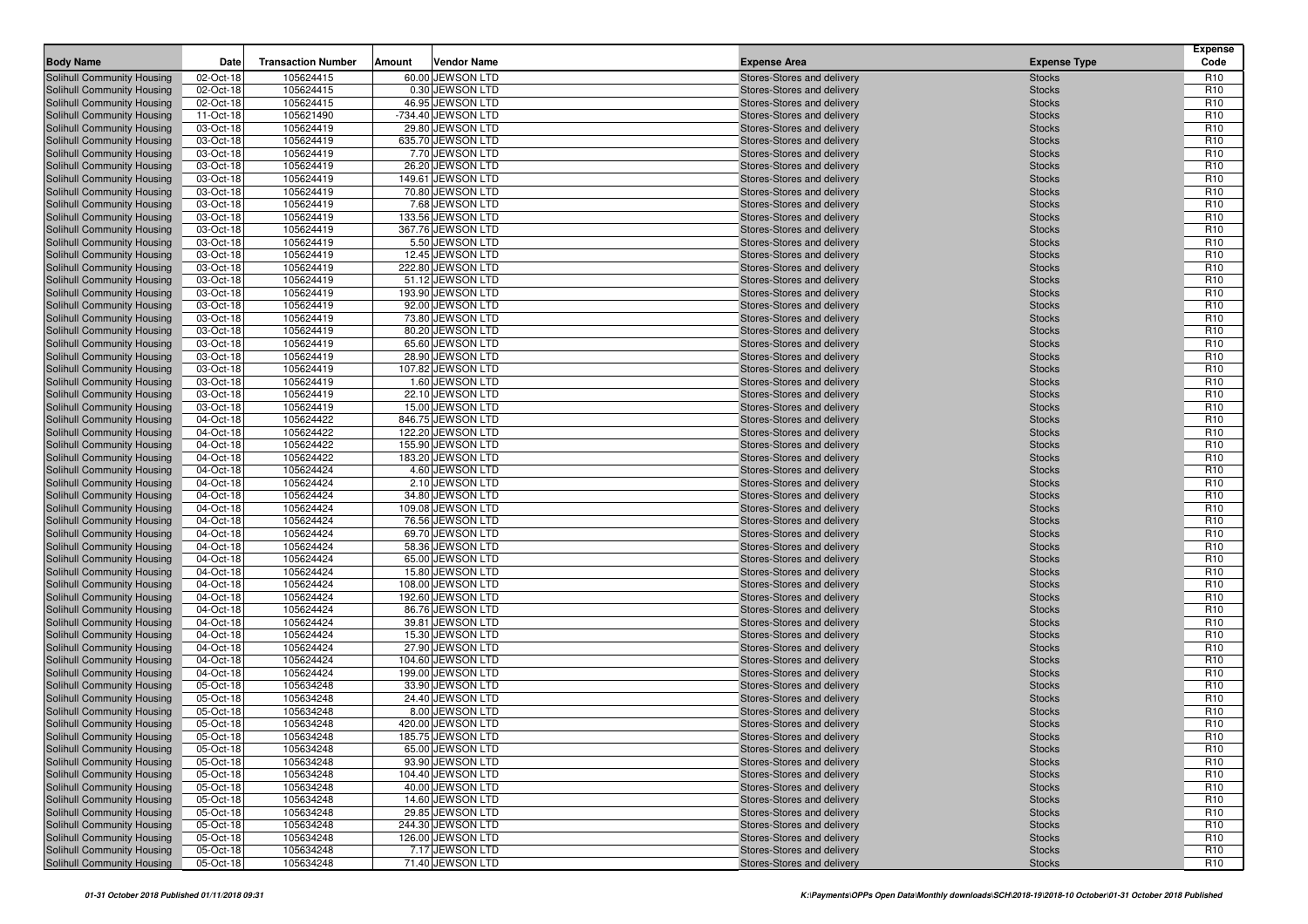| <b>Body Name</b>                                         | Date                   | <b>Transaction Number</b> | Amount | <b>Vendor Name</b>                     | <b>Expense Area</b>                                      | <b>Expense Type</b>            | <b>Expense</b><br>Code             |
|----------------------------------------------------------|------------------------|---------------------------|--------|----------------------------------------|----------------------------------------------------------|--------------------------------|------------------------------------|
| Solihull Community Housing                               | 02-Oct-18              | 105624415                 |        | 60.00 JEWSON LTD                       | Stores-Stores and delivery                               | <b>Stocks</b>                  | R <sub>10</sub>                    |
| Solihull Community Housing                               | 02-Oct-18              | 105624415                 |        | 0.30 JEWSON LTD                        | Stores-Stores and delivery                               | <b>Stocks</b>                  | R <sub>10</sub>                    |
| Solihull Community Housing                               | 02-Oct-18              | 105624415                 |        | 46.95 JEWSON LTD                       | Stores-Stores and delivery                               | <b>Stocks</b>                  | R <sub>10</sub>                    |
| Solihull Community Housing                               | 11-Oct-18              | 105621490                 |        | -734.40 JEWSON LTD                     | Stores-Stores and delivery                               | <b>Stocks</b>                  | R <sub>10</sub>                    |
| Solihull Community Housing                               | 03-Oct-18              | 105624419                 |        | 29.80 JEWSON LTD                       | Stores-Stores and delivery                               | <b>Stocks</b>                  | R <sub>10</sub>                    |
| Solihull Community Housing                               | 03-Oct-18              | 105624419                 |        | 635.70 JEWSON LTD                      | Stores-Stores and delivery                               | <b>Stocks</b>                  | R <sub>10</sub>                    |
| Solihull Community Housing                               | 03-Oct-18              | 105624419                 |        | 7.70 JEWSON LTD                        | Stores-Stores and delivery                               | <b>Stocks</b>                  | R <sub>10</sub>                    |
| Solihull Community Housing                               | 03-Oct-18              | 105624419                 |        | 26.20 JEWSON LTD                       | Stores-Stores and delivery                               | <b>Stocks</b>                  | R <sub>10</sub>                    |
| Solihull Community Housing                               | 03-Oct-18              | 105624419                 |        | 149.61 JEWSON LTD                      | Stores-Stores and delivery                               | <b>Stocks</b>                  | R <sub>10</sub>                    |
| Solihull Community Housing                               | 03-Oct-18              | 105624419                 |        | 70.80 JEWSON LTD                       | Stores-Stores and delivery                               | <b>Stocks</b>                  | R <sub>10</sub>                    |
| Solihull Community Housing                               | 03-Oct-18              | 105624419                 |        | 7.68 JEWSON LTD                        | Stores-Stores and delivery                               | <b>Stocks</b>                  | R <sub>10</sub>                    |
| Solihull Community Housing                               | 03-Oct-18              | 105624419                 |        | 133.56 JEWSON LTD                      | Stores-Stores and delivery                               | <b>Stocks</b>                  | R <sub>10</sub>                    |
| Solihull Community Housing                               | 03-Oct-18              | 105624419                 |        | 367.76 JEWSON LTD                      | Stores-Stores and delivery                               | <b>Stocks</b>                  | R <sub>10</sub>                    |
| Solihull Community Housing                               | 03-Oct-18              | 105624419                 |        | 5.50 JEWSON LTD                        | Stores-Stores and delivery                               | <b>Stocks</b>                  | R <sub>10</sub>                    |
| Solihull Community Housing                               | 03-Oct-18              | 105624419                 |        | 12.45 JEWSON LTD                       | Stores-Stores and delivery                               | <b>Stocks</b>                  | R <sub>10</sub>                    |
| Solihull Community Housing                               | 03-Oct-18              | 105624419                 |        | 222.80 JEWSON LTD                      | Stores-Stores and delivery                               | <b>Stocks</b>                  | R <sub>10</sub>                    |
| Solihull Community Housing                               | 03-Oct-18              | 105624419                 |        | 51.12 JEWSON LTD                       | Stores-Stores and delivery                               | <b>Stocks</b>                  | R <sub>10</sub>                    |
| Solihull Community Housing                               | 03-Oct-18              | 105624419                 |        | 193.90 JEWSON LTD                      | Stores-Stores and delivery                               | <b>Stocks</b>                  | R <sub>10</sub>                    |
| Solihull Community Housing                               | 03-Oct-18              | 105624419                 |        | 92.00 JEWSON LTD                       | Stores-Stores and delivery                               | <b>Stocks</b>                  | R <sub>10</sub>                    |
| Solihull Community Housing                               | 03-Oct-18              | 105624419                 |        | 73.80 JEWSON LTD                       | Stores-Stores and delivery                               | <b>Stocks</b>                  | R <sub>10</sub>                    |
| Solihull Community Housing                               | 03-Oct-18              | 105624419                 |        | 80.20 JEWSON LTD                       | Stores-Stores and delivery                               | <b>Stocks</b>                  | R <sub>10</sub>                    |
| Solihull Community Housing                               | 03-Oct-18              | 105624419                 |        | 65.60 JEWSON LTD                       | Stores-Stores and delivery                               | <b>Stocks</b>                  | R <sub>10</sub>                    |
| Solihull Community Housing                               | 03-Oct-18              | 105624419                 |        | 28.90 JEWSON LTD                       | Stores-Stores and delivery                               | <b>Stocks</b>                  | R <sub>10</sub>                    |
| Solihull Community Housing                               | 03-Oct-18              | 105624419                 |        | 107.82 JEWSON LTD                      | Stores-Stores and delivery                               | <b>Stocks</b>                  | R <sub>10</sub>                    |
| Solihull Community Housing                               | 03-Oct-18              | 105624419                 |        | 1.60 JEWSON LTD                        | Stores-Stores and delivery                               | <b>Stocks</b>                  | R <sub>10</sub>                    |
| Solihull Community Housing                               | 03-Oct-18              | 105624419                 |        | 22.10 JEWSON LTD<br>15.00 JEWSON LTD   | Stores-Stores and delivery                               | <b>Stocks</b>                  | R <sub>10</sub>                    |
| Solihull Community Housing                               | 03-Oct-18<br>04-Oct-18 | 105624419                 |        | 846.75 JEWSON LTD                      | Stores-Stores and delivery                               | <b>Stocks</b>                  | R <sub>10</sub><br>R <sub>10</sub> |
| Solihull Community Housing                               |                        | 105624422<br>105624422    |        | 122.20 JEWSON LTD                      | Stores-Stores and delivery<br>Stores-Stores and delivery | <b>Stocks</b>                  | R <sub>10</sub>                    |
| Solihull Community Housing<br>Solihull Community Housing | 04-Oct-18<br>04-Oct-18 | 105624422                 |        | 155.90 JEWSON LTD                      | Stores-Stores and delivery                               | <b>Stocks</b><br><b>Stocks</b> | R <sub>10</sub>                    |
| Solihull Community Housing                               | 04-Oct-18              | 105624422                 |        | 183.20 JEWSON LTD                      | Stores-Stores and delivery                               | <b>Stocks</b>                  | R <sub>10</sub>                    |
| Solihull Community Housing                               | 04-Oct-18              | 105624424                 |        | 4.60 JEWSON LTD                        | Stores-Stores and delivery                               | <b>Stocks</b>                  | R <sub>10</sub>                    |
| Solihull Community Housing                               | 04-Oct-18              | 105624424                 |        | 2.10 JEWSON LTD                        | Stores-Stores and delivery                               | <b>Stocks</b>                  | R <sub>10</sub>                    |
| Solihull Community Housing                               | 04-Oct-18              | 105624424                 |        | 34.80 JEWSON LTD                       | Stores-Stores and delivery                               | <b>Stocks</b>                  | R <sub>10</sub>                    |
| Solihull Community Housing                               | 04-Oct-18              | 105624424                 |        | 109.08 JEWSON LTD                      | Stores-Stores and delivery                               | <b>Stocks</b>                  | R <sub>10</sub>                    |
| Solihull Community Housing                               | 04-Oct-18              | 105624424                 |        | 76.56 JEWSON LTD                       | Stores-Stores and delivery                               | <b>Stocks</b>                  | R <sub>10</sub>                    |
| Solihull Community Housing                               | 04-Oct-18              | 105624424                 |        | 69.70 JEWSON LTD                       | Stores-Stores and delivery                               | <b>Stocks</b>                  | R <sub>10</sub>                    |
| Solihull Community Housing                               | 04-Oct-18              | 105624424                 |        | 58.36 JEWSON LTD                       | Stores-Stores and delivery                               | <b>Stocks</b>                  | R <sub>10</sub>                    |
| Solihull Community Housing                               | 04-Oct-18              | 105624424                 |        | 65.00 JEWSON LTD                       | Stores-Stores and delivery                               | <b>Stocks</b>                  | R <sub>10</sub>                    |
| Solihull Community Housing                               | 04-Oct-18              | 105624424                 |        | 15.80 JEWSON LTD                       | Stores-Stores and delivery                               | <b>Stocks</b>                  | R <sub>10</sub>                    |
| Solihull Community Housing                               | 04-Oct-18              | 105624424                 |        | 108.00 JEWSON LTD                      | Stores-Stores and delivery                               | <b>Stocks</b>                  | R <sub>10</sub>                    |
| Solihull Community Housing                               | 04-Oct-18              | 105624424                 |        | 192.60 JEWSON LTD                      | Stores-Stores and delivery                               | <b>Stocks</b>                  | R <sub>10</sub>                    |
| Solihull Community Housing                               | 04-Oct-18              | 105624424                 |        | 86.76 JEWSON LTD                       | Stores-Stores and delivery                               | <b>Stocks</b>                  | R <sub>10</sub>                    |
| Solihull Community Housing                               | 04-Oct-18              | 105624424                 |        | 39.81 JEWSON LTD                       | Stores-Stores and delivery                               | <b>Stocks</b>                  | R <sub>10</sub>                    |
| Solihull Community Housing                               | 04-Oct-18              | 105624424                 |        | 15.30 JEWSON LTD                       | Stores-Stores and delivery                               | <b>Stocks</b>                  | R <sub>10</sub>                    |
| Solihull Community Housing                               | 04-Oct-18              | 105624424                 |        | 27.90 JEWSON LTD                       | Stores-Stores and delivery                               | <b>Stocks</b>                  | R <sub>10</sub>                    |
| Solihull Community Housing                               | 04-Oct-18              | 105624424                 |        | 104.60 JEWSON LTD                      | Stores-Stores and delivery                               | <b>Stocks</b>                  | R <sub>10</sub>                    |
| Solihull Community Housing                               | 04-Oct-18              | 105624424                 |        | 199.00 JEWSON LTD                      | Stores-Stores and delivery                               | <b>Stocks</b>                  | R <sub>10</sub>                    |
| Solihull Community Housing                               | 05-Oct-18              | 105634248                 |        | 33.90 JEWSON LTD                       | Stores-Stores and delivery                               | <b>Stocks</b>                  | R <sub>10</sub>                    |
| Solihull Community Housing                               | 05-Oct-18              | 105634248                 |        | 24.40 JEWSON LTD                       | Stores-Stores and delivery                               | <b>Stocks</b>                  | R <sub>10</sub>                    |
| Solihull Community Housing                               | 05-Oct-18              | 105634248                 |        | 8.00 JEWSON LTD                        | Stores-Stores and delivery                               | <b>Stocks</b>                  | R <sub>10</sub>                    |
| Solihull Community Housing                               | 05-Oct-18              | 105634248                 |        | 420.00 JEWSON LTD                      | Stores-Stores and delivery                               | <b>Stocks</b>                  | R <sub>10</sub>                    |
| Solihull Community Housing                               | 05-Oct-18              | 105634248                 |        | 185.75 JEWSON LTD                      | Stores-Stores and delivery                               | <b>Stocks</b>                  | R <sub>10</sub>                    |
| Solihull Community Housing                               | 05-Oct-18              | 105634248                 |        | 65.00 JEWSON LTD                       | Stores-Stores and delivery                               | <b>Stocks</b>                  | R <sub>10</sub>                    |
| Solihull Community Housing                               | 05-Oct-18              | 105634248                 |        | 93.90 JEWSON LTD                       | Stores-Stores and delivery                               | <b>Stocks</b>                  | R <sub>10</sub>                    |
| Solihull Community Housing                               | 05-Oct-18              | 105634248                 |        | 104.40 JEWSON LTD                      | Stores-Stores and delivery                               | <b>Stocks</b>                  | R <sub>10</sub>                    |
| Solihull Community Housing                               | 05-Oct-18              | 105634248                 |        | 40.00 JEWSON LTD                       | Stores-Stores and delivery                               | <b>Stocks</b>                  | R <sub>10</sub>                    |
| Solihull Community Housing                               | 05-Oct-18              | 105634248                 |        | 14.60 JEWSON LTD                       | Stores-Stores and delivery                               | <b>Stocks</b>                  | R <sub>10</sub>                    |
| Solihull Community Housing                               | 05-Oct-18              | 105634248                 |        | 29.85 JEWSON LTD                       | Stores-Stores and delivery<br>Stores-Stores and delivery | <b>Stocks</b>                  | R <sub>10</sub>                    |
| Solihull Community Housing<br>Solihull Community Housing | 05-Oct-18<br>05-Oct-18 | 105634248<br>105634248    |        | 244.30 JEWSON LTD<br>126.00 JEWSON LTD | Stores-Stores and delivery                               | <b>Stocks</b><br><b>Stocks</b> | R <sub>10</sub><br>R <sub>10</sub> |
| Solihull Community Housing                               | 05-Oct-18              | 105634248                 |        | 7.17 JEWSON LTD                        | Stores-Stores and delivery                               | <b>Stocks</b>                  | R <sub>10</sub>                    |
| Solihull Community Housing                               | 05-Oct-18              | 105634248                 |        | 71.40 JEWSON LTD                       | Stores-Stores and delivery                               | <b>Stocks</b>                  | R <sub>10</sub>                    |
|                                                          |                        |                           |        |                                        |                                                          |                                |                                    |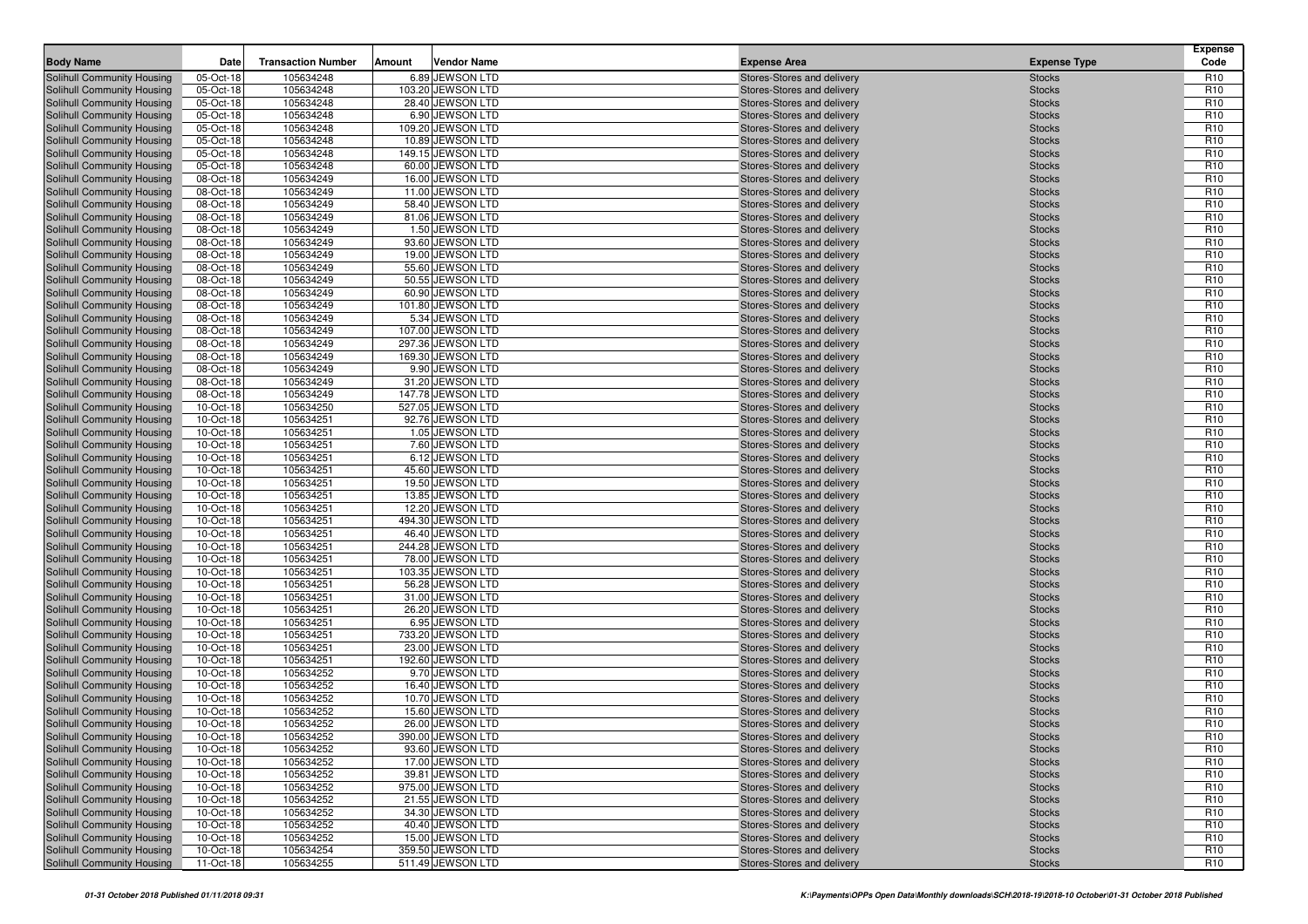| <b>Body Name</b>                                         | Date                   | <b>Transaction Number</b> | Amount | <b>Vendor Name</b>                    | <b>Expense Area</b>                                      | <b>Expense Type</b>            | <b>Expense</b><br>Code             |
|----------------------------------------------------------|------------------------|---------------------------|--------|---------------------------------------|----------------------------------------------------------|--------------------------------|------------------------------------|
| Solihull Community Housing                               | 05-Oct-18              | 105634248                 |        | 6.89 JEWSON LTD                       | Stores-Stores and delivery                               | <b>Stocks</b>                  | R <sub>10</sub>                    |
| Solihull Community Housing                               | 05-Oct-18              | 105634248                 |        | 103.20 JEWSON LTD                     | Stores-Stores and delivery                               | <b>Stocks</b>                  | R <sub>10</sub>                    |
| Solihull Community Housing                               | 05-Oct-18              | 105634248                 |        | 28.40 JEWSON LTD                      | Stores-Stores and delivery                               | <b>Stocks</b>                  | R <sub>10</sub>                    |
| Solihull Community Housing                               | 05-Oct-18              | 105634248                 |        | 6.90 JEWSON LTD                       | Stores-Stores and delivery                               | <b>Stocks</b>                  | R <sub>10</sub>                    |
| Solihull Community Housing                               | 05-Oct-18              | 105634248                 |        | 109.20 JEWSON LTD                     | Stores-Stores and delivery                               | <b>Stocks</b>                  | R <sub>10</sub>                    |
| Solihull Community Housing                               | 05-Oct-18              | 105634248                 |        | 10.89 JEWSON LTD                      | Stores-Stores and delivery                               | <b>Stocks</b>                  | R <sub>10</sub>                    |
| Solihull Community Housing                               | 05-Oct-18              | 105634248                 |        | 149.15 JEWSON LTD                     | Stores-Stores and delivery                               | <b>Stocks</b>                  | R <sub>10</sub>                    |
| Solihull Community Housing                               | 05-Oct-18              | 105634248                 |        | 60.00 JEWSON LTD                      | Stores-Stores and delivery                               | <b>Stocks</b>                  | R <sub>10</sub>                    |
| Solihull Community Housing                               | 08-Oct-18              | 105634249                 |        | 16.00 JEWSON LTD                      | Stores-Stores and delivery                               | <b>Stocks</b>                  | R <sub>10</sub>                    |
| Solihull Community Housing                               | 08-Oct-18              | 105634249                 |        | 11.00 JEWSON LTD                      | Stores-Stores and delivery                               | <b>Stocks</b>                  | R <sub>10</sub>                    |
| Solihull Community Housing                               | 08-Oct-18              | 105634249                 |        | 58.40 JEWSON LTD                      | Stores-Stores and delivery                               | <b>Stocks</b>                  | R <sub>10</sub>                    |
| Solihull Community Housing                               | 08-Oct-18              | 105634249                 |        | 81.06 JEWSON LTD                      | Stores-Stores and delivery                               | <b>Stocks</b>                  | R <sub>10</sub>                    |
| Solihull Community Housing                               | 08-Oct-18              | 105634249                 |        | 1.50 JEWSON LTD                       | Stores-Stores and delivery                               | <b>Stocks</b>                  | R <sub>10</sub>                    |
| Solihull Community Housing                               | 08-Oct-18              | 105634249                 |        | 93.60 JEWSON LTD                      | Stores-Stores and delivery                               | <b>Stocks</b>                  | R <sub>10</sub>                    |
| Solihull Community Housing                               | 08-Oct-18              | 105634249                 |        | 19.00 JEWSON LTD                      | Stores-Stores and delivery                               | <b>Stocks</b>                  | R <sub>10</sub>                    |
| Solihull Community Housing                               | 08-Oct-18              | 105634249                 |        | 55.60 JEWSON LTD                      | Stores-Stores and delivery                               | <b>Stocks</b>                  | R <sub>10</sub>                    |
| Solihull Community Housing                               | 08-Oct-18              | 105634249                 |        | 50.55 JEWSON LTD                      | Stores-Stores and delivery                               | <b>Stocks</b>                  | R <sub>10</sub>                    |
| Solihull Community Housing                               | 08-Oct-18              | 105634249                 |        | 60.90 JEWSON LTD                      | Stores-Stores and delivery                               | <b>Stocks</b>                  | R <sub>10</sub>                    |
| Solihull Community Housing                               | 08-Oct-18              | 105634249                 |        | 101.80 JEWSON LTD                     | Stores-Stores and delivery                               | <b>Stocks</b>                  | R <sub>10</sub>                    |
| Solihull Community Housing                               | 08-Oct-18              | 105634249                 |        | 5.34 JEWSON LTD                       | Stores-Stores and delivery                               | <b>Stocks</b>                  | R <sub>10</sub>                    |
| Solihull Community Housing                               | 08-Oct-18              | 105634249                 |        | 107.00 JEWSON LTD                     | Stores-Stores and delivery                               | <b>Stocks</b>                  | R <sub>10</sub>                    |
| Solihull Community Housing                               | 08-Oct-18              | 105634249                 |        | 297.36 JEWSON LTD                     | Stores-Stores and delivery                               | <b>Stocks</b>                  | R <sub>10</sub>                    |
| Solihull Community Housing                               | 08-Oct-18              | 105634249                 |        | 169.30 JEWSON LTD                     | Stores-Stores and delivery                               | <b>Stocks</b>                  | R <sub>10</sub>                    |
| Solihull Community Housing                               | 08-Oct-18              | 105634249                 |        | 9.90 JEWSON LTD                       | Stores-Stores and delivery                               | <b>Stocks</b>                  | R <sub>10</sub>                    |
| Solihull Community Housing                               | 08-Oct-18              | 105634249                 |        | 31.20 JEWSON LTD                      | Stores-Stores and delivery                               | <b>Stocks</b>                  | R <sub>10</sub>                    |
| Solihull Community Housing                               | 08-Oct-18              | 105634249                 |        | 147.78 JEWSON LTD                     | Stores-Stores and delivery                               | <b>Stocks</b>                  | R <sub>10</sub>                    |
| Solihull Community Housing                               | 10-Oct-18              | 105634250                 |        | 527.05 JEWSON LTD                     | Stores-Stores and delivery                               | <b>Stocks</b>                  | R <sub>10</sub>                    |
| Solihull Community Housing                               | 10-Oct-18              | 105634251                 |        | 92.76 JEWSON LTD                      | Stores-Stores and delivery                               | <b>Stocks</b>                  | R <sub>10</sub>                    |
| Solihull Community Housing                               | 10-Oct-18              | 105634251                 |        | 1.05 JEWSON LTD                       | Stores-Stores and delivery                               | <b>Stocks</b>                  | R <sub>10</sub>                    |
| Solihull Community Housing                               | 10-Oct-18              | 105634251                 |        | 7.60 JEWSON LTD                       | Stores-Stores and delivery                               | <b>Stocks</b>                  | R <sub>10</sub>                    |
| Solihull Community Housing                               | 10-Oct-18              | 105634251                 |        | 6.12 JEWSON LTD                       | Stores-Stores and delivery                               | <b>Stocks</b>                  | R <sub>10</sub>                    |
| Solihull Community Housing                               | 10-Oct-18              | 105634251                 |        | 45.60 JEWSON LTD                      | Stores-Stores and delivery                               | <b>Stocks</b>                  | R <sub>10</sub>                    |
| Solihull Community Housing                               | 10-Oct-18              | 105634251                 |        | 19.50 JEWSON LTD                      | Stores-Stores and delivery                               | <b>Stocks</b>                  | R <sub>10</sub>                    |
| Solihull Community Housing                               | 10-Oct-18              | 105634251                 |        | 13.85 JEWSON LTD                      | Stores-Stores and delivery                               | <b>Stocks</b>                  | R <sub>10</sub><br>R <sub>10</sub> |
| Solihull Community Housing<br>Solihull Community Housing | 10-Oct-18<br>10-Oct-18 | 105634251<br>105634251    |        | 12.20 JEWSON LTD<br>494.30 JEWSON LTD | Stores-Stores and delivery<br>Stores-Stores and delivery | <b>Stocks</b><br><b>Stocks</b> | R <sub>10</sub>                    |
| Solihull Community Housing                               | 10-Oct-18              | 105634251                 |        | 46.40 JEWSON LTD                      | Stores-Stores and delivery                               | <b>Stocks</b>                  | R <sub>10</sub>                    |
| Solihull Community Housing                               | 10-Oct-18              | 105634251                 |        | 244.28 JEWSON LTD                     | Stores-Stores and delivery                               | <b>Stocks</b>                  | R <sub>10</sub>                    |
| Solihull Community Housing                               | 10-Oct-18              | 105634251                 |        | 78.00 JEWSON LTD                      | Stores-Stores and delivery                               | <b>Stocks</b>                  | R <sub>10</sub>                    |
| Solihull Community Housing                               | 10-Oct-18              | 105634251                 |        | 103.35 JEWSON LTD                     | Stores-Stores and delivery                               | <b>Stocks</b>                  | R <sub>10</sub>                    |
| Solihull Community Housing                               | 10-Oct-18              | 105634251                 |        | 56.28 JEWSON LTD                      | Stores-Stores and delivery                               | <b>Stocks</b>                  | R <sub>10</sub>                    |
| Solihull Community Housing                               | 10-Oct-18              | 105634251                 |        | 31.00 JEWSON LTD                      | Stores-Stores and delivery                               | <b>Stocks</b>                  | R <sub>10</sub>                    |
| Solihull Community Housing                               | 10-Oct-18              | 105634251                 |        | 26.20 JEWSON LTD                      | Stores-Stores and delivery                               | <b>Stocks</b>                  | R <sub>10</sub>                    |
| Solihull Community Housing                               | 10-Oct-18              | 105634251                 |        | 6.95 JEWSON LTD                       | Stores-Stores and delivery                               | <b>Stocks</b>                  | R <sub>10</sub>                    |
| Solihull Community Housing                               | 10-Oct-18              | 105634251                 |        | 733.20 JEWSON LTD                     | Stores-Stores and delivery                               | <b>Stocks</b>                  | R <sub>10</sub>                    |
| Solihull Community Housing                               | 10-Oct-18              | 105634251                 |        | 23.00 JEWSON LTD                      | Stores-Stores and delivery                               | <b>Stocks</b>                  | R <sub>10</sub>                    |
| Solihull Community Housing                               | 10-Oct-18              | 105634251                 |        | 192.60 JEWSON LTD                     | Stores-Stores and delivery                               | <b>Stocks</b>                  | R <sub>10</sub>                    |
| Solihull Community Housing                               | 10-Oct-18              | 105634252                 |        | 9.70 JEWSON LTD                       | Stores-Stores and delivery                               | <b>Stocks</b>                  | R <sub>10</sub>                    |
| Solihull Community Housing                               | 10-Oct-18              | 105634252                 |        | 16.40 JEWSON LTD                      | Stores-Stores and delivery                               | <b>Stocks</b>                  | R <sub>10</sub>                    |
| Solihull Community Housing                               | 10-Oct-18              | 105634252                 |        | 10.70 JEWSON LTD                      | Stores-Stores and delivery                               | <b>Stocks</b>                  | R <sub>10</sub>                    |
| Solihull Community Housing                               | 10-Oct-18              | 105634252                 |        | 15.60 JEWSON LTD                      | Stores-Stores and delivery                               | <b>Stocks</b>                  | R <sub>10</sub>                    |
| Solihull Community Housing                               | 10-Oct-18              | 105634252                 |        | 26.00 JEWSON LTD                      | Stores-Stores and delivery                               | <b>Stocks</b>                  | R <sub>10</sub>                    |
| Solihull Community Housing                               | 10-Oct-18              | 105634252                 |        | 390.00 JEWSON LTD                     | Stores-Stores and delivery                               | <b>Stocks</b>                  | R <sub>10</sub>                    |
| Solihull Community Housing                               | 10-Oct-18              | 105634252                 |        | 93.60 JEWSON LTD                      | Stores-Stores and delivery                               | <b>Stocks</b>                  | R <sub>10</sub>                    |
| Solihull Community Housing                               | 10-Oct-18              | 105634252                 |        | 17.00 JEWSON LTD                      | Stores-Stores and delivery                               | <b>Stocks</b>                  | R <sub>10</sub>                    |
| Solihull Community Housing                               | 10-Oct-18              | 105634252                 |        | 39.81 JEWSON LTD                      | Stores-Stores and delivery                               | <b>Stocks</b>                  | R <sub>10</sub>                    |
| Solihull Community Housing                               | 10-Oct-18              | 105634252                 |        | 975.00 JEWSON LTD                     | Stores-Stores and delivery                               | <b>Stocks</b>                  | R <sub>10</sub>                    |
| Solihull Community Housing                               | 10-Oct-18              | 105634252                 |        | 21.55 JEWSON LTD                      | Stores-Stores and delivery                               | <b>Stocks</b>                  | R <sub>10</sub>                    |
| Solihull Community Housing                               | 10-Oct-18              | 105634252                 |        | 34.30 JEWSON LTD                      | Stores-Stores and delivery                               | <b>Stocks</b>                  | R <sub>10</sub>                    |
| Solihull Community Housing                               | 10-Oct-18              | 105634252                 |        | 40.40 JEWSON LTD                      | Stores-Stores and delivery                               | <b>Stocks</b>                  | R <sub>10</sub>                    |
| Solihull Community Housing                               | 10-Oct-18              | 105634252                 |        | 15.00 JEWSON LTD                      | Stores-Stores and delivery                               | <b>Stocks</b>                  | R <sub>10</sub>                    |
| Solihull Community Housing                               | 10-Oct-18              | 105634254                 |        | 359.50 JEWSON LTD                     | Stores-Stores and delivery                               | <b>Stocks</b>                  | R <sub>10</sub>                    |
| Solihull Community Housing                               | 11-Oct-18              | 105634255                 |        | 511.49 JEWSON LTD                     | Stores-Stores and delivery                               | <b>Stocks</b>                  | R <sub>10</sub>                    |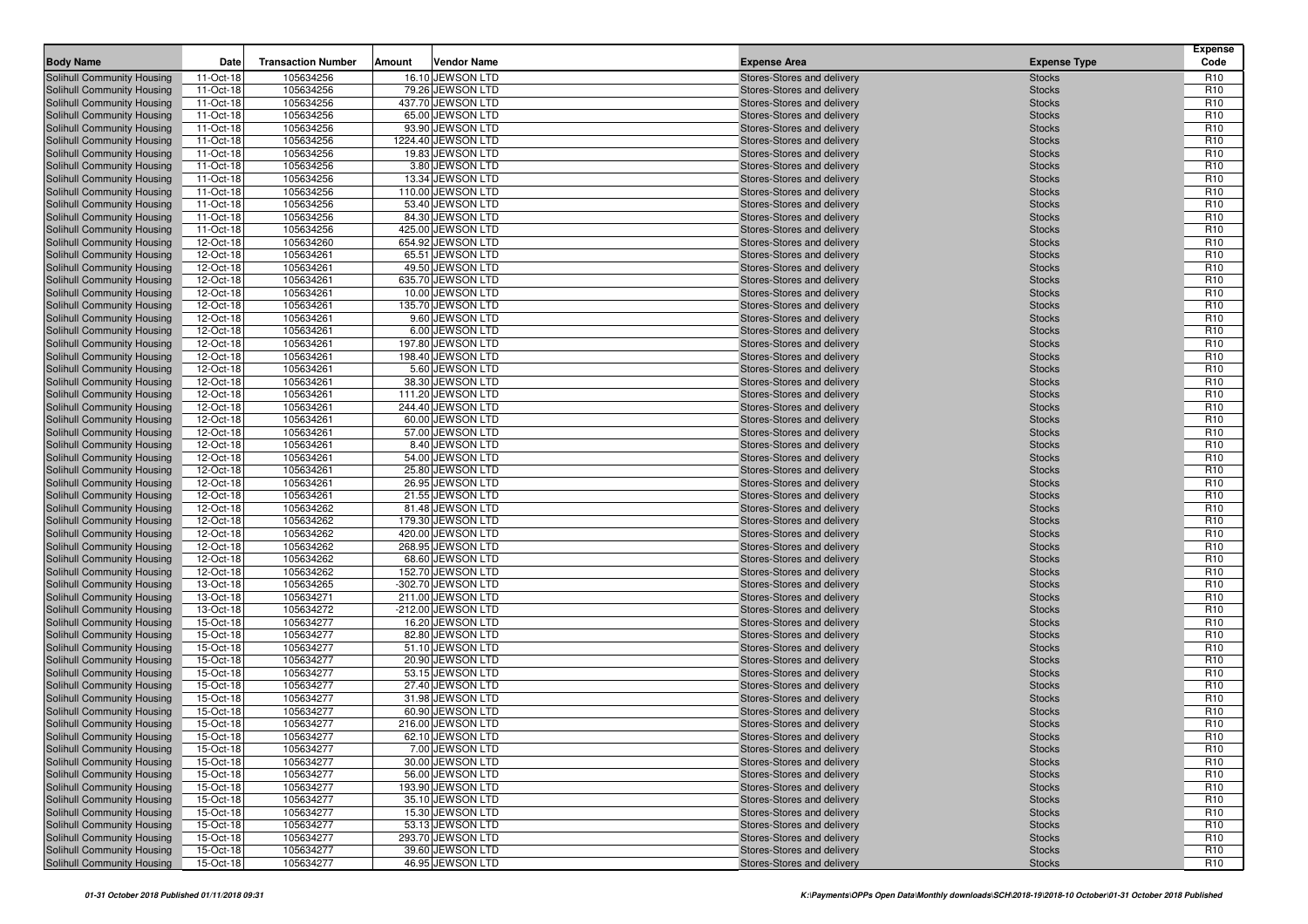| <b>Body Name</b>                                         | Date                   | <b>Transaction Number</b> | Amount | <b>Vendor Name</b>                    | <b>Expense Area</b>                                      | <b>Expense Type</b>            | <b>Expense</b><br>Code             |
|----------------------------------------------------------|------------------------|---------------------------|--------|---------------------------------------|----------------------------------------------------------|--------------------------------|------------------------------------|
| Solihull Community Housing                               | 11-Oct-18              | 105634256                 |        | 16.10 JEWSON LTD                      | Stores-Stores and delivery                               | <b>Stocks</b>                  | R <sub>10</sub>                    |
| Solihull Community Housing                               | 11-Oct-18              | 105634256                 |        | 79.26 JEWSON LTD                      | Stores-Stores and delivery                               | <b>Stocks</b>                  | R <sub>10</sub>                    |
| Solihull Community Housing                               | 11-Oct-18              | 105634256                 |        | 437.70 JEWSON LTD                     | Stores-Stores and delivery                               | <b>Stocks</b>                  | R <sub>10</sub>                    |
| Solihull Community Housing                               | 11-Oct-18              | 105634256                 |        | 65.00 JEWSON LTD                      | Stores-Stores and delivery                               | <b>Stocks</b>                  | R <sub>10</sub>                    |
| Solihull Community Housing                               | 11-Oct-18              | 105634256                 |        | 93.90 JEWSON LTD                      | Stores-Stores and delivery                               | <b>Stocks</b>                  | R <sub>10</sub>                    |
| Solihull Community Housing                               | 11-Oct-18              | 105634256                 |        | 1224.40 JEWSON LTD                    | Stores-Stores and delivery                               | <b>Stocks</b>                  | R <sub>10</sub>                    |
| Solihull Community Housing                               | 11-Oct-18              | 105634256                 |        | 19.83 JEWSON LTD                      | Stores-Stores and delivery                               | <b>Stocks</b>                  | R <sub>10</sub>                    |
| Solihull Community Housing                               | 11-Oct-18              | 105634256                 |        | 3.80 JEWSON LTD                       | Stores-Stores and delivery                               | <b>Stocks</b>                  | R <sub>10</sub>                    |
| Solihull Community Housing                               | 11-Oct-18              | 105634256                 |        | 13.34 JEWSON LTD                      | Stores-Stores and delivery                               | <b>Stocks</b>                  | R <sub>10</sub>                    |
| Solihull Community Housing                               | 11-Oct-18              | 105634256                 |        | 110.00 JEWSON LTD                     | Stores-Stores and delivery                               | <b>Stocks</b>                  | R <sub>10</sub>                    |
| Solihull Community Housing                               | 11-Oct-18              | 105634256                 |        | 53.40 JEWSON LTD                      | Stores-Stores and delivery                               | <b>Stocks</b>                  | R <sub>10</sub>                    |
| Solihull Community Housing                               | 11-Oct-18              | 105634256                 |        | 84.30 JEWSON LTD                      | Stores-Stores and delivery                               | <b>Stocks</b>                  | R <sub>10</sub>                    |
| Solihull Community Housing                               | 11-Oct-18              | 105634256                 |        | 425.00 JEWSON LTD                     | Stores-Stores and delivery                               | <b>Stocks</b>                  | R <sub>10</sub>                    |
| Solihull Community Housing                               | 12-Oct-18              | 105634260                 |        | 654.92 JEWSON LTD                     | Stores-Stores and delivery                               | <b>Stocks</b>                  | R <sub>10</sub>                    |
| Solihull Community Housing                               | 12-Oct-18              | 105634261                 |        | 65.51 JEWSON LTD                      | Stores-Stores and delivery                               | <b>Stocks</b>                  | R <sub>10</sub>                    |
| Solihull Community Housing                               | 12-Oct-18              | 105634261                 |        | 49.50 JEWSON LTD                      | Stores-Stores and delivery                               | <b>Stocks</b>                  | R <sub>10</sub>                    |
| Solihull Community Housing                               | 12-Oct-18              | 105634261                 |        | 635.70 JEWSON LTD                     | Stores-Stores and delivery                               | <b>Stocks</b>                  | R <sub>10</sub>                    |
| Solihull Community Housing                               | 12-Oct-18              | 105634261                 |        | 10.00 JEWSON LTD                      | Stores-Stores and delivery                               | <b>Stocks</b>                  | R <sub>10</sub>                    |
| Solihull Community Housing                               | 12-Oct-18              | 105634261                 |        | 135.70 JEWSON LTD                     | Stores-Stores and delivery                               | <b>Stocks</b>                  | R <sub>10</sub>                    |
| Solihull Community Housing                               | 12-Oct-18              | 105634261                 |        | 9.60 JEWSON LTD                       | Stores-Stores and delivery                               | <b>Stocks</b>                  | R <sub>10</sub>                    |
| Solihull Community Housing                               | 12-Oct-18              | 105634261                 |        | 6.00 JEWSON LTD                       | Stores-Stores and delivery                               | <b>Stocks</b>                  | R <sub>10</sub>                    |
| Solihull Community Housing                               | 12-Oct-18              | 105634261                 |        | 197.80 JEWSON LTD                     | Stores-Stores and delivery                               | <b>Stocks</b>                  | R <sub>10</sub>                    |
| Solihull Community Housing                               | 12-Oct-18              | 105634261                 |        | 198.40 JEWSON LTD                     | Stores-Stores and delivery                               | <b>Stocks</b>                  | R <sub>10</sub>                    |
| Solihull Community Housing                               | 12-Oct-18              | 105634261                 |        | 5.60 JEWSON LTD                       | Stores-Stores and delivery                               | <b>Stocks</b>                  | R <sub>10</sub>                    |
| Solihull Community Housing                               | 12-Oct-18              | 105634261                 |        | 38.30 JEWSON LTD                      | Stores-Stores and delivery                               | <b>Stocks</b>                  | R <sub>10</sub>                    |
| Solihull Community Housing                               | 12-Oct-18              | 105634261                 |        | 111.20 JEWSON LTD                     | Stores-Stores and delivery                               | <b>Stocks</b>                  | R <sub>10</sub>                    |
| Solihull Community Housing                               | 12-Oct-18              | 105634261                 |        | 244.40 JEWSON LTD                     | Stores-Stores and delivery                               | <b>Stocks</b>                  | R <sub>10</sub>                    |
| Solihull Community Housing                               | 12-Oct-18              | 105634261                 |        | 60.00 JEWSON LTD                      | Stores-Stores and delivery                               | <b>Stocks</b>                  | R <sub>10</sub>                    |
| Solihull Community Housing                               | 12-Oct-18              | 105634261                 |        | 57.00 JEWSON LTD                      | Stores-Stores and delivery                               | <b>Stocks</b>                  | R <sub>10</sub>                    |
| Solihull Community Housing                               | 12-Oct-18              | 105634261                 |        | 8.40 JEWSON LTD                       | Stores-Stores and delivery                               | <b>Stocks</b>                  | R <sub>10</sub>                    |
| Solihull Community Housing                               | 12-Oct-18              | 105634261                 |        | 54.00 JEWSON LTD                      | Stores-Stores and delivery                               | <b>Stocks</b>                  | R <sub>10</sub>                    |
| Solihull Community Housing                               | 12-Oct-18              | 105634261                 |        | 25.80 JEWSON LTD                      | Stores-Stores and delivery                               | <b>Stocks</b>                  | R <sub>10</sub>                    |
| Solihull Community Housing                               | 12-Oct-18              | 105634261                 |        | 26.95 JEWSON LTD                      | Stores-Stores and delivery                               | <b>Stocks</b>                  | R <sub>10</sub>                    |
| Solihull Community Housing                               | 12-Oct-18              | 105634261                 |        | 21.55 JEWSON LTD                      | Stores-Stores and delivery                               | <b>Stocks</b>                  | R <sub>10</sub><br>R <sub>10</sub> |
| Solihull Community Housing<br>Solihull Community Housing | 12-Oct-18<br>12-Oct-18 | 105634262<br>105634262    |        | 81.48 JEWSON LTD<br>179.30 JEWSON LTD | Stores-Stores and delivery<br>Stores-Stores and delivery | <b>Stocks</b><br><b>Stocks</b> | R <sub>10</sub>                    |
| Solihull Community Housing                               | 12-Oct-18              | 105634262                 |        | 420.00 JEWSON LTD                     | Stores-Stores and delivery                               | <b>Stocks</b>                  | R <sub>10</sub>                    |
| Solihull Community Housing                               | 12-Oct-18              | 105634262                 |        | 268.95 JEWSON LTD                     | Stores-Stores and delivery                               | <b>Stocks</b>                  | R <sub>10</sub>                    |
| Solihull Community Housing                               | 12-Oct-18              | 105634262                 |        | 68.60 JEWSON LTD                      | Stores-Stores and delivery                               | <b>Stocks</b>                  | R <sub>10</sub>                    |
| Solihull Community Housing                               | 12-Oct-18              | 105634262                 |        | 152.70 JEWSON LTD                     | Stores-Stores and delivery                               | <b>Stocks</b>                  | R <sub>10</sub>                    |
| Solihull Community Housing                               | 13-Oct-18              | 105634265                 |        | -302.70 JEWSON LTD                    | Stores-Stores and delivery                               | <b>Stocks</b>                  | R <sub>10</sub>                    |
| Solihull Community Housing                               | 13-Oct-18              | 105634271                 |        | 211.00 JEWSON LTD                     | Stores-Stores and delivery                               | <b>Stocks</b>                  | R <sub>10</sub>                    |
| Solihull Community Housing                               | 13-Oct-18              | 105634272                 |        | -212.00 JEWSON LTD                    | Stores-Stores and delivery                               | <b>Stocks</b>                  | R <sub>10</sub>                    |
| Solihull Community Housing                               | 15-Oct-18              | 105634277                 |        | 16.20 JEWSON LTD                      | Stores-Stores and delivery                               | <b>Stocks</b>                  | R <sub>10</sub>                    |
| Solihull Community Housing                               | 15-Oct-18              | 105634277                 |        | 82.80 JEWSON LTD                      | Stores-Stores and delivery                               | <b>Stocks</b>                  | R <sub>10</sub>                    |
| Solihull Community Housing                               | 15-Oct-18              | 105634277                 |        | 51.10 JEWSON LTD                      | Stores-Stores and delivery                               | <b>Stocks</b>                  | R <sub>10</sub>                    |
| Solihull Community Housing                               | 15-Oct-18              | 105634277                 |        | 20.90 JEWSON LTD                      | Stores-Stores and delivery                               | <b>Stocks</b>                  | R <sub>10</sub>                    |
| Solihull Community Housing                               | 15-Oct-18              | 105634277                 |        | 53.15 JEWSON LTD                      | Stores-Stores and delivery                               | <b>Stocks</b>                  | R <sub>10</sub>                    |
| Solihull Community Housing                               | 15-Oct-18              | 105634277                 |        | 27.40 JEWSON LTD                      | Stores-Stores and delivery                               | <b>Stocks</b>                  | R <sub>10</sub>                    |
| Solihull Community Housing                               | 15-Oct-18              | 105634277                 |        | 31.98 JEWSON LTD                      | Stores-Stores and delivery                               | <b>Stocks</b>                  | R <sub>10</sub>                    |
| Solihull Community Housing                               | 15-Oct-18              | 105634277                 |        | 60.90 JEWSON LTD                      | Stores-Stores and delivery                               | <b>Stocks</b>                  | R <sub>10</sub>                    |
| Solihull Community Housing                               | 15-Oct-18              | 105634277                 |        | 216.00 JEWSON LTD                     | Stores-Stores and delivery                               | <b>Stocks</b>                  | R <sub>10</sub>                    |
| Solihull Community Housing                               | 15-Oct-18              | 105634277                 |        | 62.10 JEWSON LTD                      | Stores-Stores and delivery                               | <b>Stocks</b>                  | R <sub>10</sub>                    |
| Solihull Community Housing                               | 15-Oct-18              | 105634277                 |        | 7.00 JEWSON LTD                       | Stores-Stores and delivery                               | <b>Stocks</b>                  | R <sub>10</sub>                    |
| Solihull Community Housing                               | 15-Oct-18              | 105634277                 |        | 30.00 JEWSON LTD                      | Stores-Stores and delivery                               | <b>Stocks</b>                  | R <sub>10</sub>                    |
| Solihull Community Housing                               | 15-Oct-18              | 105634277                 |        | 56.00 JEWSON LTD                      | Stores-Stores and delivery                               | <b>Stocks</b>                  | R <sub>10</sub>                    |
| Solihull Community Housing                               | 15-Oct-18              | 105634277                 |        | 193.90 JEWSON LTD                     | Stores-Stores and delivery                               | <b>Stocks</b>                  | R <sub>10</sub>                    |
| Solihull Community Housing                               | 15-Oct-18              | 105634277                 |        | 35.10 JEWSON LTD                      | Stores-Stores and delivery                               | <b>Stocks</b>                  | R <sub>10</sub>                    |
| Solihull Community Housing                               | 15-Oct-18              | 105634277                 |        | 15.30 JEWSON LTD                      | Stores-Stores and delivery                               | <b>Stocks</b>                  | R <sub>10</sub>                    |
| Solihull Community Housing                               | 15-Oct-18              | 105634277                 |        | 53.13 JEWSON LTD                      | Stores-Stores and delivery                               | <b>Stocks</b>                  | R <sub>10</sub>                    |
| Solihull Community Housing                               | 15-Oct-18              | 105634277                 |        | 293.70 JEWSON LTD                     | Stores-Stores and delivery                               | <b>Stocks</b>                  | R <sub>10</sub>                    |
| Solihull Community Housing                               | 15-Oct-18              | 105634277                 |        | 39.60 JEWSON LTD                      | Stores-Stores and delivery                               | <b>Stocks</b>                  | R <sub>10</sub>                    |
| Solihull Community Housing                               | 15-Oct-18              | 105634277                 |        | 46.95 JEWSON LTD                      | Stores-Stores and delivery                               | <b>Stocks</b>                  | R <sub>10</sub>                    |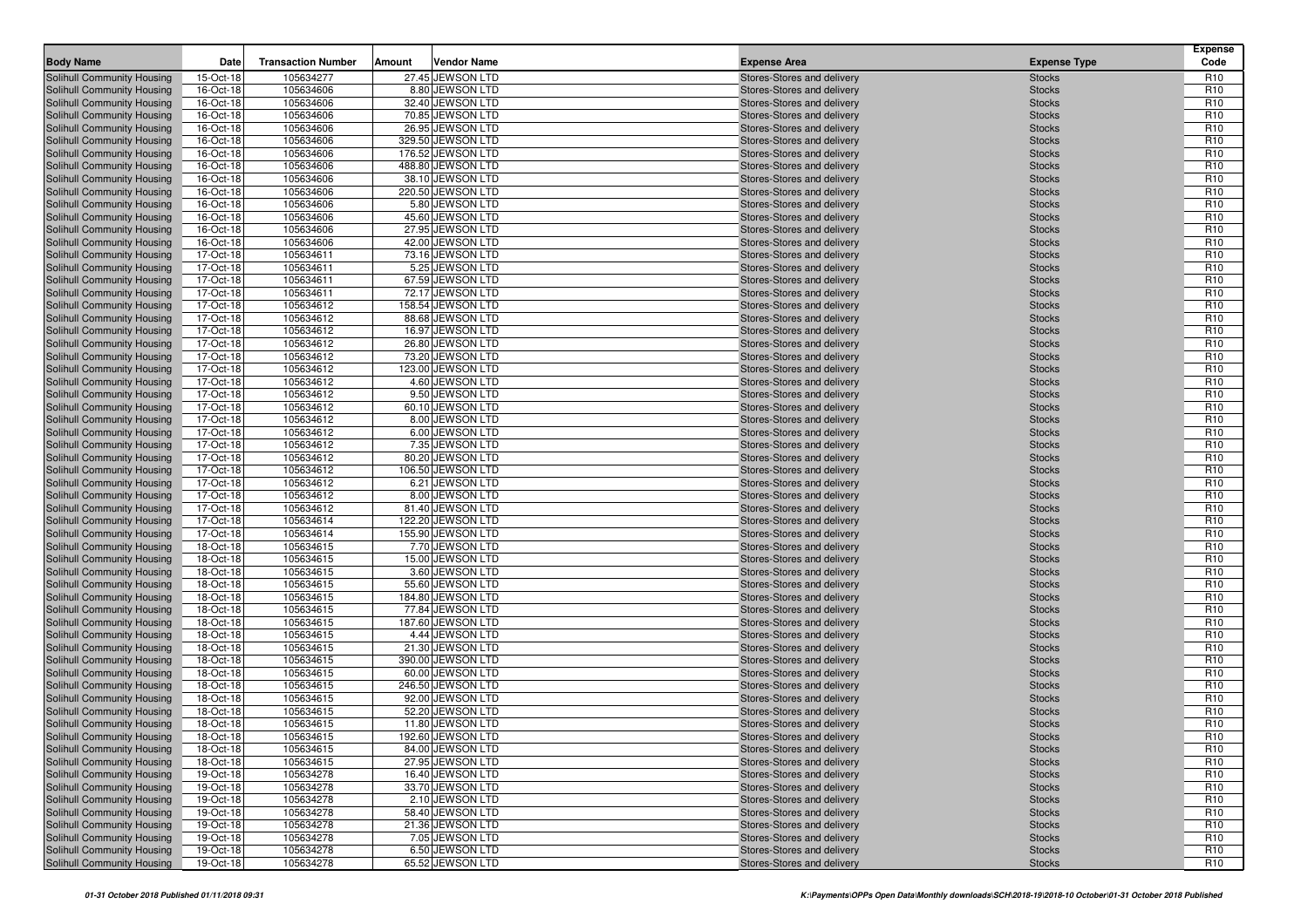| <b>Body Name</b>                                         | Date                   | <b>Transaction Number</b> | Amount | <b>Vendor Name</b>                    | <b>Expense Area</b>                                      | <b>Expense Type</b>            | <b>Expense</b><br>Code             |
|----------------------------------------------------------|------------------------|---------------------------|--------|---------------------------------------|----------------------------------------------------------|--------------------------------|------------------------------------|
| Solihull Community Housing                               | 15-Oct-18              | 105634277                 |        | 27.45 JEWSON LTD                      | Stores-Stores and delivery                               | <b>Stocks</b>                  | R <sub>10</sub>                    |
| Solihull Community Housing                               | 16-Oct-18              | 105634606                 |        | 8.80 JEWSON LTD                       | Stores-Stores and delivery                               | <b>Stocks</b>                  | R <sub>10</sub>                    |
| Solihull Community Housing                               | 16-Oct-18              | 105634606                 |        | 32.40 JEWSON LTD                      | Stores-Stores and delivery                               | <b>Stocks</b>                  | R <sub>10</sub>                    |
| Solihull Community Housing                               | 16-Oct-18              | 105634606                 |        | 70.85 JEWSON LTD                      | Stores-Stores and delivery                               | <b>Stocks</b>                  | R <sub>10</sub>                    |
| Solihull Community Housing                               | 16-Oct-18              | 105634606                 |        | 26.95 JEWSON LTD                      | Stores-Stores and delivery                               | <b>Stocks</b>                  | R <sub>10</sub>                    |
| Solihull Community Housing                               | 16-Oct-18              | 105634606                 |        | 329.50 JEWSON LTD                     | Stores-Stores and delivery                               | <b>Stocks</b>                  | R <sub>10</sub>                    |
| Solihull Community Housing                               | 16-Oct-18              | 105634606                 |        | 176.52 JEWSON LTD                     | Stores-Stores and delivery                               | <b>Stocks</b>                  | R <sub>10</sub>                    |
| Solihull Community Housing                               | 16-Oct-18              | 105634606                 |        | 488.80 JEWSON LTD                     | Stores-Stores and delivery                               | <b>Stocks</b>                  | R <sub>10</sub>                    |
| Solihull Community Housing                               | 16-Oct-18              | 105634606                 |        | 38.10 JEWSON LTD                      | Stores-Stores and delivery                               | <b>Stocks</b>                  | R <sub>10</sub>                    |
| Solihull Community Housing                               | 16-Oct-18              | 105634606                 |        | 220.50 JEWSON LTD                     | Stores-Stores and delivery                               | <b>Stocks</b>                  | R <sub>10</sub>                    |
| Solihull Community Housing                               | 16-Oct-18              | 105634606                 |        | 5.80 JEWSON LTD                       | Stores-Stores and delivery                               | <b>Stocks</b>                  | R <sub>10</sub>                    |
| Solihull Community Housing                               | 16-Oct-18              | 105634606                 |        | 45.60 JEWSON LTD                      | Stores-Stores and delivery                               | <b>Stocks</b>                  | R <sub>10</sub>                    |
| Solihull Community Housing                               | 16-Oct-18              | 105634606                 |        | 27.95 JEWSON LTD                      | Stores-Stores and delivery                               | <b>Stocks</b>                  | R <sub>10</sub>                    |
| Solihull Community Housing                               | 16-Oct-18              | 105634606                 |        | 42.00 JEWSON LTD                      | Stores-Stores and delivery                               | <b>Stocks</b>                  | R <sub>10</sub>                    |
| Solihull Community Housing                               | 17-Oct-18              | 105634611                 |        | 73.16 JEWSON LTD                      | Stores-Stores and delivery                               | <b>Stocks</b>                  | R <sub>10</sub>                    |
| Solihull Community Housing                               | 17-Oct-18              | 105634611                 |        | 5.25 JEWSON LTD                       | Stores-Stores and delivery                               | <b>Stocks</b>                  | R <sub>10</sub>                    |
| Solihull Community Housing                               | 17-Oct-18              | 105634611                 |        | 67.59 JEWSON LTD                      | Stores-Stores and delivery                               | <b>Stocks</b>                  | R <sub>10</sub>                    |
| Solihull Community Housing                               | 17-Oct-18              | 105634611                 |        | 72.17 JEWSON LTD                      | Stores-Stores and delivery                               | <b>Stocks</b>                  | R <sub>10</sub>                    |
| Solihull Community Housing                               | 17-Oct-18              | 105634612                 |        | 158.54 JEWSON LTD                     | Stores-Stores and delivery                               | <b>Stocks</b>                  | R <sub>10</sub>                    |
| Solihull Community Housing                               | 17-Oct-18              | 105634612                 |        | 88.68 JEWSON LTD                      | Stores-Stores and delivery                               | <b>Stocks</b>                  | R <sub>10</sub>                    |
| Solihull Community Housing                               | 17-Oct-18              | 105634612                 |        | 16.97 JEWSON LTD                      | Stores-Stores and delivery                               | <b>Stocks</b>                  | R <sub>10</sub>                    |
| Solihull Community Housing                               | 17-Oct-18              | 105634612                 |        | 26.80 JEWSON LTD                      | Stores-Stores and delivery                               | <b>Stocks</b>                  | R <sub>10</sub>                    |
| Solihull Community Housing                               | 17-Oct-18              | 105634612                 |        | 73.20 JEWSON LTD                      | Stores-Stores and delivery                               | <b>Stocks</b>                  | R <sub>10</sub>                    |
| Solihull Community Housing                               | 17-Oct-18              | 105634612                 |        | 123.00 JEWSON LTD                     | Stores-Stores and delivery                               | <b>Stocks</b>                  | R <sub>10</sub>                    |
| Solihull Community Housing                               | 17-Oct-18              | 105634612                 |        | 4.60 JEWSON LTD                       | Stores-Stores and delivery                               | <b>Stocks</b>                  | R <sub>10</sub>                    |
| Solihull Community Housing                               | 17-Oct-18              | 105634612                 |        | 9.50 JEWSON LTD                       | Stores-Stores and delivery                               | <b>Stocks</b>                  | R <sub>10</sub>                    |
| Solihull Community Housing                               | 17-Oct-18              | 105634612                 |        | 60.10 JEWSON LTD                      | Stores-Stores and delivery                               | <b>Stocks</b>                  | R <sub>10</sub>                    |
| Solihull Community Housing                               | 17-Oct-18              | 105634612                 |        | 8.00 JEWSON LTD                       | Stores-Stores and delivery                               | <b>Stocks</b>                  | R <sub>10</sub>                    |
| Solihull Community Housing                               | 17-Oct-18              | 105634612                 |        | 6.00 JEWSON LTD                       | Stores-Stores and delivery                               | <b>Stocks</b>                  | R <sub>10</sub>                    |
| Solihull Community Housing                               | 17-Oct-18              | 105634612                 |        | 7.35 JEWSON LTD                       | Stores-Stores and delivery                               | <b>Stocks</b>                  | R <sub>10</sub>                    |
| Solihull Community Housing                               | 17-Oct-18              | 105634612                 |        | 80.20 JEWSON LTD                      | Stores-Stores and delivery                               | <b>Stocks</b>                  | R <sub>10</sub>                    |
| Solihull Community Housing                               | 17-Oct-18              | 105634612                 |        | 106.50 JEWSON LTD                     | Stores-Stores and delivery                               | <b>Stocks</b>                  | R <sub>10</sub>                    |
| Solihull Community Housing                               | 17-Oct-18              | 105634612                 |        | 6.21 JEWSON LTD                       | Stores-Stores and delivery                               | <b>Stocks</b>                  | R <sub>10</sub>                    |
| Solihull Community Housing                               | 17-Oct-18              | 105634612                 |        | 8.00 JEWSON LTD                       | Stores-Stores and delivery                               | <b>Stocks</b>                  | R <sub>10</sub>                    |
| Solihull Community Housing<br>Solihull Community Housing | 17-Oct-18<br>17-Oct-18 | 105634612<br>105634614    |        | 81.40 JEWSON LTD<br>122.20 JEWSON LTD | Stores-Stores and delivery<br>Stores-Stores and delivery | <b>Stocks</b><br><b>Stocks</b> | R <sub>10</sub><br>R <sub>10</sub> |
| Solihull Community Housing                               | 17-Oct-18              | 105634614                 |        | 155.90 JEWSON LTD                     | Stores-Stores and delivery                               | <b>Stocks</b>                  | R <sub>10</sub>                    |
| Solihull Community Housing                               | 18-Oct-18              | 105634615                 |        | 7.70 JEWSON LTD                       | Stores-Stores and delivery                               | <b>Stocks</b>                  | R <sub>10</sub>                    |
| Solihull Community Housing                               | 18-Oct-18              | 105634615                 |        | 15.00 JEWSON LTD                      | Stores-Stores and delivery                               | <b>Stocks</b>                  | R <sub>10</sub>                    |
| Solihull Community Housing                               | 18-Oct-18              | 105634615                 |        | 3.60 JEWSON LTD                       | Stores-Stores and delivery                               | <b>Stocks</b>                  | R <sub>10</sub>                    |
| Solihull Community Housing                               | 18-Oct-18              | 105634615                 |        | 55.60 JEWSON LTD                      | Stores-Stores and delivery                               | <b>Stocks</b>                  | R <sub>10</sub>                    |
| Solihull Community Housing                               | 18-Oct-18              | 105634615                 |        | 184.80 JEWSON LTD                     | Stores-Stores and delivery                               | <b>Stocks</b>                  | R <sub>10</sub>                    |
| Solihull Community Housing                               | 18-Oct-18              | 105634615                 |        | 77.84 JEWSON LTD                      | Stores-Stores and delivery                               | <b>Stocks</b>                  | R <sub>10</sub>                    |
| Solihull Community Housing                               | 18-Oct-18              | 105634615                 |        | 187.60 JEWSON LTD                     | Stores-Stores and delivery                               | <b>Stocks</b>                  | R <sub>10</sub>                    |
| Solihull Community Housing                               | 18-Oct-18              | 105634615                 |        | 4.44 JEWSON LTD                       | Stores-Stores and delivery                               | <b>Stocks</b>                  | R <sub>10</sub>                    |
| Solihull Community Housing                               | 18-Oct-18              | 105634615                 |        | 21.30 JEWSON LTD                      | Stores-Stores and delivery                               | <b>Stocks</b>                  | R <sub>10</sub>                    |
| Solihull Community Housing                               | 18-Oct-18              | 105634615                 |        | 390.00 JEWSON LTD                     | Stores-Stores and delivery                               | <b>Stocks</b>                  | R <sub>10</sub>                    |
| Solihull Community Housing                               | 18-Oct-18              | 105634615                 |        | 60.00 JEWSON LTD                      | Stores-Stores and delivery                               | <b>Stocks</b>                  | R <sub>10</sub>                    |
| Solihull Community Housing                               | 18-Oct-18              | 105634615                 |        | 246.50 JEWSON LTD                     | Stores-Stores and delivery                               | <b>Stocks</b>                  | R <sub>10</sub>                    |
| Solihull Community Housing                               | 18-Oct-18              | 105634615                 |        | 92.00 JEWSON LTD                      | Stores-Stores and delivery                               | <b>Stocks</b>                  | R <sub>10</sub>                    |
| Solihull Community Housing                               | 18-Oct-18              | 105634615                 |        | 52.20 JEWSON LTD                      | Stores-Stores and delivery                               | <b>Stocks</b>                  | R <sub>10</sub>                    |
| Solihull Community Housing                               | 18-Oct-18              | 105634615                 |        | 11.80 JEWSON LTD                      | Stores-Stores and delivery                               | <b>Stocks</b>                  | R <sub>10</sub>                    |
| Solihull Community Housing                               | 18-Oct-18              | 105634615                 |        | 192.60 JEWSON LTD                     | Stores-Stores and delivery                               | <b>Stocks</b>                  | R <sub>10</sub>                    |
| Solihull Community Housing                               | 18-Oct-18              | 105634615                 |        | 84.00 JEWSON LTD                      | Stores-Stores and delivery                               | <b>Stocks</b>                  | R <sub>10</sub>                    |
| Solihull Community Housing                               | 18-Oct-18              | 105634615                 |        | 27.95 JEWSON LTD                      | Stores-Stores and delivery                               | <b>Stocks</b>                  | R <sub>10</sub>                    |
| Solihull Community Housing                               | 19-Oct-18              | 105634278                 |        | 16.40 JEWSON LTD                      | Stores-Stores and delivery                               | <b>Stocks</b>                  | R <sub>10</sub>                    |
| Solihull Community Housing                               | 19-Oct-18              | 105634278                 |        | 33.70 JEWSON LTD                      | Stores-Stores and delivery                               | <b>Stocks</b>                  | R <sub>10</sub>                    |
| Solihull Community Housing                               | 19-Oct-18              | 105634278                 |        | 2.10 JEWSON LTD                       | Stores-Stores and delivery                               | <b>Stocks</b>                  | R <sub>10</sub>                    |
| Solihull Community Housing                               | 19-Oct-18              | 105634278                 |        | 58.40 JEWSON LTD                      | Stores-Stores and delivery                               | <b>Stocks</b>                  | R <sub>10</sub>                    |
| Solihull Community Housing                               | 19-Oct-18              | 105634278                 |        | 21.36 JEWSON LTD                      | Stores-Stores and delivery                               | <b>Stocks</b>                  | R <sub>10</sub>                    |
| Solihull Community Housing                               | 19-Oct-18              | 105634278                 |        | 7.05 JEWSON LTD                       | Stores-Stores and delivery                               | <b>Stocks</b>                  | R <sub>10</sub>                    |
| Solihull Community Housing                               | 19-Oct-18              | 105634278                 |        | 6.50 JEWSON LTD                       | Stores-Stores and delivery                               | <b>Stocks</b>                  | R <sub>10</sub>                    |
| Solihull Community Housing                               | 19-Oct-18              | 105634278                 |        | 65.52 JEWSON LTD                      | Stores-Stores and delivery                               | <b>Stocks</b>                  | R <sub>10</sub>                    |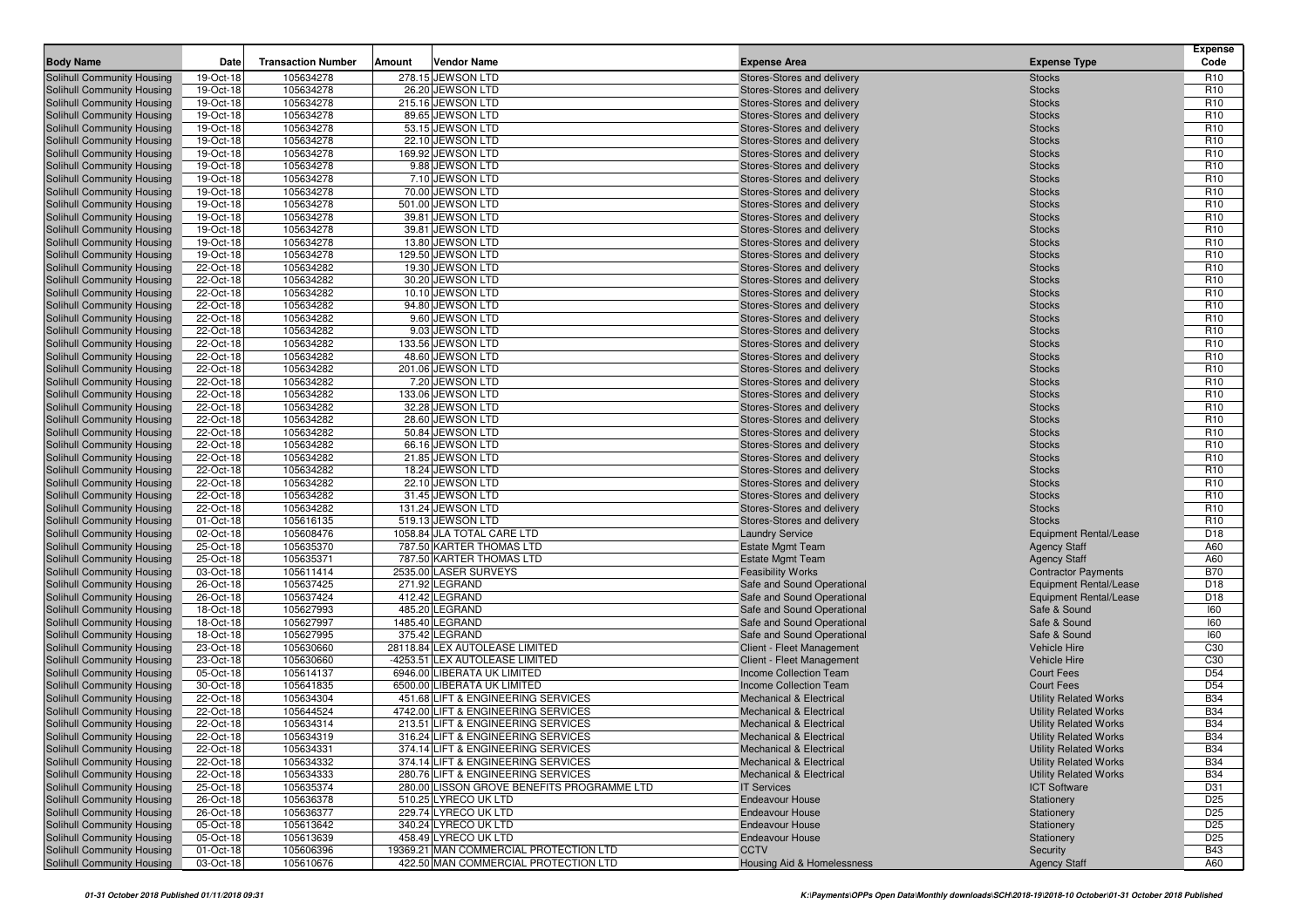| <b>Body Name</b>                                         | Date                   | <b>Transaction Number</b> | <b>Vendor Name</b><br>Amount               | <b>Expense Area</b>                                      | <b>Expense Type</b>            | <b>Expense</b><br>Code             |
|----------------------------------------------------------|------------------------|---------------------------|--------------------------------------------|----------------------------------------------------------|--------------------------------|------------------------------------|
| Solihull Community Housing                               | 19-Oct-18              | 105634278                 | 278.15 JEWSON LTD                          | Stores-Stores and delivery                               | <b>Stocks</b>                  | R <sub>10</sub>                    |
| Solihull Community Housing                               | 19-Oct-18              | 105634278                 | 26.20 JEWSON LTD                           | Stores-Stores and delivery                               | <b>Stocks</b>                  | R <sub>10</sub>                    |
| Solihull Community Housing                               | 19-Oct-18              | 105634278                 | 215.16 JEWSON LTD                          | Stores-Stores and delivery                               | <b>Stocks</b>                  | R <sub>10</sub>                    |
| Solihull Community Housing                               | 19-Oct-18              | 105634278                 | 89.65 JEWSON LTD                           | Stores-Stores and delivery                               | <b>Stocks</b>                  | R <sub>10</sub>                    |
| Solihull Community Housing                               | 19-Oct-18              | 105634278                 | 53.15 JEWSON LTD                           | Stores-Stores and delivery                               | <b>Stocks</b>                  | R <sub>10</sub>                    |
| Solihull Community Housing                               | 19-Oct-18              | 105634278                 | 22.10 JEWSON LTD                           | Stores-Stores and delivery                               | <b>Stocks</b>                  | R <sub>10</sub>                    |
| Solihull Community Housing                               | 19-Oct-18              | 105634278                 | 169.92 JEWSON LTD                          | Stores-Stores and delivery                               | <b>Stocks</b>                  | R <sub>10</sub>                    |
| Solihull Community Housing                               | 19-Oct-18              | 105634278                 | 9.88 JEWSON LTD                            | Stores-Stores and delivery                               | <b>Stocks</b>                  | R <sub>10</sub>                    |
| Solihull Community Housing                               | 19-Oct-18              | 105634278                 | 7.10 JEWSON LTD                            | Stores-Stores and delivery                               | <b>Stocks</b>                  | R <sub>10</sub>                    |
| Solihull Community Housing                               | 19-Oct-18              | 105634278                 | 70.00 JEWSON LTD                           | Stores-Stores and delivery                               | <b>Stocks</b>                  | R <sub>10</sub>                    |
| Solihull Community Housing                               | 19-Oct-18              | 105634278                 | 501.00 JEWSON LTD                          | Stores-Stores and delivery                               | <b>Stocks</b>                  | R <sub>10</sub>                    |
| Solihull Community Housing                               | 19-Oct-18              | 105634278                 | 39.81 JEWSON LTD                           | Stores-Stores and delivery                               | <b>Stocks</b>                  | R <sub>10</sub>                    |
| Solihull Community Housing                               | 19-Oct-18              | 105634278                 | 39.81 JEWSON LTD                           | Stores-Stores and delivery                               | <b>Stocks</b>                  | R <sub>10</sub>                    |
| Solihull Community Housing                               | 19-Oct-18              | 105634278                 | 13.80 JEWSON LTD                           | Stores-Stores and delivery                               | <b>Stocks</b>                  | R <sub>10</sub>                    |
| Solihull Community Housing                               | 19-Oct-18              | 105634278                 | 129.50 JEWSON LTD                          | Stores-Stores and delivery                               | <b>Stocks</b>                  | R <sub>10</sub>                    |
| Solihull Community Housing                               | 22-Oct-18              | 105634282                 | 19.30 JEWSON LTD                           | Stores-Stores and delivery                               | <b>Stocks</b>                  | R <sub>10</sub>                    |
| Solihull Community Housing                               | 22-Oct-18              | 105634282                 | 30.20 JEWSON LTD                           | Stores-Stores and delivery                               | <b>Stocks</b>                  | R <sub>10</sub>                    |
| Solihull Community Housing                               | 22-Oct-18              | 105634282                 | 10.10 JEWSON LTD                           | Stores-Stores and delivery                               | <b>Stocks</b>                  | R <sub>10</sub>                    |
| Solihull Community Housing                               | 22-Oct-18              | 105634282                 | 94.80 JEWSON LTD                           | Stores-Stores and delivery                               | <b>Stocks</b>                  | R <sub>10</sub>                    |
| Solihull Community Housing                               | 22-Oct-18              | 105634282                 | 9.60 JEWSON LTD                            | Stores-Stores and delivery                               | <b>Stocks</b>                  | R <sub>10</sub>                    |
| Solihull Community Housing                               | 22-Oct-18              | 105634282                 | 9.03 JEWSON LTD                            | Stores-Stores and delivery                               | <b>Stocks</b>                  | R <sub>10</sub>                    |
| Solihull Community Housing                               | 22-Oct-18              | 105634282                 | 133.56 JEWSON LTD                          | Stores-Stores and delivery                               | <b>Stocks</b>                  | R <sub>10</sub>                    |
| Solihull Community Housing                               | 22-Oct-18              | 105634282                 | 48.60 JEWSON LTD                           | Stores-Stores and delivery                               | <b>Stocks</b>                  | R <sub>10</sub>                    |
| Solihull Community Housing                               | 22-Oct-18              | 105634282                 | 201.06 JEWSON LTD                          | Stores-Stores and delivery                               | <b>Stocks</b>                  | R <sub>10</sub>                    |
| Solihull Community Housing                               | 22-Oct-18              | 105634282                 | 7.20 JEWSON LTD                            | Stores-Stores and delivery                               | <b>Stocks</b>                  | R <sub>10</sub>                    |
| Solihull Community Housing                               | 22-Oct-18              | 105634282                 | 133.06 JEWSON LTD                          | Stores-Stores and delivery                               | <b>Stocks</b>                  | R <sub>10</sub>                    |
| Solihull Community Housing                               | 22-Oct-18              | 105634282                 | 32.28 JEWSON LTD                           | Stores-Stores and delivery                               | <b>Stocks</b>                  | R <sub>10</sub><br>R <sub>10</sub> |
| Solihull Community Housing                               | 22-Oct-18              | 105634282                 | 28.60 JEWSON LTD                           | Stores-Stores and delivery                               | <b>Stocks</b>                  | R <sub>10</sub>                    |
| Solihull Community Housing<br>Solihull Community Housing | 22-Oct-18              | 105634282                 | 50.84 JEWSON LTD<br>66.16 JEWSON LTD       | Stores-Stores and delivery<br>Stores-Stores and delivery | <b>Stocks</b>                  | R <sub>10</sub>                    |
| Solihull Community Housing                               | 22-Oct-18<br>22-Oct-18 | 105634282<br>105634282    | 21.85 JEWSON LTD                           | Stores-Stores and delivery                               | <b>Stocks</b><br><b>Stocks</b> | R <sub>10</sub>                    |
| Solihull Community Housing                               | 22-Oct-18              | 105634282                 | 18.24 JEWSON LTD                           | Stores-Stores and delivery                               | <b>Stocks</b>                  | R <sub>10</sub>                    |
| Solihull Community Housing                               | 22-Oct-18              | 105634282                 | 22.10 JEWSON LTD                           | Stores-Stores and delivery                               | <b>Stocks</b>                  | R <sub>10</sub>                    |
| Solihull Community Housing                               | 22-Oct-18              | 105634282                 | 31.45 JEWSON LTD                           | Stores-Stores and delivery                               | <b>Stocks</b>                  | R <sub>10</sub>                    |
| Solihull Community Housing                               | 22-Oct-18              | 105634282                 | 131.24 JEWSON LTD                          | Stores-Stores and delivery                               | <b>Stocks</b>                  | R <sub>10</sub>                    |
| Solihull Community Housing                               | 01-Oct-18              | 105616135                 | 519.13 JEWSON LTD                          | Stores-Stores and delivery                               | <b>Stocks</b>                  | R <sub>10</sub>                    |
| Solihull Community Housing                               | 02-Oct-18              | 105608476                 | 1058.84 JLA TOTAL CARE LTD                 | <b>Laundry Service</b>                                   | Equipment Rental/Lease         | D <sub>18</sub>                    |
| Solihull Community Housing                               | 25-Oct-18              | 105635370                 | 787.50 KARTER THOMAS LTD                   | <b>Estate Mgmt Team</b>                                  | <b>Agency Staff</b>            | A60                                |
| Solihull Community Housing                               | 25-Oct-18              | 105635371                 | 787.50 KARTER THOMAS LTD                   | <b>Estate Mgmt Team</b>                                  | <b>Agency Staff</b>            | A60                                |
| Solihull Community Housing                               | 03-Oct-18              | 105611414                 | 2535.00 LASER SURVEYS                      | <b>Feasibility Works</b>                                 | <b>Contractor Payments</b>     | <b>B70</b>                         |
| Solihull Community Housing                               | 26-Oct-18              | 105637425                 | 271.92 LEGRAND                             | Safe and Sound Operational                               | <b>Equipment Rental/Lease</b>  | D <sub>18</sub>                    |
| Solihull Community Housing                               | 26-Oct-18              | 105637424                 | 412.42 LEGRAND                             | Safe and Sound Operational                               | Equipment Rental/Lease         | D18                                |
| Solihull Community Housing                               | 18-Oct-18              | 105627993                 | 485.20 LEGRAND                             | Safe and Sound Operational                               | Safe & Sound                   | 160                                |
| Solihull Community Housing                               | 18-Oct-18              | 105627997                 | 1485.40 LEGRAND                            | Safe and Sound Operational                               | Safe & Sound                   | 160                                |
| Solihull Community Housing                               | 18-Oct-18              | 105627995                 | 375.42 LEGRAND                             | Safe and Sound Operational                               | Safe & Sound                   | 160                                |
| Solihull Community Housing                               | 23-Oct-18              | 105630660                 | 28118.84 LEX AUTOLEASE LIMITED             | Client - Fleet Management                                | <b>Vehicle Hire</b>            | C <sub>30</sub>                    |
| Solihull Community Housing                               | 23-Oct-18              | 105630660                 | -4253.51 LEX AUTOLEASE LIMITED             | Client - Fleet Management                                | <b>Vehicle Hire</b>            | C <sub>30</sub>                    |
| Solihull Community Housing                               | 05-Oct-18              | 105614137                 | 6946.00 LIBERATA UK LIMITED                | Income Collection Team                                   | <b>Court Fees</b>              | D <sub>54</sub>                    |
| Solihull Community Housing                               | 30-Oct-18              | 105641835                 | 6500.00 LIBERATA UK LIMITED                | Income Collection Team                                   | Court Fees                     | D <sub>54</sub>                    |
| Solihull Community Housing                               | 22-Oct-18              | 105634304                 | 451.68 LIFT & ENGINEERING SERVICES         | <b>Mechanical &amp; Electrical</b>                       | <b>Utility Related Works</b>   | <b>B34</b>                         |
| Solihull Community Housing                               | 22-Oct-18              | 105644524                 | 4742.00 LIFT & ENGINEERING SERVICES        | <b>Mechanical &amp; Electrical</b>                       | <b>Utility Related Works</b>   | <b>B34</b>                         |
| <b>Solihull Community Housing</b>                        | 22-Oct-18              | 105634314                 | 213.51 LIFT & ENGINEERING SERVICES         | <b>Mechanical &amp; Electrical</b>                       | <b>Utility Related Works</b>   | <b>B34</b>                         |
| Solihull Community Housing                               | 22-Oct-18              | 105634319                 | 316.24 LIFT & ENGINEERING SERVICES         | <b>Mechanical &amp; Electrical</b>                       | <b>Utility Related Works</b>   | <b>B34</b>                         |
| Solihull Community Housing                               | 22-Oct-18              | 105634331                 | 374.14 LIFT & ENGINEERING SERVICES         | <b>Mechanical &amp; Electrical</b>                       | <b>Utility Related Works</b>   | <b>B34</b>                         |
| Solihull Community Housing                               | $22-Oct-18$            | 105634332                 | 374.14 LIFT & ENGINEERING SERVICES         | <b>Mechanical &amp; Electrical</b>                       | <b>Utility Related Works</b>   | <b>B34</b>                         |
| Solihull Community Housing                               | 22-Oct-18              | 105634333                 | 280.76 LIFT & ENGINEERING SERVICES         | <b>Mechanical &amp; Electrical</b>                       | <b>Utility Related Works</b>   | <b>B34</b>                         |
| Solihull Community Housing                               | 25-Oct-18              | 105635374                 | 280.00 LISSON GROVE BENEFITS PROGRAMME LTD | <b>IT Services</b>                                       | <b>ICT Software</b>            | D31                                |
| Solihull Community Housing                               | 26-Oct-18              | 105636378                 | 510.25 LYRECO UK LTD                       | <b>Endeavour House</b>                                   | Stationery                     | D <sub>25</sub>                    |
| Solihull Community Housing                               | 26-Oct-18              | 105636377                 | 229.74 LYRECO UK LTD                       | <b>Endeavour House</b>                                   | Stationery                     | D <sub>25</sub>                    |
| Solihull Community Housing                               | 05-Oct-18              | 105613642                 | 340.24 LYRECO UK LTD                       | <b>Endeavour House</b>                                   | Stationery                     | D <sub>25</sub>                    |
| Solihull Community Housing                               | 05-Oct-18              | 105613639                 | 458.49 LYRECO UK LTD                       | <b>Endeavour House</b>                                   | Stationery                     | D <sub>25</sub>                    |
| Solihull Community Housing                               | 01-Oct-18              | 105606396                 | 19369.21 MAN COMMERCIAL PROTECTION LTD     | <b>CCTV</b>                                              | Security                       | <b>B43</b>                         |
| Solihull Community Housing                               | 03-Oct-18              | 105610676                 | 422.50 MAN COMMERCIAL PROTECTION LTD       | <b>Housing Aid &amp; Homelessness</b>                    | <b>Agency Staff</b>            | A60                                |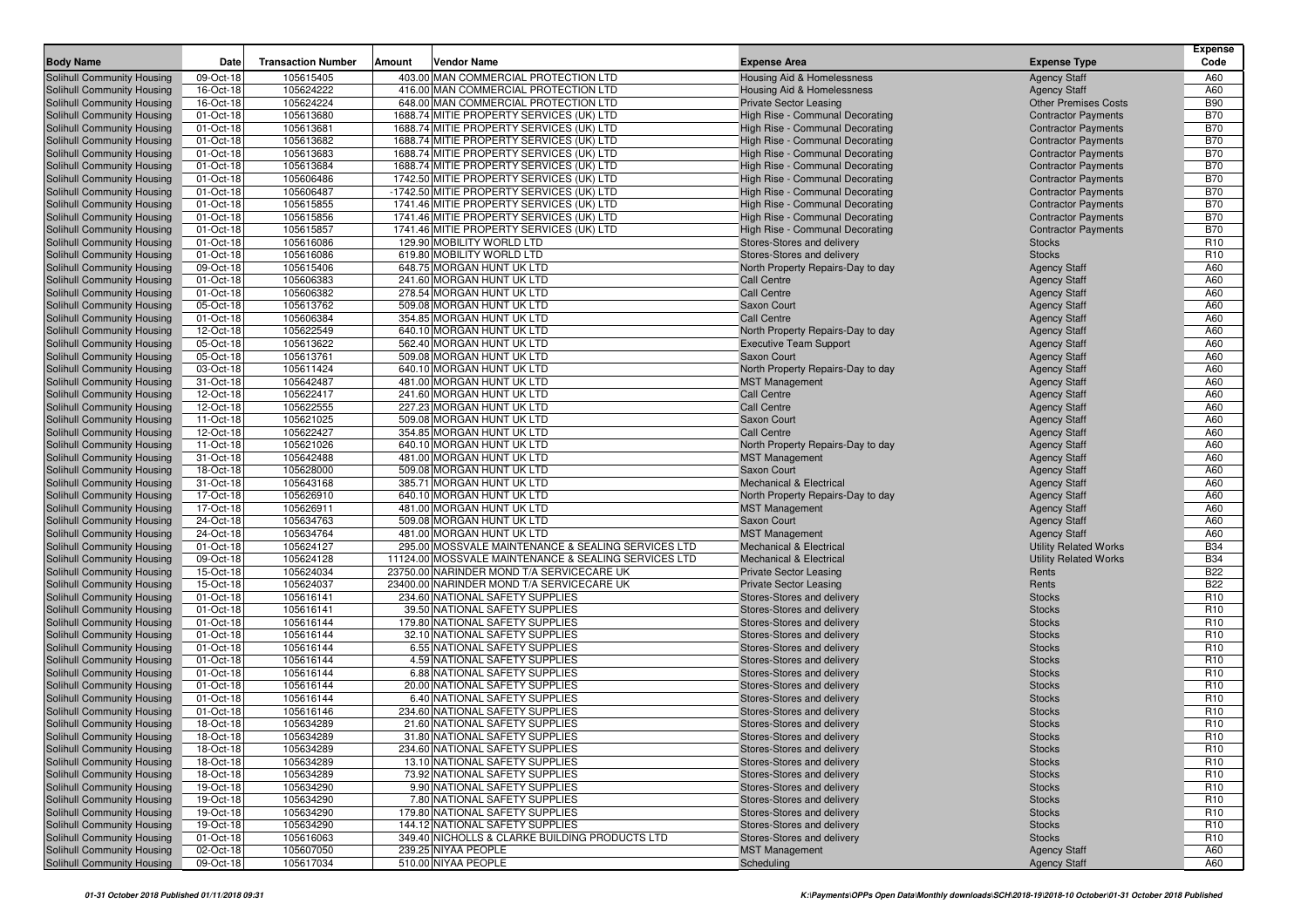|                                                          |                        |                           |                                                        |                                                  |                                            | <b>Expense</b>  |
|----------------------------------------------------------|------------------------|---------------------------|--------------------------------------------------------|--------------------------------------------------|--------------------------------------------|-----------------|
| <b>Body Name</b>                                         | Date                   | <b>Transaction Number</b> | Vendor Name<br>Amount                                  | <b>Expense Area</b>                              | <b>Expense Type</b>                        | Code            |
| Solihull Community Housing                               | 09-Oct-18              | 105615405                 | 403.00 MAN COMMERCIAL PROTECTION LTD                   | <b>Housing Aid &amp; Homelessness</b>            | <b>Agency Staff</b>                        | A60             |
| Solihull Community Housing                               | 16-Oct-18              | 105624222                 | 416.00 MAN COMMERCIAL PROTECTION LTD                   | Housing Aid & Homelessness                       | <b>Agency Staff</b>                        | A60             |
| Solihull Community Housing                               | 16-Oct-18              | 105624224                 | 648.00 MAN COMMERCIAL PROTECTION LTD                   | <b>Private Sector Leasing</b>                    | <b>Other Premises Costs</b>                | <b>B90</b>      |
| Solihull Community Housing                               | 01-Oct-18              | 105613680                 | 1688.74 MITIE PROPERTY SERVICES (UK) LTD               | High Rise - Communal Decorating                  | <b>Contractor Payments</b>                 | <b>B70</b>      |
| Solihull Community Housing                               | 01-Oct-18              | 105613681                 | 1688.74 MITIE PROPERTY SERVICES (UK) LTD               | High Rise - Communal Decorating                  | <b>Contractor Payments</b>                 | <b>B70</b>      |
| Solihull Community Housing                               | 01-Oct-18              | 105613682                 | 1688.74 MITIE PROPERTY SERVICES (UK) LTD               | High Rise - Communal Decorating                  | <b>Contractor Payments</b>                 | <b>B70</b>      |
| Solihull Community Housing                               | 01-Oct-18              | 105613683                 | 1688.74 MITIE PROPERTY SERVICES (UK) LTD               | High Rise - Communal Decorating                  | <b>Contractor Payments</b>                 | <b>B70</b>      |
| Solihull Community Housing                               | 01-Oct-18              | 105613684                 | 1688.74 MITIE PROPERTY SERVICES (UK) LTD               | High Rise - Communal Decorating                  | <b>Contractor Payments</b>                 | <b>B70</b>      |
| Solihull Community Housing                               | 01-Oct-18              | 105606486                 | 1742.50 MITIE PROPERTY SERVICES (UK) LTD               | High Rise - Communal Decorating                  | <b>Contractor Payments</b>                 | <b>B70</b>      |
| Solihull Community Housing                               | 01-Oct-18              | 105606487                 | -1742.50 MITIE PROPERTY SERVICES (UK) LTD              | High Rise - Communal Decorating                  | <b>Contractor Payments</b>                 | <b>B70</b>      |
| Solihull Community Housing                               | 01-Oct-18              | 105615855                 | 1741.46 MITIE PROPERTY SERVICES (UK) LTD               | High Rise - Communal Decorating                  | <b>Contractor Payments</b>                 | <b>B70</b>      |
| Solihull Community Housing                               | 01-Oct-18              | 105615856                 | 1741.46 MITIE PROPERTY SERVICES (UK) LTD               | High Rise - Communal Decorating                  | <b>Contractor Payments</b>                 | <b>B70</b>      |
| Solihull Community Housing                               | 01-Oct-18              | 105615857                 | 1741.46 MITIE PROPERTY SERVICES (UK) LTD               | High Rise - Communal Decorating                  | <b>Contractor Payments</b>                 | <b>B70</b>      |
| Solihull Community Housing                               | 01-Oct-18              | 105616086                 | 129.90 MOBILITY WORLD LTD                              | Stores-Stores and delivery                       | <b>Stocks</b>                              | R <sub>10</sub> |
| Solihull Community Housing                               | 01-Oct-18              | 105616086                 | 619.80 MOBILITY WORLD LTD                              | Stores-Stores and delivery                       | <b>Stocks</b>                              | R <sub>10</sub> |
| Solihull Community Housing                               | 09-Oct-18              | 105615406                 | 648.75 MORGAN HUNT UK LTD                              | North Property Repairs-Day to day                | <b>Agency Staff</b>                        | A60             |
| Solihull Community Housing                               | 01-Oct-18              | 105606383                 | 241.60 MORGAN HUNT UK LTD                              | Call Centre                                      | <b>Agency Staff</b>                        | A60             |
| Solihull Community Housing                               | 01-Oct-18              | 105606382                 | 278.54 MORGAN HUNT UK LTD                              | <b>Call Centre</b>                               | <b>Agency Staff</b>                        | A60             |
| Solihull Community Housing                               | 05-Oct-18              | 105613762                 | 509.08 MORGAN HUNT UK LTD                              | Saxon Court                                      | <b>Agency Staff</b>                        | A60             |
| Solihull Community Housing                               | 01-Oct-18              | 105606384                 | 354.85 MORGAN HUNT UK LTD                              | <b>Call Centre</b>                               | <b>Agency Staff</b>                        | A60             |
| Solihull Community Housing                               | 12-Oct-18              | 105622549<br>105613622    | 640.10 MORGAN HUNT UK LTD                              | North Property Repairs-Day to day                | <b>Agency Staff</b>                        | A60             |
| Solihull Community Housing<br>Solihull Community Housing | 05-Oct-18              | 105613761                 | 562.40 MORGAN HUNT UK LTD<br>509.08 MORGAN HUNT UK LTD | <b>Executive Team Support</b>                    | <b>Agency Staff</b>                        | A60<br>A60      |
|                                                          | 05-Oct-18<br>03-Oct-18 |                           | 640.10 MORGAN HUNT UK LTD                              | Saxon Court<br>North Property Repairs-Day to day | <b>Agency Staff</b><br><b>Agency Staff</b> | A60             |
| Solihull Community Housing                               | 31-Oct-18              | 105611424<br>105642487    | 481.00 MORGAN HUNT UK LTD                              |                                                  |                                            | A60             |
| Solihull Community Housing<br>Solihull Community Housing | 12-Oct-18              | 105622417                 | 241.60 MORGAN HUNT UK LTD                              | <b>MST Management</b><br>Call Centre             | <b>Agency Staff</b><br><b>Agency Staff</b> | A60             |
| Solihull Community Housing                               | 12-Oct-18              | 105622555                 | 227.23 MORGAN HUNT UK LTD                              | <b>Call Centre</b>                               | <b>Agency Staff</b>                        | A60             |
| Solihull Community Housing                               | 11-Oct-18              | 105621025                 | 509.08 MORGAN HUNT UK LTD                              | Saxon Court                                      | <b>Agency Staff</b>                        | A60             |
| Solihull Community Housing                               | 12-Oct-18              | 105622427                 | 354.85 MORGAN HUNT UK LTD                              | <b>Call Centre</b>                               | <b>Agency Staff</b>                        | A60             |
| Solihull Community Housing                               | 11-Oct-18              | 105621026                 | 640.10 MORGAN HUNT UK LTD                              | North Property Repairs-Day to day                | <b>Agency Staff</b>                        | A60             |
| Solihull Community Housing                               | 31-Oct-18              | 105642488                 | 481.00 MORGAN HUNT UK LTD                              | <b>MST Management</b>                            | <b>Agency Staff</b>                        | A60             |
| Solihull Community Housing                               | 18-Oct-18              | 105628000                 | 509.08 MORGAN HUNT UK LTD                              | Saxon Court                                      | <b>Agency Staff</b>                        | A60             |
| Solihull Community Housing                               | 31-Oct-18              | 105643168                 | 385.71 MORGAN HUNT UK LTD                              | Mechanical & Electrical                          | <b>Agency Staff</b>                        | A60             |
| Solihull Community Housing                               | 17-Oct-18              | 105626910                 | 640.10 MORGAN HUNT UK LTD                              | North Property Repairs-Day to day                | <b>Agency Staff</b>                        | A60             |
| Solihull Community Housing                               | 17-Oct-18              | 105626911                 | 481.00 MORGAN HUNT UK LTD                              | <b>MST Management</b>                            | <b>Agency Staff</b>                        | A60             |
| Solihull Community Housing                               | 24-Oct-18              | 105634763                 | 509.08 MORGAN HUNT UK LTD                              | Saxon Court                                      | <b>Agency Staff</b>                        | A60             |
| Solihull Community Housing                               | 24-Oct-18              | 105634764                 | 481.00 MORGAN HUNT UK LTD                              | <b>MST Management</b>                            | <b>Agency Staff</b>                        | A60             |
| Solihull Community Housing                               | 01-Oct-18              | 105624127                 | 295.00 MOSSVALE MAINTENANCE & SEALING SERVICES LTD     | <b>Mechanical &amp; Electrical</b>               | <b>Utility Related Works</b>               | <b>B34</b>      |
| Solihull Community Housing                               | 09-Oct-18              | 105624128                 | 11124.00 MOSSVALE MAINTENANCE & SEALING SERVICES LTD   | <b>Mechanical &amp; Electrical</b>               | <b>Utility Related Works</b>               | <b>B34</b>      |
| Solihull Community Housing                               | 15-Oct-18              | 105624034                 | 23750.00 NARINDER MOND T/A SERVICECARE UK              | <b>Private Sector Leasing</b>                    | Rents                                      | <b>B22</b>      |
| Solihull Community Housing                               | 15-Oct-18              | 105624037                 | 23400.00 NARINDER MOND T/A SERVICECARE UK              | <b>Private Sector Leasing</b>                    | Rents                                      | <b>B22</b>      |
| Solihull Community Housing                               | 01-Oct-18              | 105616141                 | 234.60 NATIONAL SAFETY SUPPLIES                        | Stores-Stores and delivery                       | <b>Stocks</b>                              | R <sub>10</sub> |
| Solihull Community Housing                               | 01-Oct-18              | 105616141                 | 39.50 NATIONAL SAFETY SUPPLIES                         | Stores-Stores and delivery                       | <b>Stocks</b>                              | R <sub>10</sub> |
| Solihull Community Housing                               | 01-Oct-18              | 105616144                 | 179.80 NATIONAL SAFETY SUPPLIES                        | Stores-Stores and delivery                       | <b>Stocks</b>                              | R <sub>10</sub> |
| Solihull Community Housing                               | 01-Oct-18              | 105616144                 | 32.10 NATIONAL SAFETY SUPPLIES                         | Stores-Stores and delivery                       | <b>Stocks</b>                              | R <sub>10</sub> |
| Solihull Community Housing                               | 01-Oct-18              | 105616144                 | 6.55 NATIONAL SAFETY SUPPLIES                          | Stores-Stores and delivery                       | <b>Stocks</b>                              | R <sub>10</sub> |
| Solihull Community Housing                               | 01-Oct-18              | 105616144                 | 4.59 NATIONAL SAFETY SUPPLIES                          | Stores-Stores and delivery                       | <b>Stocks</b>                              | R <sub>10</sub> |
| Solihull Community Housing                               | 01-Oct-18              | 105616144                 | 6.88 NATIONAL SAFETY SUPPLIES                          | Stores-Stores and delivery                       | <b>Stocks</b>                              | R <sub>10</sub> |
| Solihull Community Housing                               | 01-Oct-18              | 105616144                 | 20.00 NATIONAL SAFETY SUPPLIES                         | Stores-Stores and delivery                       | <b>Stocks</b>                              | R <sub>10</sub> |
| Solihull Community Housing                               | 01-Oct-18              | 105616144                 | 6.40 NATIONAL SAFETY SUPPLIES                          | Stores-Stores and delivery                       | <b>Stocks</b>                              | R <sub>10</sub> |
| Solihull Community Housing                               | 01-Oct-18              | 105616146                 | 234.60 NATIONAL SAFETY SUPPLIES                        | Stores-Stores and delivery                       | <b>Stocks</b>                              | R <sub>10</sub> |
| Solihull Community Housing                               | 18-Oct-18              | 105634289                 | 21.60 NATIONAL SAFETY SUPPLIES                         | Stores-Stores and delivery                       | <b>Stocks</b>                              | R <sub>10</sub> |
| Solihull Community Housing                               | 18-Oct-18              | 105634289                 | 31.80 NATIONAL SAFETY SUPPLIES                         | Stores-Stores and delivery                       | <b>Stocks</b>                              | R10             |
| Solihull Community Housing                               | 18-Oct-18              | 105634289                 | 234.60 NATIONAL SAFETY SUPPLIES                        | Stores-Stores and delivery                       | <b>Stocks</b>                              | R <sub>10</sub> |
| Solihull Community Housing                               | 18-Oct-18              | 105634289                 | 13.10 NATIONAL SAFETY SUPPLIES                         | Stores-Stores and delivery                       | <b>Stocks</b>                              | R <sub>10</sub> |
| Solihull Community Housing                               | 18-Oct-18              | 105634289                 | 73.92 NATIONAL SAFETY SUPPLIES                         | Stores-Stores and delivery                       | <b>Stocks</b>                              | R <sub>10</sub> |
| Solihull Community Housing                               | 19-Oct-18              | 105634290                 | 9.90 NATIONAL SAFETY SUPPLIES                          | Stores-Stores and delivery                       | <b>Stocks</b>                              | R10             |
| Solihull Community Housing                               | 19-Oct-18              | 105634290                 | 7.80 NATIONAL SAFETY SUPPLIES                          | Stores-Stores and delivery                       | <b>Stocks</b>                              | R <sub>10</sub> |
| Solihull Community Housing                               | 19-Oct-18              | 105634290                 | 179.80 NATIONAL SAFETY SUPPLIES                        | Stores-Stores and delivery                       | <b>Stocks</b>                              | R <sub>10</sub> |
| Solihull Community Housing                               | 19-Oct-18              | 105634290                 | 144.12 NATIONAL SAFETY SUPPLIES                        | Stores-Stores and delivery                       | <b>Stocks</b>                              | R <sub>10</sub> |
| Solihull Community Housing                               | 01-Oct-18              | 105616063                 | 349.40 NICHOLLS & CLARKE BUILDING PRODUCTS LTD         | Stores-Stores and delivery                       | <b>Stocks</b>                              | R <sub>10</sub> |
| Solihull Community Housing                               | 02-Oct-18              | 105607050                 | 239.25 NIYAA PEOPLE                                    | <b>MST Management</b>                            | <b>Agency Staff</b>                        | A60             |
| Solihull Community Housing                               | 09-Oct-18              | 105617034                 | 510.00 NIYAA PEOPLE                                    | Scheduling                                       | <b>Agency Staff</b>                        | A60             |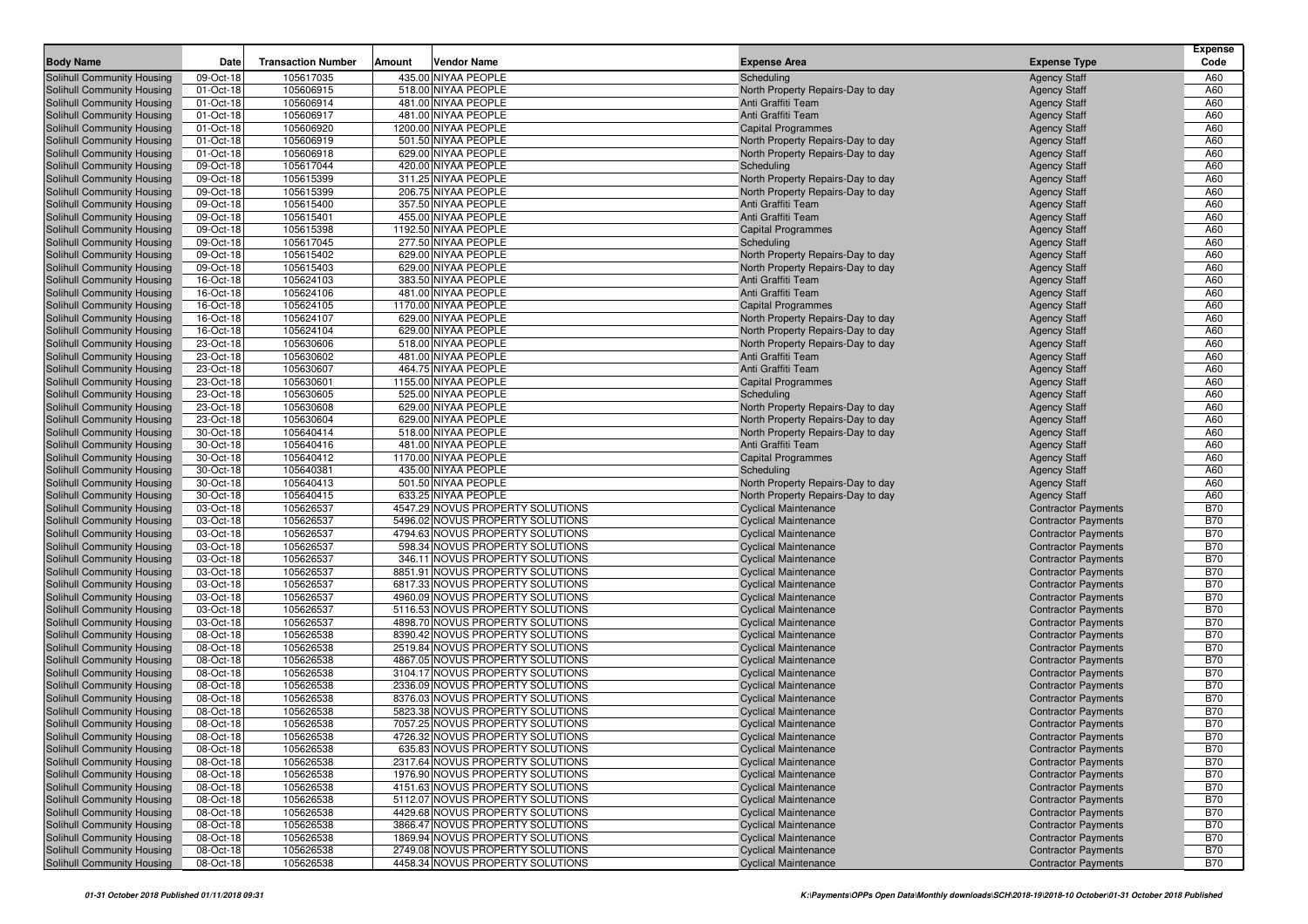|                                                          |                        |                           |               |                                                                     |                                                            |                                                          | <b>Expense</b>           |
|----------------------------------------------------------|------------------------|---------------------------|---------------|---------------------------------------------------------------------|------------------------------------------------------------|----------------------------------------------------------|--------------------------|
| <b>Body Name</b>                                         | Date                   | <b>Transaction Number</b> | <b>Amount</b> | <b>Vendor Name</b>                                                  | <b>Expense Area</b>                                        | <b>Expense Type</b>                                      | Code                     |
| Solihull Community Housing                               | 09-Oct-18              | 105617035                 |               | 435.00 NIYAA PEOPLE                                                 | Scheduling                                                 | <b>Agency Staff</b>                                      | A60                      |
| Solihull Community Housing                               | 01-Oct-18              | 105606915                 |               | 518.00 NIYAA PEOPLE                                                 | North Property Repairs-Day to day                          | <b>Agency Staff</b>                                      | A60                      |
| Solihull Community Housing                               | 01-Oct-18              | 105606914                 |               | 481.00 NIYAA PEOPLE                                                 | Anti Graffiti Team                                         | <b>Agency Staff</b>                                      | A60                      |
| Solihull Community Housing                               | 01-Oct-18              | 105606917                 |               | 481.00 NIYAA PEOPLE                                                 | Anti Graffiti Team                                         | <b>Agency Staff</b>                                      | A60                      |
| Solihull Community Housing                               | 01-Oct-18              | 105606920                 |               | 1200.00 NIYAA PEOPLE                                                | <b>Capital Programmes</b>                                  | <b>Agency Staff</b>                                      | A60                      |
| Solihull Community Housing                               | 01-Oct-18              | 105606919                 |               | 501.50 NIYAA PEOPLE                                                 | North Property Repairs-Day to day                          | <b>Agency Staff</b>                                      | A60                      |
| Solihull Community Housing                               | 01-Oct-18              | 105606918                 |               | 629.00 NIYAA PEOPLE                                                 | North Property Repairs-Day to day                          | <b>Agency Staff</b>                                      | A60                      |
| Solihull Community Housing                               | 09-Oct-18              | 105617044                 |               | 420.00 NIYAA PEOPLE                                                 | Scheduling                                                 | <b>Agency Staff</b>                                      | A60                      |
| Solihull Community Housing                               | 09-Oct-18              | 105615399                 |               | 311.25 NIYAA PEOPLE                                                 | North Property Repairs-Day to day                          | <b>Agency Staff</b>                                      | A60                      |
| Solihull Community Housing                               | 09-Oct-18              | 105615399                 |               | 206.75 NIYAA PEOPLE<br>357.50 NIYAA PEOPLE                          | North Property Repairs-Day to day<br>Anti Graffiti Team    | <b>Agency Staff</b>                                      | A60<br>A60               |
| Solihull Community Housing<br>Solihull Community Housing | 09-Oct-18              | 105615400<br>105615401    |               | 455.00 NIYAA PEOPLE                                                 | Anti Graffiti Team                                         | <b>Agency Staff</b>                                      | A60                      |
| Solihull Community Housing                               | 09-Oct-18<br>09-Oct-18 | 105615398                 |               | 1192.50 NIYAA PEOPLE                                                | <b>Capital Programmes</b>                                  | <b>Agency Staff</b><br><b>Agency Staff</b>               | A60                      |
| Solihull Community Housing                               | 09-Oct-18              | 105617045                 |               | 277.50 NIYAA PEOPLE                                                 | Scheduling                                                 | <b>Agency Staff</b>                                      | A60                      |
| Solihull Community Housing                               | 09-Oct-18              | 105615402                 |               | 629.00 NIYAA PEOPLE                                                 | North Property Repairs-Day to day                          | <b>Agency Staff</b>                                      | A60                      |
| Solihull Community Housing                               | 09-Oct-18              | 105615403                 |               | 629.00 NIYAA PEOPLE                                                 | North Property Repairs-Day to day                          | <b>Agency Staff</b>                                      | A60                      |
| Solihull Community Housing                               | 16-Oct-18              | 105624103                 |               | 383.50 NIYAA PEOPLE                                                 | Anti Graffiti Team                                         | <b>Agency Staff</b>                                      | A60                      |
| Solihull Community Housing                               | 16-Oct-18              | 105624106                 |               | 481.00 NIYAA PEOPLE                                                 | Anti Graffiti Team                                         | <b>Agency Staff</b>                                      | A60                      |
| Solihull Community Housing                               | 16-Oct-18              | 105624105                 |               | 1170.00 NIYAA PEOPLE                                                | <b>Capital Programmes</b>                                  | <b>Agency Staff</b>                                      | A60                      |
| Solihull Community Housing                               | 16-Oct-18              | 105624107                 |               | 629.00 NIYAA PEOPLE                                                 | North Property Repairs-Day to day                          | <b>Agency Staff</b>                                      | A60                      |
| Solihull Community Housing                               | 16-Oct-18              | 105624104                 |               | 629.00 NIYAA PEOPLE                                                 | North Property Repairs-Day to day                          | <b>Agency Staff</b>                                      | A60                      |
| Solihull Community Housing                               | 23-Oct-18              | 105630606                 |               | 518.00 NIYAA PEOPLE                                                 | North Property Repairs-Day to day                          | <b>Agency Staff</b>                                      | A60                      |
| Solihull Community Housing                               | 23-Oct-18              | 105630602                 |               | 481.00 NIYAA PEOPLE                                                 | Anti Graffiti Team                                         | <b>Agency Staff</b>                                      | A60                      |
| Solihull Community Housing                               | 23-Oct-18              | 105630607                 |               | 464.75 NIYAA PEOPLE                                                 | Anti Graffiti Team                                         | <b>Agency Staff</b>                                      | A60                      |
| Solihull Community Housing                               | 23-Oct-18              | 105630601                 |               | 1155.00 NIYAA PEOPLE                                                | <b>Capital Programmes</b>                                  | <b>Agency Staff</b>                                      | A60                      |
| Solihull Community Housing                               | 23-Oct-18              | 105630605                 |               | 525.00 NIYAA PEOPLE                                                 | Scheduling                                                 | <b>Agency Staff</b>                                      | A60                      |
| Solihull Community Housing                               | 23-Oct-18              | 105630608                 |               | 629.00 NIYAA PEOPLE                                                 | North Property Repairs-Day to day                          | <b>Agency Staff</b>                                      | A60                      |
| Solihull Community Housing                               | 23-Oct-18              | 105630604                 |               | 629.00 NIYAA PEOPLE                                                 | North Property Repairs-Day to day                          | <b>Agency Staff</b>                                      | A60                      |
| Solihull Community Housing                               | 30-Oct-18              | 105640414                 |               | 518.00 NIYAA PEOPLE                                                 | North Property Repairs-Day to day                          | <b>Agency Staff</b>                                      | A60                      |
| Solihull Community Housing                               | 30-Oct-18              | 105640416                 |               | 481.00 NIYAA PEOPLE                                                 | Anti Graffiti Team                                         | <b>Agency Staff</b>                                      | A60                      |
| Solihull Community Housing                               | 30-Oct-18              | 105640412                 |               | 1170.00 NIYAA PEOPLE                                                | <b>Capital Programmes</b>                                  | <b>Agency Staff</b>                                      | A60                      |
| Solihull Community Housing                               | 30-Oct-18              | 105640381                 |               | 435.00 NIYAA PEOPLE                                                 | Scheduling                                                 | <b>Agency Staff</b>                                      | A60                      |
| Solihull Community Housing                               | 30-Oct-18              | 105640413                 |               | 501.50 NIYAA PEOPLE                                                 | North Property Repairs-Day to day                          | <b>Agency Staff</b>                                      | A60                      |
| Solihull Community Housing                               | 30-Oct-18              | 105640415                 |               | 633.25 NIYAA PEOPLE                                                 | North Property Repairs-Day to day                          | <b>Agency Staff</b>                                      | A60                      |
| Solihull Community Housing                               | 03-Oct-18              | 105626537                 |               | 4547.29 NOVUS PROPERTY SOLUTIONS                                    | <b>Cyclical Maintenance</b>                                | <b>Contractor Payments</b>                               | <b>B70</b>               |
| Solihull Community Housing                               | 03-Oct-18              | 105626537                 |               | 5496.02 NOVUS PROPERTY SOLUTIONS                                    | <b>Cyclical Maintenance</b>                                | <b>Contractor Payments</b>                               | <b>B70</b>               |
| Solihull Community Housing                               | 03-Oct-18              | 105626537                 |               | 4794.63 NOVUS PROPERTY SOLUTIONS                                    | <b>Cyclical Maintenance</b>                                | <b>Contractor Payments</b>                               | <b>B70</b>               |
| Solihull Community Housing                               | 03-Oct-18              | 105626537                 |               | 598.34 NOVUS PROPERTY SOLUTIONS                                     | <b>Cyclical Maintenance</b>                                | <b>Contractor Payments</b>                               | <b>B70</b>               |
| Solihull Community Housing                               | 03-Oct-18              | 105626537<br>105626537    |               | 346.11 NOVUS PROPERTY SOLUTIONS<br>8851.91 NOVUS PROPERTY SOLUTIONS | <b>Cyclical Maintenance</b>                                | <b>Contractor Payments</b>                               | <b>B70</b><br><b>B70</b> |
| Solihull Community Housing<br>Solihull Community Housing | 03-Oct-18<br>03-Oct-18 | 105626537                 |               | 6817.33 NOVUS PROPERTY SOLUTIONS                                    | <b>Cyclical Maintenance</b><br><b>Cyclical Maintenance</b> | <b>Contractor Payments</b><br><b>Contractor Payments</b> | <b>B70</b>               |
| Solihull Community Housing                               | 03-Oct-18              | 105626537                 |               | 4960.09 NOVUS PROPERTY SOLUTIONS                                    | <b>Cyclical Maintenance</b>                                | <b>Contractor Payments</b>                               | <b>B70</b>               |
| Solihull Community Housing                               | 03-Oct-18              | 105626537                 |               | 5116.53 NOVUS PROPERTY SOLUTIONS                                    | <b>Cyclical Maintenance</b>                                | <b>Contractor Payments</b>                               | <b>B70</b>               |
| Solihull Community Housing                               | 03-Oct-18              | 105626537                 |               | 4898.70 NOVUS PROPERTY SOLUTIONS                                    | <b>Cyclical Maintenance</b>                                | <b>Contractor Payments</b>                               | <b>B70</b>               |
| Solihull Community Housing                               | 08-Oct-18              | 105626538                 |               | 8390.42 NOVUS PROPERTY SOLUTIONS                                    | <b>Cyclical Maintenance</b>                                | <b>Contractor Payments</b>                               | <b>B70</b>               |
| Solihull Community Housing                               | 08-Oct-18              | 105626538                 |               | 2519.84 NOVUS PROPERTY SOLUTIONS                                    | <b>Cyclical Maintenance</b>                                | <b>Contractor Payments</b>                               | <b>B70</b>               |
| Solihull Community Housing                               | 08-Oct-18              | 105626538                 |               | 4867.05 NOVUS PROPERTY SOLUTIONS                                    | <b>Cyclical Maintenance</b>                                | <b>Contractor Payments</b>                               | <b>B70</b>               |
| Solihull Community Housing                               | 08-Oct-18              | 105626538                 |               | 3104.17 NOVUS PROPERTY SOLUTIONS                                    | <b>Cyclical Maintenance</b>                                | <b>Contractor Payments</b>                               | <b>B70</b>               |
| Solihull Community Housing                               | 08-Oct-18              | 105626538                 |               | 2336.09 NOVUS PROPERTY SOLUTIONS                                    | <b>Cyclical Maintenance</b>                                | <b>Contractor Payments</b>                               | <b>B70</b>               |
| Solihull Community Housing                               | 08-Oct-18              | 105626538                 |               | 8376.03 NOVUS PROPERTY SOLUTIONS                                    | <b>Cyclical Maintenance</b>                                | <b>Contractor Payments</b>                               | <b>B70</b>               |
| Solihull Community Housing                               | 08-Oct-18              | 105626538                 |               | 5823.38 NOVUS PROPERTY SOLUTIONS                                    | <b>Cyclical Maintenance</b>                                | <b>Contractor Payments</b>                               | <b>B70</b>               |
| Solihull Community Housing                               | 08-Oct-18              | 105626538                 |               | 7057.25 NOVUS PROPERTY SOLUTIONS                                    | <b>Cyclical Maintenance</b>                                | <b>Contractor Payments</b>                               | <b>B70</b>               |
| Solihull Community Housing                               | 08-Oct-18              | 105626538                 |               | 4726.32 NOVUS PROPERTY SOLUTIONS                                    | <b>Cyclical Maintenance</b>                                | <b>Contractor Payments</b>                               | <b>B70</b>               |
| Solihull Community Housing                               | 08-Oct-18              | 105626538                 |               | 635.83 NOVUS PROPERTY SOLUTIONS                                     | <b>Cyclical Maintenance</b>                                | <b>Contractor Payments</b>                               | <b>B70</b>               |
| Solihull Community Housing                               | 08-Oct-18              | 105626538                 |               | 2317.64 NOVUS PROPERTY SOLUTIONS                                    | <b>Cyclical Maintenance</b>                                | <b>Contractor Payments</b>                               | <b>B70</b>               |
| Solihull Community Housing                               | 08-Oct-18              | 105626538                 |               | 1976.90 NOVUS PROPERTY SOLUTIONS                                    | <b>Cyclical Maintenance</b>                                | <b>Contractor Payments</b>                               | <b>B70</b>               |
| Solihull Community Housing                               | 08-Oct-18              | 105626538                 |               | 4151.63 NOVUS PROPERTY SOLUTIONS                                    | <b>Cyclical Maintenance</b>                                | <b>Contractor Payments</b>                               | <b>B70</b>               |
| Solihull Community Housing                               | 08-Oct-18              | 105626538                 |               | 5112.07 NOVUS PROPERTY SOLUTIONS                                    | <b>Cyclical Maintenance</b>                                | <b>Contractor Payments</b>                               | <b>B70</b>               |
| Solihull Community Housing                               | 08-Oct-18              | 105626538                 |               | 4429.68 NOVUS PROPERTY SOLUTIONS                                    | <b>Cyclical Maintenance</b>                                | <b>Contractor Payments</b>                               | <b>B70</b>               |
| Solihull Community Housing                               | 08-Oct-18              | 105626538                 |               | 3866.47 NOVUS PROPERTY SOLUTIONS                                    | <b>Cyclical Maintenance</b>                                | <b>Contractor Payments</b>                               | <b>B70</b>               |
| Solihull Community Housing                               | 08-Oct-18              | 105626538                 |               | 1869.94 NOVUS PROPERTY SOLUTIONS                                    | <b>Cyclical Maintenance</b>                                | <b>Contractor Payments</b>                               | <b>B70</b>               |
| Solihull Community Housing                               | 08-Oct-18              | 105626538                 |               | 2749.08 NOVUS PROPERTY SOLUTIONS                                    | <b>Cyclical Maintenance</b>                                | <b>Contractor Payments</b>                               | <b>B70</b>               |
| Solihull Community Housing                               | 08-Oct-18              | 105626538                 |               | 4458.34 NOVUS PROPERTY SOLUTIONS                                    | <b>Cyclical Maintenance</b>                                | <b>Contractor Payments</b>                               | <b>B70</b>               |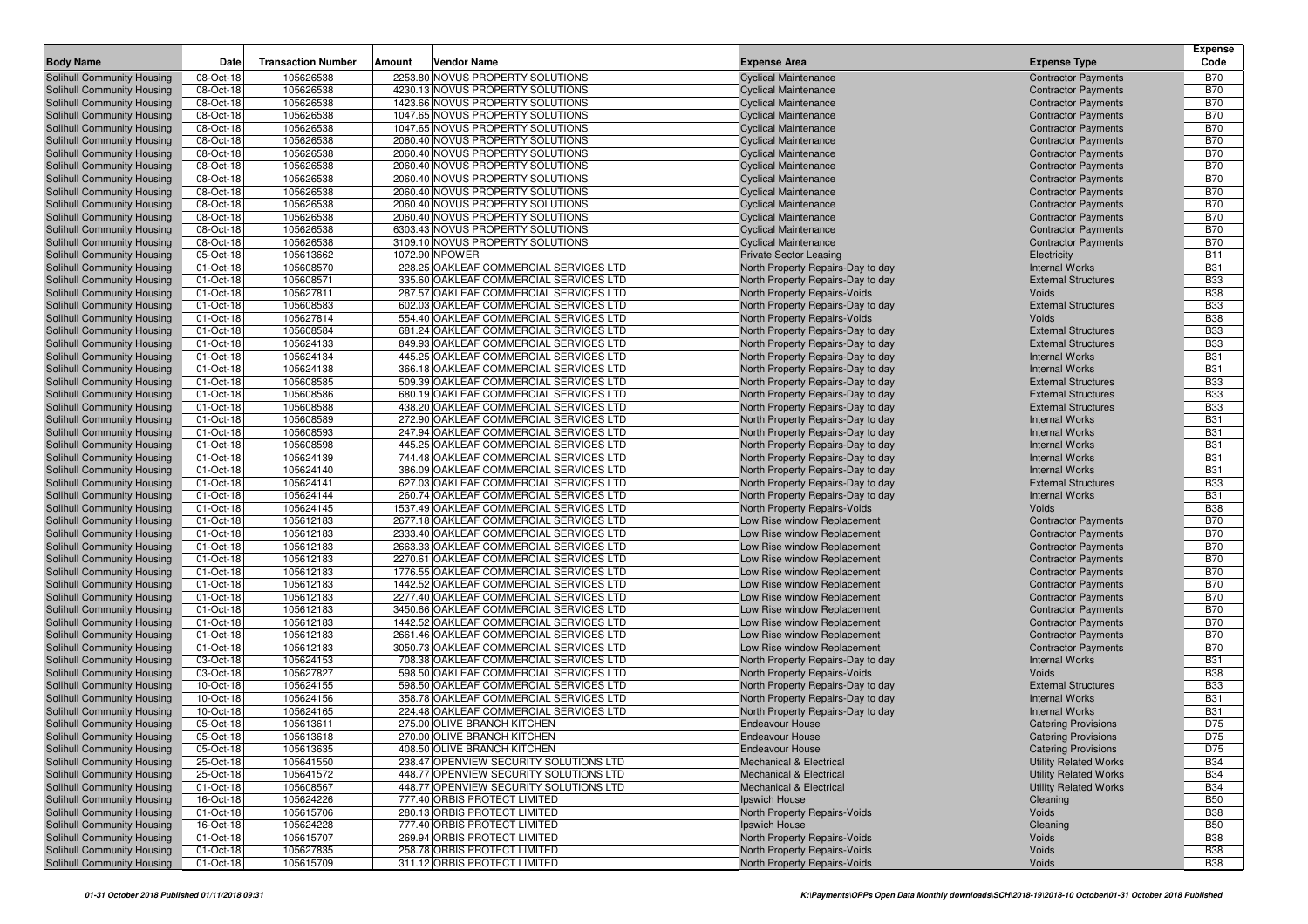| <b>Body Name</b>                                         | Date                   | <b>Transaction Number</b> | Amount | <b>Vendor Name</b>                                                                 | <b>Expense Area</b>                                               | <b>Expense Type</b>                                      | <b>Expense</b><br>Code   |
|----------------------------------------------------------|------------------------|---------------------------|--------|------------------------------------------------------------------------------------|-------------------------------------------------------------------|----------------------------------------------------------|--------------------------|
| Solihull Community Housing                               | 08-Oct-18              | 105626538                 |        | 2253.80 NOVUS PROPERTY SOLUTIONS                                                   | <b>Cyclical Maintenance</b>                                       | <b>Contractor Payments</b>                               | <b>B70</b>               |
| Solihull Community Housing                               | 08-Oct-18              | 105626538                 |        | 4230.13 NOVUS PROPERTY SOLUTIONS                                                   | <b>Cyclical Maintenance</b>                                       | <b>Contractor Payments</b>                               | <b>B70</b>               |
| Solihull Community Housing                               | 08-Oct-18              | 105626538                 |        | 1423.66 NOVUS PROPERTY SOLUTIONS                                                   | <b>Cyclical Maintenance</b>                                       | <b>Contractor Payments</b>                               | <b>B70</b>               |
| Solihull Community Housing                               | 08-Oct-18              | 105626538                 |        | 1047.65 NOVUS PROPERTY SOLUTIONS                                                   | <b>Cyclical Maintenance</b>                                       | <b>Contractor Payments</b>                               | <b>B70</b>               |
| Solihull Community Housing                               | 08-Oct-18              | 105626538                 |        | 1047.65 NOVUS PROPERTY SOLUTIONS                                                   | <b>Cyclical Maintenance</b>                                       | <b>Contractor Payments</b>                               | <b>B70</b>               |
| Solihull Community Housing                               | 08-Oct-18              | 105626538                 |        | 2060.40 NOVUS PROPERTY SOLUTIONS                                                   | <b>Cyclical Maintenance</b>                                       | <b>Contractor Payments</b>                               | <b>B70</b>               |
| Solihull Community Housing                               | 08-Oct-18              | 105626538                 |        | 2060.40 NOVUS PROPERTY SOLUTIONS                                                   | <b>Cyclical Maintenance</b>                                       | <b>Contractor Payments</b>                               | <b>B70</b>               |
| Solihull Community Housing                               | 08-Oct-18              | 105626538                 |        | 2060.40 NOVUS PROPERTY SOLUTIONS                                                   | <b>Cyclical Maintenance</b>                                       | <b>Contractor Payments</b>                               | <b>B70</b>               |
| Solihull Community Housing                               | 08-Oct-18              | 105626538                 |        | 2060.40 NOVUS PROPERTY SOLUTIONS                                                   | <b>Cyclical Maintenance</b>                                       | <b>Contractor Payments</b>                               | <b>B70</b>               |
| Solihull Community Housing                               | 08-Oct-18              | 105626538                 |        | 2060.40 NOVUS PROPERTY SOLUTIONS                                                   | <b>Cyclical Maintenance</b>                                       | <b>Contractor Payments</b>                               | <b>B70</b>               |
| Solihull Community Housing                               | 08-Oct-18              | 105626538                 |        | 2060.40 NOVUS PROPERTY SOLUTIONS                                                   | <b>Cyclical Maintenance</b>                                       | <b>Contractor Payments</b>                               | <b>B70</b>               |
| Solihull Community Housing                               | 08-Oct-18              | 105626538                 |        | 2060.40 NOVUS PROPERTY SOLUTIONS                                                   | <b>Cyclical Maintenance</b>                                       | <b>Contractor Payments</b>                               | <b>B70</b>               |
| Solihull Community Housing                               | 08-Oct-18              | 105626538                 |        | 6303.43 NOVUS PROPERTY SOLUTIONS                                                   | <b>Cyclical Maintenance</b>                                       | <b>Contractor Payments</b>                               | <b>B70</b>               |
| Solihull Community Housing                               | 08-Oct-18              | 105626538                 |        | 3109.10 NOVUS PROPERTY SOLUTIONS                                                   | <b>Cyclical Maintenance</b>                                       | <b>Contractor Payments</b>                               | <b>B70</b>               |
| Solihull Community Housing                               | 05-Oct-18              | 105613662                 |        | 1072.90 NPOWER                                                                     | <b>Private Sector Leasing</b>                                     | Electricity                                              | <b>B11</b>               |
| Solihull Community Housing                               | 01-Oct-18              | 105608570                 |        | 228.25 OAKLEAF COMMERCIAL SERVICES LTD                                             | North Property Repairs-Day to day                                 | <b>Internal Works</b>                                    | <b>B31</b>               |
| Solihull Community Housing                               | 01-Oct-18              | 105608571                 |        | 335.60 OAKLEAF COMMERCIAL SERVICES LTD                                             | North Property Repairs-Day to day                                 | <b>External Structures</b>                               | <b>B33</b>               |
| Solihull Community Housing                               | 01-Oct-18              | 105627811                 |        | 287.57 OAKLEAF COMMERCIAL SERVICES LTD                                             | North Property Repairs-Voids                                      | Voids<br><b>External Structures</b>                      | <b>B38</b><br><b>B33</b> |
| Solihull Community Housing<br>Solihull Community Housing | 01-Oct-18<br>01-Oct-18 | 105608583<br>105627814    |        | 602.03 OAKLEAF COMMERCIAL SERVICES LTD<br>554.40 OAKLEAF COMMERCIAL SERVICES LTD   | North Property Repairs-Day to day<br>North Property Repairs-Voids | Voids                                                    | <b>B38</b>               |
| Solihull Community Housing                               | 01-Oct-18              | 105608584                 |        | 681.24 OAKLEAF COMMERCIAL SERVICES LTD                                             | North Property Repairs-Day to day                                 | <b>External Structures</b>                               | <b>B33</b>               |
| Solihull Community Housing                               | 01-Oct-18              | 105624133                 |        | 849.93 OAKLEAF COMMERCIAL SERVICES LTD                                             | North Property Repairs-Day to day                                 | <b>External Structures</b>                               | <b>B33</b>               |
| Solihull Community Housing                               | 01-Oct-18              | 105624134                 |        | 445.25 OAKLEAF COMMERCIAL SERVICES LTD                                             | North Property Repairs-Day to day                                 | <b>Internal Works</b>                                    | <b>B31</b>               |
| Solihull Community Housing                               | 01-Oct-18              | 105624138                 |        | 366.18 OAKLEAF COMMERCIAL SERVICES LTD                                             | North Property Repairs-Day to day                                 | <b>Internal Works</b>                                    | <b>B31</b>               |
| Solihull Community Housing                               | 01-Oct-18              | 105608585                 |        | 509.39 OAKLEAF COMMERCIAL SERVICES LTD                                             | North Property Repairs-Day to day                                 | <b>External Structures</b>                               | <b>B33</b>               |
| Solihull Community Housing                               | 01-Oct-18              | 105608586                 |        | 680.19 OAKLEAF COMMERCIAL SERVICES LTD                                             | North Property Repairs-Day to day                                 | <b>External Structures</b>                               | <b>B33</b>               |
| Solihull Community Housing                               | 01-Oct-18              | 105608588                 |        | 438.20 OAKLEAF COMMERCIAL SERVICES LTD                                             | North Property Repairs-Day to day                                 | <b>External Structures</b>                               | <b>B33</b>               |
| Solihull Community Housing                               | 01-Oct-18              | 105608589                 |        | 272.90 OAKLEAF COMMERCIAL SERVICES LTD                                             | North Property Repairs-Day to day                                 | <b>Internal Works</b>                                    | <b>B31</b>               |
| Solihull Community Housing                               | 01-Oct-18              | 105608593                 |        | 247.94 OAKLEAF COMMERCIAL SERVICES LTD                                             | North Property Repairs-Day to day                                 | <b>Internal Works</b>                                    | <b>B31</b>               |
| Solihull Community Housing                               | 01-Oct-18              | 105608598                 |        | 445.25 OAKLEAF COMMERCIAL SERVICES LTD                                             | North Property Repairs-Day to day                                 | <b>Internal Works</b>                                    | <b>B31</b>               |
| Solihull Community Housing                               | 01-Oct-18              | 105624139                 |        | 744.48 OAKLEAF COMMERCIAL SERVICES LTD                                             | North Property Repairs-Day to day                                 | <b>Internal Works</b>                                    | <b>B31</b>               |
| Solihull Community Housing                               | 01-Oct-18              | 105624140                 |        | 386.09 OAKLEAF COMMERCIAL SERVICES LTD                                             | North Property Repairs-Day to day                                 | <b>Internal Works</b>                                    | <b>B31</b>               |
| Solihull Community Housing                               | 01-Oct-18              | 105624141                 |        | 627.03 OAKLEAF COMMERCIAL SERVICES LTD                                             | North Property Repairs-Day to day                                 | <b>External Structures</b>                               | <b>B33</b>               |
| Solihull Community Housing                               | 01-Oct-18              | 105624144                 |        | 260.74 OAKLEAF COMMERCIAL SERVICES LTD                                             | North Property Repairs-Day to day                                 | <b>Internal Works</b>                                    | <b>B31</b>               |
| Solihull Community Housing                               | 01-Oct-18              | 105624145                 |        | 1537.49 OAKLEAF COMMERCIAL SERVICES LTD                                            | North Property Repairs-Voids                                      | Voids                                                    | <b>B38</b><br><b>B70</b> |
| Solihull Community Housing<br>Solihull Community Housing | 01-Oct-18<br>01-Oct-18 | 105612183<br>105612183    |        | 2677.18 OAKLEAF COMMERCIAL SERVICES LTD<br>2333.40 OAKLEAF COMMERCIAL SERVICES LTD | Low Rise window Replacement<br>Low Rise window Replacement        | <b>Contractor Payments</b><br><b>Contractor Payments</b> | <b>B70</b>               |
| Solihull Community Housing                               | 01-Oct-18              | 105612183                 |        | 2663.33 OAKLEAF COMMERCIAL SERVICES LTD                                            | Low Rise window Replacement                                       | <b>Contractor Payments</b>                               | <b>B70</b>               |
| Solihull Community Housing                               | 01-Oct-18              | 105612183                 |        | 2270.61 OAKLEAF COMMERCIAL SERVICES LTD                                            | Low Rise window Replacement                                       | <b>Contractor Payments</b>                               | <b>B70</b>               |
| Solihull Community Housing                               | 01-Oct-18              | 105612183                 |        | 1776.55 OAKLEAF COMMERCIAL SERVICES LTD                                            | Low Rise window Replacement                                       | <b>Contractor Payments</b>                               | <b>B70</b>               |
| Solihull Community Housing                               | 01-Oct-18              | 105612183                 |        | 1442.52 OAKLEAF COMMERCIAL SERVICES LTD                                            | Low Rise window Replacement                                       | <b>Contractor Payments</b>                               | <b>B70</b>               |
| Solihull Community Housing                               | 01-Oct-18              | 105612183                 |        | 2277.40 OAKLEAF COMMERCIAL SERVICES LTD                                            | Low Rise window Replacement                                       | <b>Contractor Payments</b>                               | <b>B70</b>               |
| Solihull Community Housing                               | 01-Oct-18              | 105612183                 |        | 3450.66 OAKLEAF COMMERCIAL SERVICES LTD                                            | Low Rise window Replacement                                       | <b>Contractor Payments</b>                               | <b>B70</b>               |
| Solihull Community Housing                               | 01-Oct-18              | 105612183                 |        | 1442.52 OAKLEAF COMMERCIAL SERVICES LTD                                            | Low Rise window Replacement                                       | <b>Contractor Payments</b>                               | <b>B70</b>               |
| Solihull Community Housing                               | 01-Oct-18              | 105612183                 |        | 2661.46 OAKLEAF COMMERCIAL SERVICES LTD                                            | Low Rise window Replacement                                       | <b>Contractor Payments</b>                               | <b>B70</b>               |
| Solihull Community Housing                               | 01-Oct-18              | 105612183                 |        | 3050.73 OAKLEAF COMMERCIAL SERVICES LTD                                            | Low Rise window Replacement                                       | <b>Contractor Payments</b>                               | <b>B70</b>               |
| Solihull Community Housing                               | 03-Oct-18              | 105624153                 |        | 708.38 OAKLEAF COMMERCIAL SERVICES LTD                                             | North Property Repairs-Day to day                                 | <b>Internal Works</b>                                    | <b>B31</b>               |
| Solihull Community Housing                               | 03-Oct-18              | 105627827                 |        | 598.50 OAKLEAF COMMERCIAL SERVICES LTD                                             | North Property Repairs-Voids                                      | Voids                                                    | <b>B38</b>               |
| Solihull Community Housing                               | 10-Oct-18              | 105624155                 |        | 598.50 OAKLEAF COMMERCIAL SERVICES LTD                                             | North Property Repairs-Day to day                                 | <b>External Structures</b>                               | <b>B33</b>               |
| Solihull Community Housing                               | 10-Oct-18              | 105624156                 |        | 358.78 OAKLEAF COMMERCIAL SERVICES LTD                                             | North Property Repairs-Day to day                                 | <b>Internal Works</b>                                    | <b>B31</b>               |
| Solihull Community Housing                               | 10-Oct-18              | 105624165                 |        | 224.48 OAKLEAF COMMERCIAL SERVICES LTD                                             | North Property Repairs-Day to day                                 | <b>Internal Works</b>                                    | <b>B31</b>               |
| Solihull Community Housing<br>Solihull Community Housing | 05-Oct-18<br>05-Oct-18 | 105613611<br>105613618    |        | 275.00 OLIVE BRANCH KITCHEN<br>270.00 OLIVE BRANCH KITCHEN                         | <b>Endeavour House</b><br><b>Endeavour House</b>                  | <b>Catering Provisions</b>                               | D75<br>D75               |
| Solihull Community Housing                               | 05-Oct-18              | 105613635                 |        | 408.50 OLIVE BRANCH KITCHEN                                                        | <b>Endeavour House</b>                                            | <b>Catering Provisions</b><br><b>Catering Provisions</b> | D75                      |
| Solihull Community Housing                               | 25-Oct-18              | 105641550                 |        | 238.47 OPENVIEW SECURITY SOLUTIONS LTD                                             | <b>Mechanical &amp; Electrical</b>                                | <b>Utility Related Works</b>                             | <b>B34</b>               |
| Solihull Community Housing                               | 25-Oct-18              | 105641572                 |        | 448.77 OPENVIEW SECURITY SOLUTIONS LTD                                             | <b>Mechanical &amp; Electrical</b>                                | <b>Utility Related Works</b>                             | <b>B34</b>               |
| Solihull Community Housing                               | 01-Oct-18              | 105608567                 |        | 448.77 OPENVIEW SECURITY SOLUTIONS LTD                                             | Mechanical & Electrical                                           | <b>Utility Related Works</b>                             | <b>B34</b>               |
| Solihull Community Housing                               | 16-Oct-18              | 105624226                 |        | 777.40 ORBIS PROTECT LIMITED                                                       | Ipswich House                                                     | Cleaning                                                 | <b>B50</b>               |
| Solihull Community Housing                               | 01-Oct-18              | 105615706                 |        | 280.13 ORBIS PROTECT LIMITED                                                       | North Property Repairs-Voids                                      | Voids                                                    | <b>B38</b>               |
| Solihull Community Housing                               | 16-Oct-18              | 105624228                 |        | 777.40 ORBIS PROTECT LIMITED                                                       | Ipswich House                                                     | Cleaning                                                 | <b>B50</b>               |
| Solihull Community Housing                               | 01-Oct-18              | 105615707                 |        | 269.94 ORBIS PROTECT LIMITED                                                       | North Property Repairs-Voids                                      | Voids                                                    | <b>B38</b>               |
| Solihull Community Housing                               | 01-Oct-18              | 105627835                 |        | 258.78 ORBIS PROTECT LIMITED                                                       | North Property Repairs-Voids                                      | Voids                                                    | <b>B38</b>               |
| Solihull Community Housing                               | 01-Oct-18              | 105615709                 |        | 311.12 ORBIS PROTECT LIMITED                                                       | North Property Repairs-Voids                                      | Voids                                                    | <b>B38</b>               |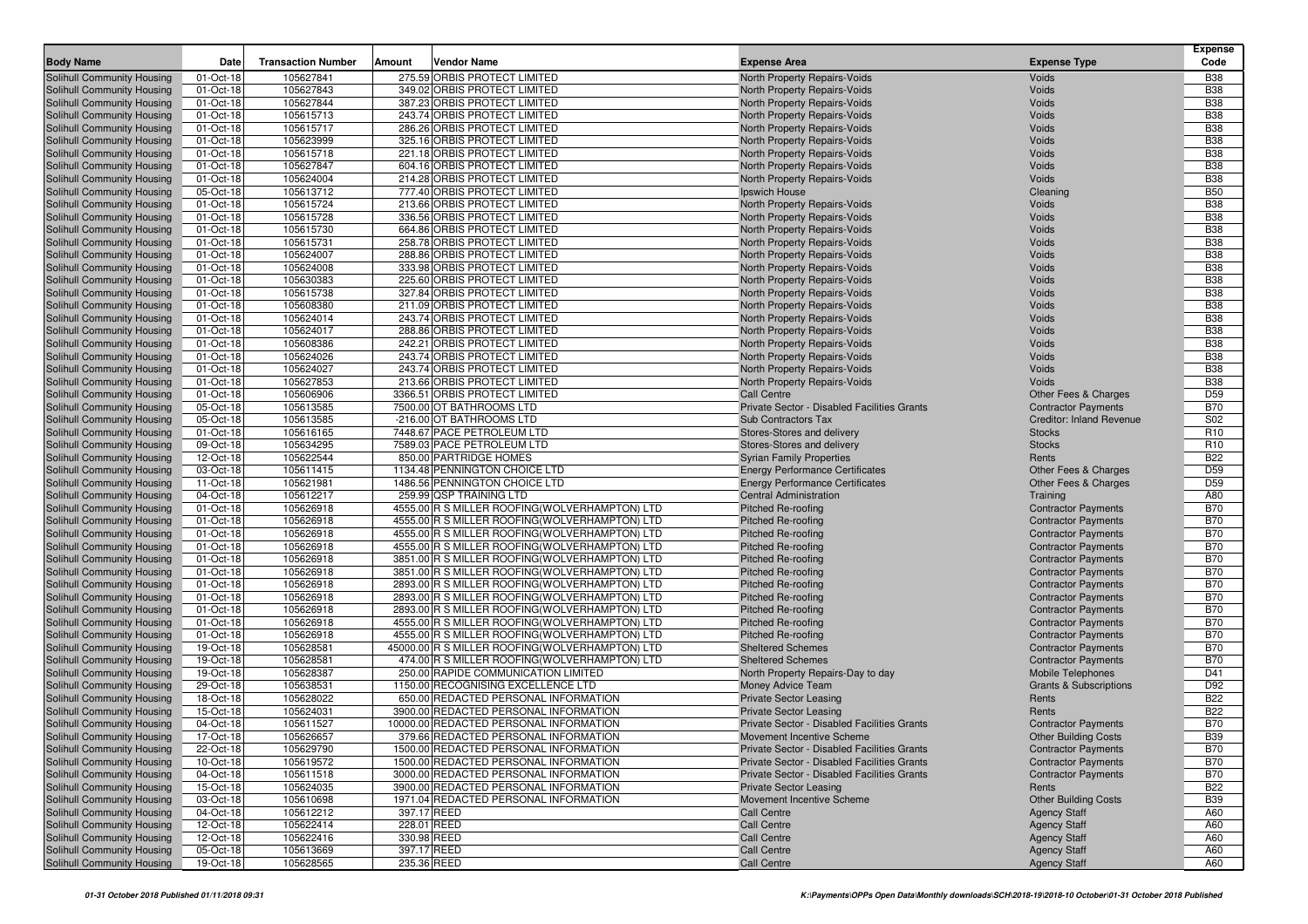| <b>Body Name</b>                                         | Date                   | <b>Transaction Number</b> | Amount      | <b>Vendor Name</b>                                                                   | <b>Expense Area</b>                                                     | <b>Expense Type</b>                             | <b>Expense</b><br>Code   |
|----------------------------------------------------------|------------------------|---------------------------|-------------|--------------------------------------------------------------------------------------|-------------------------------------------------------------------------|-------------------------------------------------|--------------------------|
|                                                          |                        | 105627841                 |             | 275.59 ORBIS PROTECT LIMITED                                                         |                                                                         |                                                 |                          |
| Solihull Community Housing<br>Solihull Community Housing | 01-Oct-18<br>01-Oct-18 | 105627843                 |             | 349.02 ORBIS PROTECT LIMITED                                                         | North Property Repairs-Voids<br>North Property Repairs-Voids            | Voids<br>Voids                                  | <b>B38</b><br><b>B38</b> |
| Solihull Community Housing                               | 01-Oct-18              | 105627844                 |             | 387.23 ORBIS PROTECT LIMITED                                                         | North Property Repairs-Voids                                            | Voids                                           | <b>B38</b>               |
| Solihull Community Housing                               | 01-Oct-18              | 105615713                 |             | 243.74 ORBIS PROTECT LIMITED                                                         | North Property Repairs-Voids                                            | Voids                                           | <b>B38</b>               |
| Solihull Community Housing                               | 01-Oct-18              | 105615717                 |             | 286.26 ORBIS PROTECT LIMITED                                                         | North Property Repairs-Voids                                            | Voids                                           | <b>B38</b>               |
| Solihull Community Housing                               | 01-Oct-18              | 105623999                 |             | 325.16 ORBIS PROTECT LIMITED                                                         | North Property Repairs-Voids                                            | Voids                                           | <b>B38</b>               |
| Solihull Community Housing                               | 01-Oct-18              | 105615718                 |             | 221.18 ORBIS PROTECT LIMITED                                                         | North Property Repairs-Voids                                            | Voids                                           | <b>B38</b>               |
| Solihull Community Housing                               | 01-Oct-18              | 105627847                 |             | 604.16 ORBIS PROTECT LIMITED                                                         | North Property Repairs-Voids                                            | Voids                                           | <b>B38</b>               |
| Solihull Community Housing                               | 01-Oct-18              | 105624004                 |             | 214.28 ORBIS PROTECT LIMITED                                                         | North Property Repairs-Voids                                            | Voids                                           | <b>B38</b>               |
| Solihull Community Housing                               | 05-Oct-18              | 105613712                 |             | 777.40 ORBIS PROTECT LIMITED                                                         | Ipswich House                                                           | Cleaning                                        | <b>B50</b>               |
| Solihull Community Housing                               | 01-Oct-18              | 105615724                 |             | 213.66 ORBIS PROTECT LIMITED                                                         | North Property Repairs-Voids                                            | Voids                                           | <b>B38</b>               |
| Solihull Community Housing                               | 01-Oct-18              | 105615728                 |             | 336.56 ORBIS PROTECT LIMITED                                                         | North Property Repairs-Voids                                            | Voids                                           | <b>B38</b>               |
| Solihull Community Housing                               | 01-Oct-18              | 105615730                 |             | 664.86 ORBIS PROTECT LIMITED                                                         | North Property Repairs-Voids                                            | Voids                                           | <b>B38</b>               |
| Solihull Community Housing                               | 01-Oct-18              | 105615731                 |             | 258.78 ORBIS PROTECT LIMITED                                                         | North Property Repairs-Voids                                            | Voids                                           | <b>B38</b>               |
| Solihull Community Housing                               | 01-Oct-18              | 105624007                 |             | 288.86 ORBIS PROTECT LIMITED                                                         | North Property Repairs-Voids                                            | Voids                                           | <b>B38</b>               |
| Solihull Community Housing                               | 01-Oct-18              | 105624008                 |             | 333.98 ORBIS PROTECT LIMITED                                                         | North Property Repairs-Voids                                            | Voids                                           | <b>B38</b>               |
| Solihull Community Housing                               | 01-Oct-18              | 105630383                 |             | 225.60 ORBIS PROTECT LIMITED                                                         | North Property Repairs-Voids                                            | Voids                                           | <b>B38</b>               |
| Solihull Community Housing<br>Solihull Community Housing | 01-Oct-18<br>01-Oct-18 | 105615738<br>105608380    |             | 327.84 ORBIS PROTECT LIMITED<br>211.09 ORBIS PROTECT LIMITED                         | North Property Repairs-Voids<br>North Property Repairs-Voids            | Voids<br>Voids                                  | <b>B38</b><br><b>B38</b> |
| Solihull Community Housing                               | 01-Oct-18              | 105624014                 |             | 243.74 ORBIS PROTECT LIMITED                                                         | North Property Repairs-Voids                                            | Voids                                           | <b>B38</b>               |
| Solihull Community Housing                               | 01-Oct-18              | 105624017                 |             | 288.86 ORBIS PROTECT LIMITED                                                         | North Property Repairs-Voids                                            | Voids                                           | <b>B38</b>               |
| Solihull Community Housing                               | 01-Oct-18              | 105608386                 |             | 242.21 ORBIS PROTECT LIMITED                                                         | North Property Repairs-Voids                                            | Voids                                           | <b>B38</b>               |
| Solihull Community Housing                               | 01-Oct-18              | 105624026                 |             | 243.74 ORBIS PROTECT LIMITED                                                         | North Property Repairs-Voids                                            | Voids                                           | <b>B38</b>               |
| Solihull Community Housing                               | 01-Oct-18              | 105624027                 |             | 243.74 ORBIS PROTECT LIMITED                                                         | North Property Repairs-Voids                                            | Voids                                           | <b>B38</b>               |
| Solihull Community Housing                               | 01-Oct-18              | 105627853                 |             | 213.66 ORBIS PROTECT LIMITED                                                         | North Property Repairs-Voids                                            | Voids                                           | <b>B38</b>               |
| Solihull Community Housing                               | 01-Oct-18              | 105606906                 |             | 3366.51 ORBIS PROTECT LIMITED                                                        | <b>Call Centre</b>                                                      | Other Fees & Charges                            | D59                      |
| Solihull Community Housing                               | 05-Oct-18              | 105613585                 |             | 7500.00 OT BATHROOMS LTD                                                             | Private Sector - Disabled Facilities Grants                             | <b>Contractor Payments</b>                      | <b>B70</b>               |
| Solihull Community Housing                               | 05-Oct-18              | 105613585                 |             | -216.00 OT BATHROOMS LTD                                                             | Sub Contractors Tax                                                     | <b>Creditor: Inland Revenue</b>                 | S02                      |
| Solihull Community Housing                               | 01-Oct-18              | 105616165                 |             | 7448.67 PACE PETROLEUM LTD                                                           | Stores-Stores and delivery                                              | <b>Stocks</b>                                   | R <sub>10</sub>          |
| Solihull Community Housing                               | 09-Oct-18              | 105634295                 |             | 7589.03 PACE PETROLEUM LTD                                                           | Stores-Stores and delivery                                              | <b>Stocks</b>                                   | R <sub>10</sub>          |
| Solihull Community Housing                               | 12-Oct-18              | 105622544                 |             | 850.00 PARTRIDGE HOMES                                                               | <b>Syrian Family Properties</b>                                         | Rents                                           | <b>B22</b>               |
| Solihull Community Housing                               | 03-Oct-18              | 105611415                 |             | 1134.48 PENNINGTON CHOICE LTD                                                        | <b>Energy Performance Certificates</b>                                  | Other Fees & Charges                            | D <sub>59</sub>          |
| Solihull Community Housing                               | 11-Oct-18<br>04-Oct-18 | 105621981<br>105612217    |             | 1486.56 PENNINGTON CHOICE LTD<br>259.99 QSP TRAINING LTD                             | <b>Energy Performance Certificates</b><br><b>Central Administration</b> | Other Fees & Charges                            | D <sub>59</sub><br>A80   |
| Solihull Community Housing<br>Solihull Community Housing | 01-Oct-18              | 105626918                 |             | 4555.00 R S MILLER ROOFING(WOLVERHAMPTON) LTD                                        | Pitched Re-roofing                                                      | Training<br><b>Contractor Payments</b>          | <b>B70</b>               |
| Solihull Community Housing                               | 01-Oct-18              | 105626918                 |             | 4555.00 R S MILLER ROOFING (WOLVERHAMPTON) LTD                                       | Pitched Re-roofing                                                      | <b>Contractor Payments</b>                      | <b>B70</b>               |
| Solihull Community Housing                               | 01-Oct-18              | 105626918                 |             | 4555.00 R S MILLER ROOFING(WOLVERHAMPTON) LTD                                        | Pitched Re-roofing                                                      | <b>Contractor Payments</b>                      | <b>B70</b>               |
| Solihull Community Housing                               | 01-Oct-18              | 105626918                 |             | 4555.00 R S MILLER ROOFING(WOLVERHAMPTON) LTD                                        | Pitched Re-roofing                                                      | <b>Contractor Payments</b>                      | <b>B70</b>               |
| Solihull Community Housing                               | 01-Oct-18              | 105626918                 |             | 3851.00 R S MILLER ROOFING(WOLVERHAMPTON) LTD                                        | Pitched Re-roofing                                                      | <b>Contractor Payments</b>                      | <b>B70</b>               |
| Solihull Community Housing                               | 01-Oct-18              | 105626918                 |             | 3851.00 R S MILLER ROOFING (WOLVERHAMPTON) LTD                                       | Pitched Re-roofing                                                      | <b>Contractor Payments</b>                      | <b>B70</b>               |
| Solihull Community Housing                               | 01-Oct-18              | 105626918                 |             | 2893.00 R S MILLER ROOFING(WOLVERHAMPTON) LTD                                        | Pitched Re-roofing                                                      | <b>Contractor Payments</b>                      | <b>B70</b>               |
| Solihull Community Housing                               | 01-Oct-18              | 105626918                 |             | 2893.00 R S MILLER ROOFING (WOLVERHAMPTON) LTD                                       | Pitched Re-roofing                                                      | <b>Contractor Payments</b>                      | <b>B70</b>               |
| Solihull Community Housing                               | 01-Oct-18              | 105626918                 |             | 2893.00 R S MILLER ROOFING (WOLVERHAMPTON) LTD                                       | Pitched Re-roofing                                                      | <b>Contractor Payments</b>                      | <b>B70</b>               |
| Solihull Community Housing                               | 01-Oct-18              | 105626918                 |             | 4555.00 R S MILLER ROOFING(WOLVERHAMPTON) LTD                                        | Pitched Re-roofing                                                      | <b>Contractor Payments</b>                      | <b>B70</b>               |
| Solihull Community Housing                               | 01-Oct-18              | 105626918                 |             | 4555.00 R S MILLER ROOFING(WOLVERHAMPTON) LTD                                        | <b>Pitched Re-roofing</b>                                               | <b>Contractor Payments</b>                      | <b>B70</b>               |
| Solihull Community Housing                               | 19-Oct-18              | 105628581                 |             | 45000.00 R S MILLER ROOFING (WOLVERHAMPTON) LTD                                      | <b>Sheltered Schemes</b>                                                | <b>Contractor Payments</b>                      | <b>B70</b>               |
| Solihull Community Housing                               | 19-Oct-18<br>19-Oct-18 | 105628581<br>105628387    |             | 474.00 R S MILLER ROOFING (WOLVERHAMPTON) LTD<br>250.00 RAPIDE COMMUNICATION LIMITED | <b>Sheltered Schemes</b><br>North Property Repairs-Day to day           | <b>Contractor Payments</b><br>Mobile Telephones | <b>B70</b><br>D41        |
| Solihull Community Housing<br>Solihull Community Housing | 29-Oct-18              | 105638531                 |             | 1150.00 RECOGNISING EXCELLENCE LTD                                                   | Money Advice Team                                                       | <b>Grants &amp; Subscriptions</b>               | D92                      |
| Solihull Community Housing                               | 18-Oct-18              | 105628022                 |             | 650.00 REDACTED PERSONAL INFORMATION                                                 | <b>Private Sector Leasing</b>                                           | Rents                                           | <b>B22</b>               |
| Solihull Community Housing                               | 15-Oct-18              | 105624031                 |             | 3900.00 REDACTED PERSONAL INFORMATION                                                | <b>Private Sector Leasing</b>                                           | Rents                                           | <b>B22</b>               |
| Solihull Community Housing                               | 04-Oct-18              | 105611527                 |             | 10000.00 REDACTED PERSONAL INFORMATION                                               | Private Sector - Disabled Facilities Grants                             | <b>Contractor Payments</b>                      | <b>B70</b>               |
| <b>Solihull Community Housing</b>                        | 17-Oct-18              | 105626657                 |             | 379.66 REDACTED PERSONAL INFORMATION                                                 | Movement Incentive Scheme                                               | <b>Other Building Costs</b>                     | <b>B39</b>               |
| Solihull Community Housing                               | 22-Oct-18              | 105629790                 |             | 1500.00 REDACTED PERSONAL INFORMATION                                                | Private Sector - Disabled Facilities Grants                             | <b>Contractor Payments</b>                      | <b>B70</b>               |
| Solihull Community Housing                               | $10$ -Oct-18           | 105619572                 |             | 1500.00 REDACTED PERSONAL INFORMATION                                                | Private Sector - Disabled Facilities Grants                             | <b>Contractor Payments</b>                      | <b>B70</b>               |
| Solihull Community Housing                               | 04-Oct-18              | 105611518                 |             | 3000.00 REDACTED PERSONAL INFORMATION                                                | Private Sector - Disabled Facilities Grants                             | <b>Contractor Payments</b>                      | <b>B70</b>               |
| Solihull Community Housing                               | 15-Oct-18              | 105624035                 |             | 3900.00 REDACTED PERSONAL INFORMATION                                                | <b>Private Sector Leasing</b>                                           | Rents                                           | <b>B22</b>               |
| Solihull Community Housing                               | 03-Oct-18              | 105610698                 |             | 1971.04 REDACTED PERSONAL INFORMATION                                                | Movement Incentive Scheme                                               | <b>Other Building Costs</b>                     | <b>B39</b>               |
| Solihull Community Housing                               | 04-Oct-18              | 105612212                 | 397.17 REED |                                                                                      | Call Centre                                                             | <b>Agency Staff</b>                             | A60                      |
| Solihull Community Housing                               | 12-Oct-18              | 105622414                 | 228.01 REED |                                                                                      | <b>Call Centre</b>                                                      | <b>Agency Staff</b>                             | A60                      |
| Solihull Community Housing                               | 12-Oct-18              | 105622416                 | 330.98 REED |                                                                                      | <b>Call Centre</b>                                                      | <b>Agency Staff</b>                             | A60                      |
| Solihull Community Housing<br>Solihull Community Housing | 05-Oct-18              | 105613669<br>105628565    | 397.17 REED |                                                                                      | <b>Call Centre</b>                                                      | <b>Agency Staff</b>                             | A60                      |
|                                                          | 19-Oct-18              |                           | 235.36 REED |                                                                                      | <b>Call Centre</b>                                                      | <b>Agency Staff</b>                             | A60                      |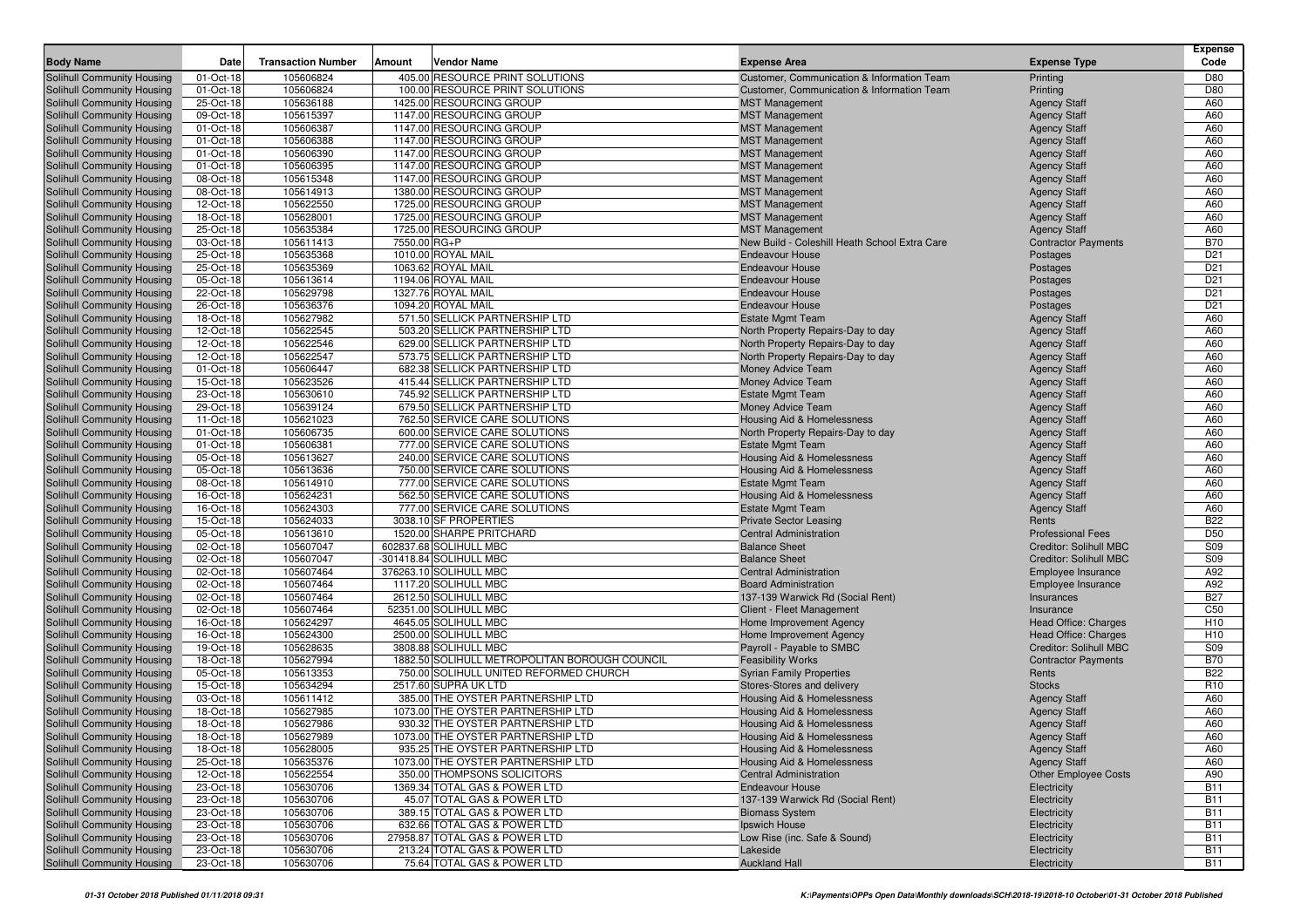| 405.00 RESOURCE PRINT SOLUTIONS<br>Solihull Community Housing<br>105606824<br>01-Oct-18<br>Customer, Communication & Information Team<br>Printing<br>D80<br>01-Oct-18<br>105606824<br>100.00 RESOURCE PRINT SOLUTIONS<br>D80<br>Solihull Community Housing<br>Customer, Communication & Information Team<br>Printing<br>A60<br>25-Oct-18<br>105636188<br>1425.00 RESOURCING GROUP<br>Solihull Community Housing<br><b>MST Management</b><br><b>Agency Staff</b><br>09-Oct-18<br>105615397<br>1147.00 RESOURCING GROUP<br><b>Agency Staff</b><br>A60<br>Solihull Community Housing<br><b>MST Management</b><br>Solihull Community Housing<br>01-Oct-18<br>105606387<br>1147.00 RESOURCING GROUP<br><b>Agency Staff</b><br>A60<br><b>MST Management</b><br>A60<br>Solihull Community Housing<br>01-Oct-18<br>105606388<br>1147.00 RESOURCING GROUP<br><b>MST Management</b><br><b>Agency Staff</b><br>01-Oct-18<br>105606390<br>1147.00 RESOURCING GROUP<br>A60<br>Solihull Community Housing<br><b>MST Management</b><br><b>Agency Staff</b><br>105606395<br>1147.00 RESOURCING GROUP<br><b>Agency Staff</b><br>A60<br>Solihull Community Housing<br>01-Oct-18<br><b>MST Management</b><br>08-Oct-18<br>105615348<br>1147.00 RESOURCING GROUP<br><b>Agency Staff</b><br>A60<br><b>MST Management</b><br>08-Oct-18<br>105614913<br>1380.00 RESOURCING GROUP<br>A60<br><b>MST Management</b><br><b>Agency Staff</b><br>12-Oct-18<br>105622550<br>1725.00 RESOURCING GROUP<br><b>Agency Staff</b><br>A60<br><b>MST Management</b><br>105628001<br>18-Oct-18<br>1725.00 RESOURCING GROUP<br><b>Agency Staff</b><br>A60<br>Solihull Community Housing<br><b>MST Management</b><br>Solihull Community Housing<br>25-Oct-18<br>105635384<br>1725.00 RESOURCING GROUP<br><b>Agency Staff</b><br>A60<br><b>MST Management</b><br>105611413<br>7550.00 RG+P<br><b>B70</b><br>03-Oct-18<br>New Build - Coleshill Heath School Extra Care<br><b>Contractor Payments</b><br>25-Oct-18<br>105635368<br>1010.00 ROYAL MAIL<br>D <sub>21</sub><br><b>Endeavour House</b><br>Postages<br>25-Oct-18<br>105635369<br>1063.62 ROYAL MAIL<br>D <sub>21</sub><br>Solihull Community Housing<br><b>Endeavour House</b><br>Postages<br>05-Oct-18<br>105613614<br>1194.06 ROYAL MAIL<br>D <sub>21</sub><br><b>Endeavour House</b><br>Postages<br>22-Oct-18<br>105629798<br>1327.76 ROYAL MAIL<br>D <sub>21</sub><br>Solihull Community Housing<br><b>Endeavour House</b><br>Postages<br>105636376<br>1094.20 ROYAL MAIL<br>D <sub>21</sub><br>Solihull Community Housing<br>26-Oct-18<br><b>Endeavour House</b><br>Postages<br>18-Oct-18<br>105627982<br>571.50 SELLICK PARTNERSHIP LTD<br>A60<br>Solihull Community Housing<br><b>Estate Mgmt Team</b><br><b>Agency Staff</b><br>Solihull Community Housing<br>12-Oct-18<br>105622545<br>503.20 SELLICK PARTNERSHIP LTD<br>A60<br>North Property Repairs-Day to day<br><b>Agency Staff</b><br>Solihull Community Housing<br>12-Oct-18<br>105622546<br>629.00 SELLICK PARTNERSHIP LTD<br><b>Agency Staff</b><br>A60<br>North Property Repairs-Day to day<br>105622547<br>573.75 SELLICK PARTNERSHIP LTD<br>A60<br>Solihull Community Housing<br>12-Oct-18<br>North Property Repairs-Day to day<br><b>Agency Staff</b><br>A60<br>01-Oct-18<br>105606447<br>682.38 SELLICK PARTNERSHIP LTD<br>Solihull Community Housing<br>Money Advice Team<br><b>Agency Staff</b><br>15-Oct-18<br>105623526<br>415.44 SELLICK PARTNERSHIP LTD<br><b>Agency Staff</b><br>A60<br>Solihull Community Housing<br>Money Advice Team<br>105630610<br>745.92 SELLICK PARTNERSHIP LTD<br>A60<br>Solihull Community Housing<br>23-Oct-18<br><b>Estate Mgmt Team</b><br><b>Agency Staff</b><br>29-Oct-18<br>105639124<br>679.50 SELLICK PARTNERSHIP LTD<br>A60<br>Solihull Community Housing<br>Money Advice Team<br><b>Agency Staff</b><br>11-Oct-18<br>105621023<br>762.50 SERVICE CARE SOLUTIONS<br>A60<br>Solihull Community Housing<br><b>Housing Aid &amp; Homelessness</b><br><b>Agency Staff</b><br>01-Oct-18<br>105606735<br>600.00 SERVICE CARE SOLUTIONS<br><b>Agency Staff</b><br>A60<br>Solihull Community Housing<br>North Property Repairs-Day to day<br>Solihull Community Housing<br>105606381<br>777.00 SERVICE CARE SOLUTIONS<br><b>Estate Mgmt Team</b><br><b>Agency Staff</b><br>A60<br>01-Oct-18<br>A60<br>Solihull Community Housing<br>05-Oct-18<br>105613627<br>240.00 SERVICE CARE SOLUTIONS<br>Housing Aid & Homelessness<br><b>Agency Staff</b><br>05-Oct-18<br>105613636<br>750.00 SERVICE CARE SOLUTIONS<br>A60<br>Solihull Community Housing<br>Housing Aid & Homelessness<br><b>Agency Staff</b><br>777.00 SERVICE CARE SOLUTIONS<br>A60<br>Solihull Community Housing<br>08-Oct-18<br>105614910<br><b>Estate Mgmt Team</b><br><b>Agency Staff</b><br>16-Oct-18<br>105624231<br>562.50 SERVICE CARE SOLUTIONS<br>Housing Aid & Homelessness<br>A60<br>Solihull Community Housing<br><b>Agency Staff</b><br>16-Oct-18<br>105624303<br>777.00 SERVICE CARE SOLUTIONS<br>A60<br>Solihull Community Housing<br><b>Estate Mgmt Team</b><br><b>Agency Staff</b><br>15-Oct-18<br>105624033<br>3038.10 SF PROPERTIES<br><b>B22</b><br>Solihull Community Housing<br><b>Private Sector Leasing</b><br>Rents<br>D <sub>50</sub><br>05-Oct-18<br>105613610<br>1520.00 SHARPE PRITCHARD<br><b>Central Administration</b><br><b>Professional Fees</b><br>02-Oct-18<br>105607047<br>602837.68 SOLIHULL MBC<br>Creditor: Solihull MBC<br>S09<br><b>Balance Sheet</b><br>105607047<br>-301418.84 SOLIHULL MBC<br>S09<br>02-Oct-18<br><b>Balance Sheet</b><br><b>Creditor: Solihull MBC</b><br>376263.10 SOLIHULL MBC<br>A92<br>02-Oct-18<br>105607464<br><b>Central Administration</b><br>Employee Insurance<br>02-Oct-18<br>105607464<br>1117.20 SOLIHULL MBC<br>A92<br><b>Board Administration</b><br>Employee Insurance<br><b>B27</b><br>02-Oct-18<br>105607464<br>2612.50 SOLIHULL MBC<br>137-139 Warwick Rd (Social Rent)<br>Insurances<br>C <sub>50</sub><br>02-Oct-18<br>105607464<br>52351.00 SOLIHULL MBC<br>Client - Fleet Management<br>Insurance<br>105624297<br>4645.05 SOLIHULL MBC<br>H <sub>10</sub><br>Solihull Community Housing<br>16-Oct-18<br>Home Improvement Agency<br>Head Office: Charges<br>16-Oct-18<br>105624300<br>2500.00 SOLIHULL MBC<br>H <sub>10</sub><br>Solihull Community Housing<br>Home Improvement Agency<br>Head Office: Charges<br><b>S09</b><br>19-Oct-18<br>105628635<br>3808.88 SOLIHULL MBC<br>Payroll - Payable to SMBC<br><b>Creditor: Solihull MBC</b><br>Solihull Community Housing<br>Solihull Community Housing<br>18-Oct-18<br>105627994<br>1882.50 SOLIHULL METROPOLITAN BOROUGH COUNCIL<br><b>B70</b><br><b>Feasibility Works</b><br><b>Contractor Payments</b><br>05-Oct-18<br>105613353<br>750.00 SOLIHULL UNITED REFORMED CHURCH<br><b>B22</b><br>Solihull Community Housing<br><b>Syrian Family Properties</b><br>Rents<br>15-Oct-18<br>105634294<br>2517.60 SUPRA UK LTD<br>R <sub>10</sub><br>Solihull Community Housing<br>Stores-Stores and delivery<br><b>Stocks</b><br>03-Oct-18<br>105611412<br>385.00 THE OYSTER PARTNERSHIP LTD<br>A60<br>Solihull Community Housing<br>Housing Aid & Homelessness<br><b>Agency Staff</b><br>18-Oct-18<br>105627985<br>1073.00 THE OYSTER PARTNERSHIP LTD<br>A60<br>Solihull Community Housing<br>Housing Aid & Homelessness<br><b>Agency Staff</b><br>Solihull Community Housing<br>18-Oct-18<br>105627986<br>930.32 THE OYSTER PARTNERSHIP LTD<br>A60<br>Housing Aid & Homelessness<br><b>Agency Staff</b><br>A60<br><b>Solihull Community Housing</b><br>18-Oct-18<br>105627989<br>1073.00 THE OYSTER PARTNERSHIP LTD<br>Housing Aid & Homelessness<br><b>Agency Staff</b><br>Solihull Community Housing<br>105628005<br>935.25 THE OYSTER PARTNERSHIP LTD<br><b>Housing Aid &amp; Homelessness</b><br><b>Agency Staff</b><br>A60<br>18-Oct-18<br>Solihull Community Housing<br>25-Oct-18<br>105635376<br>1073.00 THE OYSTER PARTNERSHIP LTD<br>Housing Aid & Homelessness<br><b>Agency Staff</b><br>A60<br>Solihull Community Housing<br>12-Oct-18<br>105622554<br>350.00 THOMPSONS SOLICITORS<br><b>Central Administration</b><br><b>Other Employee Costs</b><br>A90<br>Solihull Community Housing<br>23-Oct-18<br>105630706<br>1369.34 TOTAL GAS & POWER LTD<br><b>Endeavour House</b><br>Electricity<br><b>B11</b><br>Solihull Community Housing<br>23-Oct-18<br>105630706<br>45.07 TOTAL GAS & POWER LTD<br>137-139 Warwick Rd (Social Rent)<br><b>B11</b><br>Electricity<br>Solihull Community Housing<br>23-Oct-18<br>105630706<br>389.15 TOTAL GAS & POWER LTD<br><b>B11</b><br><b>Biomass System</b><br>Electricity<br>Solihull Community Housing<br>23-Oct-18<br>105630706<br>632.66 TOTAL GAS & POWER LTD<br>Ipswich House<br><b>B11</b><br>Electricity<br>Solihull Community Housing<br>23-Oct-18<br>105630706<br>27958.87 TOTAL GAS & POWER LTD<br>Low Rise (inc. Safe & Sound)<br><b>B11</b><br>Electricity<br>105630706<br>213.24 TOTAL GAS & POWER LTD<br>Solihull Community Housing<br>23-Oct-18<br><b>B11</b><br>Lakeside<br>Electricity<br>75.64 TOTAL GAS & POWER LTD<br>23-Oct-18<br>105630706<br><b>Auckland Hall</b><br>Electricity<br><b>B11</b> | <b>Body Name</b>           | Date | <b>Transaction Number</b> | Vendor Name<br>Amount | <b>Expense Area</b> | <b>Expense Type</b> | <b>Expense</b><br>Code |
|---------------------------------------------------------------------------------------------------------------------------------------------------------------------------------------------------------------------------------------------------------------------------------------------------------------------------------------------------------------------------------------------------------------------------------------------------------------------------------------------------------------------------------------------------------------------------------------------------------------------------------------------------------------------------------------------------------------------------------------------------------------------------------------------------------------------------------------------------------------------------------------------------------------------------------------------------------------------------------------------------------------------------------------------------------------------------------------------------------------------------------------------------------------------------------------------------------------------------------------------------------------------------------------------------------------------------------------------------------------------------------------------------------------------------------------------------------------------------------------------------------------------------------------------------------------------------------------------------------------------------------------------------------------------------------------------------------------------------------------------------------------------------------------------------------------------------------------------------------------------------------------------------------------------------------------------------------------------------------------------------------------------------------------------------------------------------------------------------------------------------------------------------------------------------------------------------------------------------------------------------------------------------------------------------------------------------------------------------------------------------------------------------------------------------------------------------------------------------------------------------------------------------------------------------------------------------------------------------------------------------------------------------------------------------------------------------------------------------------------------------------------------------------------------------------------------------------------------------------------------------------------------------------------------------------------------------------------------------------------------------------------------------------------------------------------------------------------------------------------------------------------------------------------------------------------------------------------------------------------------------------------------------------------------------------------------------------------------------------------------------------------------------------------------------------------------------------------------------------------------------------------------------------------------------------------------------------------------------------------------------------------------------------------------------------------------------------------------------------------------------------------------------------------------------------------------------------------------------------------------------------------------------------------------------------------------------------------------------------------------------------------------------------------------------------------------------------------------------------------------------------------------------------------------------------------------------------------------------------------------------------------------------------------------------------------------------------------------------------------------------------------------------------------------------------------------------------------------------------------------------------------------------------------------------------------------------------------------------------------------------------------------------------------------------------------------------------------------------------------------------------------------------------------------------------------------------------------------------------------------------------------------------------------------------------------------------------------------------------------------------------------------------------------------------------------------------------------------------------------------------------------------------------------------------------------------------------------------------------------------------------------------------------------------------------------------------------------------------------------------------------------------------------------------------------------------------------------------------------------------------------------------------------------------------------------------------------------------------------------------------------------------------------------------------------------------------------------------------------------------------------------------------------------------------------------------------------------------------------------------------------------------------------------------------------------------------------------------------------------------------------------------------------------------------------------------------------------------------------------------------------------------------------------------------------------------------------------------------------------------------------------------------------------------------------------------------------------------------------------------------------------------------------------------------------------------------------------------------------------------------------------------------------------------------------------------------------------------------------------------------------------------------------------------------------------------------------------------------------------------------------------------------------------------------------------------------------------------------------------------------------------------------------------------------------------------------------------------------------------------------------------------------------------------------------------------------------------------------------------------------------------------------------------------------------------------------------------------------------------------------------------------------------------------------------------------------------------------------------------------------------------------------------------------------------------------------------------------------------------------------------------------------------------------------------------------------------------------------------------------------------------------------------------------------------------------------------------------------------------------------------------------------------------------------------------------------------------------------------------------------------------------------------------------------------------------------------------------------------------------------------------------------------------------------------------------------------------------------------------------------------------------------------------------------------------------------------------------------------------------------------------------------------------------------------------------------------------------------------------------------------------------------------------------------------------------------------------------------------------------------------------------------------------------------------------------------------------------------------------------------------------------------------------------------------------------------------------------------------------------------------------------------------------------------------------------------------------------------------------------------------------------------------------------------------------------------------------------------------------------------------------------------------------------------------------------------------------------------------------------------------------------------------------------------------------------|----------------------------|------|---------------------------|-----------------------|---------------------|---------------------|------------------------|
|                                                                                                                                                                                                                                                                                                                                                                                                                                                                                                                                                                                                                                                                                                                                                                                                                                                                                                                                                                                                                                                                                                                                                                                                                                                                                                                                                                                                                                                                                                                                                                                                                                                                                                                                                                                                                                                                                                                                                                                                                                                                                                                                                                                                                                                                                                                                                                                                                                                                                                                                                                                                                                                                                                                                                                                                                                                                                                                                                                                                                                                                                                                                                                                                                                                                                                                                                                                                                                                                                                                                                                                                                                                                                                                                                                                                                                                                                                                                                                                                                                                                                                                                                                                                                                                                                                                                                                                                                                                                                                                                                                                                                                                                                                                                                                                                                                                                                                                                                                                                                                                                                                                                                                                                                                                                                                                                                                                                                                                                                                                                                                                                                                                                                                                                                                                                                                                                                                                                                                                                                                                                                                                                                                                                                                                                                                                                                                                                                                                                                                                                                                                                                                                                                                                                                                                                                                                                                                                                                                                                                                                                                                                                                                                                                                                                                                                                                                                                                                                                                                                                                                                                                                                                                                                                                                                                                                                                                                                                                                                                                                                                                                                                                                                                                                                                                                                                                                                                                                                                                                                                                                                                                                                                                                                                                                                                                                                                                                                                                                                                                                                                                                                                                                                             |                            |      |                           |                       |                     |                     |                        |
|                                                                                                                                                                                                                                                                                                                                                                                                                                                                                                                                                                                                                                                                                                                                                                                                                                                                                                                                                                                                                                                                                                                                                                                                                                                                                                                                                                                                                                                                                                                                                                                                                                                                                                                                                                                                                                                                                                                                                                                                                                                                                                                                                                                                                                                                                                                                                                                                                                                                                                                                                                                                                                                                                                                                                                                                                                                                                                                                                                                                                                                                                                                                                                                                                                                                                                                                                                                                                                                                                                                                                                                                                                                                                                                                                                                                                                                                                                                                                                                                                                                                                                                                                                                                                                                                                                                                                                                                                                                                                                                                                                                                                                                                                                                                                                                                                                                                                                                                                                                                                                                                                                                                                                                                                                                                                                                                                                                                                                                                                                                                                                                                                                                                                                                                                                                                                                                                                                                                                                                                                                                                                                                                                                                                                                                                                                                                                                                                                                                                                                                                                                                                                                                                                                                                                                                                                                                                                                                                                                                                                                                                                                                                                                                                                                                                                                                                                                                                                                                                                                                                                                                                                                                                                                                                                                                                                                                                                                                                                                                                                                                                                                                                                                                                                                                                                                                                                                                                                                                                                                                                                                                                                                                                                                                                                                                                                                                                                                                                                                                                                                                                                                                                                                                             |                            |      |                           |                       |                     |                     |                        |
|                                                                                                                                                                                                                                                                                                                                                                                                                                                                                                                                                                                                                                                                                                                                                                                                                                                                                                                                                                                                                                                                                                                                                                                                                                                                                                                                                                                                                                                                                                                                                                                                                                                                                                                                                                                                                                                                                                                                                                                                                                                                                                                                                                                                                                                                                                                                                                                                                                                                                                                                                                                                                                                                                                                                                                                                                                                                                                                                                                                                                                                                                                                                                                                                                                                                                                                                                                                                                                                                                                                                                                                                                                                                                                                                                                                                                                                                                                                                                                                                                                                                                                                                                                                                                                                                                                                                                                                                                                                                                                                                                                                                                                                                                                                                                                                                                                                                                                                                                                                                                                                                                                                                                                                                                                                                                                                                                                                                                                                                                                                                                                                                                                                                                                                                                                                                                                                                                                                                                                                                                                                                                                                                                                                                                                                                                                                                                                                                                                                                                                                                                                                                                                                                                                                                                                                                                                                                                                                                                                                                                                                                                                                                                                                                                                                                                                                                                                                                                                                                                                                                                                                                                                                                                                                                                                                                                                                                                                                                                                                                                                                                                                                                                                                                                                                                                                                                                                                                                                                                                                                                                                                                                                                                                                                                                                                                                                                                                                                                                                                                                                                                                                                                                                                             |                            |      |                           |                       |                     |                     |                        |
|                                                                                                                                                                                                                                                                                                                                                                                                                                                                                                                                                                                                                                                                                                                                                                                                                                                                                                                                                                                                                                                                                                                                                                                                                                                                                                                                                                                                                                                                                                                                                                                                                                                                                                                                                                                                                                                                                                                                                                                                                                                                                                                                                                                                                                                                                                                                                                                                                                                                                                                                                                                                                                                                                                                                                                                                                                                                                                                                                                                                                                                                                                                                                                                                                                                                                                                                                                                                                                                                                                                                                                                                                                                                                                                                                                                                                                                                                                                                                                                                                                                                                                                                                                                                                                                                                                                                                                                                                                                                                                                                                                                                                                                                                                                                                                                                                                                                                                                                                                                                                                                                                                                                                                                                                                                                                                                                                                                                                                                                                                                                                                                                                                                                                                                                                                                                                                                                                                                                                                                                                                                                                                                                                                                                                                                                                                                                                                                                                                                                                                                                                                                                                                                                                                                                                                                                                                                                                                                                                                                                                                                                                                                                                                                                                                                                                                                                                                                                                                                                                                                                                                                                                                                                                                                                                                                                                                                                                                                                                                                                                                                                                                                                                                                                                                                                                                                                                                                                                                                                                                                                                                                                                                                                                                                                                                                                                                                                                                                                                                                                                                                                                                                                                                                             |                            |      |                           |                       |                     |                     |                        |
|                                                                                                                                                                                                                                                                                                                                                                                                                                                                                                                                                                                                                                                                                                                                                                                                                                                                                                                                                                                                                                                                                                                                                                                                                                                                                                                                                                                                                                                                                                                                                                                                                                                                                                                                                                                                                                                                                                                                                                                                                                                                                                                                                                                                                                                                                                                                                                                                                                                                                                                                                                                                                                                                                                                                                                                                                                                                                                                                                                                                                                                                                                                                                                                                                                                                                                                                                                                                                                                                                                                                                                                                                                                                                                                                                                                                                                                                                                                                                                                                                                                                                                                                                                                                                                                                                                                                                                                                                                                                                                                                                                                                                                                                                                                                                                                                                                                                                                                                                                                                                                                                                                                                                                                                                                                                                                                                                                                                                                                                                                                                                                                                                                                                                                                                                                                                                                                                                                                                                                                                                                                                                                                                                                                                                                                                                                                                                                                                                                                                                                                                                                                                                                                                                                                                                                                                                                                                                                                                                                                                                                                                                                                                                                                                                                                                                                                                                                                                                                                                                                                                                                                                                                                                                                                                                                                                                                                                                                                                                                                                                                                                                                                                                                                                                                                                                                                                                                                                                                                                                                                                                                                                                                                                                                                                                                                                                                                                                                                                                                                                                                                                                                                                                                                             |                            |      |                           |                       |                     |                     |                        |
|                                                                                                                                                                                                                                                                                                                                                                                                                                                                                                                                                                                                                                                                                                                                                                                                                                                                                                                                                                                                                                                                                                                                                                                                                                                                                                                                                                                                                                                                                                                                                                                                                                                                                                                                                                                                                                                                                                                                                                                                                                                                                                                                                                                                                                                                                                                                                                                                                                                                                                                                                                                                                                                                                                                                                                                                                                                                                                                                                                                                                                                                                                                                                                                                                                                                                                                                                                                                                                                                                                                                                                                                                                                                                                                                                                                                                                                                                                                                                                                                                                                                                                                                                                                                                                                                                                                                                                                                                                                                                                                                                                                                                                                                                                                                                                                                                                                                                                                                                                                                                                                                                                                                                                                                                                                                                                                                                                                                                                                                                                                                                                                                                                                                                                                                                                                                                                                                                                                                                                                                                                                                                                                                                                                                                                                                                                                                                                                                                                                                                                                                                                                                                                                                                                                                                                                                                                                                                                                                                                                                                                                                                                                                                                                                                                                                                                                                                                                                                                                                                                                                                                                                                                                                                                                                                                                                                                                                                                                                                                                                                                                                                                                                                                                                                                                                                                                                                                                                                                                                                                                                                                                                                                                                                                                                                                                                                                                                                                                                                                                                                                                                                                                                                                                             |                            |      |                           |                       |                     |                     |                        |
|                                                                                                                                                                                                                                                                                                                                                                                                                                                                                                                                                                                                                                                                                                                                                                                                                                                                                                                                                                                                                                                                                                                                                                                                                                                                                                                                                                                                                                                                                                                                                                                                                                                                                                                                                                                                                                                                                                                                                                                                                                                                                                                                                                                                                                                                                                                                                                                                                                                                                                                                                                                                                                                                                                                                                                                                                                                                                                                                                                                                                                                                                                                                                                                                                                                                                                                                                                                                                                                                                                                                                                                                                                                                                                                                                                                                                                                                                                                                                                                                                                                                                                                                                                                                                                                                                                                                                                                                                                                                                                                                                                                                                                                                                                                                                                                                                                                                                                                                                                                                                                                                                                                                                                                                                                                                                                                                                                                                                                                                                                                                                                                                                                                                                                                                                                                                                                                                                                                                                                                                                                                                                                                                                                                                                                                                                                                                                                                                                                                                                                                                                                                                                                                                                                                                                                                                                                                                                                                                                                                                                                                                                                                                                                                                                                                                                                                                                                                                                                                                                                                                                                                                                                                                                                                                                                                                                                                                                                                                                                                                                                                                                                                                                                                                                                                                                                                                                                                                                                                                                                                                                                                                                                                                                                                                                                                                                                                                                                                                                                                                                                                                                                                                                                                             |                            |      |                           |                       |                     |                     |                        |
|                                                                                                                                                                                                                                                                                                                                                                                                                                                                                                                                                                                                                                                                                                                                                                                                                                                                                                                                                                                                                                                                                                                                                                                                                                                                                                                                                                                                                                                                                                                                                                                                                                                                                                                                                                                                                                                                                                                                                                                                                                                                                                                                                                                                                                                                                                                                                                                                                                                                                                                                                                                                                                                                                                                                                                                                                                                                                                                                                                                                                                                                                                                                                                                                                                                                                                                                                                                                                                                                                                                                                                                                                                                                                                                                                                                                                                                                                                                                                                                                                                                                                                                                                                                                                                                                                                                                                                                                                                                                                                                                                                                                                                                                                                                                                                                                                                                                                                                                                                                                                                                                                                                                                                                                                                                                                                                                                                                                                                                                                                                                                                                                                                                                                                                                                                                                                                                                                                                                                                                                                                                                                                                                                                                                                                                                                                                                                                                                                                                                                                                                                                                                                                                                                                                                                                                                                                                                                                                                                                                                                                                                                                                                                                                                                                                                                                                                                                                                                                                                                                                                                                                                                                                                                                                                                                                                                                                                                                                                                                                                                                                                                                                                                                                                                                                                                                                                                                                                                                                                                                                                                                                                                                                                                                                                                                                                                                                                                                                                                                                                                                                                                                                                                                                             |                            |      |                           |                       |                     |                     |                        |
|                                                                                                                                                                                                                                                                                                                                                                                                                                                                                                                                                                                                                                                                                                                                                                                                                                                                                                                                                                                                                                                                                                                                                                                                                                                                                                                                                                                                                                                                                                                                                                                                                                                                                                                                                                                                                                                                                                                                                                                                                                                                                                                                                                                                                                                                                                                                                                                                                                                                                                                                                                                                                                                                                                                                                                                                                                                                                                                                                                                                                                                                                                                                                                                                                                                                                                                                                                                                                                                                                                                                                                                                                                                                                                                                                                                                                                                                                                                                                                                                                                                                                                                                                                                                                                                                                                                                                                                                                                                                                                                                                                                                                                                                                                                                                                                                                                                                                                                                                                                                                                                                                                                                                                                                                                                                                                                                                                                                                                                                                                                                                                                                                                                                                                                                                                                                                                                                                                                                                                                                                                                                                                                                                                                                                                                                                                                                                                                                                                                                                                                                                                                                                                                                                                                                                                                                                                                                                                                                                                                                                                                                                                                                                                                                                                                                                                                                                                                                                                                                                                                                                                                                                                                                                                                                                                                                                                                                                                                                                                                                                                                                                                                                                                                                                                                                                                                                                                                                                                                                                                                                                                                                                                                                                                                                                                                                                                                                                                                                                                                                                                                                                                                                                                                             | Solihull Community Housing |      |                           |                       |                     |                     |                        |
|                                                                                                                                                                                                                                                                                                                                                                                                                                                                                                                                                                                                                                                                                                                                                                                                                                                                                                                                                                                                                                                                                                                                                                                                                                                                                                                                                                                                                                                                                                                                                                                                                                                                                                                                                                                                                                                                                                                                                                                                                                                                                                                                                                                                                                                                                                                                                                                                                                                                                                                                                                                                                                                                                                                                                                                                                                                                                                                                                                                                                                                                                                                                                                                                                                                                                                                                                                                                                                                                                                                                                                                                                                                                                                                                                                                                                                                                                                                                                                                                                                                                                                                                                                                                                                                                                                                                                                                                                                                                                                                                                                                                                                                                                                                                                                                                                                                                                                                                                                                                                                                                                                                                                                                                                                                                                                                                                                                                                                                                                                                                                                                                                                                                                                                                                                                                                                                                                                                                                                                                                                                                                                                                                                                                                                                                                                                                                                                                                                                                                                                                                                                                                                                                                                                                                                                                                                                                                                                                                                                                                                                                                                                                                                                                                                                                                                                                                                                                                                                                                                                                                                                                                                                                                                                                                                                                                                                                                                                                                                                                                                                                                                                                                                                                                                                                                                                                                                                                                                                                                                                                                                                                                                                                                                                                                                                                                                                                                                                                                                                                                                                                                                                                                                                             | Solihull Community Housing |      |                           |                       |                     |                     |                        |
|                                                                                                                                                                                                                                                                                                                                                                                                                                                                                                                                                                                                                                                                                                                                                                                                                                                                                                                                                                                                                                                                                                                                                                                                                                                                                                                                                                                                                                                                                                                                                                                                                                                                                                                                                                                                                                                                                                                                                                                                                                                                                                                                                                                                                                                                                                                                                                                                                                                                                                                                                                                                                                                                                                                                                                                                                                                                                                                                                                                                                                                                                                                                                                                                                                                                                                                                                                                                                                                                                                                                                                                                                                                                                                                                                                                                                                                                                                                                                                                                                                                                                                                                                                                                                                                                                                                                                                                                                                                                                                                                                                                                                                                                                                                                                                                                                                                                                                                                                                                                                                                                                                                                                                                                                                                                                                                                                                                                                                                                                                                                                                                                                                                                                                                                                                                                                                                                                                                                                                                                                                                                                                                                                                                                                                                                                                                                                                                                                                                                                                                                                                                                                                                                                                                                                                                                                                                                                                                                                                                                                                                                                                                                                                                                                                                                                                                                                                                                                                                                                                                                                                                                                                                                                                                                                                                                                                                                                                                                                                                                                                                                                                                                                                                                                                                                                                                                                                                                                                                                                                                                                                                                                                                                                                                                                                                                                                                                                                                                                                                                                                                                                                                                                                                             | Solihull Community Housing |      |                           |                       |                     |                     |                        |
|                                                                                                                                                                                                                                                                                                                                                                                                                                                                                                                                                                                                                                                                                                                                                                                                                                                                                                                                                                                                                                                                                                                                                                                                                                                                                                                                                                                                                                                                                                                                                                                                                                                                                                                                                                                                                                                                                                                                                                                                                                                                                                                                                                                                                                                                                                                                                                                                                                                                                                                                                                                                                                                                                                                                                                                                                                                                                                                                                                                                                                                                                                                                                                                                                                                                                                                                                                                                                                                                                                                                                                                                                                                                                                                                                                                                                                                                                                                                                                                                                                                                                                                                                                                                                                                                                                                                                                                                                                                                                                                                                                                                                                                                                                                                                                                                                                                                                                                                                                                                                                                                                                                                                                                                                                                                                                                                                                                                                                                                                                                                                                                                                                                                                                                                                                                                                                                                                                                                                                                                                                                                                                                                                                                                                                                                                                                                                                                                                                                                                                                                                                                                                                                                                                                                                                                                                                                                                                                                                                                                                                                                                                                                                                                                                                                                                                                                                                                                                                                                                                                                                                                                                                                                                                                                                                                                                                                                                                                                                                                                                                                                                                                                                                                                                                                                                                                                                                                                                                                                                                                                                                                                                                                                                                                                                                                                                                                                                                                                                                                                                                                                                                                                                                                             |                            |      |                           |                       |                     |                     |                        |
|                                                                                                                                                                                                                                                                                                                                                                                                                                                                                                                                                                                                                                                                                                                                                                                                                                                                                                                                                                                                                                                                                                                                                                                                                                                                                                                                                                                                                                                                                                                                                                                                                                                                                                                                                                                                                                                                                                                                                                                                                                                                                                                                                                                                                                                                                                                                                                                                                                                                                                                                                                                                                                                                                                                                                                                                                                                                                                                                                                                                                                                                                                                                                                                                                                                                                                                                                                                                                                                                                                                                                                                                                                                                                                                                                                                                                                                                                                                                                                                                                                                                                                                                                                                                                                                                                                                                                                                                                                                                                                                                                                                                                                                                                                                                                                                                                                                                                                                                                                                                                                                                                                                                                                                                                                                                                                                                                                                                                                                                                                                                                                                                                                                                                                                                                                                                                                                                                                                                                                                                                                                                                                                                                                                                                                                                                                                                                                                                                                                                                                                                                                                                                                                                                                                                                                                                                                                                                                                                                                                                                                                                                                                                                                                                                                                                                                                                                                                                                                                                                                                                                                                                                                                                                                                                                                                                                                                                                                                                                                                                                                                                                                                                                                                                                                                                                                                                                                                                                                                                                                                                                                                                                                                                                                                                                                                                                                                                                                                                                                                                                                                                                                                                                                                             |                            |      |                           |                       |                     |                     |                        |
|                                                                                                                                                                                                                                                                                                                                                                                                                                                                                                                                                                                                                                                                                                                                                                                                                                                                                                                                                                                                                                                                                                                                                                                                                                                                                                                                                                                                                                                                                                                                                                                                                                                                                                                                                                                                                                                                                                                                                                                                                                                                                                                                                                                                                                                                                                                                                                                                                                                                                                                                                                                                                                                                                                                                                                                                                                                                                                                                                                                                                                                                                                                                                                                                                                                                                                                                                                                                                                                                                                                                                                                                                                                                                                                                                                                                                                                                                                                                                                                                                                                                                                                                                                                                                                                                                                                                                                                                                                                                                                                                                                                                                                                                                                                                                                                                                                                                                                                                                                                                                                                                                                                                                                                                                                                                                                                                                                                                                                                                                                                                                                                                                                                                                                                                                                                                                                                                                                                                                                                                                                                                                                                                                                                                                                                                                                                                                                                                                                                                                                                                                                                                                                                                                                                                                                                                                                                                                                                                                                                                                                                                                                                                                                                                                                                                                                                                                                                                                                                                                                                                                                                                                                                                                                                                                                                                                                                                                                                                                                                                                                                                                                                                                                                                                                                                                                                                                                                                                                                                                                                                                                                                                                                                                                                                                                                                                                                                                                                                                                                                                                                                                                                                                                                             | Solihull Community Housing |      |                           |                       |                     |                     |                        |
|                                                                                                                                                                                                                                                                                                                                                                                                                                                                                                                                                                                                                                                                                                                                                                                                                                                                                                                                                                                                                                                                                                                                                                                                                                                                                                                                                                                                                                                                                                                                                                                                                                                                                                                                                                                                                                                                                                                                                                                                                                                                                                                                                                                                                                                                                                                                                                                                                                                                                                                                                                                                                                                                                                                                                                                                                                                                                                                                                                                                                                                                                                                                                                                                                                                                                                                                                                                                                                                                                                                                                                                                                                                                                                                                                                                                                                                                                                                                                                                                                                                                                                                                                                                                                                                                                                                                                                                                                                                                                                                                                                                                                                                                                                                                                                                                                                                                                                                                                                                                                                                                                                                                                                                                                                                                                                                                                                                                                                                                                                                                                                                                                                                                                                                                                                                                                                                                                                                                                                                                                                                                                                                                                                                                                                                                                                                                                                                                                                                                                                                                                                                                                                                                                                                                                                                                                                                                                                                                                                                                                                                                                                                                                                                                                                                                                                                                                                                                                                                                                                                                                                                                                                                                                                                                                                                                                                                                                                                                                                                                                                                                                                                                                                                                                                                                                                                                                                                                                                                                                                                                                                                                                                                                                                                                                                                                                                                                                                                                                                                                                                                                                                                                                                                             | Solihull Community Housing |      |                           |                       |                     |                     |                        |
|                                                                                                                                                                                                                                                                                                                                                                                                                                                                                                                                                                                                                                                                                                                                                                                                                                                                                                                                                                                                                                                                                                                                                                                                                                                                                                                                                                                                                                                                                                                                                                                                                                                                                                                                                                                                                                                                                                                                                                                                                                                                                                                                                                                                                                                                                                                                                                                                                                                                                                                                                                                                                                                                                                                                                                                                                                                                                                                                                                                                                                                                                                                                                                                                                                                                                                                                                                                                                                                                                                                                                                                                                                                                                                                                                                                                                                                                                                                                                                                                                                                                                                                                                                                                                                                                                                                                                                                                                                                                                                                                                                                                                                                                                                                                                                                                                                                                                                                                                                                                                                                                                                                                                                                                                                                                                                                                                                                                                                                                                                                                                                                                                                                                                                                                                                                                                                                                                                                                                                                                                                                                                                                                                                                                                                                                                                                                                                                                                                                                                                                                                                                                                                                                                                                                                                                                                                                                                                                                                                                                                                                                                                                                                                                                                                                                                                                                                                                                                                                                                                                                                                                                                                                                                                                                                                                                                                                                                                                                                                                                                                                                                                                                                                                                                                                                                                                                                                                                                                                                                                                                                                                                                                                                                                                                                                                                                                                                                                                                                                                                                                                                                                                                                                                             |                            |      |                           |                       |                     |                     |                        |
|                                                                                                                                                                                                                                                                                                                                                                                                                                                                                                                                                                                                                                                                                                                                                                                                                                                                                                                                                                                                                                                                                                                                                                                                                                                                                                                                                                                                                                                                                                                                                                                                                                                                                                                                                                                                                                                                                                                                                                                                                                                                                                                                                                                                                                                                                                                                                                                                                                                                                                                                                                                                                                                                                                                                                                                                                                                                                                                                                                                                                                                                                                                                                                                                                                                                                                                                                                                                                                                                                                                                                                                                                                                                                                                                                                                                                                                                                                                                                                                                                                                                                                                                                                                                                                                                                                                                                                                                                                                                                                                                                                                                                                                                                                                                                                                                                                                                                                                                                                                                                                                                                                                                                                                                                                                                                                                                                                                                                                                                                                                                                                                                                                                                                                                                                                                                                                                                                                                                                                                                                                                                                                                                                                                                                                                                                                                                                                                                                                                                                                                                                                                                                                                                                                                                                                                                                                                                                                                                                                                                                                                                                                                                                                                                                                                                                                                                                                                                                                                                                                                                                                                                                                                                                                                                                                                                                                                                                                                                                                                                                                                                                                                                                                                                                                                                                                                                                                                                                                                                                                                                                                                                                                                                                                                                                                                                                                                                                                                                                                                                                                                                                                                                                                                             | Solihull Community Housing |      |                           |                       |                     |                     |                        |
|                                                                                                                                                                                                                                                                                                                                                                                                                                                                                                                                                                                                                                                                                                                                                                                                                                                                                                                                                                                                                                                                                                                                                                                                                                                                                                                                                                                                                                                                                                                                                                                                                                                                                                                                                                                                                                                                                                                                                                                                                                                                                                                                                                                                                                                                                                                                                                                                                                                                                                                                                                                                                                                                                                                                                                                                                                                                                                                                                                                                                                                                                                                                                                                                                                                                                                                                                                                                                                                                                                                                                                                                                                                                                                                                                                                                                                                                                                                                                                                                                                                                                                                                                                                                                                                                                                                                                                                                                                                                                                                                                                                                                                                                                                                                                                                                                                                                                                                                                                                                                                                                                                                                                                                                                                                                                                                                                                                                                                                                                                                                                                                                                                                                                                                                                                                                                                                                                                                                                                                                                                                                                                                                                                                                                                                                                                                                                                                                                                                                                                                                                                                                                                                                                                                                                                                                                                                                                                                                                                                                                                                                                                                                                                                                                                                                                                                                                                                                                                                                                                                                                                                                                                                                                                                                                                                                                                                                                                                                                                                                                                                                                                                                                                                                                                                                                                                                                                                                                                                                                                                                                                                                                                                                                                                                                                                                                                                                                                                                                                                                                                                                                                                                                                                             |                            |      |                           |                       |                     |                     |                        |
|                                                                                                                                                                                                                                                                                                                                                                                                                                                                                                                                                                                                                                                                                                                                                                                                                                                                                                                                                                                                                                                                                                                                                                                                                                                                                                                                                                                                                                                                                                                                                                                                                                                                                                                                                                                                                                                                                                                                                                                                                                                                                                                                                                                                                                                                                                                                                                                                                                                                                                                                                                                                                                                                                                                                                                                                                                                                                                                                                                                                                                                                                                                                                                                                                                                                                                                                                                                                                                                                                                                                                                                                                                                                                                                                                                                                                                                                                                                                                                                                                                                                                                                                                                                                                                                                                                                                                                                                                                                                                                                                                                                                                                                                                                                                                                                                                                                                                                                                                                                                                                                                                                                                                                                                                                                                                                                                                                                                                                                                                                                                                                                                                                                                                                                                                                                                                                                                                                                                                                                                                                                                                                                                                                                                                                                                                                                                                                                                                                                                                                                                                                                                                                                                                                                                                                                                                                                                                                                                                                                                                                                                                                                                                                                                                                                                                                                                                                                                                                                                                                                                                                                                                                                                                                                                                                                                                                                                                                                                                                                                                                                                                                                                                                                                                                                                                                                                                                                                                                                                                                                                                                                                                                                                                                                                                                                                                                                                                                                                                                                                                                                                                                                                                                                             |                            |      |                           |                       |                     |                     |                        |
|                                                                                                                                                                                                                                                                                                                                                                                                                                                                                                                                                                                                                                                                                                                                                                                                                                                                                                                                                                                                                                                                                                                                                                                                                                                                                                                                                                                                                                                                                                                                                                                                                                                                                                                                                                                                                                                                                                                                                                                                                                                                                                                                                                                                                                                                                                                                                                                                                                                                                                                                                                                                                                                                                                                                                                                                                                                                                                                                                                                                                                                                                                                                                                                                                                                                                                                                                                                                                                                                                                                                                                                                                                                                                                                                                                                                                                                                                                                                                                                                                                                                                                                                                                                                                                                                                                                                                                                                                                                                                                                                                                                                                                                                                                                                                                                                                                                                                                                                                                                                                                                                                                                                                                                                                                                                                                                                                                                                                                                                                                                                                                                                                                                                                                                                                                                                                                                                                                                                                                                                                                                                                                                                                                                                                                                                                                                                                                                                                                                                                                                                                                                                                                                                                                                                                                                                                                                                                                                                                                                                                                                                                                                                                                                                                                                                                                                                                                                                                                                                                                                                                                                                                                                                                                                                                                                                                                                                                                                                                                                                                                                                                                                                                                                                                                                                                                                                                                                                                                                                                                                                                                                                                                                                                                                                                                                                                                                                                                                                                                                                                                                                                                                                                                                             |                            |      |                           |                       |                     |                     |                        |
|                                                                                                                                                                                                                                                                                                                                                                                                                                                                                                                                                                                                                                                                                                                                                                                                                                                                                                                                                                                                                                                                                                                                                                                                                                                                                                                                                                                                                                                                                                                                                                                                                                                                                                                                                                                                                                                                                                                                                                                                                                                                                                                                                                                                                                                                                                                                                                                                                                                                                                                                                                                                                                                                                                                                                                                                                                                                                                                                                                                                                                                                                                                                                                                                                                                                                                                                                                                                                                                                                                                                                                                                                                                                                                                                                                                                                                                                                                                                                                                                                                                                                                                                                                                                                                                                                                                                                                                                                                                                                                                                                                                                                                                                                                                                                                                                                                                                                                                                                                                                                                                                                                                                                                                                                                                                                                                                                                                                                                                                                                                                                                                                                                                                                                                                                                                                                                                                                                                                                                                                                                                                                                                                                                                                                                                                                                                                                                                                                                                                                                                                                                                                                                                                                                                                                                                                                                                                                                                                                                                                                                                                                                                                                                                                                                                                                                                                                                                                                                                                                                                                                                                                                                                                                                                                                                                                                                                                                                                                                                                                                                                                                                                                                                                                                                                                                                                                                                                                                                                                                                                                                                                                                                                                                                                                                                                                                                                                                                                                                                                                                                                                                                                                                                                             |                            |      |                           |                       |                     |                     |                        |
|                                                                                                                                                                                                                                                                                                                                                                                                                                                                                                                                                                                                                                                                                                                                                                                                                                                                                                                                                                                                                                                                                                                                                                                                                                                                                                                                                                                                                                                                                                                                                                                                                                                                                                                                                                                                                                                                                                                                                                                                                                                                                                                                                                                                                                                                                                                                                                                                                                                                                                                                                                                                                                                                                                                                                                                                                                                                                                                                                                                                                                                                                                                                                                                                                                                                                                                                                                                                                                                                                                                                                                                                                                                                                                                                                                                                                                                                                                                                                                                                                                                                                                                                                                                                                                                                                                                                                                                                                                                                                                                                                                                                                                                                                                                                                                                                                                                                                                                                                                                                                                                                                                                                                                                                                                                                                                                                                                                                                                                                                                                                                                                                                                                                                                                                                                                                                                                                                                                                                                                                                                                                                                                                                                                                                                                                                                                                                                                                                                                                                                                                                                                                                                                                                                                                                                                                                                                                                                                                                                                                                                                                                                                                                                                                                                                                                                                                                                                                                                                                                                                                                                                                                                                                                                                                                                                                                                                                                                                                                                                                                                                                                                                                                                                                                                                                                                                                                                                                                                                                                                                                                                                                                                                                                                                                                                                                                                                                                                                                                                                                                                                                                                                                                                                             |                            |      |                           |                       |                     |                     |                        |
|                                                                                                                                                                                                                                                                                                                                                                                                                                                                                                                                                                                                                                                                                                                                                                                                                                                                                                                                                                                                                                                                                                                                                                                                                                                                                                                                                                                                                                                                                                                                                                                                                                                                                                                                                                                                                                                                                                                                                                                                                                                                                                                                                                                                                                                                                                                                                                                                                                                                                                                                                                                                                                                                                                                                                                                                                                                                                                                                                                                                                                                                                                                                                                                                                                                                                                                                                                                                                                                                                                                                                                                                                                                                                                                                                                                                                                                                                                                                                                                                                                                                                                                                                                                                                                                                                                                                                                                                                                                                                                                                                                                                                                                                                                                                                                                                                                                                                                                                                                                                                                                                                                                                                                                                                                                                                                                                                                                                                                                                                                                                                                                                                                                                                                                                                                                                                                                                                                                                                                                                                                                                                                                                                                                                                                                                                                                                                                                                                                                                                                                                                                                                                                                                                                                                                                                                                                                                                                                                                                                                                                                                                                                                                                                                                                                                                                                                                                                                                                                                                                                                                                                                                                                                                                                                                                                                                                                                                                                                                                                                                                                                                                                                                                                                                                                                                                                                                                                                                                                                                                                                                                                                                                                                                                                                                                                                                                                                                                                                                                                                                                                                                                                                                                                             |                            |      |                           |                       |                     |                     |                        |
|                                                                                                                                                                                                                                                                                                                                                                                                                                                                                                                                                                                                                                                                                                                                                                                                                                                                                                                                                                                                                                                                                                                                                                                                                                                                                                                                                                                                                                                                                                                                                                                                                                                                                                                                                                                                                                                                                                                                                                                                                                                                                                                                                                                                                                                                                                                                                                                                                                                                                                                                                                                                                                                                                                                                                                                                                                                                                                                                                                                                                                                                                                                                                                                                                                                                                                                                                                                                                                                                                                                                                                                                                                                                                                                                                                                                                                                                                                                                                                                                                                                                                                                                                                                                                                                                                                                                                                                                                                                                                                                                                                                                                                                                                                                                                                                                                                                                                                                                                                                                                                                                                                                                                                                                                                                                                                                                                                                                                                                                                                                                                                                                                                                                                                                                                                                                                                                                                                                                                                                                                                                                                                                                                                                                                                                                                                                                                                                                                                                                                                                                                                                                                                                                                                                                                                                                                                                                                                                                                                                                                                                                                                                                                                                                                                                                                                                                                                                                                                                                                                                                                                                                                                                                                                                                                                                                                                                                                                                                                                                                                                                                                                                                                                                                                                                                                                                                                                                                                                                                                                                                                                                                                                                                                                                                                                                                                                                                                                                                                                                                                                                                                                                                                                                             |                            |      |                           |                       |                     |                     |                        |
|                                                                                                                                                                                                                                                                                                                                                                                                                                                                                                                                                                                                                                                                                                                                                                                                                                                                                                                                                                                                                                                                                                                                                                                                                                                                                                                                                                                                                                                                                                                                                                                                                                                                                                                                                                                                                                                                                                                                                                                                                                                                                                                                                                                                                                                                                                                                                                                                                                                                                                                                                                                                                                                                                                                                                                                                                                                                                                                                                                                                                                                                                                                                                                                                                                                                                                                                                                                                                                                                                                                                                                                                                                                                                                                                                                                                                                                                                                                                                                                                                                                                                                                                                                                                                                                                                                                                                                                                                                                                                                                                                                                                                                                                                                                                                                                                                                                                                                                                                                                                                                                                                                                                                                                                                                                                                                                                                                                                                                                                                                                                                                                                                                                                                                                                                                                                                                                                                                                                                                                                                                                                                                                                                                                                                                                                                                                                                                                                                                                                                                                                                                                                                                                                                                                                                                                                                                                                                                                                                                                                                                                                                                                                                                                                                                                                                                                                                                                                                                                                                                                                                                                                                                                                                                                                                                                                                                                                                                                                                                                                                                                                                                                                                                                                                                                                                                                                                                                                                                                                                                                                                                                                                                                                                                                                                                                                                                                                                                                                                                                                                                                                                                                                                                                             |                            |      |                           |                       |                     |                     |                        |
|                                                                                                                                                                                                                                                                                                                                                                                                                                                                                                                                                                                                                                                                                                                                                                                                                                                                                                                                                                                                                                                                                                                                                                                                                                                                                                                                                                                                                                                                                                                                                                                                                                                                                                                                                                                                                                                                                                                                                                                                                                                                                                                                                                                                                                                                                                                                                                                                                                                                                                                                                                                                                                                                                                                                                                                                                                                                                                                                                                                                                                                                                                                                                                                                                                                                                                                                                                                                                                                                                                                                                                                                                                                                                                                                                                                                                                                                                                                                                                                                                                                                                                                                                                                                                                                                                                                                                                                                                                                                                                                                                                                                                                                                                                                                                                                                                                                                                                                                                                                                                                                                                                                                                                                                                                                                                                                                                                                                                                                                                                                                                                                                                                                                                                                                                                                                                                                                                                                                                                                                                                                                                                                                                                                                                                                                                                                                                                                                                                                                                                                                                                                                                                                                                                                                                                                                                                                                                                                                                                                                                                                                                                                                                                                                                                                                                                                                                                                                                                                                                                                                                                                                                                                                                                                                                                                                                                                                                                                                                                                                                                                                                                                                                                                                                                                                                                                                                                                                                                                                                                                                                                                                                                                                                                                                                                                                                                                                                                                                                                                                                                                                                                                                                                                             |                            |      |                           |                       |                     |                     |                        |
|                                                                                                                                                                                                                                                                                                                                                                                                                                                                                                                                                                                                                                                                                                                                                                                                                                                                                                                                                                                                                                                                                                                                                                                                                                                                                                                                                                                                                                                                                                                                                                                                                                                                                                                                                                                                                                                                                                                                                                                                                                                                                                                                                                                                                                                                                                                                                                                                                                                                                                                                                                                                                                                                                                                                                                                                                                                                                                                                                                                                                                                                                                                                                                                                                                                                                                                                                                                                                                                                                                                                                                                                                                                                                                                                                                                                                                                                                                                                                                                                                                                                                                                                                                                                                                                                                                                                                                                                                                                                                                                                                                                                                                                                                                                                                                                                                                                                                                                                                                                                                                                                                                                                                                                                                                                                                                                                                                                                                                                                                                                                                                                                                                                                                                                                                                                                                                                                                                                                                                                                                                                                                                                                                                                                                                                                                                                                                                                                                                                                                                                                                                                                                                                                                                                                                                                                                                                                                                                                                                                                                                                                                                                                                                                                                                                                                                                                                                                                                                                                                                                                                                                                                                                                                                                                                                                                                                                                                                                                                                                                                                                                                                                                                                                                                                                                                                                                                                                                                                                                                                                                                                                                                                                                                                                                                                                                                                                                                                                                                                                                                                                                                                                                                                                             |                            |      |                           |                       |                     |                     |                        |
|                                                                                                                                                                                                                                                                                                                                                                                                                                                                                                                                                                                                                                                                                                                                                                                                                                                                                                                                                                                                                                                                                                                                                                                                                                                                                                                                                                                                                                                                                                                                                                                                                                                                                                                                                                                                                                                                                                                                                                                                                                                                                                                                                                                                                                                                                                                                                                                                                                                                                                                                                                                                                                                                                                                                                                                                                                                                                                                                                                                                                                                                                                                                                                                                                                                                                                                                                                                                                                                                                                                                                                                                                                                                                                                                                                                                                                                                                                                                                                                                                                                                                                                                                                                                                                                                                                                                                                                                                                                                                                                                                                                                                                                                                                                                                                                                                                                                                                                                                                                                                                                                                                                                                                                                                                                                                                                                                                                                                                                                                                                                                                                                                                                                                                                                                                                                                                                                                                                                                                                                                                                                                                                                                                                                                                                                                                                                                                                                                                                                                                                                                                                                                                                                                                                                                                                                                                                                                                                                                                                                                                                                                                                                                                                                                                                                                                                                                                                                                                                                                                                                                                                                                                                                                                                                                                                                                                                                                                                                                                                                                                                                                                                                                                                                                                                                                                                                                                                                                                                                                                                                                                                                                                                                                                                                                                                                                                                                                                                                                                                                                                                                                                                                                                                             |                            |      |                           |                       |                     |                     |                        |
|                                                                                                                                                                                                                                                                                                                                                                                                                                                                                                                                                                                                                                                                                                                                                                                                                                                                                                                                                                                                                                                                                                                                                                                                                                                                                                                                                                                                                                                                                                                                                                                                                                                                                                                                                                                                                                                                                                                                                                                                                                                                                                                                                                                                                                                                                                                                                                                                                                                                                                                                                                                                                                                                                                                                                                                                                                                                                                                                                                                                                                                                                                                                                                                                                                                                                                                                                                                                                                                                                                                                                                                                                                                                                                                                                                                                                                                                                                                                                                                                                                                                                                                                                                                                                                                                                                                                                                                                                                                                                                                                                                                                                                                                                                                                                                                                                                                                                                                                                                                                                                                                                                                                                                                                                                                                                                                                                                                                                                                                                                                                                                                                                                                                                                                                                                                                                                                                                                                                                                                                                                                                                                                                                                                                                                                                                                                                                                                                                                                                                                                                                                                                                                                                                                                                                                                                                                                                                                                                                                                                                                                                                                                                                                                                                                                                                                                                                                                                                                                                                                                                                                                                                                                                                                                                                                                                                                                                                                                                                                                                                                                                                                                                                                                                                                                                                                                                                                                                                                                                                                                                                                                                                                                                                                                                                                                                                                                                                                                                                                                                                                                                                                                                                                                             |                            |      |                           |                       |                     |                     |                        |
|                                                                                                                                                                                                                                                                                                                                                                                                                                                                                                                                                                                                                                                                                                                                                                                                                                                                                                                                                                                                                                                                                                                                                                                                                                                                                                                                                                                                                                                                                                                                                                                                                                                                                                                                                                                                                                                                                                                                                                                                                                                                                                                                                                                                                                                                                                                                                                                                                                                                                                                                                                                                                                                                                                                                                                                                                                                                                                                                                                                                                                                                                                                                                                                                                                                                                                                                                                                                                                                                                                                                                                                                                                                                                                                                                                                                                                                                                                                                                                                                                                                                                                                                                                                                                                                                                                                                                                                                                                                                                                                                                                                                                                                                                                                                                                                                                                                                                                                                                                                                                                                                                                                                                                                                                                                                                                                                                                                                                                                                                                                                                                                                                                                                                                                                                                                                                                                                                                                                                                                                                                                                                                                                                                                                                                                                                                                                                                                                                                                                                                                                                                                                                                                                                                                                                                                                                                                                                                                                                                                                                                                                                                                                                                                                                                                                                                                                                                                                                                                                                                                                                                                                                                                                                                                                                                                                                                                                                                                                                                                                                                                                                                                                                                                                                                                                                                                                                                                                                                                                                                                                                                                                                                                                                                                                                                                                                                                                                                                                                                                                                                                                                                                                                                                             |                            |      |                           |                       |                     |                     |                        |
|                                                                                                                                                                                                                                                                                                                                                                                                                                                                                                                                                                                                                                                                                                                                                                                                                                                                                                                                                                                                                                                                                                                                                                                                                                                                                                                                                                                                                                                                                                                                                                                                                                                                                                                                                                                                                                                                                                                                                                                                                                                                                                                                                                                                                                                                                                                                                                                                                                                                                                                                                                                                                                                                                                                                                                                                                                                                                                                                                                                                                                                                                                                                                                                                                                                                                                                                                                                                                                                                                                                                                                                                                                                                                                                                                                                                                                                                                                                                                                                                                                                                                                                                                                                                                                                                                                                                                                                                                                                                                                                                                                                                                                                                                                                                                                                                                                                                                                                                                                                                                                                                                                                                                                                                                                                                                                                                                                                                                                                                                                                                                                                                                                                                                                                                                                                                                                                                                                                                                                                                                                                                                                                                                                                                                                                                                                                                                                                                                                                                                                                                                                                                                                                                                                                                                                                                                                                                                                                                                                                                                                                                                                                                                                                                                                                                                                                                                                                                                                                                                                                                                                                                                                                                                                                                                                                                                                                                                                                                                                                                                                                                                                                                                                                                                                                                                                                                                                                                                                                                                                                                                                                                                                                                                                                                                                                                                                                                                                                                                                                                                                                                                                                                                                                             |                            |      |                           |                       |                     |                     |                        |
|                                                                                                                                                                                                                                                                                                                                                                                                                                                                                                                                                                                                                                                                                                                                                                                                                                                                                                                                                                                                                                                                                                                                                                                                                                                                                                                                                                                                                                                                                                                                                                                                                                                                                                                                                                                                                                                                                                                                                                                                                                                                                                                                                                                                                                                                                                                                                                                                                                                                                                                                                                                                                                                                                                                                                                                                                                                                                                                                                                                                                                                                                                                                                                                                                                                                                                                                                                                                                                                                                                                                                                                                                                                                                                                                                                                                                                                                                                                                                                                                                                                                                                                                                                                                                                                                                                                                                                                                                                                                                                                                                                                                                                                                                                                                                                                                                                                                                                                                                                                                                                                                                                                                                                                                                                                                                                                                                                                                                                                                                                                                                                                                                                                                                                                                                                                                                                                                                                                                                                                                                                                                                                                                                                                                                                                                                                                                                                                                                                                                                                                                                                                                                                                                                                                                                                                                                                                                                                                                                                                                                                                                                                                                                                                                                                                                                                                                                                                                                                                                                                                                                                                                                                                                                                                                                                                                                                                                                                                                                                                                                                                                                                                                                                                                                                                                                                                                                                                                                                                                                                                                                                                                                                                                                                                                                                                                                                                                                                                                                                                                                                                                                                                                                                                             |                            |      |                           |                       |                     |                     |                        |
|                                                                                                                                                                                                                                                                                                                                                                                                                                                                                                                                                                                                                                                                                                                                                                                                                                                                                                                                                                                                                                                                                                                                                                                                                                                                                                                                                                                                                                                                                                                                                                                                                                                                                                                                                                                                                                                                                                                                                                                                                                                                                                                                                                                                                                                                                                                                                                                                                                                                                                                                                                                                                                                                                                                                                                                                                                                                                                                                                                                                                                                                                                                                                                                                                                                                                                                                                                                                                                                                                                                                                                                                                                                                                                                                                                                                                                                                                                                                                                                                                                                                                                                                                                                                                                                                                                                                                                                                                                                                                                                                                                                                                                                                                                                                                                                                                                                                                                                                                                                                                                                                                                                                                                                                                                                                                                                                                                                                                                                                                                                                                                                                                                                                                                                                                                                                                                                                                                                                                                                                                                                                                                                                                                                                                                                                                                                                                                                                                                                                                                                                                                                                                                                                                                                                                                                                                                                                                                                                                                                                                                                                                                                                                                                                                                                                                                                                                                                                                                                                                                                                                                                                                                                                                                                                                                                                                                                                                                                                                                                                                                                                                                                                                                                                                                                                                                                                                                                                                                                                                                                                                                                                                                                                                                                                                                                                                                                                                                                                                                                                                                                                                                                                                                                             |                            |      |                           |                       |                     |                     |                        |
|                                                                                                                                                                                                                                                                                                                                                                                                                                                                                                                                                                                                                                                                                                                                                                                                                                                                                                                                                                                                                                                                                                                                                                                                                                                                                                                                                                                                                                                                                                                                                                                                                                                                                                                                                                                                                                                                                                                                                                                                                                                                                                                                                                                                                                                                                                                                                                                                                                                                                                                                                                                                                                                                                                                                                                                                                                                                                                                                                                                                                                                                                                                                                                                                                                                                                                                                                                                                                                                                                                                                                                                                                                                                                                                                                                                                                                                                                                                                                                                                                                                                                                                                                                                                                                                                                                                                                                                                                                                                                                                                                                                                                                                                                                                                                                                                                                                                                                                                                                                                                                                                                                                                                                                                                                                                                                                                                                                                                                                                                                                                                                                                                                                                                                                                                                                                                                                                                                                                                                                                                                                                                                                                                                                                                                                                                                                                                                                                                                                                                                                                                                                                                                                                                                                                                                                                                                                                                                                                                                                                                                                                                                                                                                                                                                                                                                                                                                                                                                                                                                                                                                                                                                                                                                                                                                                                                                                                                                                                                                                                                                                                                                                                                                                                                                                                                                                                                                                                                                                                                                                                                                                                                                                                                                                                                                                                                                                                                                                                                                                                                                                                                                                                                                                             |                            |      |                           |                       |                     |                     |                        |
|                                                                                                                                                                                                                                                                                                                                                                                                                                                                                                                                                                                                                                                                                                                                                                                                                                                                                                                                                                                                                                                                                                                                                                                                                                                                                                                                                                                                                                                                                                                                                                                                                                                                                                                                                                                                                                                                                                                                                                                                                                                                                                                                                                                                                                                                                                                                                                                                                                                                                                                                                                                                                                                                                                                                                                                                                                                                                                                                                                                                                                                                                                                                                                                                                                                                                                                                                                                                                                                                                                                                                                                                                                                                                                                                                                                                                                                                                                                                                                                                                                                                                                                                                                                                                                                                                                                                                                                                                                                                                                                                                                                                                                                                                                                                                                                                                                                                                                                                                                                                                                                                                                                                                                                                                                                                                                                                                                                                                                                                                                                                                                                                                                                                                                                                                                                                                                                                                                                                                                                                                                                                                                                                                                                                                                                                                                                                                                                                                                                                                                                                                                                                                                                                                                                                                                                                                                                                                                                                                                                                                                                                                                                                                                                                                                                                                                                                                                                                                                                                                                                                                                                                                                                                                                                                                                                                                                                                                                                                                                                                                                                                                                                                                                                                                                                                                                                                                                                                                                                                                                                                                                                                                                                                                                                                                                                                                                                                                                                                                                                                                                                                                                                                                                                             |                            |      |                           |                       |                     |                     |                        |
|                                                                                                                                                                                                                                                                                                                                                                                                                                                                                                                                                                                                                                                                                                                                                                                                                                                                                                                                                                                                                                                                                                                                                                                                                                                                                                                                                                                                                                                                                                                                                                                                                                                                                                                                                                                                                                                                                                                                                                                                                                                                                                                                                                                                                                                                                                                                                                                                                                                                                                                                                                                                                                                                                                                                                                                                                                                                                                                                                                                                                                                                                                                                                                                                                                                                                                                                                                                                                                                                                                                                                                                                                                                                                                                                                                                                                                                                                                                                                                                                                                                                                                                                                                                                                                                                                                                                                                                                                                                                                                                                                                                                                                                                                                                                                                                                                                                                                                                                                                                                                                                                                                                                                                                                                                                                                                                                                                                                                                                                                                                                                                                                                                                                                                                                                                                                                                                                                                                                                                                                                                                                                                                                                                                                                                                                                                                                                                                                                                                                                                                                                                                                                                                                                                                                                                                                                                                                                                                                                                                                                                                                                                                                                                                                                                                                                                                                                                                                                                                                                                                                                                                                                                                                                                                                                                                                                                                                                                                                                                                                                                                                                                                                                                                                                                                                                                                                                                                                                                                                                                                                                                                                                                                                                                                                                                                                                                                                                                                                                                                                                                                                                                                                                                                             | Solihull Community Housing |      |                           |                       |                     |                     |                        |
|                                                                                                                                                                                                                                                                                                                                                                                                                                                                                                                                                                                                                                                                                                                                                                                                                                                                                                                                                                                                                                                                                                                                                                                                                                                                                                                                                                                                                                                                                                                                                                                                                                                                                                                                                                                                                                                                                                                                                                                                                                                                                                                                                                                                                                                                                                                                                                                                                                                                                                                                                                                                                                                                                                                                                                                                                                                                                                                                                                                                                                                                                                                                                                                                                                                                                                                                                                                                                                                                                                                                                                                                                                                                                                                                                                                                                                                                                                                                                                                                                                                                                                                                                                                                                                                                                                                                                                                                                                                                                                                                                                                                                                                                                                                                                                                                                                                                                                                                                                                                                                                                                                                                                                                                                                                                                                                                                                                                                                                                                                                                                                                                                                                                                                                                                                                                                                                                                                                                                                                                                                                                                                                                                                                                                                                                                                                                                                                                                                                                                                                                                                                                                                                                                                                                                                                                                                                                                                                                                                                                                                                                                                                                                                                                                                                                                                                                                                                                                                                                                                                                                                                                                                                                                                                                                                                                                                                                                                                                                                                                                                                                                                                                                                                                                                                                                                                                                                                                                                                                                                                                                                                                                                                                                                                                                                                                                                                                                                                                                                                                                                                                                                                                                                                             | Solihull Community Housing |      |                           |                       |                     |                     |                        |
|                                                                                                                                                                                                                                                                                                                                                                                                                                                                                                                                                                                                                                                                                                                                                                                                                                                                                                                                                                                                                                                                                                                                                                                                                                                                                                                                                                                                                                                                                                                                                                                                                                                                                                                                                                                                                                                                                                                                                                                                                                                                                                                                                                                                                                                                                                                                                                                                                                                                                                                                                                                                                                                                                                                                                                                                                                                                                                                                                                                                                                                                                                                                                                                                                                                                                                                                                                                                                                                                                                                                                                                                                                                                                                                                                                                                                                                                                                                                                                                                                                                                                                                                                                                                                                                                                                                                                                                                                                                                                                                                                                                                                                                                                                                                                                                                                                                                                                                                                                                                                                                                                                                                                                                                                                                                                                                                                                                                                                                                                                                                                                                                                                                                                                                                                                                                                                                                                                                                                                                                                                                                                                                                                                                                                                                                                                                                                                                                                                                                                                                                                                                                                                                                                                                                                                                                                                                                                                                                                                                                                                                                                                                                                                                                                                                                                                                                                                                                                                                                                                                                                                                                                                                                                                                                                                                                                                                                                                                                                                                                                                                                                                                                                                                                                                                                                                                                                                                                                                                                                                                                                                                                                                                                                                                                                                                                                                                                                                                                                                                                                                                                                                                                                                                             | Solihull Community Housing |      |                           |                       |                     |                     |                        |
|                                                                                                                                                                                                                                                                                                                                                                                                                                                                                                                                                                                                                                                                                                                                                                                                                                                                                                                                                                                                                                                                                                                                                                                                                                                                                                                                                                                                                                                                                                                                                                                                                                                                                                                                                                                                                                                                                                                                                                                                                                                                                                                                                                                                                                                                                                                                                                                                                                                                                                                                                                                                                                                                                                                                                                                                                                                                                                                                                                                                                                                                                                                                                                                                                                                                                                                                                                                                                                                                                                                                                                                                                                                                                                                                                                                                                                                                                                                                                                                                                                                                                                                                                                                                                                                                                                                                                                                                                                                                                                                                                                                                                                                                                                                                                                                                                                                                                                                                                                                                                                                                                                                                                                                                                                                                                                                                                                                                                                                                                                                                                                                                                                                                                                                                                                                                                                                                                                                                                                                                                                                                                                                                                                                                                                                                                                                                                                                                                                                                                                                                                                                                                                                                                                                                                                                                                                                                                                                                                                                                                                                                                                                                                                                                                                                                                                                                                                                                                                                                                                                                                                                                                                                                                                                                                                                                                                                                                                                                                                                                                                                                                                                                                                                                                                                                                                                                                                                                                                                                                                                                                                                                                                                                                                                                                                                                                                                                                                                                                                                                                                                                                                                                                                                             | Solihull Community Housing |      |                           |                       |                     |                     |                        |
|                                                                                                                                                                                                                                                                                                                                                                                                                                                                                                                                                                                                                                                                                                                                                                                                                                                                                                                                                                                                                                                                                                                                                                                                                                                                                                                                                                                                                                                                                                                                                                                                                                                                                                                                                                                                                                                                                                                                                                                                                                                                                                                                                                                                                                                                                                                                                                                                                                                                                                                                                                                                                                                                                                                                                                                                                                                                                                                                                                                                                                                                                                                                                                                                                                                                                                                                                                                                                                                                                                                                                                                                                                                                                                                                                                                                                                                                                                                                                                                                                                                                                                                                                                                                                                                                                                                                                                                                                                                                                                                                                                                                                                                                                                                                                                                                                                                                                                                                                                                                                                                                                                                                                                                                                                                                                                                                                                                                                                                                                                                                                                                                                                                                                                                                                                                                                                                                                                                                                                                                                                                                                                                                                                                                                                                                                                                                                                                                                                                                                                                                                                                                                                                                                                                                                                                                                                                                                                                                                                                                                                                                                                                                                                                                                                                                                                                                                                                                                                                                                                                                                                                                                                                                                                                                                                                                                                                                                                                                                                                                                                                                                                                                                                                                                                                                                                                                                                                                                                                                                                                                                                                                                                                                                                                                                                                                                                                                                                                                                                                                                                                                                                                                                                                             | Solihull Community Housing |      |                           |                       |                     |                     |                        |
|                                                                                                                                                                                                                                                                                                                                                                                                                                                                                                                                                                                                                                                                                                                                                                                                                                                                                                                                                                                                                                                                                                                                                                                                                                                                                                                                                                                                                                                                                                                                                                                                                                                                                                                                                                                                                                                                                                                                                                                                                                                                                                                                                                                                                                                                                                                                                                                                                                                                                                                                                                                                                                                                                                                                                                                                                                                                                                                                                                                                                                                                                                                                                                                                                                                                                                                                                                                                                                                                                                                                                                                                                                                                                                                                                                                                                                                                                                                                                                                                                                                                                                                                                                                                                                                                                                                                                                                                                                                                                                                                                                                                                                                                                                                                                                                                                                                                                                                                                                                                                                                                                                                                                                                                                                                                                                                                                                                                                                                                                                                                                                                                                                                                                                                                                                                                                                                                                                                                                                                                                                                                                                                                                                                                                                                                                                                                                                                                                                                                                                                                                                                                                                                                                                                                                                                                                                                                                                                                                                                                                                                                                                                                                                                                                                                                                                                                                                                                                                                                                                                                                                                                                                                                                                                                                                                                                                                                                                                                                                                                                                                                                                                                                                                                                                                                                                                                                                                                                                                                                                                                                                                                                                                                                                                                                                                                                                                                                                                                                                                                                                                                                                                                                                                             | Solihull Community Housing |      |                           |                       |                     |                     |                        |
|                                                                                                                                                                                                                                                                                                                                                                                                                                                                                                                                                                                                                                                                                                                                                                                                                                                                                                                                                                                                                                                                                                                                                                                                                                                                                                                                                                                                                                                                                                                                                                                                                                                                                                                                                                                                                                                                                                                                                                                                                                                                                                                                                                                                                                                                                                                                                                                                                                                                                                                                                                                                                                                                                                                                                                                                                                                                                                                                                                                                                                                                                                                                                                                                                                                                                                                                                                                                                                                                                                                                                                                                                                                                                                                                                                                                                                                                                                                                                                                                                                                                                                                                                                                                                                                                                                                                                                                                                                                                                                                                                                                                                                                                                                                                                                                                                                                                                                                                                                                                                                                                                                                                                                                                                                                                                                                                                                                                                                                                                                                                                                                                                                                                                                                                                                                                                                                                                                                                                                                                                                                                                                                                                                                                                                                                                                                                                                                                                                                                                                                                                                                                                                                                                                                                                                                                                                                                                                                                                                                                                                                                                                                                                                                                                                                                                                                                                                                                                                                                                                                                                                                                                                                                                                                                                                                                                                                                                                                                                                                                                                                                                                                                                                                                                                                                                                                                                                                                                                                                                                                                                                                                                                                                                                                                                                                                                                                                                                                                                                                                                                                                                                                                                                                             | Solihull Community Housing |      |                           |                       |                     |                     |                        |
|                                                                                                                                                                                                                                                                                                                                                                                                                                                                                                                                                                                                                                                                                                                                                                                                                                                                                                                                                                                                                                                                                                                                                                                                                                                                                                                                                                                                                                                                                                                                                                                                                                                                                                                                                                                                                                                                                                                                                                                                                                                                                                                                                                                                                                                                                                                                                                                                                                                                                                                                                                                                                                                                                                                                                                                                                                                                                                                                                                                                                                                                                                                                                                                                                                                                                                                                                                                                                                                                                                                                                                                                                                                                                                                                                                                                                                                                                                                                                                                                                                                                                                                                                                                                                                                                                                                                                                                                                                                                                                                                                                                                                                                                                                                                                                                                                                                                                                                                                                                                                                                                                                                                                                                                                                                                                                                                                                                                                                                                                                                                                                                                                                                                                                                                                                                                                                                                                                                                                                                                                                                                                                                                                                                                                                                                                                                                                                                                                                                                                                                                                                                                                                                                                                                                                                                                                                                                                                                                                                                                                                                                                                                                                                                                                                                                                                                                                                                                                                                                                                                                                                                                                                                                                                                                                                                                                                                                                                                                                                                                                                                                                                                                                                                                                                                                                                                                                                                                                                                                                                                                                                                                                                                                                                                                                                                                                                                                                                                                                                                                                                                                                                                                                                                             |                            |      |                           |                       |                     |                     |                        |
|                                                                                                                                                                                                                                                                                                                                                                                                                                                                                                                                                                                                                                                                                                                                                                                                                                                                                                                                                                                                                                                                                                                                                                                                                                                                                                                                                                                                                                                                                                                                                                                                                                                                                                                                                                                                                                                                                                                                                                                                                                                                                                                                                                                                                                                                                                                                                                                                                                                                                                                                                                                                                                                                                                                                                                                                                                                                                                                                                                                                                                                                                                                                                                                                                                                                                                                                                                                                                                                                                                                                                                                                                                                                                                                                                                                                                                                                                                                                                                                                                                                                                                                                                                                                                                                                                                                                                                                                                                                                                                                                                                                                                                                                                                                                                                                                                                                                                                                                                                                                                                                                                                                                                                                                                                                                                                                                                                                                                                                                                                                                                                                                                                                                                                                                                                                                                                                                                                                                                                                                                                                                                                                                                                                                                                                                                                                                                                                                                                                                                                                                                                                                                                                                                                                                                                                                                                                                                                                                                                                                                                                                                                                                                                                                                                                                                                                                                                                                                                                                                                                                                                                                                                                                                                                                                                                                                                                                                                                                                                                                                                                                                                                                                                                                                                                                                                                                                                                                                                                                                                                                                                                                                                                                                                                                                                                                                                                                                                                                                                                                                                                                                                                                                                                             |                            |      |                           |                       |                     |                     |                        |
|                                                                                                                                                                                                                                                                                                                                                                                                                                                                                                                                                                                                                                                                                                                                                                                                                                                                                                                                                                                                                                                                                                                                                                                                                                                                                                                                                                                                                                                                                                                                                                                                                                                                                                                                                                                                                                                                                                                                                                                                                                                                                                                                                                                                                                                                                                                                                                                                                                                                                                                                                                                                                                                                                                                                                                                                                                                                                                                                                                                                                                                                                                                                                                                                                                                                                                                                                                                                                                                                                                                                                                                                                                                                                                                                                                                                                                                                                                                                                                                                                                                                                                                                                                                                                                                                                                                                                                                                                                                                                                                                                                                                                                                                                                                                                                                                                                                                                                                                                                                                                                                                                                                                                                                                                                                                                                                                                                                                                                                                                                                                                                                                                                                                                                                                                                                                                                                                                                                                                                                                                                                                                                                                                                                                                                                                                                                                                                                                                                                                                                                                                                                                                                                                                                                                                                                                                                                                                                                                                                                                                                                                                                                                                                                                                                                                                                                                                                                                                                                                                                                                                                                                                                                                                                                                                                                                                                                                                                                                                                                                                                                                                                                                                                                                                                                                                                                                                                                                                                                                                                                                                                                                                                                                                                                                                                                                                                                                                                                                                                                                                                                                                                                                                                                             |                            |      |                           |                       |                     |                     |                        |
|                                                                                                                                                                                                                                                                                                                                                                                                                                                                                                                                                                                                                                                                                                                                                                                                                                                                                                                                                                                                                                                                                                                                                                                                                                                                                                                                                                                                                                                                                                                                                                                                                                                                                                                                                                                                                                                                                                                                                                                                                                                                                                                                                                                                                                                                                                                                                                                                                                                                                                                                                                                                                                                                                                                                                                                                                                                                                                                                                                                                                                                                                                                                                                                                                                                                                                                                                                                                                                                                                                                                                                                                                                                                                                                                                                                                                                                                                                                                                                                                                                                                                                                                                                                                                                                                                                                                                                                                                                                                                                                                                                                                                                                                                                                                                                                                                                                                                                                                                                                                                                                                                                                                                                                                                                                                                                                                                                                                                                                                                                                                                                                                                                                                                                                                                                                                                                                                                                                                                                                                                                                                                                                                                                                                                                                                                                                                                                                                                                                                                                                                                                                                                                                                                                                                                                                                                                                                                                                                                                                                                                                                                                                                                                                                                                                                                                                                                                                                                                                                                                                                                                                                                                                                                                                                                                                                                                                                                                                                                                                                                                                                                                                                                                                                                                                                                                                                                                                                                                                                                                                                                                                                                                                                                                                                                                                                                                                                                                                                                                                                                                                                                                                                                                                             |                            |      |                           |                       |                     |                     |                        |
|                                                                                                                                                                                                                                                                                                                                                                                                                                                                                                                                                                                                                                                                                                                                                                                                                                                                                                                                                                                                                                                                                                                                                                                                                                                                                                                                                                                                                                                                                                                                                                                                                                                                                                                                                                                                                                                                                                                                                                                                                                                                                                                                                                                                                                                                                                                                                                                                                                                                                                                                                                                                                                                                                                                                                                                                                                                                                                                                                                                                                                                                                                                                                                                                                                                                                                                                                                                                                                                                                                                                                                                                                                                                                                                                                                                                                                                                                                                                                                                                                                                                                                                                                                                                                                                                                                                                                                                                                                                                                                                                                                                                                                                                                                                                                                                                                                                                                                                                                                                                                                                                                                                                                                                                                                                                                                                                                                                                                                                                                                                                                                                                                                                                                                                                                                                                                                                                                                                                                                                                                                                                                                                                                                                                                                                                                                                                                                                                                                                                                                                                                                                                                                                                                                                                                                                                                                                                                                                                                                                                                                                                                                                                                                                                                                                                                                                                                                                                                                                                                                                                                                                                                                                                                                                                                                                                                                                                                                                                                                                                                                                                                                                                                                                                                                                                                                                                                                                                                                                                                                                                                                                                                                                                                                                                                                                                                                                                                                                                                                                                                                                                                                                                                                                             |                            |      |                           |                       |                     |                     |                        |
|                                                                                                                                                                                                                                                                                                                                                                                                                                                                                                                                                                                                                                                                                                                                                                                                                                                                                                                                                                                                                                                                                                                                                                                                                                                                                                                                                                                                                                                                                                                                                                                                                                                                                                                                                                                                                                                                                                                                                                                                                                                                                                                                                                                                                                                                                                                                                                                                                                                                                                                                                                                                                                                                                                                                                                                                                                                                                                                                                                                                                                                                                                                                                                                                                                                                                                                                                                                                                                                                                                                                                                                                                                                                                                                                                                                                                                                                                                                                                                                                                                                                                                                                                                                                                                                                                                                                                                                                                                                                                                                                                                                                                                                                                                                                                                                                                                                                                                                                                                                                                                                                                                                                                                                                                                                                                                                                                                                                                                                                                                                                                                                                                                                                                                                                                                                                                                                                                                                                                                                                                                                                                                                                                                                                                                                                                                                                                                                                                                                                                                                                                                                                                                                                                                                                                                                                                                                                                                                                                                                                                                                                                                                                                                                                                                                                                                                                                                                                                                                                                                                                                                                                                                                                                                                                                                                                                                                                                                                                                                                                                                                                                                                                                                                                                                                                                                                                                                                                                                                                                                                                                                                                                                                                                                                                                                                                                                                                                                                                                                                                                                                                                                                                                                                             |                            |      |                           |                       |                     |                     |                        |
|                                                                                                                                                                                                                                                                                                                                                                                                                                                                                                                                                                                                                                                                                                                                                                                                                                                                                                                                                                                                                                                                                                                                                                                                                                                                                                                                                                                                                                                                                                                                                                                                                                                                                                                                                                                                                                                                                                                                                                                                                                                                                                                                                                                                                                                                                                                                                                                                                                                                                                                                                                                                                                                                                                                                                                                                                                                                                                                                                                                                                                                                                                                                                                                                                                                                                                                                                                                                                                                                                                                                                                                                                                                                                                                                                                                                                                                                                                                                                                                                                                                                                                                                                                                                                                                                                                                                                                                                                                                                                                                                                                                                                                                                                                                                                                                                                                                                                                                                                                                                                                                                                                                                                                                                                                                                                                                                                                                                                                                                                                                                                                                                                                                                                                                                                                                                                                                                                                                                                                                                                                                                                                                                                                                                                                                                                                                                                                                                                                                                                                                                                                                                                                                                                                                                                                                                                                                                                                                                                                                                                                                                                                                                                                                                                                                                                                                                                                                                                                                                                                                                                                                                                                                                                                                                                                                                                                                                                                                                                                                                                                                                                                                                                                                                                                                                                                                                                                                                                                                                                                                                                                                                                                                                                                                                                                                                                                                                                                                                                                                                                                                                                                                                                                                             |                            |      |                           |                       |                     |                     |                        |
|                                                                                                                                                                                                                                                                                                                                                                                                                                                                                                                                                                                                                                                                                                                                                                                                                                                                                                                                                                                                                                                                                                                                                                                                                                                                                                                                                                                                                                                                                                                                                                                                                                                                                                                                                                                                                                                                                                                                                                                                                                                                                                                                                                                                                                                                                                                                                                                                                                                                                                                                                                                                                                                                                                                                                                                                                                                                                                                                                                                                                                                                                                                                                                                                                                                                                                                                                                                                                                                                                                                                                                                                                                                                                                                                                                                                                                                                                                                                                                                                                                                                                                                                                                                                                                                                                                                                                                                                                                                                                                                                                                                                                                                                                                                                                                                                                                                                                                                                                                                                                                                                                                                                                                                                                                                                                                                                                                                                                                                                                                                                                                                                                                                                                                                                                                                                                                                                                                                                                                                                                                                                                                                                                                                                                                                                                                                                                                                                                                                                                                                                                                                                                                                                                                                                                                                                                                                                                                                                                                                                                                                                                                                                                                                                                                                                                                                                                                                                                                                                                                                                                                                                                                                                                                                                                                                                                                                                                                                                                                                                                                                                                                                                                                                                                                                                                                                                                                                                                                                                                                                                                                                                                                                                                                                                                                                                                                                                                                                                                                                                                                                                                                                                                                                             |                            |      |                           |                       |                     |                     |                        |
|                                                                                                                                                                                                                                                                                                                                                                                                                                                                                                                                                                                                                                                                                                                                                                                                                                                                                                                                                                                                                                                                                                                                                                                                                                                                                                                                                                                                                                                                                                                                                                                                                                                                                                                                                                                                                                                                                                                                                                                                                                                                                                                                                                                                                                                                                                                                                                                                                                                                                                                                                                                                                                                                                                                                                                                                                                                                                                                                                                                                                                                                                                                                                                                                                                                                                                                                                                                                                                                                                                                                                                                                                                                                                                                                                                                                                                                                                                                                                                                                                                                                                                                                                                                                                                                                                                                                                                                                                                                                                                                                                                                                                                                                                                                                                                                                                                                                                                                                                                                                                                                                                                                                                                                                                                                                                                                                                                                                                                                                                                                                                                                                                                                                                                                                                                                                                                                                                                                                                                                                                                                                                                                                                                                                                                                                                                                                                                                                                                                                                                                                                                                                                                                                                                                                                                                                                                                                                                                                                                                                                                                                                                                                                                                                                                                                                                                                                                                                                                                                                                                                                                                                                                                                                                                                                                                                                                                                                                                                                                                                                                                                                                                                                                                                                                                                                                                                                                                                                                                                                                                                                                                                                                                                                                                                                                                                                                                                                                                                                                                                                                                                                                                                                                                             |                            |      |                           |                       |                     |                     |                        |
|                                                                                                                                                                                                                                                                                                                                                                                                                                                                                                                                                                                                                                                                                                                                                                                                                                                                                                                                                                                                                                                                                                                                                                                                                                                                                                                                                                                                                                                                                                                                                                                                                                                                                                                                                                                                                                                                                                                                                                                                                                                                                                                                                                                                                                                                                                                                                                                                                                                                                                                                                                                                                                                                                                                                                                                                                                                                                                                                                                                                                                                                                                                                                                                                                                                                                                                                                                                                                                                                                                                                                                                                                                                                                                                                                                                                                                                                                                                                                                                                                                                                                                                                                                                                                                                                                                                                                                                                                                                                                                                                                                                                                                                                                                                                                                                                                                                                                                                                                                                                                                                                                                                                                                                                                                                                                                                                                                                                                                                                                                                                                                                                                                                                                                                                                                                                                                                                                                                                                                                                                                                                                                                                                                                                                                                                                                                                                                                                                                                                                                                                                                                                                                                                                                                                                                                                                                                                                                                                                                                                                                                                                                                                                                                                                                                                                                                                                                                                                                                                                                                                                                                                                                                                                                                                                                                                                                                                                                                                                                                                                                                                                                                                                                                                                                                                                                                                                                                                                                                                                                                                                                                                                                                                                                                                                                                                                                                                                                                                                                                                                                                                                                                                                                                             |                            |      |                           |                       |                     |                     |                        |
|                                                                                                                                                                                                                                                                                                                                                                                                                                                                                                                                                                                                                                                                                                                                                                                                                                                                                                                                                                                                                                                                                                                                                                                                                                                                                                                                                                                                                                                                                                                                                                                                                                                                                                                                                                                                                                                                                                                                                                                                                                                                                                                                                                                                                                                                                                                                                                                                                                                                                                                                                                                                                                                                                                                                                                                                                                                                                                                                                                                                                                                                                                                                                                                                                                                                                                                                                                                                                                                                                                                                                                                                                                                                                                                                                                                                                                                                                                                                                                                                                                                                                                                                                                                                                                                                                                                                                                                                                                                                                                                                                                                                                                                                                                                                                                                                                                                                                                                                                                                                                                                                                                                                                                                                                                                                                                                                                                                                                                                                                                                                                                                                                                                                                                                                                                                                                                                                                                                                                                                                                                                                                                                                                                                                                                                                                                                                                                                                                                                                                                                                                                                                                                                                                                                                                                                                                                                                                                                                                                                                                                                                                                                                                                                                                                                                                                                                                                                                                                                                                                                                                                                                                                                                                                                                                                                                                                                                                                                                                                                                                                                                                                                                                                                                                                                                                                                                                                                                                                                                                                                                                                                                                                                                                                                                                                                                                                                                                                                                                                                                                                                                                                                                                                                             |                            |      |                           |                       |                     |                     |                        |
|                                                                                                                                                                                                                                                                                                                                                                                                                                                                                                                                                                                                                                                                                                                                                                                                                                                                                                                                                                                                                                                                                                                                                                                                                                                                                                                                                                                                                                                                                                                                                                                                                                                                                                                                                                                                                                                                                                                                                                                                                                                                                                                                                                                                                                                                                                                                                                                                                                                                                                                                                                                                                                                                                                                                                                                                                                                                                                                                                                                                                                                                                                                                                                                                                                                                                                                                                                                                                                                                                                                                                                                                                                                                                                                                                                                                                                                                                                                                                                                                                                                                                                                                                                                                                                                                                                                                                                                                                                                                                                                                                                                                                                                                                                                                                                                                                                                                                                                                                                                                                                                                                                                                                                                                                                                                                                                                                                                                                                                                                                                                                                                                                                                                                                                                                                                                                                                                                                                                                                                                                                                                                                                                                                                                                                                                                                                                                                                                                                                                                                                                                                                                                                                                                                                                                                                                                                                                                                                                                                                                                                                                                                                                                                                                                                                                                                                                                                                                                                                                                                                                                                                                                                                                                                                                                                                                                                                                                                                                                                                                                                                                                                                                                                                                                                                                                                                                                                                                                                                                                                                                                                                                                                                                                                                                                                                                                                                                                                                                                                                                                                                                                                                                                                                             |                            |      |                           |                       |                     |                     |                        |
|                                                                                                                                                                                                                                                                                                                                                                                                                                                                                                                                                                                                                                                                                                                                                                                                                                                                                                                                                                                                                                                                                                                                                                                                                                                                                                                                                                                                                                                                                                                                                                                                                                                                                                                                                                                                                                                                                                                                                                                                                                                                                                                                                                                                                                                                                                                                                                                                                                                                                                                                                                                                                                                                                                                                                                                                                                                                                                                                                                                                                                                                                                                                                                                                                                                                                                                                                                                                                                                                                                                                                                                                                                                                                                                                                                                                                                                                                                                                                                                                                                                                                                                                                                                                                                                                                                                                                                                                                                                                                                                                                                                                                                                                                                                                                                                                                                                                                                                                                                                                                                                                                                                                                                                                                                                                                                                                                                                                                                                                                                                                                                                                                                                                                                                                                                                                                                                                                                                                                                                                                                                                                                                                                                                                                                                                                                                                                                                                                                                                                                                                                                                                                                                                                                                                                                                                                                                                                                                                                                                                                                                                                                                                                                                                                                                                                                                                                                                                                                                                                                                                                                                                                                                                                                                                                                                                                                                                                                                                                                                                                                                                                                                                                                                                                                                                                                                                                                                                                                                                                                                                                                                                                                                                                                                                                                                                                                                                                                                                                                                                                                                                                                                                                                                             |                            |      |                           |                       |                     |                     |                        |
|                                                                                                                                                                                                                                                                                                                                                                                                                                                                                                                                                                                                                                                                                                                                                                                                                                                                                                                                                                                                                                                                                                                                                                                                                                                                                                                                                                                                                                                                                                                                                                                                                                                                                                                                                                                                                                                                                                                                                                                                                                                                                                                                                                                                                                                                                                                                                                                                                                                                                                                                                                                                                                                                                                                                                                                                                                                                                                                                                                                                                                                                                                                                                                                                                                                                                                                                                                                                                                                                                                                                                                                                                                                                                                                                                                                                                                                                                                                                                                                                                                                                                                                                                                                                                                                                                                                                                                                                                                                                                                                                                                                                                                                                                                                                                                                                                                                                                                                                                                                                                                                                                                                                                                                                                                                                                                                                                                                                                                                                                                                                                                                                                                                                                                                                                                                                                                                                                                                                                                                                                                                                                                                                                                                                                                                                                                                                                                                                                                                                                                                                                                                                                                                                                                                                                                                                                                                                                                                                                                                                                                                                                                                                                                                                                                                                                                                                                                                                                                                                                                                                                                                                                                                                                                                                                                                                                                                                                                                                                                                                                                                                                                                                                                                                                                                                                                                                                                                                                                                                                                                                                                                                                                                                                                                                                                                                                                                                                                                                                                                                                                                                                                                                                                                             |                            |      |                           |                       |                     |                     |                        |
|                                                                                                                                                                                                                                                                                                                                                                                                                                                                                                                                                                                                                                                                                                                                                                                                                                                                                                                                                                                                                                                                                                                                                                                                                                                                                                                                                                                                                                                                                                                                                                                                                                                                                                                                                                                                                                                                                                                                                                                                                                                                                                                                                                                                                                                                                                                                                                                                                                                                                                                                                                                                                                                                                                                                                                                                                                                                                                                                                                                                                                                                                                                                                                                                                                                                                                                                                                                                                                                                                                                                                                                                                                                                                                                                                                                                                                                                                                                                                                                                                                                                                                                                                                                                                                                                                                                                                                                                                                                                                                                                                                                                                                                                                                                                                                                                                                                                                                                                                                                                                                                                                                                                                                                                                                                                                                                                                                                                                                                                                                                                                                                                                                                                                                                                                                                                                                                                                                                                                                                                                                                                                                                                                                                                                                                                                                                                                                                                                                                                                                                                                                                                                                                                                                                                                                                                                                                                                                                                                                                                                                                                                                                                                                                                                                                                                                                                                                                                                                                                                                                                                                                                                                                                                                                                                                                                                                                                                                                                                                                                                                                                                                                                                                                                                                                                                                                                                                                                                                                                                                                                                                                                                                                                                                                                                                                                                                                                                                                                                                                                                                                                                                                                                                                             |                            |      |                           |                       |                     |                     |                        |
|                                                                                                                                                                                                                                                                                                                                                                                                                                                                                                                                                                                                                                                                                                                                                                                                                                                                                                                                                                                                                                                                                                                                                                                                                                                                                                                                                                                                                                                                                                                                                                                                                                                                                                                                                                                                                                                                                                                                                                                                                                                                                                                                                                                                                                                                                                                                                                                                                                                                                                                                                                                                                                                                                                                                                                                                                                                                                                                                                                                                                                                                                                                                                                                                                                                                                                                                                                                                                                                                                                                                                                                                                                                                                                                                                                                                                                                                                                                                                                                                                                                                                                                                                                                                                                                                                                                                                                                                                                                                                                                                                                                                                                                                                                                                                                                                                                                                                                                                                                                                                                                                                                                                                                                                                                                                                                                                                                                                                                                                                                                                                                                                                                                                                                                                                                                                                                                                                                                                                                                                                                                                                                                                                                                                                                                                                                                                                                                                                                                                                                                                                                                                                                                                                                                                                                                                                                                                                                                                                                                                                                                                                                                                                                                                                                                                                                                                                                                                                                                                                                                                                                                                                                                                                                                                                                                                                                                                                                                                                                                                                                                                                                                                                                                                                                                                                                                                                                                                                                                                                                                                                                                                                                                                                                                                                                                                                                                                                                                                                                                                                                                                                                                                                                                             |                            |      |                           |                       |                     |                     |                        |
|                                                                                                                                                                                                                                                                                                                                                                                                                                                                                                                                                                                                                                                                                                                                                                                                                                                                                                                                                                                                                                                                                                                                                                                                                                                                                                                                                                                                                                                                                                                                                                                                                                                                                                                                                                                                                                                                                                                                                                                                                                                                                                                                                                                                                                                                                                                                                                                                                                                                                                                                                                                                                                                                                                                                                                                                                                                                                                                                                                                                                                                                                                                                                                                                                                                                                                                                                                                                                                                                                                                                                                                                                                                                                                                                                                                                                                                                                                                                                                                                                                                                                                                                                                                                                                                                                                                                                                                                                                                                                                                                                                                                                                                                                                                                                                                                                                                                                                                                                                                                                                                                                                                                                                                                                                                                                                                                                                                                                                                                                                                                                                                                                                                                                                                                                                                                                                                                                                                                                                                                                                                                                                                                                                                                                                                                                                                                                                                                                                                                                                                                                                                                                                                                                                                                                                                                                                                                                                                                                                                                                                                                                                                                                                                                                                                                                                                                                                                                                                                                                                                                                                                                                                                                                                                                                                                                                                                                                                                                                                                                                                                                                                                                                                                                                                                                                                                                                                                                                                                                                                                                                                                                                                                                                                                                                                                                                                                                                                                                                                                                                                                                                                                                                                                             |                            |      |                           |                       |                     |                     |                        |
|                                                                                                                                                                                                                                                                                                                                                                                                                                                                                                                                                                                                                                                                                                                                                                                                                                                                                                                                                                                                                                                                                                                                                                                                                                                                                                                                                                                                                                                                                                                                                                                                                                                                                                                                                                                                                                                                                                                                                                                                                                                                                                                                                                                                                                                                                                                                                                                                                                                                                                                                                                                                                                                                                                                                                                                                                                                                                                                                                                                                                                                                                                                                                                                                                                                                                                                                                                                                                                                                                                                                                                                                                                                                                                                                                                                                                                                                                                                                                                                                                                                                                                                                                                                                                                                                                                                                                                                                                                                                                                                                                                                                                                                                                                                                                                                                                                                                                                                                                                                                                                                                                                                                                                                                                                                                                                                                                                                                                                                                                                                                                                                                                                                                                                                                                                                                                                                                                                                                                                                                                                                                                                                                                                                                                                                                                                                                                                                                                                                                                                                                                                                                                                                                                                                                                                                                                                                                                                                                                                                                                                                                                                                                                                                                                                                                                                                                                                                                                                                                                                                                                                                                                                                                                                                                                                                                                                                                                                                                                                                                                                                                                                                                                                                                                                                                                                                                                                                                                                                                                                                                                                                                                                                                                                                                                                                                                                                                                                                                                                                                                                                                                                                                                                                             |                            |      |                           |                       |                     |                     |                        |
|                                                                                                                                                                                                                                                                                                                                                                                                                                                                                                                                                                                                                                                                                                                                                                                                                                                                                                                                                                                                                                                                                                                                                                                                                                                                                                                                                                                                                                                                                                                                                                                                                                                                                                                                                                                                                                                                                                                                                                                                                                                                                                                                                                                                                                                                                                                                                                                                                                                                                                                                                                                                                                                                                                                                                                                                                                                                                                                                                                                                                                                                                                                                                                                                                                                                                                                                                                                                                                                                                                                                                                                                                                                                                                                                                                                                                                                                                                                                                                                                                                                                                                                                                                                                                                                                                                                                                                                                                                                                                                                                                                                                                                                                                                                                                                                                                                                                                                                                                                                                                                                                                                                                                                                                                                                                                                                                                                                                                                                                                                                                                                                                                                                                                                                                                                                                                                                                                                                                                                                                                                                                                                                                                                                                                                                                                                                                                                                                                                                                                                                                                                                                                                                                                                                                                                                                                                                                                                                                                                                                                                                                                                                                                                                                                                                                                                                                                                                                                                                                                                                                                                                                                                                                                                                                                                                                                                                                                                                                                                                                                                                                                                                                                                                                                                                                                                                                                                                                                                                                                                                                                                                                                                                                                                                                                                                                                                                                                                                                                                                                                                                                                                                                                                                             | Solihull Community Housing |      |                           |                       |                     |                     |                        |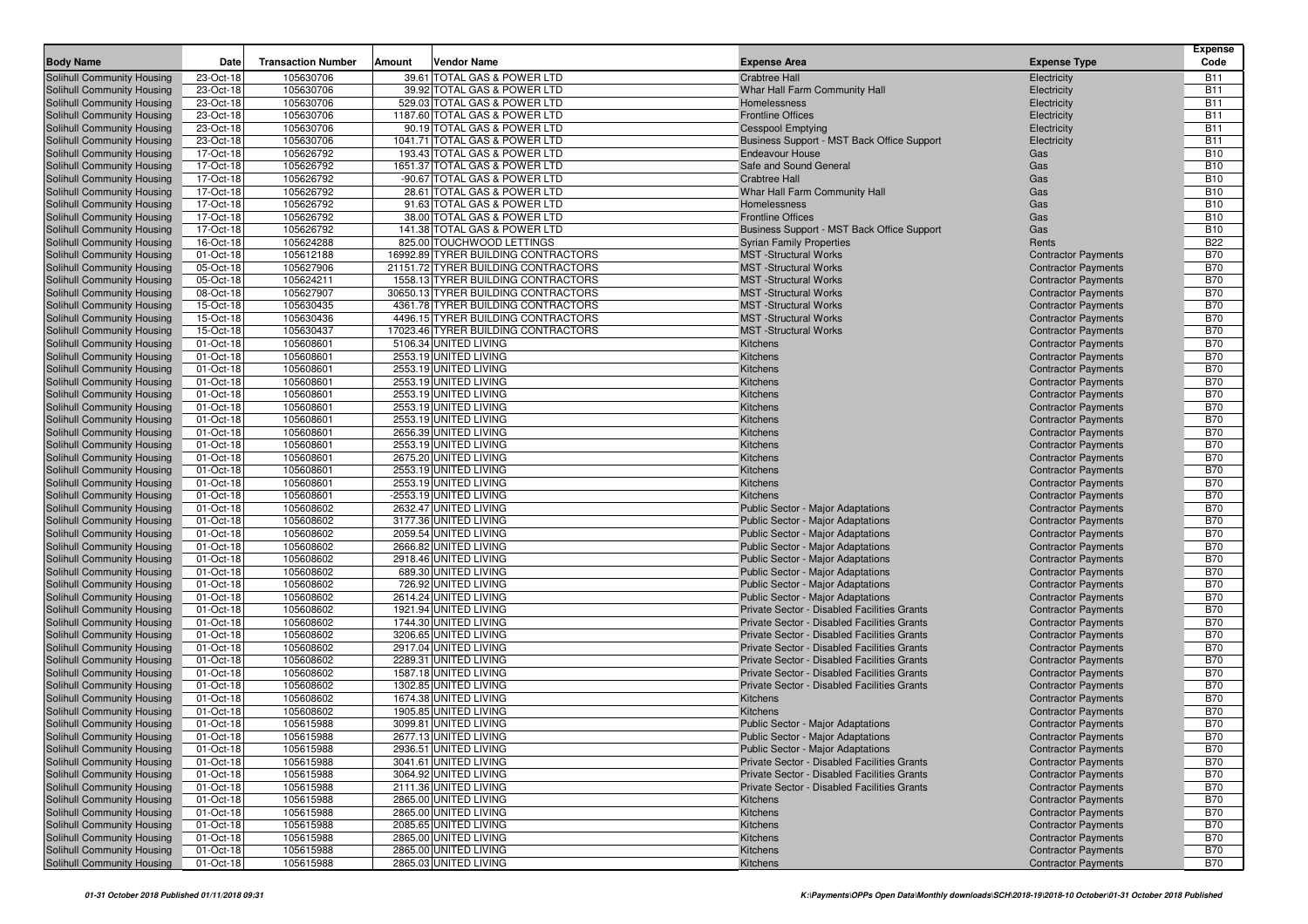| 105630706<br>39.61 TOTAL GAS & POWER LTD<br>Solihull Community Housing<br>23-Oct-18<br><b>Crabtree Hall</b><br>Electricity<br><b>B11</b><br><b>B11</b><br>Solihull Community Housing<br>23-Oct-18<br>105630706<br>39.92 TOTAL GAS & POWER LTD<br>Whar Hall Farm Community Hall<br>Electricity<br>23-Oct-18<br>105630706<br>529.03 TOTAL GAS & POWER LTD<br><b>B11</b><br>Solihull Community Housing<br>Homelessness<br>Electricity<br>23-Oct-18<br>105630706<br>1187.60 TOTAL GAS & POWER LTD<br><b>B11</b><br>Solihull Community Housing<br><b>Frontline Offices</b><br>Electricity<br>23-Oct-18<br>105630706<br>90.19 TOTAL GAS & POWER LTD<br><b>B11</b><br>Solihull Community Housing<br><b>Cesspool Emptying</b><br>Electricity<br>23-Oct-18<br><b>B11</b><br>Solihull Community Housing<br>105630706<br>1041.71 TOTAL GAS & POWER LTD<br>Business Support - MST Back Office Support<br>Electricity<br>17-Oct-18<br>105626792<br>193.43 TOTAL GAS & POWER LTD<br><b>B10</b><br>Solihull Community Housing<br><b>Endeavour House</b><br>Gas<br>17-Oct-18<br>105626792<br>1651.37 TOTAL GAS & POWER LTD<br>Safe and Sound General<br><b>B10</b><br>Solihull Community Housing<br>Gas<br>17-Oct-18<br>105626792<br>-90.67 TOTAL GAS & POWER LTD<br><b>Crabtree Hall</b><br><b>B10</b><br>Solihull Community Housing<br>Gas<br>17-Oct-18<br>105626792<br>28.61 TOTAL GAS & POWER LTD<br>Whar Hall Farm Community Hall<br><b>B10</b><br>Solihull Community Housing<br>Gas<br>17-Oct-18<br>105626792<br>91.63 TOTAL GAS & POWER LTD<br><b>B10</b><br>Solihull Community Housing<br>Homelessness<br>Gas<br>17-Oct-18<br>105626792<br>38.00 TOTAL GAS & POWER LTD<br><b>Frontline Offices</b><br><b>B10</b><br>Solihull Community Housing<br>Gas<br><b>B10</b><br>17-Oct-18<br>105626792<br>141.38 TOTAL GAS & POWER LTD<br>Solihull Community Housing<br>Business Support - MST Back Office Support<br>Gas<br>16-Oct-18<br>105624288<br>825.00 TOUCHWOOD LETTINGS<br><b>B22</b><br>Solihull Community Housing<br><b>Syrian Family Properties</b><br>Rents<br><b>B70</b><br>01-Oct-18<br>105612188<br>16992.89 TYRER BUILDING CONTRACTORS<br><b>MST</b> -Structural Works<br>Solihull Community Housing<br><b>Contractor Payments</b><br>Solihull Community Housing<br>05-Oct-18<br>105627906<br>21151.72 TYRER BUILDING CONTRACTORS<br><b>MST</b> -Structural Works<br><b>B70</b><br><b>Contractor Payments</b><br>105624211<br>1558.13 TYRER BUILDING CONTRACTORS<br><b>MST</b> -Structural Works<br><b>B70</b><br>Solihull Community Housing<br>05-Oct-18<br><b>Contractor Payments</b><br>08-Oct-18<br>105627907<br>30650.13 TYRER BUILDING CONTRACTORS<br><b>Contractor Payments</b><br><b>B70</b><br>Solihull Community Housing<br><b>MST</b> -Structural Works<br>15-Oct-18<br>105630435<br>4361.78 TYRER BUILDING CONTRACTORS<br><b>Contractor Payments</b><br><b>B70</b><br>Solihull Community Housing<br><b>MST</b> -Structural Works<br><b>B70</b><br>15-Oct-18<br>105630436<br>4496.15 TYRER BUILDING CONTRACTORS<br>Solihull Community Housing<br><b>MST</b> -Structural Works<br><b>Contractor Payments</b><br>15-Oct-18<br>105630437<br>17023.46 TYRER BUILDING CONTRACTORS<br><b>MST</b> -Structural Works<br><b>Contractor Payments</b><br><b>B70</b><br>Solihull Community Housing<br><b>B70</b><br>105608601<br>5106.34 UNITED LIVING<br><b>Contractor Payments</b><br>Solihull Community Housing<br>01-Oct-18<br>Kitchens<br>105608601<br>2553.19 UNITED LIVING<br><b>B70</b><br>Solihull Community Housing<br>01-Oct-18<br>Kitchens<br><b>Contractor Payments</b><br><b>B70</b><br>01-Oct-18<br>105608601<br>2553.19 UNITED LIVING<br>Solihull Community Housing<br>Kitchens<br><b>Contractor Payments</b><br>Solihull Community Housing<br>01-Oct-18<br>105608601<br>2553.19 UNITED LIVING<br><b>Contractor Payments</b><br><b>B70</b><br>Kitchens<br>105608601<br>2553.19 UNITED LIVING<br><b>B70</b><br>Solihull Community Housing<br>01-Oct-18<br>Kitchens<br><b>Contractor Payments</b><br><b>B70</b><br>01-Oct-18<br>105608601<br>2553.19 UNITED LIVING<br>Solihull Community Housing<br>Kitchens<br><b>Contractor Payments</b><br>01-Oct-18<br>105608601<br>2553.19 UNITED LIVING<br><b>B70</b><br>Solihull Community Housing<br>Kitchens<br><b>Contractor Payments</b><br>105608601<br>2656.39 UNITED LIVING<br><b>B70</b><br>Solihull Community Housing<br>01-Oct-18<br>Kitchens<br><b>Contractor Payments</b><br><b>B70</b><br><b>Solihull Community Housing</b><br>01-Oct-18<br>105608601<br>2553.19 UNITED LIVING<br><b>Contractor Payments</b><br>Kitchens<br><b>B70</b><br>Solihull Community Housing<br>01-Oct-18<br>105608601<br>2675.20 UNITED LIVING<br>Kitchens<br><b>Contractor Payments</b><br>01-Oct-18<br>105608601<br>2553.19 UNITED LIVING<br><b>B70</b><br>Solihull Community Housing<br>Kitchens<br><b>Contractor Payments</b><br><b>B70</b><br>Solihull Community Housing<br>01-Oct-18<br>105608601<br>2553.19 UNITED LIVING<br><b>Contractor Payments</b><br>Kitchens<br>01-Oct-18<br>105608601<br>-2553.19 UNITED LIVING<br><b>B70</b><br>Solihull Community Housing<br>Kitchens<br><b>Contractor Payments</b><br>Solihull Community Housing<br>01-Oct-18<br>105608602<br>2632.47 UNITED LIVING<br><b>B70</b><br><b>Public Sector - Major Adaptations</b><br><b>Contractor Payments</b><br>105608602<br>3177.36 UNITED LIVING<br><b>B70</b><br>Solihull Community Housing<br>01-Oct-18<br><b>Public Sector - Major Adaptations</b><br><b>Contractor Payments</b><br>105608602<br>2059.54 UNITED LIVING<br><b>B70</b><br>Solihull Community Housing<br>01-Oct-18<br><b>Public Sector - Major Adaptations</b><br><b>Contractor Payments</b><br>01-Oct-18<br>105608602<br>2666.82 UNITED LIVING<br><b>Public Sector - Major Adaptations</b><br><b>B70</b><br>Solihull Community Housing<br><b>Contractor Payments</b><br>01-Oct-18<br>105608602<br>2918.46 UNITED LIVING<br><b>Contractor Payments</b><br><b>B70</b><br>Solihull Community Housing<br><b>Public Sector - Major Adaptations</b><br>105608602<br><b>B70</b><br>Solihull Community Housing<br>01-Oct-18<br>689.30 UNITED LIVING<br><b>Public Sector - Major Adaptations</b><br><b>Contractor Payments</b><br>Solihull Community Housing<br>01-Oct-18<br>105608602<br>726.92 UNITED LIVING<br><b>Public Sector - Major Adaptations</b><br><b>B70</b><br><b>Contractor Payments</b><br><b>B70</b><br>01-Oct-18<br>105608602<br>2614.24 UNITED LIVING<br>Solihull Community Housing<br><b>Public Sector - Major Adaptations</b><br><b>Contractor Payments</b><br>01-Oct-18<br>105608602<br>1921.94 UNITED LIVING<br>Private Sector - Disabled Facilities Grants<br><b>Contractor Payments</b><br><b>B70</b><br>Solihull Community Housing<br>01-Oct-18<br>105608602<br>Private Sector - Disabled Facilities Grants<br><b>Contractor Payments</b><br><b>B70</b><br>Solihull Community Housing<br>1744.30 UNITED LIVING<br>01-Oct-18<br>105608602<br><b>B70</b><br>Solihull Community Housing<br>3206.65 UNITED LIVING<br>Private Sector - Disabled Facilities Grants<br><b>Contractor Payments</b><br>01-Oct-18<br>105608602<br>2917.04 UNITED LIVING<br>Private Sector - Disabled Facilities Grants<br><b>Contractor Payments</b><br><b>B70</b><br>Solihull Community Housing<br>01-Oct-18<br>105608602<br>2289.31 UNITED LIVING<br><b>B70</b><br>Solihull Community Housing<br>Private Sector - Disabled Facilities Grants<br><b>Contractor Payments</b><br>105608602<br>1587.18 UNITED LIVING<br><b>B70</b><br>Solihull Community Housing<br>01-Oct-18<br>Private Sector - Disabled Facilities Grants<br><b>Contractor Payments</b><br><b>B70</b><br>01-Oct-18<br>105608602<br>1302.85 UNITED LIVING<br>Private Sector - Disabled Facilities Grants<br>Solihull Community Housing<br><b>Contractor Payments</b><br>Solihull Community Housing<br>01-Oct-18<br>105608602<br>1674.38 UNITED LIVING<br><b>B70</b><br><b>Kitchens</b><br><b>Contractor Payments</b><br><b>B70</b><br>105608602<br>1905.85 UNITED LIVING<br>Solihull Community Housing<br>01-Oct-18<br>Kitchens<br><b>Contractor Payments</b><br>Solihull Community Housing<br>01-Oct-18<br>105615988<br>3099.81 UNITED LIVING<br><b>Public Sector - Major Adaptations</b><br><b>Contractor Payments</b><br><b>B70</b><br>Solihull Community Housing<br>2677.13 UNITED LIVING<br>Public Sector - Major Adaptations<br><b>Contractor Payments</b><br><b>B70</b><br>01-Oct-18<br>105615988<br><b>B70</b><br><b>Public Sector - Major Adaptations</b><br><b>Contractor Payments</b><br>Solihull Community Housing<br>01-Oct-18<br>105615988<br>2936.51 UNITED LIVING<br>Solihull Community Housing<br>01-Oct-18<br>105615988<br>3041.61 UNITED LIVING<br>Private Sector - Disabled Facilities Grants<br><b>Contractor Payments</b><br><b>B70</b><br>Solihull Community Housing<br>01-Oct-18<br>105615988<br>3064.92 UNITED LIVING<br>Private Sector - Disabled Facilities Grants<br><b>Contractor Payments</b><br><b>B70</b><br>Solihull Community Housing<br>2111.36 UNITED LIVING<br>Private Sector - Disabled Facilities Grants<br><b>Contractor Payments</b><br><b>B70</b><br>01-Oct-18<br>105615988<br>2865.00 UNITED LIVING<br>Solihull Community Housing<br>01-Oct-18<br>105615988<br><b>Contractor Payments</b><br><b>B70</b><br>Kitchens<br>Solihull Community Housing<br>01-Oct-18<br>105615988<br>2865.00 UNITED LIVING<br><b>Contractor Payments</b><br><b>B70</b><br>Kitchens<br>Solihull Community Housing<br>2085.65 UNITED LIVING<br><b>Contractor Payments</b><br><b>B70</b><br>01-Oct-18<br>105615988<br>Kitchens<br>Solihull Community Housing<br>2865.00 UNITED LIVING<br><b>Contractor Payments</b><br>01-Oct-18<br>105615988<br>Kitchens<br><b>B70</b><br>Solihull Community Housing<br>01-Oct-18<br>105615988<br>2865.00 UNITED LIVING<br><b>Contractor Payments</b><br><b>B70</b><br>Kitchens<br>2865.03 UNITED LIVING<br>Solihull Community Housing<br>01-Oct-18<br>105615988<br><b>Contractor Payments</b><br><b>B70</b><br>Kitchens | <b>Body Name</b> | Date | <b>Transaction Number</b> | Amount | <b>Vendor Name</b> | <b>Expense Area</b> | <b>Expense Type</b> | <b>Expense</b><br>Code |
|---------------------------------------------------------------------------------------------------------------------------------------------------------------------------------------------------------------------------------------------------------------------------------------------------------------------------------------------------------------------------------------------------------------------------------------------------------------------------------------------------------------------------------------------------------------------------------------------------------------------------------------------------------------------------------------------------------------------------------------------------------------------------------------------------------------------------------------------------------------------------------------------------------------------------------------------------------------------------------------------------------------------------------------------------------------------------------------------------------------------------------------------------------------------------------------------------------------------------------------------------------------------------------------------------------------------------------------------------------------------------------------------------------------------------------------------------------------------------------------------------------------------------------------------------------------------------------------------------------------------------------------------------------------------------------------------------------------------------------------------------------------------------------------------------------------------------------------------------------------------------------------------------------------------------------------------------------------------------------------------------------------------------------------------------------------------------------------------------------------------------------------------------------------------------------------------------------------------------------------------------------------------------------------------------------------------------------------------------------------------------------------------------------------------------------------------------------------------------------------------------------------------------------------------------------------------------------------------------------------------------------------------------------------------------------------------------------------------------------------------------------------------------------------------------------------------------------------------------------------------------------------------------------------------------------------------------------------------------------------------------------------------------------------------------------------------------------------------------------------------------------------------------------------------------------------------------------------------------------------------------------------------------------------------------------------------------------------------------------------------------------------------------------------------------------------------------------------------------------------------------------------------------------------------------------------------------------------------------------------------------------------------------------------------------------------------------------------------------------------------------------------------------------------------------------------------------------------------------------------------------------------------------------------------------------------------------------------------------------------------------------------------------------------------------------------------------------------------------------------------------------------------------------------------------------------------------------------------------------------------------------------------------------------------------------------------------------------------------------------------------------------------------------------------------------------------------------------------------------------------------------------------------------------------------------------------------------------------------------------------------------------------------------------------------------------------------------------------------------------------------------------------------------------------------------------------------------------------------------------------------------------------------------------------------------------------------------------------------------------------------------------------------------------------------------------------------------------------------------------------------------------------------------------------------------------------------------------------------------------------------------------------------------------------------------------------------------------------------------------------------------------------------------------------------------------------------------------------------------------------------------------------------------------------------------------------------------------------------------------------------------------------------------------------------------------------------------------------------------------------------------------------------------------------------------------------------------------------------------------------------------------------------------------------------------------------------------------------------------------------------------------------------------------------------------------------------------------------------------------------------------------------------------------------------------------------------------------------------------------------------------------------------------------------------------------------------------------------------------------------------------------------------------------------------------------------------------------------------------------------------------------------------------------------------------------------------------------------------------------------------------------------------------------------------------------------------------------------------------------------------------------------------------------------------------------------------------------------------------------------------------------------------------------------------------------------------------------------------------------------------------------------------------------------------------------------------------------------------------------------------------------------------------------------------------------------------------------------------------------------------------------------------------------------------------------------------------------------------------------------------------------------------------------------------------------------------------------------------------------------------------------------------------------------------------------------------------------------------------------------------------------------------------------------------------------------------------------------------------------------------------------------------------------------------------------------------------------------------------------------------------------------------------------------------------------------------------------------------------------------------------------------------------------------------------------------------------------------------------------------------------------------------------------------------------------------------------------------------------------------------------------------------------------------------------------------------------------------------------------------------------------------------------------------------------------------------------------------------------------------------------------------------------------------------------------------------------------------------------------------------------------------------------------------------------------------------------------------------------------------------------------------------------------------------------------------------------------------------------------------------------------------------------------------------------------------------------------------------------------------------------------------------------------------------------------------------------------------------------------------------------------------------------------------------------------------------------------------------------------------------------------------------------------------------------------------------------------------------------------------------------------------------------------------------------------------------------------------------------------------------------------------------------------------------------------------------------------------------------------------------------------------------------------------------------------------------------------------------------------------------------------------------------------------------------------------------------------------------------------------------------------------------------------------------------------------------------------------------------------------------------------------------------|------------------|------|---------------------------|--------|--------------------|---------------------|---------------------|------------------------|
|                                                                                                                                                                                                                                                                                                                                                                                                                                                                                                                                                                                                                                                                                                                                                                                                                                                                                                                                                                                                                                                                                                                                                                                                                                                                                                                                                                                                                                                                                                                                                                                                                                                                                                                                                                                                                                                                                                                                                                                                                                                                                                                                                                                                                                                                                                                                                                                                                                                                                                                                                                                                                                                                                                                                                                                                                                                                                                                                                                                                                                                                                                                                                                                                                                                                                                                                                                                                                                                                                                                                                                                                                                                                                                                                                                                                                                                                                                                                                                                                                                                                                                                                                                                                                                                                                                                                                                                                                                                                                                                                                                                                                                                                                                                                                                                                                                                                                                                                                                                                                                                                                                                                                                                                                                                                                                                                                                                                                                                                                                                                                                                                                                                                                                                                                                                                                                                                                                                                                                                                                                                                                                                                                                                                                                                                                                                                                                                                                                                                                                                                                                                                                                                                                                                                                                                                                                                                                                                                                                                                                                                                                                                                                                                                                                                                                                                                                                                                                                                                                                                                                                                                                                                                                                                                                                                                                                                                                                                                                                                                                                                                                                                                                                                                                                                                                                                                                                                                                                                                                                                                                                                                                                                                                                                                                                                                                                                                                                                                                                                                                                                                                                                                                                                                                                                                                                                                                                                                                                                                                                                                                                                                                                                                                                                                                                                                                                                                                                                                                                                                                                 |                  |      |                           |        |                    |                     |                     |                        |
|                                                                                                                                                                                                                                                                                                                                                                                                                                                                                                                                                                                                                                                                                                                                                                                                                                                                                                                                                                                                                                                                                                                                                                                                                                                                                                                                                                                                                                                                                                                                                                                                                                                                                                                                                                                                                                                                                                                                                                                                                                                                                                                                                                                                                                                                                                                                                                                                                                                                                                                                                                                                                                                                                                                                                                                                                                                                                                                                                                                                                                                                                                                                                                                                                                                                                                                                                                                                                                                                                                                                                                                                                                                                                                                                                                                                                                                                                                                                                                                                                                                                                                                                                                                                                                                                                                                                                                                                                                                                                                                                                                                                                                                                                                                                                                                                                                                                                                                                                                                                                                                                                                                                                                                                                                                                                                                                                                                                                                                                                                                                                                                                                                                                                                                                                                                                                                                                                                                                                                                                                                                                                                                                                                                                                                                                                                                                                                                                                                                                                                                                                                                                                                                                                                                                                                                                                                                                                                                                                                                                                                                                                                                                                                                                                                                                                                                                                                                                                                                                                                                                                                                                                                                                                                                                                                                                                                                                                                                                                                                                                                                                                                                                                                                                                                                                                                                                                                                                                                                                                                                                                                                                                                                                                                                                                                                                                                                                                                                                                                                                                                                                                                                                                                                                                                                                                                                                                                                                                                                                                                                                                                                                                                                                                                                                                                                                                                                                                                                                                                                                                                 |                  |      |                           |        |                    |                     |                     |                        |
|                                                                                                                                                                                                                                                                                                                                                                                                                                                                                                                                                                                                                                                                                                                                                                                                                                                                                                                                                                                                                                                                                                                                                                                                                                                                                                                                                                                                                                                                                                                                                                                                                                                                                                                                                                                                                                                                                                                                                                                                                                                                                                                                                                                                                                                                                                                                                                                                                                                                                                                                                                                                                                                                                                                                                                                                                                                                                                                                                                                                                                                                                                                                                                                                                                                                                                                                                                                                                                                                                                                                                                                                                                                                                                                                                                                                                                                                                                                                                                                                                                                                                                                                                                                                                                                                                                                                                                                                                                                                                                                                                                                                                                                                                                                                                                                                                                                                                                                                                                                                                                                                                                                                                                                                                                                                                                                                                                                                                                                                                                                                                                                                                                                                                                                                                                                                                                                                                                                                                                                                                                                                                                                                                                                                                                                                                                                                                                                                                                                                                                                                                                                                                                                                                                                                                                                                                                                                                                                                                                                                                                                                                                                                                                                                                                                                                                                                                                                                                                                                                                                                                                                                                                                                                                                                                                                                                                                                                                                                                                                                                                                                                                                                                                                                                                                                                                                                                                                                                                                                                                                                                                                                                                                                                                                                                                                                                                                                                                                                                                                                                                                                                                                                                                                                                                                                                                                                                                                                                                                                                                                                                                                                                                                                                                                                                                                                                                                                                                                                                                                                                                 |                  |      |                           |        |                    |                     |                     |                        |
|                                                                                                                                                                                                                                                                                                                                                                                                                                                                                                                                                                                                                                                                                                                                                                                                                                                                                                                                                                                                                                                                                                                                                                                                                                                                                                                                                                                                                                                                                                                                                                                                                                                                                                                                                                                                                                                                                                                                                                                                                                                                                                                                                                                                                                                                                                                                                                                                                                                                                                                                                                                                                                                                                                                                                                                                                                                                                                                                                                                                                                                                                                                                                                                                                                                                                                                                                                                                                                                                                                                                                                                                                                                                                                                                                                                                                                                                                                                                                                                                                                                                                                                                                                                                                                                                                                                                                                                                                                                                                                                                                                                                                                                                                                                                                                                                                                                                                                                                                                                                                                                                                                                                                                                                                                                                                                                                                                                                                                                                                                                                                                                                                                                                                                                                                                                                                                                                                                                                                                                                                                                                                                                                                                                                                                                                                                                                                                                                                                                                                                                                                                                                                                                                                                                                                                                                                                                                                                                                                                                                                                                                                                                                                                                                                                                                                                                                                                                                                                                                                                                                                                                                                                                                                                                                                                                                                                                                                                                                                                                                                                                                                                                                                                                                                                                                                                                                                                                                                                                                                                                                                                                                                                                                                                                                                                                                                                                                                                                                                                                                                                                                                                                                                                                                                                                                                                                                                                                                                                                                                                                                                                                                                                                                                                                                                                                                                                                                                                                                                                                                                                 |                  |      |                           |        |                    |                     |                     |                        |
|                                                                                                                                                                                                                                                                                                                                                                                                                                                                                                                                                                                                                                                                                                                                                                                                                                                                                                                                                                                                                                                                                                                                                                                                                                                                                                                                                                                                                                                                                                                                                                                                                                                                                                                                                                                                                                                                                                                                                                                                                                                                                                                                                                                                                                                                                                                                                                                                                                                                                                                                                                                                                                                                                                                                                                                                                                                                                                                                                                                                                                                                                                                                                                                                                                                                                                                                                                                                                                                                                                                                                                                                                                                                                                                                                                                                                                                                                                                                                                                                                                                                                                                                                                                                                                                                                                                                                                                                                                                                                                                                                                                                                                                                                                                                                                                                                                                                                                                                                                                                                                                                                                                                                                                                                                                                                                                                                                                                                                                                                                                                                                                                                                                                                                                                                                                                                                                                                                                                                                                                                                                                                                                                                                                                                                                                                                                                                                                                                                                                                                                                                                                                                                                                                                                                                                                                                                                                                                                                                                                                                                                                                                                                                                                                                                                                                                                                                                                                                                                                                                                                                                                                                                                                                                                                                                                                                                                                                                                                                                                                                                                                                                                                                                                                                                                                                                                                                                                                                                                                                                                                                                                                                                                                                                                                                                                                                                                                                                                                                                                                                                                                                                                                                                                                                                                                                                                                                                                                                                                                                                                                                                                                                                                                                                                                                                                                                                                                                                                                                                                                                                 |                  |      |                           |        |                    |                     |                     |                        |
|                                                                                                                                                                                                                                                                                                                                                                                                                                                                                                                                                                                                                                                                                                                                                                                                                                                                                                                                                                                                                                                                                                                                                                                                                                                                                                                                                                                                                                                                                                                                                                                                                                                                                                                                                                                                                                                                                                                                                                                                                                                                                                                                                                                                                                                                                                                                                                                                                                                                                                                                                                                                                                                                                                                                                                                                                                                                                                                                                                                                                                                                                                                                                                                                                                                                                                                                                                                                                                                                                                                                                                                                                                                                                                                                                                                                                                                                                                                                                                                                                                                                                                                                                                                                                                                                                                                                                                                                                                                                                                                                                                                                                                                                                                                                                                                                                                                                                                                                                                                                                                                                                                                                                                                                                                                                                                                                                                                                                                                                                                                                                                                                                                                                                                                                                                                                                                                                                                                                                                                                                                                                                                                                                                                                                                                                                                                                                                                                                                                                                                                                                                                                                                                                                                                                                                                                                                                                                                                                                                                                                                                                                                                                                                                                                                                                                                                                                                                                                                                                                                                                                                                                                                                                                                                                                                                                                                                                                                                                                                                                                                                                                                                                                                                                                                                                                                                                                                                                                                                                                                                                                                                                                                                                                                                                                                                                                                                                                                                                                                                                                                                                                                                                                                                                                                                                                                                                                                                                                                                                                                                                                                                                                                                                                                                                                                                                                                                                                                                                                                                                                                 |                  |      |                           |        |                    |                     |                     |                        |
|                                                                                                                                                                                                                                                                                                                                                                                                                                                                                                                                                                                                                                                                                                                                                                                                                                                                                                                                                                                                                                                                                                                                                                                                                                                                                                                                                                                                                                                                                                                                                                                                                                                                                                                                                                                                                                                                                                                                                                                                                                                                                                                                                                                                                                                                                                                                                                                                                                                                                                                                                                                                                                                                                                                                                                                                                                                                                                                                                                                                                                                                                                                                                                                                                                                                                                                                                                                                                                                                                                                                                                                                                                                                                                                                                                                                                                                                                                                                                                                                                                                                                                                                                                                                                                                                                                                                                                                                                                                                                                                                                                                                                                                                                                                                                                                                                                                                                                                                                                                                                                                                                                                                                                                                                                                                                                                                                                                                                                                                                                                                                                                                                                                                                                                                                                                                                                                                                                                                                                                                                                                                                                                                                                                                                                                                                                                                                                                                                                                                                                                                                                                                                                                                                                                                                                                                                                                                                                                                                                                                                                                                                                                                                                                                                                                                                                                                                                                                                                                                                                                                                                                                                                                                                                                                                                                                                                                                                                                                                                                                                                                                                                                                                                                                                                                                                                                                                                                                                                                                                                                                                                                                                                                                                                                                                                                                                                                                                                                                                                                                                                                                                                                                                                                                                                                                                                                                                                                                                                                                                                                                                                                                                                                                                                                                                                                                                                                                                                                                                                                                                                 |                  |      |                           |        |                    |                     |                     |                        |
|                                                                                                                                                                                                                                                                                                                                                                                                                                                                                                                                                                                                                                                                                                                                                                                                                                                                                                                                                                                                                                                                                                                                                                                                                                                                                                                                                                                                                                                                                                                                                                                                                                                                                                                                                                                                                                                                                                                                                                                                                                                                                                                                                                                                                                                                                                                                                                                                                                                                                                                                                                                                                                                                                                                                                                                                                                                                                                                                                                                                                                                                                                                                                                                                                                                                                                                                                                                                                                                                                                                                                                                                                                                                                                                                                                                                                                                                                                                                                                                                                                                                                                                                                                                                                                                                                                                                                                                                                                                                                                                                                                                                                                                                                                                                                                                                                                                                                                                                                                                                                                                                                                                                                                                                                                                                                                                                                                                                                                                                                                                                                                                                                                                                                                                                                                                                                                                                                                                                                                                                                                                                                                                                                                                                                                                                                                                                                                                                                                                                                                                                                                                                                                                                                                                                                                                                                                                                                                                                                                                                                                                                                                                                                                                                                                                                                                                                                                                                                                                                                                                                                                                                                                                                                                                                                                                                                                                                                                                                                                                                                                                                                                                                                                                                                                                                                                                                                                                                                                                                                                                                                                                                                                                                                                                                                                                                                                                                                                                                                                                                                                                                                                                                                                                                                                                                                                                                                                                                                                                                                                                                                                                                                                                                                                                                                                                                                                                                                                                                                                                                                                 |                  |      |                           |        |                    |                     |                     |                        |
|                                                                                                                                                                                                                                                                                                                                                                                                                                                                                                                                                                                                                                                                                                                                                                                                                                                                                                                                                                                                                                                                                                                                                                                                                                                                                                                                                                                                                                                                                                                                                                                                                                                                                                                                                                                                                                                                                                                                                                                                                                                                                                                                                                                                                                                                                                                                                                                                                                                                                                                                                                                                                                                                                                                                                                                                                                                                                                                                                                                                                                                                                                                                                                                                                                                                                                                                                                                                                                                                                                                                                                                                                                                                                                                                                                                                                                                                                                                                                                                                                                                                                                                                                                                                                                                                                                                                                                                                                                                                                                                                                                                                                                                                                                                                                                                                                                                                                                                                                                                                                                                                                                                                                                                                                                                                                                                                                                                                                                                                                                                                                                                                                                                                                                                                                                                                                                                                                                                                                                                                                                                                                                                                                                                                                                                                                                                                                                                                                                                                                                                                                                                                                                                                                                                                                                                                                                                                                                                                                                                                                                                                                                                                                                                                                                                                                                                                                                                                                                                                                                                                                                                                                                                                                                                                                                                                                                                                                                                                                                                                                                                                                                                                                                                                                                                                                                                                                                                                                                                                                                                                                                                                                                                                                                                                                                                                                                                                                                                                                                                                                                                                                                                                                                                                                                                                                                                                                                                                                                                                                                                                                                                                                                                                                                                                                                                                                                                                                                                                                                                                                                 |                  |      |                           |        |                    |                     |                     |                        |
|                                                                                                                                                                                                                                                                                                                                                                                                                                                                                                                                                                                                                                                                                                                                                                                                                                                                                                                                                                                                                                                                                                                                                                                                                                                                                                                                                                                                                                                                                                                                                                                                                                                                                                                                                                                                                                                                                                                                                                                                                                                                                                                                                                                                                                                                                                                                                                                                                                                                                                                                                                                                                                                                                                                                                                                                                                                                                                                                                                                                                                                                                                                                                                                                                                                                                                                                                                                                                                                                                                                                                                                                                                                                                                                                                                                                                                                                                                                                                                                                                                                                                                                                                                                                                                                                                                                                                                                                                                                                                                                                                                                                                                                                                                                                                                                                                                                                                                                                                                                                                                                                                                                                                                                                                                                                                                                                                                                                                                                                                                                                                                                                                                                                                                                                                                                                                                                                                                                                                                                                                                                                                                                                                                                                                                                                                                                                                                                                                                                                                                                                                                                                                                                                                                                                                                                                                                                                                                                                                                                                                                                                                                                                                                                                                                                                                                                                                                                                                                                                                                                                                                                                                                                                                                                                                                                                                                                                                                                                                                                                                                                                                                                                                                                                                                                                                                                                                                                                                                                                                                                                                                                                                                                                                                                                                                                                                                                                                                                                                                                                                                                                                                                                                                                                                                                                                                                                                                                                                                                                                                                                                                                                                                                                                                                                                                                                                                                                                                                                                                                                                                 |                  |      |                           |        |                    |                     |                     |                        |
|                                                                                                                                                                                                                                                                                                                                                                                                                                                                                                                                                                                                                                                                                                                                                                                                                                                                                                                                                                                                                                                                                                                                                                                                                                                                                                                                                                                                                                                                                                                                                                                                                                                                                                                                                                                                                                                                                                                                                                                                                                                                                                                                                                                                                                                                                                                                                                                                                                                                                                                                                                                                                                                                                                                                                                                                                                                                                                                                                                                                                                                                                                                                                                                                                                                                                                                                                                                                                                                                                                                                                                                                                                                                                                                                                                                                                                                                                                                                                                                                                                                                                                                                                                                                                                                                                                                                                                                                                                                                                                                                                                                                                                                                                                                                                                                                                                                                                                                                                                                                                                                                                                                                                                                                                                                                                                                                                                                                                                                                                                                                                                                                                                                                                                                                                                                                                                                                                                                                                                                                                                                                                                                                                                                                                                                                                                                                                                                                                                                                                                                                                                                                                                                                                                                                                                                                                                                                                                                                                                                                                                                                                                                                                                                                                                                                                                                                                                                                                                                                                                                                                                                                                                                                                                                                                                                                                                                                                                                                                                                                                                                                                                                                                                                                                                                                                                                                                                                                                                                                                                                                                                                                                                                                                                                                                                                                                                                                                                                                                                                                                                                                                                                                                                                                                                                                                                                                                                                                                                                                                                                                                                                                                                                                                                                                                                                                                                                                                                                                                                                                                                 |                  |      |                           |        |                    |                     |                     |                        |
|                                                                                                                                                                                                                                                                                                                                                                                                                                                                                                                                                                                                                                                                                                                                                                                                                                                                                                                                                                                                                                                                                                                                                                                                                                                                                                                                                                                                                                                                                                                                                                                                                                                                                                                                                                                                                                                                                                                                                                                                                                                                                                                                                                                                                                                                                                                                                                                                                                                                                                                                                                                                                                                                                                                                                                                                                                                                                                                                                                                                                                                                                                                                                                                                                                                                                                                                                                                                                                                                                                                                                                                                                                                                                                                                                                                                                                                                                                                                                                                                                                                                                                                                                                                                                                                                                                                                                                                                                                                                                                                                                                                                                                                                                                                                                                                                                                                                                                                                                                                                                                                                                                                                                                                                                                                                                                                                                                                                                                                                                                                                                                                                                                                                                                                                                                                                                                                                                                                                                                                                                                                                                                                                                                                                                                                                                                                                                                                                                                                                                                                                                                                                                                                                                                                                                                                                                                                                                                                                                                                                                                                                                                                                                                                                                                                                                                                                                                                                                                                                                                                                                                                                                                                                                                                                                                                                                                                                                                                                                                                                                                                                                                                                                                                                                                                                                                                                                                                                                                                                                                                                                                                                                                                                                                                                                                                                                                                                                                                                                                                                                                                                                                                                                                                                                                                                                                                                                                                                                                                                                                                                                                                                                                                                                                                                                                                                                                                                                                                                                                                                                                 |                  |      |                           |        |                    |                     |                     |                        |
|                                                                                                                                                                                                                                                                                                                                                                                                                                                                                                                                                                                                                                                                                                                                                                                                                                                                                                                                                                                                                                                                                                                                                                                                                                                                                                                                                                                                                                                                                                                                                                                                                                                                                                                                                                                                                                                                                                                                                                                                                                                                                                                                                                                                                                                                                                                                                                                                                                                                                                                                                                                                                                                                                                                                                                                                                                                                                                                                                                                                                                                                                                                                                                                                                                                                                                                                                                                                                                                                                                                                                                                                                                                                                                                                                                                                                                                                                                                                                                                                                                                                                                                                                                                                                                                                                                                                                                                                                                                                                                                                                                                                                                                                                                                                                                                                                                                                                                                                                                                                                                                                                                                                                                                                                                                                                                                                                                                                                                                                                                                                                                                                                                                                                                                                                                                                                                                                                                                                                                                                                                                                                                                                                                                                                                                                                                                                                                                                                                                                                                                                                                                                                                                                                                                                                                                                                                                                                                                                                                                                                                                                                                                                                                                                                                                                                                                                                                                                                                                                                                                                                                                                                                                                                                                                                                                                                                                                                                                                                                                                                                                                                                                                                                                                                                                                                                                                                                                                                                                                                                                                                                                                                                                                                                                                                                                                                                                                                                                                                                                                                                                                                                                                                                                                                                                                                                                                                                                                                                                                                                                                                                                                                                                                                                                                                                                                                                                                                                                                                                                                                                 |                  |      |                           |        |                    |                     |                     |                        |
|                                                                                                                                                                                                                                                                                                                                                                                                                                                                                                                                                                                                                                                                                                                                                                                                                                                                                                                                                                                                                                                                                                                                                                                                                                                                                                                                                                                                                                                                                                                                                                                                                                                                                                                                                                                                                                                                                                                                                                                                                                                                                                                                                                                                                                                                                                                                                                                                                                                                                                                                                                                                                                                                                                                                                                                                                                                                                                                                                                                                                                                                                                                                                                                                                                                                                                                                                                                                                                                                                                                                                                                                                                                                                                                                                                                                                                                                                                                                                                                                                                                                                                                                                                                                                                                                                                                                                                                                                                                                                                                                                                                                                                                                                                                                                                                                                                                                                                                                                                                                                                                                                                                                                                                                                                                                                                                                                                                                                                                                                                                                                                                                                                                                                                                                                                                                                                                                                                                                                                                                                                                                                                                                                                                                                                                                                                                                                                                                                                                                                                                                                                                                                                                                                                                                                                                                                                                                                                                                                                                                                                                                                                                                                                                                                                                                                                                                                                                                                                                                                                                                                                                                                                                                                                                                                                                                                                                                                                                                                                                                                                                                                                                                                                                                                                                                                                                                                                                                                                                                                                                                                                                                                                                                                                                                                                                                                                                                                                                                                                                                                                                                                                                                                                                                                                                                                                                                                                                                                                                                                                                                                                                                                                                                                                                                                                                                                                                                                                                                                                                                                                 |                  |      |                           |        |                    |                     |                     |                        |
|                                                                                                                                                                                                                                                                                                                                                                                                                                                                                                                                                                                                                                                                                                                                                                                                                                                                                                                                                                                                                                                                                                                                                                                                                                                                                                                                                                                                                                                                                                                                                                                                                                                                                                                                                                                                                                                                                                                                                                                                                                                                                                                                                                                                                                                                                                                                                                                                                                                                                                                                                                                                                                                                                                                                                                                                                                                                                                                                                                                                                                                                                                                                                                                                                                                                                                                                                                                                                                                                                                                                                                                                                                                                                                                                                                                                                                                                                                                                                                                                                                                                                                                                                                                                                                                                                                                                                                                                                                                                                                                                                                                                                                                                                                                                                                                                                                                                                                                                                                                                                                                                                                                                                                                                                                                                                                                                                                                                                                                                                                                                                                                                                                                                                                                                                                                                                                                                                                                                                                                                                                                                                                                                                                                                                                                                                                                                                                                                                                                                                                                                                                                                                                                                                                                                                                                                                                                                                                                                                                                                                                                                                                                                                                                                                                                                                                                                                                                                                                                                                                                                                                                                                                                                                                                                                                                                                                                                                                                                                                                                                                                                                                                                                                                                                                                                                                                                                                                                                                                                                                                                                                                                                                                                                                                                                                                                                                                                                                                                                                                                                                                                                                                                                                                                                                                                                                                                                                                                                                                                                                                                                                                                                                                                                                                                                                                                                                                                                                                                                                                                                                 |                  |      |                           |        |                    |                     |                     |                        |
|                                                                                                                                                                                                                                                                                                                                                                                                                                                                                                                                                                                                                                                                                                                                                                                                                                                                                                                                                                                                                                                                                                                                                                                                                                                                                                                                                                                                                                                                                                                                                                                                                                                                                                                                                                                                                                                                                                                                                                                                                                                                                                                                                                                                                                                                                                                                                                                                                                                                                                                                                                                                                                                                                                                                                                                                                                                                                                                                                                                                                                                                                                                                                                                                                                                                                                                                                                                                                                                                                                                                                                                                                                                                                                                                                                                                                                                                                                                                                                                                                                                                                                                                                                                                                                                                                                                                                                                                                                                                                                                                                                                                                                                                                                                                                                                                                                                                                                                                                                                                                                                                                                                                                                                                                                                                                                                                                                                                                                                                                                                                                                                                                                                                                                                                                                                                                                                                                                                                                                                                                                                                                                                                                                                                                                                                                                                                                                                                                                                                                                                                                                                                                                                                                                                                                                                                                                                                                                                                                                                                                                                                                                                                                                                                                                                                                                                                                                                                                                                                                                                                                                                                                                                                                                                                                                                                                                                                                                                                                                                                                                                                                                                                                                                                                                                                                                                                                                                                                                                                                                                                                                                                                                                                                                                                                                                                                                                                                                                                                                                                                                                                                                                                                                                                                                                                                                                                                                                                                                                                                                                                                                                                                                                                                                                                                                                                                                                                                                                                                                                                                                 |                  |      |                           |        |                    |                     |                     |                        |
|                                                                                                                                                                                                                                                                                                                                                                                                                                                                                                                                                                                                                                                                                                                                                                                                                                                                                                                                                                                                                                                                                                                                                                                                                                                                                                                                                                                                                                                                                                                                                                                                                                                                                                                                                                                                                                                                                                                                                                                                                                                                                                                                                                                                                                                                                                                                                                                                                                                                                                                                                                                                                                                                                                                                                                                                                                                                                                                                                                                                                                                                                                                                                                                                                                                                                                                                                                                                                                                                                                                                                                                                                                                                                                                                                                                                                                                                                                                                                                                                                                                                                                                                                                                                                                                                                                                                                                                                                                                                                                                                                                                                                                                                                                                                                                                                                                                                                                                                                                                                                                                                                                                                                                                                                                                                                                                                                                                                                                                                                                                                                                                                                                                                                                                                                                                                                                                                                                                                                                                                                                                                                                                                                                                                                                                                                                                                                                                                                                                                                                                                                                                                                                                                                                                                                                                                                                                                                                                                                                                                                                                                                                                                                                                                                                                                                                                                                                                                                                                                                                                                                                                                                                                                                                                                                                                                                                                                                                                                                                                                                                                                                                                                                                                                                                                                                                                                                                                                                                                                                                                                                                                                                                                                                                                                                                                                                                                                                                                                                                                                                                                                                                                                                                                                                                                                                                                                                                                                                                                                                                                                                                                                                                                                                                                                                                                                                                                                                                                                                                                                                                 |                  |      |                           |        |                    |                     |                     |                        |
|                                                                                                                                                                                                                                                                                                                                                                                                                                                                                                                                                                                                                                                                                                                                                                                                                                                                                                                                                                                                                                                                                                                                                                                                                                                                                                                                                                                                                                                                                                                                                                                                                                                                                                                                                                                                                                                                                                                                                                                                                                                                                                                                                                                                                                                                                                                                                                                                                                                                                                                                                                                                                                                                                                                                                                                                                                                                                                                                                                                                                                                                                                                                                                                                                                                                                                                                                                                                                                                                                                                                                                                                                                                                                                                                                                                                                                                                                                                                                                                                                                                                                                                                                                                                                                                                                                                                                                                                                                                                                                                                                                                                                                                                                                                                                                                                                                                                                                                                                                                                                                                                                                                                                                                                                                                                                                                                                                                                                                                                                                                                                                                                                                                                                                                                                                                                                                                                                                                                                                                                                                                                                                                                                                                                                                                                                                                                                                                                                                                                                                                                                                                                                                                                                                                                                                                                                                                                                                                                                                                                                                                                                                                                                                                                                                                                                                                                                                                                                                                                                                                                                                                                                                                                                                                                                                                                                                                                                                                                                                                                                                                                                                                                                                                                                                                                                                                                                                                                                                                                                                                                                                                                                                                                                                                                                                                                                                                                                                                                                                                                                                                                                                                                                                                                                                                                                                                                                                                                                                                                                                                                                                                                                                                                                                                                                                                                                                                                                                                                                                                                                                 |                  |      |                           |        |                    |                     |                     |                        |
|                                                                                                                                                                                                                                                                                                                                                                                                                                                                                                                                                                                                                                                                                                                                                                                                                                                                                                                                                                                                                                                                                                                                                                                                                                                                                                                                                                                                                                                                                                                                                                                                                                                                                                                                                                                                                                                                                                                                                                                                                                                                                                                                                                                                                                                                                                                                                                                                                                                                                                                                                                                                                                                                                                                                                                                                                                                                                                                                                                                                                                                                                                                                                                                                                                                                                                                                                                                                                                                                                                                                                                                                                                                                                                                                                                                                                                                                                                                                                                                                                                                                                                                                                                                                                                                                                                                                                                                                                                                                                                                                                                                                                                                                                                                                                                                                                                                                                                                                                                                                                                                                                                                                                                                                                                                                                                                                                                                                                                                                                                                                                                                                                                                                                                                                                                                                                                                                                                                                                                                                                                                                                                                                                                                                                                                                                                                                                                                                                                                                                                                                                                                                                                                                                                                                                                                                                                                                                                                                                                                                                                                                                                                                                                                                                                                                                                                                                                                                                                                                                                                                                                                                                                                                                                                                                                                                                                                                                                                                                                                                                                                                                                                                                                                                                                                                                                                                                                                                                                                                                                                                                                                                                                                                                                                                                                                                                                                                                                                                                                                                                                                                                                                                                                                                                                                                                                                                                                                                                                                                                                                                                                                                                                                                                                                                                                                                                                                                                                                                                                                                                                 |                  |      |                           |        |                    |                     |                     |                        |
|                                                                                                                                                                                                                                                                                                                                                                                                                                                                                                                                                                                                                                                                                                                                                                                                                                                                                                                                                                                                                                                                                                                                                                                                                                                                                                                                                                                                                                                                                                                                                                                                                                                                                                                                                                                                                                                                                                                                                                                                                                                                                                                                                                                                                                                                                                                                                                                                                                                                                                                                                                                                                                                                                                                                                                                                                                                                                                                                                                                                                                                                                                                                                                                                                                                                                                                                                                                                                                                                                                                                                                                                                                                                                                                                                                                                                                                                                                                                                                                                                                                                                                                                                                                                                                                                                                                                                                                                                                                                                                                                                                                                                                                                                                                                                                                                                                                                                                                                                                                                                                                                                                                                                                                                                                                                                                                                                                                                                                                                                                                                                                                                                                                                                                                                                                                                                                                                                                                                                                                                                                                                                                                                                                                                                                                                                                                                                                                                                                                                                                                                                                                                                                                                                                                                                                                                                                                                                                                                                                                                                                                                                                                                                                                                                                                                                                                                                                                                                                                                                                                                                                                                                                                                                                                                                                                                                                                                                                                                                                                                                                                                                                                                                                                                                                                                                                                                                                                                                                                                                                                                                                                                                                                                                                                                                                                                                                                                                                                                                                                                                                                                                                                                                                                                                                                                                                                                                                                                                                                                                                                                                                                                                                                                                                                                                                                                                                                                                                                                                                                                                                 |                  |      |                           |        |                    |                     |                     |                        |
|                                                                                                                                                                                                                                                                                                                                                                                                                                                                                                                                                                                                                                                                                                                                                                                                                                                                                                                                                                                                                                                                                                                                                                                                                                                                                                                                                                                                                                                                                                                                                                                                                                                                                                                                                                                                                                                                                                                                                                                                                                                                                                                                                                                                                                                                                                                                                                                                                                                                                                                                                                                                                                                                                                                                                                                                                                                                                                                                                                                                                                                                                                                                                                                                                                                                                                                                                                                                                                                                                                                                                                                                                                                                                                                                                                                                                                                                                                                                                                                                                                                                                                                                                                                                                                                                                                                                                                                                                                                                                                                                                                                                                                                                                                                                                                                                                                                                                                                                                                                                                                                                                                                                                                                                                                                                                                                                                                                                                                                                                                                                                                                                                                                                                                                                                                                                                                                                                                                                                                                                                                                                                                                                                                                                                                                                                                                                                                                                                                                                                                                                                                                                                                                                                                                                                                                                                                                                                                                                                                                                                                                                                                                                                                                                                                                                                                                                                                                                                                                                                                                                                                                                                                                                                                                                                                                                                                                                                                                                                                                                                                                                                                                                                                                                                                                                                                                                                                                                                                                                                                                                                                                                                                                                                                                                                                                                                                                                                                                                                                                                                                                                                                                                                                                                                                                                                                                                                                                                                                                                                                                                                                                                                                                                                                                                                                                                                                                                                                                                                                                                                                 |                  |      |                           |        |                    |                     |                     |                        |
|                                                                                                                                                                                                                                                                                                                                                                                                                                                                                                                                                                                                                                                                                                                                                                                                                                                                                                                                                                                                                                                                                                                                                                                                                                                                                                                                                                                                                                                                                                                                                                                                                                                                                                                                                                                                                                                                                                                                                                                                                                                                                                                                                                                                                                                                                                                                                                                                                                                                                                                                                                                                                                                                                                                                                                                                                                                                                                                                                                                                                                                                                                                                                                                                                                                                                                                                                                                                                                                                                                                                                                                                                                                                                                                                                                                                                                                                                                                                                                                                                                                                                                                                                                                                                                                                                                                                                                                                                                                                                                                                                                                                                                                                                                                                                                                                                                                                                                                                                                                                                                                                                                                                                                                                                                                                                                                                                                                                                                                                                                                                                                                                                                                                                                                                                                                                                                                                                                                                                                                                                                                                                                                                                                                                                                                                                                                                                                                                                                                                                                                                                                                                                                                                                                                                                                                                                                                                                                                                                                                                                                                                                                                                                                                                                                                                                                                                                                                                                                                                                                                                                                                                                                                                                                                                                                                                                                                                                                                                                                                                                                                                                                                                                                                                                                                                                                                                                                                                                                                                                                                                                                                                                                                                                                                                                                                                                                                                                                                                                                                                                                                                                                                                                                                                                                                                                                                                                                                                                                                                                                                                                                                                                                                                                                                                                                                                                                                                                                                                                                                                                                 |                  |      |                           |        |                    |                     |                     |                        |
|                                                                                                                                                                                                                                                                                                                                                                                                                                                                                                                                                                                                                                                                                                                                                                                                                                                                                                                                                                                                                                                                                                                                                                                                                                                                                                                                                                                                                                                                                                                                                                                                                                                                                                                                                                                                                                                                                                                                                                                                                                                                                                                                                                                                                                                                                                                                                                                                                                                                                                                                                                                                                                                                                                                                                                                                                                                                                                                                                                                                                                                                                                                                                                                                                                                                                                                                                                                                                                                                                                                                                                                                                                                                                                                                                                                                                                                                                                                                                                                                                                                                                                                                                                                                                                                                                                                                                                                                                                                                                                                                                                                                                                                                                                                                                                                                                                                                                                                                                                                                                                                                                                                                                                                                                                                                                                                                                                                                                                                                                                                                                                                                                                                                                                                                                                                                                                                                                                                                                                                                                                                                                                                                                                                                                                                                                                                                                                                                                                                                                                                                                                                                                                                                                                                                                                                                                                                                                                                                                                                                                                                                                                                                                                                                                                                                                                                                                                                                                                                                                                                                                                                                                                                                                                                                                                                                                                                                                                                                                                                                                                                                                                                                                                                                                                                                                                                                                                                                                                                                                                                                                                                                                                                                                                                                                                                                                                                                                                                                                                                                                                                                                                                                                                                                                                                                                                                                                                                                                                                                                                                                                                                                                                                                                                                                                                                                                                                                                                                                                                                                                                 |                  |      |                           |        |                    |                     |                     |                        |
|                                                                                                                                                                                                                                                                                                                                                                                                                                                                                                                                                                                                                                                                                                                                                                                                                                                                                                                                                                                                                                                                                                                                                                                                                                                                                                                                                                                                                                                                                                                                                                                                                                                                                                                                                                                                                                                                                                                                                                                                                                                                                                                                                                                                                                                                                                                                                                                                                                                                                                                                                                                                                                                                                                                                                                                                                                                                                                                                                                                                                                                                                                                                                                                                                                                                                                                                                                                                                                                                                                                                                                                                                                                                                                                                                                                                                                                                                                                                                                                                                                                                                                                                                                                                                                                                                                                                                                                                                                                                                                                                                                                                                                                                                                                                                                                                                                                                                                                                                                                                                                                                                                                                                                                                                                                                                                                                                                                                                                                                                                                                                                                                                                                                                                                                                                                                                                                                                                                                                                                                                                                                                                                                                                                                                                                                                                                                                                                                                                                                                                                                                                                                                                                                                                                                                                                                                                                                                                                                                                                                                                                                                                                                                                                                                                                                                                                                                                                                                                                                                                                                                                                                                                                                                                                                                                                                                                                                                                                                                                                                                                                                                                                                                                                                                                                                                                                                                                                                                                                                                                                                                                                                                                                                                                                                                                                                                                                                                                                                                                                                                                                                                                                                                                                                                                                                                                                                                                                                                                                                                                                                                                                                                                                                                                                                                                                                                                                                                                                                                                                                                                 |                  |      |                           |        |                    |                     |                     |                        |
|                                                                                                                                                                                                                                                                                                                                                                                                                                                                                                                                                                                                                                                                                                                                                                                                                                                                                                                                                                                                                                                                                                                                                                                                                                                                                                                                                                                                                                                                                                                                                                                                                                                                                                                                                                                                                                                                                                                                                                                                                                                                                                                                                                                                                                                                                                                                                                                                                                                                                                                                                                                                                                                                                                                                                                                                                                                                                                                                                                                                                                                                                                                                                                                                                                                                                                                                                                                                                                                                                                                                                                                                                                                                                                                                                                                                                                                                                                                                                                                                                                                                                                                                                                                                                                                                                                                                                                                                                                                                                                                                                                                                                                                                                                                                                                                                                                                                                                                                                                                                                                                                                                                                                                                                                                                                                                                                                                                                                                                                                                                                                                                                                                                                                                                                                                                                                                                                                                                                                                                                                                                                                                                                                                                                                                                                                                                                                                                                                                                                                                                                                                                                                                                                                                                                                                                                                                                                                                                                                                                                                                                                                                                                                                                                                                                                                                                                                                                                                                                                                                                                                                                                                                                                                                                                                                                                                                                                                                                                                                                                                                                                                                                                                                                                                                                                                                                                                                                                                                                                                                                                                                                                                                                                                                                                                                                                                                                                                                                                                                                                                                                                                                                                                                                                                                                                                                                                                                                                                                                                                                                                                                                                                                                                                                                                                                                                                                                                                                                                                                                                                                 |                  |      |                           |        |                    |                     |                     |                        |
|                                                                                                                                                                                                                                                                                                                                                                                                                                                                                                                                                                                                                                                                                                                                                                                                                                                                                                                                                                                                                                                                                                                                                                                                                                                                                                                                                                                                                                                                                                                                                                                                                                                                                                                                                                                                                                                                                                                                                                                                                                                                                                                                                                                                                                                                                                                                                                                                                                                                                                                                                                                                                                                                                                                                                                                                                                                                                                                                                                                                                                                                                                                                                                                                                                                                                                                                                                                                                                                                                                                                                                                                                                                                                                                                                                                                                                                                                                                                                                                                                                                                                                                                                                                                                                                                                                                                                                                                                                                                                                                                                                                                                                                                                                                                                                                                                                                                                                                                                                                                                                                                                                                                                                                                                                                                                                                                                                                                                                                                                                                                                                                                                                                                                                                                                                                                                                                                                                                                                                                                                                                                                                                                                                                                                                                                                                                                                                                                                                                                                                                                                                                                                                                                                                                                                                                                                                                                                                                                                                                                                                                                                                                                                                                                                                                                                                                                                                                                                                                                                                                                                                                                                                                                                                                                                                                                                                                                                                                                                                                                                                                                                                                                                                                                                                                                                                                                                                                                                                                                                                                                                                                                                                                                                                                                                                                                                                                                                                                                                                                                                                                                                                                                                                                                                                                                                                                                                                                                                                                                                                                                                                                                                                                                                                                                                                                                                                                                                                                                                                                                                                 |                  |      |                           |        |                    |                     |                     |                        |
|                                                                                                                                                                                                                                                                                                                                                                                                                                                                                                                                                                                                                                                                                                                                                                                                                                                                                                                                                                                                                                                                                                                                                                                                                                                                                                                                                                                                                                                                                                                                                                                                                                                                                                                                                                                                                                                                                                                                                                                                                                                                                                                                                                                                                                                                                                                                                                                                                                                                                                                                                                                                                                                                                                                                                                                                                                                                                                                                                                                                                                                                                                                                                                                                                                                                                                                                                                                                                                                                                                                                                                                                                                                                                                                                                                                                                                                                                                                                                                                                                                                                                                                                                                                                                                                                                                                                                                                                                                                                                                                                                                                                                                                                                                                                                                                                                                                                                                                                                                                                                                                                                                                                                                                                                                                                                                                                                                                                                                                                                                                                                                                                                                                                                                                                                                                                                                                                                                                                                                                                                                                                                                                                                                                                                                                                                                                                                                                                                                                                                                                                                                                                                                                                                                                                                                                                                                                                                                                                                                                                                                                                                                                                                                                                                                                                                                                                                                                                                                                                                                                                                                                                                                                                                                                                                                                                                                                                                                                                                                                                                                                                                                                                                                                                                                                                                                                                                                                                                                                                                                                                                                                                                                                                                                                                                                                                                                                                                                                                                                                                                                                                                                                                                                                                                                                                                                                                                                                                                                                                                                                                                                                                                                                                                                                                                                                                                                                                                                                                                                                                                                 |                  |      |                           |        |                    |                     |                     |                        |
|                                                                                                                                                                                                                                                                                                                                                                                                                                                                                                                                                                                                                                                                                                                                                                                                                                                                                                                                                                                                                                                                                                                                                                                                                                                                                                                                                                                                                                                                                                                                                                                                                                                                                                                                                                                                                                                                                                                                                                                                                                                                                                                                                                                                                                                                                                                                                                                                                                                                                                                                                                                                                                                                                                                                                                                                                                                                                                                                                                                                                                                                                                                                                                                                                                                                                                                                                                                                                                                                                                                                                                                                                                                                                                                                                                                                                                                                                                                                                                                                                                                                                                                                                                                                                                                                                                                                                                                                                                                                                                                                                                                                                                                                                                                                                                                                                                                                                                                                                                                                                                                                                                                                                                                                                                                                                                                                                                                                                                                                                                                                                                                                                                                                                                                                                                                                                                                                                                                                                                                                                                                                                                                                                                                                                                                                                                                                                                                                                                                                                                                                                                                                                                                                                                                                                                                                                                                                                                                                                                                                                                                                                                                                                                                                                                                                                                                                                                                                                                                                                                                                                                                                                                                                                                                                                                                                                                                                                                                                                                                                                                                                                                                                                                                                                                                                                                                                                                                                                                                                                                                                                                                                                                                                                                                                                                                                                                                                                                                                                                                                                                                                                                                                                                                                                                                                                                                                                                                                                                                                                                                                                                                                                                                                                                                                                                                                                                                                                                                                                                                                                                 |                  |      |                           |        |                    |                     |                     |                        |
|                                                                                                                                                                                                                                                                                                                                                                                                                                                                                                                                                                                                                                                                                                                                                                                                                                                                                                                                                                                                                                                                                                                                                                                                                                                                                                                                                                                                                                                                                                                                                                                                                                                                                                                                                                                                                                                                                                                                                                                                                                                                                                                                                                                                                                                                                                                                                                                                                                                                                                                                                                                                                                                                                                                                                                                                                                                                                                                                                                                                                                                                                                                                                                                                                                                                                                                                                                                                                                                                                                                                                                                                                                                                                                                                                                                                                                                                                                                                                                                                                                                                                                                                                                                                                                                                                                                                                                                                                                                                                                                                                                                                                                                                                                                                                                                                                                                                                                                                                                                                                                                                                                                                                                                                                                                                                                                                                                                                                                                                                                                                                                                                                                                                                                                                                                                                                                                                                                                                                                                                                                                                                                                                                                                                                                                                                                                                                                                                                                                                                                                                                                                                                                                                                                                                                                                                                                                                                                                                                                                                                                                                                                                                                                                                                                                                                                                                                                                                                                                                                                                                                                                                                                                                                                                                                                                                                                                                                                                                                                                                                                                                                                                                                                                                                                                                                                                                                                                                                                                                                                                                                                                                                                                                                                                                                                                                                                                                                                                                                                                                                                                                                                                                                                                                                                                                                                                                                                                                                                                                                                                                                                                                                                                                                                                                                                                                                                                                                                                                                                                                                                 |                  |      |                           |        |                    |                     |                     |                        |
|                                                                                                                                                                                                                                                                                                                                                                                                                                                                                                                                                                                                                                                                                                                                                                                                                                                                                                                                                                                                                                                                                                                                                                                                                                                                                                                                                                                                                                                                                                                                                                                                                                                                                                                                                                                                                                                                                                                                                                                                                                                                                                                                                                                                                                                                                                                                                                                                                                                                                                                                                                                                                                                                                                                                                                                                                                                                                                                                                                                                                                                                                                                                                                                                                                                                                                                                                                                                                                                                                                                                                                                                                                                                                                                                                                                                                                                                                                                                                                                                                                                                                                                                                                                                                                                                                                                                                                                                                                                                                                                                                                                                                                                                                                                                                                                                                                                                                                                                                                                                                                                                                                                                                                                                                                                                                                                                                                                                                                                                                                                                                                                                                                                                                                                                                                                                                                                                                                                                                                                                                                                                                                                                                                                                                                                                                                                                                                                                                                                                                                                                                                                                                                                                                                                                                                                                                                                                                                                                                                                                                                                                                                                                                                                                                                                                                                                                                                                                                                                                                                                                                                                                                                                                                                                                                                                                                                                                                                                                                                                                                                                                                                                                                                                                                                                                                                                                                                                                                                                                                                                                                                                                                                                                                                                                                                                                                                                                                                                                                                                                                                                                                                                                                                                                                                                                                                                                                                                                                                                                                                                                                                                                                                                                                                                                                                                                                                                                                                                                                                                                                                 |                  |      |                           |        |                    |                     |                     |                        |
|                                                                                                                                                                                                                                                                                                                                                                                                                                                                                                                                                                                                                                                                                                                                                                                                                                                                                                                                                                                                                                                                                                                                                                                                                                                                                                                                                                                                                                                                                                                                                                                                                                                                                                                                                                                                                                                                                                                                                                                                                                                                                                                                                                                                                                                                                                                                                                                                                                                                                                                                                                                                                                                                                                                                                                                                                                                                                                                                                                                                                                                                                                                                                                                                                                                                                                                                                                                                                                                                                                                                                                                                                                                                                                                                                                                                                                                                                                                                                                                                                                                                                                                                                                                                                                                                                                                                                                                                                                                                                                                                                                                                                                                                                                                                                                                                                                                                                                                                                                                                                                                                                                                                                                                                                                                                                                                                                                                                                                                                                                                                                                                                                                                                                                                                                                                                                                                                                                                                                                                                                                                                                                                                                                                                                                                                                                                                                                                                                                                                                                                                                                                                                                                                                                                                                                                                                                                                                                                                                                                                                                                                                                                                                                                                                                                                                                                                                                                                                                                                                                                                                                                                                                                                                                                                                                                                                                                                                                                                                                                                                                                                                                                                                                                                                                                                                                                                                                                                                                                                                                                                                                                                                                                                                                                                                                                                                                                                                                                                                                                                                                                                                                                                                                                                                                                                                                                                                                                                                                                                                                                                                                                                                                                                                                                                                                                                                                                                                                                                                                                                                                 |                  |      |                           |        |                    |                     |                     |                        |
|                                                                                                                                                                                                                                                                                                                                                                                                                                                                                                                                                                                                                                                                                                                                                                                                                                                                                                                                                                                                                                                                                                                                                                                                                                                                                                                                                                                                                                                                                                                                                                                                                                                                                                                                                                                                                                                                                                                                                                                                                                                                                                                                                                                                                                                                                                                                                                                                                                                                                                                                                                                                                                                                                                                                                                                                                                                                                                                                                                                                                                                                                                                                                                                                                                                                                                                                                                                                                                                                                                                                                                                                                                                                                                                                                                                                                                                                                                                                                                                                                                                                                                                                                                                                                                                                                                                                                                                                                                                                                                                                                                                                                                                                                                                                                                                                                                                                                                                                                                                                                                                                                                                                                                                                                                                                                                                                                                                                                                                                                                                                                                                                                                                                                                                                                                                                                                                                                                                                                                                                                                                                                                                                                                                                                                                                                                                                                                                                                                                                                                                                                                                                                                                                                                                                                                                                                                                                                                                                                                                                                                                                                                                                                                                                                                                                                                                                                                                                                                                                                                                                                                                                                                                                                                                                                                                                                                                                                                                                                                                                                                                                                                                                                                                                                                                                                                                                                                                                                                                                                                                                                                                                                                                                                                                                                                                                                                                                                                                                                                                                                                                                                                                                                                                                                                                                                                                                                                                                                                                                                                                                                                                                                                                                                                                                                                                                                                                                                                                                                                                                                                 |                  |      |                           |        |                    |                     |                     |                        |
|                                                                                                                                                                                                                                                                                                                                                                                                                                                                                                                                                                                                                                                                                                                                                                                                                                                                                                                                                                                                                                                                                                                                                                                                                                                                                                                                                                                                                                                                                                                                                                                                                                                                                                                                                                                                                                                                                                                                                                                                                                                                                                                                                                                                                                                                                                                                                                                                                                                                                                                                                                                                                                                                                                                                                                                                                                                                                                                                                                                                                                                                                                                                                                                                                                                                                                                                                                                                                                                                                                                                                                                                                                                                                                                                                                                                                                                                                                                                                                                                                                                                                                                                                                                                                                                                                                                                                                                                                                                                                                                                                                                                                                                                                                                                                                                                                                                                                                                                                                                                                                                                                                                                                                                                                                                                                                                                                                                                                                                                                                                                                                                                                                                                                                                                                                                                                                                                                                                                                                                                                                                                                                                                                                                                                                                                                                                                                                                                                                                                                                                                                                                                                                                                                                                                                                                                                                                                                                                                                                                                                                                                                                                                                                                                                                                                                                                                                                                                                                                                                                                                                                                                                                                                                                                                                                                                                                                                                                                                                                                                                                                                                                                                                                                                                                                                                                                                                                                                                                                                                                                                                                                                                                                                                                                                                                                                                                                                                                                                                                                                                                                                                                                                                                                                                                                                                                                                                                                                                                                                                                                                                                                                                                                                                                                                                                                                                                                                                                                                                                                                                                 |                  |      |                           |        |                    |                     |                     |                        |
|                                                                                                                                                                                                                                                                                                                                                                                                                                                                                                                                                                                                                                                                                                                                                                                                                                                                                                                                                                                                                                                                                                                                                                                                                                                                                                                                                                                                                                                                                                                                                                                                                                                                                                                                                                                                                                                                                                                                                                                                                                                                                                                                                                                                                                                                                                                                                                                                                                                                                                                                                                                                                                                                                                                                                                                                                                                                                                                                                                                                                                                                                                                                                                                                                                                                                                                                                                                                                                                                                                                                                                                                                                                                                                                                                                                                                                                                                                                                                                                                                                                                                                                                                                                                                                                                                                                                                                                                                                                                                                                                                                                                                                                                                                                                                                                                                                                                                                                                                                                                                                                                                                                                                                                                                                                                                                                                                                                                                                                                                                                                                                                                                                                                                                                                                                                                                                                                                                                                                                                                                                                                                                                                                                                                                                                                                                                                                                                                                                                                                                                                                                                                                                                                                                                                                                                                                                                                                                                                                                                                                                                                                                                                                                                                                                                                                                                                                                                                                                                                                                                                                                                                                                                                                                                                                                                                                                                                                                                                                                                                                                                                                                                                                                                                                                                                                                                                                                                                                                                                                                                                                                                                                                                                                                                                                                                                                                                                                                                                                                                                                                                                                                                                                                                                                                                                                                                                                                                                                                                                                                                                                                                                                                                                                                                                                                                                                                                                                                                                                                                                                                 |                  |      |                           |        |                    |                     |                     |                        |
|                                                                                                                                                                                                                                                                                                                                                                                                                                                                                                                                                                                                                                                                                                                                                                                                                                                                                                                                                                                                                                                                                                                                                                                                                                                                                                                                                                                                                                                                                                                                                                                                                                                                                                                                                                                                                                                                                                                                                                                                                                                                                                                                                                                                                                                                                                                                                                                                                                                                                                                                                                                                                                                                                                                                                                                                                                                                                                                                                                                                                                                                                                                                                                                                                                                                                                                                                                                                                                                                                                                                                                                                                                                                                                                                                                                                                                                                                                                                                                                                                                                                                                                                                                                                                                                                                                                                                                                                                                                                                                                                                                                                                                                                                                                                                                                                                                                                                                                                                                                                                                                                                                                                                                                                                                                                                                                                                                                                                                                                                                                                                                                                                                                                                                                                                                                                                                                                                                                                                                                                                                                                                                                                                                                                                                                                                                                                                                                                                                                                                                                                                                                                                                                                                                                                                                                                                                                                                                                                                                                                                                                                                                                                                                                                                                                                                                                                                                                                                                                                                                                                                                                                                                                                                                                                                                                                                                                                                                                                                                                                                                                                                                                                                                                                                                                                                                                                                                                                                                                                                                                                                                                                                                                                                                                                                                                                                                                                                                                                                                                                                                                                                                                                                                                                                                                                                                                                                                                                                                                                                                                                                                                                                                                                                                                                                                                                                                                                                                                                                                                                                                 |                  |      |                           |        |                    |                     |                     |                        |
|                                                                                                                                                                                                                                                                                                                                                                                                                                                                                                                                                                                                                                                                                                                                                                                                                                                                                                                                                                                                                                                                                                                                                                                                                                                                                                                                                                                                                                                                                                                                                                                                                                                                                                                                                                                                                                                                                                                                                                                                                                                                                                                                                                                                                                                                                                                                                                                                                                                                                                                                                                                                                                                                                                                                                                                                                                                                                                                                                                                                                                                                                                                                                                                                                                                                                                                                                                                                                                                                                                                                                                                                                                                                                                                                                                                                                                                                                                                                                                                                                                                                                                                                                                                                                                                                                                                                                                                                                                                                                                                                                                                                                                                                                                                                                                                                                                                                                                                                                                                                                                                                                                                                                                                                                                                                                                                                                                                                                                                                                                                                                                                                                                                                                                                                                                                                                                                                                                                                                                                                                                                                                                                                                                                                                                                                                                                                                                                                                                                                                                                                                                                                                                                                                                                                                                                                                                                                                                                                                                                                                                                                                                                                                                                                                                                                                                                                                                                                                                                                                                                                                                                                                                                                                                                                                                                                                                                                                                                                                                                                                                                                                                                                                                                                                                                                                                                                                                                                                                                                                                                                                                                                                                                                                                                                                                                                                                                                                                                                                                                                                                                                                                                                                                                                                                                                                                                                                                                                                                                                                                                                                                                                                                                                                                                                                                                                                                                                                                                                                                                                                                 |                  |      |                           |        |                    |                     |                     |                        |
|                                                                                                                                                                                                                                                                                                                                                                                                                                                                                                                                                                                                                                                                                                                                                                                                                                                                                                                                                                                                                                                                                                                                                                                                                                                                                                                                                                                                                                                                                                                                                                                                                                                                                                                                                                                                                                                                                                                                                                                                                                                                                                                                                                                                                                                                                                                                                                                                                                                                                                                                                                                                                                                                                                                                                                                                                                                                                                                                                                                                                                                                                                                                                                                                                                                                                                                                                                                                                                                                                                                                                                                                                                                                                                                                                                                                                                                                                                                                                                                                                                                                                                                                                                                                                                                                                                                                                                                                                                                                                                                                                                                                                                                                                                                                                                                                                                                                                                                                                                                                                                                                                                                                                                                                                                                                                                                                                                                                                                                                                                                                                                                                                                                                                                                                                                                                                                                                                                                                                                                                                                                                                                                                                                                                                                                                                                                                                                                                                                                                                                                                                                                                                                                                                                                                                                                                                                                                                                                                                                                                                                                                                                                                                                                                                                                                                                                                                                                                                                                                                                                                                                                                                                                                                                                                                                                                                                                                                                                                                                                                                                                                                                                                                                                                                                                                                                                                                                                                                                                                                                                                                                                                                                                                                                                                                                                                                                                                                                                                                                                                                                                                                                                                                                                                                                                                                                                                                                                                                                                                                                                                                                                                                                                                                                                                                                                                                                                                                                                                                                                                                                 |                  |      |                           |        |                    |                     |                     |                        |
|                                                                                                                                                                                                                                                                                                                                                                                                                                                                                                                                                                                                                                                                                                                                                                                                                                                                                                                                                                                                                                                                                                                                                                                                                                                                                                                                                                                                                                                                                                                                                                                                                                                                                                                                                                                                                                                                                                                                                                                                                                                                                                                                                                                                                                                                                                                                                                                                                                                                                                                                                                                                                                                                                                                                                                                                                                                                                                                                                                                                                                                                                                                                                                                                                                                                                                                                                                                                                                                                                                                                                                                                                                                                                                                                                                                                                                                                                                                                                                                                                                                                                                                                                                                                                                                                                                                                                                                                                                                                                                                                                                                                                                                                                                                                                                                                                                                                                                                                                                                                                                                                                                                                                                                                                                                                                                                                                                                                                                                                                                                                                                                                                                                                                                                                                                                                                                                                                                                                                                                                                                                                                                                                                                                                                                                                                                                                                                                                                                                                                                                                                                                                                                                                                                                                                                                                                                                                                                                                                                                                                                                                                                                                                                                                                                                                                                                                                                                                                                                                                                                                                                                                                                                                                                                                                                                                                                                                                                                                                                                                                                                                                                                                                                                                                                                                                                                                                                                                                                                                                                                                                                                                                                                                                                                                                                                                                                                                                                                                                                                                                                                                                                                                                                                                                                                                                                                                                                                                                                                                                                                                                                                                                                                                                                                                                                                                                                                                                                                                                                                                                                 |                  |      |                           |        |                    |                     |                     |                        |
|                                                                                                                                                                                                                                                                                                                                                                                                                                                                                                                                                                                                                                                                                                                                                                                                                                                                                                                                                                                                                                                                                                                                                                                                                                                                                                                                                                                                                                                                                                                                                                                                                                                                                                                                                                                                                                                                                                                                                                                                                                                                                                                                                                                                                                                                                                                                                                                                                                                                                                                                                                                                                                                                                                                                                                                                                                                                                                                                                                                                                                                                                                                                                                                                                                                                                                                                                                                                                                                                                                                                                                                                                                                                                                                                                                                                                                                                                                                                                                                                                                                                                                                                                                                                                                                                                                                                                                                                                                                                                                                                                                                                                                                                                                                                                                                                                                                                                                                                                                                                                                                                                                                                                                                                                                                                                                                                                                                                                                                                                                                                                                                                                                                                                                                                                                                                                                                                                                                                                                                                                                                                                                                                                                                                                                                                                                                                                                                                                                                                                                                                                                                                                                                                                                                                                                                                                                                                                                                                                                                                                                                                                                                                                                                                                                                                                                                                                                                                                                                                                                                                                                                                                                                                                                                                                                                                                                                                                                                                                                                                                                                                                                                                                                                                                                                                                                                                                                                                                                                                                                                                                                                                                                                                                                                                                                                                                                                                                                                                                                                                                                                                                                                                                                                                                                                                                                                                                                                                                                                                                                                                                                                                                                                                                                                                                                                                                                                                                                                                                                                                                                 |                  |      |                           |        |                    |                     |                     |                        |
|                                                                                                                                                                                                                                                                                                                                                                                                                                                                                                                                                                                                                                                                                                                                                                                                                                                                                                                                                                                                                                                                                                                                                                                                                                                                                                                                                                                                                                                                                                                                                                                                                                                                                                                                                                                                                                                                                                                                                                                                                                                                                                                                                                                                                                                                                                                                                                                                                                                                                                                                                                                                                                                                                                                                                                                                                                                                                                                                                                                                                                                                                                                                                                                                                                                                                                                                                                                                                                                                                                                                                                                                                                                                                                                                                                                                                                                                                                                                                                                                                                                                                                                                                                                                                                                                                                                                                                                                                                                                                                                                                                                                                                                                                                                                                                                                                                                                                                                                                                                                                                                                                                                                                                                                                                                                                                                                                                                                                                                                                                                                                                                                                                                                                                                                                                                                                                                                                                                                                                                                                                                                                                                                                                                                                                                                                                                                                                                                                                                                                                                                                                                                                                                                                                                                                                                                                                                                                                                                                                                                                                                                                                                                                                                                                                                                                                                                                                                                                                                                                                                                                                                                                                                                                                                                                                                                                                                                                                                                                                                                                                                                                                                                                                                                                                                                                                                                                                                                                                                                                                                                                                                                                                                                                                                                                                                                                                                                                                                                                                                                                                                                                                                                                                                                                                                                                                                                                                                                                                                                                                                                                                                                                                                                                                                                                                                                                                                                                                                                                                                                                                 |                  |      |                           |        |                    |                     |                     |                        |
|                                                                                                                                                                                                                                                                                                                                                                                                                                                                                                                                                                                                                                                                                                                                                                                                                                                                                                                                                                                                                                                                                                                                                                                                                                                                                                                                                                                                                                                                                                                                                                                                                                                                                                                                                                                                                                                                                                                                                                                                                                                                                                                                                                                                                                                                                                                                                                                                                                                                                                                                                                                                                                                                                                                                                                                                                                                                                                                                                                                                                                                                                                                                                                                                                                                                                                                                                                                                                                                                                                                                                                                                                                                                                                                                                                                                                                                                                                                                                                                                                                                                                                                                                                                                                                                                                                                                                                                                                                                                                                                                                                                                                                                                                                                                                                                                                                                                                                                                                                                                                                                                                                                                                                                                                                                                                                                                                                                                                                                                                                                                                                                                                                                                                                                                                                                                                                                                                                                                                                                                                                                                                                                                                                                                                                                                                                                                                                                                                                                                                                                                                                                                                                                                                                                                                                                                                                                                                                                                                                                                                                                                                                                                                                                                                                                                                                                                                                                                                                                                                                                                                                                                                                                                                                                                                                                                                                                                                                                                                                                                                                                                                                                                                                                                                                                                                                                                                                                                                                                                                                                                                                                                                                                                                                                                                                                                                                                                                                                                                                                                                                                                                                                                                                                                                                                                                                                                                                                                                                                                                                                                                                                                                                                                                                                                                                                                                                                                                                                                                                                                                                 |                  |      |                           |        |                    |                     |                     |                        |
|                                                                                                                                                                                                                                                                                                                                                                                                                                                                                                                                                                                                                                                                                                                                                                                                                                                                                                                                                                                                                                                                                                                                                                                                                                                                                                                                                                                                                                                                                                                                                                                                                                                                                                                                                                                                                                                                                                                                                                                                                                                                                                                                                                                                                                                                                                                                                                                                                                                                                                                                                                                                                                                                                                                                                                                                                                                                                                                                                                                                                                                                                                                                                                                                                                                                                                                                                                                                                                                                                                                                                                                                                                                                                                                                                                                                                                                                                                                                                                                                                                                                                                                                                                                                                                                                                                                                                                                                                                                                                                                                                                                                                                                                                                                                                                                                                                                                                                                                                                                                                                                                                                                                                                                                                                                                                                                                                                                                                                                                                                                                                                                                                                                                                                                                                                                                                                                                                                                                                                                                                                                                                                                                                                                                                                                                                                                                                                                                                                                                                                                                                                                                                                                                                                                                                                                                                                                                                                                                                                                                                                                                                                                                                                                                                                                                                                                                                                                                                                                                                                                                                                                                                                                                                                                                                                                                                                                                                                                                                                                                                                                                                                                                                                                                                                                                                                                                                                                                                                                                                                                                                                                                                                                                                                                                                                                                                                                                                                                                                                                                                                                                                                                                                                                                                                                                                                                                                                                                                                                                                                                                                                                                                                                                                                                                                                                                                                                                                                                                                                                                                                 |                  |      |                           |        |                    |                     |                     |                        |
|                                                                                                                                                                                                                                                                                                                                                                                                                                                                                                                                                                                                                                                                                                                                                                                                                                                                                                                                                                                                                                                                                                                                                                                                                                                                                                                                                                                                                                                                                                                                                                                                                                                                                                                                                                                                                                                                                                                                                                                                                                                                                                                                                                                                                                                                                                                                                                                                                                                                                                                                                                                                                                                                                                                                                                                                                                                                                                                                                                                                                                                                                                                                                                                                                                                                                                                                                                                                                                                                                                                                                                                                                                                                                                                                                                                                                                                                                                                                                                                                                                                                                                                                                                                                                                                                                                                                                                                                                                                                                                                                                                                                                                                                                                                                                                                                                                                                                                                                                                                                                                                                                                                                                                                                                                                                                                                                                                                                                                                                                                                                                                                                                                                                                                                                                                                                                                                                                                                                                                                                                                                                                                                                                                                                                                                                                                                                                                                                                                                                                                                                                                                                                                                                                                                                                                                                                                                                                                                                                                                                                                                                                                                                                                                                                                                                                                                                                                                                                                                                                                                                                                                                                                                                                                                                                                                                                                                                                                                                                                                                                                                                                                                                                                                                                                                                                                                                                                                                                                                                                                                                                                                                                                                                                                                                                                                                                                                                                                                                                                                                                                                                                                                                                                                                                                                                                                                                                                                                                                                                                                                                                                                                                                                                                                                                                                                                                                                                                                                                                                                                                                 |                  |      |                           |        |                    |                     |                     |                        |
|                                                                                                                                                                                                                                                                                                                                                                                                                                                                                                                                                                                                                                                                                                                                                                                                                                                                                                                                                                                                                                                                                                                                                                                                                                                                                                                                                                                                                                                                                                                                                                                                                                                                                                                                                                                                                                                                                                                                                                                                                                                                                                                                                                                                                                                                                                                                                                                                                                                                                                                                                                                                                                                                                                                                                                                                                                                                                                                                                                                                                                                                                                                                                                                                                                                                                                                                                                                                                                                                                                                                                                                                                                                                                                                                                                                                                                                                                                                                                                                                                                                                                                                                                                                                                                                                                                                                                                                                                                                                                                                                                                                                                                                                                                                                                                                                                                                                                                                                                                                                                                                                                                                                                                                                                                                                                                                                                                                                                                                                                                                                                                                                                                                                                                                                                                                                                                                                                                                                                                                                                                                                                                                                                                                                                                                                                                                                                                                                                                                                                                                                                                                                                                                                                                                                                                                                                                                                                                                                                                                                                                                                                                                                                                                                                                                                                                                                                                                                                                                                                                                                                                                                                                                                                                                                                                                                                                                                                                                                                                                                                                                                                                                                                                                                                                                                                                                                                                                                                                                                                                                                                                                                                                                                                                                                                                                                                                                                                                                                                                                                                                                                                                                                                                                                                                                                                                                                                                                                                                                                                                                                                                                                                                                                                                                                                                                                                                                                                                                                                                                                                                 |                  |      |                           |        |                    |                     |                     |                        |
|                                                                                                                                                                                                                                                                                                                                                                                                                                                                                                                                                                                                                                                                                                                                                                                                                                                                                                                                                                                                                                                                                                                                                                                                                                                                                                                                                                                                                                                                                                                                                                                                                                                                                                                                                                                                                                                                                                                                                                                                                                                                                                                                                                                                                                                                                                                                                                                                                                                                                                                                                                                                                                                                                                                                                                                                                                                                                                                                                                                                                                                                                                                                                                                                                                                                                                                                                                                                                                                                                                                                                                                                                                                                                                                                                                                                                                                                                                                                                                                                                                                                                                                                                                                                                                                                                                                                                                                                                                                                                                                                                                                                                                                                                                                                                                                                                                                                                                                                                                                                                                                                                                                                                                                                                                                                                                                                                                                                                                                                                                                                                                                                                                                                                                                                                                                                                                                                                                                                                                                                                                                                                                                                                                                                                                                                                                                                                                                                                                                                                                                                                                                                                                                                                                                                                                                                                                                                                                                                                                                                                                                                                                                                                                                                                                                                                                                                                                                                                                                                                                                                                                                                                                                                                                                                                                                                                                                                                                                                                                                                                                                                                                                                                                                                                                                                                                                                                                                                                                                                                                                                                                                                                                                                                                                                                                                                                                                                                                                                                                                                                                                                                                                                                                                                                                                                                                                                                                                                                                                                                                                                                                                                                                                                                                                                                                                                                                                                                                                                                                                                                                 |                  |      |                           |        |                    |                     |                     |                        |
|                                                                                                                                                                                                                                                                                                                                                                                                                                                                                                                                                                                                                                                                                                                                                                                                                                                                                                                                                                                                                                                                                                                                                                                                                                                                                                                                                                                                                                                                                                                                                                                                                                                                                                                                                                                                                                                                                                                                                                                                                                                                                                                                                                                                                                                                                                                                                                                                                                                                                                                                                                                                                                                                                                                                                                                                                                                                                                                                                                                                                                                                                                                                                                                                                                                                                                                                                                                                                                                                                                                                                                                                                                                                                                                                                                                                                                                                                                                                                                                                                                                                                                                                                                                                                                                                                                                                                                                                                                                                                                                                                                                                                                                                                                                                                                                                                                                                                                                                                                                                                                                                                                                                                                                                                                                                                                                                                                                                                                                                                                                                                                                                                                                                                                                                                                                                                                                                                                                                                                                                                                                                                                                                                                                                                                                                                                                                                                                                                                                                                                                                                                                                                                                                                                                                                                                                                                                                                                                                                                                                                                                                                                                                                                                                                                                                                                                                                                                                                                                                                                                                                                                                                                                                                                                                                                                                                                                                                                                                                                                                                                                                                                                                                                                                                                                                                                                                                                                                                                                                                                                                                                                                                                                                                                                                                                                                                                                                                                                                                                                                                                                                                                                                                                                                                                                                                                                                                                                                                                                                                                                                                                                                                                                                                                                                                                                                                                                                                                                                                                                                                                 |                  |      |                           |        |                    |                     |                     |                        |
|                                                                                                                                                                                                                                                                                                                                                                                                                                                                                                                                                                                                                                                                                                                                                                                                                                                                                                                                                                                                                                                                                                                                                                                                                                                                                                                                                                                                                                                                                                                                                                                                                                                                                                                                                                                                                                                                                                                                                                                                                                                                                                                                                                                                                                                                                                                                                                                                                                                                                                                                                                                                                                                                                                                                                                                                                                                                                                                                                                                                                                                                                                                                                                                                                                                                                                                                                                                                                                                                                                                                                                                                                                                                                                                                                                                                                                                                                                                                                                                                                                                                                                                                                                                                                                                                                                                                                                                                                                                                                                                                                                                                                                                                                                                                                                                                                                                                                                                                                                                                                                                                                                                                                                                                                                                                                                                                                                                                                                                                                                                                                                                                                                                                                                                                                                                                                                                                                                                                                                                                                                                                                                                                                                                                                                                                                                                                                                                                                                                                                                                                                                                                                                                                                                                                                                                                                                                                                                                                                                                                                                                                                                                                                                                                                                                                                                                                                                                                                                                                                                                                                                                                                                                                                                                                                                                                                                                                                                                                                                                                                                                                                                                                                                                                                                                                                                                                                                                                                                                                                                                                                                                                                                                                                                                                                                                                                                                                                                                                                                                                                                                                                                                                                                                                                                                                                                                                                                                                                                                                                                                                                                                                                                                                                                                                                                                                                                                                                                                                                                                                                                 |                  |      |                           |        |                    |                     |                     |                        |
|                                                                                                                                                                                                                                                                                                                                                                                                                                                                                                                                                                                                                                                                                                                                                                                                                                                                                                                                                                                                                                                                                                                                                                                                                                                                                                                                                                                                                                                                                                                                                                                                                                                                                                                                                                                                                                                                                                                                                                                                                                                                                                                                                                                                                                                                                                                                                                                                                                                                                                                                                                                                                                                                                                                                                                                                                                                                                                                                                                                                                                                                                                                                                                                                                                                                                                                                                                                                                                                                                                                                                                                                                                                                                                                                                                                                                                                                                                                                                                                                                                                                                                                                                                                                                                                                                                                                                                                                                                                                                                                                                                                                                                                                                                                                                                                                                                                                                                                                                                                                                                                                                                                                                                                                                                                                                                                                                                                                                                                                                                                                                                                                                                                                                                                                                                                                                                                                                                                                                                                                                                                                                                                                                                                                                                                                                                                                                                                                                                                                                                                                                                                                                                                                                                                                                                                                                                                                                                                                                                                                                                                                                                                                                                                                                                                                                                                                                                                                                                                                                                                                                                                                                                                                                                                                                                                                                                                                                                                                                                                                                                                                                                                                                                                                                                                                                                                                                                                                                                                                                                                                                                                                                                                                                                                                                                                                                                                                                                                                                                                                                                                                                                                                                                                                                                                                                                                                                                                                                                                                                                                                                                                                                                                                                                                                                                                                                                                                                                                                                                                                                                 |                  |      |                           |        |                    |                     |                     |                        |
|                                                                                                                                                                                                                                                                                                                                                                                                                                                                                                                                                                                                                                                                                                                                                                                                                                                                                                                                                                                                                                                                                                                                                                                                                                                                                                                                                                                                                                                                                                                                                                                                                                                                                                                                                                                                                                                                                                                                                                                                                                                                                                                                                                                                                                                                                                                                                                                                                                                                                                                                                                                                                                                                                                                                                                                                                                                                                                                                                                                                                                                                                                                                                                                                                                                                                                                                                                                                                                                                                                                                                                                                                                                                                                                                                                                                                                                                                                                                                                                                                                                                                                                                                                                                                                                                                                                                                                                                                                                                                                                                                                                                                                                                                                                                                                                                                                                                                                                                                                                                                                                                                                                                                                                                                                                                                                                                                                                                                                                                                                                                                                                                                                                                                                                                                                                                                                                                                                                                                                                                                                                                                                                                                                                                                                                                                                                                                                                                                                                                                                                                                                                                                                                                                                                                                                                                                                                                                                                                                                                                                                                                                                                                                                                                                                                                                                                                                                                                                                                                                                                                                                                                                                                                                                                                                                                                                                                                                                                                                                                                                                                                                                                                                                                                                                                                                                                                                                                                                                                                                                                                                                                                                                                                                                                                                                                                                                                                                                                                                                                                                                                                                                                                                                                                                                                                                                                                                                                                                                                                                                                                                                                                                                                                                                                                                                                                                                                                                                                                                                                                                                 |                  |      |                           |        |                    |                     |                     |                        |
|                                                                                                                                                                                                                                                                                                                                                                                                                                                                                                                                                                                                                                                                                                                                                                                                                                                                                                                                                                                                                                                                                                                                                                                                                                                                                                                                                                                                                                                                                                                                                                                                                                                                                                                                                                                                                                                                                                                                                                                                                                                                                                                                                                                                                                                                                                                                                                                                                                                                                                                                                                                                                                                                                                                                                                                                                                                                                                                                                                                                                                                                                                                                                                                                                                                                                                                                                                                                                                                                                                                                                                                                                                                                                                                                                                                                                                                                                                                                                                                                                                                                                                                                                                                                                                                                                                                                                                                                                                                                                                                                                                                                                                                                                                                                                                                                                                                                                                                                                                                                                                                                                                                                                                                                                                                                                                                                                                                                                                                                                                                                                                                                                                                                                                                                                                                                                                                                                                                                                                                                                                                                                                                                                                                                                                                                                                                                                                                                                                                                                                                                                                                                                                                                                                                                                                                                                                                                                                                                                                                                                                                                                                                                                                                                                                                                                                                                                                                                                                                                                                                                                                                                                                                                                                                                                                                                                                                                                                                                                                                                                                                                                                                                                                                                                                                                                                                                                                                                                                                                                                                                                                                                                                                                                                                                                                                                                                                                                                                                                                                                                                                                                                                                                                                                                                                                                                                                                                                                                                                                                                                                                                                                                                                                                                                                                                                                                                                                                                                                                                                                                                 |                  |      |                           |        |                    |                     |                     |                        |
|                                                                                                                                                                                                                                                                                                                                                                                                                                                                                                                                                                                                                                                                                                                                                                                                                                                                                                                                                                                                                                                                                                                                                                                                                                                                                                                                                                                                                                                                                                                                                                                                                                                                                                                                                                                                                                                                                                                                                                                                                                                                                                                                                                                                                                                                                                                                                                                                                                                                                                                                                                                                                                                                                                                                                                                                                                                                                                                                                                                                                                                                                                                                                                                                                                                                                                                                                                                                                                                                                                                                                                                                                                                                                                                                                                                                                                                                                                                                                                                                                                                                                                                                                                                                                                                                                                                                                                                                                                                                                                                                                                                                                                                                                                                                                                                                                                                                                                                                                                                                                                                                                                                                                                                                                                                                                                                                                                                                                                                                                                                                                                                                                                                                                                                                                                                                                                                                                                                                                                                                                                                                                                                                                                                                                                                                                                                                                                                                                                                                                                                                                                                                                                                                                                                                                                                                                                                                                                                                                                                                                                                                                                                                                                                                                                                                                                                                                                                                                                                                                                                                                                                                                                                                                                                                                                                                                                                                                                                                                                                                                                                                                                                                                                                                                                                                                                                                                                                                                                                                                                                                                                                                                                                                                                                                                                                                                                                                                                                                                                                                                                                                                                                                                                                                                                                                                                                                                                                                                                                                                                                                                                                                                                                                                                                                                                                                                                                                                                                                                                                                                                 |                  |      |                           |        |                    |                     |                     |                        |
|                                                                                                                                                                                                                                                                                                                                                                                                                                                                                                                                                                                                                                                                                                                                                                                                                                                                                                                                                                                                                                                                                                                                                                                                                                                                                                                                                                                                                                                                                                                                                                                                                                                                                                                                                                                                                                                                                                                                                                                                                                                                                                                                                                                                                                                                                                                                                                                                                                                                                                                                                                                                                                                                                                                                                                                                                                                                                                                                                                                                                                                                                                                                                                                                                                                                                                                                                                                                                                                                                                                                                                                                                                                                                                                                                                                                                                                                                                                                                                                                                                                                                                                                                                                                                                                                                                                                                                                                                                                                                                                                                                                                                                                                                                                                                                                                                                                                                                                                                                                                                                                                                                                                                                                                                                                                                                                                                                                                                                                                                                                                                                                                                                                                                                                                                                                                                                                                                                                                                                                                                                                                                                                                                                                                                                                                                                                                                                                                                                                                                                                                                                                                                                                                                                                                                                                                                                                                                                                                                                                                                                                                                                                                                                                                                                                                                                                                                                                                                                                                                                                                                                                                                                                                                                                                                                                                                                                                                                                                                                                                                                                                                                                                                                                                                                                                                                                                                                                                                                                                                                                                                                                                                                                                                                                                                                                                                                                                                                                                                                                                                                                                                                                                                                                                                                                                                                                                                                                                                                                                                                                                                                                                                                                                                                                                                                                                                                                                                                                                                                                                                                 |                  |      |                           |        |                    |                     |                     |                        |
|                                                                                                                                                                                                                                                                                                                                                                                                                                                                                                                                                                                                                                                                                                                                                                                                                                                                                                                                                                                                                                                                                                                                                                                                                                                                                                                                                                                                                                                                                                                                                                                                                                                                                                                                                                                                                                                                                                                                                                                                                                                                                                                                                                                                                                                                                                                                                                                                                                                                                                                                                                                                                                                                                                                                                                                                                                                                                                                                                                                                                                                                                                                                                                                                                                                                                                                                                                                                                                                                                                                                                                                                                                                                                                                                                                                                                                                                                                                                                                                                                                                                                                                                                                                                                                                                                                                                                                                                                                                                                                                                                                                                                                                                                                                                                                                                                                                                                                                                                                                                                                                                                                                                                                                                                                                                                                                                                                                                                                                                                                                                                                                                                                                                                                                                                                                                                                                                                                                                                                                                                                                                                                                                                                                                                                                                                                                                                                                                                                                                                                                                                                                                                                                                                                                                                                                                                                                                                                                                                                                                                                                                                                                                                                                                                                                                                                                                                                                                                                                                                                                                                                                                                                                                                                                                                                                                                                                                                                                                                                                                                                                                                                                                                                                                                                                                                                                                                                                                                                                                                                                                                                                                                                                                                                                                                                                                                                                                                                                                                                                                                                                                                                                                                                                                                                                                                                                                                                                                                                                                                                                                                                                                                                                                                                                                                                                                                                                                                                                                                                                                                                 |                  |      |                           |        |                    |                     |                     |                        |
|                                                                                                                                                                                                                                                                                                                                                                                                                                                                                                                                                                                                                                                                                                                                                                                                                                                                                                                                                                                                                                                                                                                                                                                                                                                                                                                                                                                                                                                                                                                                                                                                                                                                                                                                                                                                                                                                                                                                                                                                                                                                                                                                                                                                                                                                                                                                                                                                                                                                                                                                                                                                                                                                                                                                                                                                                                                                                                                                                                                                                                                                                                                                                                                                                                                                                                                                                                                                                                                                                                                                                                                                                                                                                                                                                                                                                                                                                                                                                                                                                                                                                                                                                                                                                                                                                                                                                                                                                                                                                                                                                                                                                                                                                                                                                                                                                                                                                                                                                                                                                                                                                                                                                                                                                                                                                                                                                                                                                                                                                                                                                                                                                                                                                                                                                                                                                                                                                                                                                                                                                                                                                                                                                                                                                                                                                                                                                                                                                                                                                                                                                                                                                                                                                                                                                                                                                                                                                                                                                                                                                                                                                                                                                                                                                                                                                                                                                                                                                                                                                                                                                                                                                                                                                                                                                                                                                                                                                                                                                                                                                                                                                                                                                                                                                                                                                                                                                                                                                                                                                                                                                                                                                                                                                                                                                                                                                                                                                                                                                                                                                                                                                                                                                                                                                                                                                                                                                                                                                                                                                                                                                                                                                                                                                                                                                                                                                                                                                                                                                                                                                                 |                  |      |                           |        |                    |                     |                     |                        |
|                                                                                                                                                                                                                                                                                                                                                                                                                                                                                                                                                                                                                                                                                                                                                                                                                                                                                                                                                                                                                                                                                                                                                                                                                                                                                                                                                                                                                                                                                                                                                                                                                                                                                                                                                                                                                                                                                                                                                                                                                                                                                                                                                                                                                                                                                                                                                                                                                                                                                                                                                                                                                                                                                                                                                                                                                                                                                                                                                                                                                                                                                                                                                                                                                                                                                                                                                                                                                                                                                                                                                                                                                                                                                                                                                                                                                                                                                                                                                                                                                                                                                                                                                                                                                                                                                                                                                                                                                                                                                                                                                                                                                                                                                                                                                                                                                                                                                                                                                                                                                                                                                                                                                                                                                                                                                                                                                                                                                                                                                                                                                                                                                                                                                                                                                                                                                                                                                                                                                                                                                                                                                                                                                                                                                                                                                                                                                                                                                                                                                                                                                                                                                                                                                                                                                                                                                                                                                                                                                                                                                                                                                                                                                                                                                                                                                                                                                                                                                                                                                                                                                                                                                                                                                                                                                                                                                                                                                                                                                                                                                                                                                                                                                                                                                                                                                                                                                                                                                                                                                                                                                                                                                                                                                                                                                                                                                                                                                                                                                                                                                                                                                                                                                                                                                                                                                                                                                                                                                                                                                                                                                                                                                                                                                                                                                                                                                                                                                                                                                                                                                                 |                  |      |                           |        |                    |                     |                     |                        |
|                                                                                                                                                                                                                                                                                                                                                                                                                                                                                                                                                                                                                                                                                                                                                                                                                                                                                                                                                                                                                                                                                                                                                                                                                                                                                                                                                                                                                                                                                                                                                                                                                                                                                                                                                                                                                                                                                                                                                                                                                                                                                                                                                                                                                                                                                                                                                                                                                                                                                                                                                                                                                                                                                                                                                                                                                                                                                                                                                                                                                                                                                                                                                                                                                                                                                                                                                                                                                                                                                                                                                                                                                                                                                                                                                                                                                                                                                                                                                                                                                                                                                                                                                                                                                                                                                                                                                                                                                                                                                                                                                                                                                                                                                                                                                                                                                                                                                                                                                                                                                                                                                                                                                                                                                                                                                                                                                                                                                                                                                                                                                                                                                                                                                                                                                                                                                                                                                                                                                                                                                                                                                                                                                                                                                                                                                                                                                                                                                                                                                                                                                                                                                                                                                                                                                                                                                                                                                                                                                                                                                                                                                                                                                                                                                                                                                                                                                                                                                                                                                                                                                                                                                                                                                                                                                                                                                                                                                                                                                                                                                                                                                                                                                                                                                                                                                                                                                                                                                                                                                                                                                                                                                                                                                                                                                                                                                                                                                                                                                                                                                                                                                                                                                                                                                                                                                                                                                                                                                                                                                                                                                                                                                                                                                                                                                                                                                                                                                                                                                                                                                                 |                  |      |                           |        |                    |                     |                     |                        |
|                                                                                                                                                                                                                                                                                                                                                                                                                                                                                                                                                                                                                                                                                                                                                                                                                                                                                                                                                                                                                                                                                                                                                                                                                                                                                                                                                                                                                                                                                                                                                                                                                                                                                                                                                                                                                                                                                                                                                                                                                                                                                                                                                                                                                                                                                                                                                                                                                                                                                                                                                                                                                                                                                                                                                                                                                                                                                                                                                                                                                                                                                                                                                                                                                                                                                                                                                                                                                                                                                                                                                                                                                                                                                                                                                                                                                                                                                                                                                                                                                                                                                                                                                                                                                                                                                                                                                                                                                                                                                                                                                                                                                                                                                                                                                                                                                                                                                                                                                                                                                                                                                                                                                                                                                                                                                                                                                                                                                                                                                                                                                                                                                                                                                                                                                                                                                                                                                                                                                                                                                                                                                                                                                                                                                                                                                                                                                                                                                                                                                                                                                                                                                                                                                                                                                                                                                                                                                                                                                                                                                                                                                                                                                                                                                                                                                                                                                                                                                                                                                                                                                                                                                                                                                                                                                                                                                                                                                                                                                                                                                                                                                                                                                                                                                                                                                                                                                                                                                                                                                                                                                                                                                                                                                                                                                                                                                                                                                                                                                                                                                                                                                                                                                                                                                                                                                                                                                                                                                                                                                                                                                                                                                                                                                                                                                                                                                                                                                                                                                                                                                                 |                  |      |                           |        |                    |                     |                     |                        |
|                                                                                                                                                                                                                                                                                                                                                                                                                                                                                                                                                                                                                                                                                                                                                                                                                                                                                                                                                                                                                                                                                                                                                                                                                                                                                                                                                                                                                                                                                                                                                                                                                                                                                                                                                                                                                                                                                                                                                                                                                                                                                                                                                                                                                                                                                                                                                                                                                                                                                                                                                                                                                                                                                                                                                                                                                                                                                                                                                                                                                                                                                                                                                                                                                                                                                                                                                                                                                                                                                                                                                                                                                                                                                                                                                                                                                                                                                                                                                                                                                                                                                                                                                                                                                                                                                                                                                                                                                                                                                                                                                                                                                                                                                                                                                                                                                                                                                                                                                                                                                                                                                                                                                                                                                                                                                                                                                                                                                                                                                                                                                                                                                                                                                                                                                                                                                                                                                                                                                                                                                                                                                                                                                                                                                                                                                                                                                                                                                                                                                                                                                                                                                                                                                                                                                                                                                                                                                                                                                                                                                                                                                                                                                                                                                                                                                                                                                                                                                                                                                                                                                                                                                                                                                                                                                                                                                                                                                                                                                                                                                                                                                                                                                                                                                                                                                                                                                                                                                                                                                                                                                                                                                                                                                                                                                                                                                                                                                                                                                                                                                                                                                                                                                                                                                                                                                                                                                                                                                                                                                                                                                                                                                                                                                                                                                                                                                                                                                                                                                                                                                                 |                  |      |                           |        |                    |                     |                     |                        |
|                                                                                                                                                                                                                                                                                                                                                                                                                                                                                                                                                                                                                                                                                                                                                                                                                                                                                                                                                                                                                                                                                                                                                                                                                                                                                                                                                                                                                                                                                                                                                                                                                                                                                                                                                                                                                                                                                                                                                                                                                                                                                                                                                                                                                                                                                                                                                                                                                                                                                                                                                                                                                                                                                                                                                                                                                                                                                                                                                                                                                                                                                                                                                                                                                                                                                                                                                                                                                                                                                                                                                                                                                                                                                                                                                                                                                                                                                                                                                                                                                                                                                                                                                                                                                                                                                                                                                                                                                                                                                                                                                                                                                                                                                                                                                                                                                                                                                                                                                                                                                                                                                                                                                                                                                                                                                                                                                                                                                                                                                                                                                                                                                                                                                                                                                                                                                                                                                                                                                                                                                                                                                                                                                                                                                                                                                                                                                                                                                                                                                                                                                                                                                                                                                                                                                                                                                                                                                                                                                                                                                                                                                                                                                                                                                                                                                                                                                                                                                                                                                                                                                                                                                                                                                                                                                                                                                                                                                                                                                                                                                                                                                                                                                                                                                                                                                                                                                                                                                                                                                                                                                                                                                                                                                                                                                                                                                                                                                                                                                                                                                                                                                                                                                                                                                                                                                                                                                                                                                                                                                                                                                                                                                                                                                                                                                                                                                                                                                                                                                                                                                                 |                  |      |                           |        |                    |                     |                     |                        |